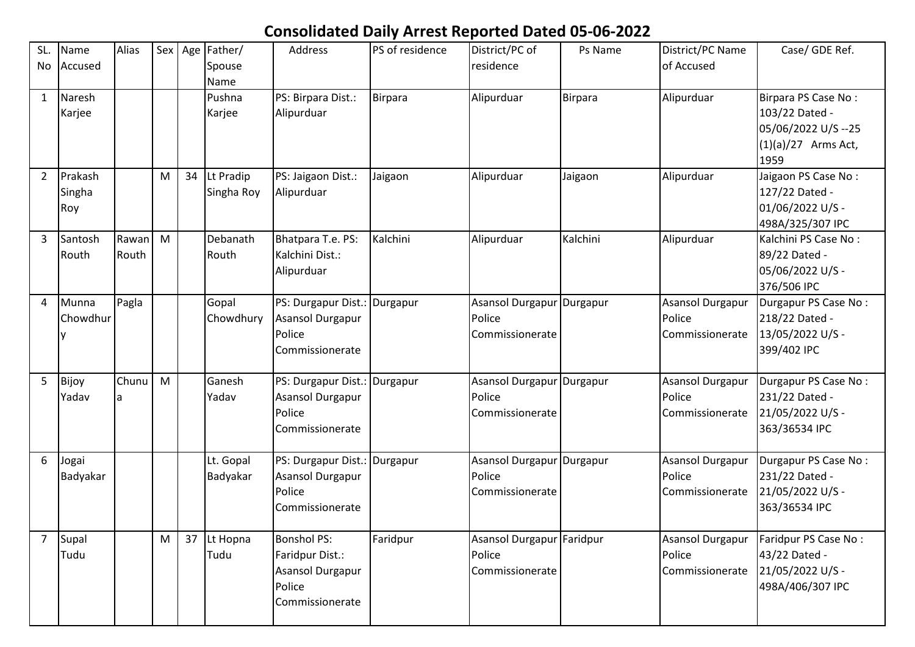## **Consolidated Daily Arrest Reported Dated 05-06-2022**

| SL.<br>No      | Name<br>Accused          | Alias          | Sex | Age | Father/<br>Spouse<br>Name | Address                                                                                | PS of residence | District/PC of<br>residence                            | Ps Name  | District/PC Name<br>of Accused                       | Case/ GDE Ref.                                                                                |
|----------------|--------------------------|----------------|-----|-----|---------------------------|----------------------------------------------------------------------------------------|-----------------|--------------------------------------------------------|----------|------------------------------------------------------|-----------------------------------------------------------------------------------------------|
| $\mathbf{1}$   | Naresh<br>Karjee         |                |     |     | Pushna<br>Karjee          | PS: Birpara Dist.:<br>Alipurduar                                                       | Birpara         | Alipurduar                                             | Birpara  | Alipurduar                                           | Birpara PS Case No:<br>103/22 Dated -<br>05/06/2022 U/S --25<br>$(1)(a)/27$ Arms Act,<br>1959 |
| $\overline{2}$ | Prakash<br>Singha<br>Roy |                | M   | 34  | Lt Pradip<br>Singha Roy   | PS: Jaigaon Dist.:<br>Alipurduar                                                       | Jaigaon         | Alipurduar                                             | Jaigaon  | Alipurduar                                           | Jaigaon PS Case No:<br>127/22 Dated -<br>01/06/2022 U/S -<br>498A/325/307 IPC                 |
| 3              | Santosh<br>Routh         | Rawan<br>Routh | M   |     | Debanath<br>Routh         | Bhatpara T.e. PS:<br>Kalchini Dist.:<br>Alipurduar                                     | Kalchini        | Alipurduar                                             | Kalchini | Alipurduar                                           | Kalchini PS Case No:<br>89/22 Dated -<br>05/06/2022 U/S -<br>376/506 IPC                      |
| 4              | Munna<br>Chowdhur        | Pagla          |     |     | Gopal<br>Chowdhury        | PS: Durgapur Dist.: Durgapur<br><b>Asansol Durgapur</b><br>Police<br>Commissionerate   |                 | Asansol Durgapur Durgapur<br>Police<br>Commissionerate |          | <b>Asansol Durgapur</b><br>Police<br>Commissionerate | Durgapur PS Case No:<br>218/22 Dated -<br>13/05/2022 U/S -<br>399/402 IPC                     |
| 5              | Bijoy<br>Yadav           | Chunu<br>la.   | M   |     | Ganesh<br>Yadav           | PS: Durgapur Dist.: Durgapur<br><b>Asansol Durgapur</b><br>Police<br>Commissionerate   |                 | Asansol Durgapur Durgapur<br>Police<br>Commissionerate |          | <b>Asansol Durgapur</b><br>Police<br>Commissionerate | Durgapur PS Case No:<br>231/22 Dated -<br>21/05/2022 U/S -<br>363/36534 IPC                   |
| 6              | Jogai<br>Badyakar        |                |     |     | Lt. Gopal<br>Badyakar     | PS: Durgapur Dist.: Durgapur<br>Asansol Durgapur<br>Police<br>Commissionerate          |                 | Asansol Durgapur Durgapur<br>Police<br>Commissionerate |          | <b>Asansol Durgapur</b><br>Police<br>Commissionerate | Durgapur PS Case No:<br>231/22 Dated -<br>21/05/2022 U/S -<br>363/36534 IPC                   |
| $\overline{7}$ | Supal<br>Tudu            |                | M   |     | 37 Lt Hopna<br>Tudu       | <b>Bonshol PS:</b><br>Faridpur Dist.:<br>Asansol Durgapur<br>Police<br>Commissionerate | Faridpur        | Asansol Durgapur Faridpur<br>Police<br>Commissionerate |          | <b>Asansol Durgapur</b><br>Police<br>Commissionerate | Faridpur PS Case No:<br>43/22 Dated -<br>21/05/2022 U/S -<br>498A/406/307 IPC                 |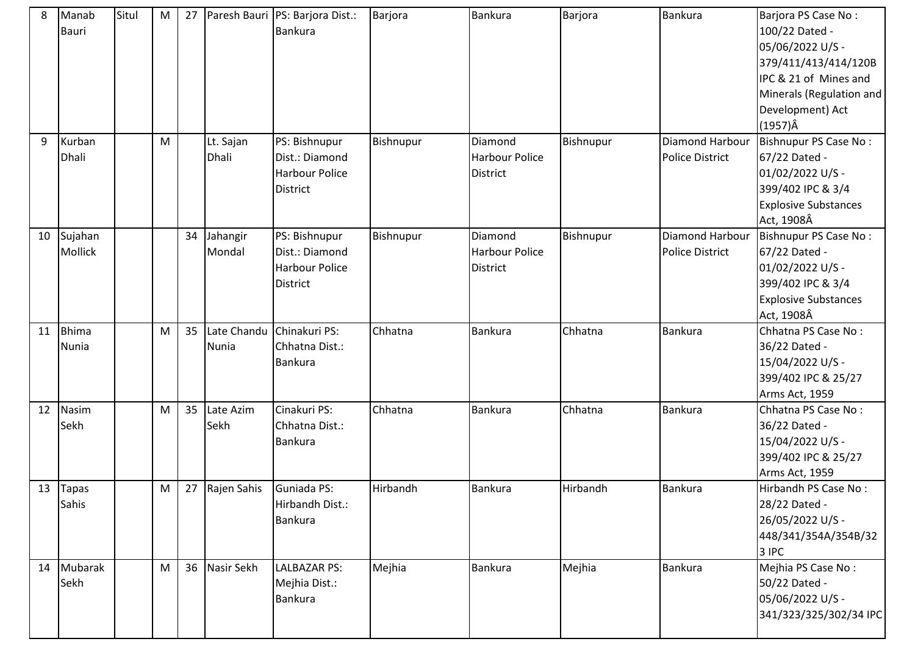| 8  | Manab        | Situl | M         | 27 |             | Paresh Bauri PS: Barjora Dist.: | Barjora   | <b>Bankura</b>        | Barjora   | Bankura                | Barjora PS Case No:         |
|----|--------------|-------|-----------|----|-------------|---------------------------------|-----------|-----------------------|-----------|------------------------|-----------------------------|
|    | Bauri        |       |           |    |             | Bankura                         |           |                       |           |                        | 100/22 Dated -              |
|    |              |       |           |    |             |                                 |           |                       |           |                        | 05/06/2022 U/S -            |
|    |              |       |           |    |             |                                 |           |                       |           |                        | 379/411/413/414/120B        |
|    |              |       |           |    |             |                                 |           |                       |           |                        | IPC & 21 of Mines and       |
|    |              |       |           |    |             |                                 |           |                       |           |                        | Minerals (Regulation and    |
|    |              |       |           |    |             |                                 |           |                       |           |                        | Development) Act            |
|    |              |       |           |    |             |                                 |           |                       |           |                        | $(1957)\hat{A}$             |
| 9  | Kurban       |       | M         |    | Lt. Sajan   | PS: Bishnupur                   | Bishnupur | Diamond               | Bishnupur | Diamond Harbour        | Bishnupur PS Case No:       |
|    | Dhali        |       |           |    | Dhali       | Dist.: Diamond                  |           | <b>Harbour Police</b> |           | Police District        | 67/22 Dated -               |
|    |              |       |           |    |             | <b>Harbour Police</b>           |           | <b>District</b>       |           |                        | 01/02/2022 U/S -            |
|    |              |       |           |    |             | <b>District</b>                 |           |                       |           |                        | 399/402 IPC & 3/4           |
|    |              |       |           |    |             |                                 |           |                       |           |                        | <b>Explosive Substances</b> |
|    |              |       |           |    |             |                                 |           |                       |           |                        | Act, 1908Â                  |
| 10 | Sujahan      |       |           | 34 | Jahangir    | PS: Bishnupur                   | Bishnupur | Diamond               | Bishnupur | Diamond Harbour        | Bishnupur PS Case No:       |
|    | Mollick      |       |           |    | Mondal      | Dist.: Diamond                  |           | Harbour Police        |           | <b>Police District</b> | 67/22 Dated -               |
|    |              |       |           |    |             | Harbour Police                  |           | <b>District</b>       |           |                        | 01/02/2022 U/S -            |
|    |              |       |           |    |             | District                        |           |                       |           |                        | 399/402 IPC & 3/4           |
|    |              |       |           |    |             |                                 |           |                       |           |                        | <b>Explosive Substances</b> |
|    |              |       |           |    |             |                                 |           |                       |           |                        | Act, 1908Â                  |
| 11 | <b>Bhima</b> |       | M         | 35 | Late Chandu | Chinakuri PS:                   | Chhatna   | Bankura               | Chhatna   | Bankura                | Chhatna PS Case No:         |
|    | Nunia        |       |           |    | Nunia       | Chhatna Dist.:                  |           |                       |           |                        | 36/22 Dated -               |
|    |              |       |           |    |             | Bankura                         |           |                       |           |                        | 15/04/2022 U/S -            |
|    |              |       |           |    |             |                                 |           |                       |           |                        |                             |
|    |              |       |           |    |             |                                 |           |                       |           |                        | 399/402 IPC & 25/27         |
|    |              |       |           |    |             |                                 |           |                       |           |                        | Arms Act, 1959              |
| 12 | Nasim        |       | M         | 35 | Late Azim   | Cinakuri PS:                    | Chhatna   | <b>Bankura</b>        | Chhatna   | <b>Bankura</b>         | Chhatna PS Case No:         |
|    | Sekh         |       |           |    | Sekh        | Chhatna Dist.:                  |           |                       |           |                        | 36/22 Dated -               |
|    |              |       |           |    |             | Bankura                         |           |                       |           |                        | 15/04/2022 U/S -            |
|    |              |       |           |    |             |                                 |           |                       |           |                        | 399/402 IPC & 25/27         |
|    |              |       |           |    |             |                                 |           |                       |           |                        | Arms Act, 1959              |
| 13 | Tapas        |       | ${\sf M}$ | 27 | Rajen Sahis | Guniada PS:                     | Hirbandh  | <b>Bankura</b>        | Hirbandh  | <b>Bankura</b>         | Hirbandh PS Case No:        |
|    | Sahis        |       |           |    |             | Hirbandh Dist.:                 |           |                       |           |                        | 28/22 Dated -               |
|    |              |       |           |    |             | Bankura                         |           |                       |           |                        | 26/05/2022 U/S -            |
|    |              |       |           |    |             |                                 |           |                       |           |                        | 448/341/354A/354B/32        |
|    |              |       |           |    |             |                                 |           |                       |           |                        | 3 IPC                       |
| 14 | Mubarak      |       | M         | 36 | Nasir Sekh  | LALBAZAR PS:                    | Mejhia    | <b>Bankura</b>        | Mejhia    | Bankura                | Mejhia PS Case No:          |
|    | Sekh         |       |           |    |             | Mejhia Dist.:                   |           |                       |           |                        | 50/22 Dated -               |
|    |              |       |           |    |             | Bankura                         |           |                       |           |                        | 05/06/2022 U/S -            |
|    |              |       |           |    |             |                                 |           |                       |           |                        | 341/323/325/302/34 IPC      |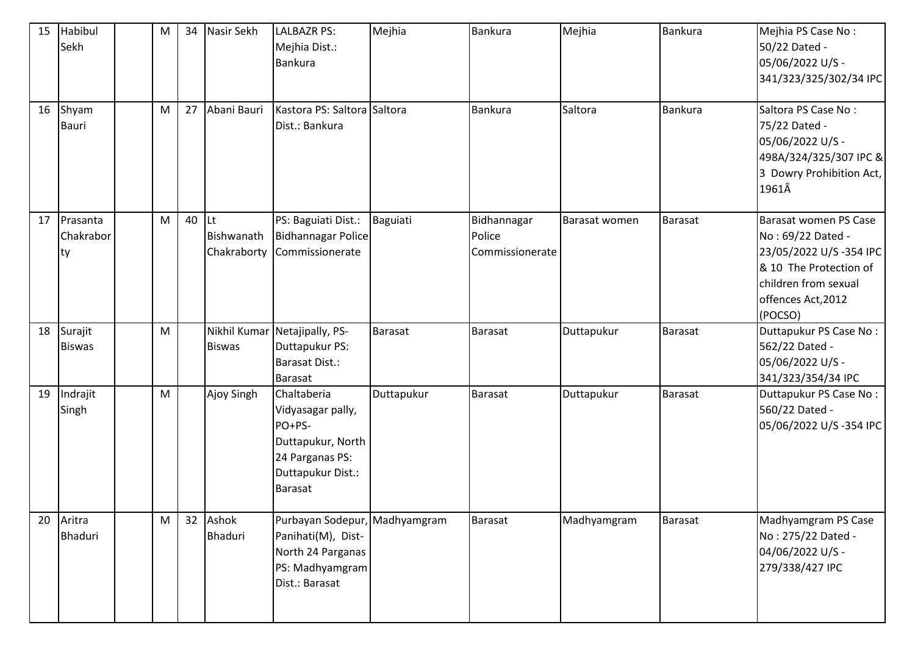| 15 | Habibul<br>Sekh             | M         | 34 | Nasir Sekh                      | <b>LALBAZR PS:</b><br>Mejhia Dist.:<br>Bankura                                                                            | Mejhia         | <b>Bankura</b>                           | Mejhia        | Bankura        | Mejhia PS Case No:<br>50/22 Dated -<br>05/06/2022 U/S -<br>341/323/325/302/34 IPC                                                                       |
|----|-----------------------------|-----------|----|---------------------------------|---------------------------------------------------------------------------------------------------------------------------|----------------|------------------------------------------|---------------|----------------|---------------------------------------------------------------------------------------------------------------------------------------------------------|
| 16 | Shyam<br>Bauri              | M         | 27 | Abani Bauri                     | Kastora PS: Saltora Saltora<br>Dist.: Bankura                                                                             |                | Bankura                                  | Saltora       | <b>Bankura</b> | Saltora PS Case No:<br>75/22 Dated -<br>05/06/2022 U/S -<br>498A/324/325/307 IPC &<br>3 Dowry Prohibition Act,<br>1961Â                                 |
| 17 | Prasanta<br>Chakrabor<br>ty | M         | 40 | Lt<br>Bishwanath<br>Chakraborty | PS: Baguiati Dist.:<br><b>Bidhannagar Police</b><br>Commissionerate                                                       | Baguiati       | Bidhannagar<br>Police<br>Commissionerate | Barasat women | Barasat        | Barasat women PS Case<br>No: 69/22 Dated -<br>23/05/2022 U/S-354 IPC<br>& 10 The Protection of<br>children from sexual<br>offences Act, 2012<br>(POCSO) |
| 18 | Surajit<br><b>Biswas</b>    | M         |    | Nikhil Kumar<br><b>Biswas</b>   | Netajipally, PS-<br>Duttapukur PS:<br><b>Barasat Dist.:</b><br><b>Barasat</b>                                             | <b>Barasat</b> | <b>Barasat</b>                           | Duttapukur    | Barasat        | Duttapukur PS Case No:<br>562/22 Dated -<br>05/06/2022 U/S -<br>341/323/354/34 IPC                                                                      |
| 19 | Indrajit<br>Singh           | ${\sf M}$ |    | Ajoy Singh                      | Chaltaberia<br>Vidyasagar pally,<br>PO+PS-<br>Duttapukur, North<br>24 Parganas PS:<br>Duttapukur Dist.:<br><b>Barasat</b> | Duttapukur     | Barasat                                  | Duttapukur    | Barasat        | Duttapukur PS Case No:<br>560/22 Dated -<br>05/06/2022 U/S-354 IPC                                                                                      |
| 20 | Aritra<br><b>Bhaduri</b>    | M         | 32 | Ashok<br>Bhaduri                | Purbayan Sodepur, Madhyamgram<br>Panihati(M), Dist-<br>North 24 Parganas<br>PS: Madhyamgram<br>Dist.: Barasat             |                | Barasat                                  | Madhyamgram   | Barasat        | Madhyamgram PS Case<br>No: 275/22 Dated -<br>04/06/2022 U/S -<br>279/338/427 IPC                                                                        |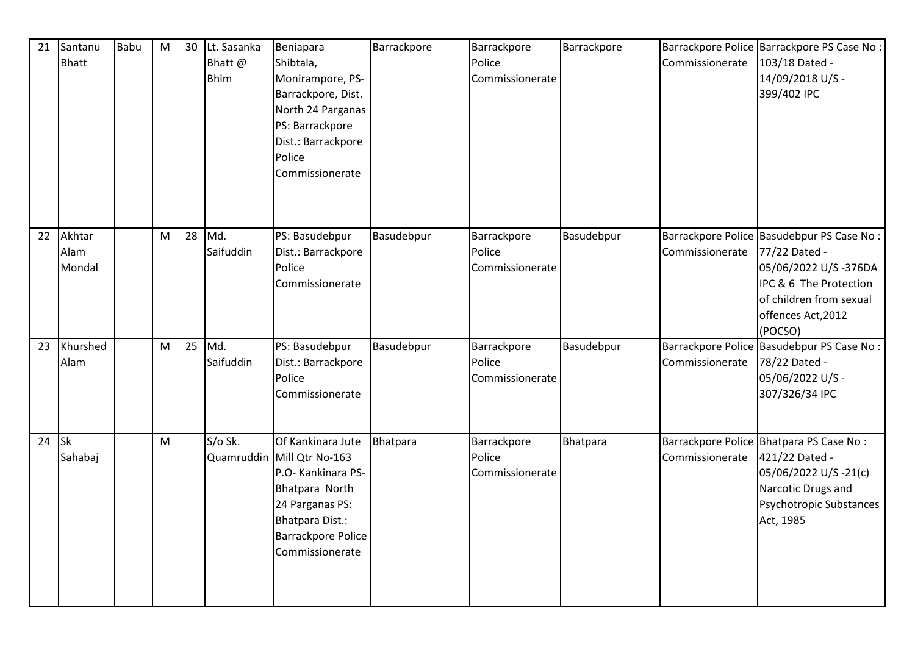| 21 | Santanu<br><b>Bhatt</b>  | <b>Babu</b> | M | 30 | Lt. Sasanka<br>Bhatt@<br><b>Bhim</b> | Beniapara<br>Shibtala,<br>Monirampore, PS-<br>Barrackpore, Dist.<br>North 24 Parganas<br>PS: Barrackpore<br>Dist.: Barrackpore<br>Police<br>Commissionerate                          | Barrackpore | Barrackpore<br>Police<br>Commissionerate | Barrackpore | Commissionerate | Barrackpore Police Barrackpore PS Case No :<br>103/18 Dated -<br>14/09/2018 U/S -<br>399/402 IPC                                                                         |
|----|--------------------------|-------------|---|----|--------------------------------------|--------------------------------------------------------------------------------------------------------------------------------------------------------------------------------------|-------------|------------------------------------------|-------------|-----------------|--------------------------------------------------------------------------------------------------------------------------------------------------------------------------|
| 22 | Akhtar<br>Alam<br>Mondal |             | M | 28 | Md.<br>Saifuddin                     | PS: Basudebpur<br>Dist.: Barrackpore<br>Police<br>Commissionerate                                                                                                                    | Basudebpur  | Barrackpore<br>Police<br>Commissionerate | Basudebpur  | Commissionerate | Barrackpore Police Basudebpur PS Case No:<br>77/22 Dated -<br>05/06/2022 U/S-376DA<br>IPC & 6 The Protection<br>of children from sexual<br>offences Act, 2012<br>(POCSO) |
| 23 | Khurshed<br>Alam         |             | M | 25 | Md.<br>Saifuddin                     | PS: Basudebpur<br>Dist.: Barrackpore<br>Police<br>Commissionerate                                                                                                                    | Basudebpur  | Barrackpore<br>Police<br>Commissionerate | Basudebpur  | Commissionerate | Barrackpore Police Basudebpur PS Case No :<br>78/22 Dated -<br>05/06/2022 U/S -<br>307/326/34 IPC                                                                        |
| 24 | <b>Sk</b><br>Sahabaj     |             | M |    | S/o Sk.                              | Of Kankinara Jute<br>Quamruddin Mill Qtr No-163<br>P.O- Kankinara PS-<br>Bhatpara North<br>24 Parganas PS:<br><b>Bhatpara Dist.:</b><br><b>Barrackpore Police</b><br>Commissionerate | Bhatpara    | Barrackpore<br>Police<br>Commissionerate | Bhatpara    | Commissionerate | Barrackpore Police Bhatpara PS Case No:<br>421/22 Dated -<br>05/06/2022 U/S-21(c)<br>Narcotic Drugs and<br>Psychotropic Substances<br>Act, 1985                          |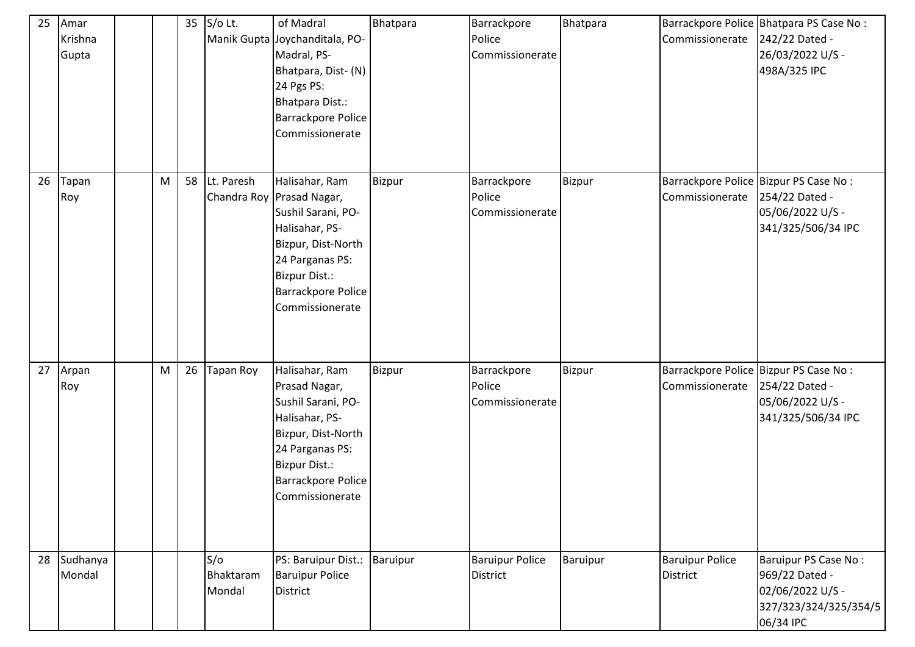| 25 | Amar<br>Krishna<br>Gupta |   | 35 | $S/O$ Lt.                  | of Madral<br>Manik Gupta Joychanditala, PO-<br>Madral, PS-<br>Bhatpara, Dist- (N)<br>24 Pgs PS:<br>Bhatpara Dist.:<br><b>Barrackpore Police</b><br>Commissionerate                            | <b>Bhatpara</b> | Barrackpore<br>Police<br>Commissionerate  | Bhatpara      | Commissionerate                                          | Barrackpore Police Bhatpara PS Case No:<br>242/22 Dated -<br>26/03/2022 U/S -<br>498A/325 IPC    |
|----|--------------------------|---|----|----------------------------|-----------------------------------------------------------------------------------------------------------------------------------------------------------------------------------------------|-----------------|-------------------------------------------|---------------|----------------------------------------------------------|--------------------------------------------------------------------------------------------------|
| 26 | Tapan<br>Roy             | M | 58 | Lt. Paresh                 | Halisahar, Ram<br>Chandra Roy Prasad Nagar,<br>Sushil Sarani, PO-<br>Halisahar, PS-<br>Bizpur, Dist-North<br>24 Parganas PS:<br><b>Bizpur Dist.:</b><br>Barrackpore Police<br>Commissionerate | Bizpur          | Barrackpore<br>Police<br>Commissionerate  | <b>Bizpur</b> | Barrackpore Police Bizpur PS Case No:<br>Commissionerate | 254/22 Dated -<br>05/06/2022 U/S -<br>341/325/506/34 IPC                                         |
| 27 | Arpan<br>Roy             | M | 26 | <b>Tapan Roy</b>           | Halisahar, Ram<br>Prasad Nagar,<br>Sushil Sarani, PO-<br>Halisahar, PS-<br>Bizpur, Dist-North<br>24 Parganas PS:<br><b>Bizpur Dist.:</b><br><b>Barrackpore Police</b><br>Commissionerate      | Bizpur          | Barrackpore<br>Police<br>Commissionerate  | <b>Bizpur</b> | Barrackpore Police Bizpur PS Case No:<br>Commissionerate | 254/22 Dated -<br>05/06/2022 U/S -<br>341/325/506/34 IPC                                         |
| 28 | Sudhanya<br>Mondal       |   |    | S/O<br>Bhaktaram<br>Mondal | PS: Baruipur Dist.:<br><b>Baruipur Police</b><br><b>District</b>                                                                                                                              | <b>Baruipur</b> | <b>Baruipur Police</b><br><b>District</b> | Baruipur      | <b>Baruipur Police</b><br><b>District</b>                | Baruipur PS Case No:<br>969/22 Dated -<br>02/06/2022 U/S -<br>327/323/324/325/354/5<br>06/34 IPC |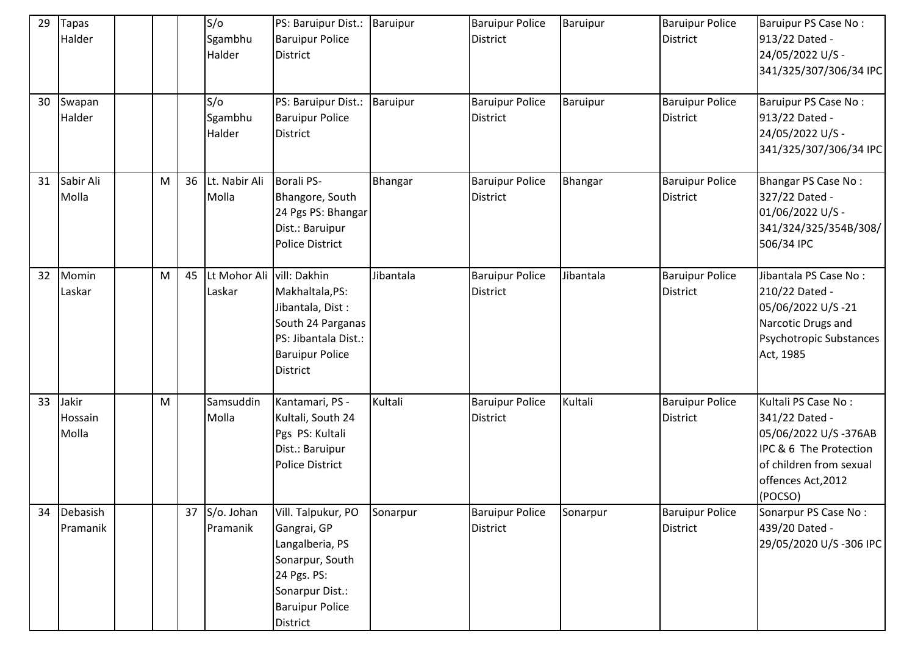| 29 | <b>Tapas</b><br>Halder    |   |    | S/O<br>Sgambhu<br>Halder  | PS: Baruipur Dist.: Baruipur<br><b>Baruipur Police</b><br><b>District</b>                                                                       |           | <b>Baruipur Police</b><br><b>District</b> | Baruipur  | <b>Baruipur Police</b><br><b>District</b> | Baruipur PS Case No:<br>913/22 Dated -<br>24/05/2022 U/S -<br>341/325/307/306/34 IPC                                                                |
|----|---------------------------|---|----|---------------------------|-------------------------------------------------------------------------------------------------------------------------------------------------|-----------|-------------------------------------------|-----------|-------------------------------------------|-----------------------------------------------------------------------------------------------------------------------------------------------------|
| 30 | Swapan<br>Halder          |   |    | S/O<br>Sgambhu<br>Halder  | PS: Baruipur Dist.:<br><b>Baruipur Police</b><br><b>District</b>                                                                                | Baruipur  | <b>Baruipur Police</b><br><b>District</b> | Baruipur  | <b>Baruipur Police</b><br><b>District</b> | Baruipur PS Case No:<br>913/22 Dated -<br>24/05/2022 U/S -<br>341/325/307/306/34 IPC                                                                |
| 31 | Sabir Ali<br>Molla        | M | 36 | Lt. Nabir Ali<br>Molla    | <b>Borali PS-</b><br>Bhangore, South<br>24 Pgs PS: Bhangar<br>Dist.: Baruipur<br><b>Police District</b>                                         | Bhangar   | <b>Baruipur Police</b><br><b>District</b> | Bhangar   | <b>Baruipur Police</b><br><b>District</b> | <b>Bhangar PS Case No:</b><br>327/22 Dated -<br>01/06/2022 U/S -<br>341/324/325/354B/308/<br>506/34 IPC                                             |
| 32 | Momin<br>Laskar           | M | 45 | Lt Mohor Ali<br>Laskar    | vill: Dakhin<br>Makhaltala, PS:<br>Jibantala, Dist:<br>South 24 Parganas<br>PS: Jibantala Dist.:<br><b>Baruipur Police</b><br><b>District</b>   | Jibantala | <b>Baruipur Police</b><br><b>District</b> | Jibantala | <b>Baruipur Police</b><br><b>District</b> | Jibantala PS Case No:<br>210/22 Dated -<br>05/06/2022 U/S-21<br>Narcotic Drugs and<br>Psychotropic Substances<br>Act, 1985                          |
| 33 | Jakir<br>Hossain<br>Molla | M |    | Samsuddin<br>Molla        | Kantamari, PS -<br>Kultali, South 24<br>Pgs PS: Kultali<br>Dist.: Baruipur<br>Police District                                                   | Kultali   | <b>Baruipur Police</b><br><b>District</b> | Kultali   | <b>Baruipur Police</b><br><b>District</b> | Kultali PS Case No:<br>341/22 Dated -<br>05/06/2022 U/S-376AB<br>IPC & 6 The Protection<br>of children from sexual<br>offences Act, 2012<br>(POCSO) |
| 34 | Debasish<br>Pramanik      |   |    | 37 S/o. Johan<br>Pramanik | Vill. Talpukur, PO<br>Gangrai, GP<br>Langalberia, PS<br>Sonarpur, South<br>24 Pgs. PS:<br>Sonarpur Dist.:<br><b>Baruipur Police</b><br>District | Sonarpur  | <b>Baruipur Police</b><br><b>District</b> | Sonarpur  | <b>Baruipur Police</b><br>District        | Sonarpur PS Case No:<br>439/20 Dated -<br>29/05/2020 U/S-306 IPC                                                                                    |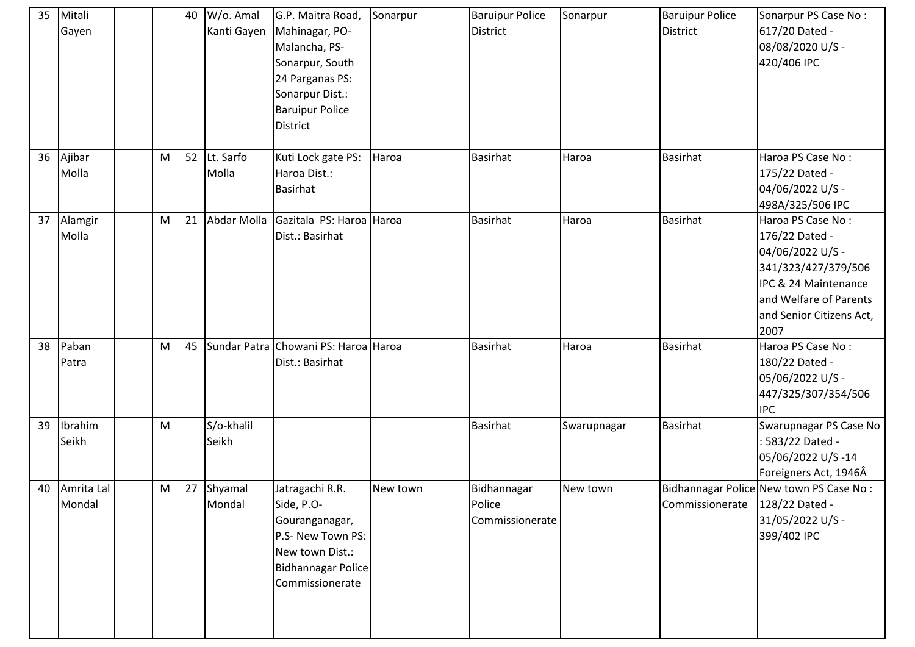| 35 | Mitali<br>Gayen      |   | 40 | W/o. Amal<br>Kanti Gayen | G.P. Maitra Road,<br>Mahinagar, PO-<br>Malancha, PS-<br>Sonarpur, South<br>24 Parganas PS:<br>Sonarpur Dist.:<br><b>Baruipur Police</b><br>District | Sonarpur | <b>Baruipur Police</b><br><b>District</b> | Sonarpur    | <b>Baruipur Police</b><br><b>District</b> | Sonarpur PS Case No:<br>617/20 Dated -<br>08/08/2020 U/S -<br>420/406 IPC                                                                                            |
|----|----------------------|---|----|--------------------------|-----------------------------------------------------------------------------------------------------------------------------------------------------|----------|-------------------------------------------|-------------|-------------------------------------------|----------------------------------------------------------------------------------------------------------------------------------------------------------------------|
| 36 | Ajibar<br>Molla      | M | 52 | Lt. Sarfo<br>Molla       | Kuti Lock gate PS:<br>Haroa Dist.:<br><b>Basirhat</b>                                                                                               | Haroa    | <b>Basirhat</b>                           | Haroa       | <b>Basirhat</b>                           | Haroa PS Case No:<br>175/22 Dated -<br>04/06/2022 U/S -<br>498A/325/506 IPC                                                                                          |
| 37 | Alamgir<br>Molla     | M | 21 | Abdar Molla              | Gazitala PS: Haroa Haroa<br>Dist.: Basirhat                                                                                                         |          | <b>Basirhat</b>                           | Haroa       | Basirhat                                  | Haroa PS Case No:<br>176/22 Dated -<br>04/06/2022 U/S -<br>341/323/427/379/506<br>IPC & 24 Maintenance<br>and Welfare of Parents<br>and Senior Citizens Act,<br>2007 |
| 38 | Paban<br>Patra       | M | 45 |                          | Sundar Patra Chowani PS: Haroa Haroa<br>Dist.: Basirhat                                                                                             |          | <b>Basirhat</b>                           | Haroa       | <b>Basirhat</b>                           | Haroa PS Case No:<br>180/22 Dated -<br>05/06/2022 U/S -<br>447/325/307/354/506<br><b>IPC</b>                                                                         |
| 39 | Ibrahim<br>Seikh     | M |    | S/o-khalil<br>Seikh      |                                                                                                                                                     |          | <b>Basirhat</b>                           | Swarupnagar | <b>Basirhat</b>                           | Swarupnagar PS Case No<br>: 583/22 Dated -<br>05/06/2022 U/S-14<br>Foreigners Act, 1946Â                                                                             |
| 40 | Amrita Lal<br>Mondal | M |    | 27 Shyamal<br>Mondal     | Jatragachi R.R.<br>Side, P.O-<br>Gouranganagar,<br>P.S- New Town PS:<br>New town Dist.:<br><b>Bidhannagar Police</b><br>Commissionerate             | New town | Bidhannagar<br>Police<br>Commissionerate  | New town    | Commissionerate                           | Bidhannagar Police New town PS Case No:<br>128/22 Dated -<br>31/05/2022 U/S -<br>399/402 IPC                                                                         |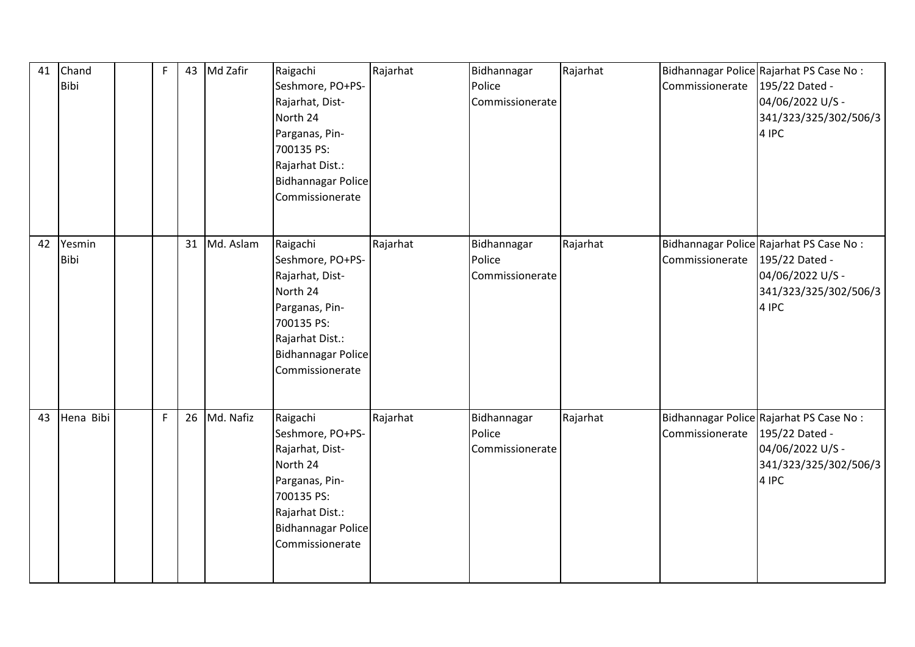| 41 | Chand<br>Bibi  | F | 43 | Md Zafir     | Raigachi<br>Seshmore, PO+PS-<br>Rajarhat, Dist-<br>North 24<br>Parganas, Pin-<br>700135 PS:<br>Rajarhat Dist.:<br><b>Bidhannagar Police</b><br>Commissionerate | Rajarhat | Bidhannagar<br>Police<br>Commissionerate | Rajarhat | Commissionerate | Bidhannagar Police Rajarhat PS Case No:<br>195/22 Dated -<br>04/06/2022 U/S -<br>341/323/325/302/506/3<br>4 IPC |
|----|----------------|---|----|--------------|----------------------------------------------------------------------------------------------------------------------------------------------------------------|----------|------------------------------------------|----------|-----------------|-----------------------------------------------------------------------------------------------------------------|
| 42 | Yesmin<br>Bibi |   |    | 31 Md. Aslam | Raigachi<br>Seshmore, PO+PS-<br>Rajarhat, Dist-<br>North 24<br>Parganas, Pin-<br>700135 PS:<br>Rajarhat Dist.:<br><b>Bidhannagar Police</b><br>Commissionerate | Rajarhat | Bidhannagar<br>Police<br>Commissionerate | Rajarhat | Commissionerate | Bidhannagar Police Rajarhat PS Case No:<br>195/22 Dated -<br>04/06/2022 U/S -<br>341/323/325/302/506/3<br>4 IPC |
| 43 | Hena Bibi      | F | 26 | Md. Nafiz    | Raigachi<br>Seshmore, PO+PS-<br>Rajarhat, Dist-<br>North 24<br>Parganas, Pin-<br>700135 PS:<br>Rajarhat Dist.:<br>Bidhannagar Police<br>Commissionerate        | Rajarhat | Bidhannagar<br>Police<br>Commissionerate | Rajarhat | Commissionerate | Bidhannagar Police Rajarhat PS Case No:<br>195/22 Dated -<br>04/06/2022 U/S -<br>341/323/325/302/506/3<br>4 IPC |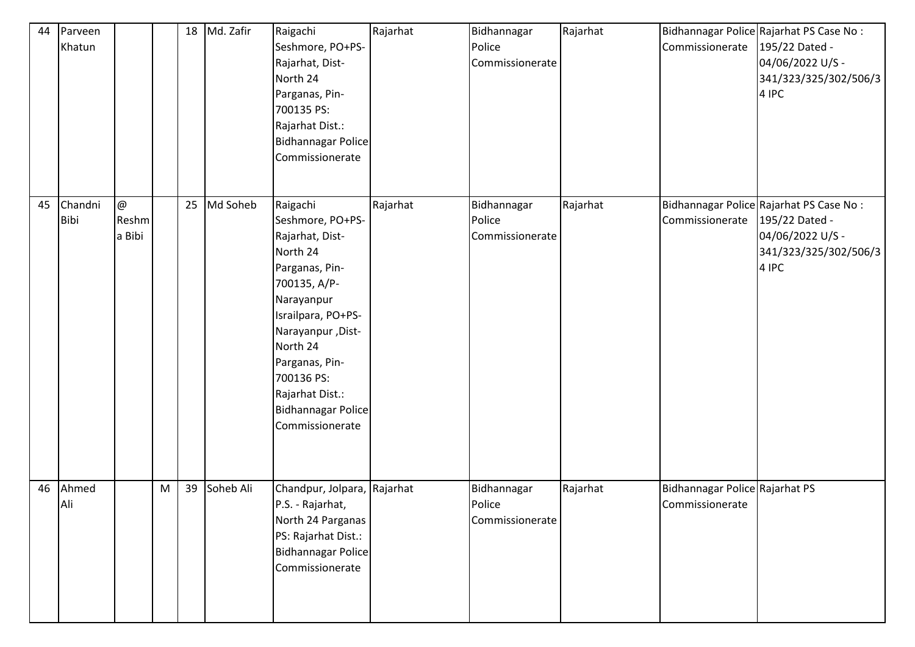| 44 | Parveen<br>Khatun |                                   |   | 18 | Md. Zafir | Raigachi<br>Seshmore, PO+PS-<br>Rajarhat, Dist-<br>North 24<br>Parganas, Pin-<br>700135 PS:<br>Rajarhat Dist.:<br><b>Bidhannagar Police</b><br>Commissionerate                                                                                                        | Rajarhat | Bidhannagar<br>Police<br>Commissionerate | Rajarhat | Commissionerate                                   | Bidhannagar Police Rajarhat PS Case No:<br>195/22 Dated -<br>04/06/2022 U/S -<br>341/323/325/302/506/3<br>4 IPC |
|----|-------------------|-----------------------------------|---|----|-----------|-----------------------------------------------------------------------------------------------------------------------------------------------------------------------------------------------------------------------------------------------------------------------|----------|------------------------------------------|----------|---------------------------------------------------|-----------------------------------------------------------------------------------------------------------------|
| 45 | Chandni<br>Bibi   | $\circledcirc$<br>Reshm<br>a Bibi |   | 25 | Md Soheb  | Raigachi<br>Seshmore, PO+PS-<br>Rajarhat, Dist-<br>North 24<br>Parganas, Pin-<br>700135, A/P-<br>Narayanpur<br>Israilpara, PO+PS-<br>Narayanpur, Dist-<br>North 24<br>Parganas, Pin-<br>700136 PS:<br>Rajarhat Dist.:<br><b>Bidhannagar Police</b><br>Commissionerate | Rajarhat | Bidhannagar<br>Police<br>Commissionerate | Rajarhat | Commissionerate                                   | Bidhannagar Police Rajarhat PS Case No:<br>195/22 Dated -<br>04/06/2022 U/S -<br>341/323/325/302/506/3<br>4 IPC |
| 46 | Ahmed<br>Ali      |                                   | M | 39 | Soheb Ali | Chandpur, Jolpara, Rajarhat<br>P.S. - Rajarhat,<br>North 24 Parganas<br>PS: Rajarhat Dist.:<br><b>Bidhannagar Police</b><br>Commissionerate                                                                                                                           |          | Bidhannagar<br>Police<br>Commissionerate | Rajarhat | Bidhannagar Police Rajarhat PS<br>Commissionerate |                                                                                                                 |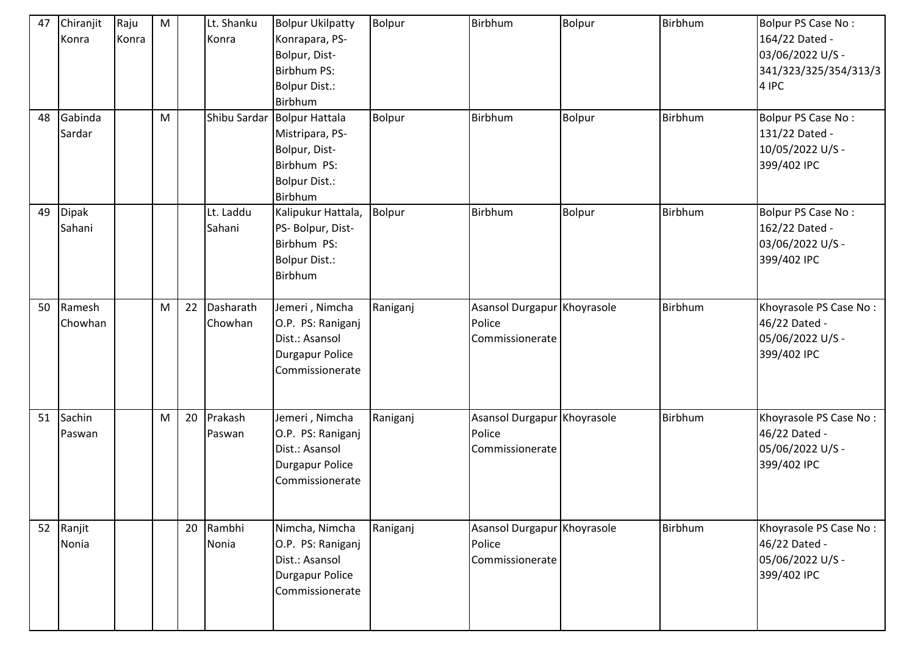| 47 | Chiranjit<br>Konra     | Raju<br>Konra | M |    | Lt. Shanku<br>Konra  | <b>Bolpur Ukilpatty</b><br>Konrapara, PS-<br>Bolpur, Dist-<br><b>Birbhum PS:</b><br><b>Bolpur Dist.:</b><br>Birbhum | <b>Bolpur</b> | Birbhum                                                  | Bolpur        | Birbhum | Bolpur PS Case No:<br>164/22 Dated -<br>03/06/2022 U/S -<br>341/323/325/354/313/3<br>4 IPC |
|----|------------------------|---------------|---|----|----------------------|---------------------------------------------------------------------------------------------------------------------|---------------|----------------------------------------------------------|---------------|---------|--------------------------------------------------------------------------------------------|
| 48 | Gabinda<br>Sardar      |               | M |    |                      | Shibu Sardar Bolpur Hattala<br>Mistripara, PS-<br>Bolpur, Dist-<br>Birbhum PS:<br><b>Bolpur Dist.:</b><br>Birbhum   | Bolpur        | Birbhum                                                  | Bolpur        | Birbhum | Bolpur PS Case No:<br>131/22 Dated -<br>10/05/2022 U/S -<br>399/402 IPC                    |
| 49 | <b>Dipak</b><br>Sahani |               |   |    | Lt. Laddu<br>Sahani  | Kalipukur Hattala,<br>PS- Bolpur, Dist-<br>Birbhum PS:<br><b>Bolpur Dist.:</b><br>Birbhum                           | <b>Bolpur</b> | Birbhum                                                  | <b>Bolpur</b> | Birbhum | Bolpur PS Case No:<br>162/22 Dated -<br>03/06/2022 U/S -<br>399/402 IPC                    |
| 50 | Ramesh<br>Chowhan      |               | M | 22 | Dasharath<br>Chowhan | Jemeri, Nimcha<br>O.P. PS: Raniganj<br>Dist.: Asansol<br><b>Durgapur Police</b><br>Commissionerate                  | Raniganj      | Asansol Durgapur Khoyrasole<br>Police<br>Commissionerate |               | Birbhum | Khoyrasole PS Case No:<br>46/22 Dated -<br>05/06/2022 U/S -<br>399/402 IPC                 |
| 51 | Sachin<br>Paswan       |               | M | 20 | Prakash<br>Paswan    | Jemeri, Nimcha<br>O.P. PS: Raniganj<br>Dist.: Asansol<br><b>Durgapur Police</b><br>Commissionerate                  | Raniganj      | Asansol Durgapur Khoyrasole<br>Police<br>Commissionerate |               | Birbhum | Khoyrasole PS Case No:<br>46/22 Dated -<br>05/06/2022 U/S -<br>399/402 IPC                 |
|    | 52 Ranjit<br>Nonia     |               |   | 20 | Rambhi<br>Nonia      | Nimcha, Nimcha<br>O.P. PS: Raniganj<br>Dist.: Asansol<br><b>Durgapur Police</b><br>Commissionerate                  | Raniganj      | Asansol Durgapur Khoyrasole<br>Police<br>Commissionerate |               | Birbhum | Khoyrasole PS Case No:<br>46/22 Dated -<br>05/06/2022 U/S -<br>399/402 IPC                 |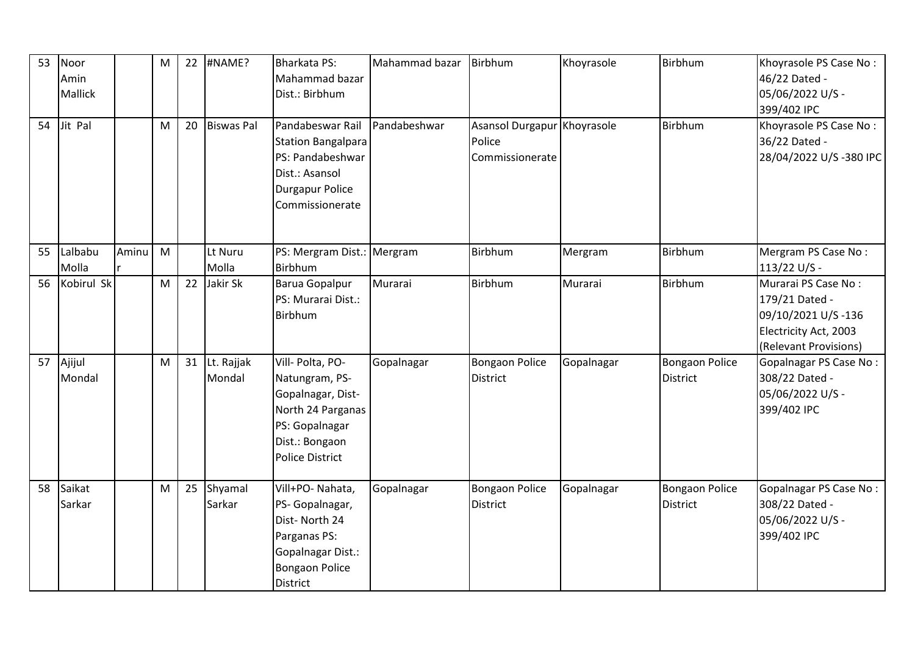| 53<br>54 | Noor<br>Amin<br>Mallick<br>Jit Pal |       | M<br>M | 22<br>20 | #NAME?<br><b>Biswas Pal</b> | <b>Bharkata PS:</b><br>Mahammad bazar<br>Dist.: Birbhum<br>Pandabeswar Rail                                                                | Mahammad bazar<br>Pandabeshwar | Birbhum<br>Asansol Durgapur Khoyrasole   | Khoyrasole | Birbhum<br><b>Birbhum</b>                | Khoyrasole PS Case No:<br>46/22 Dated -<br>05/06/2022 U/S -<br>399/402 IPC<br>Khoyrasole PS Case No:          |
|----------|------------------------------------|-------|--------|----------|-----------------------------|--------------------------------------------------------------------------------------------------------------------------------------------|--------------------------------|------------------------------------------|------------|------------------------------------------|---------------------------------------------------------------------------------------------------------------|
|          |                                    |       |        |          |                             | Station Bangalpara<br>PS: Pandabeshwar<br>Dist.: Asansol<br><b>Durgapur Police</b><br>Commissionerate                                      |                                | Police<br>Commissionerate                |            |                                          | 36/22 Dated -<br>28/04/2022 U/S-380 IPC                                                                       |
| 55       | Lalbabu<br>Molla                   | Aminu | M      |          | Lt Nuru<br>Molla            | PS: Mergram Dist.: Mergram<br>Birbhum                                                                                                      |                                | Birbhum                                  | Mergram    | Birbhum                                  | Mergram PS Case No:<br>113/22 U/S -                                                                           |
| 56       | Kobirul Sk                         |       | M      | 22       | Jakir Sk                    | Barua Gopalpur<br>PS: Murarai Dist.:<br><b>Birbhum</b>                                                                                     | Murarai                        | Birbhum                                  | Murarai    | Birbhum                                  | Murarai PS Case No:<br>179/21 Dated -<br>09/10/2021 U/S-136<br>Electricity Act, 2003<br>(Relevant Provisions) |
| 57       | Ajijul<br>Mondal                   |       | M      |          | 31 Lt. Rajjak<br>Mondal     | Vill- Polta, PO-<br>Natungram, PS-<br>Gopalnagar, Dist-<br>North 24 Parganas<br>PS: Gopalnagar<br>Dist.: Bongaon<br><b>Police District</b> | Gopalnagar                     | <b>Bongaon Police</b><br><b>District</b> | Gopalnagar | <b>Bongaon Police</b><br><b>District</b> | Gopalnagar PS Case No:<br>308/22 Dated -<br>05/06/2022 U/S -<br>399/402 IPC                                   |
| 58       | Saikat<br>Sarkar                   |       | M      | 25       | Shyamal<br>Sarkar           | Vill+PO- Nahata,<br>PS- Gopalnagar,<br>Dist-North 24<br>Parganas PS:<br>Gopalnagar Dist.:<br><b>Bongaon Police</b><br>District             | Gopalnagar                     | <b>Bongaon Police</b><br><b>District</b> | Gopalnagar | <b>Bongaon Police</b><br><b>District</b> | <b>Gopalnagar PS Case No:</b><br>308/22 Dated -<br>05/06/2022 U/S -<br>399/402 IPC                            |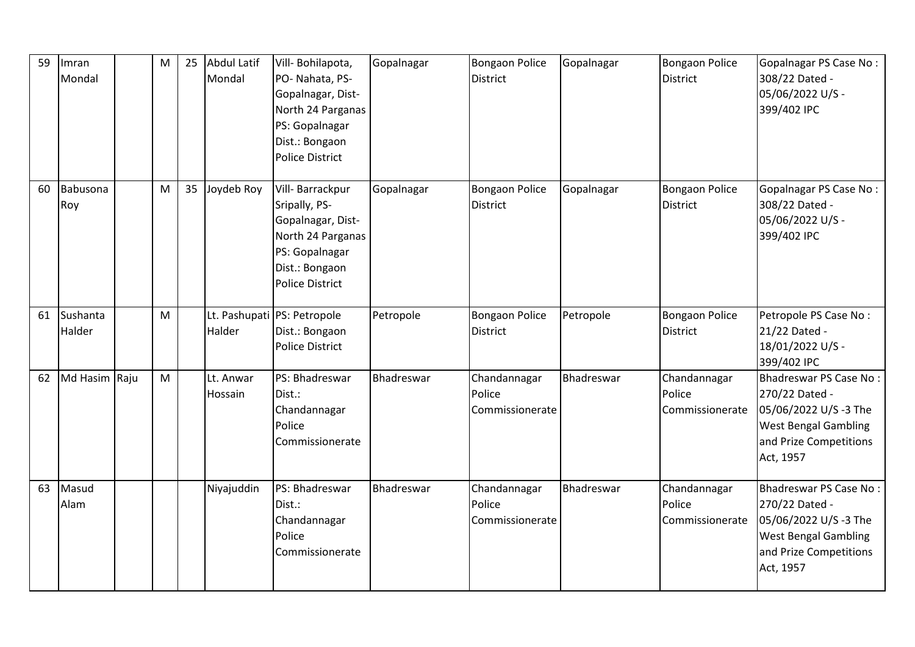| 59 | Imran<br>Mondal    | M | 25 | Abdul Latif<br>Mondal | Vill-Bohilapota,<br>PO- Nahata, PS-<br>Gopalnagar, Dist-<br>North 24 Parganas<br>PS: Gopalnagar<br>Dist.: Bongaon<br><b>Police District</b> | Gopalnagar | <b>Bongaon Police</b><br><b>District</b>  | Gopalnagar | <b>Bongaon Police</b><br><b>District</b>  | Gopalnagar PS Case No:<br>308/22 Dated -<br>05/06/2022 U/S -<br>399/402 IPC                                                             |
|----|--------------------|---|----|-----------------------|---------------------------------------------------------------------------------------------------------------------------------------------|------------|-------------------------------------------|------------|-------------------------------------------|-----------------------------------------------------------------------------------------------------------------------------------------|
| 60 | Babusona<br>Roy    | M | 35 | Joydeb Roy            | Vill-Barrackpur<br>Sripally, PS-<br>Gopalnagar, Dist-<br>North 24 Parganas<br>PS: Gopalnagar<br>Dist.: Bongaon<br><b>Police District</b>    | Gopalnagar | <b>Bongaon Police</b><br><b>District</b>  | Gopalnagar | <b>Bongaon Police</b><br><b>District</b>  | Gopalnagar PS Case No:<br>308/22 Dated -<br>05/06/2022 U/S -<br>399/402 IPC                                                             |
| 61 | Sushanta<br>Halder | M |    | Halder                | Lt. Pashupati PS: Petropole<br>Dist.: Bongaon<br><b>Police District</b>                                                                     | Petropole  | <b>Bongaon Police</b><br><b>District</b>  | Petropole  | <b>Bongaon Police</b><br><b>District</b>  | Petropole PS Case No:<br>21/22 Dated -<br>18/01/2022 U/S -<br>399/402 IPC                                                               |
| 62 | Md Hasim Raju      | M |    | Lt. Anwar<br>Hossain  | PS: Bhadreswar<br>Dist.:<br>Chandannagar<br>Police<br>Commissionerate                                                                       | Bhadreswar | Chandannagar<br>Police<br>Commissionerate | Bhadreswar | Chandannagar<br>Police<br>Commissionerate | Bhadreswar PS Case No:<br>270/22 Dated -<br>05/06/2022 U/S -3 The<br><b>West Bengal Gambling</b><br>and Prize Competitions<br>Act, 1957 |
| 63 | Masud<br>Alam      |   |    | Niyajuddin            | PS: Bhadreswar<br>Dist.:<br>Chandannagar<br>Police<br>Commissionerate                                                                       | Bhadreswar | Chandannagar<br>Police<br>Commissionerate | Bhadreswar | Chandannagar<br>Police<br>Commissionerate | Bhadreswar PS Case No:<br>270/22 Dated -<br>05/06/2022 U/S-3 The<br><b>West Bengal Gambling</b><br>and Prize Competitions<br>Act, 1957  |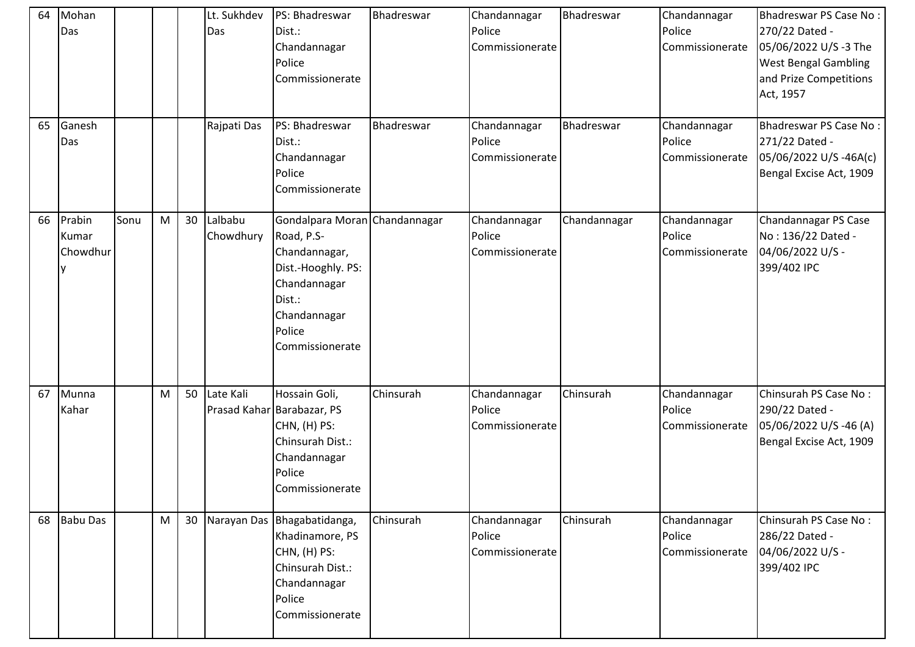| 64<br>65 | Mohan<br>Das<br>Ganesh<br>Das |      |   |    | Lt. Sukhdev<br>Das<br>Rajpati Das | PS: Bhadreswar<br>Dist.:<br>Chandannagar<br>Police<br>Commissionerate<br>PS: Bhadreswar<br>Dist.:<br>Chandannagar                                         | Bhadreswar<br>Bhadreswar | Chandannagar<br>Police<br>Commissionerate<br>Chandannagar<br>Police<br>Commissionerate | Bhadreswar<br>Bhadreswar | Chandannagar<br>Police<br>Commissionerate<br>Chandannagar<br>Police<br>Commissionerate | <b>Bhadreswar PS Case No:</b><br>270/22 Dated -<br>05/06/2022 U/S -3 The<br><b>West Bengal Gambling</b><br>and Prize Competitions<br>Act, 1957<br><b>Bhadreswar PS Case No:</b><br>271/22 Dated -<br>05/06/2022 U/S-46A(c) |
|----------|-------------------------------|------|---|----|-----------------------------------|-----------------------------------------------------------------------------------------------------------------------------------------------------------|--------------------------|----------------------------------------------------------------------------------------|--------------------------|----------------------------------------------------------------------------------------|----------------------------------------------------------------------------------------------------------------------------------------------------------------------------------------------------------------------------|
|          |                               |      |   |    |                                   | Police<br>Commissionerate                                                                                                                                 |                          |                                                                                        |                          |                                                                                        | Bengal Excise Act, 1909                                                                                                                                                                                                    |
| 66       | Prabin<br>Kumar<br>Chowdhur   | Sonu | M | 30 | Lalbabu<br>Chowdhury              | Gondalpara Moran Chandannagar<br>Road, P.S-<br>Chandannagar,<br>Dist.-Hooghly. PS:<br>Chandannagar<br>Dist.:<br>Chandannagar<br>Police<br>Commissionerate |                          | Chandannagar<br>Police<br>Commissionerate                                              | Chandannagar             | Chandannagar<br>Police<br>Commissionerate                                              | Chandannagar PS Case<br>No: 136/22 Dated -<br>04/06/2022 U/S -<br>399/402 IPC                                                                                                                                              |
| 67       | Munna<br>Kahar                |      | M | 50 | Late Kali                         | Hossain Goli,<br>Prasad Kahar Barabazar, PS<br>CHN, (H) PS:<br>Chinsurah Dist.:<br>Chandannagar<br>Police<br>Commissionerate                              | Chinsurah                | Chandannagar<br>Police<br>Commissionerate                                              | Chinsurah                | Chandannagar<br>Police<br>Commissionerate                                              | Chinsurah PS Case No:<br>290/22 Dated -<br>05/06/2022 U/S-46 (A)<br>Bengal Excise Act, 1909                                                                                                                                |
| 68       | <b>Babu Das</b>               |      | M | 30 |                                   | Narayan Das Bhagabatidanga,<br>Khadinamore, PS<br>CHN, (H) PS:<br>Chinsurah Dist.:<br>Chandannagar<br>Police<br>Commissionerate                           | Chinsurah                | Chandannagar<br>Police<br>Commissionerate                                              | Chinsurah                | Chandannagar<br>Police<br>Commissionerate                                              | Chinsurah PS Case No:<br>286/22 Dated -<br>04/06/2022 U/S -<br>399/402 IPC                                                                                                                                                 |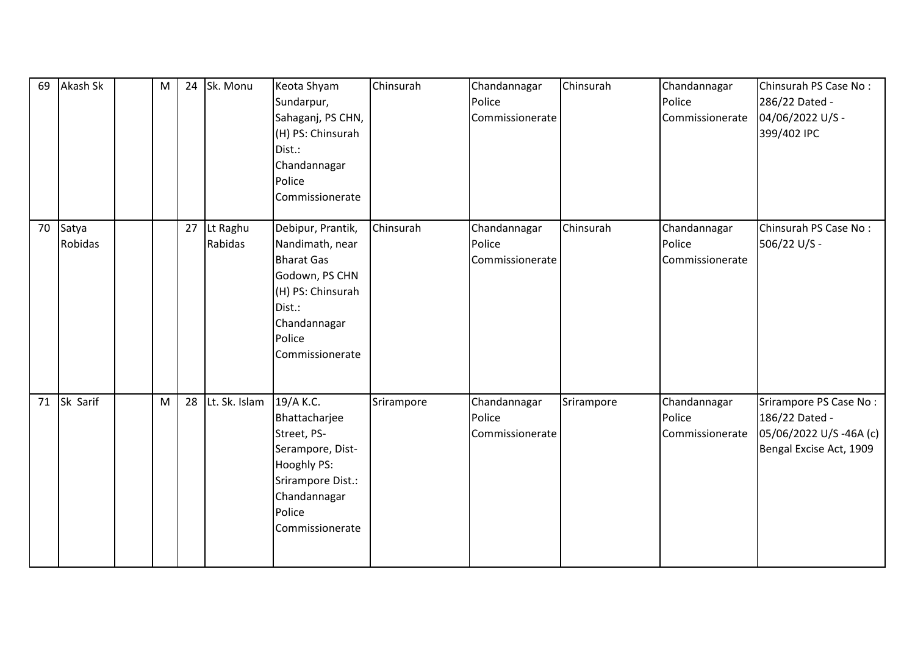| 69 | Akash Sk                | M | 24 | Sk. Monu            | Keota Shyam<br>Sundarpur,<br>Sahaganj, PS CHN,<br>(H) PS: Chinsurah<br>Dist.:<br>Chandannagar<br>Police<br>Commissionerate                              | Chinsurah  | Chandannagar<br>Police<br>Commissionerate | Chinsurah  | Chandannagar<br>Police<br>Commissionerate | Chinsurah PS Case No:<br>286/22 Dated -<br>04/06/2022 U/S -<br>399/402 IPC                    |
|----|-------------------------|---|----|---------------------|---------------------------------------------------------------------------------------------------------------------------------------------------------|------------|-------------------------------------------|------------|-------------------------------------------|-----------------------------------------------------------------------------------------------|
| 70 | Satya<br><b>Robidas</b> |   | 27 | Lt Raghu<br>Rabidas | Debipur, Prantik,<br>Nandimath, near<br><b>Bharat Gas</b><br>Godown, PS CHN<br>(H) PS: Chinsurah<br>Dist.:<br>Chandannagar<br>Police<br>Commissionerate | Chinsurah  | Chandannagar<br>Police<br>Commissionerate | Chinsurah  | Chandannagar<br>Police<br>Commissionerate | Chinsurah PS Case No:<br>506/22 U/S -                                                         |
| 71 | Sk Sarif                | M | 28 | Lt. Sk. Islam       | 19/A K.C.<br>Bhattacharjee<br>Street, PS-<br>Serampore, Dist-<br>Hooghly PS:<br>Srirampore Dist.:<br>Chandannagar<br>Police<br>Commissionerate          | Srirampore | Chandannagar<br>Police<br>Commissionerate | Srirampore | Chandannagar<br>Police<br>Commissionerate | Srirampore PS Case No:<br>186/22 Dated -<br>05/06/2022 U/S-46A (c)<br>Bengal Excise Act, 1909 |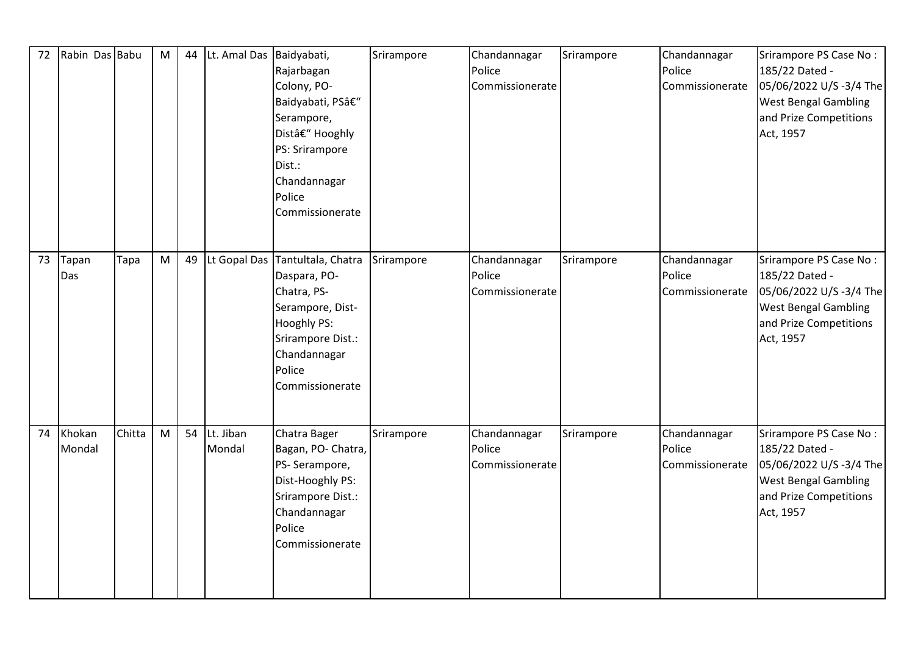| 72 | Rabin Das Babu   |        | M | 44 | Lt. Amal Das Baidyabati, | Rajarbagan<br>Colony, PO-<br>Baidyabati, PS–<br>Serampore,<br>Dist– Hooghly<br>PS: Srirampore<br>Dist.:<br>Chandannagar<br>Police<br>Commissionerate          | Srirampore | Chandannagar<br>Police<br>Commissionerate | Srirampore | Chandannagar<br>Police<br>Commissionerate | Srirampore PS Case No:<br>185/22 Dated -<br>05/06/2022 U/S -3/4 The<br><b>West Bengal Gambling</b><br>and Prize Competitions<br>Act, 1957 |
|----|------------------|--------|---|----|--------------------------|---------------------------------------------------------------------------------------------------------------------------------------------------------------|------------|-------------------------------------------|------------|-------------------------------------------|-------------------------------------------------------------------------------------------------------------------------------------------|
| 73 | Tapan<br>Das     | Tapa   | M | 49 | Lt Gopal Das             | Tantultala, Chatra<br>Daspara, PO-<br>Chatra, PS-<br>Serampore, Dist-<br><b>Hooghly PS:</b><br>Srirampore Dist.:<br>Chandannagar<br>Police<br>Commissionerate | Srirampore | Chandannagar<br>Police<br>Commissionerate | Srirampore | Chandannagar<br>Police<br>Commissionerate | Srirampore PS Case No:<br>185/22 Dated -<br>05/06/2022 U/S-3/4 The<br><b>West Bengal Gambling</b><br>and Prize Competitions<br>Act, 1957  |
| 74 | Khokan<br>Mondal | Chitta | M | 54 | Lt. Jiban<br>Mondal      | Chatra Bager<br>Bagan, PO- Chatra,<br>PS-Serampore,<br>Dist-Hooghly PS:<br>Srirampore Dist.:<br>Chandannagar<br>Police<br>Commissionerate                     | Srirampore | Chandannagar<br>Police<br>Commissionerate | Srirampore | Chandannagar<br>Police<br>Commissionerate | Srirampore PS Case No:<br>185/22 Dated -<br>05/06/2022 U/S-3/4 The<br><b>West Bengal Gambling</b><br>and Prize Competitions<br>Act, 1957  |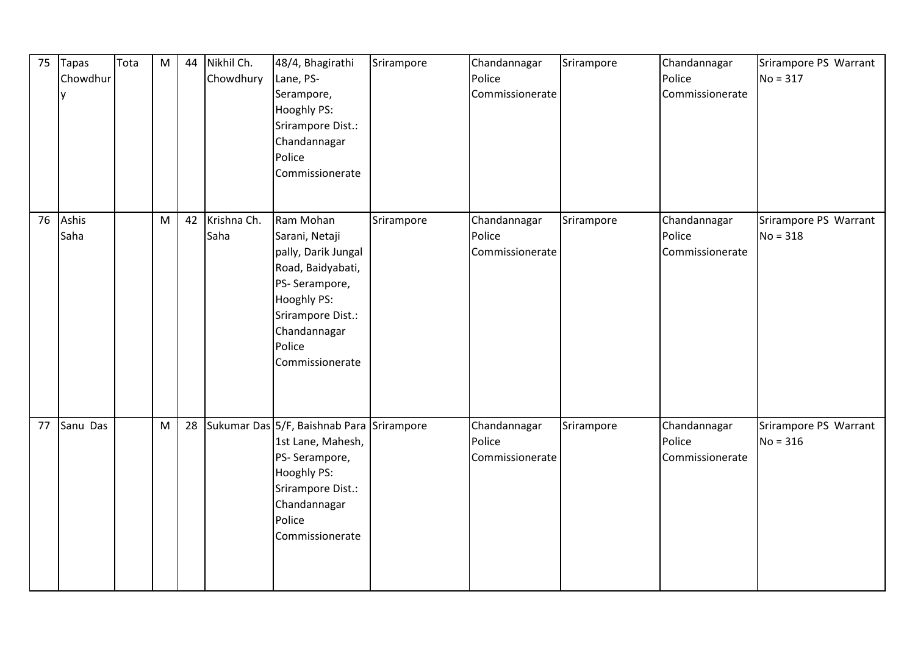| 75 | <b>Tapas</b><br>Chowdhur<br>y | Tota | ${\sf M}$ | 44 | Nikhil Ch.<br>Chowdhury | 48/4, Bhagirathi<br>Lane, PS-<br>Serampore,<br><b>Hooghly PS:</b><br>Srirampore Dist.:<br>Chandannagar<br>Police<br>Commissionerate                                       | Srirampore | Chandannagar<br>Police<br>Commissionerate | Srirampore | Chandannagar<br>Police<br>Commissionerate | Srirampore PS Warrant<br>$No = 317$ |
|----|-------------------------------|------|-----------|----|-------------------------|---------------------------------------------------------------------------------------------------------------------------------------------------------------------------|------------|-------------------------------------------|------------|-------------------------------------------|-------------------------------------|
| 76 | Ashis<br>Saha                 |      | M         | 42 | Krishna Ch.<br>Saha     | Ram Mohan<br>Sarani, Netaji<br>pally, Darik Jungal<br>Road, Baidyabati,<br>PS-Serampore,<br>Hooghly PS:<br>Srirampore Dist.:<br>Chandannagar<br>Police<br>Commissionerate | Srirampore | Chandannagar<br>Police<br>Commissionerate | Srirampore | Chandannagar<br>Police<br>Commissionerate | Srirampore PS Warrant<br>$No = 318$ |
| 77 | Sanu Das                      |      | M         | 28 |                         | Sukumar Das 5/F, Baishnab Para Srirampore<br>1st Lane, Mahesh,<br>PS-Serampore,<br>Hooghly PS:<br>Srirampore Dist.:<br>Chandannagar<br>Police<br>Commissionerate          |            | Chandannagar<br>Police<br>Commissionerate | Srirampore | Chandannagar<br>Police<br>Commissionerate | Srirampore PS Warrant<br>$No = 316$ |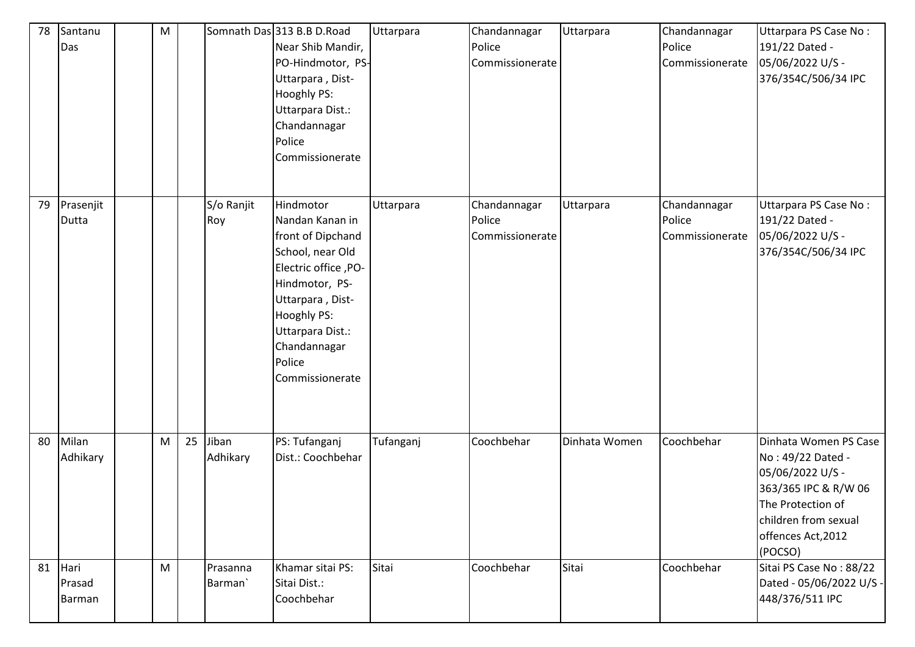| 78 | Santanu<br>Das           | ${\sf M}$ |    |                                 | Somnath Das 313 B.B D.Road<br>Near Shib Mandir,<br>PO-Hindmotor, PS-<br>Uttarpara, Dist-<br>Hooghly PS:<br>Uttarpara Dist.:<br>Chandannagar<br>Police<br>Commissionerate                                                | Uttarpara | Chandannagar<br>Police<br>Commissionerate | Uttarpara     | Chandannagar<br>Police<br>Commissionerate | Uttarpara PS Case No:<br>191/22 Dated -<br>05/06/2022 U/S -<br>376/354C/506/34 IPC                                                                                   |
|----|--------------------------|-----------|----|---------------------------------|-------------------------------------------------------------------------------------------------------------------------------------------------------------------------------------------------------------------------|-----------|-------------------------------------------|---------------|-------------------------------------------|----------------------------------------------------------------------------------------------------------------------------------------------------------------------|
| 79 | Prasenjit<br>Dutta       |           |    | S/o Ranjit<br>Roy               | Hindmotor<br>Nandan Kanan in<br>front of Dipchand<br>School, near Old<br>-PO- Electric office, PO<br>Hindmotor, PS-<br>Uttarpara, Dist-<br>Hooghly PS:<br>Uttarpara Dist.:<br>Chandannagar<br>Police<br>Commissionerate | Uttarpara | Chandannagar<br>Police<br>Commissionerate | Uttarpara     | Chandannagar<br>Police<br>Commissionerate | Uttarpara PS Case No:<br>191/22 Dated -<br>05/06/2022 U/S -<br>376/354C/506/34 IPC                                                                                   |
| 80 | Milan<br>Adhikary        | M         | 25 | Jiban<br>Adhikary               | PS: Tufanganj<br>Dist.: Coochbehar                                                                                                                                                                                      | Tufanganj | Coochbehar                                | Dinhata Women | Coochbehar                                | Dinhata Women PS Case<br>No: 49/22 Dated -<br>05/06/2022 U/S -<br>363/365 IPC & R/W 06<br>The Protection of<br>children from sexual<br>offences Act, 2012<br>(POCSO) |
| 81 | Hari<br>Prasad<br>Barman | M         |    | Prasanna<br>Barman <sup>'</sup> | Khamar sitai PS:<br>Sitai Dist.:<br>Coochbehar                                                                                                                                                                          | Sitai     | Coochbehar                                | Sitai         | Coochbehar                                | Sitai PS Case No: 88/22<br>Dated - 05/06/2022 U/S -<br>448/376/511 IPC                                                                                               |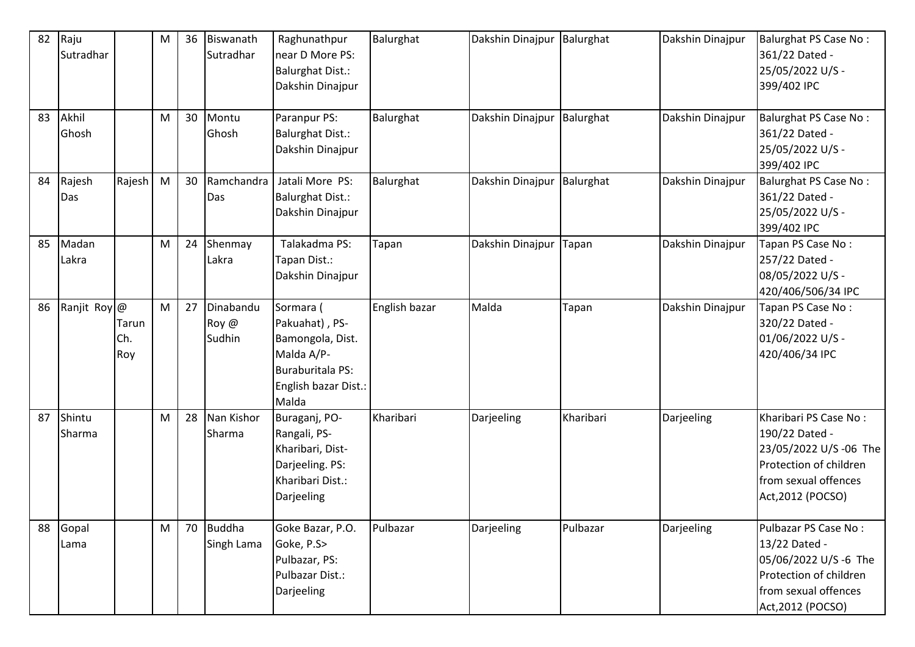| 82 | Raju<br>Sutradhar |                     | M | 36 | Biswanath<br>Sutradhar       | Raghunathpur<br>near D More PS:<br><b>Balurghat Dist.:</b><br>Dakshin Dinajpur                                            | Balurghat     | Dakshin Dinajpur | Balurghat | Dakshin Dinajpur | <b>Balurghat PS Case No:</b><br>361/22 Dated -<br>25/05/2022 U/S -<br>399/402 IPC                                                        |
|----|-------------------|---------------------|---|----|------------------------------|---------------------------------------------------------------------------------------------------------------------------|---------------|------------------|-----------|------------------|------------------------------------------------------------------------------------------------------------------------------------------|
| 83 | Akhil<br>Ghosh    |                     | M | 30 | Montu<br>Ghosh               | Paranpur PS:<br><b>Balurghat Dist.:</b><br>Dakshin Dinajpur                                                               | Balurghat     | Dakshin Dinajpur | Balurghat | Dakshin Dinajpur | <b>Balurghat PS Case No:</b><br>361/22 Dated -<br>25/05/2022 U/S -<br>399/402 IPC                                                        |
| 84 | Rajesh<br>Das     | Rajesh              | M | 30 | Ramchandra<br>Das            | Jatali More PS:<br><b>Balurghat Dist.:</b><br>Dakshin Dinajpur                                                            | Balurghat     | Dakshin Dinajpur | Balurghat | Dakshin Dinajpur | <b>Balurghat PS Case No:</b><br>361/22 Dated -<br>25/05/2022 U/S -<br>399/402 IPC                                                        |
| 85 | Madan<br>Lakra    |                     | M | 24 | Shenmay<br>Lakra             | Talakadma PS:<br>Tapan Dist.:<br>Dakshin Dinajpur                                                                         | Tapan         | Dakshin Dinajpur | Tapan     | Dakshin Dinajpur | Tapan PS Case No:<br>257/22 Dated -<br>08/05/2022 U/S -<br>420/406/506/34 IPC                                                            |
| 86 | Ranjit Roy @      | Tarun<br>Ch.<br>Roy | M | 27 | Dinabandu<br>Roy @<br>Sudhin | Sormara (<br>Pakuahat), PS-<br>Bamongola, Dist.<br>Malda A/P-<br><b>Buraburitala PS:</b><br>English bazar Dist.:<br>Malda | English bazar | Malda            | Tapan     | Dakshin Dinajpur | Tapan PS Case No:<br>320/22 Dated -<br>01/06/2022 U/S -<br>420/406/34 IPC                                                                |
| 87 | Shintu<br>Sharma  |                     | M | 28 | Nan Kishor<br>Sharma         | Buraganj, PO-<br>Rangali, PS-<br>Kharibari, Dist-<br>Darjeeling. PS:<br>Kharibari Dist.:<br>Darjeeling                    | Kharibari     | Darjeeling       | Kharibari | Darjeeling       | Kharibari PS Case No:<br>190/22 Dated -<br>23/05/2022 U/S -06 The<br>Protection of children<br>from sexual offences<br>Act, 2012 (POCSO) |
| 88 | Gopal<br>Lama     |                     | M | 70 | <b>Buddha</b><br>Singh Lama  | Goke Bazar, P.O.<br>Goke, P.S><br>Pulbazar, PS:<br>Pulbazar Dist.:<br>Darjeeling                                          | Pulbazar      | Darjeeling       | Pulbazar  | Darjeeling       | Pulbazar PS Case No:<br>13/22 Dated -<br>05/06/2022 U/S -6 The<br>Protection of children<br>from sexual offences<br>Act, 2012 (POCSO)    |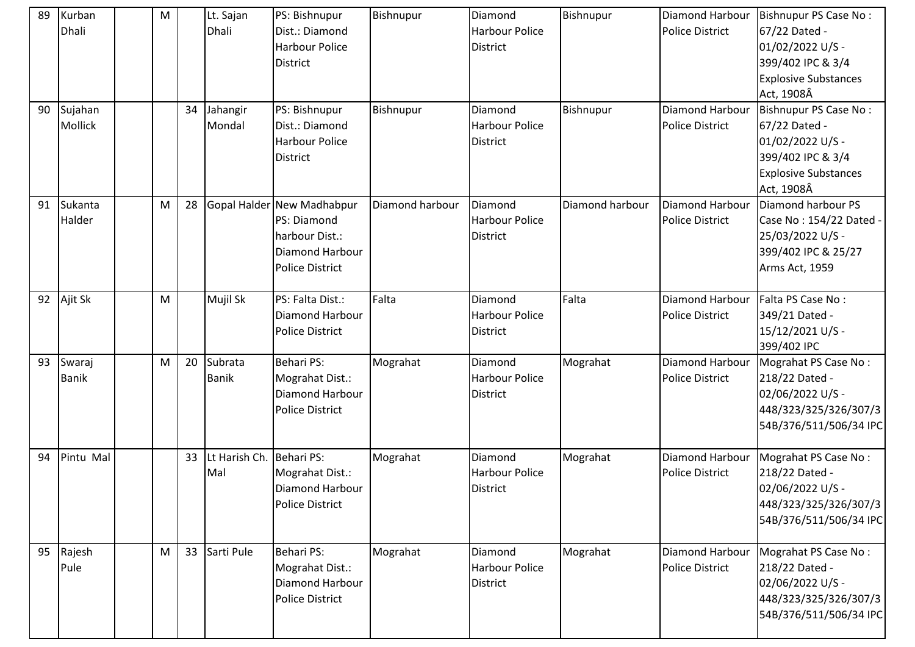| 89 | Kurban       | M |    | Lt. Sajan     | PS: Bishnupur              | Bishnupur        | Diamond               | Bishnupur       | Diamond Harbour        | Bishnupur PS Case No:       |
|----|--------------|---|----|---------------|----------------------------|------------------|-----------------------|-----------------|------------------------|-----------------------------|
|    | Dhali        |   |    | Dhali         | Dist.: Diamond             |                  | <b>Harbour Police</b> |                 | <b>Police District</b> | 67/22 Dated -               |
|    |              |   |    |               | <b>Harbour Police</b>      |                  | <b>District</b>       |                 |                        | 01/02/2022 U/S -            |
|    |              |   |    |               | <b>District</b>            |                  |                       |                 |                        | 399/402 IPC & 3/4           |
|    |              |   |    |               |                            |                  |                       |                 |                        | <b>Explosive Substances</b> |
|    |              |   |    |               |                            |                  |                       |                 |                        | Act, 1908Â                  |
| 90 | Sujahan      |   | 34 | Jahangir      | PS: Bishnupur              | <b>Bishnupur</b> | Diamond               | Bishnupur       | Diamond Harbour        | Bishnupur PS Case No:       |
|    | Mollick      |   |    | Mondal        | Dist.: Diamond             |                  | <b>Harbour Police</b> |                 | <b>Police District</b> | 67/22 Dated -               |
|    |              |   |    |               | <b>Harbour Police</b>      |                  | <b>District</b>       |                 |                        | 01/02/2022 U/S -            |
|    |              |   |    |               | <b>District</b>            |                  |                       |                 |                        | 399/402 IPC & 3/4           |
|    |              |   |    |               |                            |                  |                       |                 |                        | <b>Explosive Substances</b> |
|    |              |   |    |               |                            |                  |                       |                 |                        | Act, 1908Â                  |
| 91 | Sukanta      | M | 28 |               | Gopal Halder New Madhabpur | Diamond harbour  | Diamond               | Diamond harbour | Diamond Harbour        | Diamond harbour PS          |
|    | Halder       |   |    |               | PS: Diamond                |                  | <b>Harbour Police</b> |                 | <b>Police District</b> | Case No: 154/22 Dated -     |
|    |              |   |    |               | harbour Dist.:             |                  | <b>District</b>       |                 |                        | 25/03/2022 U/S -            |
|    |              |   |    |               | <b>Diamond Harbour</b>     |                  |                       |                 |                        | 399/402 IPC & 25/27         |
|    |              |   |    |               | <b>Police District</b>     |                  |                       |                 |                        | Arms Act, 1959              |
|    |              |   |    |               |                            |                  |                       |                 |                        |                             |
| 92 | Ajit Sk      | M |    | Mujil Sk      | PS: Falta Dist.:           | Falta            | Diamond               | Falta           | Diamond Harbour        | Falta PS Case No:           |
|    |              |   |    |               | <b>Diamond Harbour</b>     |                  | <b>Harbour Police</b> |                 | <b>Police District</b> | 349/21 Dated -              |
|    |              |   |    |               | <b>Police District</b>     |                  | <b>District</b>       |                 |                        | 15/12/2021 U/S -            |
|    |              |   |    |               |                            |                  |                       |                 |                        | 399/402 IPC                 |
| 93 | Swaraj       | M | 20 | Subrata       | Behari PS:                 | Mograhat         | Diamond               | Mograhat        | Diamond Harbour        | Mograhat PS Case No:        |
|    | <b>Banik</b> |   |    | <b>Banik</b>  | Mograhat Dist.:            |                  | <b>Harbour Police</b> |                 | <b>Police District</b> | 218/22 Dated -              |
|    |              |   |    |               | <b>Diamond Harbour</b>     |                  | <b>District</b>       |                 |                        | 02/06/2022 U/S -            |
|    |              |   |    |               | <b>Police District</b>     |                  |                       |                 |                        | 448/323/325/326/307/3       |
|    |              |   |    |               |                            |                  |                       |                 |                        | 54B/376/511/506/34 IPC      |
| 94 | Pintu Mal    |   | 33 | Lt Harish Ch. | Behari PS:                 | Mograhat         | Diamond               | Mograhat        | Diamond Harbour        | Mograhat PS Case No:        |
|    |              |   |    | Mal           | Mograhat Dist.:            |                  | <b>Harbour Police</b> |                 | <b>Police District</b> | 218/22 Dated -              |
|    |              |   |    |               | <b>Diamond Harbour</b>     |                  | <b>District</b>       |                 |                        | 02/06/2022 U/S -            |
|    |              |   |    |               | <b>Police District</b>     |                  |                       |                 |                        | 448/323/325/326/307/3       |
|    |              |   |    |               |                            |                  |                       |                 |                        | 54B/376/511/506/34 IPC      |
|    |              |   |    |               |                            |                  |                       |                 |                        |                             |
| 95 | Rajesh       | M | 33 | Sarti Pule    | <b>Behari PS:</b>          | Mograhat         | Diamond               | Mograhat        | Diamond Harbour        | Mograhat PS Case No:        |
|    | Pule         |   |    |               | Mograhat Dist.:            |                  | <b>Harbour Police</b> |                 | <b>Police District</b> | 218/22 Dated -              |
|    |              |   |    |               | Diamond Harbour            |                  | <b>District</b>       |                 |                        | 02/06/2022 U/S -            |
|    |              |   |    |               | <b>Police District</b>     |                  |                       |                 |                        | 448/323/325/326/307/3       |
|    |              |   |    |               |                            |                  |                       |                 |                        | 54B/376/511/506/34 IPC      |
|    |              |   |    |               |                            |                  |                       |                 |                        |                             |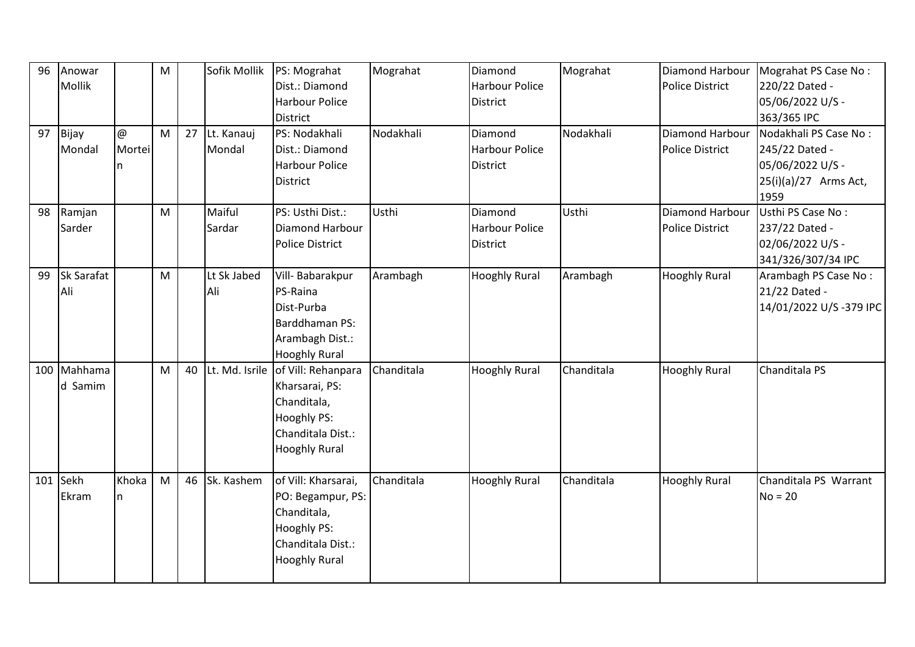| 96  | Anowar      |        | M |    | Sofik Mollik   | PS: Mograhat           | Mograhat   | Diamond               | Mograhat   | Diamond Harbour        | Mograhat PS Case No:   |
|-----|-------------|--------|---|----|----------------|------------------------|------------|-----------------------|------------|------------------------|------------------------|
|     | Mollik      |        |   |    |                | Dist.: Diamond         |            | <b>Harbour Police</b> |            | <b>Police District</b> | 220/22 Dated -         |
|     |             |        |   |    |                | <b>Harbour Police</b>  |            | <b>District</b>       |            |                        | 05/06/2022 U/S -       |
|     |             |        |   |    |                | District               |            |                       |            |                        | 363/365 IPC            |
| 97  | Bijay       | @      | M | 27 | Lt. Kanauj     | PS: Nodakhali          | Nodakhali  | Diamond               | Nodakhali  | <b>Diamond Harbour</b> | Nodakhali PS Case No:  |
|     | Mondal      | Mortei |   |    | Mondal         | Dist.: Diamond         |            | <b>Harbour Police</b> |            | <b>Police District</b> | 245/22 Dated -         |
|     |             | n      |   |    |                | <b>Harbour Police</b>  |            | <b>District</b>       |            |                        | 05/06/2022 U/S -       |
|     |             |        |   |    |                | District               |            |                       |            |                        | 25(i)(a)/27 Arms Act,  |
|     |             |        |   |    |                |                        |            |                       |            |                        | 1959                   |
| 98  | Ramjan      |        | M |    | Maiful         | PS: Usthi Dist.:       | Usthi      | Diamond               | Usthi      | Diamond Harbour        | Usthi PS Case No:      |
|     | Sarder      |        |   |    | Sardar         | Diamond Harbour        |            | <b>Harbour Police</b> |            | <b>Police District</b> | 237/22 Dated -         |
|     |             |        |   |    |                | <b>Police District</b> |            | <b>District</b>       |            |                        | 02/06/2022 U/S -       |
|     |             |        |   |    |                |                        |            |                       |            |                        | 341/326/307/34 IPC     |
| 99  | Sk Sarafat  |        | M |    | Lt Sk Jabed    | Vill-Babarakpur        | Arambagh   | <b>Hooghly Rural</b>  | Arambagh   | <b>Hooghly Rural</b>   | Arambagh PS Case No:   |
|     | Ali         |        |   |    | Ali            | PS-Raina               |            |                       |            |                        | 21/22 Dated -          |
|     |             |        |   |    |                | Dist-Purba             |            |                       |            |                        | 14/01/2022 U/S-379 IPC |
|     |             |        |   |    |                | Barddhaman PS:         |            |                       |            |                        |                        |
|     |             |        |   |    |                | Arambagh Dist.:        |            |                       |            |                        |                        |
|     |             |        |   |    |                | <b>Hooghly Rural</b>   |            |                       |            |                        |                        |
|     | 100 Mahhama |        | M | 40 | Lt. Md. Isrile | of Vill: Rehanpara     | Chanditala | <b>Hooghly Rural</b>  | Chanditala | <b>Hooghly Rural</b>   | Chanditala PS          |
|     | d Samim     |        |   |    |                | Kharsarai, PS:         |            |                       |            |                        |                        |
|     |             |        |   |    |                | Chanditala,            |            |                       |            |                        |                        |
|     |             |        |   |    |                | <b>Hooghly PS:</b>     |            |                       |            |                        |                        |
|     |             |        |   |    |                | Chanditala Dist.:      |            |                       |            |                        |                        |
|     |             |        |   |    |                | <b>Hooghly Rural</b>   |            |                       |            |                        |                        |
|     |             |        |   |    |                |                        |            |                       |            |                        |                        |
| 101 | Sekh        | Khoka  | M | 46 | Sk. Kashem     | of Vill: Kharsarai,    | Chanditala | <b>Hooghly Rural</b>  | Chanditala | <b>Hooghly Rural</b>   | Chanditala PS Warrant  |
|     | Ekram       | n.     |   |    |                | PO: Begampur, PS:      |            |                       |            |                        | $No = 20$              |
|     |             |        |   |    |                | Chanditala,            |            |                       |            |                        |                        |
|     |             |        |   |    |                | Hooghly PS:            |            |                       |            |                        |                        |
|     |             |        |   |    |                | Chanditala Dist.:      |            |                       |            |                        |                        |
|     |             |        |   |    |                | <b>Hooghly Rural</b>   |            |                       |            |                        |                        |
|     |             |        |   |    |                |                        |            |                       |            |                        |                        |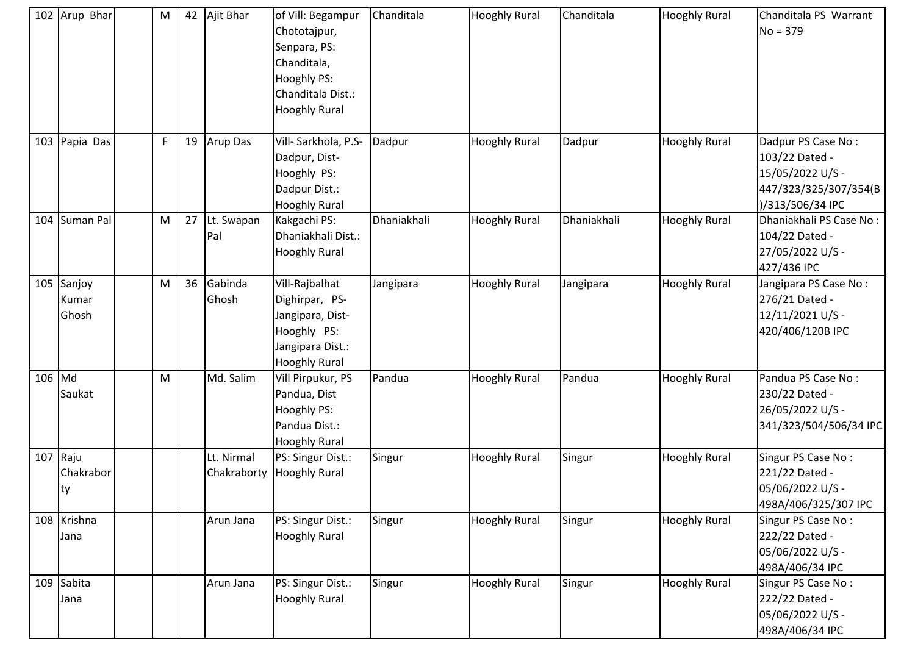| 102 Arup Bhar                 | M |    | 42 Ajit Bhar              | of Vill: Begampur<br>Chototajpur,<br>Senpara, PS:<br>Chanditala,<br>Hooghly PS:<br>Chanditala Dist.:<br><b>Hooghly Rural</b> | Chanditala  | <b>Hooghly Rural</b> | Chanditala  | <b>Hooghly Rural</b> | Chanditala PS Warrant<br>$No = 379$                                                                   |
|-------------------------------|---|----|---------------------------|------------------------------------------------------------------------------------------------------------------------------|-------------|----------------------|-------------|----------------------|-------------------------------------------------------------------------------------------------------|
| 103 Papia Das                 | F | 19 | Arup Das                  | Vill-Sarkhola, P.S-<br>Dadpur, Dist-<br>Hooghly PS:<br>Dadpur Dist.:<br><b>Hooghly Rural</b>                                 | Dadpur      | <b>Hooghly Rural</b> | Dadpur      | <b>Hooghly Rural</b> | Dadpur PS Case No:<br>103/22 Dated -<br>15/05/2022 U/S -<br>447/323/325/307/354(B<br>)/313/506/34 IPC |
| 104 Suman Pal                 | M | 27 | Lt. Swapan<br>Pal         | Kakgachi PS:<br>Dhaniakhali Dist.:<br><b>Hooghly Rural</b>                                                                   | Dhaniakhali | <b>Hooghly Rural</b> | Dhaniakhali | <b>Hooghly Rural</b> | Dhaniakhali PS Case No:<br>104/22 Dated -<br>27/05/2022 U/S -<br>427/436 IPC                          |
| 105 Sanjoy<br>Kumar<br>Ghosh  | M | 36 | Gabinda<br>Ghosh          | Vill-Rajbalhat<br>Dighirpar, PS-<br>Jangipara, Dist-<br>Hooghly PS:<br>Jangipara Dist.:<br><b>Hooghly Rural</b>              | Jangipara   | <b>Hooghly Rural</b> | Jangipara   | <b>Hooghly Rural</b> | Jangipara PS Case No:<br>276/21 Dated -<br>12/11/2021 U/S -<br>420/406/120B IPC                       |
| 106 Md<br>Saukat              | M |    | Md. Salim                 | Vill Pirpukur, PS<br>Pandua, Dist<br>Hooghly PS:<br>Pandua Dist.:<br><b>Hooghly Rural</b>                                    | Pandua      | <b>Hooghly Rural</b> | Pandua      | <b>Hooghly Rural</b> | Pandua PS Case No:<br>230/22 Dated -<br>26/05/2022 U/S -<br>341/323/504/506/34 IPC                    |
| $107$ Raju<br>Chakrabor<br>ty |   |    | Lt. Nirmal<br>Chakraborty | PS: Singur Dist.:<br><b>Hooghly Rural</b>                                                                                    | Singur      | <b>Hooghly Rural</b> | Singur      | <b>Hooghly Rural</b> | Singur PS Case No:<br>221/22 Dated -<br>05/06/2022 U/S -<br>498A/406/325/307 IPC                      |
| 108 Krishna<br>Jana           |   |    | Arun Jana                 | PS: Singur Dist.:<br><b>Hooghly Rural</b>                                                                                    | Singur      | <b>Hooghly Rural</b> | Singur      | <b>Hooghly Rural</b> | Singur PS Case No:<br>222/22 Dated -<br>05/06/2022 U/S -<br>498A/406/34 IPC                           |
| 109 Sabita<br>Jana            |   |    | Arun Jana                 | PS: Singur Dist.:<br><b>Hooghly Rural</b>                                                                                    | Singur      | <b>Hooghly Rural</b> | Singur      | <b>Hooghly Rural</b> | Singur PS Case No:<br>222/22 Dated -<br>05/06/2022 U/S -<br>498A/406/34 IPC                           |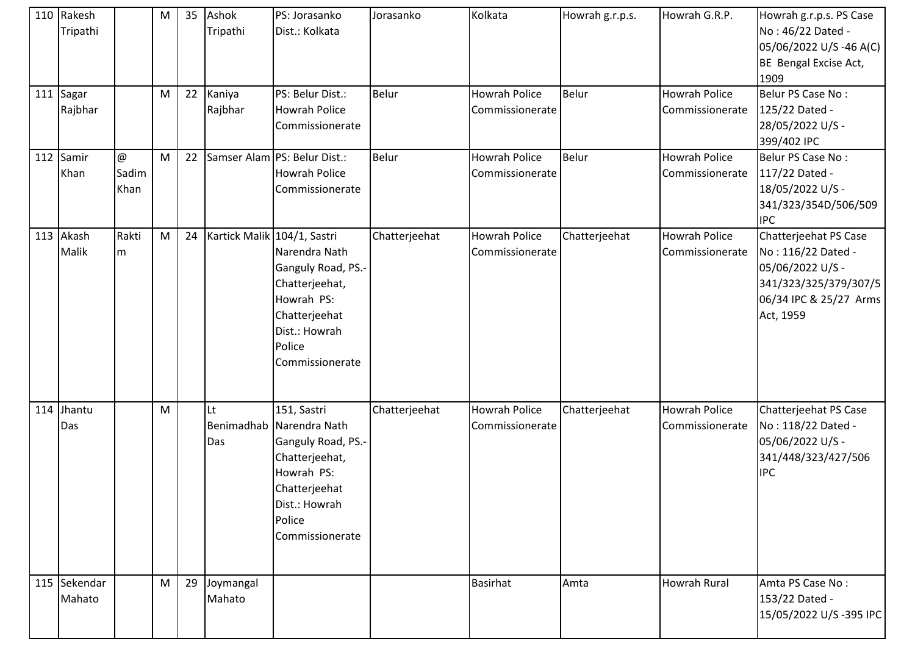| 110 Rakesh<br>Tripathi |                                 | M | 35 | Ashok<br>Tripathi           | PS: Jorasanko<br>Dist.: Kolkata                                                                                                                              | Jorasanko     | Kolkata                                 | Howrah g.r.p.s. | Howrah G.R.P.                           | Howrah g.r.p.s. PS Case<br>No: 46/22 Dated -<br>05/06/2022 U/S-46 A(C)<br>BE Bengal Excise Act,<br>1909                         |
|------------------------|---------------------------------|---|----|-----------------------------|--------------------------------------------------------------------------------------------------------------------------------------------------------------|---------------|-----------------------------------------|-----------------|-----------------------------------------|---------------------------------------------------------------------------------------------------------------------------------|
| 111 Sagar<br>Rajbhar   |                                 | M | 22 | Kaniya<br>Rajbhar           | PS: Belur Dist.:<br>Howrah Police<br>Commissionerate                                                                                                         | <b>Belur</b>  | <b>Howrah Police</b><br>Commissionerate | Belur           | <b>Howrah Police</b><br>Commissionerate | Belur PS Case No:<br>125/22 Dated -<br>28/05/2022 U/S -<br>399/402 IPC                                                          |
| 112 Samir<br>Khan      | $\circledcirc$<br>Sadim<br>Khan | M | 22 |                             | Samser Alam PS: Belur Dist.:<br><b>Howrah Police</b><br>Commissionerate                                                                                      | Belur         | <b>Howrah Police</b><br>Commissionerate | Belur           | <b>Howrah Police</b><br>Commissionerate | Belur PS Case No:<br>117/22 Dated -<br>18/05/2022 U/S -<br>341/323/354D/506/509<br><b>IPC</b>                                   |
| 113 Akash<br>Malik     | Rakti<br>m                      | M | 24 | Kartick Malik 104/1, Sastri | Narendra Nath<br>Ganguly Road, PS.-<br>Chatterjeehat,<br>Howrah PS:<br>Chatterjeehat<br>Dist.: Howrah<br>Police<br>Commissionerate                           | Chatterjeehat | <b>Howrah Police</b><br>Commissionerate | Chatterjeehat   | <b>Howrah Police</b><br>Commissionerate | Chatterjeehat PS Case<br>No: 116/22 Dated -<br>05/06/2022 U/S -<br>341/323/325/379/307/5<br>06/34 IPC & 25/27 Arms<br>Act, 1959 |
| 114 Jhantu<br>Das      |                                 | M |    | Lt<br>Das                   | 151, Sastri<br>Benimadhab Narendra Nath<br>Ganguly Road, PS.-<br>Chatterjeehat,<br>Howrah PS:<br>Chatterjeehat<br>Dist.: Howrah<br>Police<br>Commissionerate | Chatterjeehat | <b>Howrah Police</b><br>Commissionerate | Chatterjeehat   | <b>Howrah Police</b><br>Commissionerate | Chatterjeehat PS Case<br>No: 118/22 Dated -<br>05/06/2022 U/S -<br>341/448/323/427/506<br><b>IPC</b>                            |
| 115 Sekendar<br>Mahato |                                 | M | 29 | Joymangal<br>Mahato         |                                                                                                                                                              |               | <b>Basirhat</b>                         | Amta            | <b>Howrah Rural</b>                     | Amta PS Case No:<br>153/22 Dated -<br>15/05/2022 U/S-395 IPC                                                                    |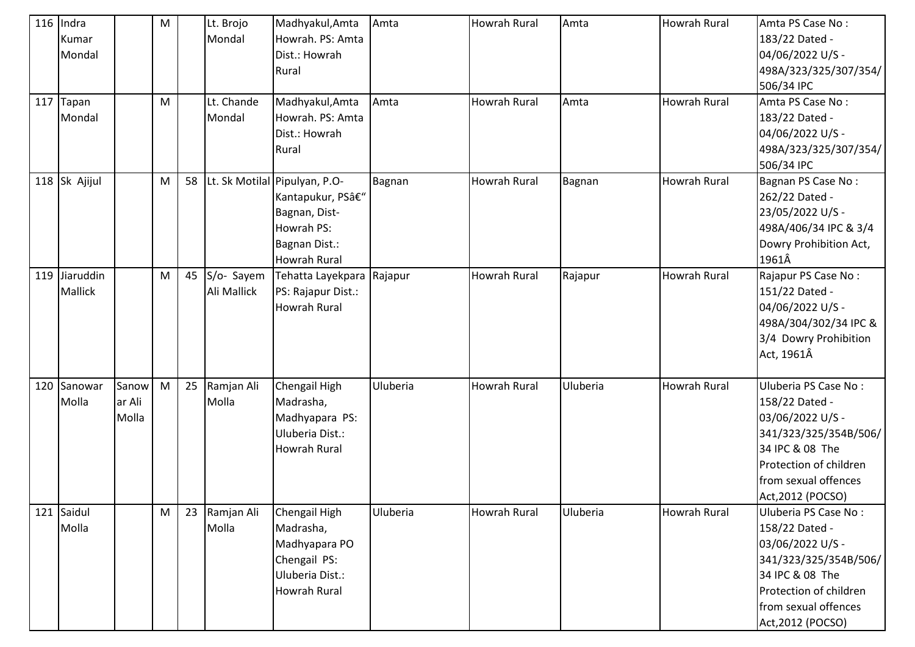| $116$ Indra   |        | M |    | Lt. Brojo   | Madhyakul, Amta               | Amta     | <b>Howrah Rural</b> | Amta     | <b>Howrah Rural</b> | Amta PS Case No:       |
|---------------|--------|---|----|-------------|-------------------------------|----------|---------------------|----------|---------------------|------------------------|
| Kumar         |        |   |    | Mondal      | Howrah. PS: Amta              |          |                     |          |                     | 183/22 Dated -         |
| Mondal        |        |   |    |             | Dist.: Howrah                 |          |                     |          |                     | 04/06/2022 U/S -       |
|               |        |   |    |             | Rural                         |          |                     |          |                     | 498A/323/325/307/354/  |
|               |        |   |    |             |                               |          |                     |          |                     | 506/34 IPC             |
| 117 Tapan     |        | M |    | Lt. Chande  | Madhyakul, Amta               | Amta     | <b>Howrah Rural</b> | Amta     | <b>Howrah Rural</b> | Amta PS Case No:       |
| Mondal        |        |   |    | Mondal      | Howrah. PS: Amta              |          |                     |          |                     | 183/22 Dated -         |
|               |        |   |    |             | Dist.: Howrah                 |          |                     |          |                     | 04/06/2022 U/S -       |
|               |        |   |    |             | Rural                         |          |                     |          |                     | 498A/323/325/307/354/  |
|               |        |   |    |             |                               |          |                     |          |                     | 506/34 IPC             |
| 118 Sk Ajijul |        | M | 58 |             | Lt. Sk Motilal Pipulyan, P.O- | Bagnan   | Howrah Rural        | Bagnan   | Howrah Rural        | Bagnan PS Case No:     |
|               |        |   |    |             | Kantapukur, PS–               |          |                     |          |                     | 262/22 Dated -         |
|               |        |   |    |             | Bagnan, Dist-                 |          |                     |          |                     | 23/05/2022 U/S -       |
|               |        |   |    |             | Howrah PS:                    |          |                     |          |                     | 498A/406/34 IPC & 3/4  |
|               |        |   |    |             | Bagnan Dist.:                 |          |                     |          |                     | Dowry Prohibition Act, |
|               |        |   |    |             | <b>Howrah Rural</b>           |          |                     |          |                     | 1961Â                  |
| 119 Jiaruddin |        | M | 45 | S/o- Sayem  | Tehatta Layekpara Rajapur     |          | <b>Howrah Rural</b> | Rajapur  | <b>Howrah Rural</b> | Rajapur PS Case No:    |
| Mallick       |        |   |    | Ali Mallick | PS: Rajapur Dist.:            |          |                     |          |                     | 151/22 Dated -         |
|               |        |   |    |             | Howrah Rural                  |          |                     |          |                     | 04/06/2022 U/S -       |
|               |        |   |    |             |                               |          |                     |          |                     | 498A/304/302/34 IPC &  |
|               |        |   |    |             |                               |          |                     |          |                     | 3/4 Dowry Prohibition  |
|               |        |   |    |             |                               |          |                     |          |                     | Act, 1961Â             |
| 120 Sanowar   | Sanow  | M | 25 | Ramjan Ali  | Chengail High                 | Uluberia | <b>Howrah Rural</b> | Uluberia | <b>Howrah Rural</b> | Uluberia PS Case No:   |
| Molla         | ar Ali |   |    | Molla       | Madrasha,                     |          |                     |          |                     | 158/22 Dated -         |
|               | Molla  |   |    |             | Madhyapara PS:                |          |                     |          |                     | 03/06/2022 U/S -       |
|               |        |   |    |             | Uluberia Dist.:               |          |                     |          |                     | 341/323/325/354B/506/  |
|               |        |   |    |             | Howrah Rural                  |          |                     |          |                     | 34 IPC & 08 The        |
|               |        |   |    |             |                               |          |                     |          |                     | Protection of children |
|               |        |   |    |             |                               |          |                     |          |                     | from sexual offences   |
|               |        |   |    |             |                               |          |                     |          |                     | Act, 2012 (POCSO)      |
| 121 Saidul    |        | M | 23 | Ramjan Ali  | Chengail High                 | Uluberia | <b>Howrah Rural</b> | Uluberia | <b>Howrah Rural</b> | Uluberia PS Case No:   |
| Molla         |        |   |    | Molla       | Madrasha,                     |          |                     |          |                     | 158/22 Dated -         |
|               |        |   |    |             | Madhyapara PO                 |          |                     |          |                     | 03/06/2022 U/S -       |
|               |        |   |    |             | Chengail PS:                  |          |                     |          |                     | 341/323/325/354B/506/  |
|               |        |   |    |             | Uluberia Dist.:               |          |                     |          |                     | 34 IPC & 08 The        |
|               |        |   |    |             | Howrah Rural                  |          |                     |          |                     | Protection of children |
|               |        |   |    |             |                               |          |                     |          |                     | from sexual offences   |
|               |        |   |    |             |                               |          |                     |          |                     | Act, 2012 (POCSO)      |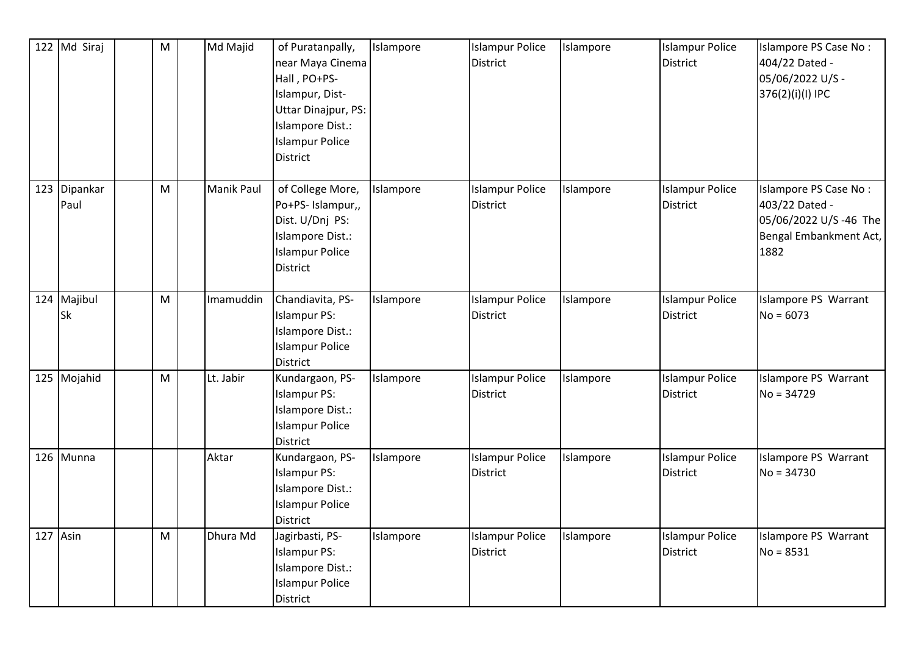| 122 Md Siraj             | M | Md Majid   | of Puratanpally,<br>near Maya Cinema<br>Hall, PO+PS-<br>Islampur, Dist-<br>Uttar Dinajpur, PS:<br>Islampore Dist.:<br><b>Islampur Police</b><br><b>District</b> | Islampore | <b>Islampur Police</b><br><b>District</b> | Islampore | <b>Islampur Police</b><br><b>District</b> | Islampore PS Case No:<br>404/22 Dated -<br>05/06/2022 U/S -<br>376(2)(i)(l) IPC                     |
|--------------------------|---|------------|-----------------------------------------------------------------------------------------------------------------------------------------------------------------|-----------|-------------------------------------------|-----------|-------------------------------------------|-----------------------------------------------------------------------------------------------------|
| 123 Dipankar<br>Paul     | M | Manik Paul | of College More,<br>Po+PS- Islampur,,<br>Dist. U/Dnj PS:<br>Islampore Dist.:<br><b>Islampur Police</b><br><b>District</b>                                       | Islampore | <b>Islampur Police</b><br><b>District</b> | Islampore | <b>Islampur Police</b><br><b>District</b> | Islampore PS Case No:<br>403/22 Dated -<br>05/06/2022 U/S -46 The<br>Bengal Embankment Act,<br>1882 |
| 124 Majibul<br><b>Sk</b> | M | Imamuddin  | Chandiavita, PS-<br><b>Islampur PS:</b><br>Islampore Dist.:<br><b>Islampur Police</b><br>District                                                               | Islampore | <b>Islampur Police</b><br><b>District</b> | Islampore | <b>Islampur Police</b><br><b>District</b> | Islampore PS Warrant<br>$No = 6073$                                                                 |
| 125 Mojahid              | M | Lt. Jabir  | Kundargaon, PS-<br><b>Islampur PS:</b><br>Islampore Dist.:<br><b>Islampur Police</b><br><b>District</b>                                                         | Islampore | <b>Islampur Police</b><br><b>District</b> | Islampore | <b>Islampur Police</b><br><b>District</b> | Islampore PS Warrant<br>$No = 34729$                                                                |
| 126 Munna                |   | Aktar      | Kundargaon, PS-<br><b>Islampur PS:</b><br>Islampore Dist.:<br><b>Islampur Police</b><br><b>District</b>                                                         | Islampore | <b>Islampur Police</b><br><b>District</b> | Islampore | <b>Islampur Police</b><br><b>District</b> | Islampore PS Warrant<br>$No = 34730$                                                                |
| $127$ Asin               | M | Dhura Md   | Jagirbasti, PS-<br><b>Islampur PS:</b><br>Islampore Dist.:<br><b>Islampur Police</b><br>District                                                                | Islampore | <b>Islampur Police</b><br><b>District</b> | Islampore | <b>Islampur Police</b><br><b>District</b> | Islampore PS Warrant<br>$No = 8531$                                                                 |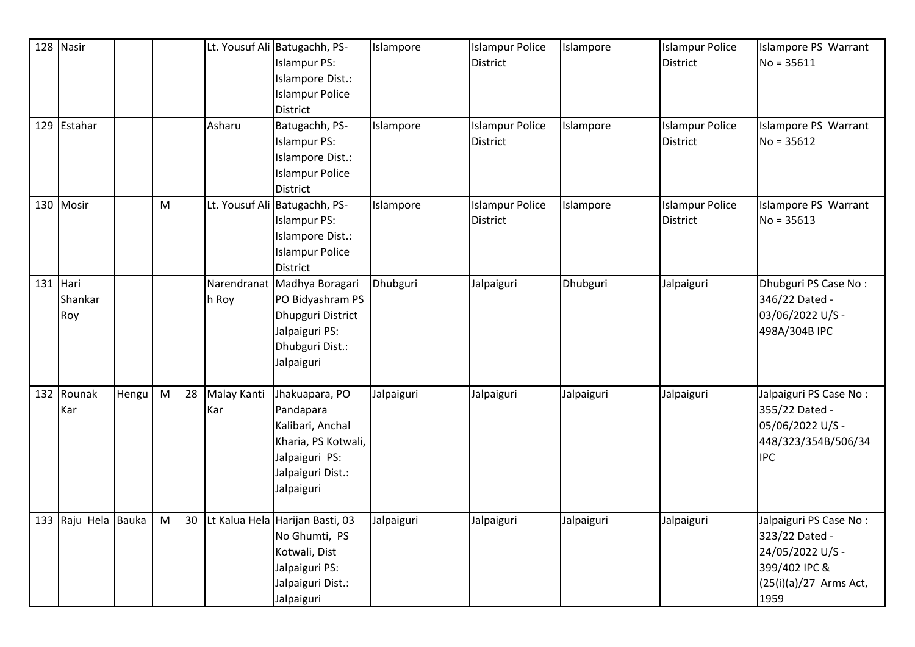|     | 128 Nasir              |       |   |    |                    | Lt. Yousuf Ali Batugachh, PS-<br><b>Islampur PS:</b><br>Islampore Dist.:<br><b>Islampur Police</b><br><b>District</b>       | Islampore  | <b>Islampur Police</b><br><b>District</b> | Islampore  | <b>Islampur Police</b><br><b>District</b> | Islampore PS Warrant<br>$No = 35611$                                                                            |
|-----|------------------------|-------|---|----|--------------------|-----------------------------------------------------------------------------------------------------------------------------|------------|-------------------------------------------|------------|-------------------------------------------|-----------------------------------------------------------------------------------------------------------------|
|     | 129 Estahar            |       |   |    | Asharu             | Batugachh, PS-<br><b>Islampur PS:</b><br>Islampore Dist.:<br><b>Islampur Police</b><br><b>District</b>                      | Islampore  | <b>Islampur Police</b><br><b>District</b> | Islampore  | <b>Islampur Police</b><br><b>District</b> | Islampore PS Warrant<br>$No = 35612$                                                                            |
|     | 130 Mosir              |       | M |    |                    | Lt. Yousuf Ali Batugachh, PS-<br><b>Islampur PS:</b><br>Islampore Dist.:<br><b>Islampur Police</b><br><b>District</b>       | Islampore  | <b>Islampur Police</b><br><b>District</b> | Islampore  | <b>Islampur Police</b><br><b>District</b> | Islampore PS Warrant<br>$No = 35613$                                                                            |
| 131 | Hari<br>Shankar<br>Roy |       |   |    | h Roy              | Narendranat Madhya Boragari<br>PO Bidyashram PS<br>Dhupguri District<br>Jalpaiguri PS:<br>Dhubguri Dist.:<br>Jalpaiguri     | Dhubguri   | Jalpaiguri                                | Dhubguri   | Jalpaiguri                                | Dhubguri PS Case No:<br>346/22 Dated -<br>03/06/2022 U/S -<br>498A/304B IPC                                     |
|     | 132 Rounak<br>Kar      | Hengu | M | 28 | Malay Kanti<br>Kar | Jhakuapara, PO<br>Pandapara<br>Kalibari, Anchal<br>Kharia, PS Kotwali,<br>Jalpaiguri PS:<br>Jalpaiguri Dist.:<br>Jalpaiguri | Jalpaiguri | Jalpaiguri                                | Jalpaiguri | Jalpaiguri                                | Jalpaiguri PS Case No:<br>355/22 Dated -<br>05/06/2022 U/S -<br>448/323/354B/506/34<br><b>IPC</b>               |
|     | 133 Raju Hela Bauka    |       | M | 30 |                    | Lt Kalua Hela Harijan Basti, 03<br>No Ghumti, PS<br>Kotwali, Dist<br>Jalpaiguri PS:<br>Jalpaiguri Dist.:<br>Jalpaiguri      | Jalpaiguri | Jalpaiguri                                | Jalpaiguri | Jalpaiguri                                | Jalpaiguri PS Case No:<br>323/22 Dated -<br>24/05/2022 U/S -<br>399/402 IPC &<br>(25(i)(a)/27 Arms Act,<br>1959 |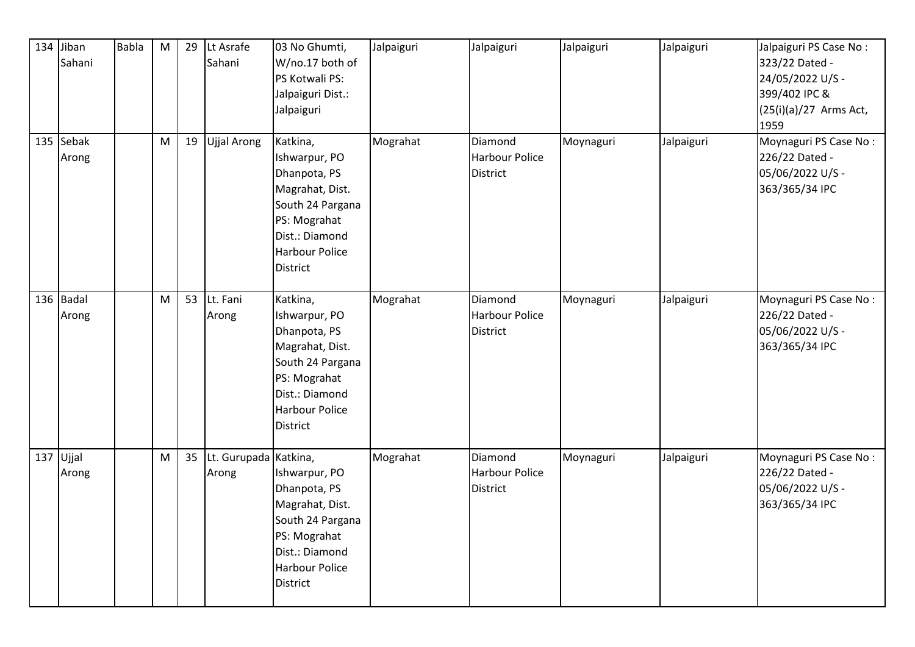| 134 Jiban<br>Sahani | <b>Babla</b> | ${\sf M}$ | 29 | Lt Asrafe<br>Sahani            | 03 No Ghumti,<br>W/no.17 both of<br>PS Kotwali PS:<br>Jalpaiguri Dist.:<br>Jalpaiguri                                                                          | Jalpaiguri | Jalpaiguri                                          | Jalpaiguri | Jalpaiguri | Jalpaiguri PS Case No:<br>323/22 Dated -<br>24/05/2022 U/S -<br>399/402 IPC &<br>$(25(i)(a)/27$ Arms Act,<br>1959 |
|---------------------|--------------|-----------|----|--------------------------------|----------------------------------------------------------------------------------------------------------------------------------------------------------------|------------|-----------------------------------------------------|------------|------------|-------------------------------------------------------------------------------------------------------------------|
| 135 Sebak<br>Arong  |              | M         | 19 | <b>Ujjal Arong</b>             | Katkina,<br>Ishwarpur, PO<br>Dhanpota, PS<br>Magrahat, Dist.<br>South 24 Pargana<br>PS: Mograhat<br>Dist.: Diamond<br><b>Harbour Police</b><br><b>District</b> | Mograhat   | Diamond<br><b>Harbour Police</b><br><b>District</b> | Moynaguri  | Jalpaiguri | Moynaguri PS Case No:<br>226/22 Dated -<br>05/06/2022 U/S -<br>363/365/34 IPC                                     |
| 136 Badal<br>Arong  |              | M         | 53 | Lt. Fani<br>Arong              | Katkina,<br>Ishwarpur, PO<br>Dhanpota, PS<br>Magrahat, Dist.<br>South 24 Pargana<br>PS: Mograhat<br>Dist.: Diamond<br><b>Harbour Police</b><br>District        | Mograhat   | Diamond<br><b>Harbour Police</b><br><b>District</b> | Moynaguri  | Jalpaiguri | Moynaguri PS Case No:<br>226/22 Dated -<br>05/06/2022 U/S -<br>363/365/34 IPC                                     |
| 137 Ujjal<br>Arong  |              | ${\sf M}$ | 35 | Lt. Gurupada Katkina,<br>Arong | Ishwarpur, PO<br>Dhanpota, PS<br>Magrahat, Dist.<br>South 24 Pargana<br>PS: Mograhat<br>Dist.: Diamond<br><b>Harbour Police</b><br><b>District</b>             | Mograhat   | Diamond<br><b>Harbour Police</b><br><b>District</b> | Moynaguri  | Jalpaiguri | Moynaguri PS Case No:<br>226/22 Dated -<br>05/06/2022 U/S -<br>363/365/34 IPC                                     |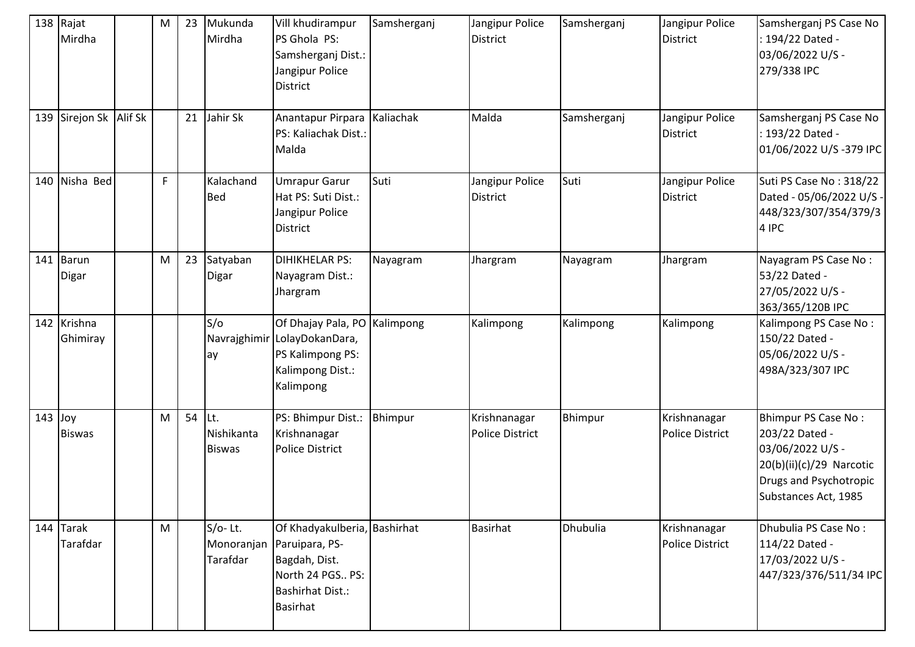|           | 138 Rajat<br>Mirdha     | M | 23 | Mukunda<br>Mirdha                  | Vill khudirampur<br>PS Ghola PS:<br>Samsherganj Dist.:<br>Jangipur Police<br><b>District</b>                                      | Samsherganj | Jangipur Police<br><b>District</b>     | Samsherganj | Jangipur Police<br>District            | Samsherganj PS Case No<br>: 194/22 Dated -<br>03/06/2022 U/S -<br>279/338 IPC                                                           |
|-----------|-------------------------|---|----|------------------------------------|-----------------------------------------------------------------------------------------------------------------------------------|-------------|----------------------------------------|-------------|----------------------------------------|-----------------------------------------------------------------------------------------------------------------------------------------|
|           | 139 Sirejon Sk Alif Sk  |   | 21 | Jahir Sk                           | Anantapur Pirpara Kaliachak<br>PS: Kaliachak Dist.:<br>Malda                                                                      |             | Malda                                  | Samsherganj | Jangipur Police<br><b>District</b>     | Samsherganj PS Case No<br>: 193/22 Dated -<br>01/06/2022 U/S-379 IPC                                                                    |
|           | 140 Nisha Bed           | F |    | Kalachand<br><b>Bed</b>            | <b>Umrapur Garur</b><br>Hat PS: Suti Dist.:<br>Jangipur Police<br>District                                                        | Suti        | Jangipur Police<br><b>District</b>     | Suti        | Jangipur Police<br><b>District</b>     | Suti PS Case No: 318/22<br>Dated - 05/06/2022 U/S -<br>448/323/307/354/379/3<br>4 IPC                                                   |
| 141       | Barun<br>Digar          | M | 23 | Satyaban<br>Digar                  | <b>DIHIKHELAR PS:</b><br>Nayagram Dist.:<br>Jhargram                                                                              | Nayagram    | Jhargram                               | Nayagram    | Jhargram                               | Nayagram PS Case No:<br>53/22 Dated -<br>27/05/2022 U/S -<br>363/365/120B IPC                                                           |
|           | 142 Krishna<br>Ghimiray |   |    | S/O<br>ay                          | Of Dhajay Pala, PO Kalimpong<br>Navrajghimir LolayDokanDara,<br>PS Kalimpong PS:<br>Kalimpong Dist.:<br>Kalimpong                 |             | Kalimpong                              | Kalimpong   | Kalimpong                              | Kalimpong PS Case No:<br>150/22 Dated -<br>05/06/2022 U/S -<br>498A/323/307 IPC                                                         |
| $143$ Joy | <b>Biswas</b>           | M | 54 | Lt.<br>Nishikanta<br><b>Biswas</b> | PS: Bhimpur Dist.:<br>Krishnanagar<br><b>Police District</b>                                                                      | Bhimpur     | Krishnanagar<br><b>Police District</b> | Bhimpur     | Krishnanagar<br><b>Police District</b> | Bhimpur PS Case No:<br>203/22 Dated -<br>03/06/2022 U/S -<br>20(b)(ii)(c)/29 Narcotic<br>Drugs and Psychotropic<br>Substances Act, 1985 |
|           | 144 Tarak<br>Tarafdar   | M |    | S/o-Lt.<br>Monoranjan<br>Tarafdar  | Of Khadyakulberia, Bashirhat<br>Paruipara, PS-<br>Bagdah, Dist.<br>North 24 PGS PS:<br><b>Bashirhat Dist.:</b><br><b>Basirhat</b> |             | <b>Basirhat</b>                        | Dhubulia    | Krishnanagar<br><b>Police District</b> | Dhubulia PS Case No:<br>114/22 Dated -<br>17/03/2022 U/S -<br>447/323/376/511/34 IPC                                                    |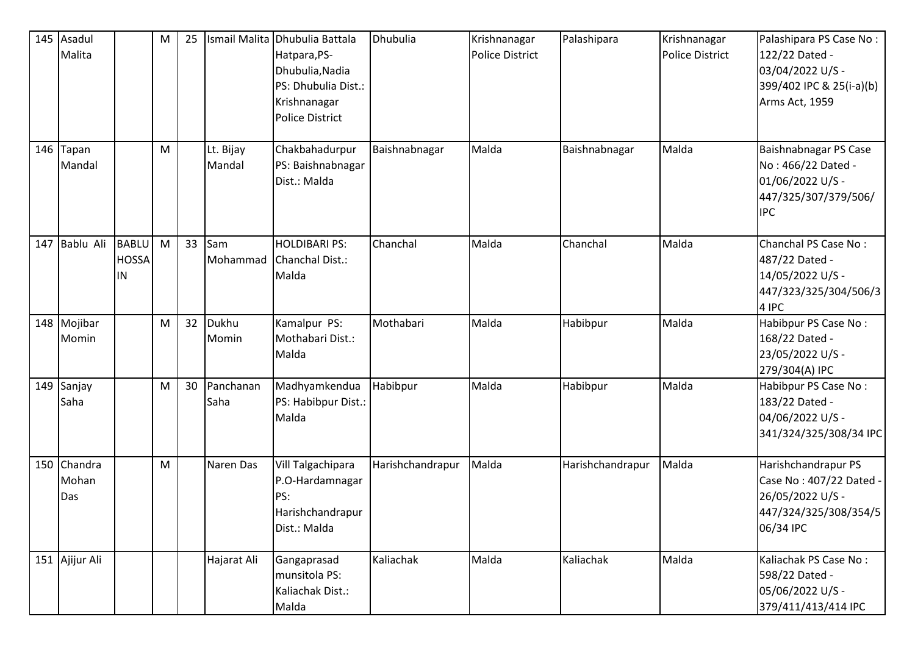|     | 145 Asadul<br>Malita        |                                    | M | 25 | Ismail Malita       | Dhubulia Battala<br>Hatpara, PS-<br>Dhubulia, Nadia<br>PS: Dhubulia Dist.:<br>Krishnanagar<br><b>Police District</b> | Dhubulia         | Krishnanagar<br><b>Police District</b> | Palashipara      | Krishnanagar<br><b>Police District</b> | Palashipara PS Case No:<br>122/22 Dated -<br>03/04/2022 U/S -<br>399/402 IPC & 25(i-a)(b)<br>Arms Act, 1959 |
|-----|-----------------------------|------------------------------------|---|----|---------------------|----------------------------------------------------------------------------------------------------------------------|------------------|----------------------------------------|------------------|----------------------------------------|-------------------------------------------------------------------------------------------------------------|
| 146 | Tapan<br>Mandal             |                                    | M |    | Lt. Bijay<br>Mandal | Chakbahadurpur<br>PS: Baishnabnagar<br>Dist.: Malda                                                                  | Baishnabnagar    | Malda                                  | Baishnabnagar    | Malda                                  | Baishnabnagar PS Case<br>No: 466/22 Dated -<br>01/06/2022 U/S -<br>447/325/307/379/506/<br><b>IPC</b>       |
|     | 147 Bablu Ali               | <b>BABLU</b><br><b>HOSSA</b><br>IN | M | 33 | Sam<br>Mohammad     | <b>HOLDIBARI PS:</b><br>Chanchal Dist.:<br>Malda                                                                     | Chanchal         | Malda                                  | Chanchal         | Malda                                  | Chanchal PS Case No:<br>487/22 Dated -<br>14/05/2022 U/S -<br>447/323/325/304/506/3<br>4 IPC                |
|     | 148 Mojibar<br>Momin        |                                    | M | 32 | Dukhu<br>Momin      | Kamalpur PS:<br>Mothabari Dist.:<br>Malda                                                                            | Mothabari        | Malda                                  | Habibpur         | Malda                                  | Habibpur PS Case No:<br>168/22 Dated -<br>23/05/2022 U/S -<br>279/304(A) IPC                                |
|     | 149 Sanjay<br>Saha          |                                    | M | 30 | Panchanan<br>Saha   | Madhyamkendua<br>PS: Habibpur Dist.:<br>Malda                                                                        | Habibpur         | Malda                                  | Habibpur         | Malda                                  | Habibpur PS Case No:<br>183/22 Dated -<br>04/06/2022 U/S -<br>341/324/325/308/34 IPC                        |
|     | 150 Chandra<br>Mohan<br>Das |                                    | M |    | Naren Das           | Vill Talgachipara<br>P.O-Hardamnagar<br>PS:<br>Harishchandrapur<br>Dist.: Malda                                      | Harishchandrapur | Malda                                  | Harishchandrapur | Malda                                  | Harishchandrapur PS<br>Case No: 407/22 Dated<br>26/05/2022 U/S -<br>447/324/325/308/354/5<br>06/34 IPC      |
|     | 151 Ajijur Ali              |                                    |   |    | Hajarat Ali         | Gangaprasad<br>munsitola PS:<br>Kaliachak Dist.:<br>Malda                                                            | Kaliachak        | Malda                                  | Kaliachak        | Malda                                  | Kaliachak PS Case No:<br>598/22 Dated -<br>05/06/2022 U/S -<br>379/411/413/414 IPC                          |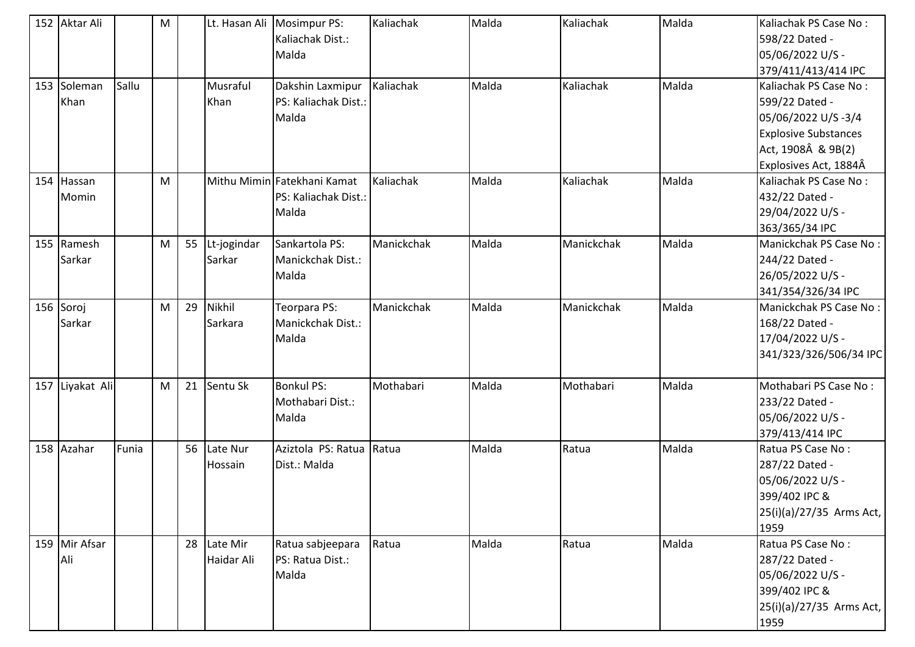| 152 Aktar Ali   |       | M |    | Lt. Hasan Ali | Mosimpur PS:                | Kaliachak  | Malda | Kaliachak  | Malda | Kaliachak PS Case No:       |
|-----------------|-------|---|----|---------------|-----------------------------|------------|-------|------------|-------|-----------------------------|
|                 |       |   |    |               | Kaliachak Dist.:            |            |       |            |       | 598/22 Dated -              |
|                 |       |   |    |               | Malda                       |            |       |            |       | 05/06/2022 U/S -            |
|                 |       |   |    |               |                             |            |       |            |       | 379/411/413/414 IPC         |
| 153 Soleman     | Sallu |   |    | Musraful      | Dakshin Laxmipur            | Kaliachak  | Malda | Kaliachak  | Malda | Kaliachak PS Case No:       |
| Khan            |       |   |    | Khan          | PS: Kaliachak Dist.:        |            |       |            |       | 599/22 Dated -              |
|                 |       |   |    |               | Malda                       |            |       |            |       | 05/06/2022 U/S-3/4          |
|                 |       |   |    |               |                             |            |       |            |       | <b>Explosive Substances</b> |
|                 |       |   |    |               |                             |            |       |            |       | Act, 1908Â & 9B(2)          |
|                 |       |   |    |               |                             |            |       |            |       | Explosives Act, 1884Â       |
| 154 Hassan      |       | M |    |               | Mithu Mimin Fatekhani Kamat | Kaliachak  | Malda | Kaliachak  | Malda | Kaliachak PS Case No:       |
| Momin           |       |   |    |               | PS: Kaliachak Dist.:        |            |       |            |       | 432/22 Dated -              |
|                 |       |   |    |               | Malda                       |            |       |            |       | 29/04/2022 U/S -            |
|                 |       |   |    |               |                             |            |       |            |       | 363/365/34 IPC              |
| 155 Ramesh      |       | M | 55 | Lt-jogindar   | Sankartola PS:              | Manickchak | Malda | Manickchak | Malda | Manickchak PS Case No:      |
| Sarkar          |       |   |    | Sarkar        | Manickchak Dist.:           |            |       |            |       | 244/22 Dated -              |
|                 |       |   |    |               | Malda                       |            |       |            |       | 26/05/2022 U/S -            |
|                 |       |   |    |               |                             |            |       |            |       | 341/354/326/34 IPC          |
| 156 Soroj       |       | M | 29 | Nikhil        | Teorpara PS:                | Manickchak | Malda | Manickchak | Malda | Manickchak PS Case No:      |
| Sarkar          |       |   |    | Sarkara       | Manickchak Dist.:           |            |       |            |       | 168/22 Dated -              |
|                 |       |   |    |               | Malda                       |            |       |            |       | 17/04/2022 U/S -            |
|                 |       |   |    |               |                             |            |       |            |       | 341/323/326/506/34 IPC      |
|                 |       |   |    |               |                             |            |       |            |       |                             |
| 157 Liyakat Ali |       | M | 21 | Sentu Sk      | <b>Bonkul PS:</b>           | Mothabari  | Malda | Mothabari  | Malda | Mothabari PS Case No:       |
|                 |       |   |    |               | Mothabari Dist.:            |            |       |            |       | 233/22 Dated -              |
|                 |       |   |    |               | Malda                       |            |       |            |       | 05/06/2022 U/S -            |
|                 |       |   |    |               |                             |            |       |            |       | 379/413/414 IPC             |
| 158 Azahar      | Funia |   | 56 | Late Nur      | Aziztola PS: Ratua          | Ratua      | Malda | Ratua      | Malda | Ratua PS Case No:           |
|                 |       |   |    | Hossain       | Dist.: Malda                |            |       |            |       | 287/22 Dated -              |
|                 |       |   |    |               |                             |            |       |            |       | 05/06/2022 U/S -            |
|                 |       |   |    |               |                             |            |       |            |       | 399/402 IPC &               |
|                 |       |   |    |               |                             |            |       |            |       | 25(i)(a)/27/35 Arms Act,    |
|                 |       |   |    |               |                             |            |       |            |       | 1959                        |
| 159 Mir Afsar   |       |   | 28 | Late Mir      | Ratua sabjeepara            | Ratua      | Malda | Ratua      | Malda | Ratua PS Case No:           |
| Ali             |       |   |    | Haidar Ali    | PS: Ratua Dist.:            |            |       |            |       | 287/22 Dated -              |
|                 |       |   |    |               | Malda                       |            |       |            |       | 05/06/2022 U/S -            |
|                 |       |   |    |               |                             |            |       |            |       | 399/402 IPC &               |
|                 |       |   |    |               |                             |            |       |            |       | 25(i)(a)/27/35 Arms Act,    |
|                 |       |   |    |               |                             |            |       |            |       | 1959                        |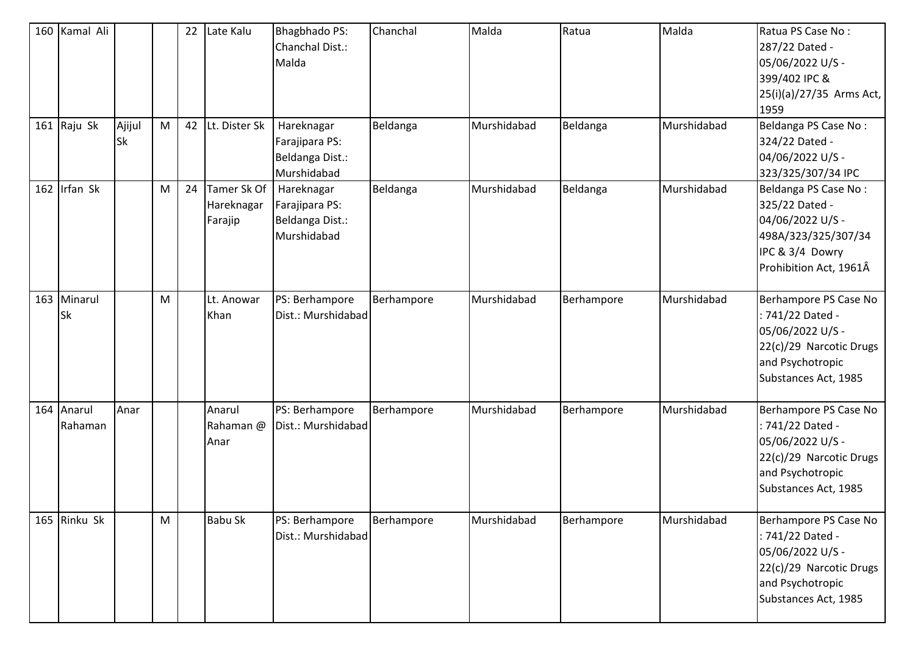| 160 Kamal Ali         |              |   | 22 | Late Kalu                            | <b>Bhagbhado PS:</b><br>Chanchal Dist.:<br>Malda               | Chanchal   | Malda       | Ratua      | Malda       | Ratua PS Case No:<br>287/22 Dated -<br>05/06/2022 U/S -<br>399/402 IPC &<br>25(i)(a)/27/35 Arms Act,<br>1959                         |
|-----------------------|--------------|---|----|--------------------------------------|----------------------------------------------------------------|------------|-------------|------------|-------------|--------------------------------------------------------------------------------------------------------------------------------------|
| 161 Raju Sk           | Ajijul<br>Sk | M | 42 | Lt. Dister Sk                        | Hareknagar<br>Farajipara PS:<br>Beldanga Dist.:<br>Murshidabad | Beldanga   | Murshidabad | Beldanga   | Murshidabad | Beldanga PS Case No:<br>324/22 Dated -<br>04/06/2022 U/S -<br>323/325/307/34 IPC                                                     |
| 162 Irfan Sk          |              | M | 24 | Tamer Sk Of<br>Hareknagar<br>Farajip | Hareknagar<br>Farajipara PS:<br>Beldanga Dist.:<br>Murshidabad | Beldanga   | Murshidabad | Beldanga   | Murshidabad | Beldanga PS Case No:<br>325/22 Dated -<br>04/06/2022 U/S -<br>498A/323/325/307/34<br>IPC & 3/4 Dowry<br>Prohibition Act, 1961Â       |
| 163 Minarul<br>Sk     |              | м |    | Lt. Anowar<br>Khan                   | PS: Berhampore<br>Dist.: Murshidabad                           | Berhampore | Murshidabad | Berhampore | Murshidabad | Berhampore PS Case No<br>: 741/22 Dated -<br>05/06/2022 U/S -<br>22(c)/29 Narcotic Drugs<br>and Psychotropic<br>Substances Act, 1985 |
| 164 Anarul<br>Rahaman | Anar         |   |    | Anarul<br>Rahaman @<br>Anar          | PS: Berhampore<br>Dist.: Murshidabad                           | Berhampore | Murshidabad | Berhampore | Murshidabad | Berhampore PS Case No<br>: 741/22 Dated -<br>05/06/2022 U/S -<br>22(c)/29 Narcotic Drugs<br>and Psychotropic<br>Substances Act, 1985 |
| 165 Rinku Sk          |              | M |    | <b>Babu Sk</b>                       | PS: Berhampore<br>Dist.: Murshidabad                           | Berhampore | Murshidabad | Berhampore | Murshidabad | Berhampore PS Case No<br>: 741/22 Dated -<br>05/06/2022 U/S -<br>22(c)/29 Narcotic Drugs<br>and Psychotropic<br>Substances Act, 1985 |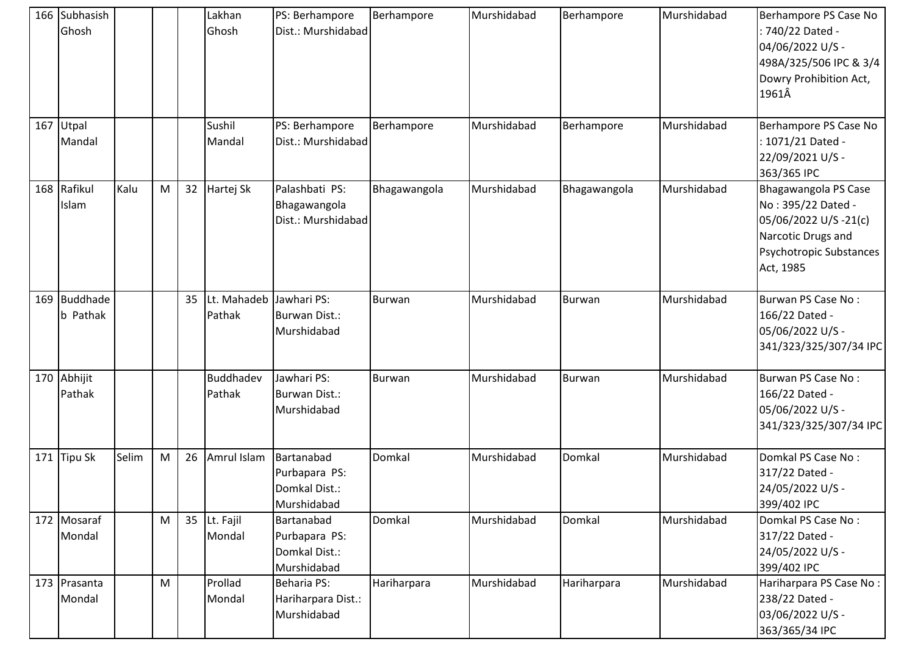|     | 166 Subhasish<br>Ghosh          |       |   |    | Lakhan<br>Ghosh            | PS: Berhampore<br>Dist.: Murshidabad                        | Berhampore    | Murshidabad | Berhampore   | Murshidabad | Berhampore PS Case No<br>740/22 Dated -<br>04/06/2022 U/S -<br>498A/325/506 IPC & 3/4<br>Dowry Prohibition Act,<br>1961Â         |
|-----|---------------------------------|-------|---|----|----------------------------|-------------------------------------------------------------|---------------|-------------|--------------|-------------|----------------------------------------------------------------------------------------------------------------------------------|
|     | 167 Utpal<br>Mandal             |       |   |    | Sushil<br>Mandal           | PS: Berhampore<br>Dist.: Murshidabad                        | Berhampore    | Murshidabad | Berhampore   | Murshidabad | Berhampore PS Case No<br>1071/21 Dated -<br>22/09/2021 U/S -<br>363/365 IPC                                                      |
|     | 168 Rafikul<br>Islam            | Kalu  | M |    | 32 Hartej Sk               | Palashbati PS:<br>Bhagawangola<br>Dist.: Murshidabad        | Bhagawangola  | Murshidabad | Bhagawangola | Murshidabad | Bhagawangola PS Case<br>No: 395/22 Dated -<br>05/06/2022 U/S-21(c)<br>Narcotic Drugs and<br>Psychotropic Substances<br>Act, 1985 |
|     | 169 Buddhade<br><b>b</b> Pathak |       |   | 35 | Lt. Mahadeb<br>Pathak      | Jawhari PS:<br>Burwan Dist.:<br>Murshidabad                 | Burwan        | Murshidabad | Burwan       | Murshidabad | Burwan PS Case No:<br>166/22 Dated -<br>05/06/2022 U/S -<br>341/323/325/307/34 IPC                                               |
|     | 170 Abhijit<br>Pathak           |       |   |    | <b>Buddhadev</b><br>Pathak | Jawhari PS:<br>Burwan Dist.:<br>Murshidabad                 | <b>Burwan</b> | Murshidabad | Burwan       | Murshidabad | Burwan PS Case No:<br>166/22 Dated -<br>05/06/2022 U/S -<br>341/323/325/307/34 IPC                                               |
| 171 | <b>Tipu Sk</b>                  | Selim | M | 26 | Amrul Islam                | Bartanabad<br>Purbapara PS:<br>Domkal Dist.:<br>Murshidabad | Domkal        | Murshidabad | Domkal       | Murshidabad | Domkal PS Case No:<br>317/22 Dated -<br>24/05/2022 U/S -<br>399/402 IPC                                                          |
|     | 172 Mosaraf<br>Mondal           |       | M | 35 | Lt. Fajil<br>Mondal        | Bartanabad<br>Purbapara PS:<br>Domkal Dist.:<br>Murshidabad | Domkal        | Murshidabad | Domkal       | Murshidabad | Domkal PS Case No:<br>317/22 Dated -<br>24/05/2022 U/S -<br>399/402 IPC                                                          |
|     | 173 Prasanta<br>Mondal          |       | M |    | Prollad<br>Mondal          | <b>Beharia PS:</b><br>Hariharpara Dist.:<br>Murshidabad     | Hariharpara   | Murshidabad | Hariharpara  | Murshidabad | Hariharpara PS Case No:<br>238/22 Dated -<br>03/06/2022 U/S -<br>363/365/34 IPC                                                  |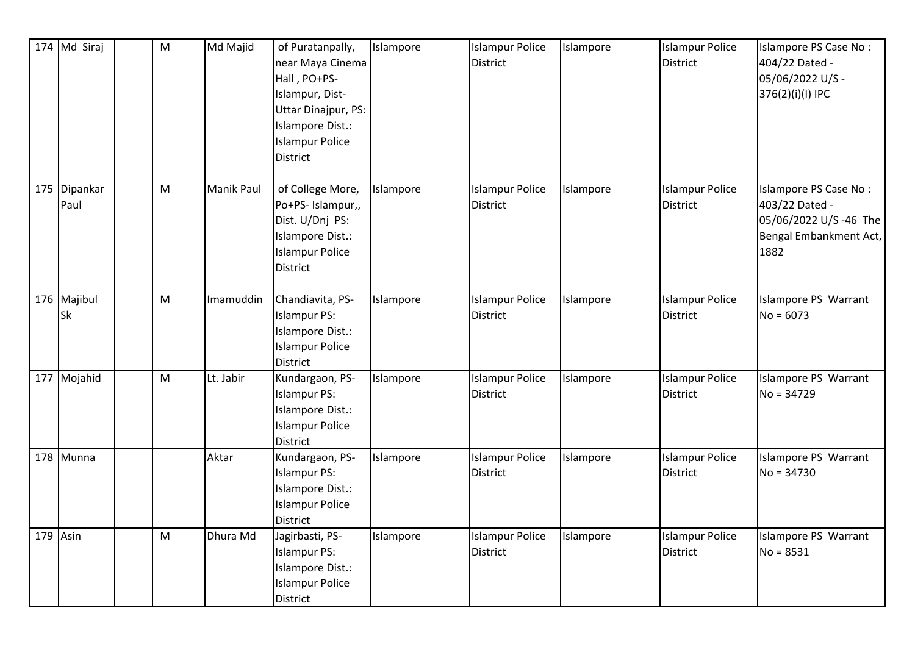| 174 Md Siraj             | M         | Md Majid          | of Puratanpally,<br>near Maya Cinema<br>Hall, PO+PS-<br>Islampur, Dist-<br>Uttar Dinajpur, PS:<br>Islampore Dist.:<br><b>Islampur Police</b><br><b>District</b> | Islampore | <b>Islampur Police</b><br><b>District</b> | Islampore | <b>Islampur Police</b><br><b>District</b> | Islampore PS Case No:<br>404/22 Dated -<br>05/06/2022 U/S -<br>376(2)(i)(l) IPC                     |
|--------------------------|-----------|-------------------|-----------------------------------------------------------------------------------------------------------------------------------------------------------------|-----------|-------------------------------------------|-----------|-------------------------------------------|-----------------------------------------------------------------------------------------------------|
| 175 Dipankar<br>Paul     | ${\sf M}$ | <b>Manik Paul</b> | of College More,<br>Po+PS- Islampur,,<br>Dist. U/Dnj PS:<br>Islampore Dist.:<br><b>Islampur Police</b><br><b>District</b>                                       | Islampore | <b>Islampur Police</b><br><b>District</b> | Islampore | <b>Islampur Police</b><br><b>District</b> | Islampore PS Case No:<br>403/22 Dated -<br>05/06/2022 U/S -46 The<br>Bengal Embankment Act,<br>1882 |
| 176 Majibul<br><b>Sk</b> | M         | Imamuddin         | Chandiavita, PS-<br><b>Islampur PS:</b><br>Islampore Dist.:<br><b>Islampur Police</b><br><b>District</b>                                                        | Islampore | <b>Islampur Police</b><br><b>District</b> | Islampore | <b>Islampur Police</b><br><b>District</b> | Islampore PS Warrant<br>$No = 6073$                                                                 |
| 177 Mojahid              | M         | Lt. Jabir         | Kundargaon, PS-<br><b>Islampur PS:</b><br>Islampore Dist.:<br><b>Islampur Police</b><br>District                                                                | Islampore | <b>Islampur Police</b><br><b>District</b> | Islampore | <b>Islampur Police</b><br><b>District</b> | Islampore PS Warrant<br>$No = 34729$                                                                |
| 178 Munna                |           | Aktar             | Kundargaon, PS-<br><b>Islampur PS:</b><br>Islampore Dist.:<br><b>Islampur Police</b><br><b>District</b>                                                         | Islampore | <b>Islampur Police</b><br><b>District</b> | Islampore | <b>Islampur Police</b><br><b>District</b> | Islampore PS Warrant<br>$No = 34730$                                                                |
| $179$ Asin               | M         | Dhura Md          | Jagirbasti, PS-<br><b>Islampur PS:</b><br>Islampore Dist.:<br><b>Islampur Police</b><br>District                                                                | Islampore | <b>Islampur Police</b><br>District        | Islampore | <b>Islampur Police</b><br>District        | Islampore PS Warrant<br>$No = 8531$                                                                 |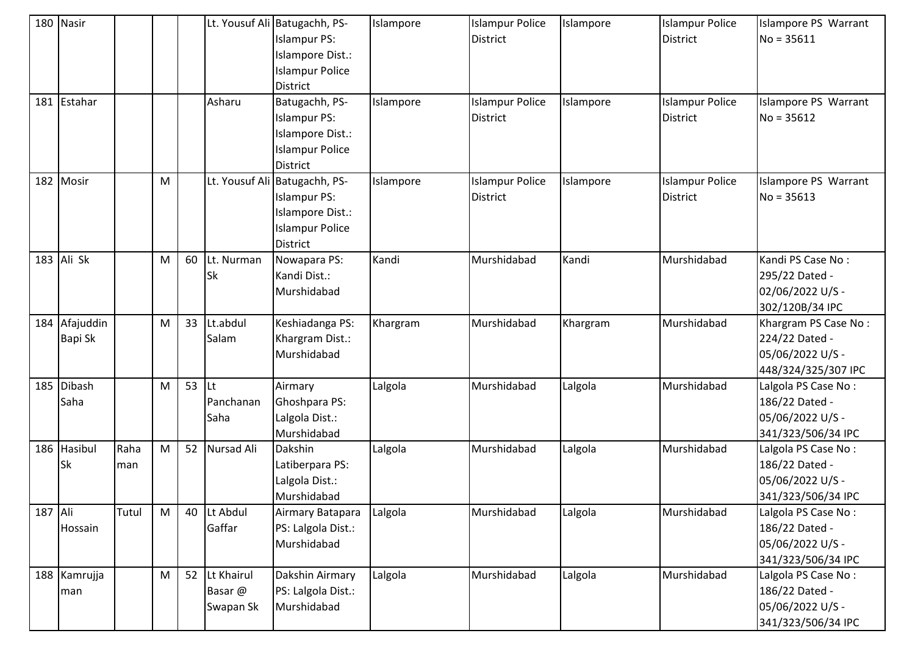|         | 180 Nasir            |             |   |               |                                    | Lt. Yousuf Ali Batugachh, PS-<br><b>Islampur PS:</b><br>Islampore Dist.:<br><b>Islampur Police</b><br><b>District</b> | Islampore | <b>Islampur Police</b><br><b>District</b> | Islampore | <b>Islampur Police</b><br><b>District</b> | Islampore PS Warrant<br>$No = 35611$                                              |
|---------|----------------------|-------------|---|---------------|------------------------------------|-----------------------------------------------------------------------------------------------------------------------|-----------|-------------------------------------------|-----------|-------------------------------------------|-----------------------------------------------------------------------------------|
|         | 181 Estahar          |             |   |               | Asharu                             | Batugachh, PS-<br><b>Islampur PS:</b><br>Islampore Dist.:<br><b>Islampur Police</b><br><b>District</b>                | Islampore | <b>Islampur Police</b><br><b>District</b> | Islampore | <b>Islampur Police</b><br><b>District</b> | Islampore PS Warrant<br>$No = 35612$                                              |
| 182     | Mosir                |             | M |               |                                    | Lt. Yousuf Ali Batugachh, PS-<br><b>Islampur PS:</b><br>Islampore Dist.:<br><b>Islampur Police</b><br><b>District</b> | Islampore | <b>Islampur Police</b><br><b>District</b> | Islampore | <b>Islampur Police</b><br><b>District</b> | Islampore PS Warrant<br>$No = 35613$                                              |
|         | 183 Ali Sk           |             | M | 60            | Lt. Nurman<br><b>Sk</b>            | Nowapara PS:<br>Kandi Dist.:<br>Murshidabad                                                                           | Kandi     | Murshidabad                               | Kandi     | Murshidabad                               | Kandi PS Case No:<br>295/22 Dated -<br>02/06/2022 U/S -<br>302/120B/34 IPC        |
| 184     | Afajuddin<br>Bapi Sk |             | M | 33            | Lt.abdul<br>Salam                  | Keshiadanga PS:<br>Khargram Dist.:<br>Murshidabad                                                                     | Khargram  | Murshidabad                               | Khargram  | Murshidabad                               | Khargram PS Case No:<br>224/22 Dated -<br>05/06/2022 U/S -<br>448/324/325/307 IPC |
| 185     | Dibash<br>Saha       |             | M | 53 $\vert$ Lt | Panchanan<br>Saha                  | Airmary<br>Ghoshpara PS:<br>Lalgola Dist.:<br>Murshidabad                                                             | Lalgola   | Murshidabad                               | Lalgola   | Murshidabad                               | Lalgola PS Case No:<br>186/22 Dated -<br>05/06/2022 U/S -<br>341/323/506/34 IPC   |
| 186     | Hasibul<br><b>Sk</b> | Raha<br>man | M | 52            | Nursad Ali                         | <b>Dakshin</b><br>Latiberpara PS:<br>Lalgola Dist.:<br>Murshidabad                                                    | Lalgola   | Murshidabad                               | Lalgola   | Murshidabad                               | Lalgola PS Case No:<br>186/22 Dated -<br>05/06/2022 U/S -<br>341/323/506/34 IPC   |
| 187 Ali | Hossain              | Tutul       | M | 40            | Lt Abdul<br>Gaffar                 | Airmary Batapara<br>PS: Lalgola Dist.:<br>Murshidabad                                                                 | Lalgola   | Murshidabad                               | Lalgola   | Murshidabad                               | Lalgola PS Case No:<br>186/22 Dated -<br>05/06/2022 U/S -<br>341/323/506/34 IPC   |
|         | 188 Kamrujja<br>man  |             | M | 52            | Lt Khairul<br>Basar @<br>Swapan Sk | Dakshin Airmary<br>PS: Lalgola Dist.:<br>Murshidabad                                                                  | Lalgola   | Murshidabad                               | Lalgola   | Murshidabad                               | Lalgola PS Case No:<br>186/22 Dated -<br>05/06/2022 U/S -<br>341/323/506/34 IPC   |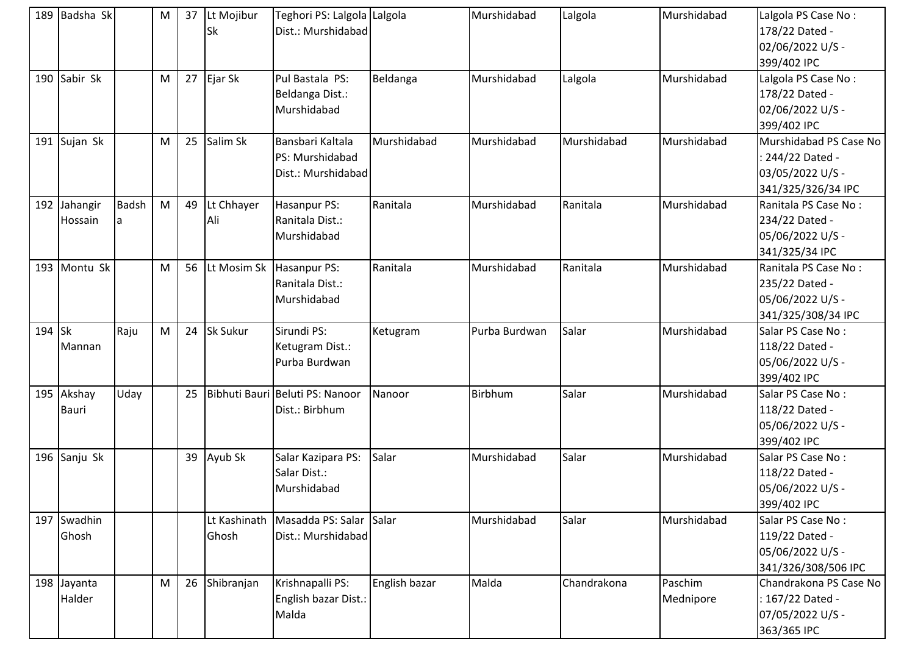|        | 189 Badsha Sk              |                   | M | 37 | Lt Mojibur<br>Sk      | Teghori PS: Lalgola Lalgola<br>Dist.: Murshidabad         |               | Murshidabad   | Lalgola     | Murshidabad          | Lalgola PS Case No:<br>178/22 Dated -<br>02/06/2022 U/S -<br>399/402 IPC             |
|--------|----------------------------|-------------------|---|----|-----------------------|-----------------------------------------------------------|---------------|---------------|-------------|----------------------|--------------------------------------------------------------------------------------|
|        | 190 Sabir Sk               |                   | M | 27 | Ejar Sk               | Pul Bastala PS:<br>Beldanga Dist.:<br>Murshidabad         | Beldanga      | Murshidabad   | Lalgola     | Murshidabad          | Lalgola PS Case No:<br>178/22 Dated -<br>02/06/2022 U/S -<br>399/402 IPC             |
|        | 191 Sujan Sk               |                   | M | 25 | Salim Sk              | Bansbari Kaltala<br>PS: Murshidabad<br>Dist.: Murshidabad | Murshidabad   | Murshidabad   | Murshidabad | Murshidabad          | Murshidabad PS Case No<br>: 244/22 Dated -<br>03/05/2022 U/S -<br>341/325/326/34 IPC |
|        | 192 Jahangir<br>Hossain    | <b>Badsh</b><br>a | M | 49 | Lt Chhayer<br>Ali     | Hasanpur PS:<br>Ranitala Dist.:<br>Murshidabad            | Ranitala      | Murshidabad   | Ranitala    | Murshidabad          | Ranitala PS Case No:<br>234/22 Dated -<br>05/06/2022 U/S -<br>341/325/34 IPC         |
|        | 193 Montu Sk               |                   | M | 56 | Lt Mosim Sk           | Hasanpur PS:<br>Ranitala Dist.:<br>Murshidabad            | Ranitala      | Murshidabad   | Ranitala    | Murshidabad          | Ranitala PS Case No:<br>235/22 Dated -<br>05/06/2022 U/S -<br>341/325/308/34 IPC     |
| 194 Sk | Mannan                     | Raju              | M | 24 | Sk Sukur              | Sirundi PS:<br>Ketugram Dist.:<br>Purba Burdwan           | Ketugram      | Purba Burdwan | Salar       | Murshidabad          | Salar PS Case No:<br>118/22 Dated -<br>05/06/2022 U/S -<br>399/402 IPC               |
|        | 195 Akshay<br><b>Bauri</b> | Uday              |   | 25 |                       | Bibhuti Bauri Beluti PS: Nanoor<br>Dist.: Birbhum         | Nanoor        | Birbhum       | Salar       | Murshidabad          | Salar PS Case No:<br>118/22 Dated -<br>05/06/2022 U/S -<br>399/402 IPC               |
|        | 196 Sanju Sk               |                   |   | 39 | Ayub Sk               | Salar Kazipara PS:<br>Salar Dist.:<br>Murshidabad         | Salar         | Murshidabad   | Salar       | Murshidabad          | Salar PS Case No:<br>118/22 Dated -<br>05/06/2022 U/S -<br>399/402 IPC               |
|        | 197 Swadhin<br>Ghosh       |                   |   |    | Lt Kashinath<br>Ghosh | Masadda PS: Salar Salar<br>Dist.: Murshidabad             |               | Murshidabad   | Salar       | Murshidabad          | Salar PS Case No:<br>119/22 Dated -<br>05/06/2022 U/S -<br>341/326/308/506 IPC       |
|        | 198 Jayanta<br>Halder      |                   | M | 26 | Shibranjan            | Krishnapalli PS:<br>English bazar Dist.:<br>Malda         | English bazar | Malda         | Chandrakona | Paschim<br>Mednipore | Chandrakona PS Case No<br>: 167/22 Dated -<br>07/05/2022 U/S -<br>363/365 IPC        |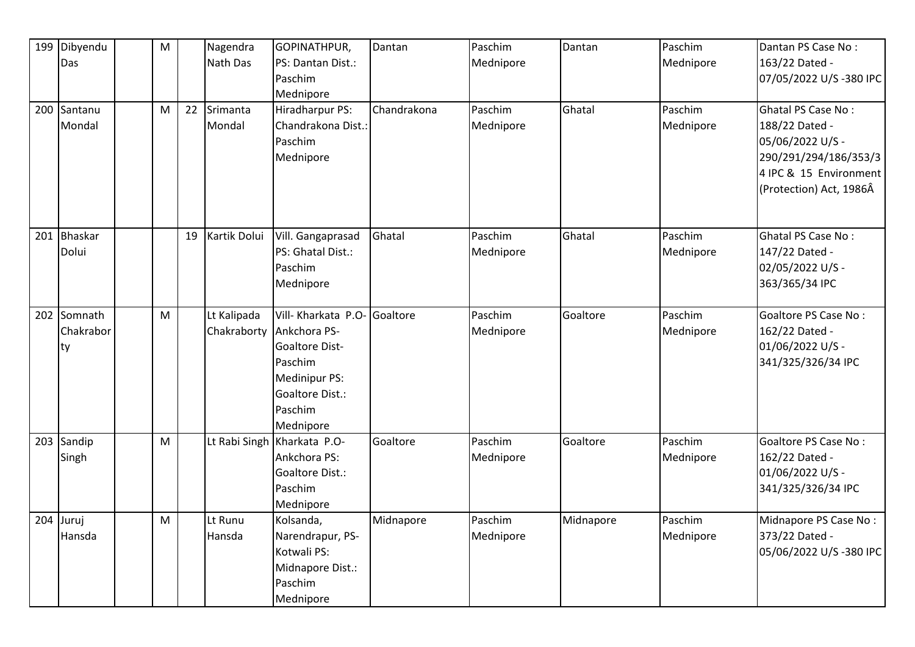|     | 199 Dibyendu | ${\sf M}$ |    | Nagendra     | GOPINATHPUR,                | Dantan      | Paschim   | Dantan    | Paschim   | Dantan PS Case No:      |
|-----|--------------|-----------|----|--------------|-----------------------------|-------------|-----------|-----------|-----------|-------------------------|
|     | Das          |           |    | Nath Das     | PS: Dantan Dist.:           |             | Mednipore |           | Mednipore | 163/22 Dated -          |
|     |              |           |    |              | Paschim                     |             |           |           |           | 07/05/2022 U/S-380 IPC  |
|     |              |           |    |              | Mednipore                   |             |           |           |           |                         |
|     | 200 Santanu  | M         | 22 | Srimanta     | Hiradharpur PS:             | Chandrakona | Paschim   | Ghatal    | Paschim   | Ghatal PS Case No:      |
|     | Mondal       |           |    | Mondal       | Chandrakona Dist.:          |             | Mednipore |           | Mednipore | 188/22 Dated -          |
|     |              |           |    |              | Paschim                     |             |           |           |           | 05/06/2022 U/S -        |
|     |              |           |    |              | Mednipore                   |             |           |           |           | 290/291/294/186/353/3   |
|     |              |           |    |              |                             |             |           |           |           | 4 IPC & 15 Environment  |
|     |              |           |    |              |                             |             |           |           |           | (Protection) Act, 1986Â |
|     |              |           |    |              |                             |             |           |           |           |                         |
| 201 | Bhaskar      |           | 19 | Kartik Dolui | Vill. Gangaprasad           | Ghatal      | Paschim   | Ghatal    | Paschim   | Ghatal PS Case No:      |
|     | Dolui        |           |    |              | PS: Ghatal Dist.:           |             | Mednipore |           | Mednipore | 147/22 Dated -          |
|     |              |           |    |              | Paschim                     |             |           |           |           | 02/05/2022 U/S -        |
|     |              |           |    |              | Mednipore                   |             |           |           |           | 363/365/34 IPC          |
|     |              |           |    |              |                             |             |           |           |           |                         |
|     | 202 Somnath  | M         |    | Lt Kalipada  | Vill- Kharkata P.O-         | Goaltore    | Paschim   | Goaltore  | Paschim   | Goaltore PS Case No:    |
|     | Chakrabor    |           |    | Chakraborty  | Ankchora PS-                |             | Mednipore |           | Mednipore | 162/22 Dated -          |
|     | ty           |           |    |              | Goaltore Dist-              |             |           |           |           | 01/06/2022 U/S -        |
|     |              |           |    |              | Paschim                     |             |           |           |           | 341/325/326/34 IPC      |
|     |              |           |    |              | Medinipur PS:               |             |           |           |           |                         |
|     |              |           |    |              | Goaltore Dist.:             |             |           |           |           |                         |
|     |              |           |    |              | Paschim                     |             |           |           |           |                         |
|     |              |           |    |              | Mednipore                   |             |           |           |           |                         |
| 203 | Sandip       | M         |    |              | Lt Rabi Singh Kharkata P.O- | Goaltore    | Paschim   | Goaltore  | Paschim   | Goaltore PS Case No:    |
|     | Singh        |           |    |              | Ankchora PS:                |             | Mednipore |           | Mednipore | 162/22 Dated -          |
|     |              |           |    |              | Goaltore Dist.:             |             |           |           |           | 01/06/2022 U/S -        |
|     |              |           |    |              | Paschim                     |             |           |           |           | 341/325/326/34 IPC      |
|     |              |           |    |              | Mednipore                   |             |           |           |           |                         |
|     | 204 Juruj    | M         |    | Lt Runu      | Kolsanda,                   | Midnapore   | Paschim   | Midnapore | Paschim   | Midnapore PS Case No:   |
|     | Hansda       |           |    | Hansda       | Narendrapur, PS-            |             | Mednipore |           | Mednipore | 373/22 Dated -          |
|     |              |           |    |              | Kotwali PS:                 |             |           |           |           | 05/06/2022 U/S-380 IPC  |
|     |              |           |    |              | Midnapore Dist.:            |             |           |           |           |                         |
|     |              |           |    |              | Paschim                     |             |           |           |           |                         |
|     |              |           |    |              | Mednipore                   |             |           |           |           |                         |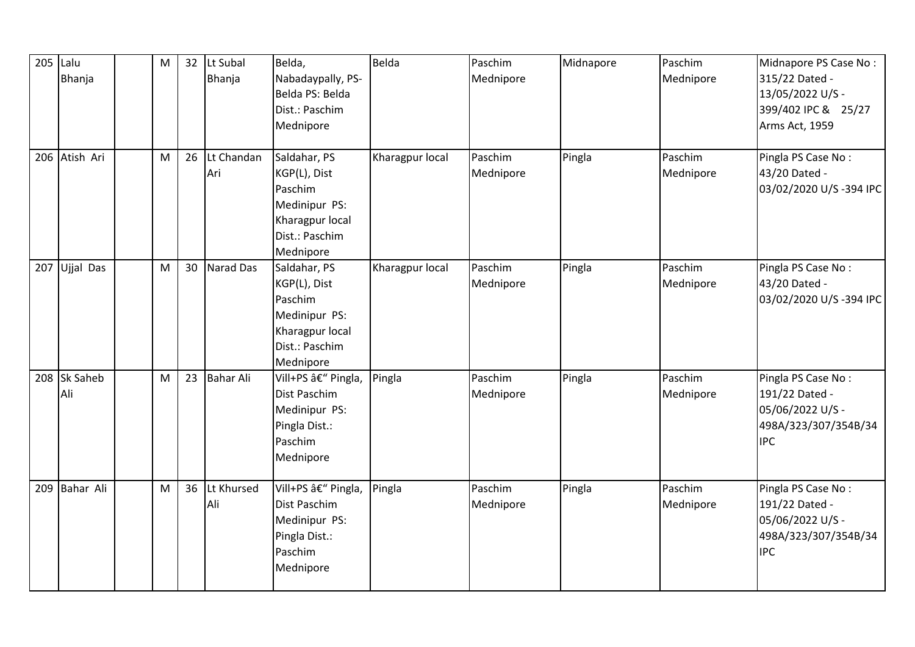| 205 Lalu | Bhanja              | M | 32 | Lt Subal<br>Bhanja | Belda,<br>Nabadaypally, PS-<br>Belda PS: Belda<br>Dist.: Paschim<br>Mednipore                              | Belda           | Paschim<br>Mednipore | Midnapore | Paschim<br>Mednipore | Midnapore PS Case No:<br>315/22 Dated -<br>13/05/2022 U/S -<br>399/402 IPC & 25/27<br>Arms Act, 1959 |
|----------|---------------------|---|----|--------------------|------------------------------------------------------------------------------------------------------------|-----------------|----------------------|-----------|----------------------|------------------------------------------------------------------------------------------------------|
|          | 206 Atish Ari       | M | 26 | Lt Chandan<br>Ari  | Saldahar, PS<br>KGP(L), Dist<br>Paschim<br>Medinipur PS:<br>Kharagpur local<br>Dist.: Paschim<br>Mednipore | Kharagpur local | Paschim<br>Mednipore | Pingla    | Paschim<br>Mednipore | Pingla PS Case No:<br>43/20 Dated -<br>03/02/2020 U/S-394 IPC                                        |
|          | 207 Ujjal Das       | M | 30 | <b>Narad Das</b>   | Saldahar, PS<br>KGP(L), Dist<br>Paschim<br>Medinipur PS:<br>Kharagpur local<br>Dist.: Paschim<br>Mednipore | Kharagpur local | Paschim<br>Mednipore | Pingla    | Paschim<br>Mednipore | Pingla PS Case No:<br>43/20 Dated -<br>03/02/2020 U/S-394 IPC                                        |
|          | 208 Sk Saheb<br>Ali | M | 23 | <b>Bahar Ali</b>   | Vill+PS â€" Pingla,<br>Dist Paschim<br>Medinipur PS:<br>Pingla Dist.:<br>Paschim<br>Mednipore              | Pingla          | Paschim<br>Mednipore | Pingla    | Paschim<br>Mednipore | Pingla PS Case No:<br>191/22 Dated -<br>05/06/2022 U/S -<br>498A/323/307/354B/34<br><b>IPC</b>       |
|          | 209 Bahar Ali       | M | 36 | Lt Khursed<br>Ali  | Vill+PS â€" Pingla,<br>Dist Paschim<br>Medinipur PS:<br>Pingla Dist.:<br>Paschim<br>Mednipore              | Pingla          | Paschim<br>Mednipore | Pingla    | Paschim<br>Mednipore | Pingla PS Case No:<br>191/22 Dated -<br>05/06/2022 U/S -<br>498A/323/307/354B/34<br><b>IPC</b>       |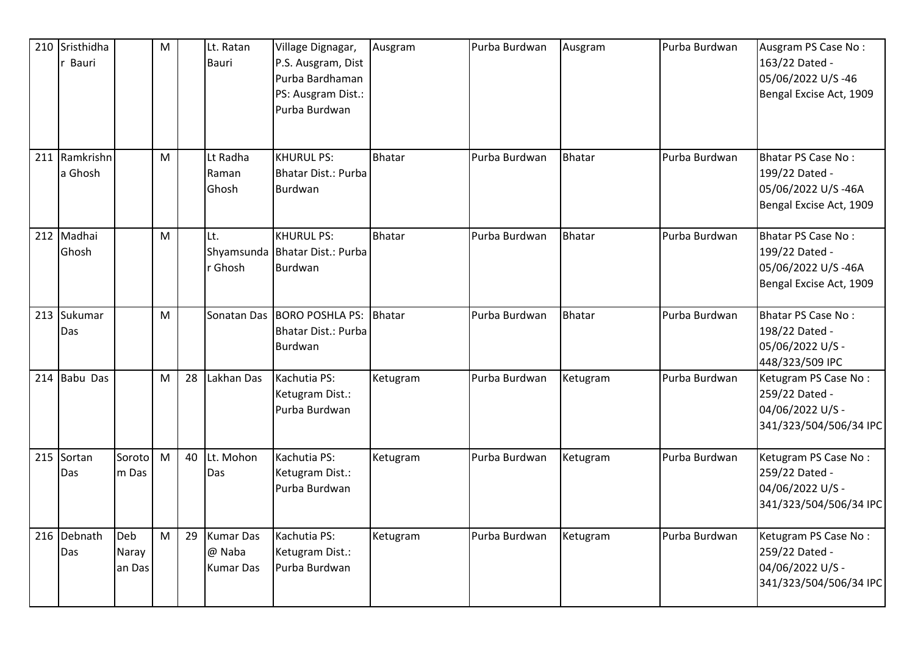| 210 | Sristhidha<br>Bauri  |                        | M |    | Lt. Ratan<br><b>Bauri</b>                      | Village Dignagar,<br>P.S. Ausgram, Dist<br>Purba Bardhaman<br>PS: Ausgram Dist.:<br>Purba Burdwan | Ausgram       | Purba Burdwan | Ausgram       | Purba Burdwan | Ausgram PS Case No:<br>163/22 Dated -<br>05/06/2022 U/S-46<br>Bengal Excise Act, 1909        |
|-----|----------------------|------------------------|---|----|------------------------------------------------|---------------------------------------------------------------------------------------------------|---------------|---------------|---------------|---------------|----------------------------------------------------------------------------------------------|
| 211 | Ramkrishn<br>a Ghosh |                        | M |    | Lt Radha<br>Raman<br>Ghosh                     | <b>KHURUL PS:</b><br>Bhatar Dist.: Purba<br>Burdwan                                               | <b>Bhatar</b> | Purba Burdwan | <b>Bhatar</b> | Purba Burdwan | <b>Bhatar PS Case No:</b><br>199/22 Dated -<br>05/06/2022 U/S-46A<br>Bengal Excise Act, 1909 |
| 212 | Madhai<br>Ghosh      |                        | M |    | Lt.<br>r Ghosh                                 | <b>KHURUL PS:</b><br>Shyamsunda   Bhatar Dist.: Purba<br>Burdwan                                  | <b>Bhatar</b> | Purba Burdwan | <b>Bhatar</b> | Purba Burdwan | Bhatar PS Case No:<br>199/22 Dated -<br>05/06/2022 U/S-46A<br>Bengal Excise Act, 1909        |
|     | 213 Sukumar<br>Das   |                        | M |    | Sonatan Das                                    | <b>BORO POSHLA PS:</b><br>Bhatar Dist.: Purba<br>Burdwan                                          | Bhatar        | Purba Burdwan | <b>Bhatar</b> | Purba Burdwan | <b>Bhatar PS Case No:</b><br>198/22 Dated -<br>05/06/2022 U/S -<br>448/323/509 IPC           |
| 214 | Babu Das             |                        | M | 28 | Lakhan Das                                     | Kachutia PS:<br>Ketugram Dist.:<br>Purba Burdwan                                                  | Ketugram      | Purba Burdwan | Ketugram      | Purba Burdwan | Ketugram PS Case No:<br>259/22 Dated -<br>04/06/2022 U/S -<br>341/323/504/506/34 IPC         |
| 215 | Sortan<br>Das        | Soroto<br>m Das        | M | 40 | Lt. Mohon<br>Das                               | Kachutia PS:<br>Ketugram Dist.:<br>Purba Burdwan                                                  | Ketugram      | Purba Burdwan | Ketugram      | Purba Burdwan | Ketugram PS Case No:<br>259/22 Dated -<br>04/06/2022 U/S -<br>341/323/504/506/34 IPC         |
|     | 216 Debnath<br>Das   | Deb<br>Naray<br>an Das | M | 29 | <b>Kumar Das</b><br>@ Naba<br><b>Kumar Das</b> | Kachutia PS:<br>Ketugram Dist.:<br>Purba Burdwan                                                  | Ketugram      | Purba Burdwan | Ketugram      | Purba Burdwan | Ketugram PS Case No:<br>259/22 Dated -<br>04/06/2022 U/S -<br>341/323/504/506/34 IPC         |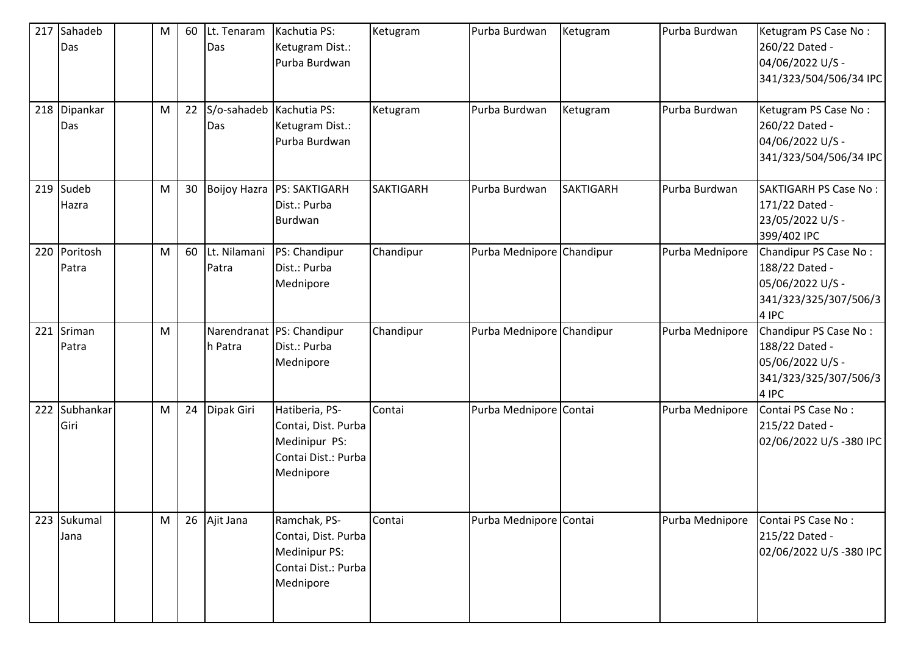| 217 | Sahadeb<br>Das        | М | 60 | Lt. Tenaram<br>Das                | Kachutia PS:<br>Ketugram Dist.:<br>Purba Burdwan                                           | Ketugram         | Purba Burdwan             | Ketugram         | Purba Burdwan   | Ketugram PS Case No:<br>260/22 Dated -<br>04/06/2022 U/S -<br>341/323/504/506/34 IPC          |
|-----|-----------------------|---|----|-----------------------------------|--------------------------------------------------------------------------------------------|------------------|---------------------------|------------------|-----------------|-----------------------------------------------------------------------------------------------|
|     | 218 Dipankar<br>Das   | M | 22 | S/o-sahadeb   Kachutia PS:<br>Das | Ketugram Dist.:<br>Purba Burdwan                                                           | Ketugram         | Purba Burdwan             | Ketugram         | Purba Burdwan   | Ketugram PS Case No:<br>260/22 Dated -<br>04/06/2022 U/S -<br>341/323/504/506/34 IPC          |
|     | 219 Sudeb<br>Hazra    | M | 30 |                                   | Boijoy Hazra   PS: SAKTIGARH<br>Dist.: Purba<br>Burdwan                                    | <b>SAKTIGARH</b> | Purba Burdwan             | <b>SAKTIGARH</b> | Purba Burdwan   | <b>SAKTIGARH PS Case No:</b><br>171/22 Dated -<br>23/05/2022 U/S -<br>399/402 IPC             |
|     | 220 Poritosh<br>Patra | M | 60 | Lt. Nilamani<br>Patra             | PS: Chandipur<br>Dist.: Purba<br>Mednipore                                                 | Chandipur        | Purba Mednipore Chandipur |                  | Purba Mednipore | Chandipur PS Case No:<br>188/22 Dated -<br>05/06/2022 U/S -<br>341/323/325/307/506/3<br>4 IPC |
| 221 | Sriman<br>Patra       | M |    | h Patra                           | Narendranat PS: Chandipur<br>Dist.: Purba<br>Mednipore                                     | Chandipur        | Purba Mednipore Chandipur |                  | Purba Mednipore | Chandipur PS Case No:<br>188/22 Dated -<br>05/06/2022 U/S -<br>341/323/325/307/506/3<br>4 IPC |
| 222 | Subhankar<br>Giri     | M | 24 | Dipak Giri                        | Hatiberia, PS-<br>Contai, Dist. Purba<br>Medinipur PS:<br>Contai Dist.: Purba<br>Mednipore | Contai           | Purba Mednipore Contai    |                  | Purba Mednipore | Contai PS Case No:<br>215/22 Dated -<br>02/06/2022 U/S-380 IPC                                |
| 223 | Sukumal<br>Jana       | M | 26 | Ajit Jana                         | Ramchak, PS-<br>Contai, Dist. Purba<br>Medinipur PS:<br>Contai Dist.: Purba<br>Mednipore   | Contai           | Purba Mednipore Contai    |                  | Purba Mednipore | Contai PS Case No:<br>215/22 Dated -<br>02/06/2022 U/S-380 IPC                                |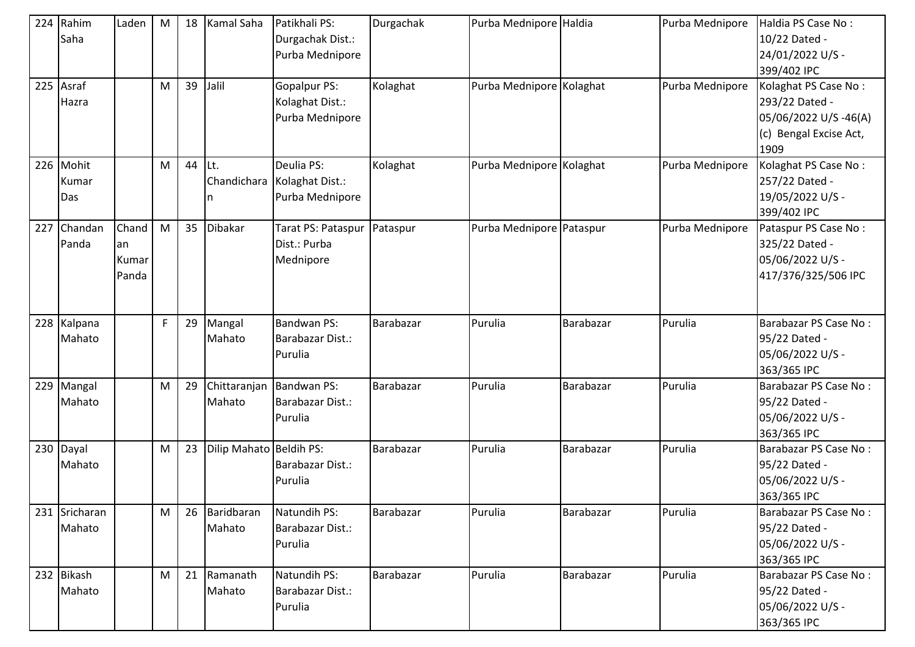|     | 224 Rahim<br>Saha         | Laden                         | M | 18 | <b>Kamal Saha</b>       | Patikhali PS:<br>Durgachak Dist.:<br>Purba Mednipore    | Durgachak | Purba Mednipore Haldia   |           | Purba Mednipore | Haldia PS Case No:<br>10/22 Dated -<br>24/01/2022 U/S -<br>399/402 IPC                           |
|-----|---------------------------|-------------------------------|---|----|-------------------------|---------------------------------------------------------|-----------|--------------------------|-----------|-----------------|--------------------------------------------------------------------------------------------------|
|     | 225 Asraf<br>Hazra        |                               | M | 39 | Jalil                   | Gopalpur PS:<br>Kolaghat Dist.:<br>Purba Mednipore      | Kolaghat  | Purba Mednipore Kolaghat |           | Purba Mednipore | Kolaghat PS Case No:<br>293/22 Dated -<br>05/06/2022 U/S-46(A)<br>(c) Bengal Excise Act,<br>1909 |
|     | 226 Mohit<br>Kumar<br>Das |                               | М | 44 | Lt.<br>Chandichara      | Deulia PS:<br>Kolaghat Dist.:<br>Purba Mednipore        | Kolaghat  | Purba Mednipore Kolaghat |           | Purba Mednipore | Kolaghat PS Case No:<br>257/22 Dated -<br>19/05/2022 U/S -<br>399/402 IPC                        |
| 227 | Chandan<br>Panda          | Chand<br>an<br>Kumar<br>Panda | M | 35 | Dibakar                 | Tarat PS: Pataspur<br>Dist.: Purba<br>Mednipore         | Pataspur  | Purba Mednipore Pataspur |           | Purba Mednipore | Pataspur PS Case No:<br>325/22 Dated -<br>05/06/2022 U/S -<br>417/376/325/506 IPC                |
|     | 228 Kalpana<br>Mahato     |                               | F | 29 | Mangal<br>Mahato        | <b>Bandwan PS:</b><br>Barabazar Dist.:<br>Purulia       | Barabazar | Purulia                  | Barabazar | Purulia         | Barabazar PS Case No:<br>95/22 Dated -<br>05/06/2022 U/S -<br>363/365 IPC                        |
| 229 | Mangal<br>Mahato          |                               | M | 29 | Mahato                  | Chittaranjan Bandwan PS:<br>Barabazar Dist.:<br>Purulia | Barabazar | Purulia                  | Barabazar | Purulia         | Barabazar PS Case No:<br>95/22 Dated -<br>05/06/2022 U/S -<br>363/365 IPC                        |
|     | $230$ Dayal<br>Mahato     |                               | M | 23 | Dilip Mahato Beldih PS: | Barabazar Dist.:<br>Purulia                             | Barabazar | Purulia                  | Barabazar | Purulia         | Barabazar PS Case No:<br>95/22 Dated -<br>05/06/2022 U/S -<br>363/365 IPC                        |
|     | 231 Sricharan<br>Mahato   |                               | M |    | 26 Baridbaran<br>Mahato | Natundih PS:<br>Barabazar Dist.:<br>Purulia             | Barabazar | Purulia                  | Barabazar | Purulia         | Barabazar PS Case No:<br>95/22 Dated -<br>05/06/2022 U/S -<br>363/365 IPC                        |
|     | 232 Bikash<br>Mahato      |                               | М |    | 21 Ramanath<br>Mahato   | Natundih PS:<br>Barabazar Dist.:<br>Purulia             | Barabazar | Purulia                  | Barabazar | Purulia         | Barabazar PS Case No:<br>95/22 Dated -<br>05/06/2022 U/S -<br>363/365 IPC                        |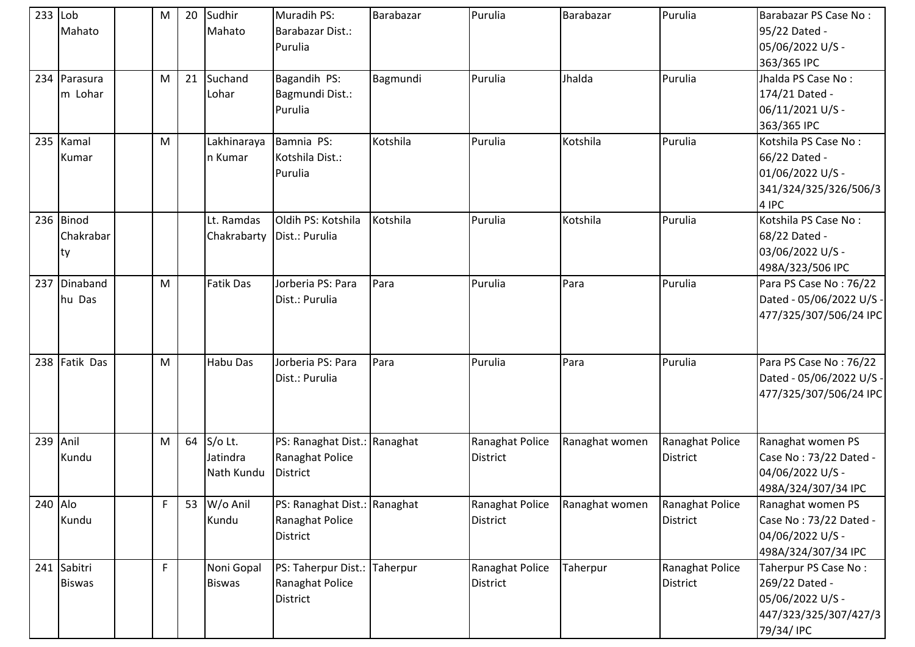| $233$ Lob | Mahato                              | м  | 20 | Sudhir<br>Mahato                  | Muradih PS:<br>Barabazar Dist.:<br>Purulia                  | Barabazar | Purulia                            | Barabazar      | Purulia                            | Barabazar PS Case No:<br>95/22 Dated -<br>05/06/2022 U/S -                                        |
|-----------|-------------------------------------|----|----|-----------------------------------|-------------------------------------------------------------|-----------|------------------------------------|----------------|------------------------------------|---------------------------------------------------------------------------------------------------|
|           | 234 Parasura<br>m Lohar             | M  | 21 | Suchand<br>Lohar                  | Bagandih PS:<br>Bagmundi Dist.:<br>Purulia                  | Bagmundi  | Purulia                            | Jhalda         | Purulia                            | 363/365 IPC<br>Jhalda PS Case No:<br>174/21 Dated -<br>06/11/2021 U/S -<br>363/365 IPC            |
|           | 235 Kamal<br>Kumar                  | M  |    | Lakhinaraya<br>n Kumar            | Bamnia PS:<br>Kotshila Dist.:<br>Purulia                    | Kotshila  | Purulia                            | Kotshila       | Purulia                            | Kotshila PS Case No:<br>66/22 Dated -<br>01/06/2022 U/S -<br>341/324/325/326/506/3<br>4 IPC       |
|           | 236 Binod<br>Chakrabar<br><b>ty</b> |    |    | Lt. Ramdas<br>Chakrabarty         | Oldih PS: Kotshila<br>Dist.: Purulia                        | Kotshila  | Purulia                            | Kotshila       | Purulia                            | Kotshila PS Case No:<br>68/22 Dated -<br>03/06/2022 U/S -<br>498A/323/506 IPC                     |
|           | 237 Dinaband<br>hu Das              | M  |    | <b>Fatik Das</b>                  | Jorberia PS: Para<br>Dist.: Purulia                         | Para      | Purulia                            | Para           | Purulia                            | Para PS Case No: 76/22<br>Dated - 05/06/2022 U/S -<br>477/325/307/506/24 IPC                      |
|           | 238 Fatik Das                       | M  |    | Habu Das                          | Jorberia PS: Para<br>Dist.: Purulia                         | Para      | Purulia                            | Para           | Purulia                            | Para PS Case No: 76/22<br>Dated - 05/06/2022 U/S -<br>477/325/307/506/24 IPC                      |
|           | 239 Anil<br>Kundu                   | M  | 64 | S/o Lt.<br>Jatindra<br>Nath Kundu | PS: Ranaghat Dist.: Ranaghat<br>Ranaghat Police<br>District |           | Ranaghat Police<br><b>District</b> | Ranaghat women | Ranaghat Police<br><b>District</b> | Ranaghat women PS<br>Case No: 73/22 Dated -<br>04/06/2022 U/S -<br>498A/324/307/34 IPC            |
| 240 Alo   | Kundu                               | F  |    | 53 W/o Anil<br>Kundu              | PS: Ranaghat Dist.: Ranaghat<br>Ranaghat Police<br>District |           | Ranaghat Police<br><b>District</b> | Ranaghat women | Ranaghat Police<br><b>District</b> | Ranaghat women PS<br>Case No: 73/22 Dated -<br>04/06/2022 U/S -<br>498A/324/307/34 IPC            |
|           | 241 Sabitri<br><b>Biswas</b>        | F. |    | Noni Gopal<br><b>Biswas</b>       | PS: Taherpur Dist.: Taherpur<br>Ranaghat Police<br>District |           | Ranaghat Police<br><b>District</b> | Taherpur       | Ranaghat Police<br><b>District</b> | Taherpur PS Case No:<br>269/22 Dated -<br>05/06/2022 U/S -<br>447/323/325/307/427/3<br>79/34/ IPC |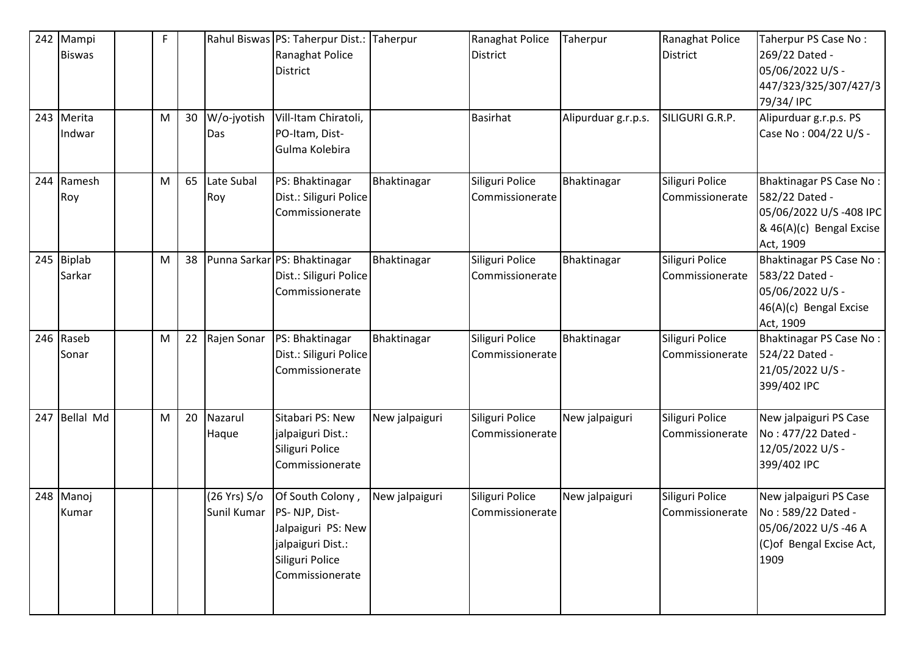| 242 | Mampi<br><b>Biswas</b> | F |    |                    | Rahul Biswas PS: Taherpur Dist.:<br>Ranaghat Police<br><b>District</b>                                                            | Taherpur       | Ranaghat Police<br>District        | Taherpur            | Ranaghat Police<br><b>District</b> | Taherpur PS Case No:<br>269/22 Dated -<br>05/06/2022 U/S -<br>447/323/325/307/427/3<br>79/34/ IPC                   |
|-----|------------------------|---|----|--------------------|-----------------------------------------------------------------------------------------------------------------------------------|----------------|------------------------------------|---------------------|------------------------------------|---------------------------------------------------------------------------------------------------------------------|
|     | 243 Merita<br>Indwar   | M | 30 | W/o-jyotish<br>Das | Vill-Itam Chiratoli,<br>PO-Itam, Dist-<br>Gulma Kolebira                                                                          |                | <b>Basirhat</b>                    | Alipurduar g.r.p.s. | SILIGURI G.R.P.                    | Alipurduar g.r.p.s. PS<br>Case No: 004/22 U/S -                                                                     |
|     | 244 Ramesh<br>Roy      | M | 65 | Late Subal<br>Roy  | PS: Bhaktinagar<br>Dist.: Siliguri Police<br>Commissionerate                                                                      | Bhaktinagar    | Siliguri Police<br>Commissionerate | Bhaktinagar         | Siliguri Police<br>Commissionerate | <b>Bhaktinagar PS Case No:</b><br>582/22 Dated -<br>05/06/2022 U/S-408 IPC<br>& 46(A)(c) Bengal Excise<br>Act, 1909 |
|     | 245 Biplab<br>Sarkar   | M | 38 |                    | Punna Sarkar PS: Bhaktinagar<br>Dist.: Siliguri Police<br>Commissionerate                                                         | Bhaktinagar    | Siliguri Police<br>Commissionerate | Bhaktinagar         | Siliguri Police<br>Commissionerate | Bhaktinagar PS Case No:<br>583/22 Dated -<br>05/06/2022 U/S -<br>46(A)(c) Bengal Excise<br>Act, 1909                |
|     | 246 Raseb<br>Sonar     | M | 22 | Rajen Sonar        | PS: Bhaktinagar<br>Dist.: Siliguri Police<br>Commissionerate                                                                      | Bhaktinagar    | Siliguri Police<br>Commissionerate | Bhaktinagar         | Siliguri Police<br>Commissionerate | Bhaktinagar PS Case No:<br>524/22 Dated -<br>21/05/2022 U/S -<br>399/402 IPC                                        |
| 247 | <b>Bellal Md</b>       | M | 20 | Nazarul<br>Haque   | Sitabari PS: New<br>jalpaiguri Dist.:<br>Siliguri Police<br>Commissionerate                                                       | New jalpaiguri | Siliguri Police<br>Commissionerate | New jalpaiguri      | Siliguri Police<br>Commissionerate | New jalpaiguri PS Case<br>No: 477/22 Dated -<br>12/05/2022 U/S -<br>399/402 IPC                                     |
|     | 248 Manoj<br>Kumar     |   |    | (26 Yrs) S/o       | Of South Colony,<br>Sunil Kumar   PS- NJP, Dist-<br>Jalpaiguri PS: New<br>jalpaiguri Dist.:<br>Siliguri Police<br>Commissionerate | New jalpaiguri | Siliguri Police<br>Commissionerate | New jalpaiguri      | Siliguri Police<br>Commissionerate | New jalpaiguri PS Case<br>No: 589/22 Dated -<br>05/06/2022 U/S-46 A<br>(C) of Bengal Excise Act,<br>1909            |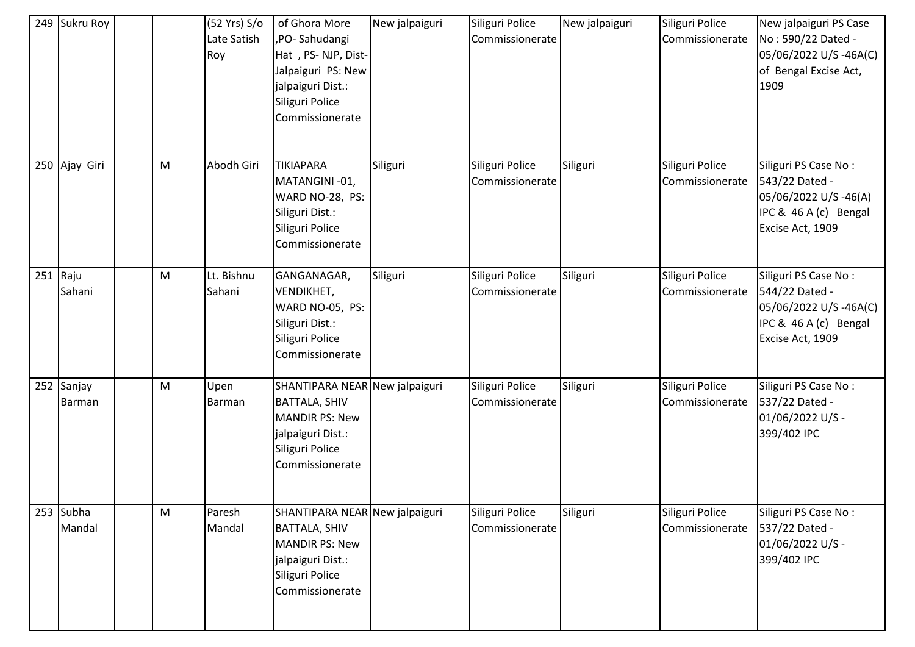| 249 Sukru Roy               |                                                                                                            | (52 Yrs) S/o<br>Late Satish<br>Roy | of Ghora More<br>,PO-Sahudangi<br>Hat, PS-NJP, Dist-<br>Jalpaiguri PS: New<br>jalpaiguri Dist.:<br>Siliguri Police<br>Commissionerate      | New jalpaiguri | Siliguri Police<br>Commissionerate | New jalpaiguri | Siliguri Police<br>Commissionerate | New jalpaiguri PS Case<br>No: 590/22 Dated -<br>05/06/2022 U/S-46A(C)<br>of Bengal Excise Act,<br>1909       |
|-----------------------------|------------------------------------------------------------------------------------------------------------|------------------------------------|--------------------------------------------------------------------------------------------------------------------------------------------|----------------|------------------------------------|----------------|------------------------------------|--------------------------------------------------------------------------------------------------------------|
| 250 Ajay Giri               | M                                                                                                          | Abodh Giri                         | <b>TIKIAPARA</b><br>MATANGINI-01,<br>WARD NO-28, PS:<br>Siliguri Dist.:<br>Siliguri Police<br>Commissionerate                              | Siliguri       | Siliguri Police<br>Commissionerate | Siliguri       | Siliguri Police<br>Commissionerate | Siliguri PS Case No:<br>543/22 Dated -<br>05/06/2022 U/S-46(A)<br>IPC & 46 A (c) Bengal<br>Excise Act, 1909  |
| $251$ Raju<br>Sahani        | M                                                                                                          | Lt. Bishnu<br>Sahani               | GANGANAGAR,<br>VENDIKHET,<br>WARD NO-05, PS:<br>Siliguri Dist.:<br>Siliguri Police<br>Commissionerate                                      | Siliguri       | Siliguri Police<br>Commissionerate | Siliguri       | Siliguri Police<br>Commissionerate | Siliguri PS Case No:<br>544/22 Dated -<br>05/06/2022 U/S-46A(C)<br>IPC & 46 A (c) Bengal<br>Excise Act, 1909 |
| 252 Sanjay<br><b>Barman</b> | $\mathsf{M}% _{T}=\mathsf{M}_{T}\!\left( a,b\right) ,\ \mathsf{M}_{T}=\mathsf{M}_{T}\!\left( a,b\right) ,$ | Upen<br>Barman                     | SHANTIPARA NEAR New jalpaiguri<br><b>BATTALA, SHIV</b><br><b>MANDIR PS: New</b><br>jalpaiguri Dist.:<br>Siliguri Police<br>Commissionerate |                | Siliguri Police<br>Commissionerate | Siliguri       | Siliguri Police<br>Commissionerate | Siliguri PS Case No:<br>537/22 Dated -<br>01/06/2022 U/S -<br>399/402 IPC                                    |
| 253 Subha<br>Mandal         | M                                                                                                          | Paresh<br>Mandal                   | SHANTIPARA NEAR New jalpaiguri<br><b>BATTALA, SHIV</b><br><b>MANDIR PS: New</b><br>jalpaiguri Dist.:<br>Siliguri Police<br>Commissionerate |                | Siliguri Police<br>Commissionerate | Siliguri       | Siliguri Police<br>Commissionerate | Siliguri PS Case No:<br>537/22 Dated -<br>01/06/2022 U/S -<br>399/402 IPC                                    |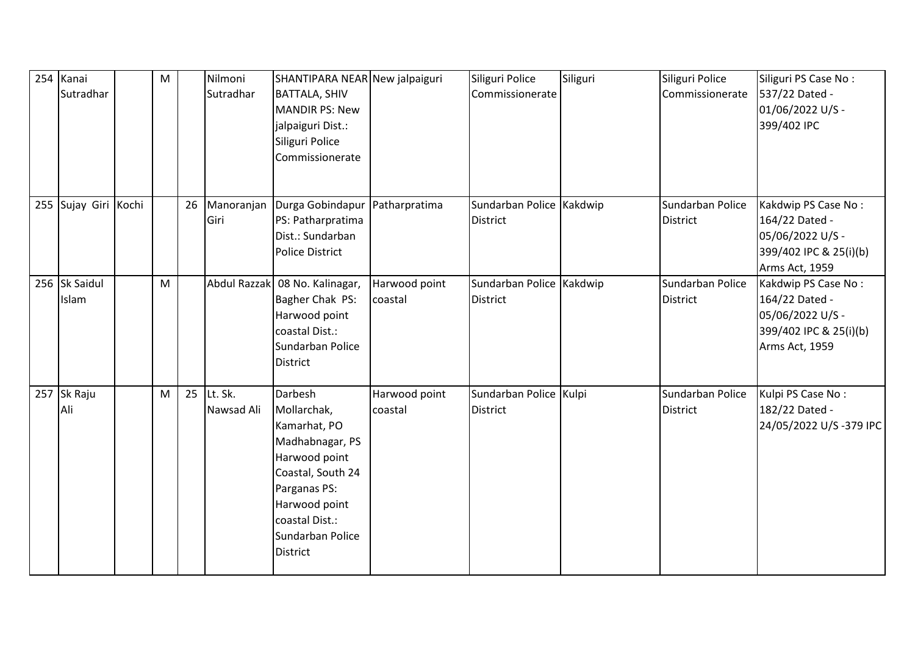| 254 | Kanai<br>Sutradhar     | M |    | Nilmoni<br>Sutradhar  | SHANTIPARA NEAR New jalpaiguri<br><b>BATTALA, SHIV</b><br><b>MANDIR PS: New</b><br>jalpaiguri Dist.:<br>Siliguri Police<br>Commissionerate                                                |                          | Siliguri Police<br>Commissionerate          | Siliguri | Siliguri Police<br>Commissionerate  | Siliguri PS Case No:<br>537/22 Dated -<br>01/06/2022 U/S -<br>399/402 IPC                             |
|-----|------------------------|---|----|-----------------------|-------------------------------------------------------------------------------------------------------------------------------------------------------------------------------------------|--------------------------|---------------------------------------------|----------|-------------------------------------|-------------------------------------------------------------------------------------------------------|
|     | 255 Sujay Giri Kochi   |   | 26 | Manoranjan<br>Giri    | Durga Gobindapur<br>PS: Patharpratima<br>Dist.: Sundarban<br><b>Police District</b>                                                                                                       | Patharpratima            | Sundarban Police Kakdwip<br><b>District</b> |          | Sundarban Police<br><b>District</b> | Kakdwip PS Case No:<br>164/22 Dated -<br>05/06/2022 U/S -<br>399/402 IPC & 25(i)(b)<br>Arms Act, 1959 |
|     | 256 Sk Saidul<br>Islam | M |    | Abdul Razzak          | 08 No. Kalinagar,<br>Bagher Chak PS:<br>Harwood point<br>coastal Dist.:<br>Sundarban Police<br><b>District</b>                                                                            | Harwood point<br>coastal | Sundarban Police Kakdwip<br><b>District</b> |          | Sundarban Police<br><b>District</b> | Kakdwip PS Case No:<br>164/22 Dated -<br>05/06/2022 U/S -<br>399/402 IPC & 25(i)(b)<br>Arms Act, 1959 |
|     | 257 Sk Raju<br>Ali     | M | 25 | Lt. Sk.<br>Nawsad Ali | Darbesh<br>Mollarchak,<br>Kamarhat, PO<br>Madhabnagar, PS<br>Harwood point<br>Coastal, South 24<br>Parganas PS:<br>Harwood point<br>coastal Dist.:<br>Sundarban Police<br><b>District</b> | Harwood point<br>coastal | Sundarban Police Kulpi<br><b>District</b>   |          | Sundarban Police<br><b>District</b> | Kulpi PS Case No:<br>182/22 Dated -<br>24/05/2022 U/S-379 IPC                                         |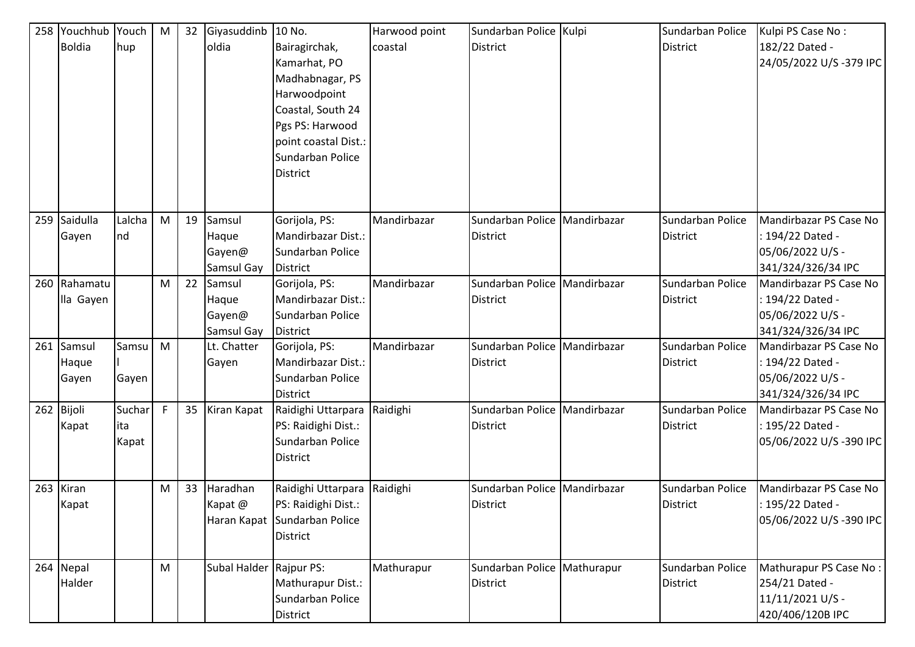| 258 | Youchhub<br><b>Boldia</b>    | Youch<br>hup           | M | 32 | Giyasuddinb<br>oldia                    | 10 No.<br>Bairagirchak,<br>Kamarhat, PO<br>Madhabnagar, PS<br>Harwoodpoint<br>Coastal, South 24<br>Pgs PS: Harwood<br>point coastal Dist.:<br>Sundarban Police<br><b>District</b> | Harwood point<br>coastal | Sundarban Police Kulpi<br><b>District</b>         | Sundarban Police<br><b>District</b> | Kulpi PS Case No:<br>182/22 Dated -<br>24/05/2022 U/S-379 IPC                        |
|-----|------------------------------|------------------------|---|----|-----------------------------------------|-----------------------------------------------------------------------------------------------------------------------------------------------------------------------------------|--------------------------|---------------------------------------------------|-------------------------------------|--------------------------------------------------------------------------------------|
| 259 | Saidulla<br>Gayen            | Lalcha<br>Ind          | M | 19 | Samsul<br>Haque<br>Gayen@<br>Samsul Gay | Gorijola, PS:<br>Mandirbazar Dist.:<br>Sundarban Police<br><b>District</b>                                                                                                        | Mandirbazar              | Sundarban Police   Mandirbazar<br>District        | Sundarban Police<br><b>District</b> | Mandirbazar PS Case No<br>: 194/22 Dated -<br>05/06/2022 U/S -<br>341/324/326/34 IPC |
| 260 | Rahamatu<br>lla Gayen        |                        | M | 22 | Samsul<br>Haque<br>Gayen@<br>Samsul Gay | Gorijola, PS:<br>Mandirbazar Dist.:<br>Sundarban Police<br><b>District</b>                                                                                                        | Mandirbazar              | Sundarban Police   Mandirbazar<br><b>District</b> | Sundarban Police<br><b>District</b> | Mandirbazar PS Case No<br>: 194/22 Dated -<br>05/06/2022 U/S -<br>341/324/326/34 IPC |
|     | 261 Samsul<br>Haque<br>Gayen | Samsu<br>Gayen         | M |    | Lt. Chatter<br>Gayen                    | Gorijola, PS:<br>Mandirbazar Dist.:<br>Sundarban Police<br><b>District</b>                                                                                                        | Mandirbazar              | Sundarban Police   Mandirbazar<br><b>District</b> | Sundarban Police<br><b>District</b> | Mandirbazar PS Case No<br>: 194/22 Dated -<br>05/06/2022 U/S -<br>341/324/326/34 IPC |
|     | 262 Bijoli<br>Kapat          | Suchar<br>ita<br>Kapat | F | 35 | Kiran Kapat                             | Raidighi Uttarpara<br>PS: Raidighi Dist.:<br>Sundarban Police<br><b>District</b>                                                                                                  | Raidighi                 | Sundarban Police Mandirbazar<br>District          | Sundarban Police<br><b>District</b> | Mandirbazar PS Case No<br>: 195/22 Dated -<br>05/06/2022 U/S-390 IPC                 |
|     | 263 Kiran<br>Kapat           |                        | M | 33 | Haradhan<br>Kapat @                     | Raidighi Uttarpara<br>PS: Raidighi Dist.:<br>Haran Kapat Sundarban Police<br>District                                                                                             | Raidighi                 | Sundarban Police Mandirbazar<br>District          | Sundarban Police<br><b>District</b> | Mandirbazar PS Case No<br>: 195/22 Dated -<br>05/06/2022 U/S-390 IPC                 |
|     | 264 Nepal<br>Halder          |                        | M |    | Subal Halder Rajpur PS:                 | Mathurapur Dist.:<br>Sundarban Police<br>District                                                                                                                                 | Mathurapur               | Sundarban Police   Mathurapur<br>District         | Sundarban Police<br><b>District</b> | Mathurapur PS Case No:<br>254/21 Dated -<br>11/11/2021 U/S -<br>420/406/120B IPC     |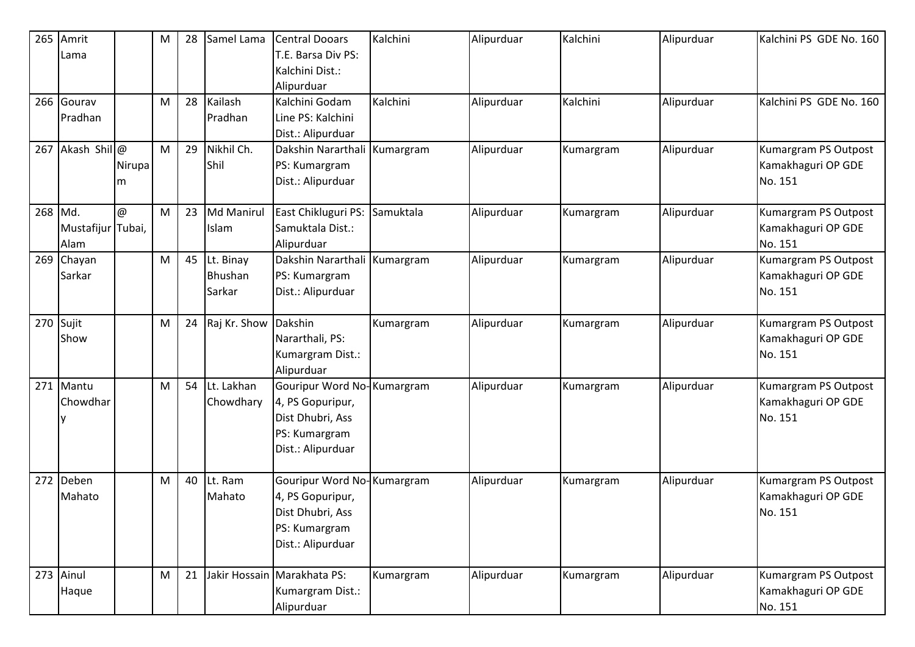| 265     | Amrit             |                           | M | 28 | Samel Lama           | <b>Central Dooars</b>        | Kalchini  | Alipurduar | Kalchini  | Alipurduar | Kalchini PS GDE No. 160 |
|---------|-------------------|---------------------------|---|----|----------------------|------------------------------|-----------|------------|-----------|------------|-------------------------|
|         | Lama              |                           |   |    |                      | T.E. Barsa Div PS:           |           |            |           |            |                         |
|         |                   |                           |   |    |                      | Kalchini Dist.:              |           |            |           |            |                         |
|         |                   |                           |   |    |                      | Alipurduar                   |           |            |           |            |                         |
|         | 266 Gourav        |                           | M | 28 | Kailash              | Kalchini Godam               | Kalchini  | Alipurduar | Kalchini  | Alipurduar | Kalchini PS GDE No. 160 |
|         | Pradhan           |                           |   |    | Pradhan              | Line PS: Kalchini            |           |            |           |            |                         |
|         |                   |                           |   |    |                      | Dist.: Alipurduar            |           |            |           |            |                         |
| 267     | Akash Shil@       |                           | M | 29 | Nikhil Ch.           | Dakshin Nararthali Kumargram |           | Alipurduar | Kumargram | Alipurduar | Kumargram PS Outpost    |
|         |                   | Nirupal                   |   |    | Shil                 | PS: Kumargram                |           |            |           |            | Kamakhaguri OP GDE      |
|         |                   |                           |   |    |                      |                              |           |            |           |            | No. 151                 |
|         |                   | m                         |   |    |                      | Dist.: Alipurduar            |           |            |           |            |                         |
| 268 Md. |                   | $^\text{\textregistered}$ | M | 23 | <b>Md Manirul</b>    | East Chikluguri PS:          | Samuktala | Alipurduar | Kumargram | Alipurduar | Kumargram PS Outpost    |
|         |                   |                           |   |    |                      | Samuktala Dist.:             |           |            |           |            |                         |
|         | Mustafijur Tubai, |                           |   |    | Islam                |                              |           |            |           |            | Kamakhaguri OP GDE      |
|         | Alam              |                           |   |    |                      | Alipurduar                   |           |            |           |            | No. 151                 |
| 269     | Chayan            |                           | M | 45 | Lt. Binay            | Dakshin Nararthali Kumargram |           | Alipurduar | Kumargram | Alipurduar | Kumargram PS Outpost    |
|         | Sarkar            |                           |   |    | Bhushan              | PS: Kumargram                |           |            |           |            | Kamakhaguri OP GDE      |
|         |                   |                           |   |    | Sarkar               | Dist.: Alipurduar            |           |            |           |            | No. 151                 |
|         |                   |                           |   |    |                      |                              |           |            |           |            |                         |
|         | 270 Sujit         |                           | M | 24 | Raj Kr. Show Dakshin |                              | Kumargram | Alipurduar | Kumargram | Alipurduar | Kumargram PS Outpost    |
|         | Show              |                           |   |    |                      | Nararthali, PS:              |           |            |           |            | Kamakhaguri OP GDE      |
|         |                   |                           |   |    |                      | Kumargram Dist.:             |           |            |           |            | No. 151                 |
|         |                   |                           |   |    |                      | Alipurduar                   |           |            |           |            |                         |
| 271     | Mantu             |                           | M | 54 | Lt. Lakhan           | Gouripur Word No-Kumargram   |           | Alipurduar | Kumargram | Alipurduar | Kumargram PS Outpost    |
|         | Chowdhar          |                           |   |    | Chowdhary            | 4, PS Gopuripur,             |           |            |           |            | Kamakhaguri OP GDE      |
|         |                   |                           |   |    |                      | Dist Dhubri, Ass             |           |            |           |            | No. 151                 |
|         |                   |                           |   |    |                      | PS: Kumargram                |           |            |           |            |                         |
|         |                   |                           |   |    |                      | Dist.: Alipurduar            |           |            |           |            |                         |
|         |                   |                           |   |    |                      |                              |           |            |           |            |                         |
| 272     | Deben             |                           | M | 40 | Lt. Ram              | Gouripur Word No-Kumargram   |           | Alipurduar | Kumargram | Alipurduar | Kumargram PS Outpost    |
|         | Mahato            |                           |   |    | Mahato               | 4, PS Gopuripur,             |           |            |           |            | Kamakhaguri OP GDE      |
|         |                   |                           |   |    |                      | Dist Dhubri, Ass             |           |            |           |            | No. 151                 |
|         |                   |                           |   |    |                      | PS: Kumargram                |           |            |           |            |                         |
|         |                   |                           |   |    |                      | Dist.: Alipurduar            |           |            |           |            |                         |
|         |                   |                           |   |    |                      |                              |           |            |           |            |                         |
|         | 273 Ainul         |                           | M | 21 |                      | Jakir Hossain Marakhata PS:  | Kumargram | Alipurduar | Kumargram | Alipurduar | Kumargram PS Outpost    |
|         | Haque             |                           |   |    |                      | Kumargram Dist.:             |           |            |           |            | Kamakhaguri OP GDE      |
|         |                   |                           |   |    |                      | Alipurduar                   |           |            |           |            | No. 151                 |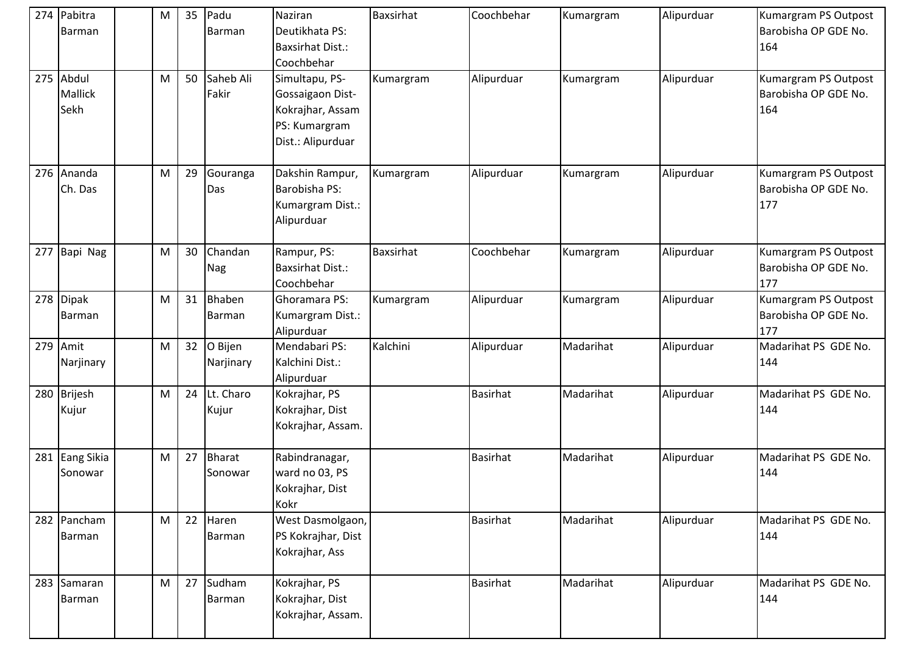| 274 Pabitra<br>Barman               | M | 35 | Padu<br>Barman           | Naziran<br>Deutikhata PS:<br><b>Baxsirhat Dist.:</b><br>Coochbehar                           | Baxsirhat        | Coochbehar      | Kumargram | Alipurduar | Kumargram PS Outpost<br>Barobisha OP GDE No.<br>164 |
|-------------------------------------|---|----|--------------------------|----------------------------------------------------------------------------------------------|------------------|-----------------|-----------|------------|-----------------------------------------------------|
| 275 Abdul<br><b>Mallick</b><br>Sekh | M | 50 | Saheb Ali<br>Fakir       | Simultapu, PS-<br>Gossaigaon Dist-<br>Kokrajhar, Assam<br>PS: Kumargram<br>Dist.: Alipurduar | Kumargram        | Alipurduar      | Kumargram | Alipurduar | Kumargram PS Outpost<br>Barobisha OP GDE No.<br>164 |
| 276 Ananda<br>Ch. Das               | M | 29 | Gouranga<br>Das          | Dakshin Rampur,<br>Barobisha PS:<br>Kumargram Dist.:<br>Alipurduar                           | Kumargram        | Alipurduar      | Kumargram | Alipurduar | Kumargram PS Outpost<br>Barobisha OP GDE No.<br>177 |
| 277 Bapi Nag                        | M | 30 | Chandan<br>Nag           | Rampur, PS:<br><b>Baxsirhat Dist.:</b><br>Coochbehar                                         | <b>Baxsirhat</b> | Coochbehar      | Kumargram | Alipurduar | Kumargram PS Outpost<br>Barobisha OP GDE No.<br>177 |
| 278 Dipak<br><b>Barman</b>          | M | 31 | Bhaben<br>Barman         | Ghoramara PS:<br>Kumargram Dist.:<br>Alipurduar                                              | Kumargram        | Alipurduar      | Kumargram | Alipurduar | Kumargram PS Outpost<br>Barobisha OP GDE No.<br>177 |
| 279 Amit<br>Narjinary               | M | 32 | O Bijen<br>Narjinary     | Mendabari PS:<br>Kalchini Dist.:<br>Alipurduar                                               | Kalchini         | Alipurduar      | Madarihat | Alipurduar | Madarihat PS GDE No.<br>144                         |
| 280 Brijesh<br>Kujur                | M | 24 | Lt. Charo<br>Kujur       | Kokrajhar, PS<br>Kokrajhar, Dist<br>Kokrajhar, Assam.                                        |                  | <b>Basirhat</b> | Madarihat | Alipurduar | Madarihat PS GDE No.<br>144                         |
| 281 Eang Sikia<br>Sonowar           | M | 27 | <b>Bharat</b><br>Sonowar | Rabindranagar,<br>ward no 03, PS<br>Kokrajhar, Dist<br>Kokr                                  |                  | <b>Basirhat</b> | Madarihat | Alipurduar | Madarihat PS GDE No.<br>144                         |
| 282 Pancham<br>Barman               | M | 22 | Haren<br>Barman          | West Dasmolgaon,<br>PS Kokrajhar, Dist<br>Kokrajhar, Ass                                     |                  | <b>Basirhat</b> | Madarihat | Alipurduar | Madarihat PS GDE No.<br>144                         |
| 283 Samaran<br>Barman               | M | 27 | Sudham<br><b>Barman</b>  | Kokrajhar, PS<br>Kokrajhar, Dist<br>Kokrajhar, Assam.                                        |                  | <b>Basirhat</b> | Madarihat | Alipurduar | Madarihat PS GDE No.<br>144                         |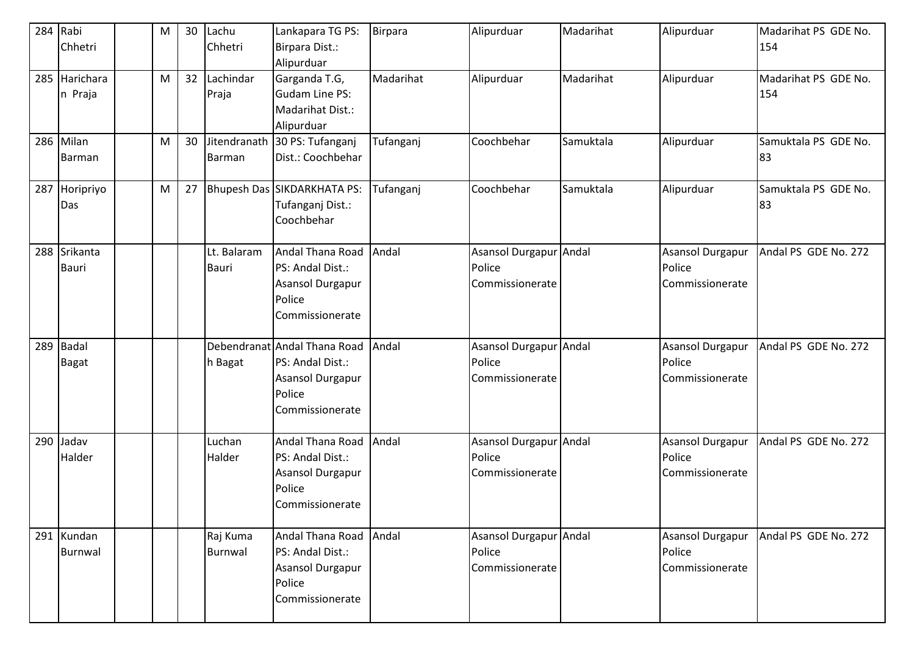| 284 | Rabi<br>Chhetri              | M | 30 | Lachu<br>Chhetri            | Lankapara TG PS:<br>Birpara Dist.:                                                                | <b>Birpara</b> | Alipurduar                                          | Madarihat | Alipurduar                                           | Madarihat PS GDE No.<br>154 |
|-----|------------------------------|---|----|-----------------------------|---------------------------------------------------------------------------------------------------|----------------|-----------------------------------------------------|-----------|------------------------------------------------------|-----------------------------|
| 285 | Harichara<br>n Praja         | M | 32 | Lachindar<br>Praja          | Alipurduar<br>Garganda T.G,<br><b>Gudam Line PS:</b><br>Madarihat Dist.:<br>Alipurduar            | Madarihat      | Alipurduar                                          | Madarihat | Alipurduar                                           | Madarihat PS GDE No.<br>154 |
|     | 286 Milan<br>Barman          | M | 30 | Jitendranath<br>Barman      | 30 PS: Tufanganj<br>Dist.: Coochbehar                                                             | Tufanganj      | Coochbehar                                          | Samuktala | Alipurduar                                           | Samuktala PS GDE No.<br>83  |
| 287 | Horipriyo<br>Das             | M | 27 |                             | Bhupesh Das SIKDARKHATA PS:<br>Tufanganj Dist.:<br>Coochbehar                                     | Tufanganj      | Coochbehar                                          | Samuktala | Alipurduar                                           | Samuktala PS GDE No.<br>83  |
| 288 | Srikanta<br><b>Bauri</b>     |   |    | Lt. Balaram<br><b>Bauri</b> | Andal Thana Road<br>PS: Andal Dist.:<br>Asansol Durgapur<br>Police<br>Commissionerate             | Andal          | Asansol Durgapur Andal<br>Police<br>Commissionerate |           | <b>Asansol Durgapur</b><br>Police<br>Commissionerate | Andal PS GDE No. 272        |
| 289 | <b>Badal</b><br><b>Bagat</b> |   |    | h Bagat                     | Debendranat Andal Thana Road<br>PS: Andal Dist.:<br>Asansol Durgapur<br>Police<br>Commissionerate | Andal          | Asansol Durgapur Andal<br>Police<br>Commissionerate |           | <b>Asansol Durgapur</b><br>Police<br>Commissionerate | Andal PS GDE No. 272        |
| 290 | Jadav<br>Halder              |   |    | Luchan<br>Halder            | Andal Thana Road<br>PS: Andal Dist.:<br>Asansol Durgapur<br>Police<br>Commissionerate             | Andal          | Asansol Durgapur Andal<br>Police<br>Commissionerate |           | <b>Asansol Durgapur</b><br>Police<br>Commissionerate | Andal PS GDE No. 272        |
|     | 291 Kundan<br>Burnwal        |   |    | Raj Kuma<br>Burnwal         | Andal Thana Road Andal<br>PS: Andal Dist.:<br>Asansol Durgapur<br>Police<br>Commissionerate       |                | Asansol Durgapur Andal<br>Police<br>Commissionerate |           | <b>Asansol Durgapur</b><br>Police<br>Commissionerate | Andal PS GDE No. 272        |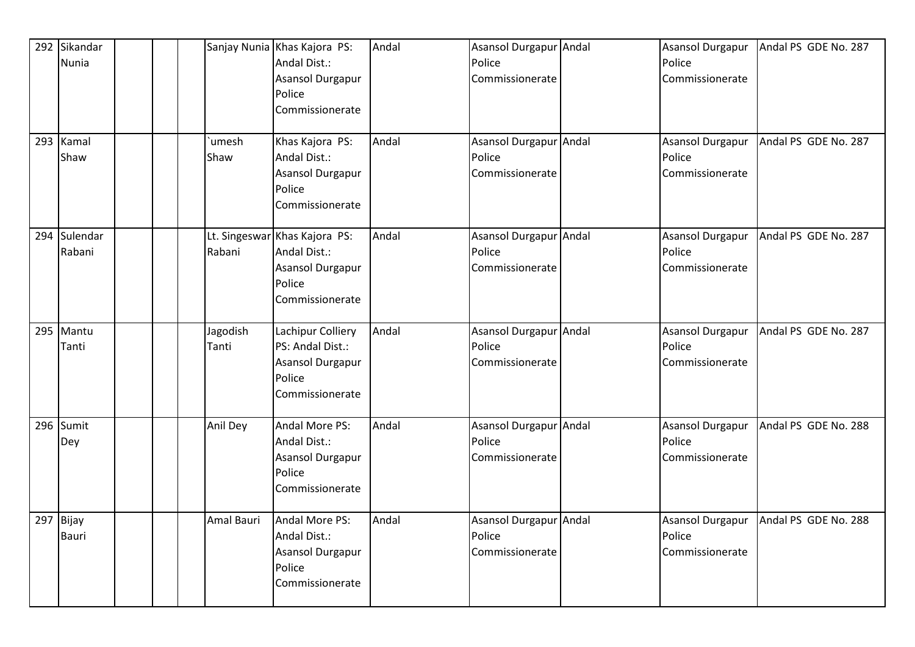| 292 Sikandar<br><b>Nunia</b> |                      | Sanjay Nunia Khas Kajora PS:<br>Andal Dist.:<br>Asansol Durgapur<br>Police<br>Commissionerate  | Andal | Asansol Durgapur Andal<br>Police<br>Commissionerate | <b>Asansol Durgapur</b><br>Police<br>Commissionerate | Andal PS GDE No. 287                    |
|------------------------------|----------------------|------------------------------------------------------------------------------------------------|-------|-----------------------------------------------------|------------------------------------------------------|-----------------------------------------|
| 293 Kamal<br>Shaw            | <b>umesh</b><br>Shaw | Khas Kajora PS:<br>Andal Dist.:<br>Asansol Durgapur<br>Police<br>Commissionerate               | Andal | Asansol Durgapur Andal<br>Police<br>Commissionerate | Police<br>Commissionerate                            | Asansol Durgapur   Andal PS GDE No. 287 |
| 294 Sulendar<br>Rabani       | Rabani               | Lt. Singeswar Khas Kajora PS:<br>Andal Dist.:<br>Asansol Durgapur<br>Police<br>Commissionerate | Andal | Asansol Durgapur Andal<br>Police<br>Commissionerate | Asansol Durgapur<br>Police<br>Commissionerate        | Andal PS GDE No. 287                    |
| 295 Mantu<br>Tanti           | Jagodish<br>Tanti    | Lachipur Colliery<br>PS: Andal Dist.:<br><b>Asansol Durgapur</b><br>Police<br>Commissionerate  | Andal | Asansol Durgapur Andal<br>Police<br>Commissionerate | Asansol Durgapur<br>Police<br>Commissionerate        | Andal PS GDE No. 287                    |
| 296 Sumit<br>Dey             | Anil Dey             | Andal More PS:<br>Andal Dist.:<br><b>Asansol Durgapur</b><br>Police<br>Commissionerate         | Andal | Asansol Durgapur Andal<br>Police<br>Commissionerate | <b>Asansol Durgapur</b><br>Police<br>Commissionerate | Andal PS GDE No. 288                    |
| 297 Bijay<br><b>Bauri</b>    | Amal Bauri           | Andal More PS:<br>Andal Dist.:<br>Asansol Durgapur<br>Police<br>Commissionerate                | Andal | Asansol Durgapur Andal<br>Police<br>Commissionerate | Asansol Durgapur<br>Police<br>Commissionerate        | Andal PS GDE No. 288                    |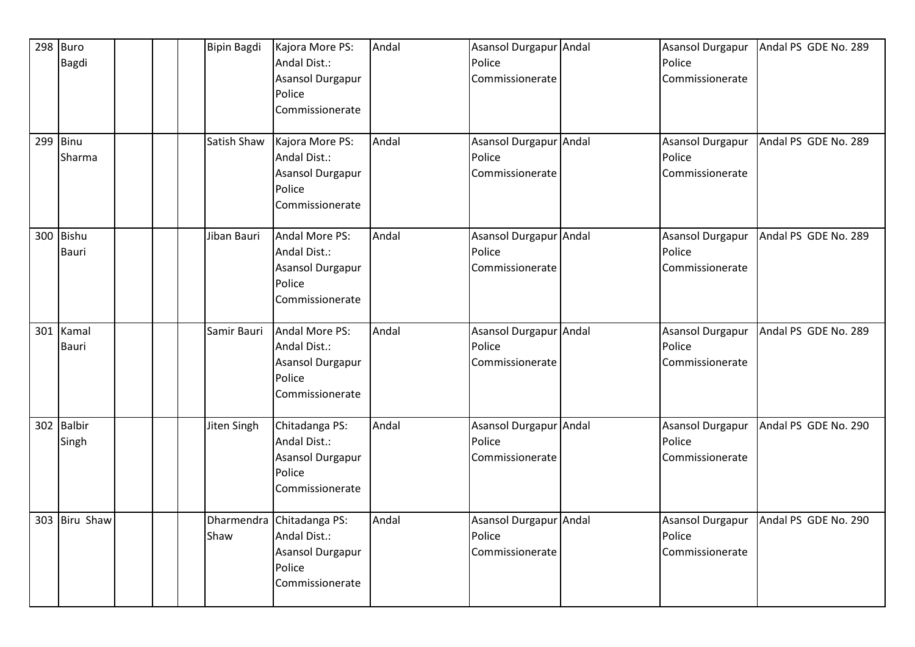|     | 298 Buro<br>Bagdi    | Bipin Bagdi | Kajora More PS:<br>Andal Dist.:<br>Asansol Durgapur<br>Police<br>Commissionerate           | Andal | Asansol Durgapur Andal<br>Police<br>Commissionerate | Asansol Durgapur<br>Police<br>Commissionerate        | Andal PS GDE No. 289 |
|-----|----------------------|-------------|--------------------------------------------------------------------------------------------|-------|-----------------------------------------------------|------------------------------------------------------|----------------------|
|     | $299$ Binu<br>Sharma | Satish Shaw | Kajora More PS:<br>Andal Dist.:<br>Asansol Durgapur<br>Police<br>Commissionerate           | Andal | Asansol Durgapur Andal<br>Police<br>Commissionerate | <b>Asansol Durgapur</b><br>Police<br>Commissionerate | Andal PS GDE No. 289 |
|     | 300 Bishu<br>Bauri   | Jiban Bauri | <b>Andal More PS:</b><br>Andal Dist.:<br>Asansol Durgapur<br>Police<br>Commissionerate     | Andal | Asansol Durgapur Andal<br>Police<br>Commissionerate | <b>Asansol Durgapur</b><br>Police<br>Commissionerate | Andal PS GDE No. 289 |
| 301 | Kamal<br>Bauri       | Samir Bauri | Andal More PS:<br>Andal Dist.:<br>Asansol Durgapur<br>Police<br>Commissionerate            | Andal | Asansol Durgapur Andal<br>Police<br>Commissionerate | Asansol Durgapur<br>Police<br>Commissionerate        | Andal PS GDE No. 289 |
|     | 302 Balbir<br>Singh  | Jiten Singh | Chitadanga PS:<br>Andal Dist.:<br>Asansol Durgapur<br>Police<br>Commissionerate            | Andal | Asansol Durgapur Andal<br>Police<br>Commissionerate | <b>Asansol Durgapur</b><br>Police<br>Commissionerate | Andal PS GDE No. 290 |
|     | 303 Biru Shaw        | Shaw        | Dharmendra Chitadanga PS:<br>Andal Dist.:<br>Asansol Durgapur<br>Police<br>Commissionerate | Andal | Asansol Durgapur Andal<br>Police<br>Commissionerate | <b>Asansol Durgapur</b><br>Police<br>Commissionerate | Andal PS GDE No. 290 |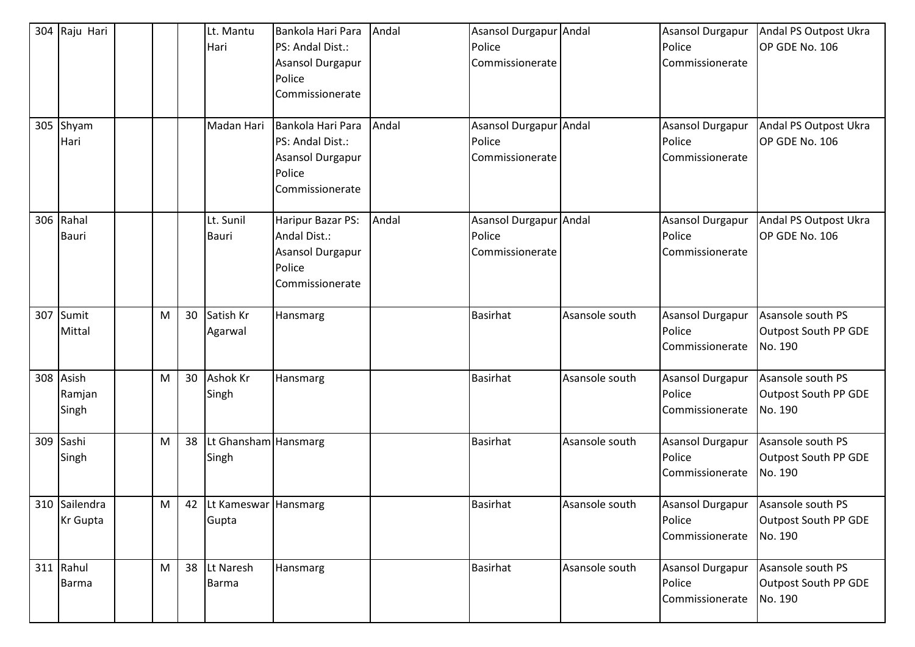|     | 304 Raju Hari<br>305 Shyam<br>Hari |   |    | Lt. Mantu<br>Hari<br>Madan Hari  | Bankola Hari Para<br>PS: Andal Dist.:<br>Asansol Durgapur<br>Police<br>Commissionerate<br>Bankola Hari Para<br>PS: Andal Dist.:<br>Asansol Durgapur<br>Police | Andal<br>Andal | Asansol Durgapur Andal<br>Police<br>Commissionerate<br>Asansol Durgapur Andal<br>Police<br>Commissionerate |                | <b>Asansol Durgapur</b><br>Police<br>Commissionerate<br>Asansol Durgapur<br>Police<br>Commissionerate | Andal PS Outpost Ukra<br>OP GDE No. 106<br>Andal PS Outpost Ukra<br>OP GDE No. 106 |
|-----|------------------------------------|---|----|----------------------------------|---------------------------------------------------------------------------------------------------------------------------------------------------------------|----------------|------------------------------------------------------------------------------------------------------------|----------------|-------------------------------------------------------------------------------------------------------|------------------------------------------------------------------------------------|
| 306 | Rahal<br><b>Bauri</b>              |   |    | Lt. Sunil<br>Bauri               | Commissionerate<br>Haripur Bazar PS:<br>Andal Dist.:<br>Asansol Durgapur<br>Police<br>Commissionerate                                                         | Andal          | Asansol Durgapur Andal<br>Police<br>Commissionerate                                                        |                | Asansol Durgapur<br>Police<br>Commissionerate                                                         | Andal PS Outpost Ukra<br>OP GDE No. 106                                            |
| 307 | Sumit<br>Mittal                    | M | 30 | Satish Kr<br>Agarwal             | Hansmarg                                                                                                                                                      |                | <b>Basirhat</b>                                                                                            | Asansole south | Asansol Durgapur<br>Police<br>Commissionerate                                                         | Asansole south PS<br>Outpost South PP GDE<br>No. 190                               |
|     | 308 Asish<br>Ramjan<br>Singh       | M | 30 | Ashok Kr<br>Singh                | Hansmarg                                                                                                                                                      |                | <b>Basirhat</b>                                                                                            | Asansole south | <b>Asansol Durgapur</b><br>Police<br>Commissionerate                                                  | Asansole south PS<br>Outpost South PP GDE<br>No. 190                               |
| 309 | Sashi<br>Singh                     | M | 38 | Lt Ghansham Hansmarg<br>Singh    |                                                                                                                                                               |                | <b>Basirhat</b>                                                                                            | Asansole south | <b>Asansol Durgapur</b><br>Police<br>Commissionerate                                                  | Asansole south PS<br>Outpost South PP GDE<br>No. 190                               |
|     | 310 Sailendra<br><b>Kr</b> Gupta   | M |    | 42 Lt Kameswar Hansmarg<br>Gupta |                                                                                                                                                               |                | <b>Basirhat</b>                                                                                            | Asansole south | <b>Asansol Durgapur</b><br>Police<br>Commissionerate                                                  | Asansole south PS<br>Outpost South PP GDE<br>No. 190                               |
|     | 311 Rahul<br><b>Barma</b>          | M | 38 | Lt Naresh<br><b>Barma</b>        | Hansmarg                                                                                                                                                      |                | <b>Basirhat</b>                                                                                            | Asansole south | Asansol Durgapur<br>Police<br>Commissionerate                                                         | Asansole south PS<br>Outpost South PP GDE<br>No. 190                               |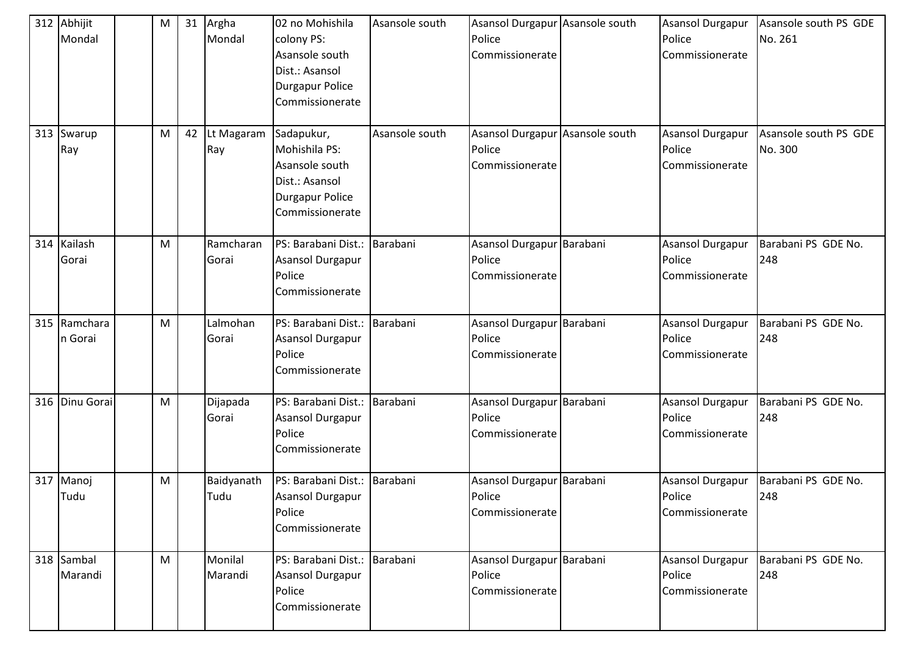|     | 312 Abhijit<br>Mondal | M | 31 | Argha<br>Mondal    | 02 no Mohishila<br>colony PS:<br>Asansole south<br>Dist.: Asansol<br><b>Durgapur Police</b><br>Commissionerate | Asansole south | Asansol Durgapur Asansole south<br>Police<br>Commissionerate | <b>Asansol Durgapur</b><br>Police<br>Commissionerate | Asansole south PS GDE<br>No. 261 |
|-----|-----------------------|---|----|--------------------|----------------------------------------------------------------------------------------------------------------|----------------|--------------------------------------------------------------|------------------------------------------------------|----------------------------------|
|     | 313 Swarup<br>Ray     | M | 42 | Lt Magaram<br>Ray  | Sadapukur,<br>Mohishila PS:<br>Asansole south<br>Dist.: Asansol<br><b>Durgapur Police</b><br>Commissionerate   | Asansole south | Asansol Durgapur Asansole south<br>Police<br>Commissionerate | <b>Asansol Durgapur</b><br>Police<br>Commissionerate | Asansole south PS GDE<br>No. 300 |
|     | 314 Kailash<br>Gorai  | M |    | Ramcharan<br>Gorai | PS: Barabani Dist.:<br>Asansol Durgapur<br>Police<br>Commissionerate                                           | Barabani       | Asansol Durgapur Barabani<br>Police<br>Commissionerate       | <b>Asansol Durgapur</b><br>Police<br>Commissionerate | Barabani PS GDE No.<br>248       |
| 315 | Ramchara<br>n Gorai   | M |    | Lalmohan<br>Gorai  | PS: Barabani Dist.:<br>Asansol Durgapur<br>Police<br>Commissionerate                                           | Barabani       | Asansol Durgapur Barabani<br>Police<br>Commissionerate       | <b>Asansol Durgapur</b><br>Police<br>Commissionerate | Barabani PS GDE No.<br>248       |
|     | 316 Dinu Gorai        | M |    | Dijapada<br>Gorai  | PS: Barabani Dist.:<br>Asansol Durgapur<br>Police<br>Commissionerate                                           | Barabani       | Asansol Durgapur Barabani<br>Police<br>Commissionerate       | <b>Asansol Durgapur</b><br>Police<br>Commissionerate | Barabani PS GDE No.<br>248       |
|     | 317 Manoj<br>Tudu     | M |    | Baidyanath<br>Tudu | PS: Barabani Dist.:<br>Asansol Durgapur<br>Police<br>Commissionerate                                           | Barabani       | Asansol Durgapur Barabani<br>Police<br>Commissionerate       | <b>Asansol Durgapur</b><br>Police<br>Commissionerate | Barabani PS GDE No.<br>248       |
|     | 318 Sambal<br>Marandi | M |    | Monilal<br>Marandi | PS: Barabani Dist.:<br>Asansol Durgapur<br>Police<br>Commissionerate                                           | Barabani       | Asansol Durgapur Barabani<br>Police<br>Commissionerate       | Asansol Durgapur<br>Police<br>Commissionerate        | Barabani PS GDE No.<br>248       |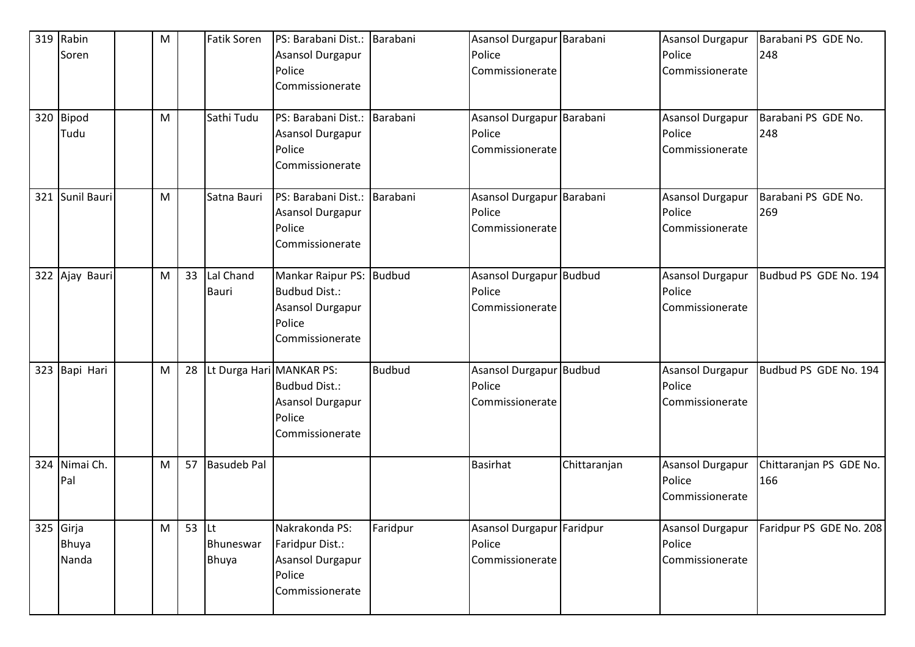| 319 Rabin       | M |               | <b>Fatik Soren</b>       | PS: Barabani Dist.:      | Barabani      | Asansol Durgapur Barabani |              | <b>Asansol Durgapur</b> | Barabani PS GDE No.     |
|-----------------|---|---------------|--------------------------|--------------------------|---------------|---------------------------|--------------|-------------------------|-------------------------|
| Soren           |   |               |                          | Asansol Durgapur         |               | Police                    |              | Police                  | 248                     |
|                 |   |               |                          | Police                   |               | Commissionerate           |              | Commissionerate         |                         |
|                 |   |               |                          | Commissionerate          |               |                           |              |                         |                         |
| 320 Bipod       | M |               | Sathi Tudu               | PS: Barabani Dist.:      | Barabani      | Asansol Durgapur Barabani |              | <b>Asansol Durgapur</b> | Barabani PS GDE No.     |
| Tudu            |   |               |                          | Asansol Durgapur         |               | Police                    |              | Police                  | 248                     |
|                 |   |               |                          | Police                   |               | Commissionerate           |              | Commissionerate         |                         |
|                 |   |               |                          | Commissionerate          |               |                           |              |                         |                         |
| 321 Sunil Bauri | M |               | Satna Bauri              | PS: Barabani Dist.:      | Barabani      | Asansol Durgapur Barabani |              | <b>Asansol Durgapur</b> | Barabani PS GDE No.     |
|                 |   |               |                          | Asansol Durgapur         |               | Police                    |              | Police                  | 269                     |
|                 |   |               |                          | Police                   |               | Commissionerate           |              | Commissionerate         |                         |
|                 |   |               |                          | Commissionerate          |               |                           |              |                         |                         |
| 322 Ajay Bauri  | M | 33            | Lal Chand                | Mankar Raipur PS: Budbud |               | Asansol Durgapur Budbud   |              | <b>Asansol Durgapur</b> | Budbud PS GDE No. 194   |
|                 |   |               | Bauri                    | <b>Budbud Dist.:</b>     |               | Police                    |              | Police                  |                         |
|                 |   |               |                          | Asansol Durgapur         |               | Commissionerate           |              | Commissionerate         |                         |
|                 |   |               |                          | Police                   |               |                           |              |                         |                         |
|                 |   |               |                          | Commissionerate          |               |                           |              |                         |                         |
| 323 Bapi Hari   | M | 28            | Lt Durga Hari MANKAR PS: |                          | <b>Budbud</b> | Asansol Durgapur Budbud   |              | <b>Asansol Durgapur</b> | Budbud PS GDE No. 194   |
|                 |   |               |                          | <b>Budbud Dist.:</b>     |               | Police                    |              | Police                  |                         |
|                 |   |               |                          | Asansol Durgapur         |               | Commissionerate           |              | Commissionerate         |                         |
|                 |   |               |                          | Police                   |               |                           |              |                         |                         |
|                 |   |               |                          | Commissionerate          |               |                           |              |                         |                         |
| 324 Nimai Ch.   | M | 57            | <b>Basudeb Pal</b>       |                          |               | <b>Basirhat</b>           | Chittaranjan | Asansol Durgapur        | Chittaranjan PS GDE No. |
| Pal             |   |               |                          |                          |               |                           |              | Police                  | 166                     |
|                 |   |               |                          |                          |               |                           |              | Commissionerate         |                         |
| 325 Girja       | M | 53 $\vert$ Lt |                          | Nakrakonda PS:           | Faridpur      | Asansol Durgapur Faridpur |              | Asansol Durgapur        | Faridpur PS GDE No. 208 |
| Bhuya           |   |               | Bhuneswar                | Faridpur Dist.:          |               | Police                    |              | Police                  |                         |
| Nanda           |   |               | Bhuya                    | Asansol Durgapur         |               | Commissionerate           |              | Commissionerate         |                         |
|                 |   |               |                          | Police                   |               |                           |              |                         |                         |
|                 |   |               |                          | Commissionerate          |               |                           |              |                         |                         |
|                 |   |               |                          |                          |               |                           |              |                         |                         |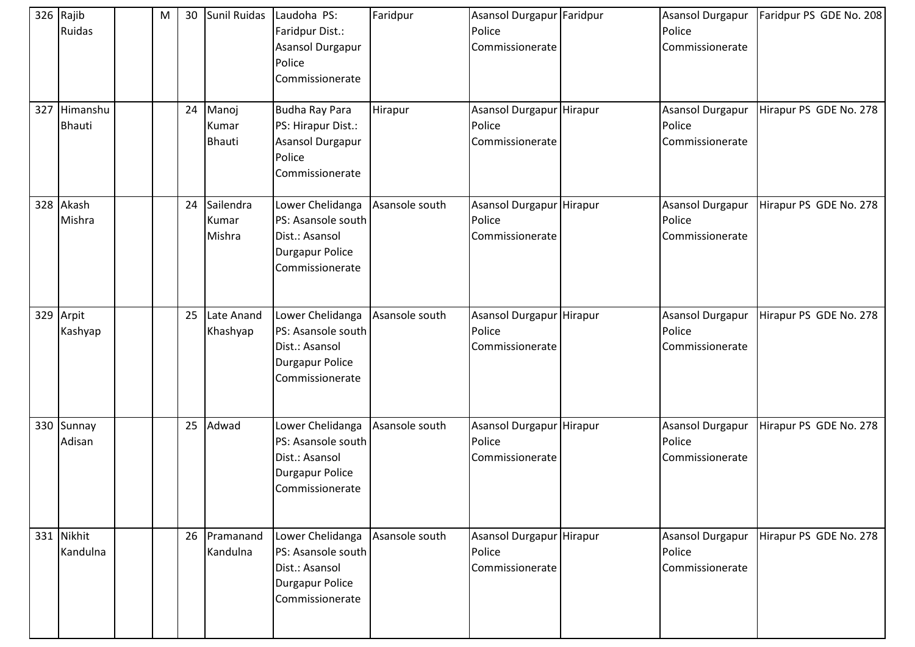|     | 326 Rajib<br>Ruidas       | M | 30 | Sunil Ruidas                    | Laudoha PS:<br>Faridpur Dist.:<br><b>Asansol Durgapur</b><br>Police<br>Commissionerate                | Faridpur       | Asansol Durgapur Faridpur<br>Police<br>Commissionerate |         | Asansol Durgapur<br>Police<br>Commissionerate        | Faridpur PS GDE No. 208 |
|-----|---------------------------|---|----|---------------------------------|-------------------------------------------------------------------------------------------------------|----------------|--------------------------------------------------------|---------|------------------------------------------------------|-------------------------|
| 327 | Himanshu<br><b>Bhauti</b> |   | 24 | Manoj<br>Kumar<br><b>Bhauti</b> | <b>Budha Ray Para</b><br>PS: Hirapur Dist.:<br>Asansol Durgapur<br>Police<br>Commissionerate          | Hirapur        | Asansol Durgapur Hirapur<br>Police<br>Commissionerate  |         | <b>Asansol Durgapur</b><br>Police<br>Commissionerate | Hirapur PS GDE No. 278  |
|     | 328 Akash<br>Mishra       |   | 24 | Sailendra<br>Kumar<br>Mishra    | Lower Chelidanga<br>PS: Asansole south<br>Dist.: Asansol<br><b>Durgapur Police</b><br>Commissionerate | Asansole south | Asansol Durgapur<br>Police<br>Commissionerate          | Hirapur | <b>Asansol Durgapur</b><br>Police<br>Commissionerate | Hirapur PS GDE No. 278  |
|     | 329 Arpit<br>Kashyap      |   | 25 | Late Anand<br>Khashyap          | Lower Chelidanga<br>PS: Asansole south<br>Dist.: Asansol<br><b>Durgapur Police</b><br>Commissionerate | Asansole south | Asansol Durgapur Hirapur<br>Police<br>Commissionerate  |         | <b>Asansol Durgapur</b><br>Police<br>Commissionerate | Hirapur PS GDE No. 278  |
|     | 330 Sunnay<br>Adisan      |   | 25 | Adwad                           | Lower Chelidanga<br>PS: Asansole south<br>Dist.: Asansol<br><b>Durgapur Police</b><br>Commissionerate | Asansole south | Asansol Durgapur<br>Police<br>Commissionerate          | Hirapur | Asansol Durgapur<br>Police<br>Commissionerate        | Hirapur PS GDE No. 278  |
|     | 331 Nikhit<br>Kandulna    |   |    | 26 Pramanand<br>Kandulna        | Lower Chelidanga<br>PS: Asansole south<br>Dist.: Asansol<br><b>Durgapur Police</b><br>Commissionerate | Asansole south | Asansol Durgapur Hirapur<br>Police<br>Commissionerate  |         | Asansol Durgapur<br>Police<br>Commissionerate        | Hirapur PS GDE No. 278  |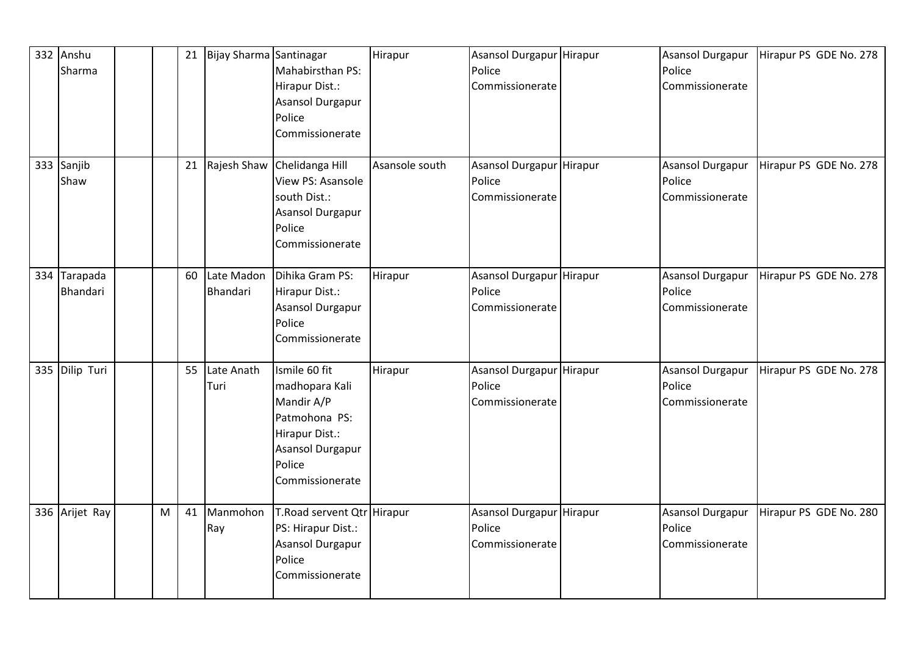|     | 332 Anshu<br>Sharma  |   | 21 | Bijay Sharma Santinagar | Mahabirsthan PS:<br>Hirapur Dist.:<br>Asansol Durgapur<br>Police<br>Commissionerate                                               | Hirapur        | Asansol Durgapur Hirapur<br>Police<br>Commissionerate | <b>Asansol Durgapur</b><br>Police<br>Commissionerate | Hirapur PS GDE No. 278 |
|-----|----------------------|---|----|-------------------------|-----------------------------------------------------------------------------------------------------------------------------------|----------------|-------------------------------------------------------|------------------------------------------------------|------------------------|
|     | 333 Sanjib<br>Shaw   |   | 21 | Rajesh Shaw             | Chelidanga Hill<br>View PS: Asansole<br>south Dist.:<br>Asansol Durgapur<br>Police<br>Commissionerate                             | Asansole south | Asansol Durgapur Hirapur<br>Police<br>Commissionerate | <b>Asansol Durgapur</b><br>Police<br>Commissionerate | Hirapur PS GDE No. 278 |
| 334 | Tarapada<br>Bhandari |   | 60 | Late Madon<br>Bhandari  | Dihika Gram PS:<br>Hirapur Dist.:<br>Asansol Durgapur<br>Police<br>Commissionerate                                                | Hirapur        | Asansol Durgapur Hirapur<br>Police<br>Commissionerate | <b>Asansol Durgapur</b><br>Police<br>Commissionerate | Hirapur PS GDE No. 278 |
|     | 335 Dilip Turi       |   | 55 | Late Anath<br>Turi      | Ismile 60 fit<br>madhopara Kali<br>Mandir A/P<br>Patmohona PS:<br>Hirapur Dist.:<br>Asansol Durgapur<br>Police<br>Commissionerate | Hirapur        | Asansol Durgapur Hirapur<br>Police<br>Commissionerate | Asansol Durgapur<br>Police<br>Commissionerate        | Hirapur PS GDE No. 278 |
|     | 336 Arijet Ray       | M | 41 | Manmohon<br>Ray         | T.Road servent Qtr Hirapur<br>PS: Hirapur Dist.:<br>Asansol Durgapur<br>Police<br>Commissionerate                                 |                | Asansol Durgapur Hirapur<br>Police<br>Commissionerate | <b>Asansol Durgapur</b><br>Police<br>Commissionerate | Hirapur PS GDE No. 280 |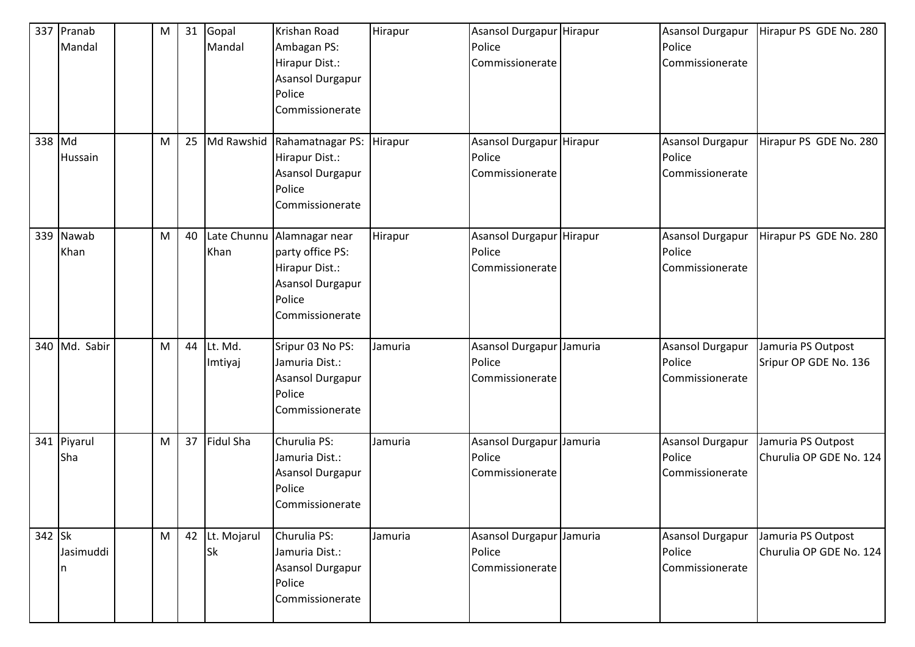| 337    | Pranab<br>Mandal | M | 31 | Gopal<br>Mandal             | Krishan Road<br>Ambagan PS:<br>Hirapur Dist.:<br>Asansol Durgapur<br>Police<br>Commissionerate                    | Hirapur | Asansol Durgapur Hirapur<br>Police<br>Commissionerate | <b>Asansol Durgapur</b><br>Police<br>Commissionerate | Hirapur PS GDE No. 280                        |
|--------|------------------|---|----|-----------------------------|-------------------------------------------------------------------------------------------------------------------|---------|-------------------------------------------------------|------------------------------------------------------|-----------------------------------------------|
| 338 Md | Hussain          | M | 25 | Md Rawshid                  | Rahamatnagar PS:<br>Hirapur Dist.:<br>Asansol Durgapur<br>Police<br>Commissionerate                               | Hirapur | Asansol Durgapur Hirapur<br>Police<br>Commissionerate | <b>Asansol Durgapur</b><br>Police<br>Commissionerate | Hirapur PS GDE No. 280                        |
| 339    | Nawab<br>Khan    | M | 40 | Khan                        | Late Chunnu Alamnagar near<br>party office PS:<br>Hirapur Dist.:<br>Asansol Durgapur<br>Police<br>Commissionerate | Hirapur | Asansol Durgapur Hirapur<br>Police<br>Commissionerate | Asansol Durgapur<br>Police<br>Commissionerate        | Hirapur PS GDE No. 280                        |
|        | 340 Md. Sabir    | M | 44 | Lt. Md.<br>Imtiyaj          | Sripur 03 No PS:<br>Jamuria Dist.:<br>Asansol Durgapur<br>Police<br>Commissionerate                               | Jamuria | Asansol Durgapur Jamuria<br>Police<br>Commissionerate | <b>Asansol Durgapur</b><br>Police<br>Commissionerate | Jamuria PS Outpost<br>Sripur OP GDE No. 136   |
| 341    | Piyarul<br>Sha   | M | 37 | Fidul Sha                   | Churulia PS:<br>Jamuria Dist.:<br>Asansol Durgapur<br>Police<br>Commissionerate                                   | Jamuria | Asansol Durgapur Jamuria<br>Police<br>Commissionerate | <b>Asansol Durgapur</b><br>Police<br>Commissionerate | Jamuria PS Outpost<br>Churulia OP GDE No. 124 |
| 342 Sk | Jasimuddi<br>n   | M |    | 42 Lt. Mojarul<br><b>Sk</b> | Churulia PS:<br>Jamuria Dist.:<br>Asansol Durgapur<br>Police<br>Commissionerate                                   | Jamuria | Asansol Durgapur Jamuria<br>Police<br>Commissionerate | Asansol Durgapur<br>Police<br>Commissionerate        | Jamuria PS Outpost<br>Churulia OP GDE No. 124 |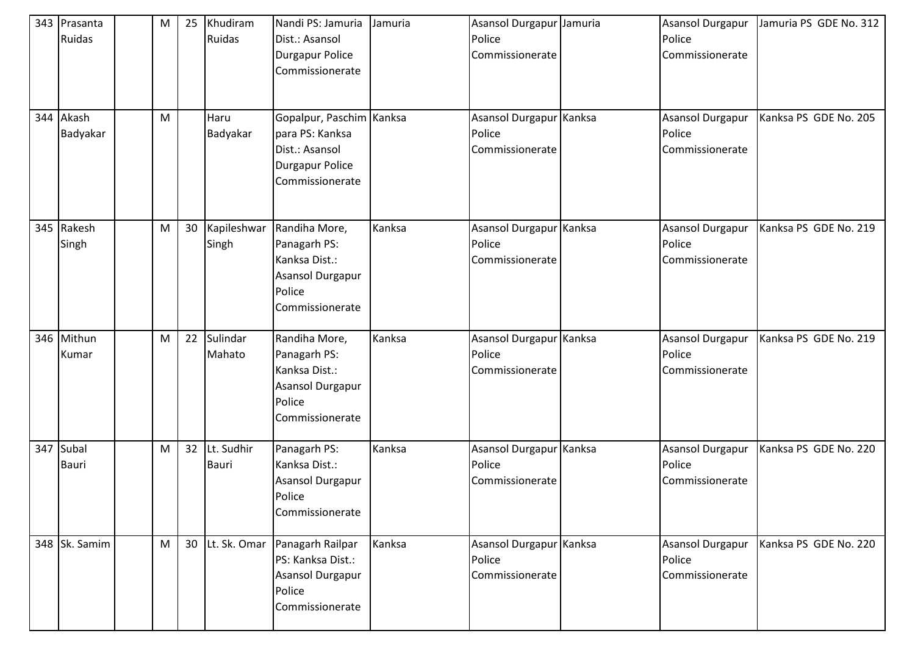|     | 343 Prasanta<br>Ruidas | М | 25              | Khudiram<br>Ruidas   | Nandi PS: Jamuria<br>Dist.: Asansol<br><b>Durgapur Police</b><br>Commissionerate                           | Jamuria | Asansol Durgapur Jamuria<br>Police<br>Commissionerate | Asansol Durgapur<br>Police<br>Commissionerate        | Jamuria PS GDE No. 312 |
|-----|------------------------|---|-----------------|----------------------|------------------------------------------------------------------------------------------------------------|---------|-------------------------------------------------------|------------------------------------------------------|------------------------|
|     | 344 Akash<br>Badyakar  | M |                 | Haru<br>Badyakar     | Gopalpur, Paschim Kanksa<br>para PS: Kanksa<br>Dist.: Asansol<br><b>Durgapur Police</b><br>Commissionerate |         | Asansol Durgapur Kanksa<br>Police<br>Commissionerate  | <b>Asansol Durgapur</b><br>Police<br>Commissionerate | Kanksa PS GDE No. 205  |
|     | 345 Rakesh<br>Singh    | м | 30 <sub>o</sub> | Kapileshwar<br>Singh | Randiha More,<br>Panagarh PS:<br>Kanksa Dist.:<br>Asansol Durgapur<br>Police<br>Commissionerate            | Kanksa  | Asansol Durgapur Kanksa<br>Police<br>Commissionerate  | <b>Asansol Durgapur</b><br>Police<br>Commissionerate | Kanksa PS GDE No. 219  |
| 346 | Mithun<br>Kumar        | M | 22              | Sulindar<br>Mahato   | Randiha More,<br>Panagarh PS:<br>Kanksa Dist.:<br>Asansol Durgapur<br>Police<br>Commissionerate            | Kanksa  | Asansol Durgapur Kanksa<br>Police<br>Commissionerate  | Asansol Durgapur<br>Police<br>Commissionerate        | Kanksa PS GDE No. 219  |
| 347 | Subal<br><b>Bauri</b>  | M | 32              | Lt. Sudhir<br>Bauri  | Panagarh PS:<br>Kanksa Dist.:<br>Asansol Durgapur<br>Police<br>Commissionerate                             | Kanksa  | Asansol Durgapur Kanksa<br>Police<br>Commissionerate  | Asansol Durgapur<br>Police<br>Commissionerate        | Kanksa PS GDE No. 220  |
|     | 348 Sk. Samim          | M | 30 <sup>°</sup> | Lt. Sk. Omar         | Panagarh Railpar<br>PS: Kanksa Dist.:<br>Asansol Durgapur<br>Police<br>Commissionerate                     | Kanksa  | Asansol Durgapur Kanksa<br>Police<br>Commissionerate  | Asansol Durgapur<br>Police<br>Commissionerate        | Kanksa PS GDE No. 220  |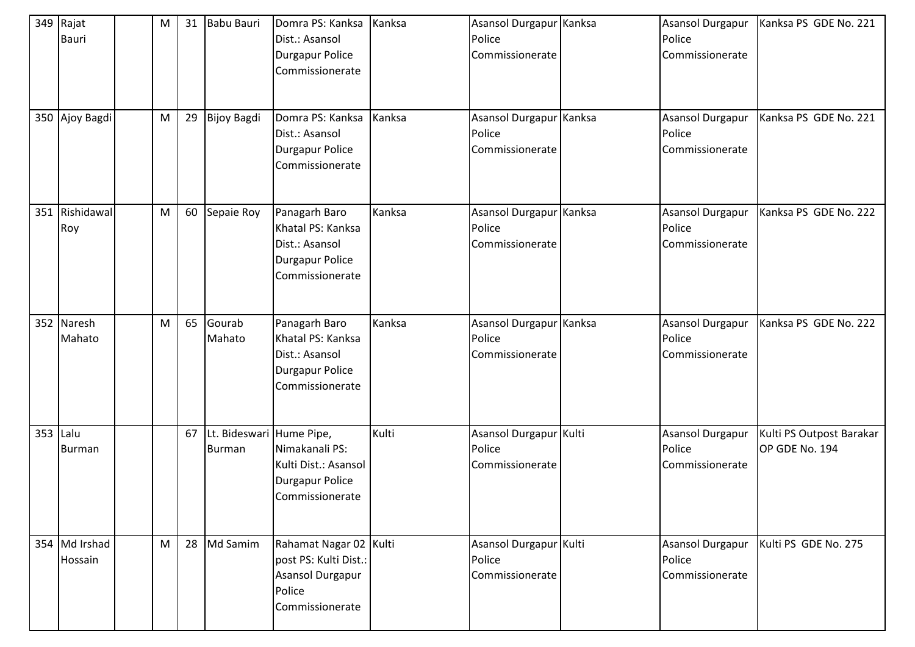|          | 349 Rajat<br><b>Bauri</b> | M | 31 | <b>Babu Bauri</b>                         | Domra PS: Kanksa<br>Dist.: Asansol<br><b>Durgapur Police</b><br>Commissionerate                   | Kanksa | Asansol Durgapur Kanksa<br>Police<br>Commissionerate | Asansol Durgapur<br>Police<br>Commissionerate        | Kanksa PS GDE No. 221                      |
|----------|---------------------------|---|----|-------------------------------------------|---------------------------------------------------------------------------------------------------|--------|------------------------------------------------------|------------------------------------------------------|--------------------------------------------|
|          | 350 Ajoy Bagdi            | M | 29 | <b>Bijoy Bagdi</b>                        | Domra PS: Kanksa<br>Dist.: Asansol<br><b>Durgapur Police</b><br>Commissionerate                   | Kanksa | Asansol Durgapur Kanksa<br>Police<br>Commissionerate | <b>Asansol Durgapur</b><br>Police<br>Commissionerate | Kanksa PS GDE No. 221                      |
|          | 351 Rishidawal<br>Roy     | M | 60 | Sepaie Roy                                | Panagarh Baro<br>Khatal PS: Kanksa<br>Dist.: Asansol<br><b>Durgapur Police</b><br>Commissionerate | Kanksa | Asansol Durgapur Kanksa<br>Police<br>Commissionerate | Asansol Durgapur<br>Police<br>Commissionerate        | Kanksa PS GDE No. 222                      |
|          | 352 Naresh<br>Mahato      | M | 65 | Gourab<br>Mahato                          | Panagarh Baro<br>Khatal PS: Kanksa<br>Dist.: Asansol<br><b>Durgapur Police</b><br>Commissionerate | Kanksa | Asansol Durgapur Kanksa<br>Police<br>Commissionerate | <b>Asansol Durgapur</b><br>Police<br>Commissionerate | Kanksa PS GDE No. 222                      |
| 353 Lalu | Burman                    |   | 67 | Lt. Bideswari Hume Pipe,<br><b>Burman</b> | Nimakanali PS:<br>Kulti Dist.: Asansol<br><b>Durgapur Police</b><br>Commissionerate               | Kulti  | Asansol Durgapur Kulti<br>Police<br>Commissionerate  | Asansol Durgapur<br>Police<br>Commissionerate        | Kulti PS Outpost Barakar<br>OP GDE No. 194 |
|          | 354 Md Irshad<br>Hossain  | M | 28 | Md Samim                                  | Rahamat Nagar 02 Kulti<br>post PS: Kulti Dist.:<br>Asansol Durgapur<br>Police<br>Commissionerate  |        | Asansol Durgapur Kulti<br>Police<br>Commissionerate  | Asansol Durgapur<br>Police<br>Commissionerate        | Kulti PS GDE No. 275                       |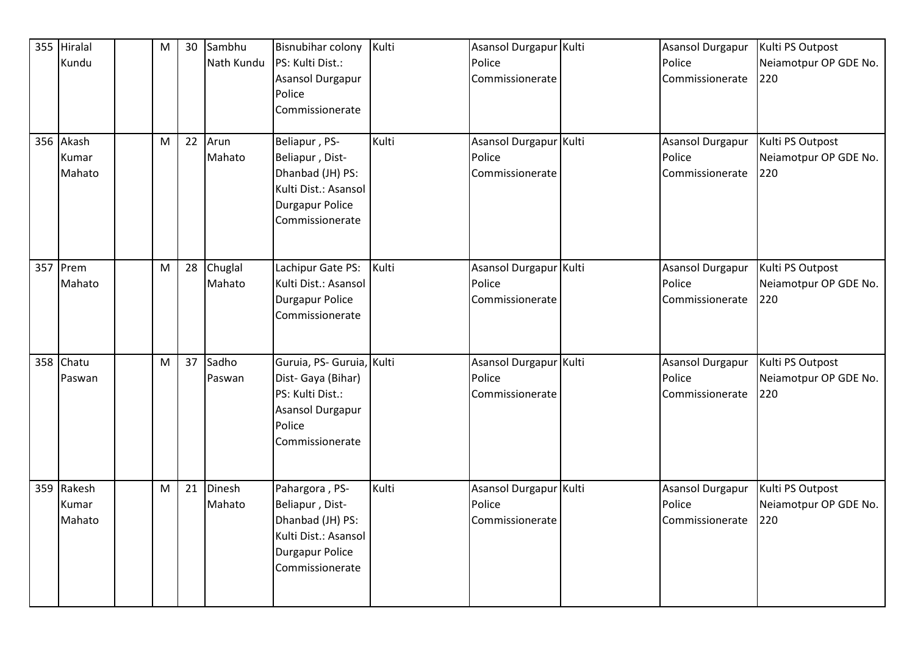|     | 355 Hiralal<br>Kundu<br>356 Akash | M<br>M | 30<br>22 | Sambhu<br>Nath Kundu<br>Arun | <b>Bisnubihar colony</b><br>PS: Kulti Dist.:<br>Asansol Durgapur<br>Police<br>Commissionerate<br>Beliapur, PS-       | Kulti<br>Kulti | Asansol Durgapur Kulti<br>Police<br>Commissionerate<br>Asansol Durgapur Kulti | Asansol Durgapur<br>Police<br>Commissionerate<br>Asansol Durgapur | Kulti PS Outpost<br>Neiamotpur OP GDE No.<br>220<br>Kulti PS Outpost |
|-----|-----------------------------------|--------|----------|------------------------------|----------------------------------------------------------------------------------------------------------------------|----------------|-------------------------------------------------------------------------------|-------------------------------------------------------------------|----------------------------------------------------------------------|
|     | Kumar<br>Mahato                   |        |          | Mahato                       | Beliapur, Dist-<br>Dhanbad (JH) PS:<br>Kulti Dist.: Asansol<br><b>Durgapur Police</b><br>Commissionerate             |                | Police<br>Commissionerate                                                     | Police<br>Commissionerate                                         | Neiamotpur OP GDE No.<br>220                                         |
| 357 | Prem<br>Mahato                    | M      | 28       | Chuglal<br>Mahato            | Lachipur Gate PS:<br>Kulti Dist.: Asansol<br><b>Durgapur Police</b><br>Commissionerate                               | Kulti          | Asansol Durgapur Kulti<br>Police<br>Commissionerate                           | Asansol Durgapur<br>Police<br>Commissionerate                     | Kulti PS Outpost<br>Neiamotpur OP GDE No.<br>220                     |
| 358 | Chatu<br>Paswan                   | M      | 37       | Sadho<br>Paswan              | Guruia, PS- Guruia, Kulti<br>Dist- Gaya (Bihar)<br>PS: Kulti Dist.:<br>Asansol Durgapur<br>Police<br>Commissionerate |                | Asansol Durgapur Kulti<br>Police<br>Commissionerate                           | Asansol Durgapur<br>Police<br>Commissionerate                     | Kulti PS Outpost<br>Neiamotpur OP GDE No.<br>220                     |
|     | 359 Rakesh<br>Kumar<br>Mahato     | M      | 21       | Dinesh<br>Mahato             | Pahargora, PS-<br>Beliapur, Dist-<br>Dhanbad (JH) PS:<br>Kulti Dist.: Asansol<br>Durgapur Police<br>Commissionerate  | Kulti          | Asansol Durgapur Kulti<br>Police<br>Commissionerate                           | Asansol Durgapur<br>Police<br>Commissionerate                     | Kulti PS Outpost<br>Neiamotpur OP GDE No.<br>220                     |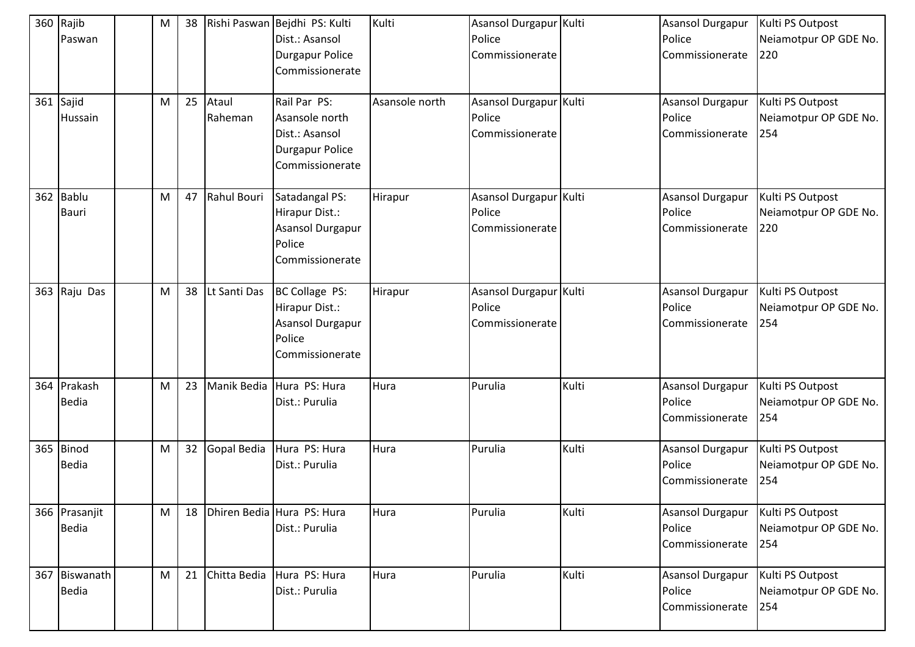|     | 360 Rajib<br>Paswan           | M | 38 |                  | Rishi Paswan Bejdhi PS: Kulti<br>Dist.: Asansol<br><b>Durgapur Police</b><br>Commissionerate  | Kulti          | Asansol Durgapur Kulti<br>Police<br>Commissionerate |       | Asansol Durgapur<br>Police<br>Commissionerate        | Kulti PS Outpost<br>Neiamotpur OP GDE No.<br>220 |
|-----|-------------------------------|---|----|------------------|-----------------------------------------------------------------------------------------------|----------------|-----------------------------------------------------|-------|------------------------------------------------------|--------------------------------------------------|
| 361 | Sajid<br>Hussain              | M | 25 | Ataul<br>Raheman | Rail Par PS:<br>Asansole north<br>Dist.: Asansol<br><b>Durgapur Police</b><br>Commissionerate | Asansole north | Asansol Durgapur Kulti<br>Police<br>Commissionerate |       | <b>Asansol Durgapur</b><br>Police<br>Commissionerate | Kulti PS Outpost<br>Neiamotpur OP GDE No.<br>254 |
|     | 362 Bablu<br><b>Bauri</b>     | M | 47 | Rahul Bouri      | Satadangal PS:<br>Hirapur Dist.:<br>Asansol Durgapur<br>Police<br>Commissionerate             | Hirapur        | Asansol Durgapur Kulti<br>Police<br>Commissionerate |       | Asansol Durgapur<br>Police<br>Commissionerate        | Kulti PS Outpost<br>Neiamotpur OP GDE No.<br>220 |
|     | 363 Raju Das                  | M | 38 | Lt Santi Das     | BC Collage PS:<br>Hirapur Dist.:<br>Asansol Durgapur<br>Police<br>Commissionerate             | Hirapur        | Asansol Durgapur Kulti<br>Police<br>Commissionerate |       | Asansol Durgapur<br>Police<br>Commissionerate        | Kulti PS Outpost<br>Neiamotpur OP GDE No.<br>254 |
|     | 364 Prakash<br><b>Bedia</b>   | M | 23 | Manik Bedia      | Hura PS: Hura<br>Dist.: Purulia                                                               | Hura           | Purulia                                             | Kulti | Asansol Durgapur<br>Police<br>Commissionerate        | Kulti PS Outpost<br>Neiamotpur OP GDE No.<br>254 |
| 365 | Binod<br><b>Bedia</b>         | M | 32 | Gopal Bedia      | Hura PS: Hura<br>Dist.: Purulia                                                               | Hura           | Purulia                                             | Kulti | <b>Asansol Durgapur</b><br>Police<br>Commissionerate | Kulti PS Outpost<br>Neiamotpur OP GDE No.<br>254 |
|     | 366 Prasanjit<br><b>Bedia</b> | M | 18 |                  | Dhiren Bedia Hura PS: Hura<br>Dist.: Purulia                                                  | Hura           | Purulia                                             | Kulti | Asansol Durgapur<br>Police<br>Commissionerate        | Kulti PS Outpost<br>Neiamotpur OP GDE No.<br>254 |
|     | 367 Biswanath<br><b>Bedia</b> | M | 21 | Chitta Bedia     | Hura PS: Hura<br>Dist.: Purulia                                                               | Hura           | Purulia                                             | Kulti | Asansol Durgapur<br>Police<br>Commissionerate        | Kulti PS Outpost<br>Neiamotpur OP GDE No.<br>254 |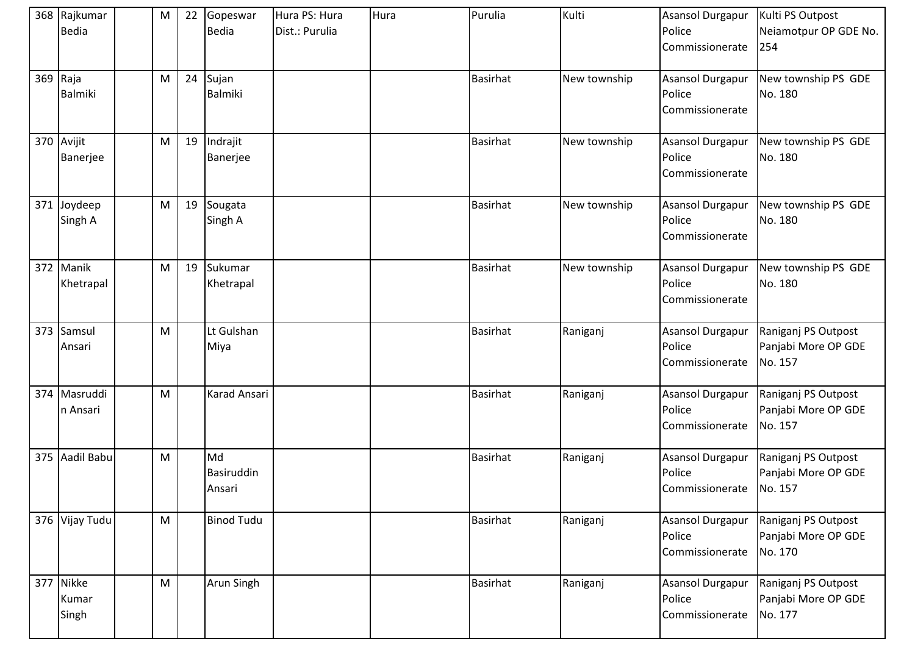| 368 Rajkumar<br>Bedia       | M                                                                                                          | 22 | Gopeswar<br>Bedia          | Hura PS: Hura<br>Dist.: Purulia | Hura | Purulia         | Kulti        | Asansol Durgapur<br>Police<br>Commissionerate        | Kulti PS Outpost<br>Neiamotpur OP GDE No.<br>254      |
|-----------------------------|------------------------------------------------------------------------------------------------------------|----|----------------------------|---------------------------------|------|-----------------|--------------|------------------------------------------------------|-------------------------------------------------------|
| 369 Raja<br><b>Balmiki</b>  | M                                                                                                          | 24 | Sujan<br>Balmiki           |                                 |      | <b>Basirhat</b> | New township | <b>Asansol Durgapur</b><br>Police<br>Commissionerate | New township PS GDE<br>No. 180                        |
| 370 Avijit<br>Banerjee      | M                                                                                                          | 19 | Indrajit<br>Banerjee       |                                 |      | <b>Basirhat</b> | New township | <b>Asansol Durgapur</b><br>Police<br>Commissionerate | New township PS GDE<br>No. 180                        |
| 371 Joydeep<br>Singh A      | M                                                                                                          | 19 | Sougata<br>Singh A         |                                 |      | <b>Basirhat</b> | New township | Asansol Durgapur<br>Police<br>Commissionerate        | New township PS GDE<br>No. 180                        |
| 372 Manik<br>Khetrapal      | M                                                                                                          | 19 | Sukumar<br>Khetrapal       |                                 |      | <b>Basirhat</b> | New township | Asansol Durgapur<br>Police<br>Commissionerate        | New township PS GDE<br>No. 180                        |
| 373 Samsul<br>Ansari        | M                                                                                                          |    | Lt Gulshan<br>Miya         |                                 |      | <b>Basirhat</b> | Raniganj     | Asansol Durgapur<br>Police<br>Commissionerate        | Raniganj PS Outpost<br>Panjabi More OP GDE<br>No. 157 |
| 374 Masruddi<br>n Ansari    | M                                                                                                          |    | Karad Ansari               |                                 |      | <b>Basirhat</b> | Raniganj     | <b>Asansol Durgapur</b><br>Police<br>Commissionerate | Raniganj PS Outpost<br>Panjabi More OP GDE<br>No. 157 |
| 375 Aadil Babu              | M                                                                                                          |    | Md<br>Basiruddin<br>Ansari |                                 |      | <b>Basirhat</b> | Raniganj     | Asansol Durgapur<br>Police<br>Commissionerate        | Raniganj PS Outpost<br>Panjabi More OP GDE<br>No. 157 |
| 376 Vijay Tudu              | $\mathsf{M}% _{T}=\mathsf{M}_{T}\!\left( a,b\right) ,\ \mathsf{M}_{T}=\mathsf{M}_{T}\!\left( a,b\right) ,$ |    | <b>Binod Tudu</b>          |                                 |      | <b>Basirhat</b> | Raniganj     | Asansol Durgapur<br>Police<br>Commissionerate        | Raniganj PS Outpost<br>Panjabi More OP GDE<br>No. 170 |
| 377 Nikke<br>Kumar<br>Singh | $\mathsf{M}% _{T}=\mathsf{M}_{T}\!\left( a,b\right) ,\ \mathsf{M}_{T}=\mathsf{M}_{T}\!\left( a,b\right) ,$ |    | Arun Singh                 |                                 |      | <b>Basirhat</b> | Raniganj     | <b>Asansol Durgapur</b><br>Police<br>Commissionerate | Raniganj PS Outpost<br>Panjabi More OP GDE<br>No. 177 |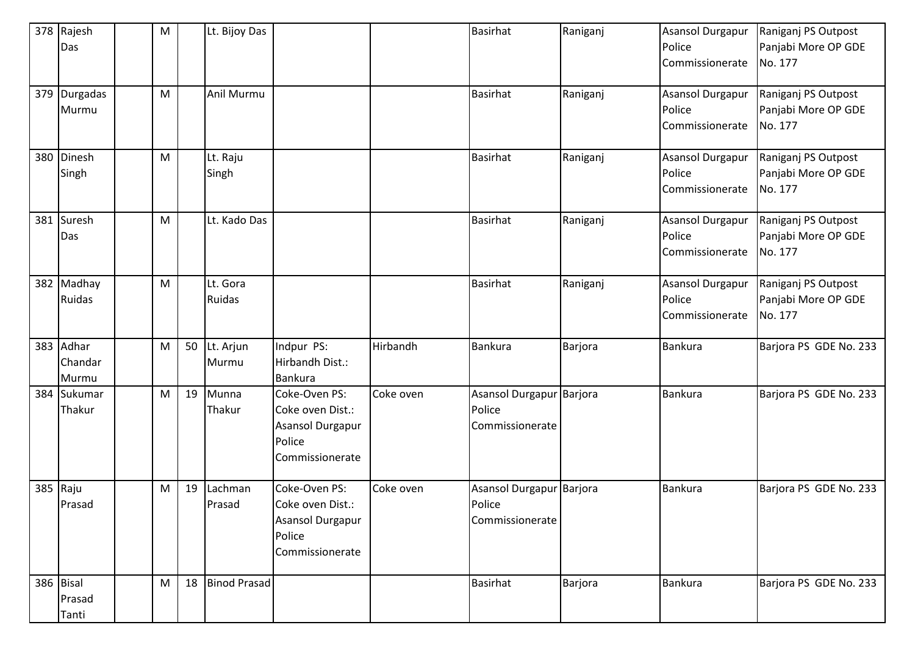|     | 378 Rajesh<br>Das             | M |    | Lt. Bijoy Das             |                                                                                    |           | <b>Basirhat</b>                                       | Raniganj | Asansol Durgapur<br>Police<br>Commissionerate | Raniganj PS Outpost<br>Panjabi More OP GDE<br>No. 177 |
|-----|-------------------------------|---|----|---------------------------|------------------------------------------------------------------------------------|-----------|-------------------------------------------------------|----------|-----------------------------------------------|-------------------------------------------------------|
|     | 379 Durgadas<br>Murmu         | M |    | Anil Murmu                |                                                                                    |           | <b>Basirhat</b>                                       | Raniganj | Asansol Durgapur<br>Police<br>Commissionerate | Raniganj PS Outpost<br>Panjabi More OP GDE<br>No. 177 |
| 380 | Dinesh<br>Singh               | M |    | Lt. Raju<br>Singh         |                                                                                    |           | <b>Basirhat</b>                                       | Raniganj | Asansol Durgapur<br>Police<br>Commissionerate | Raniganj PS Outpost<br>Panjabi More OP GDE<br>No. 177 |
|     | 381 Suresh<br>Das             | M |    | Lt. Kado Das              |                                                                                    |           | <b>Basirhat</b>                                       | Raniganj | Asansol Durgapur<br>Police<br>Commissionerate | Raniganj PS Outpost<br>Panjabi More OP GDE<br>No. 177 |
|     | 382 Madhay<br>Ruidas          | M |    | Lt. Gora<br><b>Ruidas</b> |                                                                                    |           | <b>Basirhat</b>                                       | Raniganj | Asansol Durgapur<br>Police<br>Commissionerate | Raniganj PS Outpost<br>Panjabi More OP GDE<br>No. 177 |
|     | 383 Adhar<br>Chandar<br>Murmu | M | 50 | Lt. Arjun<br>Murmu        | Indpur PS:<br>Hirbandh Dist.:<br>Bankura                                           | Hirbandh  | Bankura                                               | Barjora  | <b>Bankura</b>                                | Barjora PS GDE No. 233                                |
|     | 384 Sukumar<br>Thakur         | M | 19 | Munna<br>Thakur           | Coke-Oven PS:<br>Coke oven Dist.:<br>Asansol Durgapur<br>Police<br>Commissionerate | Coke oven | Asansol Durgapur Barjora<br>Police<br>Commissionerate |          | <b>Bankura</b>                                | Barjora PS GDE No. 233                                |
|     | 385 Raju<br>Prasad            | M | 19 | Lachman<br>Prasad         | Coke-Oven PS:<br>Coke oven Dist.:<br>Asansol Durgapur<br>Police<br>Commissionerate | Coke oven | Asansol Durgapur Barjora<br>Police<br>Commissionerate |          | <b>Bankura</b>                                | Barjora PS GDE No. 233                                |
|     | 386 Bisal<br>Prasad<br>Tanti  | M | 18 | <b>Binod Prasad</b>       |                                                                                    |           | <b>Basirhat</b>                                       | Barjora  | Bankura                                       | Barjora PS GDE No. 233                                |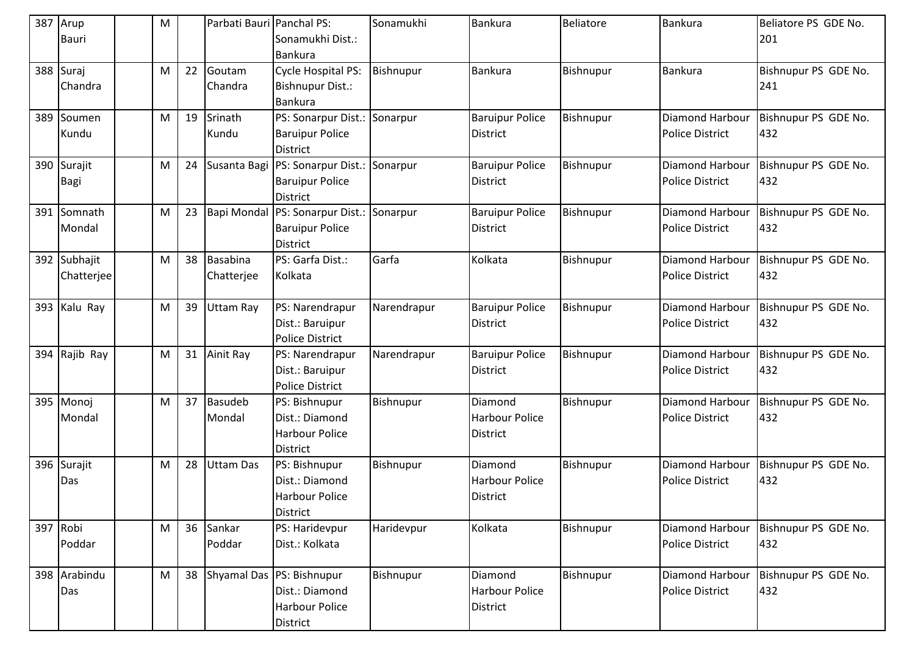| 387 | Arup<br>Bauri              | M |    | Parbati Bauri Panchal PS: | Sonamukhi Dist.:<br>Bankura                                                         | Sonamukhi        | <b>Bankura</b>                                      | <b>Beliatore</b> | <b>Bankura</b>                                   | Beliatore PS GDE No.<br>201 |
|-----|----------------------------|---|----|---------------------------|-------------------------------------------------------------------------------------|------------------|-----------------------------------------------------|------------------|--------------------------------------------------|-----------------------------|
|     | 388 Suraj<br>Chandra       | M | 22 | Goutam<br>Chandra         | Cycle Hospital PS:<br><b>Bishnupur Dist.:</b><br><b>Bankura</b>                     | <b>Bishnupur</b> | <b>Bankura</b>                                      | Bishnupur        | <b>Bankura</b>                                   | Bishnupur PS GDE No.<br>241 |
|     | 389 Soumen<br>Kundu        | M | 19 | Srinath<br>Kundu          | PS: Sonarpur Dist.: Sonarpur<br><b>Baruipur Police</b><br><b>District</b>           |                  | <b>Baruipur Police</b><br><b>District</b>           | Bishnupur        | Diamond Harbour<br><b>Police District</b>        | Bishnupur PS GDE No.<br>432 |
|     | 390 Surajit<br>Bagi        | M | 24 | Susanta Bagi              | PS: Sonarpur Dist.: Sonarpur<br><b>Baruipur Police</b><br><b>District</b>           |                  | <b>Baruipur Police</b><br><b>District</b>           | Bishnupur        | Diamond Harbour<br><b>Police District</b>        | Bishnupur PS GDE No.<br>432 |
| 391 | Somnath<br>Mondal          | M | 23 | Bapi Mondal               | PS: Sonarpur Dist.: Sonarpur<br><b>Baruipur Police</b><br>District                  |                  | <b>Baruipur Police</b><br><b>District</b>           | Bishnupur        | <b>Diamond Harbour</b><br><b>Police District</b> | Bishnupur PS GDE No.<br>432 |
|     | 392 Subhajit<br>Chatterjee | M | 38 | Basabina<br>Chatterjee    | PS: Garfa Dist.:<br>Kolkata                                                         | Garfa            | Kolkata                                             | Bishnupur        | <b>Diamond Harbour</b><br><b>Police District</b> | Bishnupur PS GDE No.<br>432 |
|     | 393 Kalu Ray               | M | 39 | <b>Uttam Ray</b>          | PS: Narendrapur<br>Dist.: Baruipur<br><b>Police District</b>                        | Narendrapur      | <b>Baruipur Police</b><br><b>District</b>           | Bishnupur        | Diamond Harbour<br><b>Police District</b>        | Bishnupur PS GDE No.<br>432 |
|     | 394 Rajib Ray              | M | 31 | Ainit Ray                 | PS: Narendrapur<br>Dist.: Baruipur<br><b>Police District</b>                        | Narendrapur      | <b>Baruipur Police</b><br><b>District</b>           | Bishnupur        | <b>Diamond Harbour</b><br><b>Police District</b> | Bishnupur PS GDE No.<br>432 |
| 395 | Monoj<br>Mondal            | M | 37 | <b>Basudeb</b><br>Mondal  | PS: Bishnupur<br>Dist.: Diamond<br><b>Harbour Police</b><br><b>District</b>         | Bishnupur        | Diamond<br><b>Harbour Police</b><br><b>District</b> | Bishnupur        | Diamond Harbour<br><b>Police District</b>        | Bishnupur PS GDE No.<br>432 |
|     | 396 Surajit<br>Das         | M | 28 | <b>Uttam Das</b>          | PS: Bishnupur<br>Dist.: Diamond<br><b>Harbour Police</b><br><b>District</b>         | Bishnupur        | Diamond<br><b>Harbour Police</b><br>District        | Bishnupur        | <b>Diamond Harbour</b><br><b>Police District</b> | Bishnupur PS GDE No.<br>432 |
|     | 397 Robi<br>Poddar         | M | 36 | Sankar<br>Poddar          | PS: Haridevpur<br>Dist.: Kolkata                                                    | Haridevpur       | Kolkata                                             | Bishnupur        | Diamond Harbour<br><b>Police District</b>        | Bishnupur PS GDE No.<br>432 |
|     | 398 Arabindu<br>Das        | M |    |                           | 38 Shyamal Das PS: Bishnupur<br>Dist.: Diamond<br><b>Harbour Police</b><br>District | Bishnupur        | Diamond<br>Harbour Police<br><b>District</b>        | Bishnupur        | Diamond Harbour<br><b>Police District</b>        | Bishnupur PS GDE No.<br>432 |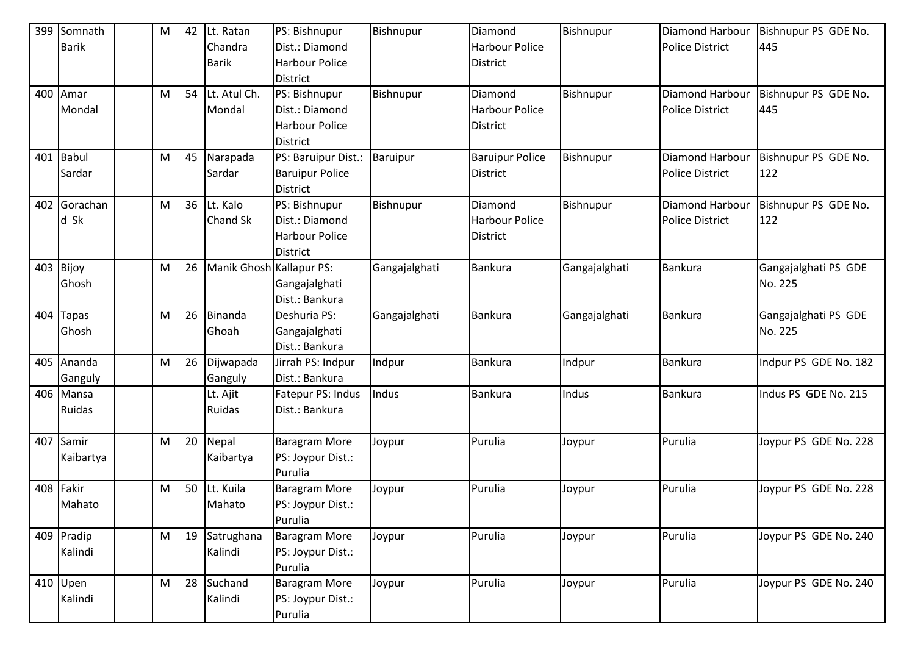|     | 399 Somnath  | М | 42 | Lt. Ratan                | PS: Bishnupur          | Bishnupur        | Diamond                | Bishnupur     | Diamond Harbour        | Bishnupur PS GDE No.  |
|-----|--------------|---|----|--------------------------|------------------------|------------------|------------------------|---------------|------------------------|-----------------------|
|     | <b>Barik</b> |   |    | Chandra                  | Dist.: Diamond         |                  | <b>Harbour Police</b>  |               | <b>Police District</b> | 445                   |
|     |              |   |    | <b>Barik</b>             | <b>Harbour Police</b>  |                  | District               |               |                        |                       |
|     |              |   |    |                          | <b>District</b>        |                  |                        |               |                        |                       |
|     | 400 Amar     | M | 54 | Lt. Atul Ch.             | PS: Bishnupur          | Bishnupur        | Diamond                | Bishnupur     | <b>Diamond Harbour</b> | Bishnupur PS GDE No.  |
|     | Mondal       |   |    | Mondal                   | Dist.: Diamond         |                  | <b>Harbour Police</b>  |               | <b>Police District</b> | 445                   |
|     |              |   |    |                          | <b>Harbour Police</b>  |                  | District               |               |                        |                       |
|     |              |   |    |                          | <b>District</b>        |                  |                        |               |                        |                       |
| 401 | <b>Babul</b> | M | 45 | Narapada                 | PS: Baruipur Dist.:    | Baruipur         | <b>Baruipur Police</b> | Bishnupur     | <b>Diamond Harbour</b> | Bishnupur PS GDE No.  |
|     | Sardar       |   |    | Sardar                   | <b>Baruipur Police</b> |                  | District               |               | <b>Police District</b> | 122                   |
|     |              |   |    |                          | <b>District</b>        |                  |                        |               |                        |                       |
| 402 | Gorachan     | M | 36 | Lt. Kalo                 | PS: Bishnupur          | <b>Bishnupur</b> | Diamond                | Bishnupur     | <b>Diamond Harbour</b> | Bishnupur PS GDE No.  |
|     | d Sk         |   |    | Chand Sk                 | Dist.: Diamond         |                  | <b>Harbour Police</b>  |               | <b>Police District</b> | 122                   |
|     |              |   |    |                          | <b>Harbour Police</b>  |                  | District               |               |                        |                       |
|     |              |   |    |                          | <b>District</b>        |                  |                        |               |                        |                       |
| 403 | Bijoy        | M | 26 | Manik Ghosh Kallapur PS: |                        | Gangajalghati    | Bankura                | Gangajalghati | <b>Bankura</b>         | Gangajalghati PS GDE  |
|     | Ghosh        |   |    |                          | Gangajalghati          |                  |                        |               |                        | No. 225               |
|     |              |   |    |                          | Dist.: Bankura         |                  |                        |               |                        |                       |
| 404 | <b>Tapas</b> | M | 26 | Binanda                  | Deshuria PS:           | Gangajalghati    | Bankura                | Gangajalghati | <b>Bankura</b>         | Gangajalghati PS GDE  |
|     | Ghosh        |   |    | Ghoah                    | Gangajalghati          |                  |                        |               |                        | No. 225               |
|     |              |   |    |                          | Dist.: Bankura         |                  |                        |               |                        |                       |
|     | 405 Ananda   | M | 26 | Dijwapada                | Jirrah PS: Indpur      | Indpur           | <b>Bankura</b>         | Indpur        | Bankura                | Indpur PS GDE No. 182 |
|     | Ganguly      |   |    | Ganguly                  | Dist.: Bankura         |                  |                        |               |                        |                       |
|     | 406 Mansa    |   |    | Lt. Ajit                 | Fatepur PS: Indus      | Indus            | Bankura                | Indus         | Bankura                | Indus PS GDE No. 215  |
|     | Ruidas       |   |    | Ruidas                   | Dist.: Bankura         |                  |                        |               |                        |                       |
|     |              |   |    |                          |                        |                  |                        |               |                        |                       |
| 407 | Samir        | M | 20 | Nepal                    | <b>Baragram More</b>   | Joypur           | Purulia                | Joypur        | Purulia                | Joypur PS GDE No. 228 |
|     | Kaibartya    |   |    | Kaibartya                | PS: Joypur Dist.:      |                  |                        |               |                        |                       |
|     |              |   |    |                          | Purulia                |                  |                        |               |                        |                       |
|     | 408 Fakir    | M | 50 | Lt. Kuila                | <b>Baragram More</b>   | Joypur           | Purulia                | Joypur        | Purulia                | Joypur PS GDE No. 228 |
|     | Mahato       |   |    | Mahato                   | PS: Joypur Dist.:      |                  |                        |               |                        |                       |
|     |              |   |    |                          | Purulia                |                  |                        |               |                        |                       |
|     | 409 Pradip   | M | 19 | Satrughana               | <b>Baragram More</b>   | Joypur           | Purulia                | Joypur        | Purulia                | Joypur PS GDE No. 240 |
|     | Kalindi      |   |    | Kalindi                  | PS: Joypur Dist.:      |                  |                        |               |                        |                       |
|     |              |   |    |                          | Purulia                |                  |                        |               |                        |                       |
|     | 410 Upen     | M | 28 | Suchand                  | <b>Baragram More</b>   | Joypur           | Purulia                | Joypur        | Purulia                | Joypur PS GDE No. 240 |
|     | Kalindi      |   |    | Kalindi                  | PS: Joypur Dist.:      |                  |                        |               |                        |                       |
|     |              |   |    |                          | Purulia                |                  |                        |               |                        |                       |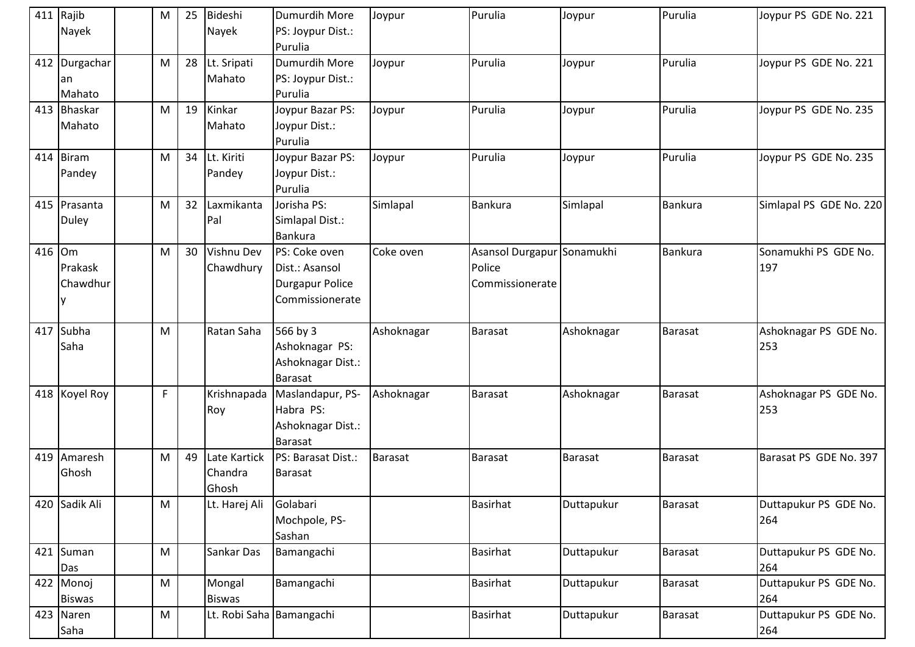|        | 411 Rajib     | M                                                                                                          | 25 | Bideshi                  | Dumurdih More          | Joypur         | Purulia                    | Joypur         | Purulia        | Joypur PS GDE No. 221   |
|--------|---------------|------------------------------------------------------------------------------------------------------------|----|--------------------------|------------------------|----------------|----------------------------|----------------|----------------|-------------------------|
|        | Nayek         |                                                                                                            |    | Nayek                    | PS: Joypur Dist.:      |                |                            |                |                |                         |
|        |               |                                                                                                            |    |                          | Purulia                |                |                            |                |                |                         |
|        | 412 Durgachar | M                                                                                                          | 28 | Lt. Sripati              | Dumurdih More          | Joypur         | Purulia                    | Joypur         | Purulia        | Joypur PS GDE No. 221   |
|        | an            |                                                                                                            |    | Mahato                   | PS: Joypur Dist.:      |                |                            |                |                |                         |
|        | Mahato        |                                                                                                            |    |                          | Purulia                |                |                            |                |                |                         |
|        | 413 Bhaskar   | M                                                                                                          | 19 | Kinkar                   | Joypur Bazar PS:       | Joypur         | Purulia                    | Joypur         | Purulia        | Joypur PS GDE No. 235   |
|        | Mahato        |                                                                                                            |    | Mahato                   | Joypur Dist.:          |                |                            |                |                |                         |
|        |               |                                                                                                            |    |                          | Purulia                |                |                            |                |                |                         |
|        | 414 Biram     | M                                                                                                          | 34 | Lt. Kiriti               | Joypur Bazar PS:       | Joypur         | Purulia                    | Joypur         | Purulia        | Joypur PS GDE No. 235   |
|        | Pandey        |                                                                                                            |    | Pandey                   | Joypur Dist.:          |                |                            |                |                |                         |
|        |               |                                                                                                            |    |                          | Purulia                |                |                            |                |                |                         |
|        | 415 Prasanta  | M                                                                                                          | 32 | Laxmikanta               | Jorisha PS:            | Simlapal       | <b>Bankura</b>             | Simlapal       | <b>Bankura</b> | Simlapal PS GDE No. 220 |
|        | Duley         |                                                                                                            |    | Pal                      | Simlapal Dist.:        |                |                            |                |                |                         |
|        |               |                                                                                                            |    |                          | <b>Bankura</b>         |                |                            |                |                |                         |
| 416 Om |               | M                                                                                                          | 30 | Vishnu Dev               | PS: Coke oven          | Coke oven      | Asansol Durgapur Sonamukhi |                | Bankura        | Sonamukhi PS GDE No.    |
|        | Prakask       |                                                                                                            |    | Chawdhury                | Dist.: Asansol         |                | Police                     |                |                | 197                     |
|        | Chawdhur      |                                                                                                            |    |                          | <b>Durgapur Police</b> |                | Commissionerate            |                |                |                         |
|        |               |                                                                                                            |    |                          | Commissionerate        |                |                            |                |                |                         |
|        |               |                                                                                                            |    |                          |                        |                |                            |                |                |                         |
| 417    | Subha         | M                                                                                                          |    | Ratan Saha               | 566 by 3               | Ashoknagar     | <b>Barasat</b>             | Ashoknagar     | <b>Barasat</b> | Ashoknagar PS GDE No.   |
|        | Saha          |                                                                                                            |    |                          | Ashoknagar PS:         |                |                            |                |                | 253                     |
|        |               |                                                                                                            |    |                          | Ashoknagar Dist.:      |                |                            |                |                |                         |
|        |               |                                                                                                            |    |                          | <b>Barasat</b>         |                |                            |                |                |                         |
|        | 418 Koyel Roy | F                                                                                                          |    | Krishnapada              | Maslandapur, PS-       | Ashoknagar     | Barasat                    | Ashoknagar     | <b>Barasat</b> | Ashoknagar PS GDE No.   |
|        |               |                                                                                                            |    | Roy                      | Habra PS:              |                |                            |                |                | 253                     |
|        |               |                                                                                                            |    |                          | Ashoknagar Dist.:      |                |                            |                |                |                         |
|        |               |                                                                                                            |    |                          | <b>Barasat</b>         |                |                            |                |                |                         |
|        | 419 Amaresh   | M                                                                                                          | 49 | Late Kartick             | PS: Barasat Dist.:     | <b>Barasat</b> | <b>Barasat</b>             | <b>Barasat</b> | <b>Barasat</b> | Barasat PS GDE No. 397  |
|        | Ghosh         |                                                                                                            |    | Chandra                  | Barasat                |                |                            |                |                |                         |
|        |               |                                                                                                            |    | Ghosh                    |                        |                |                            |                |                |                         |
|        | 420 Sadik Ali | M                                                                                                          |    | Lt. Harej Ali            | Golabari               |                | <b>Basirhat</b>            | Duttapukur     | <b>Barasat</b> | Duttapukur PS GDE No.   |
|        |               |                                                                                                            |    |                          | Mochpole, PS-          |                |                            |                |                | 264                     |
|        |               |                                                                                                            |    |                          | Sashan                 |                |                            |                |                |                         |
|        | 421 Suman     | $\mathsf{M}% _{T}=\mathsf{M}_{T}\!\left( a,b\right) ,\ \mathsf{M}_{T}=\mathsf{M}_{T}\!\left( a,b\right) ,$ |    | Sankar Das               | Bamangachi             |                | <b>Basirhat</b>            | Duttapukur     | Barasat        | Duttapukur PS GDE No.   |
|        | Das           |                                                                                                            |    |                          |                        |                |                            |                |                | 264                     |
| 422    | Monoj         | M                                                                                                          |    | Mongal                   | Bamangachi             |                | <b>Basirhat</b>            | Duttapukur     | <b>Barasat</b> | Duttapukur PS GDE No.   |
|        | <b>Biswas</b> |                                                                                                            |    | <b>Biswas</b>            |                        |                |                            |                |                | 264                     |
|        | 423 Naren     | ${\sf M}$                                                                                                  |    | Lt. Robi Saha Bamangachi |                        |                | <b>Basirhat</b>            | Duttapukur     | <b>Barasat</b> | Duttapukur PS GDE No.   |
|        |               |                                                                                                            |    |                          |                        |                |                            |                |                |                         |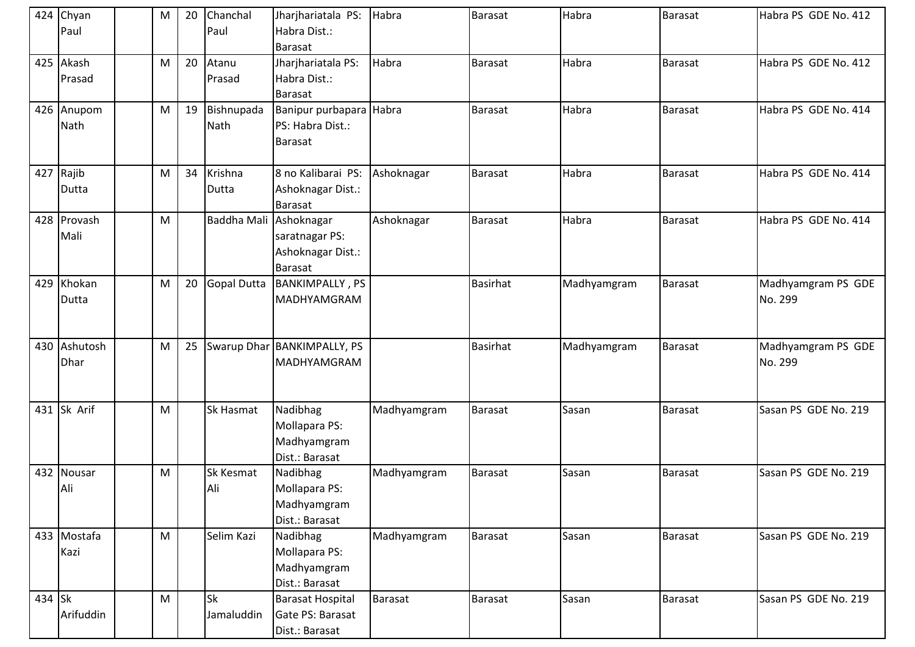|        | 424 Chyan<br>Paul    | 20<br>м | Chanchal<br>Paul        | Jharjhariatala PS:<br>Habra Dist.:<br>Barasat                 | Habra       | <b>Barasat</b>  | Habra       | <b>Barasat</b> | Habra PS GDE No. 412          |
|--------|----------------------|---------|-------------------------|---------------------------------------------------------------|-------------|-----------------|-------------|----------------|-------------------------------|
|        | 425 Akash<br>Prasad  | 20<br>M | Atanu<br>Prasad         | Jharjhariatala PS:<br>Habra Dist.:<br><b>Barasat</b>          | Habra       | Barasat         | Habra       | <b>Barasat</b> | Habra PS GDE No. 412          |
|        | 426 Anupom<br>Nath   | M<br>19 | Bishnupada<br>Nath      | Banipur purbapara Habra<br>PS: Habra Dist.:<br>Barasat        |             | Barasat         | Habra       | Barasat        | Habra PS GDE No. 414          |
|        | 427 Rajib<br>Dutta   | 34<br>M | Krishna<br>Dutta        | 8 no Kalibarai PS:<br>Ashoknagar Dist.:<br><b>Barasat</b>     | Ashoknagar  | <b>Barasat</b>  | Habra       | Barasat        | Habra PS GDE No. 414          |
|        | 428 Provash<br>Mali  | M       | <b>Baddha Mali</b>      | Ashoknagar<br>saratnagar PS:<br>Ashoknagar Dist.:<br>Barasat  | Ashoknagar  | <b>Barasat</b>  | Habra       | <b>Barasat</b> | Habra PS GDE No. 414          |
|        | 429 Khokan<br>Dutta  | M<br>20 | <b>Gopal Dutta</b>      | <b>BANKIMPALLY, PS</b><br>MADHYAMGRAM                         |             | <b>Basirhat</b> | Madhyamgram | <b>Barasat</b> | Madhyamgram PS GDE<br>No. 299 |
|        | 430 Ashutosh<br>Dhar | 25<br>M |                         | Swarup Dhar   BANKIMPALLY, PS<br><b>MADHYAMGRAM</b>           |             | <b>Basirhat</b> | Madhyamgram | <b>Barasat</b> | Madhyamgram PS GDE<br>No. 299 |
|        | 431 Sk Arif          | M       | Sk Hasmat               | Nadibhag<br>Mollapara PS:<br>Madhyamgram<br>Dist.: Barasat    | Madhyamgram | Barasat         | Sasan       | Barasat        | Sasan PS GDE No. 219          |
|        | 432 Nousar<br>Ali    | M       | <b>Sk Kesmat</b><br>Ali | Nadibhag<br>Mollapara PS:<br>Madhyamgram<br>Dist.: Barasat    | Madhyamgram | Barasat         | Sasan       | Barasat        | Sasan PS GDE No. 219          |
|        | 433 Mostafa<br>Kazi  | M       | Selim Kazi              | Nadibhag<br>Mollapara PS:<br>Madhyamgram<br>Dist.: Barasat    | Madhyamgram | Barasat         | Sasan       | <b>Barasat</b> | Sasan PS GDE No. 219          |
| 434 Sk | Arifuddin            | M       | <b>Sk</b><br>Jamaluddin | <b>Barasat Hospital</b><br>Gate PS: Barasat<br>Dist.: Barasat | Barasat     | Barasat         | Sasan       | <b>Barasat</b> | Sasan PS GDE No. 219          |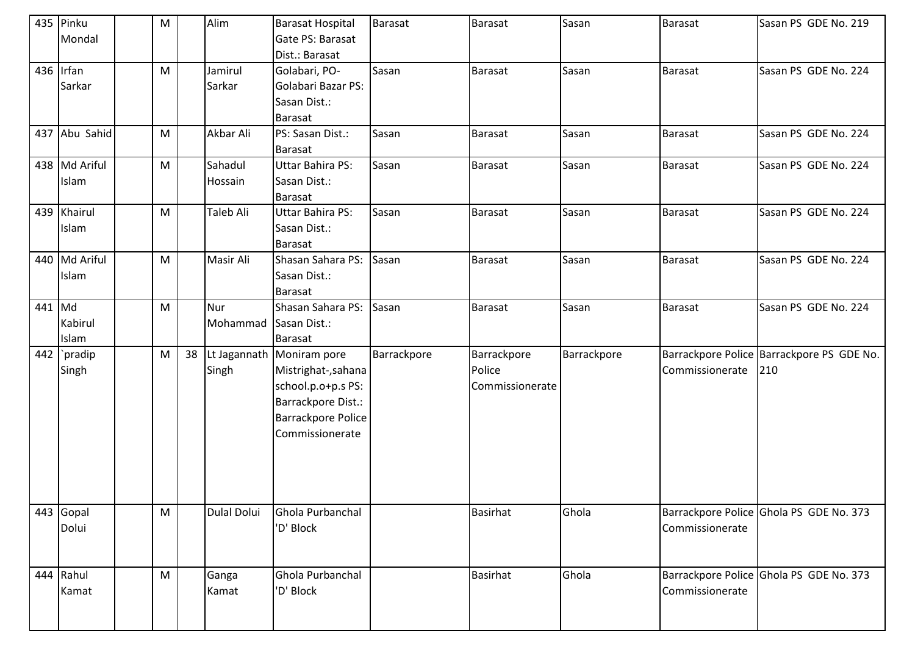|          | 435 Pinku<br>Mondal    | M |    | Alim               | <b>Barasat Hospital</b><br>Gate PS: Barasat<br>Dist.: Barasat                                                                         | <b>Barasat</b> | Barasat                                  | Sasan       | <b>Barasat</b>  | Sasan PS GDE No. 219                             |
|----------|------------------------|---|----|--------------------|---------------------------------------------------------------------------------------------------------------------------------------|----------------|------------------------------------------|-------------|-----------------|--------------------------------------------------|
|          | 436 Irfan<br>Sarkar    | M |    | Jamirul<br>Sarkar  | Golabari, PO-<br>Golabari Bazar PS:<br>Sasan Dist.:<br>Barasat                                                                        | Sasan          | <b>Barasat</b>                           | Sasan       | <b>Barasat</b>  | Sasan PS GDE No. 224                             |
|          | 437 Abu Sahid          | M |    | Akbar Ali          | PS: Sasan Dist.:<br>Barasat                                                                                                           | Sasan          | Barasat                                  | Sasan       | Barasat         | Sasan PS GDE No. 224                             |
|          | 438 Md Ariful<br>Islam | M |    | Sahadul<br>Hossain | <b>Uttar Bahira PS:</b><br>Sasan Dist.:<br>Barasat                                                                                    | Sasan          | Barasat                                  | Sasan       | Barasat         | Sasan PS GDE No. 224                             |
|          | 439 Khairul<br>Islam   | M |    | Taleb Ali          | <b>Uttar Bahira PS:</b><br>Sasan Dist.:<br><b>Barasat</b>                                                                             | Sasan          | Barasat                                  | Sasan       | <b>Barasat</b>  | Sasan PS GDE No. 224                             |
|          | 440 Md Ariful<br>Islam | M |    | Masir Ali          | Shasan Sahara PS:<br>Sasan Dist.:<br><b>Barasat</b>                                                                                   | Sasan          | <b>Barasat</b>                           | Sasan       | <b>Barasat</b>  | Sasan PS GDE No. 224                             |
| $441$ Md | Kabirul<br>Islam       | M |    | Nur<br>Mohammad    | Shasan Sahara PS:<br>Sasan Dist.:<br><b>Barasat</b>                                                                                   | Sasan          | <b>Barasat</b>                           | Sasan       | <b>Barasat</b>  | Sasan PS GDE No. 224                             |
| 442      | `pradip<br>Singh       | M | 38 | Singh              | Lt Jagannath Moniram pore<br>Mistrighat-, sahana<br>school.p.o+p.s PS:<br>Barrackpore Dist.:<br>Barrackpore Police<br>Commissionerate | Barrackpore    | Barrackpore<br>Police<br>Commissionerate | Barrackpore | Commissionerate | Barrackpore Police Barrackpore PS GDE No.<br>210 |
|          | 443 Gopal<br>Dolui     | M |    | <b>Dulal Dolui</b> | Ghola Purbanchal<br>'D' Block                                                                                                         |                | <b>Basirhat</b>                          | Ghola       | Commissionerate | Barrackpore Police Ghola PS GDE No. 373          |
|          | 444 Rahul<br>Kamat     | M |    | Ganga<br>Kamat     | Ghola Purbanchal<br>'D' Block                                                                                                         |                | <b>Basirhat</b>                          | Ghola       | Commissionerate | Barrackpore Police Ghola PS GDE No. 373          |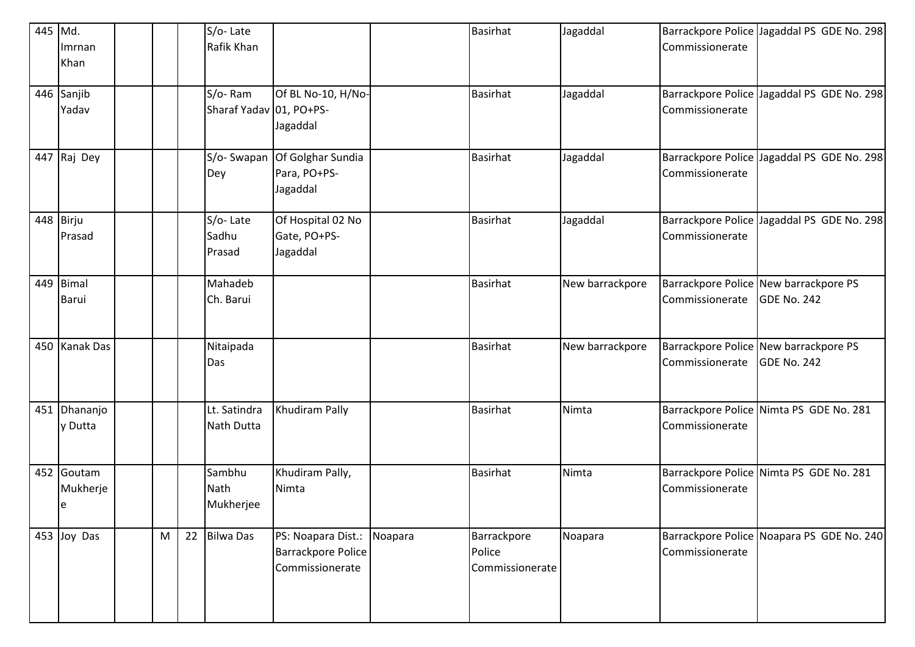| 445 Md. | Imrnan<br>Khan               |   |    | S/o-Late<br>Rafik Khan             |                                                             |         | <b>Basirhat</b>                          | Jagaddal        | Commissionerate | Barrackpore Police Jagaddal PS GDE No. 298           |
|---------|------------------------------|---|----|------------------------------------|-------------------------------------------------------------|---------|------------------------------------------|-----------------|-----------------|------------------------------------------------------|
|         | 446 Sanjib<br>Yadav          |   |    | S/o-Ram<br>Sharaf Yadav 01, PO+PS- | Of BL No-10, H/No-<br>Jagaddal                              |         | <b>Basirhat</b>                          | Jagaddal        | Commissionerate | Barrackpore Police Jagaddal PS GDE No. 298           |
|         | 447 Raj Dey                  |   |    | S/o-Swapan<br>Dey                  | Of Golghar Sundia<br>Para, PO+PS-<br>Jagaddal               |         | <b>Basirhat</b>                          | Jagaddal        | Commissionerate | Barrackpore Police Jagaddal PS GDE No. 298           |
|         | 448 Birju<br>Prasad          |   |    | S/o-Late<br>Sadhu<br>Prasad        | Of Hospital 02 No<br>Gate, PO+PS-<br>Jagaddal               |         | <b>Basirhat</b>                          | Jagaddal        | Commissionerate | Barrackpore Police Jagaddal PS GDE No. 298           |
|         | 449 Bimal<br>Barui           |   |    | Mahadeb<br>Ch. Barui               |                                                             |         | <b>Basirhat</b>                          | New barrackpore | Commissionerate | Barrackpore Police New barrackpore PS<br>GDE No. 242 |
|         | 450 Kanak Das                |   |    | Nitaipada<br>Das                   |                                                             |         | <b>Basirhat</b>                          | New barrackpore | Commissionerate | Barrackpore Police New barrackpore PS<br>GDE No. 242 |
|         | 451 Dhananjo<br>y Dutta      |   |    | Lt. Satindra<br>Nath Dutta         | Khudiram Pally                                              |         | <b>Basirhat</b>                          | Nimta           | Commissionerate | Barrackpore Police Nimta PS GDE No. 281              |
|         | 452 Goutam<br>Mukherje<br>le |   |    | Sambhu<br>Nath<br>Mukherjee        | Khudiram Pally,<br>Nimta                                    |         | <b>Basirhat</b>                          | Nimta           | Commissionerate | Barrackpore Police Nimta PS GDE No. 281              |
|         | 453 Joy Das                  | M | 22 | <b>Bilwa Das</b>                   | PS: Noapara Dist.:<br>Barrackpore Police<br>Commissionerate | Noapara | Barrackpore<br>Police<br>Commissionerate | Noapara         | Commissionerate | Barrackpore Police Noapara PS GDE No. 240            |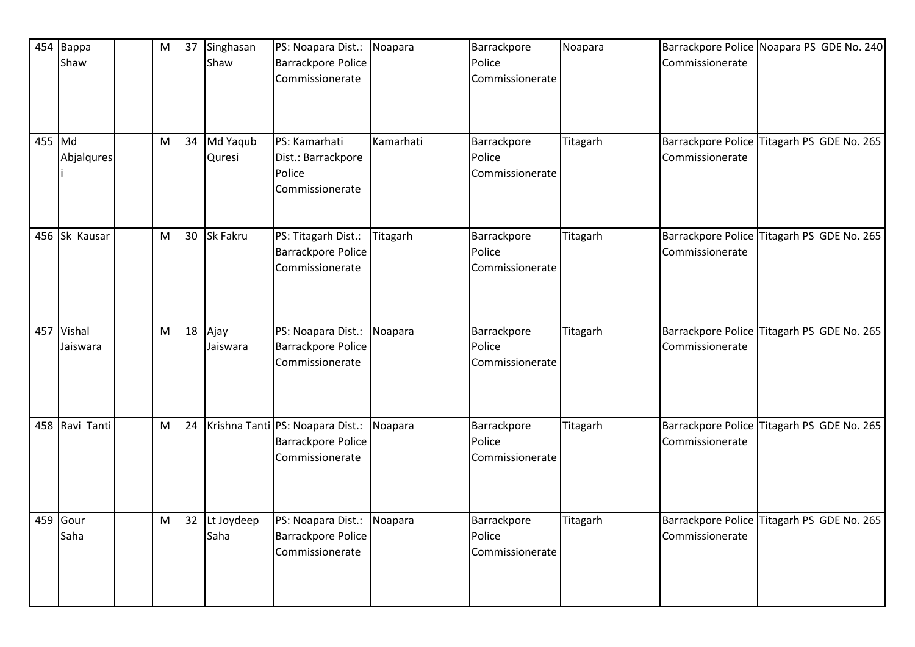| 454    | Bappa<br>Shaw          | M | 37 | Singhasan<br>Shaw  | PS: Noapara Dist.: Noapara<br>Barrackpore Police<br>Commissionerate              |           | Barrackpore<br>Police<br>Commissionerate | Noapara  | Commissionerate                              | Barrackpore Police Noapara PS GDE No. 240  |  |
|--------|------------------------|---|----|--------------------|----------------------------------------------------------------------------------|-----------|------------------------------------------|----------|----------------------------------------------|--------------------------------------------|--|
| 455 Md | Abjalqures             | M | 34 | Md Yaqub<br>Quresi | PS: Kamarhati<br>Dist.: Barrackpore<br>Police<br>Commissionerate                 | Kamarhati | Barrackpore<br>Police<br>Commissionerate | Titagarh | Commissionerate                              | Barrackpore Police Titagarh PS GDE No. 265 |  |
|        | 456 Sk Kausar          | M | 30 | Sk Fakru           | PS: Titagarh Dist.:<br><b>Barrackpore Police</b><br>Commissionerate              | Titagarh  | Barrackpore<br>Police<br>Commissionerate | Titagarh | <b>Barrackpore Police</b><br>Commissionerate | Titagarh PS GDE No. 265                    |  |
|        | 457 Vishal<br>Jaiswara | M | 18 | Ajay<br>Jaiswara   | PS: Noapara Dist.:<br>Barrackpore Police<br>Commissionerate                      | Noapara   | Barrackpore<br>Police<br>Commissionerate | Titagarh | Commissionerate                              | Barrackpore Police Titagarh PS GDE No. 265 |  |
|        | 458 Ravi Tanti         | M | 24 |                    | Krishna Tanti PS: Noapara Dist.:<br><b>Barrackpore Police</b><br>Commissionerate | Noapara   | Barrackpore<br>Police<br>Commissionerate | Titagarh | Barrackpore Police<br>Commissionerate        | Titagarh PS GDE No. 265                    |  |
|        | 459 Gour<br>Saha       | M | 32 | Lt Joydeep<br>Saha | PS: Noapara Dist.:<br>Barrackpore Police<br>Commissionerate                      | Noapara   | Barrackpore<br>Police<br>Commissionerate | Titagarh | Commissionerate                              | Barrackpore Police Titagarh PS GDE No. 265 |  |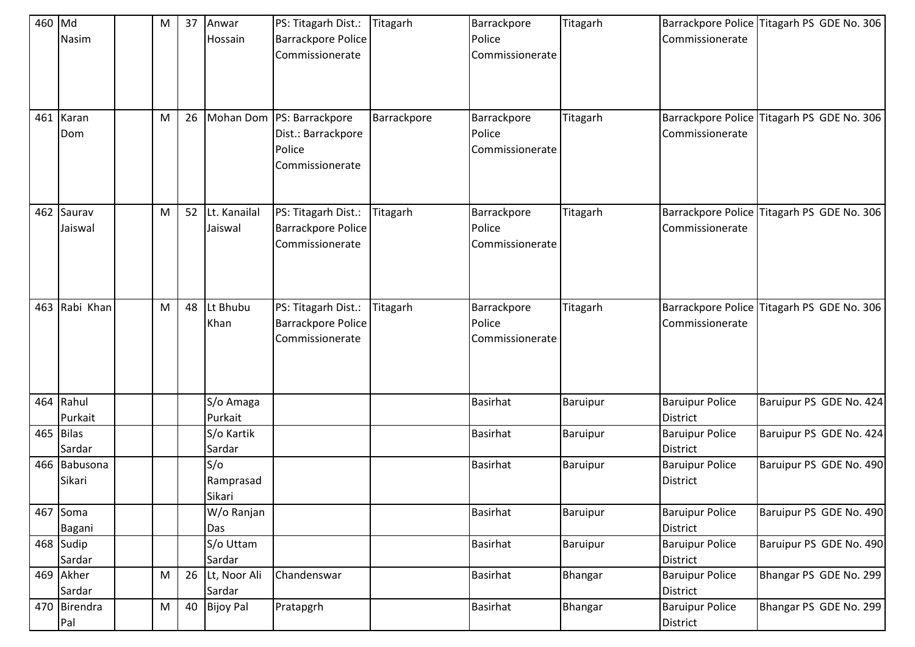| 460 Md |              | M | 37 | Anwar            | PS: Titagarh Dist.:       | Titagarh    | Barrackpore     | Titagarh |                           | Barrackpore Police Titagarh PS GDE No. 306 |
|--------|--------------|---|----|------------------|---------------------------|-------------|-----------------|----------|---------------------------|--------------------------------------------|
|        | Nasim        |   |    | Hossain          | Barrackpore Police        |             | Police          |          | Commissionerate           |                                            |
|        |              |   |    |                  | Commissionerate           |             | Commissionerate |          |                           |                                            |
|        |              |   |    |                  |                           |             |                 |          |                           |                                            |
|        |              |   |    |                  |                           |             |                 |          |                           |                                            |
|        |              |   |    |                  |                           |             |                 |          |                           |                                            |
| 461    | Karan        | M | 26 |                  | Mohan Dom PS: Barrackpore | Barrackpore | Barrackpore     | Titagarh |                           | Barrackpore Police Titagarh PS GDE No. 306 |
|        | Dom          |   |    |                  | Dist.: Barrackpore        |             | Police          |          | Commissionerate           |                                            |
|        |              |   |    |                  | Police                    |             | Commissionerate |          |                           |                                            |
|        |              |   |    |                  | Commissionerate           |             |                 |          |                           |                                            |
|        |              |   |    |                  |                           |             |                 |          |                           |                                            |
|        | 462 Saurav   | M | 52 | Lt. Kanailal     | PS: Titagarh Dist.:       | Titagarh    | Barrackpore     | Titagarh | <b>Barrackpore Police</b> | Titagarh PS GDE No. 306                    |
|        | Jaiswal      |   |    | Jaiswal          | <b>Barrackpore Police</b> |             | Police          |          | Commissionerate           |                                            |
|        |              |   |    |                  | Commissionerate           |             | Commissionerate |          |                           |                                            |
|        |              |   |    |                  |                           |             |                 |          |                           |                                            |
|        |              |   |    |                  |                           |             |                 |          |                           |                                            |
|        |              |   |    |                  |                           |             |                 |          |                           |                                            |
| 463    | Rabi Khan    | M | 48 | Lt Bhubu         | PS: Titagarh Dist.:       | Titagarh    | Barrackpore     | Titagarh | Barrackpore Police        | Titagarh PS GDE No. 306                    |
|        |              |   |    | Khan             | <b>Barrackpore Police</b> |             | Police          |          | Commissionerate           |                                            |
|        |              |   |    |                  | Commissionerate           |             | Commissionerate |          |                           |                                            |
|        |              |   |    |                  |                           |             |                 |          |                           |                                            |
|        |              |   |    |                  |                           |             |                 |          |                           |                                            |
|        | 464 Rahul    |   |    | S/o Amaga        |                           |             | <b>Basirhat</b> | Baruipur | <b>Baruipur Police</b>    | Baruipur PS GDE No. 424                    |
|        | Purkait      |   |    | Purkait          |                           |             |                 |          | <b>District</b>           |                                            |
|        | 465 Bilas    |   |    | S/o Kartik       |                           |             | <b>Basirhat</b> | Baruipur | <b>Baruipur Police</b>    | Baruipur PS GDE No. 424                    |
|        | Sardar       |   |    | Sardar           |                           |             |                 |          | <b>District</b>           |                                            |
|        | 466 Babusona |   |    | S/O              |                           |             | <b>Basirhat</b> | Baruipur | <b>Baruipur Police</b>    | Baruipur PS GDE No. 490                    |
|        | Sikari       |   |    | Ramprasad        |                           |             |                 |          | <b>District</b>           |                                            |
|        |              |   |    | Sikari           |                           |             |                 |          |                           |                                            |
|        | 467 Soma     |   |    | W/o Ranjan       |                           |             | <b>Basirhat</b> | Baruipur | <b>Baruipur Police</b>    | Baruipur PS GDE No. 490                    |
|        | Bagani       |   |    | Das              |                           |             |                 |          | <b>District</b>           |                                            |
|        | 468 Sudip    |   |    | S/o Uttam        |                           |             | <b>Basirhat</b> | Baruipur | <b>Baruipur Police</b>    | Baruipur PS GDE No. 490                    |
|        | Sardar       |   |    | Sardar           |                           |             |                 |          | <b>District</b>           |                                            |
|        | 469 Akher    | M |    | 26 Lt, Noor Ali  | Chandenswar               |             | <b>Basirhat</b> | Bhangar  | <b>Baruipur Police</b>    | Bhangar PS GDE No. 299                     |
|        | Sardar       |   |    | Sardar           |                           |             |                 |          | District                  |                                            |
|        | 470 Birendra | M | 40 | <b>Bijoy Pal</b> | Pratapgrh                 |             | <b>Basirhat</b> | Bhangar  | <b>Baruipur Police</b>    | Bhangar PS GDE No. 299                     |
|        | Pal          |   |    |                  |                           |             |                 |          | District                  |                                            |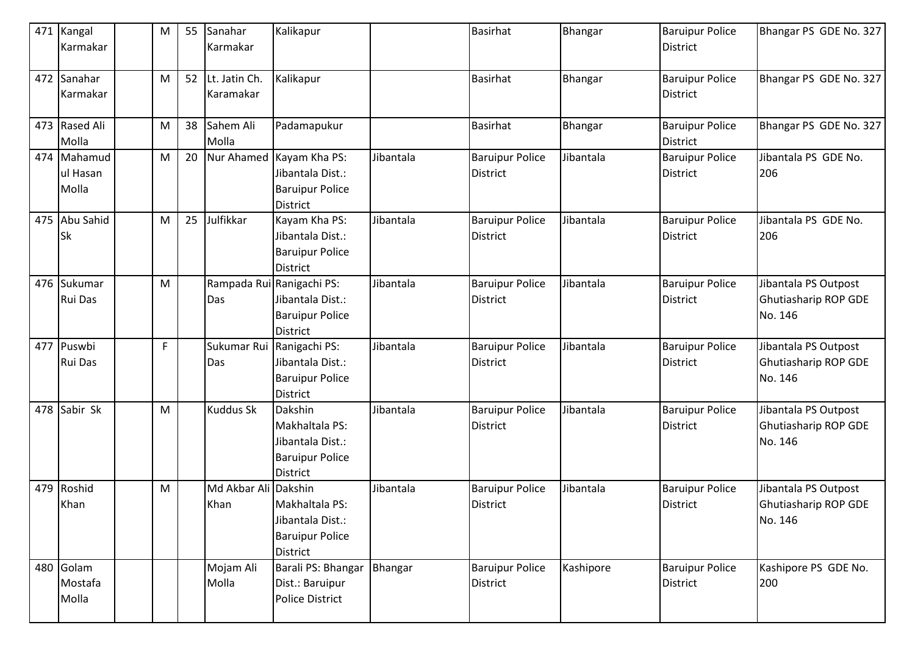| 471 Kangal<br>Karmakar           | M | 55 | Sanahar<br>Karmakar        | Kalikapur                                                                                  |           | <b>Basirhat</b>                           | Bhangar   | <b>Baruipur Police</b><br><b>District</b> | Bhangar PS GDE No. 327                                         |
|----------------------------------|---|----|----------------------------|--------------------------------------------------------------------------------------------|-----------|-------------------------------------------|-----------|-------------------------------------------|----------------------------------------------------------------|
| 472 Sanahar<br><b>Karmakar</b>   | M | 52 | Lt. Jatin Ch.<br>Karamakar | Kalikapur                                                                                  |           | Basirhat                                  | Bhangar   | <b>Baruipur Police</b><br><b>District</b> | Bhangar PS GDE No. 327                                         |
| 473 Rased Ali<br>Molla           | M | 38 | Sahem Ali<br>Molla         | Padamapukur                                                                                |           | <b>Basirhat</b>                           | Bhangar   | <b>Baruipur Police</b><br><b>District</b> | Bhangar PS GDE No. 327                                         |
| 474 Mahamud<br>ul Hasan<br>Molla | M | 20 |                            | Nur Ahamed Kayam Kha PS:<br>Jibantala Dist.:<br><b>Baruipur Police</b><br><b>District</b>  | Jibantala | <b>Baruipur Police</b><br><b>District</b> | Jibantala | <b>Baruipur Police</b><br><b>District</b> | Jibantala PS GDE No.<br>206                                    |
| 475 Abu Sahid<br><b>Sk</b>       | M | 25 | Julfikkar                  | Kayam Kha PS:<br>Jibantala Dist.:<br><b>Baruipur Police</b><br><b>District</b>             | Jibantala | <b>Baruipur Police</b><br><b>District</b> | Jibantala | <b>Baruipur Police</b><br><b>District</b> | Jibantala PS GDE No.<br>206                                    |
| 476 Sukumar<br><b>Rui Das</b>    | M |    | Das                        | Rampada Rui Ranigachi PS:<br>Jibantala Dist.:<br><b>Baruipur Police</b><br><b>District</b> | Jibantala | <b>Baruipur Police</b><br><b>District</b> | Jibantala | <b>Baruipur Police</b><br>District        | Jibantala PS Outpost<br>Ghutiasharip ROP GDE<br>No. 146        |
| 477 Puswbi<br><b>Rui Das</b>     | F |    | Sukumar Rui<br>Das         | Ranigachi PS:<br>Jibantala Dist.:<br><b>Baruipur Police</b><br><b>District</b>             | Jibantala | <b>Baruipur Police</b><br><b>District</b> | Jibantala | <b>Baruipur Police</b><br><b>District</b> | Jibantala PS Outpost<br>Ghutiasharip ROP GDE<br>No. 146        |
| 478 Sabir Sk                     | M |    | <b>Kuddus Sk</b>           | Dakshin<br>Makhaltala PS:<br>Jibantala Dist.:<br><b>Baruipur Police</b><br><b>District</b> | Jibantala | <b>Baruipur Police</b><br><b>District</b> | Jibantala | <b>Baruipur Police</b><br><b>District</b> | Jibantala PS Outpost<br>Ghutiasharip ROP GDE<br>No. 146        |
| 479 Roshid<br>Khan               | M |    | Md Akbar Ali<br>Khan       | Dakshin<br>Makhaltala PS:<br>Jibantala Dist.:<br><b>Baruipur Police</b><br><b>District</b> | Jibantala | <b>Baruipur Police</b><br><b>District</b> | Jibantala | <b>Baruipur Police</b><br><b>District</b> | Jibantala PS Outpost<br><b>Ghutiasharip ROP GDE</b><br>No. 146 |
| 480 Golam<br>Mostafa<br>Molla    |   |    | Mojam Ali<br>Molla         | Barali PS: Bhangar<br>Dist.: Baruipur<br><b>Police District</b>                            | Bhangar   | <b>Baruipur Police</b><br><b>District</b> | Kashipore | <b>Baruipur Police</b><br><b>District</b> | Kashipore PS GDE No.<br>200                                    |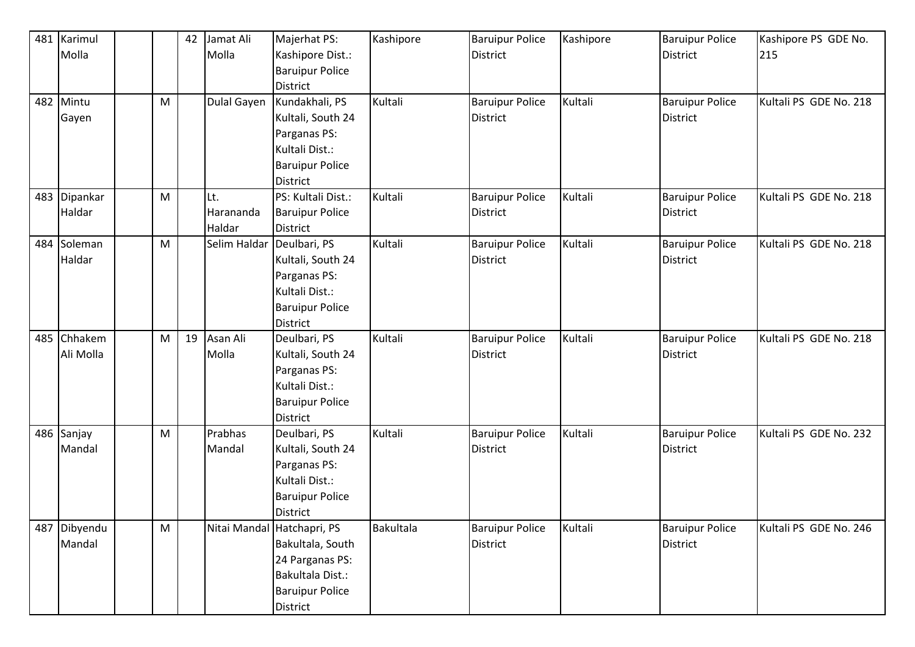| 481 | Karimul      |   | 42 | Jamat Ali                 | Majerhat PS:               | Kashipore | <b>Baruipur Police</b> | Kashipore | <b>Baruipur Police</b> | Kashipore PS GDE No.   |
|-----|--------------|---|----|---------------------------|----------------------------|-----------|------------------------|-----------|------------------------|------------------------|
|     | Molla        |   |    | Molla                     | Kashipore Dist.:           |           | <b>District</b>        |           | <b>District</b>        | 215                    |
|     |              |   |    |                           | <b>Baruipur Police</b>     |           |                        |           |                        |                        |
|     |              |   |    |                           | <b>District</b>            |           |                        |           |                        |                        |
| 482 | Mintu        | M |    | Dulal Gayen               | Kundakhali, PS             | Kultali   | <b>Baruipur Police</b> | Kultali   | <b>Baruipur Police</b> | Kultali PS GDE No. 218 |
|     | Gayen        |   |    |                           | Kultali, South 24          |           | <b>District</b>        |           | <b>District</b>        |                        |
|     |              |   |    |                           | Parganas PS:               |           |                        |           |                        |                        |
|     |              |   |    |                           | Kultali Dist.:             |           |                        |           |                        |                        |
|     |              |   |    |                           | <b>Baruipur Police</b>     |           |                        |           |                        |                        |
|     |              |   |    |                           | <b>District</b>            |           |                        |           |                        |                        |
|     | 483 Dipankar | M |    | Lt.                       | PS: Kultali Dist.:         | Kultali   | <b>Baruipur Police</b> | Kultali   | <b>Baruipur Police</b> | Kultali PS GDE No. 218 |
|     | Haldar       |   |    | Harananda                 | <b>Baruipur Police</b>     |           | <b>District</b>        |           | <b>District</b>        |                        |
|     |              |   |    | Haldar                    | <b>District</b>            |           |                        |           |                        |                        |
|     | 484 Soleman  | M |    | Selim Haldar Deulbari, PS |                            | Kultali   | <b>Baruipur Police</b> | Kultali   | <b>Baruipur Police</b> | Kultali PS GDE No. 218 |
|     | Haldar       |   |    |                           | Kultali, South 24          |           | <b>District</b>        |           | <b>District</b>        |                        |
|     |              |   |    |                           | Parganas PS:               |           |                        |           |                        |                        |
|     |              |   |    |                           | Kultali Dist.:             |           |                        |           |                        |                        |
|     |              |   |    |                           | <b>Baruipur Police</b>     |           |                        |           |                        |                        |
|     |              |   |    |                           | <b>District</b>            |           |                        |           |                        |                        |
|     | 485 Chhakem  | M | 19 | Asan Ali                  | Deulbari, PS               | Kultali   | <b>Baruipur Police</b> | Kultali   | <b>Baruipur Police</b> | Kultali PS GDE No. 218 |
|     | Ali Molla    |   |    | Molla                     | Kultali, South 24          |           | <b>District</b>        |           | <b>District</b>        |                        |
|     |              |   |    |                           | Parganas PS:               |           |                        |           |                        |                        |
|     |              |   |    |                           | Kultali Dist.:             |           |                        |           |                        |                        |
|     |              |   |    |                           | <b>Baruipur Police</b>     |           |                        |           |                        |                        |
|     |              |   |    |                           | <b>District</b>            |           |                        |           |                        |                        |
|     | 486 Sanjay   | M |    | Prabhas                   | Deulbari, PS               | Kultali   | <b>Baruipur Police</b> | Kultali   | <b>Baruipur Police</b> | Kultali PS GDE No. 232 |
|     | Mandal       |   |    | Mandal                    | Kultali, South 24          |           | <b>District</b>        |           | <b>District</b>        |                        |
|     |              |   |    |                           | Parganas PS:               |           |                        |           |                        |                        |
|     |              |   |    |                           | Kultali Dist.:             |           |                        |           |                        |                        |
|     |              |   |    |                           | <b>Baruipur Police</b>     |           |                        |           |                        |                        |
|     |              |   |    |                           | <b>District</b>            |           |                        |           |                        |                        |
| 487 | Dibyendu     | M |    |                           | Nitai Mandal Hatchapri, PS | Bakultala | <b>Baruipur Police</b> | Kultali   | <b>Baruipur Police</b> | Kultali PS GDE No. 246 |
|     | Mandal       |   |    |                           | Bakultala, South           |           | District               |           | <b>District</b>        |                        |
|     |              |   |    |                           | 24 Parganas PS:            |           |                        |           |                        |                        |
|     |              |   |    |                           | Bakultala Dist.:           |           |                        |           |                        |                        |
|     |              |   |    |                           | <b>Baruipur Police</b>     |           |                        |           |                        |                        |
|     |              |   |    |                           | District                   |           |                        |           |                        |                        |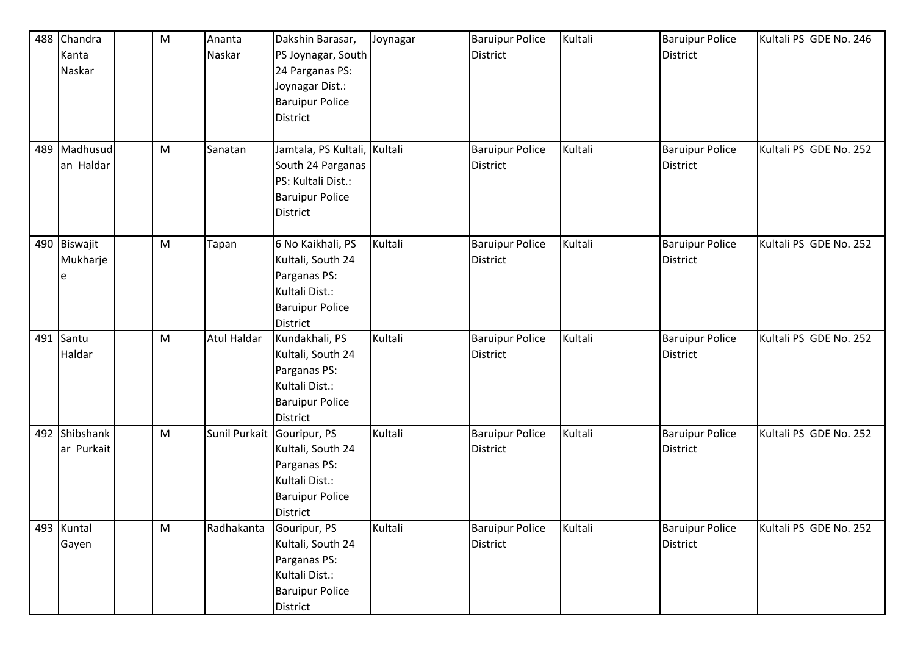|     | 488 Chandra   | M | Ananta             | Dakshin Barasar,             | Joynagar | <b>Baruipur Police</b> | Kultali | <b>Baruipur Police</b> | Kultali PS GDE No. 246 |
|-----|---------------|---|--------------------|------------------------------|----------|------------------------|---------|------------------------|------------------------|
|     | Kanta         |   | Naskar             | PS Joynagar, South           |          | District               |         | <b>District</b>        |                        |
|     | Naskar        |   |                    | 24 Parganas PS:              |          |                        |         |                        |                        |
|     |               |   |                    | Joynagar Dist.:              |          |                        |         |                        |                        |
|     |               |   |                    | <b>Baruipur Police</b>       |          |                        |         |                        |                        |
|     |               |   |                    | <b>District</b>              |          |                        |         |                        |                        |
|     |               |   |                    |                              |          |                        |         |                        |                        |
| 489 | Madhusud      | M | Sanatan            | Jamtala, PS Kultali, Kultali |          | <b>Baruipur Police</b> | Kultali | <b>Baruipur Police</b> | Kultali PS GDE No. 252 |
|     | an Haldar     |   |                    | South 24 Parganas            |          | District               |         | <b>District</b>        |                        |
|     |               |   |                    | PS: Kultali Dist.:           |          |                        |         |                        |                        |
|     |               |   |                    | <b>Baruipur Police</b>       |          |                        |         |                        |                        |
|     |               |   |                    | <b>District</b>              |          |                        |         |                        |                        |
|     |               |   |                    |                              |          |                        |         |                        |                        |
|     | 490 Biswajit  | M | Tapan              | 6 No Kaikhali, PS            | Kultali  | <b>Baruipur Police</b> | Kultali | <b>Baruipur Police</b> | Kultali PS GDE No. 252 |
|     | Mukharje      |   |                    | Kultali, South 24            |          | <b>District</b>        |         | <b>District</b>        |                        |
|     | e             |   |                    | Parganas PS:                 |          |                        |         |                        |                        |
|     |               |   |                    | Kultali Dist.:               |          |                        |         |                        |                        |
|     |               |   |                    | <b>Baruipur Police</b>       |          |                        |         |                        |                        |
|     |               |   |                    | <b>District</b>              |          |                        |         |                        |                        |
|     | 491 Santu     | M | <b>Atul Haldar</b> | Kundakhali, PS               | Kultali  | <b>Baruipur Police</b> | Kultali | <b>Baruipur Police</b> | Kultali PS GDE No. 252 |
|     | Haldar        |   |                    | Kultali, South 24            |          | <b>District</b>        |         | <b>District</b>        |                        |
|     |               |   |                    | Parganas PS:                 |          |                        |         |                        |                        |
|     |               |   |                    | Kultali Dist.:               |          |                        |         |                        |                        |
|     |               |   |                    | <b>Baruipur Police</b>       |          |                        |         |                        |                        |
|     |               |   |                    | <b>District</b>              |          |                        |         |                        |                        |
|     | 492 Shibshank | M |                    | Sunil Purkait Gouripur, PS   | Kultali  | <b>Baruipur Police</b> | Kultali | <b>Baruipur Police</b> | Kultali PS GDE No. 252 |
|     | ar Purkait    |   |                    | Kultali, South 24            |          | <b>District</b>        |         | <b>District</b>        |                        |
|     |               |   |                    | Parganas PS:                 |          |                        |         |                        |                        |
|     |               |   |                    | Kultali Dist.:               |          |                        |         |                        |                        |
|     |               |   |                    | <b>Baruipur Police</b>       |          |                        |         |                        |                        |
|     |               |   |                    | <b>District</b>              |          |                        |         |                        |                        |
|     | 493 Kuntal    | M | Radhakanta         | Gouripur, PS                 | Kultali  | <b>Baruipur Police</b> | Kultali | <b>Baruipur Police</b> | Kultali PS GDE No. 252 |
|     | Gayen         |   |                    | Kultali, South 24            |          | District               |         | <b>District</b>        |                        |
|     |               |   |                    | Parganas PS:                 |          |                        |         |                        |                        |
|     |               |   |                    | Kultali Dist.:               |          |                        |         |                        |                        |
|     |               |   |                    | <b>Baruipur Police</b>       |          |                        |         |                        |                        |
|     |               |   |                    | District                     |          |                        |         |                        |                        |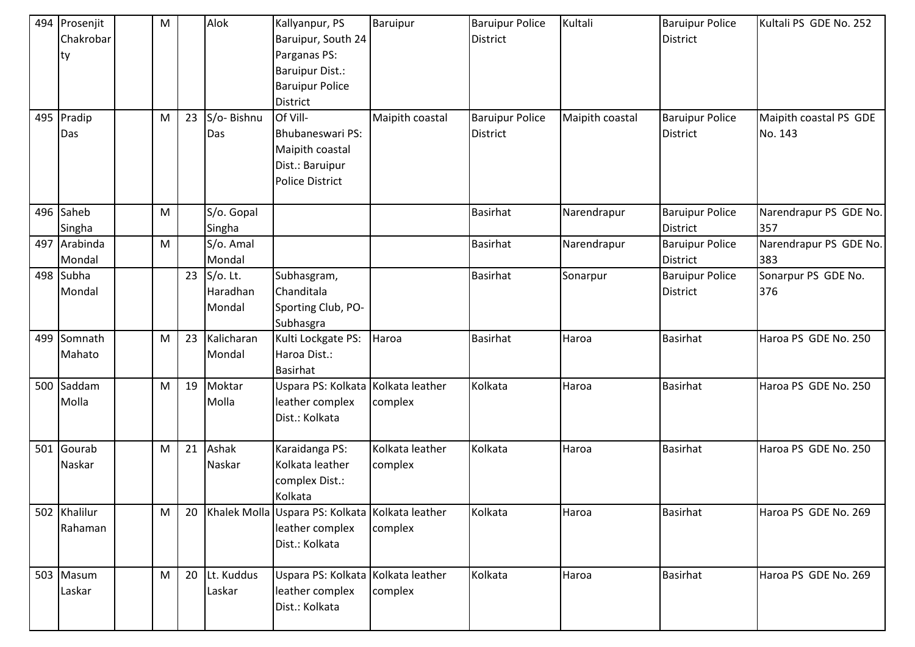|     | 494 Prosenjit<br>Chakrobar<br>ty<br>495 Pradip<br>Das | M<br>M | 23 | Alok<br>S/o-Bishnu<br>Das      | Kallyanpur, PS<br>Baruipur, South 24<br>Parganas PS:<br><b>Baruipur Dist.:</b><br><b>Baruipur Police</b><br><b>District</b><br>Of Vill-<br><b>Bhubaneswari PS:</b> | Baruipur<br>Maipith coastal | <b>Baruipur Police</b><br><b>District</b><br><b>Baruipur Police</b><br><b>District</b> | Kultali<br>Maipith coastal | <b>Baruipur Police</b><br><b>District</b><br><b>Baruipur Police</b><br><b>District</b> | Kultali PS GDE No. 252<br>Maipith coastal PS GDE<br>No. 143 |
|-----|-------------------------------------------------------|--------|----|--------------------------------|--------------------------------------------------------------------------------------------------------------------------------------------------------------------|-----------------------------|----------------------------------------------------------------------------------------|----------------------------|----------------------------------------------------------------------------------------|-------------------------------------------------------------|
|     |                                                       |        |    |                                | Maipith coastal<br>Dist.: Baruipur<br><b>Police District</b>                                                                                                       |                             |                                                                                        |                            |                                                                                        |                                                             |
|     | 496 Saheb<br>Singha                                   | M      |    | S/o. Gopal<br>Singha           |                                                                                                                                                                    |                             | <b>Basirhat</b>                                                                        | Narendrapur                | <b>Baruipur Police</b><br><b>District</b>                                              | Narendrapur PS GDE No.<br>357                               |
|     | 497 Arabinda<br>Mondal                                | M      |    | S/o. Amal<br>Mondal            |                                                                                                                                                                    |                             | <b>Basirhat</b>                                                                        | Narendrapur                | <b>Baruipur Police</b><br><b>District</b>                                              | Narendrapur PS GDE No.<br>383                               |
|     | 498 Subha<br>Mondal                                   |        | 23 | S/o. Lt.<br>Haradhan<br>Mondal | Subhasgram,<br>Chanditala<br>Sporting Club, PO-<br>Subhasgra                                                                                                       |                             | <b>Basirhat</b>                                                                        | Sonarpur                   | <b>Baruipur Police</b><br><b>District</b>                                              | Sonarpur PS GDE No.<br>376                                  |
|     | 499 Somnath<br>Mahato                                 | M      | 23 | Kalicharan<br>Mondal           | Kulti Lockgate PS:<br>Haroa Dist.:<br><b>Basirhat</b>                                                                                                              | Haroa                       | <b>Basirhat</b>                                                                        | Haroa                      | Basirhat                                                                               | Haroa PS GDE No. 250                                        |
|     | 500 Saddam<br>Molla                                   | M      | 19 | Moktar<br>Molla                | Uspara PS: Kolkata Kolkata leather<br>leather complex<br>Dist.: Kolkata                                                                                            | complex                     | Kolkata                                                                                | Haroa                      | Basirhat                                                                               | Haroa PS GDE No. 250                                        |
| 501 | Gourab<br>Naskar                                      | M      | 21 | Ashak<br>Naskar                | Karaidanga PS:<br>Kolkata leather<br>complex Dist.:<br>Kolkata                                                                                                     | Kolkata leather<br>complex  | Kolkata                                                                                | Haroa                      | <b>Basirhat</b>                                                                        | Haroa PS GDE No. 250                                        |
|     | 502 Khalilur<br>Rahaman                               | M      | 20 |                                | Khalek Molla Uspara PS: Kolkata Kolkata leather<br>leather complex<br>Dist.: Kolkata                                                                               | complex                     | Kolkata                                                                                | Haroa                      | <b>Basirhat</b>                                                                        | Haroa PS GDE No. 269                                        |
|     | 503 Masum<br>Laskar                                   | M      | 20 | Lt. Kuddus<br>Laskar           | Uspara PS: Kolkata Kolkata leather<br>leather complex<br>Dist.: Kolkata                                                                                            | complex                     | Kolkata                                                                                | Haroa                      | <b>Basirhat</b>                                                                        | Haroa PS GDE No. 269                                        |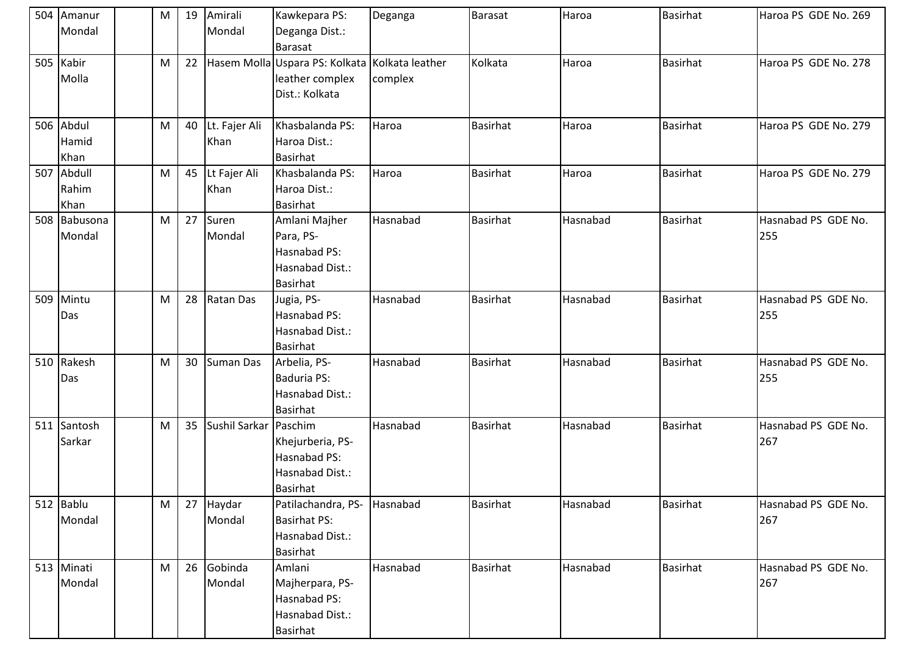|     | 504 Amanur<br>Mondal       | M | 19 | Amirali<br>Mondal     | Kawkepara PS:<br>Deganga Dist.:<br>Barasat                                          | Deganga  | <b>Barasat</b>  | Haroa    | <b>Basirhat</b> | Haroa PS GDE No. 269       |
|-----|----------------------------|---|----|-----------------------|-------------------------------------------------------------------------------------|----------|-----------------|----------|-----------------|----------------------------|
|     | 505 Kabir<br>Molla         | M | 22 |                       | Hasem Molla Uspara PS: Kolkata Kolkata leather<br>leather complex<br>Dist.: Kolkata | complex  | Kolkata         | Haroa    | <b>Basirhat</b> | Haroa PS GDE No. 278       |
|     | 506 Abdul<br>Hamid<br>Khan | M | 40 | Lt. Fajer Ali<br>Khan | Khasbalanda PS:<br>Haroa Dist.:<br>Basirhat                                         | Haroa    | <b>Basirhat</b> | Haroa    | <b>Basirhat</b> | Haroa PS GDE No. 279       |
| 507 | Abdull<br>Rahim<br>Khan    | M | 45 | Lt Fajer Ali<br>Khan  | Khasbalanda PS:<br>Haroa Dist.:<br><b>Basirhat</b>                                  | Haroa    | <b>Basirhat</b> | Haroa    | <b>Basirhat</b> | Haroa PS GDE No. 279       |
|     | 508 Babusona<br>Mondal     | M | 27 | Suren<br>Mondal       | Amlani Majher<br>Para, PS-<br>Hasnabad PS:<br>Hasnabad Dist.:<br><b>Basirhat</b>    | Hasnabad | <b>Basirhat</b> | Hasnabad | <b>Basirhat</b> | Hasnabad PS GDE No.<br>255 |
| 509 | Mintu<br>Das               | M | 28 | <b>Ratan Das</b>      | Jugia, PS-<br>Hasnabad PS:<br>Hasnabad Dist.:<br>Basirhat                           | Hasnabad | <b>Basirhat</b> | Hasnabad | <b>Basirhat</b> | Hasnabad PS GDE No.<br>255 |
|     | 510 Rakesh<br>Das          | M | 30 | Suman Das             | Arbelia, PS-<br><b>Baduria PS:</b><br>Hasnabad Dist.:<br>Basirhat                   | Hasnabad | <b>Basirhat</b> | Hasnabad | <b>Basirhat</b> | Hasnabad PS GDE No.<br>255 |
|     | 511 Santosh<br>Sarkar      | M | 35 | Sushil Sarkar Paschim | Khejurberia, PS-<br>Hasnabad PS:<br>Hasnabad Dist.:<br>Basirhat                     | Hasnabad | <b>Basirhat</b> | Hasnabad | <b>Basirhat</b> | Hasnabad PS GDE No.<br>267 |
|     | 512 Bablu<br>Mondal        | M | 27 | Haydar<br>Mondal      | Patilachandra, PS- Hasnabad<br><b>Basirhat PS:</b><br>Hasnabad Dist.:<br>Basirhat   |          | <b>Basirhat</b> | Hasnabad | <b>Basirhat</b> | Hasnabad PS GDE No.<br>267 |
|     | 513 Minati<br>Mondal       | M | 26 | Gobinda<br>Mondal     | Amlani<br>Majherpara, PS-<br>Hasnabad PS:<br>Hasnabad Dist.:<br>Basirhat            | Hasnabad | <b>Basirhat</b> | Hasnabad | Basirhat        | Hasnabad PS GDE No.<br>267 |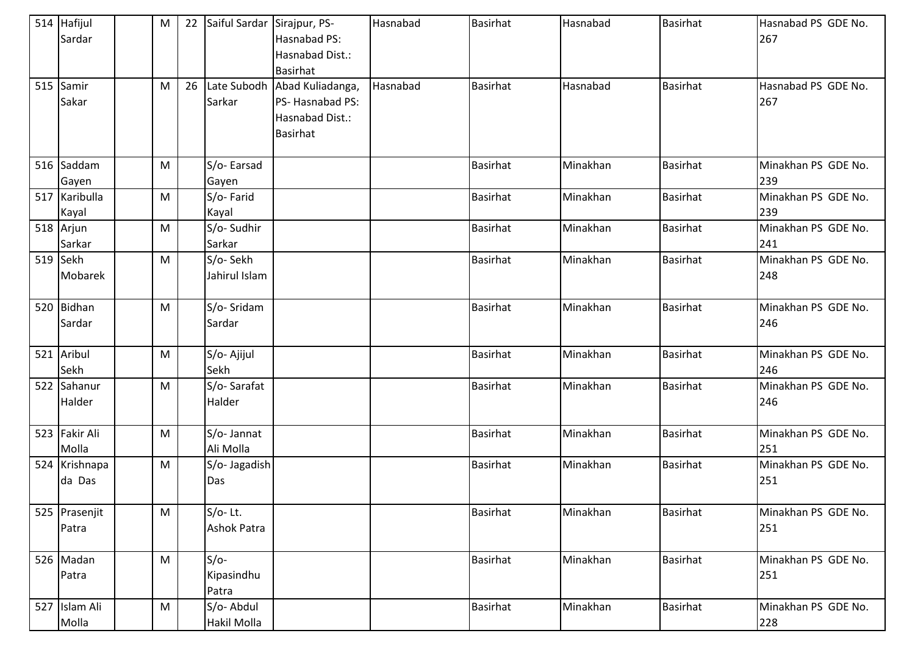| 514 Hafijul<br>Sardar   | м | 22 | Saiful Sardar Sirajpur, PS-     | Hasnabad PS:<br>Hasnabad Dist.:<br>Basirhat                                    | Hasnabad | <b>Basirhat</b> | Hasnabad | <b>Basirhat</b> | Hasnabad PS GDE No.<br>267 |
|-------------------------|---|----|---------------------------------|--------------------------------------------------------------------------------|----------|-----------------|----------|-----------------|----------------------------|
| 515 Samir<br>Sakar      | м | 26 | Sarkar                          | Late Subodh Abad Kuliadanga,<br>PS-Hasnabad PS:<br>Hasnabad Dist.:<br>Basirhat | Hasnabad | <b>Basirhat</b> | Hasnabad | <b>Basirhat</b> | Hasnabad PS GDE No.<br>267 |
| 516 Saddam              | M |    | S/o-Earsad                      |                                                                                |          | <b>Basirhat</b> | Minakhan | <b>Basirhat</b> | Minakhan PS GDE No.        |
| Gayen                   |   |    | Gayen                           |                                                                                |          |                 |          |                 | 239                        |
| 517 Karibulla<br>Kayal  | M |    | S/o-Farid<br>Kayal              |                                                                                |          | <b>Basirhat</b> | Minakhan | <b>Basirhat</b> | Minakhan PS GDE No.<br>239 |
| 518 Arjun<br>Sarkar     | M |    | S/o-Sudhir<br>Sarkar            |                                                                                |          | <b>Basirhat</b> | Minakhan | <b>Basirhat</b> | Minakhan PS GDE No.<br>241 |
| 519 Sekh<br>Mobarek     | M |    | S/o-Sekh<br>Jahirul Islam       |                                                                                |          | <b>Basirhat</b> | Minakhan | <b>Basirhat</b> | Minakhan PS GDE No.<br>248 |
| 520 Bidhan<br>Sardar    | M |    | S/o-Sridam<br>Sardar            |                                                                                |          | <b>Basirhat</b> | Minakhan | Basirhat        | Minakhan PS GDE No.<br>246 |
| 521 Aribul<br>Sekh      | M |    | S/o-Ajijul<br>Sekh              |                                                                                |          | <b>Basirhat</b> | Minakhan | <b>Basirhat</b> | Minakhan PS GDE No.<br>246 |
| 522 Sahanur<br>Halder   | M |    | S/o-Sarafat<br>Halder           |                                                                                |          | <b>Basirhat</b> | Minakhan | <b>Basirhat</b> | Minakhan PS GDE No.<br>246 |
| 523 Fakir Ali<br>Molla  | M |    | S/o-Jannat<br>Ali Molla         |                                                                                |          | <b>Basirhat</b> | Minakhan | Basirhat        | Minakhan PS GDE No.<br>251 |
| 524 Krishnapa<br>da Das | M |    | S/o- Jagadish<br>Das            |                                                                                |          | <b>Basirhat</b> | Minakhan | <b>Basirhat</b> | Minakhan PS GDE No.<br>251 |
| 525 Prasenjit<br>Patra  | M |    | $S/O-Lt.$<br><b>Ashok Patra</b> |                                                                                |          | <b>Basirhat</b> | Minakhan | <b>Basirhat</b> | Minakhan PS GDE No.<br>251 |
| 526 Madan<br>Patra      | M |    | $S/O-$<br>Kipasindhu<br>Patra   |                                                                                |          | <b>Basirhat</b> | Minakhan | <b>Basirhat</b> | Minakhan PS GDE No.<br>251 |
| 527 Islam Ali<br>Molla  | M |    | S/o-Abdul<br>Hakil Molla        |                                                                                |          | <b>Basirhat</b> | Minakhan | <b>Basirhat</b> | Minakhan PS GDE No.<br>228 |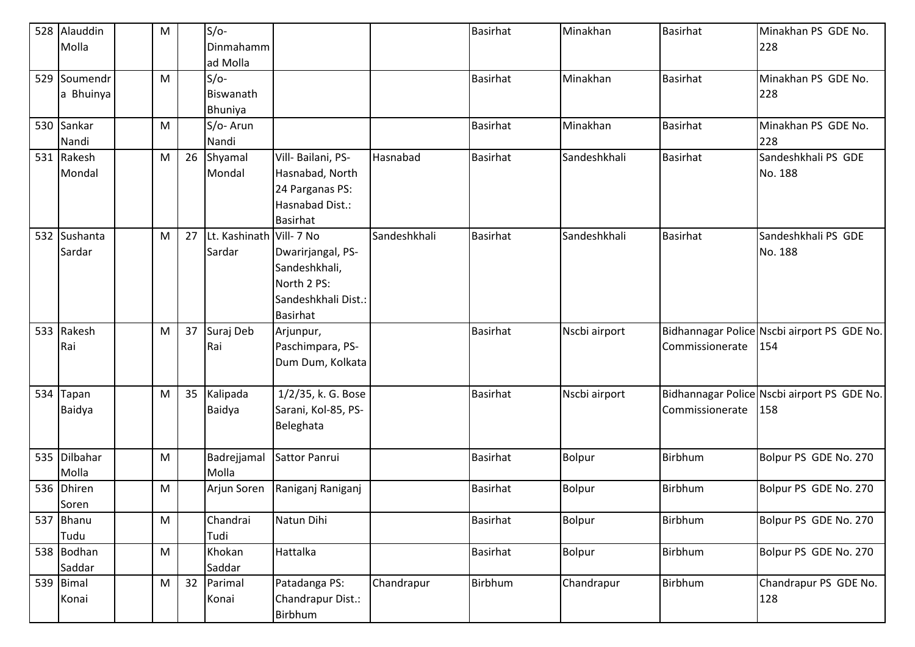| 528 Alauddin | M         |    | $S/O-$        |                     |              | <b>Basirhat</b> | Minakhan      | Basirhat        | Minakhan PS GDE No.                         |
|--------------|-----------|----|---------------|---------------------|--------------|-----------------|---------------|-----------------|---------------------------------------------|
| Molla        |           |    | Dinmahamm     |                     |              |                 |               |                 | 228                                         |
|              |           |    | ad Molla      |                     |              |                 |               |                 |                                             |
| 529 Soumendr | M         |    | $S/O-$        |                     |              | <b>Basirhat</b> | Minakhan      | <b>Basirhat</b> | Minakhan PS GDE No.                         |
| a Bhuinya    |           |    | Biswanath     |                     |              |                 |               |                 | 228                                         |
|              |           |    | Bhuniya       |                     |              |                 |               |                 |                                             |
| 530 Sankar   | M         |    | S/o-Arun      |                     |              | <b>Basirhat</b> | Minakhan      | Basirhat        | Minakhan PS GDE No.                         |
| Nandi        |           |    | Nandi         |                     |              |                 |               |                 | 228                                         |
| 531 Rakesh   | M         | 26 | Shyamal       | Vill- Bailani, PS-  | Hasnabad     | <b>Basirhat</b> | Sandeshkhali  | Basirhat        | Sandeshkhali PS GDE                         |
| Mondal       |           |    | Mondal        | Hasnabad, North     |              |                 |               |                 | No. 188                                     |
|              |           |    |               | 24 Parganas PS:     |              |                 |               |                 |                                             |
|              |           |    |               | Hasnabad Dist.:     |              |                 |               |                 |                                             |
|              |           |    |               | <b>Basirhat</b>     |              |                 |               |                 |                                             |
| 532 Sushanta | M         | 27 | Lt. Kashinath | Vill-7 No           | Sandeshkhali | <b>Basirhat</b> | Sandeshkhali  | <b>Basirhat</b> | Sandeshkhali PS GDE                         |
| Sardar       |           |    | Sardar        | Dwarirjangal, PS-   |              |                 |               |                 | No. 188                                     |
|              |           |    |               | Sandeshkhali,       |              |                 |               |                 |                                             |
|              |           |    |               | North 2 PS:         |              |                 |               |                 |                                             |
|              |           |    |               | Sandeshkhali Dist.: |              |                 |               |                 |                                             |
|              |           |    |               | <b>Basirhat</b>     |              |                 |               |                 |                                             |
| 533 Rakesh   | M         | 37 | Suraj Deb     | Arjunpur,           |              | <b>Basirhat</b> | Nscbi airport |                 | Bidhannagar Police Nscbi airport PS GDE No. |
| Rai          |           |    | Rai           | Paschimpara, PS-    |              |                 |               | Commissionerate | 154                                         |
|              |           |    |               | Dum Dum, Kolkata    |              |                 |               |                 |                                             |
|              |           |    |               |                     |              |                 |               |                 |                                             |
| 534 Tapan    | M         | 35 | Kalipada      | 1/2/35, k. G. Bose  |              | <b>Basirhat</b> | Nscbi airport |                 | Bidhannagar Police Nscbi airport PS GDE No. |
| Baidya       |           |    | Baidya        | Sarani, Kol-85, PS- |              |                 |               | Commissionerate | 158                                         |
|              |           |    |               | Beleghata           |              |                 |               |                 |                                             |
|              |           |    |               |                     |              |                 |               |                 |                                             |
| 535 Dilbahar | M         |    | Badrejjamal   | Sattor Panrui       |              | <b>Basirhat</b> | Bolpur        | Birbhum         | Bolpur PS GDE No. 270                       |
| Molla        |           |    | Molla         |                     |              |                 |               |                 |                                             |
| 536 Dhiren   | M         |    | Arjun Soren   | Raniganj Raniganj   |              | <b>Basirhat</b> | Bolpur        | Birbhum         | Bolpur PS GDE No. 270                       |
| Soren        |           |    |               |                     |              |                 |               |                 |                                             |
| 537 Bhanu    | M         |    | Chandrai      | Natun Dihi          |              | <b>Basirhat</b> | Bolpur        | Birbhum         | Bolpur PS GDE No. 270                       |
| Tudu         |           |    | Tudi          |                     |              |                 |               |                 |                                             |
| 538 Bodhan   | ${\sf M}$ |    | Khokan        | Hattalka            |              | <b>Basirhat</b> | Bolpur        | Birbhum         | Bolpur PS GDE No. 270                       |
| Saddar       |           |    | Saddar        |                     |              |                 |               |                 |                                             |
| 539 Bimal    | M         | 32 | Parimal       | Patadanga PS:       | Chandrapur   | Birbhum         | Chandrapur    | Birbhum         | Chandrapur PS GDE No.                       |
| Konai        |           |    | Konai         | Chandrapur Dist.:   |              |                 |               |                 | 128                                         |
|              |           |    |               | Birbhum             |              |                 |               |                 |                                             |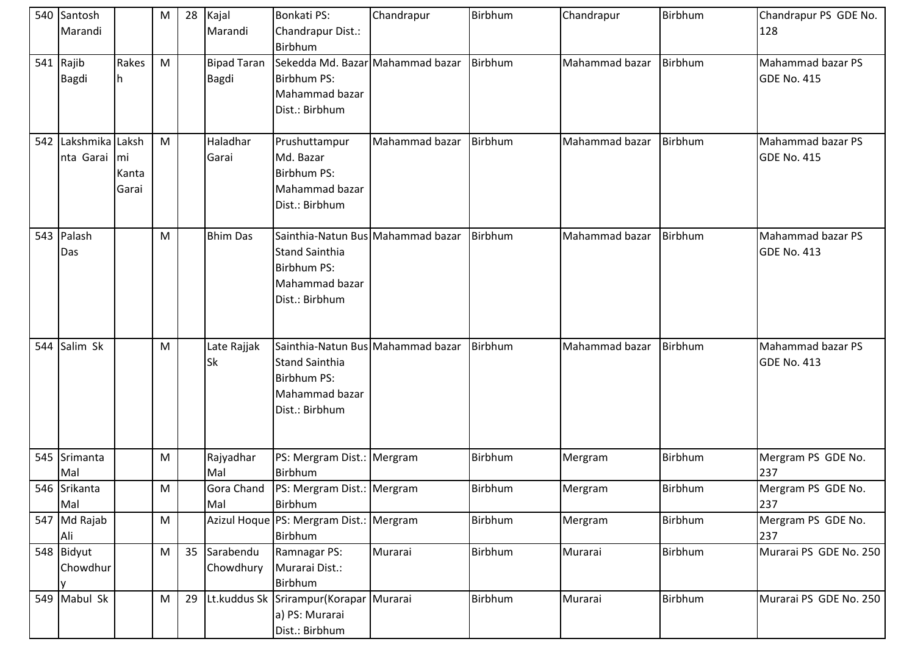|     | 540 Santosh     |       | M         | 28 | Kajal              | <b>Bonkati PS:</b>                      | Chandrapur     | Birbhum | Chandrapur     | Birbhum | Chandrapur PS GDE No.  |
|-----|-----------------|-------|-----------|----|--------------------|-----------------------------------------|----------------|---------|----------------|---------|------------------------|
|     | Marandi         |       |           |    | Marandi            | Chandrapur Dist.:                       |                |         |                |         | 128                    |
|     |                 |       |           |    |                    | <b>Birbhum</b>                          |                |         |                |         |                        |
|     | 541 Rajib       | Rakes | M         |    | <b>Bipad Taran</b> | Sekedda Md. Bazar Mahammad bazar        |                | Birbhum | Mahammad bazar | Birbhum | Mahammad bazar PS      |
|     | <b>Bagdi</b>    | lh.   |           |    | <b>Bagdi</b>       | Birbhum PS:                             |                |         |                |         | GDE No. 415            |
|     |                 |       |           |    |                    | Mahammad bazar                          |                |         |                |         |                        |
|     |                 |       |           |    |                    | Dist.: Birbhum                          |                |         |                |         |                        |
|     |                 |       |           |    |                    |                                         |                |         |                |         |                        |
| 542 | Lakshmika Laksh |       | M         |    | Haladhar           | Prushuttampur                           | Mahammad bazar | Birbhum | Mahammad bazar | Birbhum | Mahammad bazar PS      |
|     | nta Garai mi    |       |           |    | Garai              | Md. Bazar                               |                |         |                |         | GDE No. 415            |
|     |                 | Kanta |           |    |                    | <b>Birbhum PS:</b>                      |                |         |                |         |                        |
|     |                 | Garai |           |    |                    | Mahammad bazar                          |                |         |                |         |                        |
|     |                 |       |           |    |                    | Dist.: Birbhum                          |                |         |                |         |                        |
|     |                 |       |           |    |                    |                                         |                |         |                |         |                        |
|     | 543 Palash      |       | M         |    | <b>Bhim Das</b>    | Sainthia-Natun Bus Mahammad bazar       |                | Birbhum | Mahammad bazar | Birbhum | Mahammad bazar PS      |
|     | Das             |       |           |    |                    | <b>Stand Sainthia</b>                   |                |         |                |         | <b>GDE No. 413</b>     |
|     |                 |       |           |    |                    | <b>Birbhum PS:</b>                      |                |         |                |         |                        |
|     |                 |       |           |    |                    | Mahammad bazar                          |                |         |                |         |                        |
|     |                 |       |           |    |                    | Dist.: Birbhum                          |                |         |                |         |                        |
|     |                 |       |           |    |                    |                                         |                |         |                |         |                        |
|     |                 |       |           |    |                    |                                         |                |         |                |         |                        |
|     | 544 Salim Sk    |       | M         |    | Late Rajjak        | Sainthia-Natun Bus Mahammad bazar       |                | Birbhum | Mahammad bazar | Birbhum | Mahammad bazar PS      |
|     |                 |       |           |    | <b>Sk</b>          | <b>Stand Sainthia</b>                   |                |         |                |         | <b>GDE No. 413</b>     |
|     |                 |       |           |    |                    | <b>Birbhum PS:</b>                      |                |         |                |         |                        |
|     |                 |       |           |    |                    | Mahammad bazar                          |                |         |                |         |                        |
|     |                 |       |           |    |                    | Dist.: Birbhum                          |                |         |                |         |                        |
|     |                 |       |           |    |                    |                                         |                |         |                |         |                        |
|     | 545 Srimanta    |       | M         |    | Rajyadhar          | PS: Mergram Dist.: Mergram              |                | Birbhum | Mergram        | Birbhum | Mergram PS GDE No.     |
|     | Mal             |       |           |    | Mal                | <b>Birbhum</b>                          |                |         |                |         | 237                    |
|     | 546 Srikanta    |       | M         |    |                    | Gora Chand   PS: Mergram Dist.: Mergram |                | Birbhum | Mergram        | Birbhum | Mergram PS GDE No.     |
|     | Mal             |       |           |    | Mal                | Birbhum                                 |                |         |                |         | 237                    |
|     | 547 Md Rajab    |       | ${\sf M}$ |    |                    | Azizul Hoque PS: Mergram Dist.: Mergram |                | Birbhum | Mergram        | Birbhum | Mergram PS GDE No.     |
|     | Ali             |       |           |    |                    | Birbhum                                 |                |         |                |         | 237                    |
|     | 548 Bidyut      |       | M         | 35 | Sarabendu          | Ramnagar PS:                            | Murarai        | Birbhum | Murarai        | Birbhum | Murarai PS GDE No. 250 |
|     | Chowdhur        |       |           |    | Chowdhury          | Murarai Dist.:                          |                |         |                |         |                        |
|     | ΙV              |       |           |    |                    | Birbhum                                 |                |         |                |         |                        |
|     | 549 Mabul Sk    |       | M         | 29 |                    | Lt.kuddus Sk Srirampur(Korapar Murarai  |                | Birbhum | Murarai        | Birbhum | Murarai PS GDE No. 250 |
|     |                 |       |           |    |                    | a) PS: Murarai                          |                |         |                |         |                        |
|     |                 |       |           |    |                    | Dist.: Birbhum                          |                |         |                |         |                        |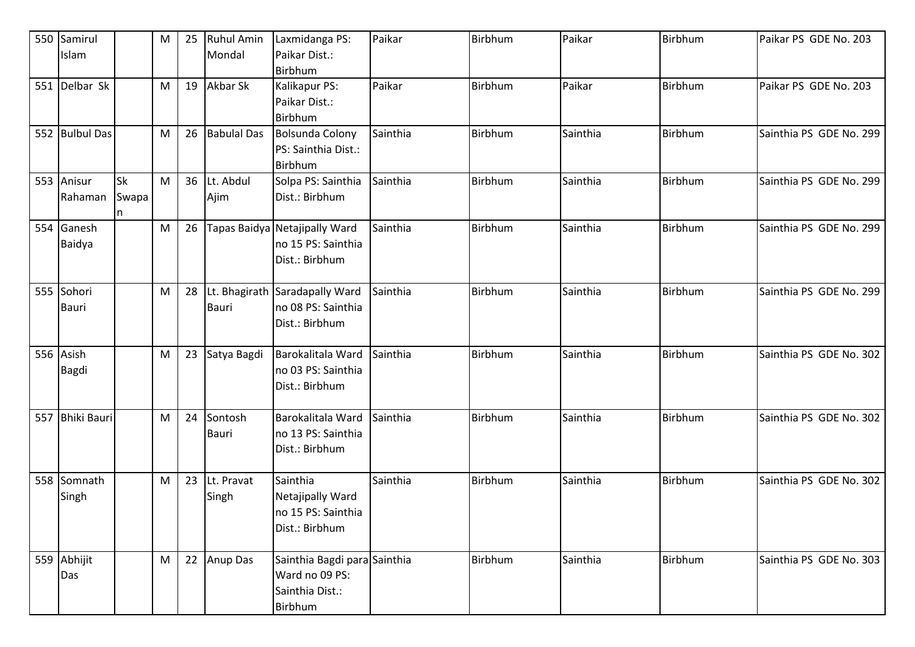|     | 550 Samirul        |           | M         | 25 | Ruhul Amin         | Laxmidanga PS:                                | Paikar   | Birbhum        | Paikar   | Birbhum | Paikar PS GDE No. 203   |
|-----|--------------------|-----------|-----------|----|--------------------|-----------------------------------------------|----------|----------------|----------|---------|-------------------------|
|     | Islam              |           |           |    | Mondal             | Paikar Dist.:                                 |          |                |          |         |                         |
|     |                    |           |           |    |                    | Birbhum                                       |          |                |          |         |                         |
| 551 | Delbar Sk          |           | M         | 19 | Akbar Sk           | Kalikapur PS:                                 | Paikar   | Birbhum        | Paikar   | Birbhum | Paikar PS GDE No. 203   |
|     |                    |           |           |    |                    | Paikar Dist.:                                 |          |                |          |         |                         |
|     | 552 Bulbul Das     |           |           | 26 | <b>Babulal Das</b> | Birbhum                                       | Sainthia | Birbhum        | Sainthia | Birbhum | Sainthia PS GDE No. 299 |
|     |                    |           | M         |    |                    | <b>Bolsunda Colony</b><br>PS: Sainthia Dist.: |          |                |          |         |                         |
|     |                    |           |           |    |                    | <b>Birbhum</b>                                |          |                |          |         |                         |
|     | 553 Anisur         | <b>Sk</b> | M         | 36 | Lt. Abdul          | Solpa PS: Sainthia                            | Sainthia | <b>Birbhum</b> | Sainthia | Birbhum | Sainthia PS GDE No. 299 |
|     | Rahaman            | Swapa     |           |    | Ajim               | Dist.: Birbhum                                |          |                |          |         |                         |
|     |                    | n         |           |    |                    |                                               |          |                |          |         |                         |
|     | 554 Ganesh         |           | ${\sf M}$ | 26 |                    | Tapas Baidya Netajipally Ward                 | Sainthia | Birbhum        | Sainthia | Birbhum | Sainthia PS GDE No. 299 |
|     | Baidya             |           |           |    |                    | no 15 PS: Sainthia                            |          |                |          |         |                         |
|     |                    |           |           |    |                    | Dist.: Birbhum                                |          |                |          |         |                         |
|     |                    |           |           |    |                    |                                               |          |                |          |         |                         |
|     | 555 Sohori         |           | M         | 28 |                    | Lt. Bhagirath Saradapally Ward                | Sainthia | Birbhum        | Sainthia | Birbhum | Sainthia PS GDE No. 299 |
|     | <b>Bauri</b>       |           |           |    | Bauri              | no 08 PS: Sainthia                            |          |                |          |         |                         |
|     |                    |           |           |    |                    | Dist.: Birbhum                                |          |                |          |         |                         |
|     |                    |           |           |    |                    |                                               |          |                |          |         |                         |
|     | 556 Asish          |           | M         | 23 | Satya Bagdi        | Barokalitala Ward                             | Sainthia | Birbhum        | Sainthia | Birbhum | Sainthia PS GDE No. 302 |
|     | Bagdi              |           |           |    |                    | no 03 PS: Sainthia                            |          |                |          |         |                         |
|     |                    |           |           |    |                    | Dist.: Birbhum                                |          |                |          |         |                         |
|     |                    |           |           |    |                    |                                               |          |                |          |         |                         |
| 557 | <b>Bhiki Bauri</b> |           | M         | 24 | Sontosh            | Barokalitala Ward                             | Sainthia | Birbhum        | Sainthia | Birbhum | Sainthia PS GDE No. 302 |
|     |                    |           |           |    | Bauri              | no 13 PS: Sainthia<br>Dist.: Birbhum          |          |                |          |         |                         |
|     |                    |           |           |    |                    |                                               |          |                |          |         |                         |
|     | 558 Somnath        |           | M         | 23 | Lt. Pravat         | Sainthia                                      | Sainthia | <b>Birbhum</b> | Sainthia | Birbhum | Sainthia PS GDE No. 302 |
|     | Singh              |           |           |    | Singh              | Netajipally Ward                              |          |                |          |         |                         |
|     |                    |           |           |    |                    | no 15 PS: Sainthia                            |          |                |          |         |                         |
|     |                    |           |           |    |                    | Dist.: Birbhum                                |          |                |          |         |                         |
|     |                    |           |           |    |                    |                                               |          |                |          |         |                         |
|     | 559 Abhijit        |           | M         | 22 | <b>Anup Das</b>    | Sainthia Bagdi para Sainthia                  |          | Birbhum        | Sainthia | Birbhum | Sainthia PS GDE No. 303 |
|     | Das                |           |           |    |                    | Ward no 09 PS:                                |          |                |          |         |                         |
|     |                    |           |           |    |                    | Sainthia Dist.:                               |          |                |          |         |                         |
|     |                    |           |           |    |                    | Birbhum                                       |          |                |          |         |                         |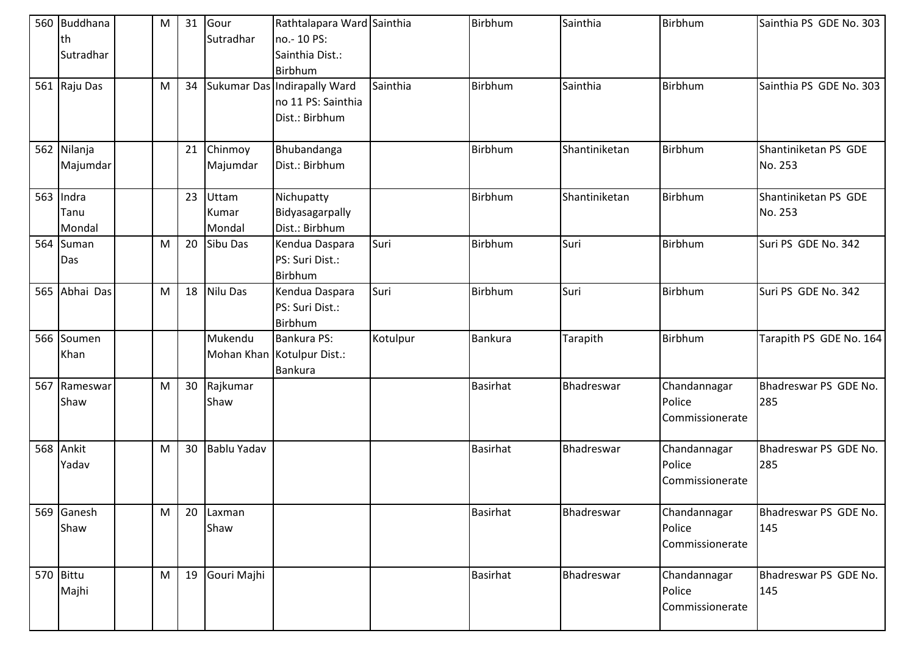|     | 560 Buddhana<br>lth     | M | 31 | Gour<br>Sutradhar        | Rathtalapara Ward Sainthia<br>no.-10 PS:                             |          | Birbhum         | Sainthia      | Birbhum                                   | Sainthia PS GDE No. 303         |
|-----|-------------------------|---|----|--------------------------|----------------------------------------------------------------------|----------|-----------------|---------------|-------------------------------------------|---------------------------------|
|     | Sutradhar               |   |    |                          | Sainthia Dist.:<br>Birbhum                                           |          |                 |               |                                           |                                 |
|     | 561 Raju Das            | M | 34 |                          | Sukumar Das Indirapally Ward<br>no 11 PS: Sainthia<br>Dist.: Birbhum | Sainthia | <b>Birbhum</b>  | Sainthia      | Birbhum                                   | Sainthia PS GDE No. 303         |
| 562 | Nilanja<br>Majumdar     |   | 21 | Chinmoy<br>Majumdar      | Bhubandanga<br>Dist.: Birbhum                                        |          | Birbhum         | Shantiniketan | Birbhum                                   | Shantiniketan PS GDE<br>No. 253 |
| 563 | Indra<br>Tanu<br>Mondal |   | 23 | Uttam<br>Kumar<br>Mondal | Nichupatty<br>Bidyasagarpally<br>Dist.: Birbhum                      |          | <b>Birbhum</b>  | Shantiniketan | Birbhum                                   | Shantiniketan PS GDE<br>No. 253 |
| 564 | Suman<br>Das            | M | 20 | Sibu Das                 | Kendua Daspara<br>PS: Suri Dist.:<br>Birbhum                         | Suri     | <b>Birbhum</b>  | Suri          | Birbhum                                   | Suri PS GDE No. 342             |
| 565 | Abhai Das               | M | 18 | Nilu Das                 | Kendua Daspara<br>PS: Suri Dist.:<br>Birbhum                         | Suri     | <b>Birbhum</b>  | Suri          | Birbhum                                   | Suri PS GDE No. 342             |
|     | 566 Soumen<br>Khan      |   |    | Mukendu                  | <b>Bankura PS:</b><br>Mohan Khan Kotulpur Dist.:<br><b>Bankura</b>   | Kotulpur | <b>Bankura</b>  | Tarapith      | Birbhum                                   | Tarapith PS GDE No. 164         |
| 567 | Rameswar<br>Shaw        | M | 30 | Rajkumar<br>Shaw         |                                                                      |          | <b>Basirhat</b> | Bhadreswar    | Chandannagar<br>Police<br>Commissionerate | Bhadreswar PS GDE No.<br>285    |
| 568 | Ankit<br>Yadav          | M | 30 | <b>Bablu Yadav</b>       |                                                                      |          | <b>Basirhat</b> | Bhadreswar    | Chandannagar<br>Police<br>Commissionerate | Bhadreswar PS GDE No.<br>285    |
|     | 569 Ganesh<br>Shaw      | M | 20 | Laxman<br>Shaw           |                                                                      |          | <b>Basirhat</b> | Bhadreswar    | Chandannagar<br>Police<br>Commissionerate | Bhadreswar PS GDE No.<br>145    |
|     | 570 Bittu<br>Majhi      | M | 19 | Gouri Majhi              |                                                                      |          | <b>Basirhat</b> | Bhadreswar    | Chandannagar<br>Police<br>Commissionerate | Bhadreswar PS GDE No.<br>145    |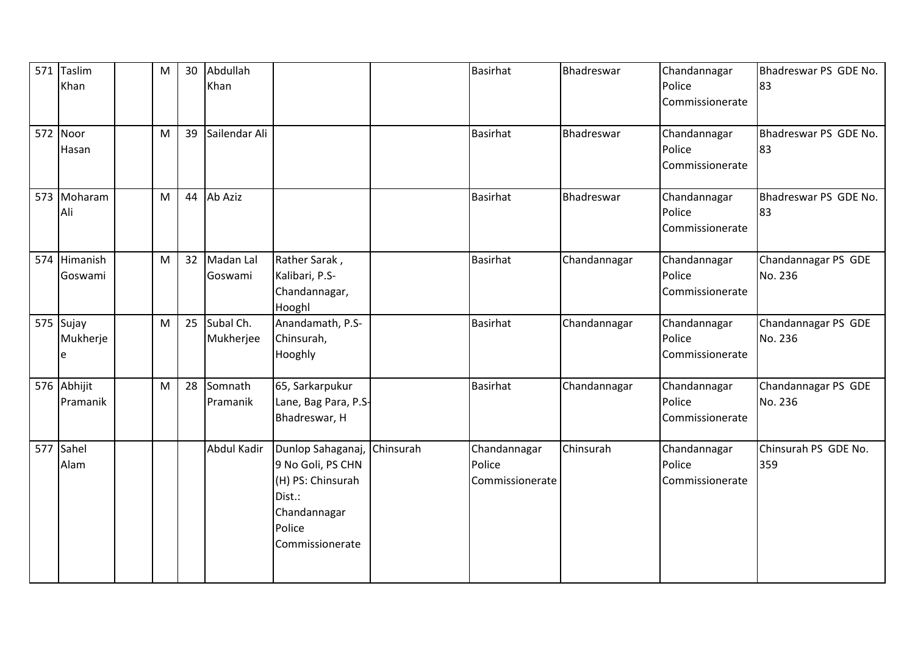| 571 Taslim<br>Khan         | M | 30 | Abdullah<br>Khan       |                                                                                                                    |           | <b>Basirhat</b>                           | Bhadreswar   | Chandannagar<br>Police<br>Commissionerate | Bhadreswar PS GDE No.<br>83    |
|----------------------------|---|----|------------------------|--------------------------------------------------------------------------------------------------------------------|-----------|-------------------------------------------|--------------|-------------------------------------------|--------------------------------|
| 572 Noor<br>Hasan          | M | 39 | Sailendar Ali          |                                                                                                                    |           | <b>Basirhat</b>                           | Bhadreswar   | Chandannagar<br>Police<br>Commissionerate | Bhadreswar PS GDE No.<br>83    |
| 573 Moharam<br>Ali         | M | 44 | Ab Aziz                |                                                                                                                    |           | <b>Basirhat</b>                           | Bhadreswar   | Chandannagar<br>Police<br>Commissionerate | Bhadreswar PS GDE No.<br>83    |
| 574 Himanish<br>Goswami    | M | 32 | Madan Lal<br>Goswami   | Rather Sarak,<br>Kalibari, P.S-<br>Chandannagar,<br>Hooghl                                                         |           | <b>Basirhat</b>                           | Chandannagar | Chandannagar<br>Police<br>Commissionerate | Chandannagar PS GDE<br>No. 236 |
| 575 Sujay<br>Mukherje<br>e | M | 25 | Subal Ch.<br>Mukherjee | Anandamath, P.S-<br>Chinsurah,<br>Hooghly                                                                          |           | <b>Basirhat</b>                           | Chandannagar | Chandannagar<br>Police<br>Commissionerate | Chandannagar PS GDE<br>No. 236 |
| 576 Abhijit<br>Pramanik    | M | 28 | Somnath<br>Pramanik    | 65, Sarkarpukur<br>Lane, Bag Para, P.S-<br>Bhadreswar, H                                                           |           | <b>Basirhat</b>                           | Chandannagar | Chandannagar<br>Police<br>Commissionerate | Chandannagar PS GDE<br>No. 236 |
| 577 Sahel<br>Alam          |   |    | Abdul Kadir            | Dunlop Sahaganaj,<br>9 No Goli, PS CHN<br>(H) PS: Chinsurah<br>Dist.:<br>Chandannagar<br>Police<br>Commissionerate | Chinsurah | Chandannagar<br>Police<br>Commissionerate | Chinsurah    | Chandannagar<br>Police<br>Commissionerate | Chinsurah PS GDE No.<br>359    |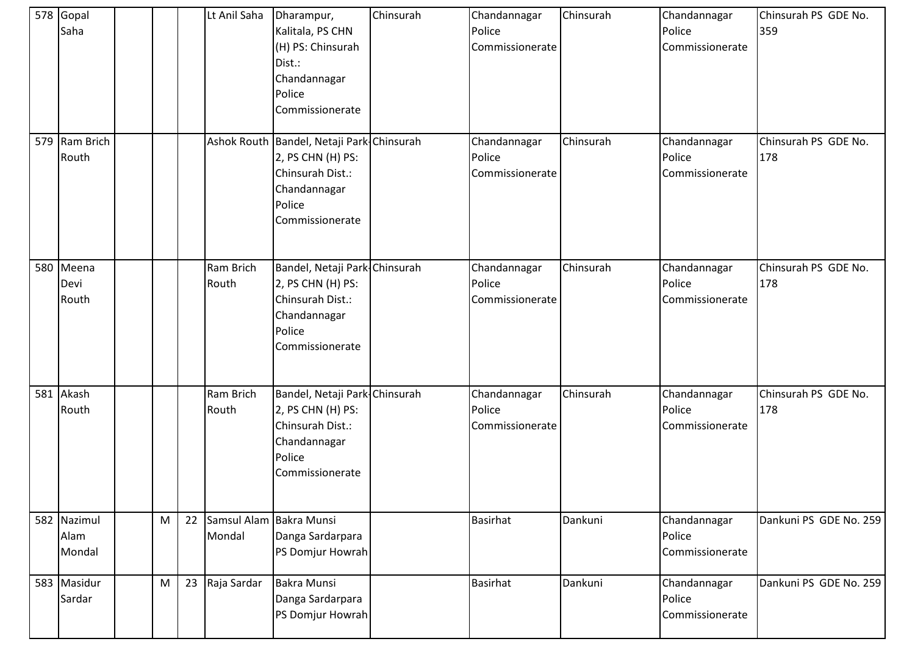| 578 Gopal<br>Saha             |   |    | Lt Anil Saha                      | Dharampur,<br>Kalitala, PS CHN<br>(H) PS: Chinsurah<br>Dist.:<br>Chandannagar<br>Police<br>Commissionerate                      | Chinsurah | Chandannagar<br>Police<br>Commissionerate | Chinsurah | Chandannagar<br>Police<br>Commissionerate | Chinsurah PS GDE No.<br>359 |
|-------------------------------|---|----|-----------------------------------|---------------------------------------------------------------------------------------------------------------------------------|-----------|-------------------------------------------|-----------|-------------------------------------------|-----------------------------|
| 579 Ram Brich<br>Routh        |   |    |                                   | Ashok Routh Bandel, Netaji Park Chinsurah<br>2, PS CHN (H) PS:<br>Chinsurah Dist.:<br>Chandannagar<br>Police<br>Commissionerate |           | Chandannagar<br>Police<br>Commissionerate | Chinsurah | Chandannagar<br>Police<br>Commissionerate | Chinsurah PS GDE No.<br>178 |
| 580 Meena<br>Devi<br>Routh    |   |    | Ram Brich<br>Routh                | Bandel, Netaji Park-Chinsurah<br>2, PS CHN (H) PS:<br>Chinsurah Dist.:<br>Chandannagar<br>Police<br>Commissionerate             |           | Chandannagar<br>Police<br>Commissionerate | Chinsurah | Chandannagar<br>Police<br>Commissionerate | Chinsurah PS GDE No.<br>178 |
| 581 Akash<br>Routh            |   |    | Ram Brich<br>Routh                | Bandel, Netaji Park-Chinsurah<br>2, PS CHN (H) PS:<br>Chinsurah Dist.:<br>Chandannagar<br>Police<br>Commissionerate             |           | Chandannagar<br>Police<br>Commissionerate | Chinsurah | Chandannagar<br>Police<br>Commissionerate | Chinsurah PS GDE No.<br>178 |
| 582 Nazimul<br>Alam<br>Mondal | M | 22 | Samsul Alam Bakra Munsi<br>Mondal | Danga Sardarpara<br>PS Domjur Howrah                                                                                            |           | <b>Basirhat</b>                           | Dankuni   | Chandannagar<br>Police<br>Commissionerate | Dankuni PS GDE No. 259      |
| 583 Masidur<br>Sardar         | M | 23 | Raja Sardar                       | <b>Bakra Munsi</b><br>Danga Sardarpara<br>PS Domjur Howrah                                                                      |           | <b>Basirhat</b>                           | Dankuni   | Chandannagar<br>Police<br>Commissionerate | Dankuni PS GDE No. 259      |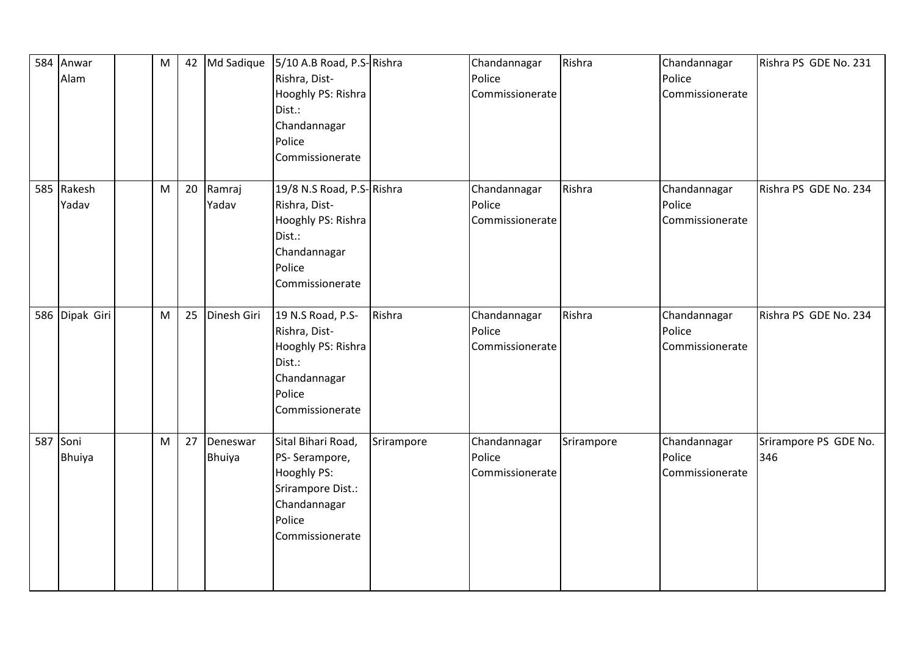| 584 | Anwar<br>Alam       | M | 42 | Md Sadique         | 5/10 A.B Road, P.S-Rishra<br>Rishra, Dist-<br>Hooghly PS: Rishra<br>Dist.:<br>Chandannagar<br>Police<br>Commissionerate |            | Chandannagar<br>Police<br>Commissionerate | Rishra     | Chandannagar<br>Police<br>Commissionerate | Rishra PS GDE No. 231        |
|-----|---------------------|---|----|--------------------|-------------------------------------------------------------------------------------------------------------------------|------------|-------------------------------------------|------------|-------------------------------------------|------------------------------|
|     | 585 Rakesh<br>Yadav | M | 20 | Ramraj<br>Yadav    | 19/8 N.S Road, P.S-Rishra<br>Rishra, Dist-<br>Hooghly PS: Rishra<br>Dist.:<br>Chandannagar<br>Police<br>Commissionerate |            | Chandannagar<br>Police<br>Commissionerate | Rishra     | Chandannagar<br>Police<br>Commissionerate | Rishra PS GDE No. 234        |
|     | 586 Dipak Giri      | M | 25 | Dinesh Giri        | 19 N.S Road, P.S-<br>Rishra, Dist-<br>Hooghly PS: Rishra<br>Dist.:<br>Chandannagar<br>Police<br>Commissionerate         | Rishra     | Chandannagar<br>Police<br>Commissionerate | Rishra     | Chandannagar<br>Police<br>Commissionerate | Rishra PS GDE No. 234        |
|     | 587 Soni<br>Bhuiya  | M | 27 | Deneswar<br>Bhuiya | Sital Bihari Road,<br>PS-Serampore,<br>Hooghly PS:<br>Srirampore Dist.:<br>Chandannagar<br>Police<br>Commissionerate    | Srirampore | Chandannagar<br>Police<br>Commissionerate | Srirampore | Chandannagar<br>Police<br>Commissionerate | Srirampore PS GDE No.<br>346 |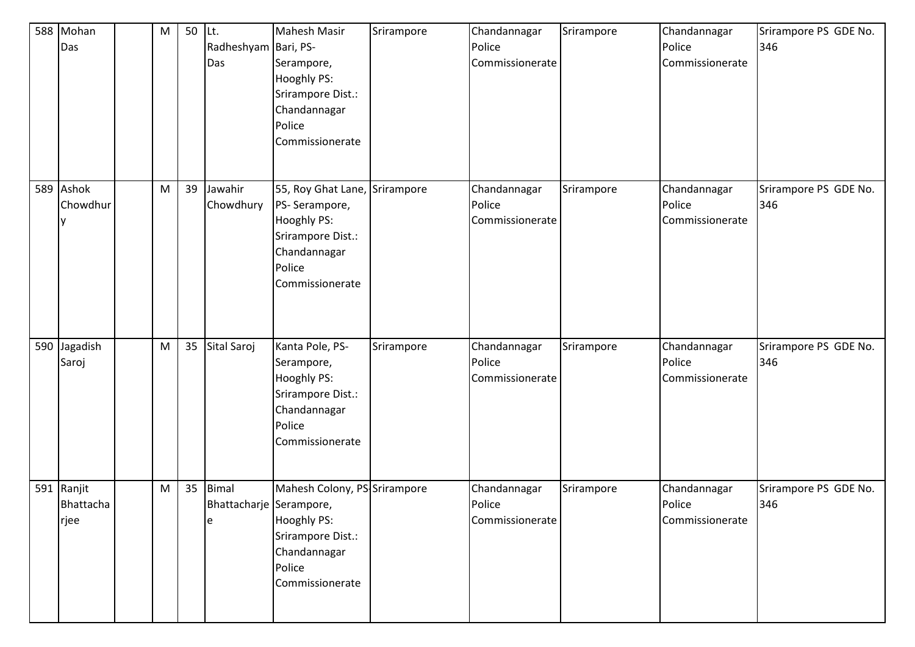| 588 Mohan<br>Das                | M | 50 | Lt.<br>Radheshyam Bari, PS-<br>Das           | Mahesh Masir<br>Serampore,<br>Hooghly PS:<br>Srirampore Dist.:<br>Chandannagar<br>Police<br>Commissionerate                            | Srirampore | Chandannagar<br>Police<br>Commissionerate | Srirampore | Chandannagar<br>Police<br>Commissionerate | Srirampore PS GDE No.<br>346 |
|---------------------------------|---|----|----------------------------------------------|----------------------------------------------------------------------------------------------------------------------------------------|------------|-------------------------------------------|------------|-------------------------------------------|------------------------------|
| 589 Ashok<br>Chowdhur           | M | 39 | Jawahir<br>Chowdhury                         | 55, Roy Ghat Lane, Srirampore<br>PS-Serampore,<br><b>Hooghly PS:</b><br>Srirampore Dist.:<br>Chandannagar<br>Police<br>Commissionerate |            | Chandannagar<br>Police<br>Commissionerate | Srirampore | Chandannagar<br>Police<br>Commissionerate | Srirampore PS GDE No.<br>346 |
| 590 Jagadish<br>Saroj           | M | 35 | Sital Saroj                                  | Kanta Pole, PS-<br>Serampore,<br>Hooghly PS:<br>Srirampore Dist.:<br>Chandannagar<br>Police<br>Commissionerate                         | Srirampore | Chandannagar<br>Police<br>Commissionerate | Srirampore | Chandannagar<br>Police<br>Commissionerate | Srirampore PS GDE No.<br>346 |
| 591 Ranjit<br>Bhattacha<br>rjee | M | 35 | <b>Bimal</b><br>Bhattacharje Serampore,<br>e | Mahesh Colony, PS-Srirampore<br>Hooghly PS:<br>Srirampore Dist.:<br>Chandannagar<br>Police<br>Commissionerate                          |            | Chandannagar<br>Police<br>Commissionerate | Srirampore | Chandannagar<br>Police<br>Commissionerate | Srirampore PS GDE No.<br>346 |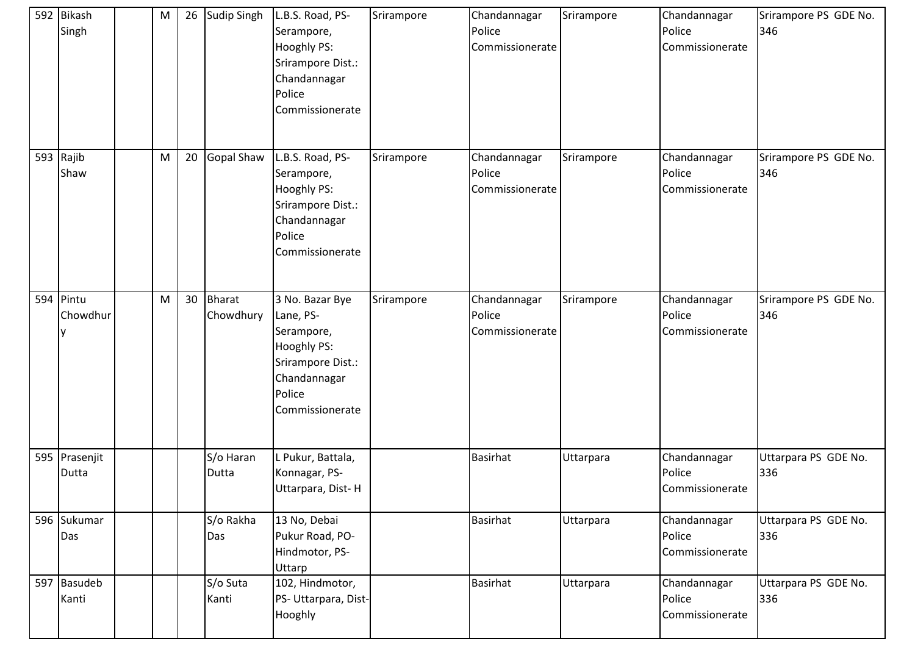| 592 Bikash<br>Singh    | M | 26 | <b>Sudip Singh</b>         | L.B.S. Road, PS-<br>Serampore,<br>Hooghly PS:<br>Srirampore Dist.:<br>Chandannagar<br>Police<br>Commissionerate             | Srirampore | Chandannagar<br>Police<br>Commissionerate | Srirampore | Chandannagar<br>Police<br>Commissionerate | Srirampore PS GDE No.<br>346 |
|------------------------|---|----|----------------------------|-----------------------------------------------------------------------------------------------------------------------------|------------|-------------------------------------------|------------|-------------------------------------------|------------------------------|
| 593 Rajib<br>Shaw      | M | 20 | Gopal Shaw                 | L.B.S. Road, PS-<br>Serampore,<br>Hooghly PS:<br>Srirampore Dist.:<br>Chandannagar<br>Police<br>Commissionerate             | Srirampore | Chandannagar<br>Police<br>Commissionerate | Srirampore | Chandannagar<br>Police<br>Commissionerate | Srirampore PS GDE No.<br>346 |
| 594 Pintu<br>Chowdhur  | M | 30 | <b>Bharat</b><br>Chowdhury | 3 No. Bazar Bye<br>Lane, PS-<br>Serampore,<br>Hooghly PS:<br>Srirampore Dist.:<br>Chandannagar<br>Police<br>Commissionerate | Srirampore | Chandannagar<br>Police<br>Commissionerate | Srirampore | Chandannagar<br>Police<br>Commissionerate | Srirampore PS GDE No.<br>346 |
| 595 Prasenjit<br>Dutta |   |    | S/o Haran<br>Dutta         | L Pukur, Battala,<br>Konnagar, PS-<br>Uttarpara, Dist-H                                                                     |            | Basirhat                                  | Uttarpara  | Chandannagar<br>Police<br>Commissionerate | Uttarpara PS GDE No.<br>336  |
| 596 Sukumar<br>Das     |   |    | S/o Rakha<br>Das           | 13 No, Debai<br>Pukur Road, PO-<br>Hindmotor, PS-<br>Uttarp                                                                 |            | <b>Basirhat</b>                           | Uttarpara  | Chandannagar<br>Police<br>Commissionerate | Uttarpara PS GDE No.<br>336  |
| 597 Basudeb<br>Kanti   |   |    | S/o Suta<br>Kanti          | 102, Hindmotor,<br>PS- Uttarpara, Dist-<br>Hooghly                                                                          |            | <b>Basirhat</b>                           | Uttarpara  | Chandannagar<br>Police<br>Commissionerate | Uttarpara PS GDE No.<br>336  |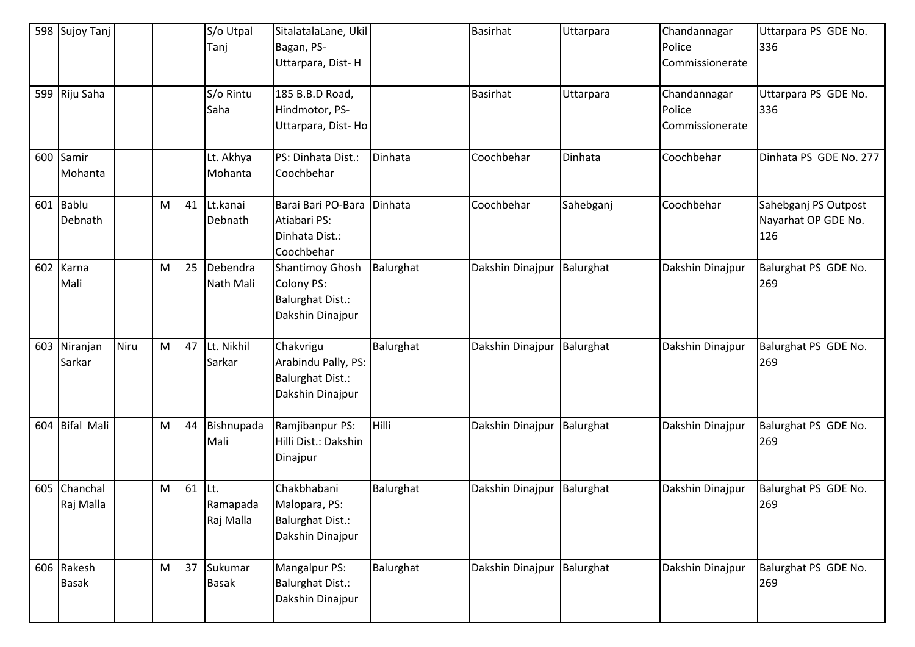|     | 598 Sujoy Tanj    |      |   |    | S/o Utpal<br>Tanj | SitalatalaLane, Ukil<br>Bagan, PS- |           | <b>Basirhat</b>            | Uttarpara | Chandannagar<br>Police | Uttarpara PS GDE No.<br>336 |
|-----|-------------------|------|---|----|-------------------|------------------------------------|-----------|----------------------------|-----------|------------------------|-----------------------------|
|     |                   |      |   |    |                   | Uttarpara, Dist-H                  |           |                            |           | Commissionerate        |                             |
|     | 599 Riju Saha     |      |   |    | S/o Rintu         | 185 B.B.D Road,                    |           | <b>Basirhat</b>            | Uttarpara | Chandannagar           | Uttarpara PS GDE No.        |
|     |                   |      |   |    | Saha              | Hindmotor, PS-                     |           |                            |           | Police                 | 336                         |
|     |                   |      |   |    |                   | Uttarpara, Dist-Ho                 |           |                            |           | Commissionerate        |                             |
| 600 | Samir             |      |   |    | Lt. Akhya         | PS: Dinhata Dist.:                 | Dinhata   | Coochbehar                 | Dinhata   | Coochbehar             | Dinhata PS GDE No. 277      |
|     | Mohanta           |      |   |    | Mohanta           | Coochbehar                         |           |                            |           |                        |                             |
|     | 601 Bablu         |      | M | 41 | Lt.kanai          | Barai Bari PO-Bara                 | Dinhata   | Coochbehar                 | Sahebganj | Coochbehar             | Sahebganj PS Outpost        |
|     | Debnath           |      |   |    | Debnath           | Atiabari PS:                       |           |                            |           |                        | Nayarhat OP GDE No.         |
|     |                   |      |   |    |                   | Dinhata Dist.:<br>Coochbehar       |           |                            |           |                        | 126                         |
| 602 | Karna             |      | M | 25 | Debendra          | <b>Shantimoy Ghosh</b>             | Balurghat | Dakshin Dinajpur           | Balurghat | Dakshin Dinajpur       | Balurghat PS GDE No.        |
|     | Mali              |      |   |    | Nath Mali         | <b>Colony PS:</b>                  |           |                            |           |                        | 269                         |
|     |                   |      |   |    |                   | <b>Balurghat Dist.:</b>            |           |                            |           |                        |                             |
|     |                   |      |   |    |                   | Dakshin Dinajpur                   |           |                            |           |                        |                             |
| 603 | Niranjan          | Niru | M | 47 | Lt. Nikhil        | Chakvrigu                          | Balurghat | Dakshin Dinajpur           | Balurghat | Dakshin Dinajpur       | Balurghat PS GDE No.        |
|     | Sarkar            |      |   |    | Sarkar            | Arabindu Pally, PS:                |           |                            |           |                        | 269                         |
|     |                   |      |   |    |                   | <b>Balurghat Dist.:</b>            |           |                            |           |                        |                             |
|     |                   |      |   |    |                   | Dakshin Dinajpur                   |           |                            |           |                        |                             |
| 604 | <b>Bifal Mali</b> |      | M | 44 | Bishnupada        | Ramjibanpur PS:                    | Hilli     | Dakshin Dinajpur           | Balurghat | Dakshin Dinajpur       | Balurghat PS GDE No.        |
|     |                   |      |   |    | Mali              | Hilli Dist.: Dakshin               |           |                            |           |                        | 269                         |
|     |                   |      |   |    |                   | Dinajpur                           |           |                            |           |                        |                             |
| 605 | Chanchal          |      | M | 61 | Lt.               | Chakbhabani                        | Balurghat | Dakshin Dinajpur           | Balurghat | Dakshin Dinajpur       | Balurghat PS GDE No.        |
|     | Raj Malla         |      |   |    | Ramapada          | Malopara, PS:                      |           |                            |           |                        | 269                         |
|     |                   |      |   |    | Raj Malla         | <b>Balurghat Dist.:</b>            |           |                            |           |                        |                             |
|     |                   |      |   |    |                   | Dakshin Dinajpur                   |           |                            |           |                        |                             |
| 606 | Rakesh            |      | M | 37 | Sukumar           | Mangalpur PS:                      | Balurghat | Dakshin Dinajpur Balurghat |           | Dakshin Dinajpur       | Balurghat PS GDE No.        |
|     | <b>Basak</b>      |      |   |    | <b>Basak</b>      | <b>Balurghat Dist.:</b>            |           |                            |           |                        | 269                         |
|     |                   |      |   |    |                   | Dakshin Dinajpur                   |           |                            |           |                        |                             |
|     |                   |      |   |    |                   |                                    |           |                            |           |                        |                             |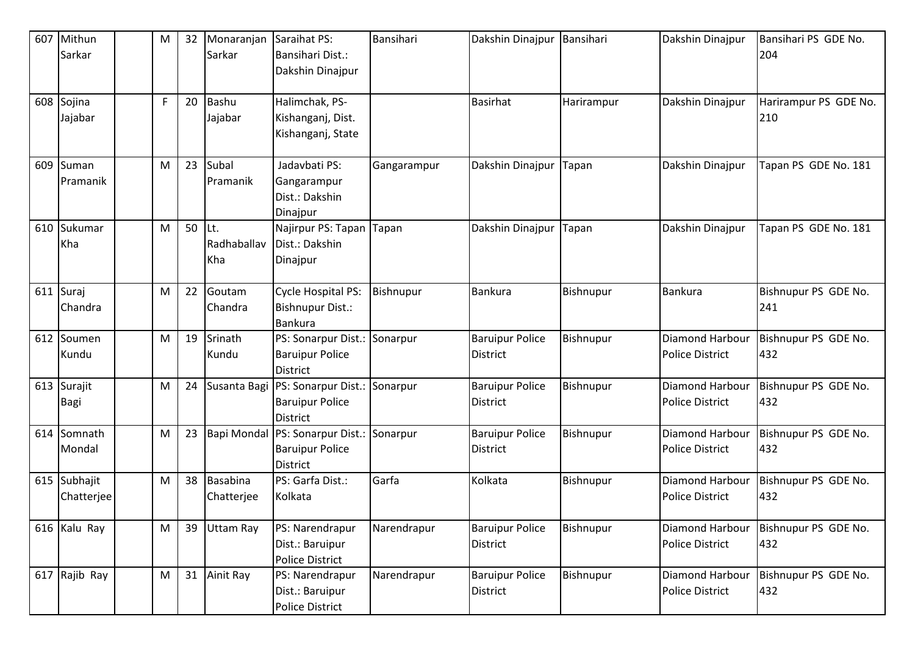| 607 | Mithun        | M | 32 | Monaranjan       | Saraihat PS:                                       | Bansihari   | Dakshin Dinajpur                          | Bansihari  | Dakshin Dinajpur       | Bansihari PS GDE No.        |
|-----|---------------|---|----|------------------|----------------------------------------------------|-------------|-------------------------------------------|------------|------------------------|-----------------------------|
|     | Sarkar        |   |    | Sarkar           | <b>Bansihari Dist.:</b>                            |             |                                           |            |                        | 204                         |
|     |               |   |    |                  | Dakshin Dinajpur                                   |             |                                           |            |                        |                             |
|     |               |   |    |                  |                                                    |             |                                           |            |                        |                             |
|     | 608 Sojina    | F | 20 | Bashu            | Halimchak, PS-                                     |             | <b>Basirhat</b>                           | Harirampur | Dakshin Dinajpur       | Harirampur PS GDE No.       |
|     | Jajabar       |   |    | Jajabar          | Kishanganj, Dist.                                  |             |                                           |            |                        | 210                         |
|     |               |   |    |                  | Kishanganj, State                                  |             |                                           |            |                        |                             |
|     |               |   |    |                  |                                                    |             |                                           |            |                        |                             |
|     | 609 Suman     | M | 23 | Subal            | Jadavbati PS:                                      | Gangarampur | Dakshin Dinajpur                          | Tapan      | Dakshin Dinajpur       | Tapan PS GDE No. 181        |
|     | Pramanik      |   |    | Pramanik         | Gangarampur                                        |             |                                           |            |                        |                             |
|     |               |   |    |                  | Dist.: Dakshin                                     |             |                                           |            |                        |                             |
|     |               |   |    |                  | Dinajpur                                           |             |                                           |            |                        |                             |
|     | 610 Sukumar   | M | 50 | Lt.              | Najirpur PS: Tapan                                 | Tapan       | Dakshin Dinajpur                          | Tapan      | Dakshin Dinajpur       | Tapan PS GDE No. 181        |
|     | Kha           |   |    | Radhaballav      | Dist.: Dakshin                                     |             |                                           |            |                        |                             |
|     |               |   |    | Kha              | Dinajpur                                           |             |                                           |            |                        |                             |
|     |               |   |    |                  |                                                    |             |                                           |            |                        |                             |
|     | 611 Suraj     | M | 22 | Goutam           | Cycle Hospital PS:                                 | Bishnupur   | <b>Bankura</b>                            | Bishnupur  | <b>Bankura</b>         | Bishnupur PS GDE No.        |
|     | Chandra       |   |    | Chandra          | <b>Bishnupur Dist.:</b>                            |             |                                           |            |                        | 241                         |
|     |               |   |    |                  | Bankura                                            |             |                                           |            |                        |                             |
|     | 612 Soumen    | M | 19 | Srinath          | PS: Sonarpur Dist.:                                | Sonarpur    | <b>Baruipur Police</b>                    | Bishnupur  | Diamond Harbour        | Bishnupur PS GDE No.        |
|     | Kundu         |   |    | Kundu            | <b>Baruipur Police</b>                             |             | <b>District</b>                           |            | <b>Police District</b> | 432                         |
|     |               |   |    |                  | <b>District</b>                                    |             |                                           |            |                        |                             |
|     | 613 Surajit   | M | 24 | Susanta Bagi     | PS: Sonarpur Dist.:                                | Sonarpur    | <b>Baruipur Police</b>                    | Bishnupur  | Diamond Harbour        | Bishnupur PS GDE No.        |
|     | Bagi          |   |    |                  | <b>Baruipur Police</b>                             |             | <b>District</b>                           |            | <b>Police District</b> | 432                         |
|     | 614 Somnath   |   | 23 |                  | <b>District</b><br>Bapi Mondal PS: Sonarpur Dist.: |             |                                           |            | Diamond Harbour        |                             |
|     | Mondal        | M |    |                  | <b>Baruipur Police</b>                             | Sonarpur    | <b>Baruipur Police</b><br><b>District</b> | Bishnupur  | <b>Police District</b> | Bishnupur PS GDE No.<br>432 |
|     |               |   |    |                  | <b>District</b>                                    |             |                                           |            |                        |                             |
|     | 615 Subhajit  | M | 38 | Basabina         | PS: Garfa Dist.:                                   | Garfa       | Kolkata                                   | Bishnupur  | Diamond Harbour        | Bishnupur PS GDE No.        |
|     | Chatterjee    |   |    | Chatterjee       | Kolkata                                            |             |                                           |            | <b>Police District</b> | 432                         |
|     |               |   |    |                  |                                                    |             |                                           |            |                        |                             |
|     | 616 Kalu Ray  | M | 39 | <b>Uttam Ray</b> | PS: Narendrapur                                    | Narendrapur | <b>Baruipur Police</b>                    | Bishnupur  | Diamond Harbour        | Bishnupur PS GDE No.        |
|     |               |   |    |                  | Dist.: Baruipur                                    |             | <b>District</b>                           |            | <b>Police District</b> | 432                         |
|     |               |   |    |                  | <b>Police District</b>                             |             |                                           |            |                        |                             |
|     | 617 Rajib Ray | M | 31 | Ainit Ray        | PS: Narendrapur                                    | Narendrapur | <b>Baruipur Police</b>                    | Bishnupur  | Diamond Harbour        | Bishnupur PS GDE No.        |
|     |               |   |    |                  | Dist.: Baruipur                                    |             | District                                  |            | <b>Police District</b> | 432                         |
|     |               |   |    |                  | <b>Police District</b>                             |             |                                           |            |                        |                             |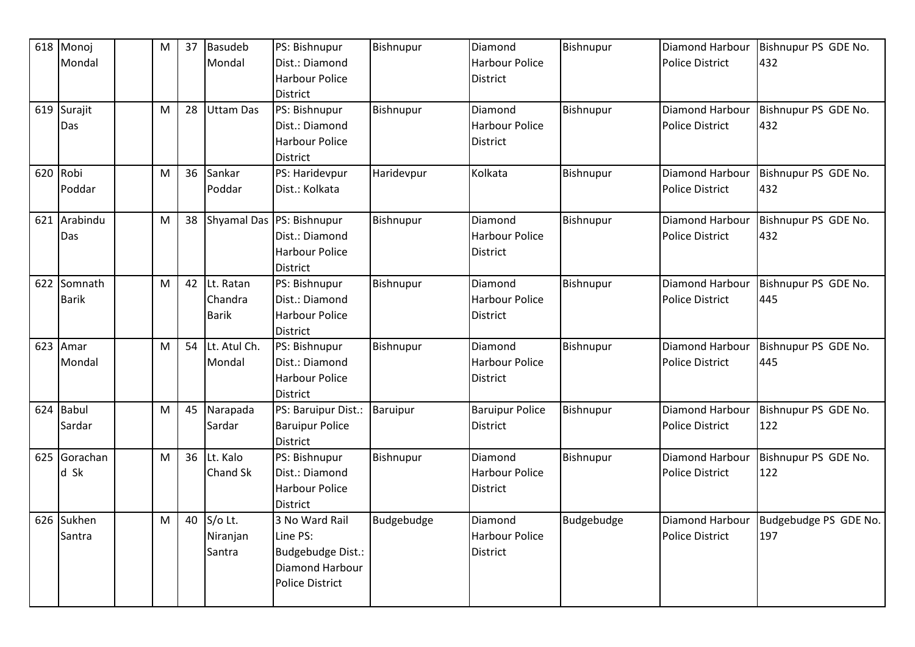|     | 618 Monoj    | M | 37 | <b>Basudeb</b>   | PS: Bishnupur             | Bishnupur        | Diamond                | Bishnupur  | Diamond Harbour        | Bishnupur PS GDE No.  |
|-----|--------------|---|----|------------------|---------------------------|------------------|------------------------|------------|------------------------|-----------------------|
|     | Mondal       |   |    | Mondal           | Dist.: Diamond            |                  | <b>Harbour Police</b>  |            | <b>Police District</b> | 432                   |
|     |              |   |    |                  | <b>Harbour Police</b>     |                  | <b>District</b>        |            |                        |                       |
|     |              |   |    |                  | <b>District</b>           |                  |                        |            |                        |                       |
|     | 619 Surajit  | M | 28 | <b>Uttam Das</b> | PS: Bishnupur             | <b>Bishnupur</b> | Diamond                | Bishnupur  | Diamond Harbour        | Bishnupur PS GDE No.  |
|     | Das          |   |    |                  | Dist.: Diamond            |                  | <b>Harbour Police</b>  |            | <b>Police District</b> | 432                   |
|     |              |   |    |                  | <b>Harbour Police</b>     |                  | <b>District</b>        |            |                        |                       |
|     |              |   |    |                  | <b>District</b>           |                  |                        |            |                        |                       |
|     | 620 Robi     | M | 36 | Sankar           | PS: Haridevpur            | Haridevpur       | Kolkata                | Bishnupur  | Diamond Harbour        | Bishnupur PS GDE No.  |
|     | Poddar       |   |    | Poddar           | Dist.: Kolkata            |                  |                        |            | <b>Police District</b> | 432                   |
|     |              |   |    |                  |                           |                  |                        |            |                        |                       |
| 621 | Arabindu     | M | 38 |                  | Shyamal Das PS: Bishnupur | Bishnupur        | Diamond                | Bishnupur  | Diamond Harbour        | Bishnupur PS GDE No.  |
|     | Das          |   |    |                  | Dist.: Diamond            |                  | <b>Harbour Police</b>  |            | <b>Police District</b> | 432                   |
|     |              |   |    |                  | <b>Harbour Police</b>     |                  | <b>District</b>        |            |                        |                       |
|     |              |   |    |                  | <b>District</b>           |                  |                        |            |                        |                       |
|     | 622 Somnath  | M | 42 | Lt. Ratan        | PS: Bishnupur             | Bishnupur        | Diamond                | Bishnupur  | Diamond Harbour        | Bishnupur PS GDE No.  |
|     | <b>Barik</b> |   |    | Chandra          | Dist.: Diamond            |                  | <b>Harbour Police</b>  |            | <b>Police District</b> | 445                   |
|     |              |   |    | <b>Barik</b>     | <b>Harbour Police</b>     |                  | <b>District</b>        |            |                        |                       |
|     |              |   |    |                  | <b>District</b>           |                  |                        |            |                        |                       |
|     | 623 Amar     | M | 54 | Lt. Atul Ch.     | PS: Bishnupur             | Bishnupur        | Diamond                | Bishnupur  | <b>Diamond Harbour</b> | Bishnupur PS GDE No.  |
|     | Mondal       |   |    | Mondal           | Dist.: Diamond            |                  | <b>Harbour Police</b>  |            | <b>Police District</b> | 445                   |
|     |              |   |    |                  | <b>Harbour Police</b>     |                  | District               |            |                        |                       |
|     |              |   |    |                  | <b>District</b>           |                  |                        |            |                        |                       |
|     | 624 Babul    | M | 45 | Narapada         | PS: Baruipur Dist.:       | <b>Baruipur</b>  | <b>Baruipur Police</b> | Bishnupur  | Diamond Harbour        | Bishnupur PS GDE No.  |
|     | Sardar       |   |    | Sardar           | <b>Baruipur Police</b>    |                  | <b>District</b>        |            | <b>Police District</b> | 122                   |
|     |              |   |    |                  | <b>District</b>           |                  |                        |            |                        |                       |
|     | 625 Gorachan | M | 36 | Lt. Kalo         | PS: Bishnupur             | Bishnupur        | Diamond                | Bishnupur  | Diamond Harbour        | Bishnupur PS GDE No.  |
|     | d Sk         |   |    | Chand Sk         | Dist.: Diamond            |                  | <b>Harbour Police</b>  |            | <b>Police District</b> | 122                   |
|     |              |   |    |                  | <b>Harbour Police</b>     |                  | <b>District</b>        |            |                        |                       |
|     |              |   |    |                  | <b>District</b>           |                  |                        |            |                        |                       |
|     | 626 Sukhen   | M | 40 | S/o Lt.          | 3 No Ward Rail            | Budgebudge       | Diamond                | Budgebudge | Diamond Harbour        | Budgebudge PS GDE No. |
|     | Santra       |   |    | Niranjan         | Line PS:                  |                  | <b>Harbour Police</b>  |            | <b>Police District</b> | 197                   |
|     |              |   |    | Santra           | Budgebudge Dist.:         |                  | District               |            |                        |                       |
|     |              |   |    |                  | Diamond Harbour           |                  |                        |            |                        |                       |
|     |              |   |    |                  | <b>Police District</b>    |                  |                        |            |                        |                       |
|     |              |   |    |                  |                           |                  |                        |            |                        |                       |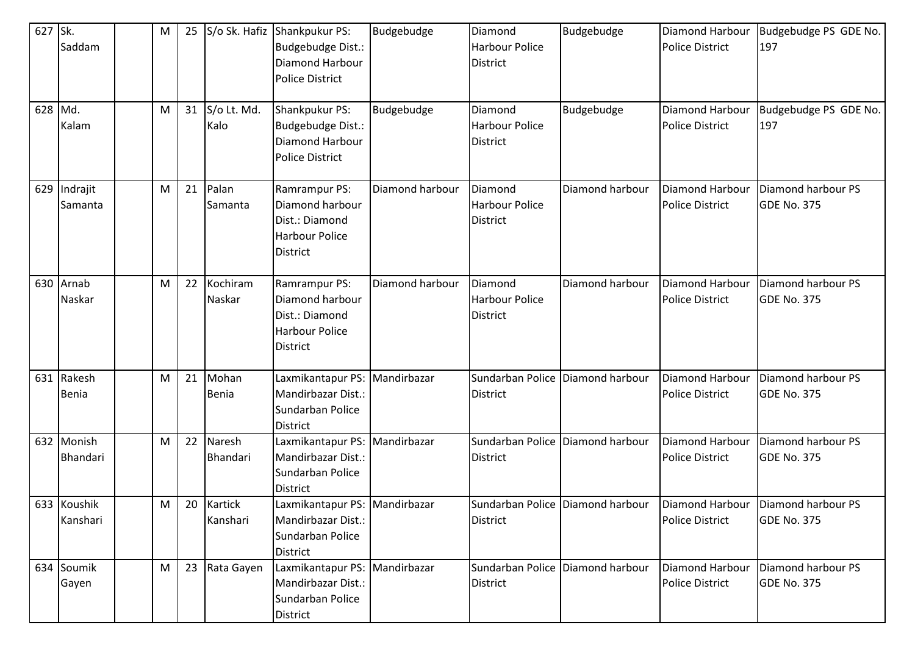| 627<br>628 | Sk.<br>Saddam<br>Md.<br>Kalam | м<br>M | 25<br>31 | S/o Lt. Md.<br>Kalo        | S/o Sk. Hafiz Shankpukur PS:<br>Budgebudge Dist.:<br>Diamond Harbour<br><b>Police District</b><br>Shankpukur PS:<br>Budgebudge Dist.: | Budgebudge<br>Budgebudge | Diamond<br><b>Harbour Police</b><br><b>District</b><br>Diamond<br><b>Harbour Police</b> | Budgebudge<br>Budgebudge         | Diamond Harbour<br><b>Police District</b><br>Diamond Harbour<br><b>Police District</b> | Budgebudge PS GDE No.<br>197<br>Budgebudge PS GDE No.<br>197 |
|------------|-------------------------------|--------|----------|----------------------------|---------------------------------------------------------------------------------------------------------------------------------------|--------------------------|-----------------------------------------------------------------------------------------|----------------------------------|----------------------------------------------------------------------------------------|--------------------------------------------------------------|
|            |                               |        |          |                            | Diamond Harbour<br><b>Police District</b>                                                                                             |                          | <b>District</b>                                                                         |                                  |                                                                                        |                                                              |
| 629        | Indrajit<br>Samanta           | M      | 21       | Palan<br>Samanta           | Ramrampur PS:<br>Diamond harbour<br>Dist.: Diamond<br><b>Harbour Police</b><br><b>District</b>                                        | Diamond harbour          | Diamond<br><b>Harbour Police</b><br><b>District</b>                                     | Diamond harbour                  | Diamond Harbour<br><b>Police District</b>                                              | Diamond harbour PS<br><b>GDE No. 375</b>                     |
|            | 630 Arnab<br>Naskar           | м      | 22       | Kochiram<br>Naskar         | Ramrampur PS:<br>Diamond harbour<br>Dist.: Diamond<br><b>Harbour Police</b><br>District                                               | Diamond harbour          | Diamond<br><b>Harbour Police</b><br><b>District</b>                                     | Diamond harbour                  | Diamond Harbour<br><b>Police District</b>                                              | Diamond harbour PS<br><b>GDE No. 375</b>                     |
| 631        | Rakesh<br>Benia               | м      | 21       | Mohan<br>Benia             | Laxmikantapur PS: Mandirbazar<br>Mandirbazar Dist.:<br>Sundarban Police<br>District                                                   |                          | Sundarban Police Diamond harbour<br><b>District</b>                                     |                                  | Diamond Harbour<br><b>Police District</b>                                              | Diamond harbour PS<br><b>GDE No. 375</b>                     |
|            | 632 Monish<br>Bhandari        | M      | 22       | Naresh<br>Bhandari         | Laxmikantapur PS: Mandirbazar<br>Mandirbazar Dist.:<br>Sundarban Police<br>District                                                   |                          | Sundarban Police<br><b>District</b>                                                     | Diamond harbour                  | Diamond Harbour<br><b>Police District</b>                                              | Diamond harbour PS<br><b>GDE No. 375</b>                     |
|            | 633 Koushik<br>Kanshari       | M      | 20       | <b>Kartick</b><br>Kanshari | Laxmikantapur PS: Mandirbazar<br>Mandirbazar Dist.:<br>Sundarban Police<br><b>District</b>                                            |                          | <b>District</b>                                                                         | Sundarban Police Diamond harbour | <b>Police District</b>                                                                 | Diamond Harbour   Diamond harbour PS<br><b>GDE No. 375</b>   |
|            | 634 Soumik<br>Gayen           | M      | 23       | Rata Gayen                 | Laxmikantapur PS: Mandirbazar<br>Mandirbazar Dist.:<br>Sundarban Police<br>District                                                   |                          | <b>District</b>                                                                         | Sundarban Police Diamond harbour | Diamond Harbour<br><b>Police District</b>                                              | Diamond harbour PS<br><b>GDE No. 375</b>                     |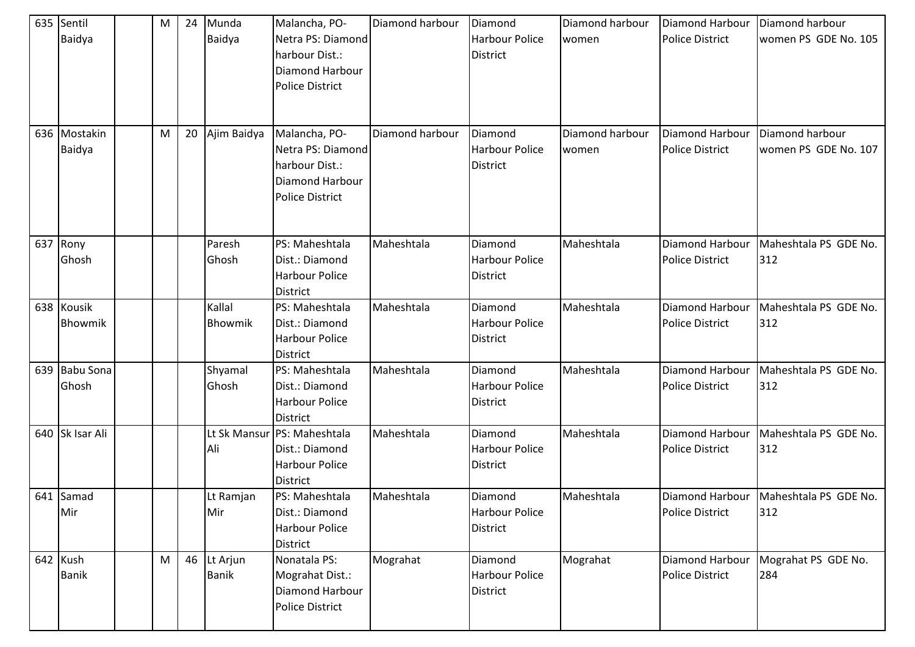| 635 | Sentil<br>Baidya         | М | 24 | Munda<br>Baidya          | Malancha, PO-<br>Netra PS: Diamond                                                                       | Diamond harbour | Diamond<br>Harbour Police                           | Diamond harbour<br>women | Diamond Harbour<br><b>Police District</b> | Diamond harbour<br>women PS GDE No. 105 |
|-----|--------------------------|---|----|--------------------------|----------------------------------------------------------------------------------------------------------|-----------------|-----------------------------------------------------|--------------------------|-------------------------------------------|-----------------------------------------|
|     |                          |   |    |                          | harbour Dist.:<br>Diamond Harbour<br><b>Police District</b>                                              |                 | <b>District</b>                                     |                          |                                           |                                         |
|     | 636 Mostakin<br>Baidya   | М | 20 | Ajim Baidya              | Malancha, PO-<br>Netra PS: Diamond<br>harbour Dist.:<br><b>Diamond Harbour</b><br><b>Police District</b> | Diamond harbour | Diamond<br><b>Harbour Police</b><br><b>District</b> | Diamond harbour<br>women | Diamond Harbour<br><b>Police District</b> | Diamond harbour<br>women PS GDE No. 107 |
|     | 637 Rony                 |   |    | Paresh                   | PS: Maheshtala                                                                                           | Maheshtala      | Diamond                                             | Maheshtala               | Diamond Harbour                           | Maheshtala PS GDE No.                   |
|     | Ghosh                    |   |    | Ghosh                    | Dist.: Diamond<br>Harbour Police<br><b>District</b>                                                      |                 | Harbour Police<br><b>District</b>                   |                          | <b>Police District</b>                    | 312                                     |
|     | 638 Kousik               |   |    | Kallal                   | PS: Maheshtala                                                                                           | Maheshtala      | Diamond                                             | Maheshtala               | Diamond Harbour                           | Maheshtala PS GDE No.                   |
|     | Bhowmik                  |   |    | Bhowmik                  | Dist.: Diamond<br>Harbour Police<br><b>District</b>                                                      |                 | Harbour Police<br><b>District</b>                   |                          | <b>Police District</b>                    | 312                                     |
| 639 | <b>Babu Sona</b>         |   |    | Shyamal                  | PS: Maheshtala                                                                                           | Maheshtala      | Diamond                                             | Maheshtala               | Diamond Harbour                           | Maheshtala PS GDE No.                   |
|     | Ghosh                    |   |    | Ghosh                    | Dist.: Diamond<br>Harbour Police<br><b>District</b>                                                      |                 | <b>Harbour Police</b><br><b>District</b>            |                          | <b>Police District</b>                    | 312                                     |
|     | 640 Sk Isar Ali          |   |    | Lt Sk Mansur<br>Ali      | PS: Maheshtala<br>Dist.: Diamond<br>Harbour Police<br><b>District</b>                                    | Maheshtala      | Diamond<br><b>Harbour Police</b><br><b>District</b> | Maheshtala               | Diamond Harbour<br><b>Police District</b> | Maheshtala PS GDE No.<br>312            |
|     | 641 Samad                |   |    | Lt Ramjan                | PS: Maheshtala                                                                                           | Maheshtala      | Diamond                                             | Maheshtala               |                                           | Diamond Harbour   Maheshtala PS GDE No. |
|     | Mir                      |   |    | Mir                      | Dist.: Diamond<br><b>Harbour Police</b><br>District                                                      |                 | Harbour Police<br><b>District</b>                   |                          | Police District                           | 312                                     |
|     | 642 Kush<br><b>Banik</b> | M | 46 | Lt Arjun<br><b>Banik</b> | Nonatala PS:<br>Mograhat Dist.:<br>Diamond Harbour<br><b>Police District</b>                             | Mograhat        | Diamond<br>Harbour Police<br><b>District</b>        | Mograhat                 | <b>Diamond Harbour</b><br>Police District | Mograhat PS GDE No.<br>284              |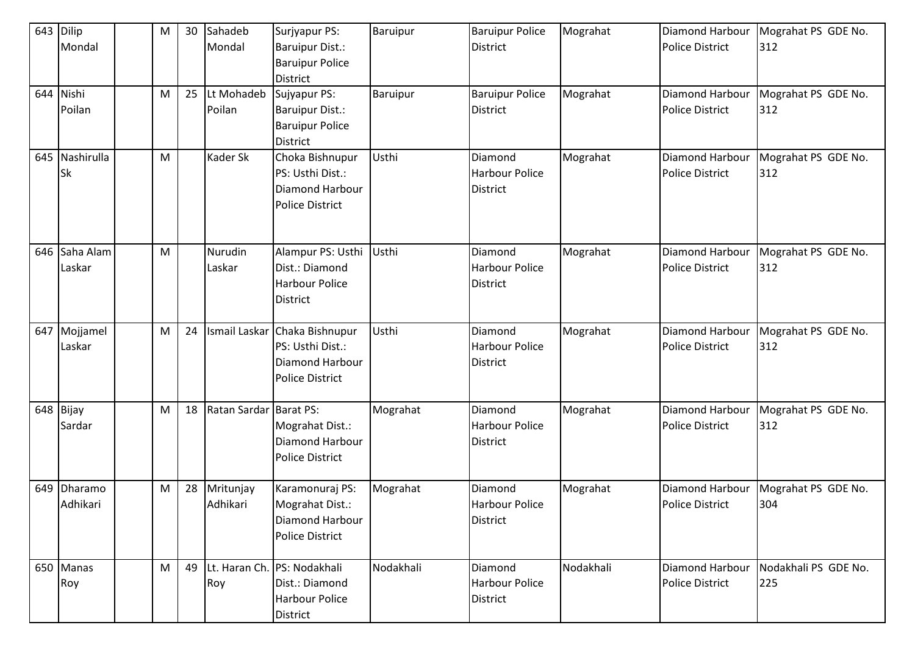| 643 Dilip<br>Mondal         | М | 30 | Sahadeb<br>Mondal     | Surjyapur PS:<br><b>Baruipur Dist.:</b>                                                 | Baruipur  | <b>Baruipur Police</b><br><b>District</b>           | Mograhat  | Diamond Harbour<br><b>Police District</b>        | Mograhat PS GDE No.<br>312  |
|-----------------------------|---|----|-----------------------|-----------------------------------------------------------------------------------------|-----------|-----------------------------------------------------|-----------|--------------------------------------------------|-----------------------------|
|                             |   |    |                       | <b>Baruipur Police</b><br><b>District</b>                                               |           |                                                     |           |                                                  |                             |
| 644 Nishi                   | M | 25 | Lt Mohadeb            | Sujyapur PS:                                                                            | Baruipur  | <b>Baruipur Police</b>                              | Mograhat  | Diamond Harbour                                  | Mograhat PS GDE No.         |
| Poilan                      |   |    | Poilan                | <b>Baruipur Dist.:</b><br><b>Baruipur Police</b><br><b>District</b>                     |           | <b>District</b>                                     |           | <b>Police District</b>                           | 312                         |
| 645 Nashirulla<br><b>Sk</b> | M |    | Kader Sk              | Choka Bishnupur<br>PS: Usthi Dist.:<br><b>Diamond Harbour</b><br><b>Police District</b> | Usthi     | Diamond<br><b>Harbour Police</b><br><b>District</b> | Mograhat  | <b>Diamond Harbour</b><br><b>Police District</b> | Mograhat PS GDE No.<br>312  |
| 646 Saha Alam<br>Laskar     | M |    | Nurudin<br>Laskar     | Alampur PS: Usthi<br>Dist.: Diamond<br><b>Harbour Police</b><br><b>District</b>         | Usthi     | Diamond<br><b>Harbour Police</b><br><b>District</b> | Mograhat  | Diamond Harbour<br><b>Police District</b>        | Mograhat PS GDE No.<br>312  |
| 647 Mojjamel<br>Laskar      | M | 24 | Ismail Laskar         | Chaka Bishnupur<br>PS: Usthi Dist.:<br><b>Diamond Harbour</b><br><b>Police District</b> | Usthi     | Diamond<br><b>Harbour Police</b><br><b>District</b> | Mograhat  | Diamond Harbour<br><b>Police District</b>        | Mograhat PS GDE No.<br>312  |
| 648 Bijay<br>Sardar         | M | 18 | Ratan Sardar          | <b>Barat PS:</b><br>Mograhat Dist.:<br>Diamond Harbour<br><b>Police District</b>        | Mograhat  | Diamond<br><b>Harbour Police</b><br><b>District</b> | Mograhat  | Diamond Harbour<br><b>Police District</b>        | Mograhat PS GDE No.<br>312  |
| 649 Dharamo<br>Adhikari     | M | 28 | Mritunjay<br>Adhikari | Karamonuraj PS:<br>Mograhat Dist.:<br>Diamond Harbour<br><b>Police District</b>         | Mograhat  | Diamond<br>Harbour Police<br><b>District</b>        | Mograhat  | Diamond Harbour<br><b>Police District</b>        | Mograhat PS GDE No.<br>304  |
| 650 Manas<br>Roy            | M | 49 | Roy                   | Lt. Haran Ch. PS: Nodakhali<br>Dist.: Diamond<br><b>Harbour Police</b><br>District      | Nodakhali | Diamond<br><b>Harbour Police</b><br><b>District</b> | Nodakhali | Diamond Harbour<br><b>Police District</b>        | Nodakhali PS GDE No.<br>225 |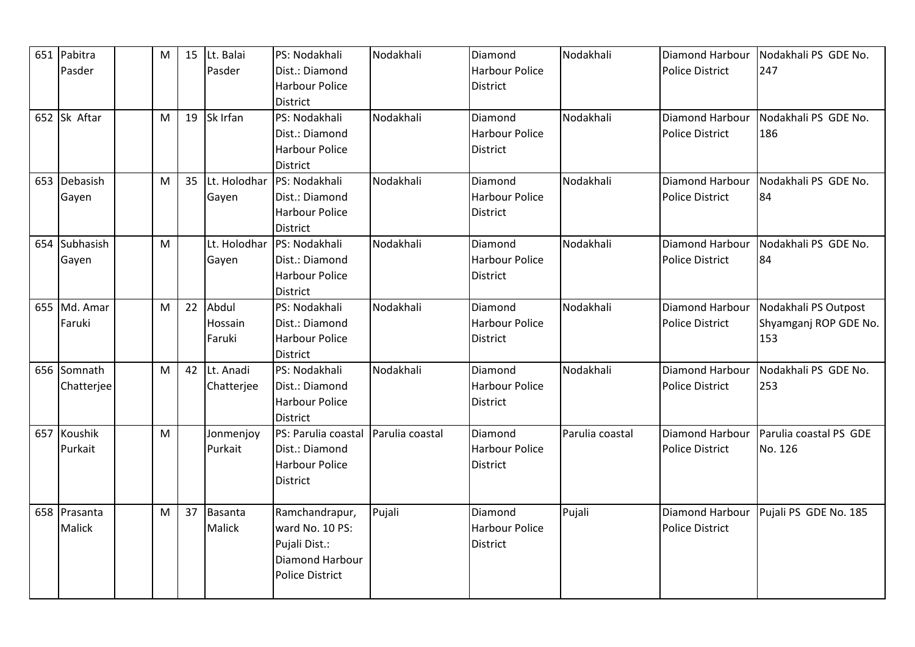| 651 Pabitra   | M | 15 | Lt. Balai     | PS: Nodakhali          | Nodakhali       | Diamond               | Nodakhali       | Diamond Harbour        | Nodakhali PS GDE No.   |
|---------------|---|----|---------------|------------------------|-----------------|-----------------------|-----------------|------------------------|------------------------|
| Pasder        |   |    | Pasder        | Dist.: Diamond         |                 | <b>Harbour Police</b> |                 | <b>Police District</b> | 247                    |
|               |   |    |               | Harbour Police         |                 | <b>District</b>       |                 |                        |                        |
|               |   |    |               | <b>District</b>        |                 |                       |                 |                        |                        |
| 652 Sk Aftar  | M | 19 | Sk Irfan      | PS: Nodakhali          | Nodakhali       | Diamond               | Nodakhali       | Diamond Harbour        | Nodakhali PS GDE No.   |
|               |   |    |               | Dist.: Diamond         |                 | <b>Harbour Police</b> |                 | <b>Police District</b> | 186                    |
|               |   |    |               | <b>Harbour Police</b>  |                 | District              |                 |                        |                        |
|               |   |    |               | District               |                 |                       |                 |                        |                        |
| 653 Debasish  | M | 35 | Lt. Holodhar  | PS: Nodakhali          | Nodakhali       | Diamond               | Nodakhali       | Diamond Harbour        | Nodakhali PS GDE No.   |
| Gayen         |   |    | Gayen         | Dist.: Diamond         |                 | <b>Harbour Police</b> |                 | Police District        | 84                     |
|               |   |    |               | <b>Harbour Police</b>  |                 | <b>District</b>       |                 |                        |                        |
|               |   |    |               | <b>District</b>        |                 |                       |                 |                        |                        |
| 654 Subhasish | M |    | Lt. Holodhar  | PS: Nodakhali          | Nodakhali       | Diamond               | Nodakhali       | Diamond Harbour        | Nodakhali PS GDE No.   |
| Gayen         |   |    | Gayen         | Dist.: Diamond         |                 | <b>Harbour Police</b> |                 | <b>Police District</b> | 84                     |
|               |   |    |               | <b>Harbour Police</b>  |                 | <b>District</b>       |                 |                        |                        |
|               |   |    |               | District               |                 |                       |                 |                        |                        |
| 655 Md. Amar  | M | 22 | Abdul         | PS: Nodakhali          | Nodakhali       | Diamond               | Nodakhali       | Diamond Harbour        | Nodakhali PS Outpost   |
| Faruki        |   |    | Hossain       | Dist.: Diamond         |                 | <b>Harbour Police</b> |                 | <b>Police District</b> | Shyamganj ROP GDE No.  |
|               |   |    | Faruki        | <b>Harbour Police</b>  |                 | District              |                 |                        | 153                    |
|               |   |    |               | <b>District</b>        |                 |                       |                 |                        |                        |
| 656 Somnath   | M | 42 | Lt. Anadi     | PS: Nodakhali          | Nodakhali       | Diamond               | Nodakhali       | Diamond Harbour        | Nodakhali PS GDE No.   |
| Chatterjee    |   |    | Chatterjee    | Dist.: Diamond         |                 | <b>Harbour Police</b> |                 | <b>Police District</b> | 253                    |
|               |   |    |               | <b>Harbour Police</b>  |                 | <b>District</b>       |                 |                        |                        |
|               |   |    |               | <b>District</b>        |                 |                       |                 |                        |                        |
| 657 Koushik   | M |    | Jonmenjoy     | PS: Parulia coastal    | Parulia coastal | Diamond               | Parulia coastal | Diamond Harbour        | Parulia coastal PS GDE |
| Purkait       |   |    | Purkait       | Dist.: Diamond         |                 | <b>Harbour Police</b> |                 | <b>Police District</b> | No. 126                |
|               |   |    |               | <b>Harbour Police</b>  |                 | <b>District</b>       |                 |                        |                        |
|               |   |    |               | District               |                 |                       |                 |                        |                        |
|               |   |    |               |                        |                 |                       |                 |                        |                        |
| 658 Prasanta  | M | 37 | Basanta       | Ramchandrapur,         | Pujali          | Diamond               | Pujali          | Diamond Harbour        | Pujali PS GDE No. 185  |
| Malick        |   |    | <b>Malick</b> | ward No. 10 PS:        |                 | <b>Harbour Police</b> |                 | <b>Police District</b> |                        |
|               |   |    |               | Pujali Dist.:          |                 | <b>District</b>       |                 |                        |                        |
|               |   |    |               | Diamond Harbour        |                 |                       |                 |                        |                        |
|               |   |    |               | <b>Police District</b> |                 |                       |                 |                        |                        |
|               |   |    |               |                        |                 |                       |                 |                        |                        |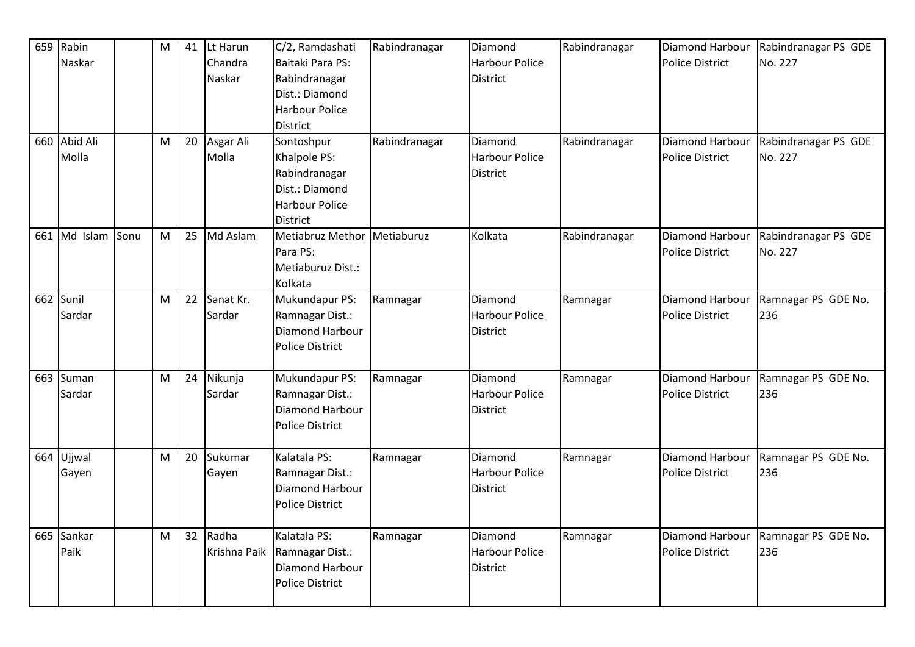|     | 659 Rabin<br>Naskar<br>660 Abid Ali |      | M | 41 | Lt Harun<br>Chandra<br>Naskar | C/2, Ramdashati<br>Baitaki Para PS:<br>Rabindranagar<br>Dist.: Diamond<br><b>Harbour Police</b><br><b>District</b> | Rabindranagar | Diamond<br><b>Harbour Police</b><br><b>District</b><br>Diamond | Rabindranagar | Diamond Harbour<br><b>Police District</b>        | Rabindranagar PS GDE<br>No. 227 |
|-----|-------------------------------------|------|---|----|-------------------------------|--------------------------------------------------------------------------------------------------------------------|---------------|----------------------------------------------------------------|---------------|--------------------------------------------------|---------------------------------|
|     | Molla                               |      | M | 20 | Asgar Ali<br>Molla            | Sontoshpur<br>Khalpole PS:<br>Rabindranagar<br>Dist.: Diamond<br><b>Harbour Police</b><br><b>District</b>          | Rabindranagar | <b>Harbour Police</b><br>District                              | Rabindranagar | Diamond Harbour<br><b>Police District</b>        | Rabindranagar PS GDE<br>No. 227 |
| 661 | Md Islam                            | Sonu | M | 25 | Md Aslam                      | Metiabruz Methor<br>Para PS:<br>Metiaburuz Dist.:<br>Kolkata                                                       | Metiaburuz    | Kolkata                                                        | Rabindranagar | Diamond Harbour<br><b>Police District</b>        | Rabindranagar PS GDE<br>No. 227 |
|     | 662 Sunil<br>Sardar                 |      | M | 22 | Sanat Kr.<br>Sardar           | Mukundapur PS:<br>Ramnagar Dist.:<br>Diamond Harbour<br><b>Police District</b>                                     | Ramnagar      | Diamond<br><b>Harbour Police</b><br><b>District</b>            | Ramnagar      | <b>Diamond Harbour</b><br><b>Police District</b> | Ramnagar PS GDE No.<br>236      |
|     | 663 Suman<br>Sardar                 |      | M | 24 | Nikunja<br>Sardar             | Mukundapur PS:<br>Ramnagar Dist.:<br>Diamond Harbour<br><b>Police District</b>                                     | Ramnagar      | Diamond<br><b>Harbour Police</b><br><b>District</b>            | Ramnagar      | Diamond Harbour<br><b>Police District</b>        | Ramnagar PS GDE No.<br>236      |
| 664 | Ujjwal<br>Gayen                     |      | M | 20 | Sukumar<br>Gayen              | Kalatala PS:<br>Ramnagar Dist.:<br>Diamond Harbour<br><b>Police District</b>                                       | Ramnagar      | Diamond<br><b>Harbour Police</b><br><b>District</b>            | Ramnagar      | <b>Diamond Harbour</b><br><b>Police District</b> | Ramnagar PS GDE No.<br>236      |
| 665 | Sankar<br>Paik                      |      | M | 32 | Radha<br>Krishna Paik         | Kalatala PS:<br>Ramnagar Dist.:<br>Diamond Harbour<br><b>Police District</b>                                       | Ramnagar      | Diamond<br><b>Harbour Police</b><br>District                   | Ramnagar      | Diamond Harbour<br><b>Police District</b>        | Ramnagar PS GDE No.<br>236      |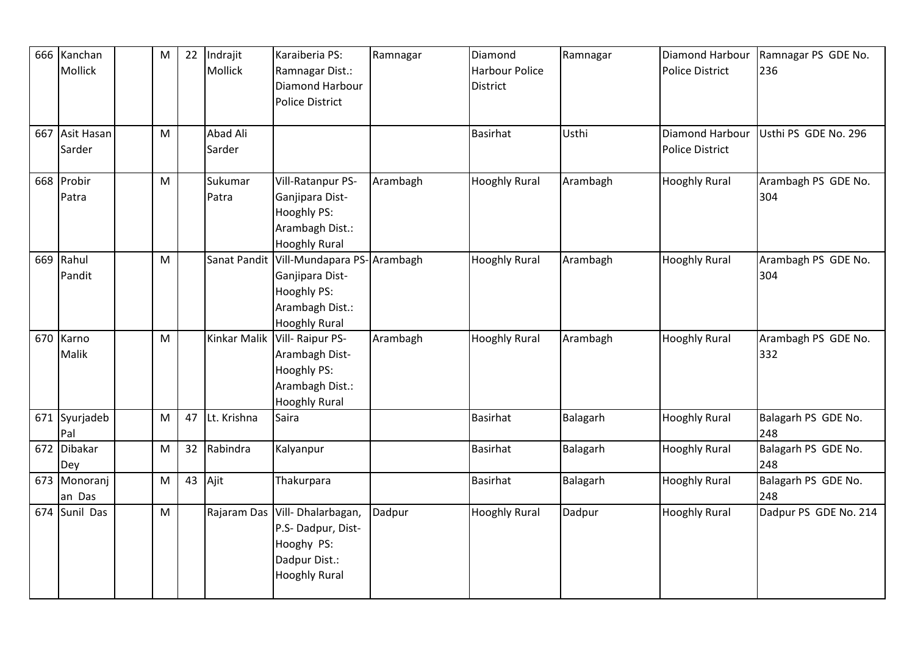| 666 | Kanchan<br>Mollick   | M         | 22 | Indrajit<br>Mollick | Karaiberia PS:<br>Ramnagar Dist.:<br>Diamond Harbour | Ramnagar | Diamond<br>Harbour Police<br>District | Ramnagar | Diamond Harbour<br><b>Police District</b> | Ramnagar PS GDE No.<br>236 |
|-----|----------------------|-----------|----|---------------------|------------------------------------------------------|----------|---------------------------------------|----------|-------------------------------------------|----------------------------|
|     |                      |           |    |                     | <b>Police District</b>                               |          |                                       |          |                                           |                            |
|     | 667 Asit Hasan       | M         |    | Abad Ali            |                                                      |          | <b>Basirhat</b>                       | Usthi    | Diamond Harbour                           | Usthi PS GDE No. 296       |
|     | Sarder               |           |    | Sarder              |                                                      |          |                                       |          | <b>Police District</b>                    |                            |
|     | 668 Probir           | M         |    | Sukumar             | Vill-Ratanpur PS-                                    | Arambagh | <b>Hooghly Rural</b>                  | Arambagh | <b>Hooghly Rural</b>                      | Arambagh PS GDE No.        |
|     | Patra                |           |    | Patra               | Ganjipara Dist-                                      |          |                                       |          |                                           | 304                        |
|     |                      |           |    |                     | Hooghly PS:                                          |          |                                       |          |                                           |                            |
|     |                      |           |    |                     | Arambagh Dist.:                                      |          |                                       |          |                                           |                            |
|     |                      |           |    |                     | <b>Hooghly Rural</b>                                 |          |                                       |          |                                           |                            |
| 669 | Rahul                | M         |    | Sanat Pandit        | Vill-Mundapara PS-Arambagh                           |          | <b>Hooghly Rural</b>                  | Arambagh | <b>Hooghly Rural</b>                      | Arambagh PS GDE No.        |
|     | Pandit               |           |    |                     | Ganjipara Dist-                                      |          |                                       |          |                                           | 304                        |
|     |                      |           |    |                     | Hooghly PS:                                          |          |                                       |          |                                           |                            |
|     |                      |           |    |                     | Arambagh Dist.:                                      |          |                                       |          |                                           |                            |
|     |                      |           |    |                     | <b>Hooghly Rural</b>                                 |          |                                       |          |                                           |                            |
|     | 670 Karno            | M         |    | Kinkar Malik        | Vill-Raipur PS-                                      | Arambagh | <b>Hooghly Rural</b>                  | Arambagh | <b>Hooghly Rural</b>                      | Arambagh PS GDE No.        |
|     | Malik                |           |    |                     | Arambagh Dist-                                       |          |                                       |          |                                           | 332                        |
|     |                      |           |    |                     | Hooghly PS:                                          |          |                                       |          |                                           |                            |
|     |                      |           |    |                     | Arambagh Dist.:                                      |          |                                       |          |                                           |                            |
|     |                      |           |    |                     | <b>Hooghly Rural</b>                                 |          |                                       |          |                                           |                            |
|     | 671 Syurjadeb<br>Pal | M         | 47 | Lt. Krishna         | Saira                                                |          | <b>Basirhat</b>                       | Balagarh | <b>Hooghly Rural</b>                      | Balagarh PS GDE No.<br>248 |
| 672 | Dibakar              | ${\sf M}$ | 32 | Rabindra            | Kalyanpur                                            |          | <b>Basirhat</b>                       | Balagarh | <b>Hooghly Rural</b>                      | Balagarh PS GDE No.        |
|     | Dey                  |           |    |                     |                                                      |          |                                       |          |                                           | 248                        |
|     | 673 Monoranj         | M         | 43 | Ajit                | Thakurpara                                           |          | <b>Basirhat</b>                       | Balagarh | <b>Hooghly Rural</b>                      | Balagarh PS GDE No.        |
|     | an Das               |           |    |                     |                                                      |          |                                       |          |                                           | 248                        |
|     | 674 Sunil Das        | M         |    | Rajaram Das         | Vill-Dhalarbagan,                                    | Dadpur   | <b>Hooghly Rural</b>                  | Dadpur   | <b>Hooghly Rural</b>                      | Dadpur PS GDE No. 214      |
|     |                      |           |    |                     | P.S- Dadpur, Dist-                                   |          |                                       |          |                                           |                            |
|     |                      |           |    |                     | Hooghy PS:                                           |          |                                       |          |                                           |                            |
|     |                      |           |    |                     | Dadpur Dist.:                                        |          |                                       |          |                                           |                            |
|     |                      |           |    |                     | <b>Hooghly Rural</b>                                 |          |                                       |          |                                           |                            |
|     |                      |           |    |                     |                                                      |          |                                       |          |                                           |                            |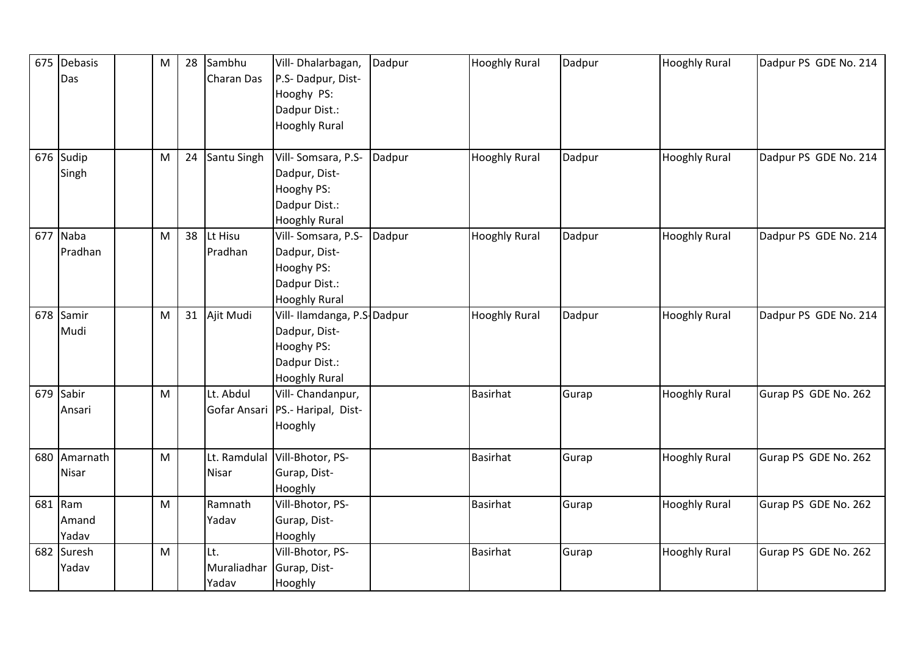|     | 675 Debasis | M | 28 | Sambhu       | Vill-Dhalarbagan,                  | Dadpur | <b>Hooghly Rural</b> | Dadpur | <b>Hooghly Rural</b> | Dadpur PS GDE No. 214 |
|-----|-------------|---|----|--------------|------------------------------------|--------|----------------------|--------|----------------------|-----------------------|
|     | Das         |   |    | Charan Das   | P.S-Dadpur, Dist-                  |        |                      |        |                      |                       |
|     |             |   |    |              | Hooghy PS:                         |        |                      |        |                      |                       |
|     |             |   |    |              | Dadpur Dist.:                      |        |                      |        |                      |                       |
|     |             |   |    |              | <b>Hooghly Rural</b>               |        |                      |        |                      |                       |
|     |             |   |    |              |                                    |        |                      |        |                      |                       |
| 676 | Sudip       | M | 24 | Santu Singh  | Vill-Somsara, P.S-                 | Dadpur | <b>Hooghly Rural</b> | Dadpur | <b>Hooghly Rural</b> | Dadpur PS GDE No. 214 |
|     | Singh       |   |    |              | Dadpur, Dist-                      |        |                      |        |                      |                       |
|     |             |   |    |              | Hooghy PS:                         |        |                      |        |                      |                       |
|     |             |   |    |              | Dadpur Dist.:                      |        |                      |        |                      |                       |
|     |             |   |    |              | <b>Hooghly Rural</b>               |        |                      |        |                      |                       |
| 677 | Naba        | M | 38 | Lt Hisu      | Vill-Somsara, P.S-                 | Dadpur | <b>Hooghly Rural</b> | Dadpur | <b>Hooghly Rural</b> | Dadpur PS GDE No. 214 |
|     | Pradhan     |   |    | Pradhan      | Dadpur, Dist-                      |        |                      |        |                      |                       |
|     |             |   |    |              | Hooghy PS:                         |        |                      |        |                      |                       |
|     |             |   |    |              | Dadpur Dist.:                      |        |                      |        |                      |                       |
|     |             |   |    |              | <b>Hooghly Rural</b>               |        |                      |        |                      |                       |
| 678 | Samir       | M | 31 | Ajit Mudi    | Vill-Ilamdanga, P.S-Dadpur         |        | <b>Hooghly Rural</b> | Dadpur | <b>Hooghly Rural</b> | Dadpur PS GDE No. 214 |
|     | Mudi        |   |    |              | Dadpur, Dist-                      |        |                      |        |                      |                       |
|     |             |   |    |              | Hooghy PS:                         |        |                      |        |                      |                       |
|     |             |   |    |              | Dadpur Dist.:                      |        |                      |        |                      |                       |
|     |             |   |    |              | <b>Hooghly Rural</b>               |        |                      |        |                      |                       |
| 679 | Sabir       | M |    | Lt. Abdul    | Vill- Chandanpur,                  |        | <b>Basirhat</b>      | Gurap  | <b>Hooghly Rural</b> | Gurap PS GDE No. 262  |
|     | Ansari      |   |    |              | Gofar Ansari   PS.- Haripal, Dist- |        |                      |        |                      |                       |
|     |             |   |    |              | Hooghly                            |        |                      |        |                      |                       |
|     |             |   |    |              |                                    |        |                      |        |                      |                       |
| 680 | Amarnath    | M |    | Lt. Ramdulal | Vill-Bhotor, PS-                   |        | <b>Basirhat</b>      | Gurap  | <b>Hooghly Rural</b> | Gurap PS GDE No. 262  |
|     | Nisar       |   |    | Nisar        | Gurap, Dist-                       |        |                      |        |                      |                       |
|     |             |   |    |              | Hooghly                            |        |                      |        |                      |                       |
|     | 681 Ram     | M |    | Ramnath      | Vill-Bhotor, PS-                   |        | <b>Basirhat</b>      | Gurap  | <b>Hooghly Rural</b> | Gurap PS GDE No. 262  |
|     | Amand       |   |    | Yadav        | Gurap, Dist-                       |        |                      |        |                      |                       |
|     | Yadav       |   |    |              | Hooghly                            |        |                      |        |                      |                       |
| 682 | Suresh      | M |    | Lt.          | Vill-Bhotor, PS-                   |        | <b>Basirhat</b>      | Gurap  | <b>Hooghly Rural</b> | Gurap PS GDE No. 262  |
|     | Yadav       |   |    | Muraliadhar  | Gurap, Dist-                       |        |                      |        |                      |                       |
|     |             |   |    | Yadav        | Hooghly                            |        |                      |        |                      |                       |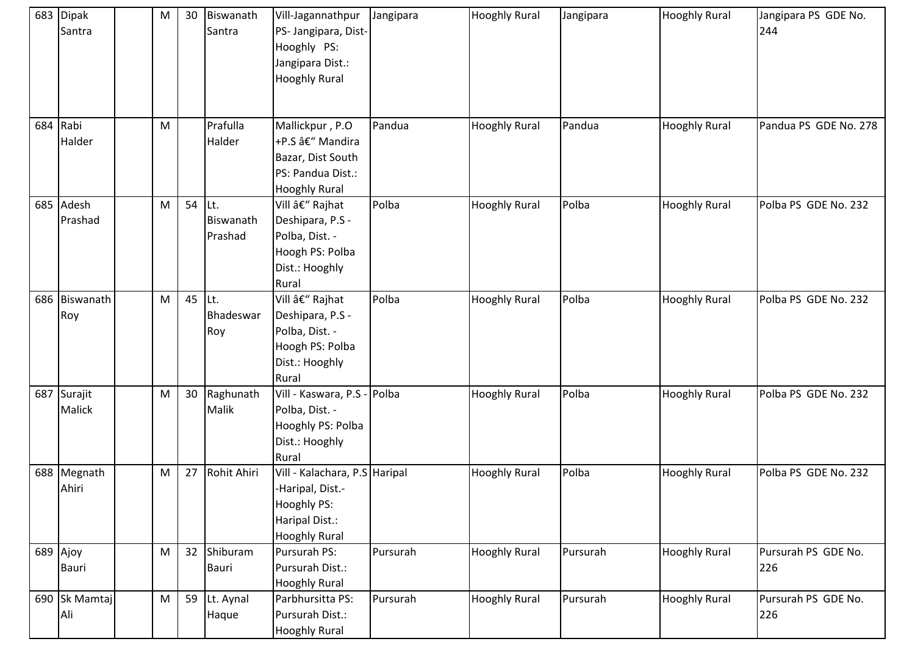| 683 Dipak<br>Santra   | M | 30 | Biswanath<br>Santra          | Vill-Jagannathpur<br>PS- Jangipara, Dist-<br>Hooghly PS:<br>Jangipara Dist.:<br><b>Hooghly Rural</b>       | Jangipara | <b>Hooghly Rural</b> | Jangipara | <b>Hooghly Rural</b> | Jangipara PS GDE No.<br>244 |
|-----------------------|---|----|------------------------------|------------------------------------------------------------------------------------------------------------|-----------|----------------------|-----------|----------------------|-----------------------------|
| 684 Rabi<br>Halder    | M |    | Prafulla<br>Halder           | Mallickpur, P.O<br>+P.S â€" Mandira<br>Bazar, Dist South<br>PS: Pandua Dist.:<br><b>Hooghly Rural</b>      | Pandua    | <b>Hooghly Rural</b> | Pandua    | <b>Hooghly Rural</b> | Pandua PS GDE No. 278       |
| 685 Adesh<br>Prashad  | M | 54 | ILt.<br>Biswanath<br>Prashad | Vill – Rajhat<br>Deshipara, P.S -<br>Polba, Dist. -<br>Hoogh PS: Polba<br>Dist.: Hooghly<br>Rural          | Polba     | <b>Hooghly Rural</b> | Polba     | <b>Hooghly Rural</b> | Polba PS GDE No. 232        |
| 686 Biswanath<br>Roy  | M | 45 | lLt.<br>Bhadeswar<br>Roy     | Vill – Rajhat<br>Deshipara, P.S -<br>Polba, Dist. -<br>Hoogh PS: Polba<br>Dist.: Hooghly<br>Rural          | Polba     | <b>Hooghly Rural</b> | Polba     | <b>Hooghly Rural</b> | Polba PS GDE No. 232        |
| 687 Surajit<br>Malick | M | 30 | Raghunath<br>Malik           | Vill - Kaswara, P.S - Polba<br>Polba, Dist. -<br>Hooghly PS: Polba<br>Dist.: Hooghly<br>Rural              |           | <b>Hooghly Rural</b> | Polba     | <b>Hooghly Rural</b> | Polba PS GDE No. 232        |
| 688 Megnath<br>Ahiri  | M | 27 | Rohit Ahiri                  | Vill - Kalachara, P.S Haripal<br>-Haripal, Dist.-<br>Hooghly PS:<br>Haripal Dist.:<br><b>Hooghly Rural</b> |           | <b>Hooghly Rural</b> | Polba     | <b>Hooghly Rural</b> | Polba PS GDE No. 232        |
| 689 Ajoy<br>Bauri     | M | 32 | Shiburam<br><b>Bauri</b>     | Pursurah PS:<br>Pursurah Dist.:<br><b>Hooghly Rural</b>                                                    | Pursurah  | <b>Hooghly Rural</b> | Pursurah  | <b>Hooghly Rural</b> | Pursurah PS GDE No.<br>226  |
| 690 Sk Mamtaj<br>Ali  | M | 59 | Lt. Aynal<br>Haque           | Parbhursitta PS:<br>Pursurah Dist.:<br><b>Hooghly Rural</b>                                                | Pursurah  | <b>Hooghly Rural</b> | Pursurah  | <b>Hooghly Rural</b> | Pursurah PS GDE No.<br>226  |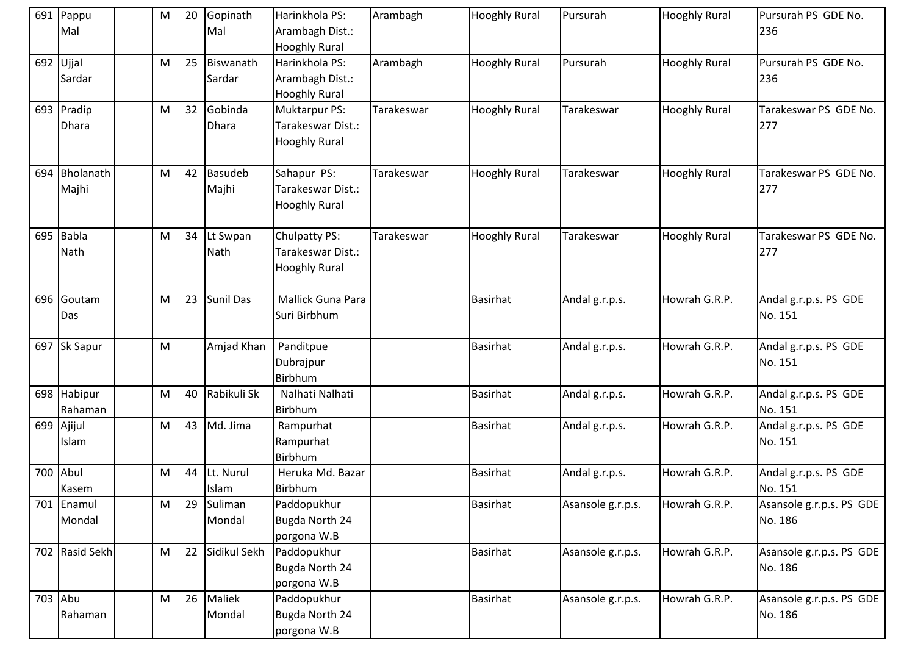| 691 Pappu<br>Mal       | M | 20 | Gopinath<br>Mal         | Harinkhola PS:<br>Arambagh Dist.:<br><b>Hooghly Rural</b>         | Arambagh   | <b>Hooghly Rural</b> | Pursurah          | <b>Hooghly Rural</b> | Pursurah PS GDE No.<br>236          |
|------------------------|---|----|-------------------------|-------------------------------------------------------------------|------------|----------------------|-------------------|----------------------|-------------------------------------|
| 692 Ujjal<br>Sardar    | M | 25 | Biswanath<br>Sardar     | Harinkhola PS:<br>Arambagh Dist.:<br><b>Hooghly Rural</b>         | Arambagh   | <b>Hooghly Rural</b> | Pursurah          | <b>Hooghly Rural</b> | Pursurah PS GDE No.<br>236          |
| 693 Pradip<br>Dhara    | M | 32 | Gobinda<br>Dhara        | <b>Muktarpur PS:</b><br>Tarakeswar Dist.:<br><b>Hooghly Rural</b> | Tarakeswar | <b>Hooghly Rural</b> | Tarakeswar        | <b>Hooghly Rural</b> | Tarakeswar PS GDE No.<br>277        |
| 694 Bholanath<br>Majhi | M | 42 | <b>Basudeb</b><br>Majhi | Sahapur PS:<br>Tarakeswar Dist.:<br><b>Hooghly Rural</b>          | Tarakeswar | <b>Hooghly Rural</b> | Tarakeswar        | <b>Hooghly Rural</b> | Tarakeswar PS GDE No.<br>277        |
| 695 Babla<br>Nath      | M | 34 | Lt Swpan<br>Nath        | Chulpatty PS:<br>Tarakeswar Dist.:<br><b>Hooghly Rural</b>        | Tarakeswar | <b>Hooghly Rural</b> | Tarakeswar        | <b>Hooghly Rural</b> | Tarakeswar PS GDE No.<br>277        |
| 696 Goutam<br>Das      | M | 23 | <b>Sunil Das</b>        | Mallick Guna Para<br>Suri Birbhum                                 |            | <b>Basirhat</b>      | Andal g.r.p.s.    | Howrah G.R.P.        | Andal g.r.p.s. PS GDE<br>No. 151    |
| 697 Sk Sapur           | M |    | Amjad Khan              | Panditpue<br>Dubrajpur<br><b>Birbhum</b>                          |            | <b>Basirhat</b>      | Andal g.r.p.s.    | Howrah G.R.P.        | Andal g.r.p.s. PS GDE<br>No. 151    |
| 698 Habipur<br>Rahaman | M | 40 | Rabikuli Sk             | Nalhati Nalhati<br>Birbhum                                        |            | <b>Basirhat</b>      | Andal g.r.p.s.    | Howrah G.R.P.        | Andal g.r.p.s. PS GDE<br>No. 151    |
| 699 Ajijul<br>Islam    | M | 43 | Md. Jima                | Rampurhat<br>Rampurhat<br>Birbhum                                 |            | <b>Basirhat</b>      | Andal g.r.p.s.    | Howrah G.R.P.        | Andal g.r.p.s. PS GDE<br>No. 151    |
| 700 Abul<br>Kasem      | м | 44 | Lt. Nurul<br>Islam      | Heruka Md. Bazar<br>Birbhum                                       |            | <b>Basirhat</b>      | Andal g.r.p.s.    | Howrah G.R.P.        | Andal g.r.p.s. PS GDE<br>No. 151    |
| 701 Enamul<br>Mondal   | M | 29 | Suliman<br>Mondal       | Paddopukhur<br>Bugda North 24<br>porgona W.B                      |            | <b>Basirhat</b>      | Asansole g.r.p.s. | Howrah G.R.P.        | Asansole g.r.p.s. PS GDE<br>No. 186 |
| 702 Rasid Sekh         | M | 22 | Sidikul Sekh            | Paddopukhur<br>Bugda North 24<br>porgona W.B                      |            | <b>Basirhat</b>      | Asansole g.r.p.s. | Howrah G.R.P.        | Asansole g.r.p.s. PS GDE<br>No. 186 |
| 703 Abu<br>Rahaman     | M | 26 | Maliek<br>Mondal        | Paddopukhur<br>Bugda North 24<br>porgona W.B                      |            | <b>Basirhat</b>      | Asansole g.r.p.s. | Howrah G.R.P.        | Asansole g.r.p.s. PS GDE<br>No. 186 |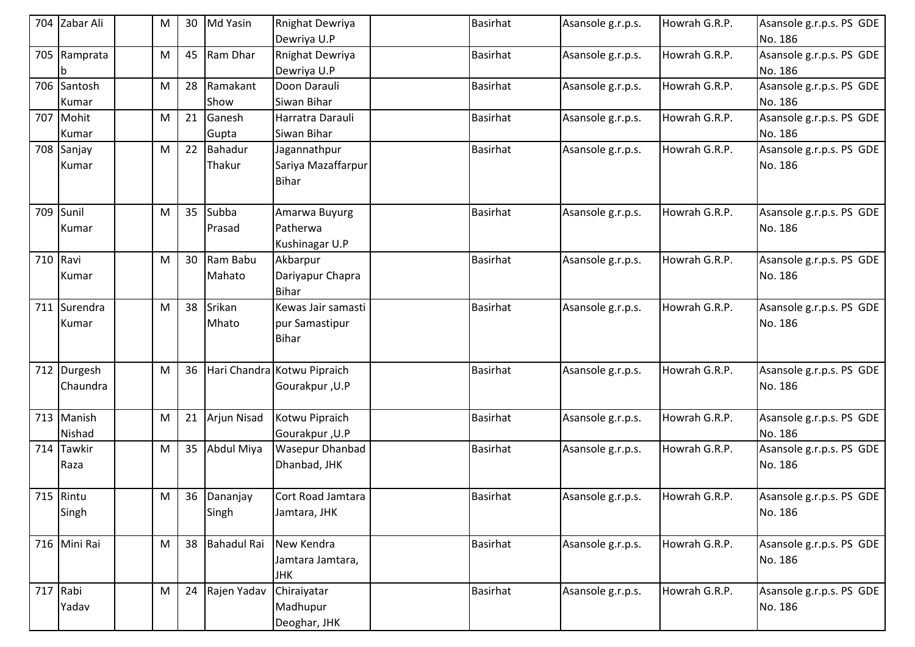|          | 704 Zabar Ali         | М | 30 | Md Yasin                 | Rnighat Dewriya<br>Dewriya U.P                       | <b>Basirhat</b> | Asansole g.r.p.s. | Howrah G.R.P. | Asansole g.r.p.s. PS GDE<br>No. 186 |
|----------|-----------------------|---|----|--------------------------|------------------------------------------------------|-----------------|-------------------|---------------|-------------------------------------|
|          | 705 Ramprata<br>b     | M | 45 | Ram Dhar                 | Rnighat Dewriya<br>Dewriya U.P                       | <b>Basirhat</b> | Asansole g.r.p.s. | Howrah G.R.P. | Asansole g.r.p.s. PS GDE<br>No. 186 |
|          | 706 Santosh<br>Kumar  | M | 28 | Ramakant<br>Show         | Doon Darauli<br>Siwan Bihar                          | <b>Basirhat</b> | Asansole g.r.p.s. | Howrah G.R.P. | Asansole g.r.p.s. PS GDE<br>No. 186 |
| 707      | Mohit<br>Kumar        | M | 21 | Ganesh<br>Gupta          | Harratra Darauli<br>Siwan Bihar                      | <b>Basirhat</b> | Asansole g.r.p.s. | Howrah G.R.P. | Asansole g.r.p.s. PS GDE<br>No. 186 |
|          | 708 Sanjay<br>Kumar   | M | 22 | <b>Bahadur</b><br>Thakur | Jagannathpur<br>Sariya Mazaffarpur<br><b>Bihar</b>   | Basirhat        | Asansole g.r.p.s. | Howrah G.R.P. | Asansole g.r.p.s. PS GDE<br>No. 186 |
|          | 709 Sunil<br>Kumar    | M | 35 | Subba<br>Prasad          | Amarwa Buyurg<br>Patherwa<br>Kushinagar U.P          | <b>Basirhat</b> | Asansole g.r.p.s. | Howrah G.R.P. | Asansole g.r.p.s. PS GDE<br>No. 186 |
| 710 Ravi | Kumar                 | M | 30 | Ram Babu<br>Mahato       | Akbarpur<br>Dariyapur Chapra<br><b>Bihar</b>         | <b>Basirhat</b> | Asansole g.r.p.s. | Howrah G.R.P. | Asansole g.r.p.s. PS GDE<br>No. 186 |
|          | 711 Surendra<br>Kumar | M | 38 | Srikan<br>Mhato          | Kewas Jair samasti<br>pur Samastipur<br><b>Bihar</b> | Basirhat        | Asansole g.r.p.s. | Howrah G.R.P. | Asansole g.r.p.s. PS GDE<br>No. 186 |
| 712      | Durgesh<br>Chaundra   | M | 36 |                          | Hari Chandra Kotwu Pipraich<br>Gourakpur, U.P        | Basirhat        | Asansole g.r.p.s. | Howrah G.R.P. | Asansole g.r.p.s. PS GDE<br>No. 186 |
|          | 713 Manish<br>Nishad  | M | 21 | Arjun Nisad              | Kotwu Pipraich<br>Gourakpur, U.P                     | <b>Basirhat</b> | Asansole g.r.p.s. | Howrah G.R.P. | Asansole g.r.p.s. PS GDE<br>No. 186 |
| 714      | <b>Tawkir</b><br>Raza | M | 35 | Abdul Miya               | Wasepur Dhanbad<br>Dhanbad, JHK                      | <b>Basirhat</b> | Asansole g.r.p.s. | Howrah G.R.P. | Asansole g.r.p.s. PS GDE<br>No. 186 |
|          | 715 Rintu<br>Singh    | М |    | 36 Dananjay<br>Singh     | Cort Road Jamtara<br>Jamtara, JHK                    | <b>Basirhat</b> | Asansole g.r.p.s. | Howrah G.R.P. | Asansole g.r.p.s. PS GDE<br>No. 186 |
|          | 716 Mini Rai          | M | 38 | <b>Bahadul Rai</b>       | New Kendra<br>Jamtara Jamtara,<br><b>JHK</b>         | <b>Basirhat</b> | Asansole g.r.p.s. | Howrah G.R.P. | Asansole g.r.p.s. PS GDE<br>No. 186 |
| 717 Rabi | Yadav                 | M | 24 | Rajen Yadav              | Chiraiyatar<br>Madhupur<br>Deoghar, JHK              | <b>Basirhat</b> | Asansole g.r.p.s. | Howrah G.R.P. | Asansole g.r.p.s. PS GDE<br>No. 186 |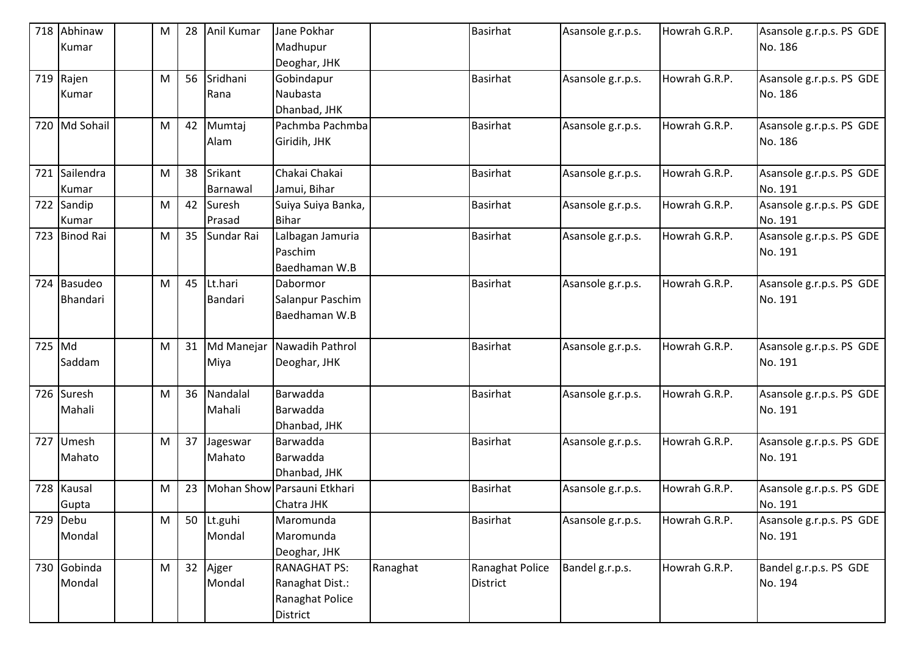|        | 718 Abhinaw   | M | 28 | Anil Kumar | Jane Pokhar                 |          | <b>Basirhat</b> | Asansole g.r.p.s. | Howrah G.R.P. | Asansole g.r.p.s. PS GDE |
|--------|---------------|---|----|------------|-----------------------------|----------|-----------------|-------------------|---------------|--------------------------|
|        | Kumar         |   |    |            | Madhupur                    |          |                 |                   |               | No. 186                  |
|        |               |   |    |            | Deoghar, JHK                |          |                 |                   |               |                          |
|        | 719 Rajen     | M | 56 | Sridhani   | Gobindapur                  |          | <b>Basirhat</b> | Asansole g.r.p.s. | Howrah G.R.P. | Asansole g.r.p.s. PS GDE |
|        | Kumar         |   |    | Rana       | Naubasta                    |          |                 |                   |               | No. 186                  |
|        |               |   |    |            | Dhanbad, JHK                |          |                 |                   |               |                          |
|        | 720 Md Sohail | M | 42 | Mumtaj     | Pachmba Pachmba             |          | <b>Basirhat</b> | Asansole g.r.p.s. | Howrah G.R.P. | Asansole g.r.p.s. PS GDE |
|        |               |   |    | Alam       | Giridih, JHK                |          |                 |                   |               | No. 186                  |
|        |               |   |    |            |                             |          |                 |                   |               |                          |
| 721    | Sailendra     | M | 38 | Srikant    | Chakai Chakai               |          | <b>Basirhat</b> | Asansole g.r.p.s. | Howrah G.R.P. | Asansole g.r.p.s. PS GDE |
|        | Kumar         |   |    | Barnawal   | Jamui, Bihar                |          |                 |                   |               | No. 191                  |
|        | 722 Sandip    | M | 42 | Suresh     | Suiya Suiya Banka,          |          | <b>Basirhat</b> | Asansole g.r.p.s. | Howrah G.R.P. | Asansole g.r.p.s. PS GDE |
|        | Kumar         |   |    | Prasad     | <b>Bihar</b>                |          |                 |                   |               | No. 191                  |
|        | 723 Binod Rai | M | 35 | Sundar Rai | Lalbagan Jamuria            |          | <b>Basirhat</b> | Asansole g.r.p.s. | Howrah G.R.P. | Asansole g.r.p.s. PS GDE |
|        |               |   |    |            | Paschim                     |          |                 |                   |               | No. 191                  |
|        |               |   |    |            | Baedhaman W.B               |          |                 |                   |               |                          |
|        | 724 Basudeo   | M | 45 | Lt.hari    | Dabormor                    |          | <b>Basirhat</b> | Asansole g.r.p.s. | Howrah G.R.P. | Asansole g.r.p.s. PS GDE |
|        | Bhandari      |   |    | Bandari    | Salanpur Paschim            |          |                 |                   |               | No. 191                  |
|        |               |   |    |            | Baedhaman W.B               |          |                 |                   |               |                          |
|        |               |   |    |            |                             |          |                 |                   |               |                          |
| 725 Md |               | M | 31 | Md Manejar | Nawadih Pathrol             |          | <b>Basirhat</b> | Asansole g.r.p.s. | Howrah G.R.P. | Asansole g.r.p.s. PS GDE |
|        | Saddam        |   |    | Miya       | Deoghar, JHK                |          |                 |                   |               | No. 191                  |
|        |               |   |    |            |                             |          |                 |                   |               |                          |
|        | 726 Suresh    | M | 36 | Nandalal   | Barwadda                    |          | <b>Basirhat</b> | Asansole g.r.p.s. | Howrah G.R.P. | Asansole g.r.p.s. PS GDE |
|        | Mahali        |   |    | Mahali     | Barwadda                    |          |                 |                   |               | No. 191                  |
|        |               |   |    |            | Dhanbad, JHK                |          |                 |                   |               |                          |
| 727    | Umesh         | M | 37 | Jageswar   | Barwadda                    |          | <b>Basirhat</b> | Asansole g.r.p.s. | Howrah G.R.P. | Asansole g.r.p.s. PS GDE |
|        | Mahato        |   |    | Mahato     | Barwadda                    |          |                 |                   |               | No. 191                  |
|        |               |   |    |            | Dhanbad, JHK                |          |                 |                   |               |                          |
|        | 728 Kausal    | M | 23 |            | Mohan Show Parsauni Etkhari |          | <b>Basirhat</b> | Asansole g.r.p.s. | Howrah G.R.P. | Asansole g.r.p.s. PS GDE |
|        | Gupta         |   |    |            | Chatra JHK                  |          |                 |                   |               | No. 191                  |
|        | 729 Debu      | M | 50 | Lt.guhi    | Maromunda                   |          | <b>Basirhat</b> | Asansole g.r.p.s. | Howrah G.R.P. | Asansole g.r.p.s. PS GDE |
|        | Mondal        |   |    | Mondal     | Maromunda                   |          |                 |                   |               | No. 191                  |
|        |               |   |    |            | Deoghar, JHK                |          |                 |                   |               |                          |
|        | 730 Gobinda   | M | 32 | Ajger      | <b>RANAGHAT PS:</b>         | Ranaghat | Ranaghat Police | Bandel g.r.p.s.   | Howrah G.R.P. | Bandel g.r.p.s. PS GDE   |
|        | Mondal        |   |    | Mondal     | Ranaghat Dist.:             |          | District        |                   |               | No. 194                  |
|        |               |   |    |            | Ranaghat Police             |          |                 |                   |               |                          |
|        |               |   |    |            | District                    |          |                 |                   |               |                          |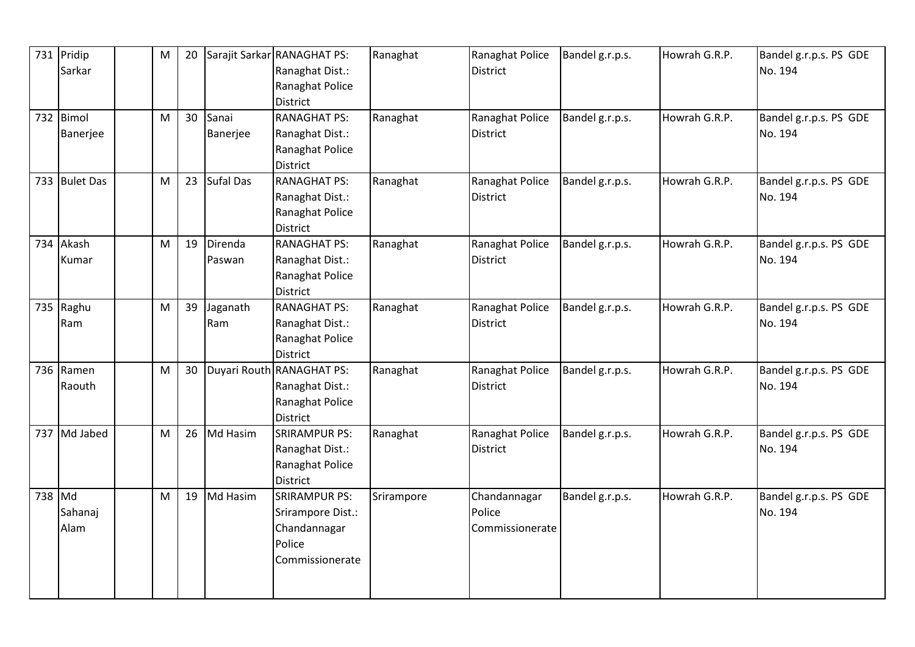|        | 731 Pridip    | M | 20 |                  | Sarajit Sarkar RANAGHAT PS: | Ranaghat   | Ranaghat Police | Bandel g.r.p.s. | Howrah G.R.P. | Bandel g.r.p.s. PS GDE |
|--------|---------------|---|----|------------------|-----------------------------|------------|-----------------|-----------------|---------------|------------------------|
|        | Sarkar        |   |    |                  | Ranaghat Dist.:             |            | <b>District</b> |                 |               | No. 194                |
|        |               |   |    |                  | Ranaghat Police             |            |                 |                 |               |                        |
|        |               |   |    |                  | <b>District</b>             |            |                 |                 |               |                        |
|        | 732 Bimol     | M | 30 | Sanai            | <b>RANAGHAT PS:</b>         | Ranaghat   | Ranaghat Police | Bandel g.r.p.s. | Howrah G.R.P. | Bandel g.r.p.s. PS GDE |
|        | Banerjee      |   |    | Banerjee         | Ranaghat Dist.:             |            | <b>District</b> |                 |               | No. 194                |
|        |               |   |    |                  | Ranaghat Police             |            |                 |                 |               |                        |
|        |               |   |    |                  | <b>District</b>             |            |                 |                 |               |                        |
|        | 733 Bulet Das | M | 23 | <b>Sufal Das</b> | <b>RANAGHAT PS:</b>         | Ranaghat   | Ranaghat Police | Bandel g.r.p.s. | Howrah G.R.P. | Bandel g.r.p.s. PS GDE |
|        |               |   |    |                  | Ranaghat Dist.:             |            | <b>District</b> |                 |               | No. 194                |
|        |               |   |    |                  | Ranaghat Police             |            |                 |                 |               |                        |
|        |               |   |    |                  | <b>District</b>             |            |                 |                 |               |                        |
|        | 734 Akash     | M | 19 | Direnda          | <b>RANAGHAT PS:</b>         | Ranaghat   | Ranaghat Police | Bandel g.r.p.s. | Howrah G.R.P. | Bandel g.r.p.s. PS GDE |
|        | Kumar         |   |    | Paswan           | Ranaghat Dist.:             |            | <b>District</b> |                 |               | No. 194                |
|        |               |   |    |                  | Ranaghat Police             |            |                 |                 |               |                        |
|        |               |   |    |                  | <b>District</b>             |            |                 |                 |               |                        |
|        | 735 Raghu     | M | 39 | Jaganath         | <b>RANAGHAT PS:</b>         | Ranaghat   | Ranaghat Police | Bandel g.r.p.s. | Howrah G.R.P. | Bandel g.r.p.s. PS GDE |
|        | Ram           |   |    | Ram              | Ranaghat Dist.:             |            | <b>District</b> |                 |               | No. 194                |
|        |               |   |    |                  | Ranaghat Police             |            |                 |                 |               |                        |
|        |               |   |    |                  | <b>District</b>             |            |                 |                 |               |                        |
|        | 736 Ramen     | M | 30 |                  | Duyari Routh RANAGHAT PS:   | Ranaghat   | Ranaghat Police | Bandel g.r.p.s. | Howrah G.R.P. | Bandel g.r.p.s. PS GDE |
|        | Raouth        |   |    |                  | Ranaghat Dist.:             |            | <b>District</b> |                 |               | No. 194                |
|        |               |   |    |                  | Ranaghat Police             |            |                 |                 |               |                        |
|        |               |   |    |                  | <b>District</b>             |            |                 |                 |               |                        |
|        | 737 Md Jabed  | M | 26 | Md Hasim         | <b>SRIRAMPUR PS:</b>        | Ranaghat   | Ranaghat Police | Bandel g.r.p.s. | Howrah G.R.P. | Bandel g.r.p.s. PS GDE |
|        |               |   |    |                  | Ranaghat Dist.:             |            | <b>District</b> |                 |               | No. 194                |
|        |               |   |    |                  | Ranaghat Police             |            |                 |                 |               |                        |
|        |               |   |    |                  | District                    |            |                 |                 |               |                        |
| 738 Md |               | M | 19 | Md Hasim         | <b>SRIRAMPUR PS:</b>        | Srirampore | Chandannagar    | Bandel g.r.p.s. | Howrah G.R.P. | Bandel g.r.p.s. PS GDE |
|        | Sahanaj       |   |    |                  | Srirampore Dist.:           |            | Police          |                 |               | No. 194                |
|        | Alam          |   |    |                  | Chandannagar                |            | Commissionerate |                 |               |                        |
|        |               |   |    |                  | Police                      |            |                 |                 |               |                        |
|        |               |   |    |                  | Commissionerate             |            |                 |                 |               |                        |
|        |               |   |    |                  |                             |            |                 |                 |               |                        |
|        |               |   |    |                  |                             |            |                 |                 |               |                        |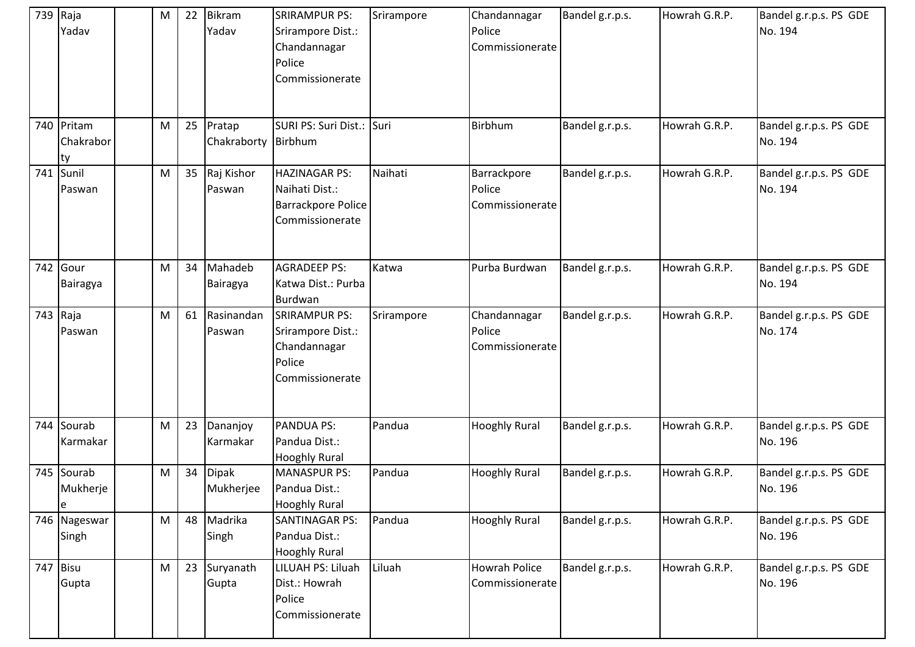|     | 739 Raja<br>Yadav             | M         | 22 | <b>Bikram</b><br>Yadav    | <b>SRIRAMPUR PS:</b><br>Srirampore Dist.:<br>Chandannagar<br>Police<br>Commissionerate | Srirampore | Chandannagar<br>Police<br>Commissionerate | Bandel g.r.p.s. | Howrah G.R.P. | Bandel g.r.p.s. PS GDE<br>No. 194 |
|-----|-------------------------------|-----------|----|---------------------------|----------------------------------------------------------------------------------------|------------|-------------------------------------------|-----------------|---------------|-----------------------------------|
|     | 740 Pritam<br>Chakrabor<br>ty | M         | 25 | Pratap<br>Chakraborty     | SURI PS: Suri Dist.: Suri<br>Birbhum                                                   |            | Birbhum                                   | Bandel g.r.p.s. | Howrah G.R.P. | Bandel g.r.p.s. PS GDE<br>No. 194 |
| 741 | Sunil<br>Paswan               | M         | 35 | Raj Kishor<br>Paswan      | <b>HAZINAGAR PS:</b><br>Naihati Dist.:<br>Barrackpore Police<br>Commissionerate        | Naihati    | Barrackpore<br>Police<br>Commissionerate  | Bandel g.r.p.s. | Howrah G.R.P. | Bandel g.r.p.s. PS GDE<br>No. 194 |
|     | 742 Gour<br>Bairagya          | M         | 34 | Mahadeb<br>Bairagya       | <b>AGRADEEP PS:</b><br>Katwa Dist.: Purba<br>Burdwan                                   | Katwa      | Purba Burdwan                             | Bandel g.r.p.s. | Howrah G.R.P. | Bandel g.r.p.s. PS GDE<br>No. 194 |
|     | 743 Raja<br>Paswan            | M         | 61 | Rasinandan<br>Paswan      | <b>SRIRAMPUR PS:</b><br>Srirampore Dist.:<br>Chandannagar<br>Police<br>Commissionerate | Srirampore | Chandannagar<br>Police<br>Commissionerate | Bandel g.r.p.s. | Howrah G.R.P. | Bandel g.r.p.s. PS GDE<br>No. 174 |
|     | 744 Sourab<br>Karmakar        | M         | 23 | Dananjoy<br>Karmakar      | PANDUA PS:<br>Pandua Dist.:<br><b>Hooghly Rural</b>                                    | Pandua     | <b>Hooghly Rural</b>                      | Bandel g.r.p.s. | Howrah G.R.P. | Bandel g.r.p.s. PS GDE<br>No. 196 |
|     | 745 Sourab<br>Mukherje<br>le  | M         | 34 | <b>Dipak</b><br>Mukherjee | <b>MANASPUR PS:</b><br>Pandua Dist.:<br><b>Hooghly Rural</b>                           | Pandua     | <b>Hooghly Rural</b>                      | Bandel g.r.p.s. | Howrah G.R.P. | Bandel g.r.p.s. PS GDE<br>No. 196 |
|     | 746 Nageswar<br>Singh         | ${\sf M}$ | 48 | Madrika<br>Singh          | <b>SANTINAGAR PS:</b><br>Pandua Dist.:<br><b>Hooghly Rural</b>                         | Pandua     | <b>Hooghly Rural</b>                      | Bandel g.r.p.s. | Howrah G.R.P. | Bandel g.r.p.s. PS GDE<br>No. 196 |
|     | 747 Bisu<br>Gupta             | M         | 23 | Suryanath<br>Gupta        | LILUAH PS: Liluah<br>Dist.: Howrah<br>Police<br>Commissionerate                        | Liluah     | <b>Howrah Police</b><br>Commissionerate   | Bandel g.r.p.s. | Howrah G.R.P. | Bandel g.r.p.s. PS GDE<br>No. 196 |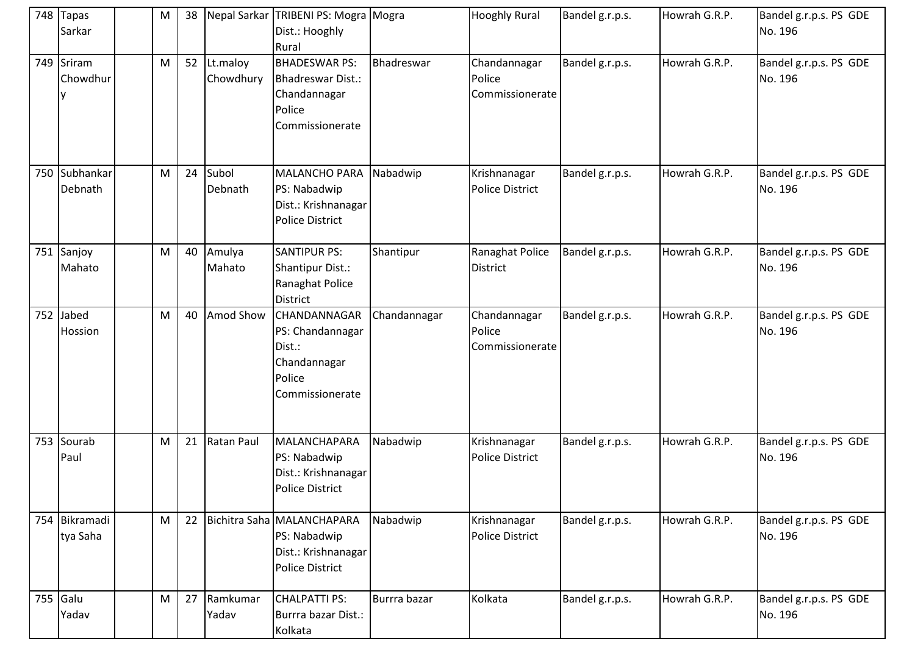| 748 Tapas<br>Sarkar       | M | 38 |                       | Nepal Sarkar TRIBENI PS: Mogra Mogra<br>Dist.: Hooghly<br>Rural                             |              | <b>Hooghly Rural</b>                      | Bandel g.r.p.s. | Howrah G.R.P. | Bandel g.r.p.s. PS GDE<br>No. 196 |
|---------------------------|---|----|-----------------------|---------------------------------------------------------------------------------------------|--------------|-------------------------------------------|-----------------|---------------|-----------------------------------|
| 749 Sriram<br>Chowdhur    | M | 52 | Lt.maloy<br>Chowdhury | <b>BHADESWAR PS:</b><br>Bhadreswar Dist.:<br>Chandannagar<br>Police<br>Commissionerate      | Bhadreswar   | Chandannagar<br>Police<br>Commissionerate | Bandel g.r.p.s. | Howrah G.R.P. | Bandel g.r.p.s. PS GDE<br>No. 196 |
| 750 Subhankar<br>Debnath  | M | 24 | Subol<br>Debnath      | <b>MALANCHO PARA</b><br>PS: Nabadwip<br>Dist.: Krishnanagar<br><b>Police District</b>       | Nabadwip     | Krishnanagar<br><b>Police District</b>    | Bandel g.r.p.s. | Howrah G.R.P. | Bandel g.r.p.s. PS GDE<br>No. 196 |
| 751 Sanjoy<br>Mahato      | M | 40 | Amulya<br>Mahato      | <b>SANTIPUR PS:</b><br>Shantipur Dist.:<br>Ranaghat Police<br><b>District</b>               | Shantipur    | Ranaghat Police<br><b>District</b>        | Bandel g.r.p.s. | Howrah G.R.P. | Bandel g.r.p.s. PS GDE<br>No. 196 |
| 752 Jabed<br>Hossion      | M | 40 | Amod Show             | CHANDANNAGAR<br>PS: Chandannagar<br>Dist.:<br>Chandannagar<br>Police<br>Commissionerate     | Chandannagar | Chandannagar<br>Police<br>Commissionerate | Bandel g.r.p.s. | Howrah G.R.P. | Bandel g.r.p.s. PS GDE<br>No. 196 |
| 753 Sourab<br>Paul        | M | 21 | Ratan Paul            | MALANCHAPARA<br>PS: Nabadwip<br>Dist.: Krishnanagar<br><b>Police District</b>               | Nabadwip     | Krishnanagar<br><b>Police District</b>    | Bandel g.r.p.s. | Howrah G.R.P. | Bandel g.r.p.s. PS GDE<br>No. 196 |
| 754 Bikramadi<br>tya Saha | M | 22 |                       | Bichitra Saha MALANCHAPARA<br>PS: Nabadwip<br>Dist.: Krishnanagar<br><b>Police District</b> | Nabadwip     | Krishnanagar<br>Police District           | Bandel g.r.p.s. | Howrah G.R.P. | Bandel g.r.p.s. PS GDE<br>No. 196 |
| 755 Galu<br>Yadav         | M | 27 | Ramkumar<br>Yadav     | <b>CHALPATTI PS:</b><br>Burrra bazar Dist.:<br>Kolkata                                      | Burrra bazar | Kolkata                                   | Bandel g.r.p.s. | Howrah G.R.P. | Bandel g.r.p.s. PS GDE<br>No. 196 |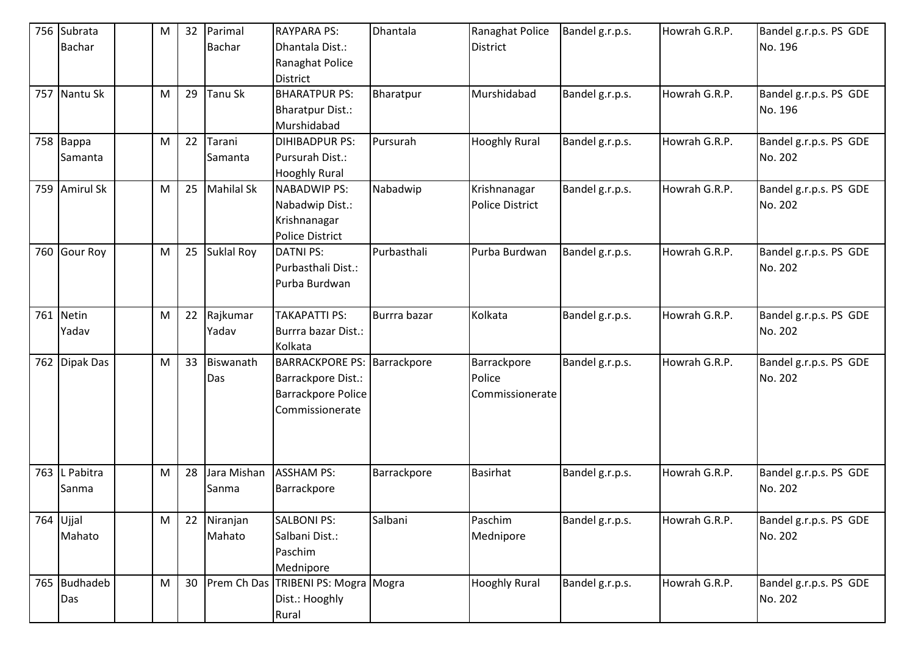|     | 756 Subrata   | м | 32              | Parimal           | <b>RAYPARA PS:</b>                  | Dhantala     | Ranaghat Police      | Bandel g.r.p.s. | Howrah G.R.P. | Bandel g.r.p.s. PS GDE |
|-----|---------------|---|-----------------|-------------------|-------------------------------------|--------------|----------------------|-----------------|---------------|------------------------|
|     | <b>Bachar</b> |   |                 | <b>Bachar</b>     | Dhantala Dist.:                     |              | <b>District</b>      |                 |               | No. 196                |
|     |               |   |                 |                   | Ranaghat Police                     |              |                      |                 |               |                        |
|     |               |   |                 |                   | <b>District</b>                     |              |                      |                 |               |                        |
|     | 757 Nantu Sk  | M | 29              | Tanu Sk           | <b>BHARATPUR PS:</b>                | Bharatpur    | Murshidabad          | Bandel g.r.p.s. | Howrah G.R.P. | Bandel g.r.p.s. PS GDE |
|     |               |   |                 |                   | <b>Bharatpur Dist.:</b>             |              |                      |                 |               | No. 196                |
|     |               |   |                 |                   | Murshidabad                         |              |                      |                 |               |                        |
|     | 758 Bappa     | M | 22              | Tarani            | <b>DIHIBADPUR PS:</b>               | Pursurah     | <b>Hooghly Rural</b> | Bandel g.r.p.s. | Howrah G.R.P. | Bandel g.r.p.s. PS GDE |
|     | Samanta       |   |                 | Samanta           | Pursurah Dist.:                     |              |                      |                 |               | No. 202                |
|     |               |   |                 |                   | <b>Hooghly Rural</b>                |              |                      |                 |               |                        |
|     | 759 Amirul Sk | M | 25              | <b>Mahilal Sk</b> | <b>NABADWIP PS:</b>                 | Nabadwip     | Krishnanagar         | Bandel g.r.p.s. | Howrah G.R.P. | Bandel g.r.p.s. PS GDE |
|     |               |   |                 |                   | Nabadwip Dist.:                     |              | Police District      |                 |               | No. 202                |
|     |               |   |                 |                   | Krishnanagar                        |              |                      |                 |               |                        |
|     |               |   |                 |                   | <b>Police District</b>              |              |                      |                 |               |                        |
|     | 760 Gour Roy  | M | 25              | <b>Suklal Roy</b> | <b>DATNI PS:</b>                    | Purbasthali  | Purba Burdwan        | Bandel g.r.p.s. | Howrah G.R.P. | Bandel g.r.p.s. PS GDE |
|     |               |   |                 |                   | Purbasthali Dist.:                  |              |                      |                 |               | No. 202                |
|     |               |   |                 |                   | Purba Burdwan                       |              |                      |                 |               |                        |
|     |               |   |                 |                   |                                     |              |                      |                 |               |                        |
| 761 | <b>Netin</b>  | M | 22              | Rajkumar          | <b>TAKAPATTI PS:</b>                | Burrra bazar | Kolkata              | Bandel g.r.p.s. | Howrah G.R.P. | Bandel g.r.p.s. PS GDE |
|     | Yadav         |   |                 | Yadav             | Burrra bazar Dist.:                 |              |                      |                 |               | No. 202                |
|     |               |   |                 |                   | Kolkata                             |              |                      |                 |               |                        |
|     | 762 Dipak Das | M | 33              | Biswanath         | <b>BARRACKPORE PS: Barrackpore</b>  |              | Barrackpore          | Bandel g.r.p.s. | Howrah G.R.P. | Bandel g.r.p.s. PS GDE |
|     |               |   |                 | Das               | Barrackpore Dist.:                  |              | Police               |                 |               | No. 202                |
|     |               |   |                 |                   | Barrackpore Police                  |              | Commissionerate      |                 |               |                        |
|     |               |   |                 |                   | Commissionerate                     |              |                      |                 |               |                        |
|     |               |   |                 |                   |                                     |              |                      |                 |               |                        |
|     |               |   |                 |                   |                                     |              |                      |                 |               |                        |
|     |               |   |                 |                   |                                     |              |                      |                 |               |                        |
| 763 | L Pabitra     | M | 28              | Jara Mishan       | <b>ASSHAM PS:</b>                   | Barrackpore  | <b>Basirhat</b>      | Bandel g.r.p.s. | Howrah G.R.P. | Bandel g.r.p.s. PS GDE |
|     | Sanma         |   |                 | Sanma             | Barrackpore                         |              |                      |                 |               | No. 202                |
|     |               |   |                 |                   |                                     |              |                      |                 |               |                        |
|     | 764 Ujjal     | M | 22              | Niranjan          | <b>SALBONI PS:</b>                  | Salbani      | Paschim              | Bandel g.r.p.s. | Howrah G.R.P. | Bandel g.r.p.s. PS GDE |
|     | Mahato        |   |                 | Mahato            | Salbani Dist.:                      |              | Mednipore            |                 |               | No. 202                |
|     |               |   |                 |                   | Paschim                             |              |                      |                 |               |                        |
|     |               |   |                 |                   | Mednipore                           |              |                      |                 |               |                        |
|     | 765 Budhadeb  | M | 30 <sup>°</sup> |                   | Prem Ch Das TRIBENI PS: Mogra Mogra |              | <b>Hooghly Rural</b> | Bandel g.r.p.s. | Howrah G.R.P. | Bandel g.r.p.s. PS GDE |
|     | Das           |   |                 |                   | Dist.: Hooghly                      |              |                      |                 |               | No. 202                |
|     |               |   |                 |                   | Rural                               |              |                      |                 |               |                        |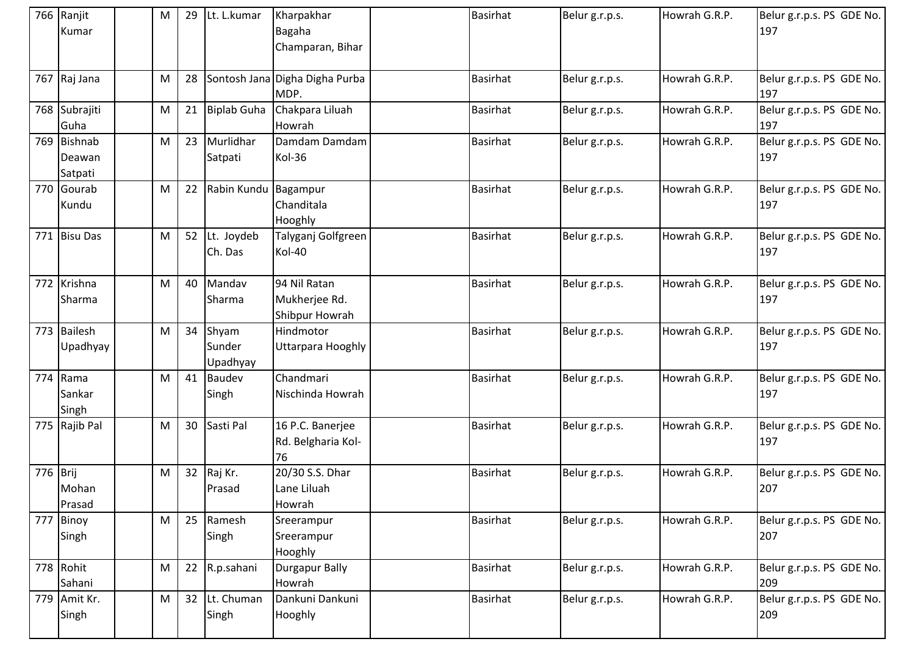|          | 766 Ranjit<br>Kumar              | М | 29 | Lt. L.kumar                 | Kharpakhar<br>Bagaha<br>Champaran, Bihar        | <b>Basirhat</b> | Belur g.r.p.s. | Howrah G.R.P. | Belur g.r.p.s. PS GDE No.<br>197 |
|----------|----------------------------------|---|----|-----------------------------|-------------------------------------------------|-----------------|----------------|---------------|----------------------------------|
|          | 767 Raj Jana                     | M | 28 |                             | Sontosh Jana Digha Digha Purba<br>MDP.          | <b>Basirhat</b> | Belur g.r.p.s. | Howrah G.R.P. | Belur g.r.p.s. PS GDE No.<br>197 |
|          | 768 Subrajiti<br>Guha            | M | 21 | <b>Biplab Guha</b>          | Chakpara Liluah<br>Howrah                       | <b>Basirhat</b> | Belur g.r.p.s. | Howrah G.R.P. | Belur g.r.p.s. PS GDE No.<br>197 |
|          | 769 Bishnab<br>Deawan<br>Satpati | M | 23 | Murlidhar<br>Satpati        | Damdam Damdam<br>Kol-36                         | <b>Basirhat</b> | Belur g.r.p.s. | Howrah G.R.P. | Belur g.r.p.s. PS GDE No.<br>197 |
|          | 770 Gourab<br>Kundu              | M | 22 | Rabin Kundu                 | Bagampur<br>Chanditala<br>Hooghly               | <b>Basirhat</b> | Belur g.r.p.s. | Howrah G.R.P. | Belur g.r.p.s. PS GDE No.<br>197 |
| 771      | <b>Bisu Das</b>                  | M | 52 | Lt. Joydeb<br>Ch. Das       | Talyganj Golfgreen<br>Kol-40                    | <b>Basirhat</b> | Belur g.r.p.s. | Howrah G.R.P. | Belur g.r.p.s. PS GDE No.<br>197 |
|          | 772 Krishna<br>Sharma            | M | 40 | Mandav<br>Sharma            | 94 Nil Ratan<br>Mukherjee Rd.<br>Shibpur Howrah | <b>Basirhat</b> | Belur g.r.p.s. | Howrah G.R.P. | Belur g.r.p.s. PS GDE No.<br>197 |
|          | 773 Bailesh<br>Upadhyay          | M | 34 | Shyam<br>Sunder<br>Upadhyay | Hindmotor<br>Uttarpara Hooghly                  | <b>Basirhat</b> | Belur g.r.p.s. | Howrah G.R.P. | Belur g.r.p.s. PS GDE No.<br>197 |
|          | 774 Rama<br>Sankar<br>Singh      | M | 41 | <b>Baudev</b><br>Singh      | Chandmari<br>Nischinda Howrah                   | <b>Basirhat</b> | Belur g.r.p.s. | Howrah G.R.P. | Belur g.r.p.s. PS GDE No.<br>197 |
|          | 775 Rajib Pal                    | M | 30 | Sasti Pal                   | 16 P.C. Banerjee<br>Rd. Belgharia Kol-<br>76    | <b>Basirhat</b> | Belur g.r.p.s. | Howrah G.R.P. | Belur g.r.p.s. PS GDE No.<br>197 |
| 776 Brij | Mohan<br>Prasad                  | M | 32 | Raj Kr.<br>Prasad           | 20/30 S.S. Dhar<br>Lane Liluah<br>Howrah        | <b>Basirhat</b> | Belur g.r.p.s. | Howrah G.R.P. | Belur g.r.p.s. PS GDE No.<br>207 |
| 777      | Binoy<br>Singh                   | M | 25 | Ramesh<br>Singh             | Sreerampur<br>Sreerampur<br>Hooghly             | <b>Basirhat</b> | Belur g.r.p.s. | Howrah G.R.P. | Belur g.r.p.s. PS GDE No.<br>207 |
|          | 778 Rohit<br>Sahani              | M | 22 | R.p.sahani                  | Durgapur Bally<br>Howrah                        | <b>Basirhat</b> | Belur g.r.p.s. | Howrah G.R.P. | Belur g.r.p.s. PS GDE No.<br>209 |
|          | 779 Amit Kr.<br>Singh            | M | 32 | Lt. Chuman<br>Singh         | Dankuni Dankuni<br>Hooghly                      | <b>Basirhat</b> | Belur g.r.p.s. | Howrah G.R.P. | Belur g.r.p.s. PS GDE No.<br>209 |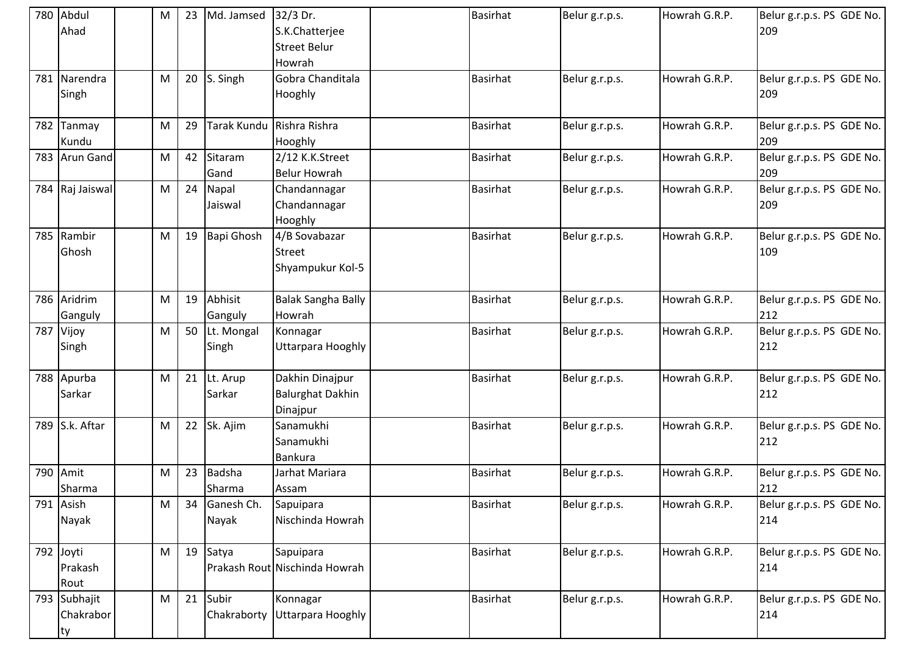|     | 780 Abdul<br>Ahad               | М | 23 | Md. Jamsed              | 32/3 Dr.<br>S.K.Chatterjee<br><b>Street Belur</b><br>Howrah | <b>Basirhat</b> | Belur g.r.p.s. | Howrah G.R.P. | Belur g.r.p.s. PS GDE No.<br>209 |
|-----|---------------------------------|---|----|-------------------------|-------------------------------------------------------------|-----------------|----------------|---------------|----------------------------------|
| 781 | Narendra<br>Singh               | M | 20 | S. Singh                | Gobra Chanditala<br>Hooghly                                 | <b>Basirhat</b> | Belur g.r.p.s. | Howrah G.R.P. | Belur g.r.p.s. PS GDE No.<br>209 |
|     | 782 Tanmay<br>Kundu             | M | 29 | Tarak Kundu             | Rishra Rishra<br>Hooghly                                    | <b>Basirhat</b> | Belur g.r.p.s. | Howrah G.R.P. | Belur g.r.p.s. PS GDE No.<br>209 |
|     | 783 Arun Gand                   | M | 42 | Sitaram<br>Gand         | 2/12 K.K.Street<br><b>Belur Howrah</b>                      | <b>Basirhat</b> | Belur g.r.p.s. | Howrah G.R.P. | Belur g.r.p.s. PS GDE No.<br>209 |
|     | 784 Raj Jaiswal                 | M | 24 | Napal<br>Jaiswal        | Chandannagar<br>Chandannagar<br>Hooghly                     | <b>Basirhat</b> | Belur g.r.p.s. | Howrah G.R.P. | Belur g.r.p.s. PS GDE No.<br>209 |
|     | 785 Rambir<br>Ghosh             | M | 19 | <b>Bapi Ghosh</b>       | 4/B Sovabazar<br><b>Street</b><br>Shyampukur Kol-5          | <b>Basirhat</b> | Belur g.r.p.s. | Howrah G.R.P. | Belur g.r.p.s. PS GDE No.<br>109 |
|     | 786 Aridrim<br>Ganguly          | M | 19 | Abhisit<br>Ganguly      | <b>Balak Sangha Bally</b><br>Howrah                         | <b>Basirhat</b> | Belur g.r.p.s. | Howrah G.R.P. | Belur g.r.p.s. PS GDE No.<br>212 |
| 787 | Vijoy<br>Singh                  | M | 50 | Lt. Mongal<br>Singh     | Konnagar<br>Uttarpara Hooghly                               | <b>Basirhat</b> | Belur g.r.p.s. | Howrah G.R.P. | Belur g.r.p.s. PS GDE No.<br>212 |
|     | 788 Apurba<br>Sarkar            | M | 21 | Lt. Arup<br>Sarkar      | Dakhin Dinajpur<br><b>Balurghat Dakhin</b><br>Dinajpur      | <b>Basirhat</b> | Belur g.r.p.s. | Howrah G.R.P. | Belur g.r.p.s. PS GDE No.<br>212 |
|     | 789 S.k. Aftar                  | M | 22 | Sk. Ajim                | Sanamukhi<br>Sanamukhi<br>Bankura                           | <b>Basirhat</b> | Belur g.r.p.s. | Howrah G.R.P. | Belur g.r.p.s. PS GDE No.<br>212 |
|     | 790 Amit<br>Sharma              | M | 23 | <b>Badsha</b><br>Sharma | Jarhat Mariara<br>Assam                                     | <b>Basirhat</b> | Belur g.r.p.s. | Howrah G.R.P. | Belur g.r.p.s. PS GDE No.<br>212 |
|     | 791 Asish<br>Nayak              | M | 34 | Ganesh Ch.<br>Nayak     | Sapuipara<br>Nischinda Howrah                               | <b>Basirhat</b> | Belur g.r.p.s. | Howrah G.R.P. | Belur g.r.p.s. PS GDE No.<br>214 |
|     | 792 Joyti<br>Prakash<br>Rout    | M | 19 | Satya                   | Sapuipara<br>Prakash Rout Nischinda Howrah                  | <b>Basirhat</b> | Belur g.r.p.s. | Howrah G.R.P. | Belur g.r.p.s. PS GDE No.<br>214 |
|     | 793 Subhajit<br>Chakrabor<br>ty | M | 21 | Subir<br>Chakraborty    | Konnagar<br>Uttarpara Hooghly                               | <b>Basirhat</b> | Belur g.r.p.s. | Howrah G.R.P. | Belur g.r.p.s. PS GDE No.<br>214 |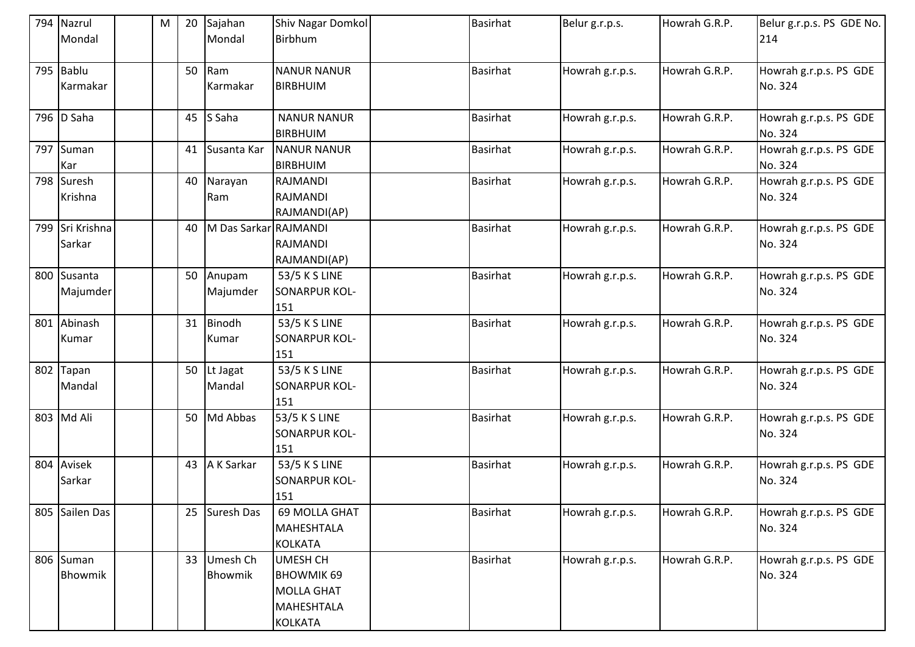|     | 794 Nazrul      | M | 20 | Sajahan               | Shiv Nagar Domkol  | <b>Basirhat</b> | Belur g.r.p.s.  | Howrah G.R.P. | Belur g.r.p.s. PS GDE No. |
|-----|-----------------|---|----|-----------------------|--------------------|-----------------|-----------------|---------------|---------------------------|
|     | Mondal          |   |    | Mondal                | Birbhum            |                 |                 |               | 214                       |
|     | 795 Bablu       |   | 50 | Ram                   | <b>NANUR NANUR</b> | <b>Basirhat</b> | Howrah g.r.p.s. | Howrah G.R.P. | Howrah g.r.p.s. PS GDE    |
|     | Karmakar        |   |    | Karmakar              | <b>BIRBHUIM</b>    |                 |                 |               | No. 324                   |
|     | 796 D Saha      |   | 45 | S Saha                | <b>NANUR NANUR</b> | <b>Basirhat</b> | Howrah g.r.p.s. | Howrah G.R.P. | Howrah g.r.p.s. PS GDE    |
|     |                 |   |    |                       | <b>BIRBHUIM</b>    |                 |                 |               | No. 324                   |
| 797 | Suman           |   | 41 | Susanta Kar           | <b>NANUR NANUR</b> | <b>Basirhat</b> | Howrah g.r.p.s. | Howrah G.R.P. | Howrah g.r.p.s. PS GDE    |
|     | Kar             |   |    |                       | <b>BIRBHUIM</b>    |                 |                 |               | No. 324                   |
|     | 798 Suresh      |   | 40 | Narayan               | <b>RAJMANDI</b>    | <b>Basirhat</b> | Howrah g.r.p.s. | Howrah G.R.P. | Howrah g.r.p.s. PS GDE    |
|     | Krishna         |   |    | Ram                   | RAJMANDI           |                 |                 |               | No. 324                   |
|     |                 |   |    |                       | RAJMANDI(AP)       |                 |                 |               |                           |
|     | 799 Sri Krishna |   | 40 | M Das Sarkar RAJMANDI |                    | <b>Basirhat</b> | Howrah g.r.p.s. | Howrah G.R.P. | Howrah g.r.p.s. PS GDE    |
|     | Sarkar          |   |    |                       | <b>RAJMANDI</b>    |                 |                 |               | No. 324                   |
|     |                 |   |    |                       | RAJMANDI(AP)       |                 |                 |               |                           |
|     | 800 Susanta     |   | 50 | Anupam                | 53/5 K S LINE      | <b>Basirhat</b> | Howrah g.r.p.s. | Howrah G.R.P. | Howrah g.r.p.s. PS GDE    |
|     | Majumder        |   |    | Majumder              | SONARPUR KOL-      |                 |                 |               | No. 324                   |
|     |                 |   |    |                       | 151                |                 |                 |               |                           |
| 801 | Abinash         |   | 31 | Binodh                | 53/5 K S LINE      | <b>Basirhat</b> | Howrah g.r.p.s. | Howrah G.R.P. | Howrah g.r.p.s. PS GDE    |
|     | Kumar           |   |    | Kumar                 | SONARPUR KOL-      |                 |                 |               | No. 324                   |
|     |                 |   |    |                       | 151                |                 |                 |               |                           |
| 802 | Tapan           |   | 50 | Lt Jagat              | 53/5 K S LINE      | <b>Basirhat</b> | Howrah g.r.p.s. | Howrah G.R.P. | Howrah g.r.p.s. PS GDE    |
|     | Mandal          |   |    | Mandal                | SONARPUR KOL-      |                 |                 |               | No. 324                   |
|     |                 |   |    |                       | 151                |                 |                 |               |                           |
|     | 803 Md Ali      |   | 50 | Md Abbas              | 53/5 K S LINE      | <b>Basirhat</b> | Howrah g.r.p.s. | Howrah G.R.P. | Howrah g.r.p.s. PS GDE    |
|     |                 |   |    |                       | SONARPUR KOL-      |                 |                 |               | No. 324                   |
|     |                 |   |    |                       | 151                |                 |                 |               |                           |
| 804 | Avisek          |   | 43 | A K Sarkar            | 53/5 K S LINE      | <b>Basirhat</b> | Howrah g.r.p.s. | Howrah G.R.P. | Howrah g.r.p.s. PS GDE    |
|     | Sarkar          |   |    |                       | SONARPUR KOL-      |                 |                 |               | No. 324                   |
|     |                 |   |    |                       | 151                |                 |                 |               |                           |
|     | 805 Sailen Das  |   | 25 | <b>Suresh Das</b>     | 69 MOLLA GHAT      | <b>Basirhat</b> | Howrah g.r.p.s. | Howrah G.R.P. | Howrah g.r.p.s. PS GDE    |
|     |                 |   |    |                       | MAHESHTALA         |                 |                 |               | No. 324                   |
|     |                 |   |    |                       | <b>KOLKATA</b>     |                 |                 |               |                           |
|     | 806 Suman       |   | 33 | Umesh Ch              | <b>UMESH CH</b>    | <b>Basirhat</b> | Howrah g.r.p.s. | Howrah G.R.P. | Howrah g.r.p.s. PS GDE    |
|     | Bhowmik         |   |    | Bhowmik               | <b>BHOWMIK 69</b>  |                 |                 |               | No. 324                   |
|     |                 |   |    |                       | <b>MOLLA GHAT</b>  |                 |                 |               |                           |
|     |                 |   |    |                       | <b>MAHESHTALA</b>  |                 |                 |               |                           |
|     |                 |   |    |                       | <b>KOLKATA</b>     |                 |                 |               |                           |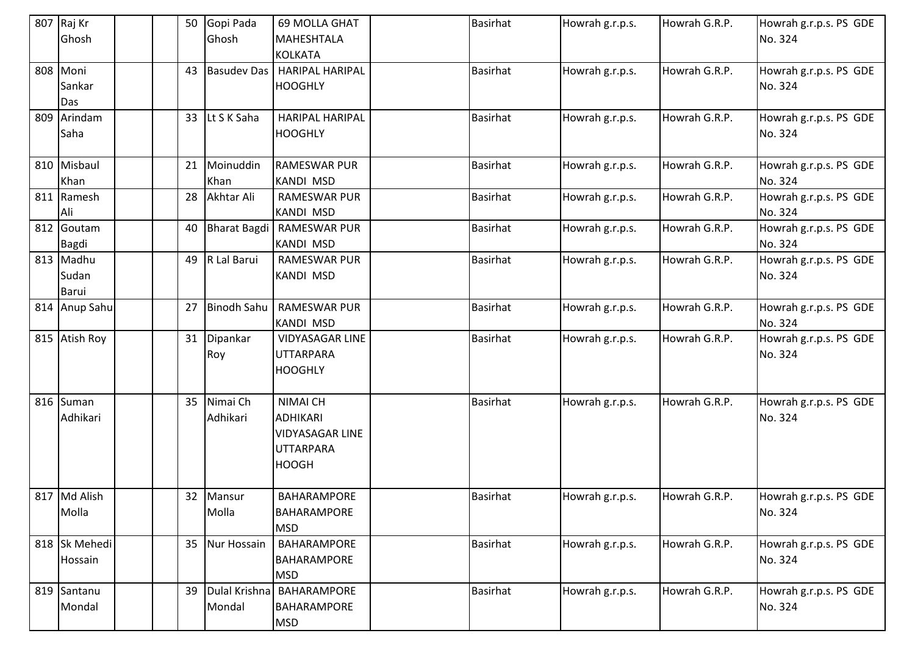| 807 | Raj Kr        | 50 | Gopi Pada           | 69 MOLLA GHAT          | Basirhat        | Howrah g.r.p.s. | Howrah G.R.P. | Howrah g.r.p.s. PS GDE |
|-----|---------------|----|---------------------|------------------------|-----------------|-----------------|---------------|------------------------|
|     | Ghosh         |    | Ghosh               | <b>MAHESHTALA</b>      |                 |                 |               | No. 324                |
|     |               |    |                     | <b>KOLKATA</b>         |                 |                 |               |                        |
|     | 808 Moni      | 43 | <b>Basudev Das</b>  | <b>HARIPAL HARIPAL</b> | <b>Basirhat</b> | Howrah g.r.p.s. | Howrah G.R.P. | Howrah g.r.p.s. PS GDE |
|     | Sankar        |    |                     | <b>HOOGHLY</b>         |                 |                 |               | No. 324                |
|     | Das           |    |                     |                        |                 |                 |               |                        |
| 809 | Arindam       |    | 33 Lt S K Saha      | <b>HARIPAL HARIPAL</b> | <b>Basirhat</b> | Howrah g.r.p.s. | Howrah G.R.P. | Howrah g.r.p.s. PS GDE |
|     | Saha          |    |                     | <b>HOOGHLY</b>         |                 |                 |               | No. 324                |
|     |               |    |                     |                        |                 |                 |               |                        |
|     | 810 Misbaul   |    | 21 Moinuddin        | <b>RAMESWAR PUR</b>    | <b>Basirhat</b> | Howrah g.r.p.s. | Howrah G.R.P. | Howrah g.r.p.s. PS GDE |
|     | Khan          |    | Khan                | <b>KANDI MSD</b>       |                 |                 |               | No. 324                |
|     | 811 Ramesh    | 28 | Akhtar Ali          | <b>RAMESWAR PUR</b>    | <b>Basirhat</b> | Howrah g.r.p.s. | Howrah G.R.P. | Howrah g.r.p.s. PS GDE |
|     | Ali           |    |                     | <b>KANDI MSD</b>       |                 |                 |               | No. 324                |
|     | 812 Goutam    | 40 | <b>Bharat Bagdi</b> | <b>RAMESWAR PUR</b>    | <b>Basirhat</b> | Howrah g.r.p.s. | Howrah G.R.P. | Howrah g.r.p.s. PS GDE |
|     | <b>Bagdi</b>  |    |                     | <b>KANDI MSD</b>       |                 |                 |               | No. 324                |
|     | 813 Madhu     | 49 | R Lal Barui         | <b>RAMESWAR PUR</b>    | <b>Basirhat</b> | Howrah g.r.p.s. | Howrah G.R.P. | Howrah g.r.p.s. PS GDE |
|     | Sudan         |    |                     | KANDI MSD              |                 |                 |               | No. 324                |
|     | <b>Barui</b>  |    |                     |                        |                 |                 |               |                        |
|     | 814 Anup Sahu | 27 | <b>Binodh Sahu</b>  | <b>RAMESWAR PUR</b>    | <b>Basirhat</b> | Howrah g.r.p.s. | Howrah G.R.P. | Howrah g.r.p.s. PS GDE |
|     |               |    |                     | <b>KANDI MSD</b>       |                 |                 |               | No. 324                |
|     | 815 Atish Roy | 31 | Dipankar            | VIDYASAGAR LINE        | <b>Basirhat</b> | Howrah g.r.p.s. | Howrah G.R.P. | Howrah g.r.p.s. PS GDE |
|     |               |    | Roy                 | <b>UTTARPARA</b>       |                 |                 |               | No. 324                |
|     |               |    |                     | <b>HOOGHLY</b>         |                 |                 |               |                        |
|     |               |    |                     |                        |                 |                 |               |                        |
|     | 816 Suman     | 35 | Nimai Ch            | <b>NIMAI CH</b>        | <b>Basirhat</b> | Howrah g.r.p.s. | Howrah G.R.P. | Howrah g.r.p.s. PS GDE |
|     | Adhikari      |    | Adhikari            | <b>ADHIKARI</b>        |                 |                 |               | No. 324                |
|     |               |    |                     | <b>VIDYASAGAR LINE</b> |                 |                 |               |                        |
|     |               |    |                     | <b>UTTARPARA</b>       |                 |                 |               |                        |
|     |               |    |                     | <b>HOOGH</b>           |                 |                 |               |                        |
|     |               |    |                     |                        |                 |                 |               |                        |
|     | 817 Md Alish  |    | 32 Mansur           | BAHARAMPORE            | <b>Basirhat</b> | Howrah g.r.p.s. | Howrah G.R.P. | Howrah g.r.p.s. PS GDE |
|     | Molla         |    | Molla               | <b>BAHARAMPORE</b>     |                 |                 |               | No. 324                |
|     |               |    |                     | <b>MSD</b>             |                 |                 |               |                        |
|     | 818 Sk Mehedi |    | 35 Nur Hossain      | BAHARAMPORE            | <b>Basirhat</b> | Howrah g.r.p.s. | Howrah G.R.P. | Howrah g.r.p.s. PS GDE |
|     | Hossain       |    |                     | <b>BAHARAMPORE</b>     |                 |                 |               | No. 324                |
|     |               |    |                     | <b>MSD</b>             |                 |                 |               |                        |
| 819 | Santanu       | 39 | Dulal Krishna       | BAHARAMPORE            | <b>Basirhat</b> | Howrah g.r.p.s. | Howrah G.R.P. | Howrah g.r.p.s. PS GDE |
|     | Mondal        |    | Mondal              | BAHARAMPORE            |                 |                 |               | No. 324                |
|     |               |    |                     | <b>MSD</b>             |                 |                 |               |                        |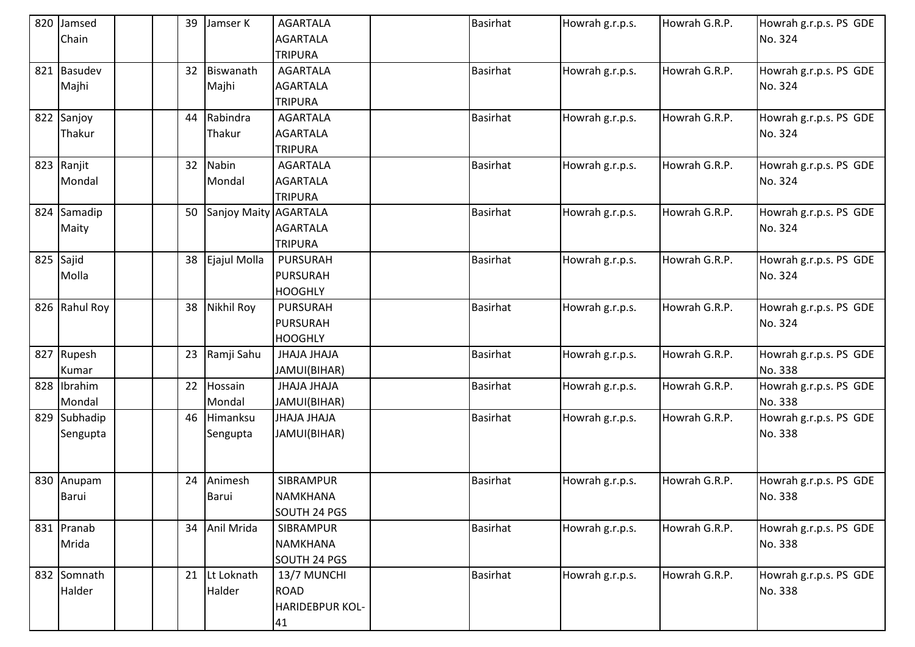| 820 Jamsed    | 39 | Jamser K              | <b>AGARTALA</b> | <b>Basirhat</b> | Howrah g.r.p.s. | Howrah G.R.P. | Howrah g.r.p.s. PS GDE |
|---------------|----|-----------------------|-----------------|-----------------|-----------------|---------------|------------------------|
| Chain         |    |                       | <b>AGARTALA</b> |                 |                 |               | No. 324                |
|               |    |                       | <b>TRIPURA</b>  |                 |                 |               |                        |
| 821 Basudev   | 32 | Biswanath             | <b>AGARTALA</b> | <b>Basirhat</b> | Howrah g.r.p.s. | Howrah G.R.P. | Howrah g.r.p.s. PS GDE |
| Majhi         |    | Majhi                 | <b>AGARTALA</b> |                 |                 |               | No. 324                |
|               |    |                       | <b>TRIPURA</b>  |                 |                 |               |                        |
| 822 Sanjoy    | 44 | Rabindra              | <b>AGARTALA</b> | <b>Basirhat</b> | Howrah g.r.p.s. | Howrah G.R.P. | Howrah g.r.p.s. PS GDE |
| Thakur        |    | Thakur                | <b>AGARTALA</b> |                 |                 |               | No. 324                |
|               |    |                       | <b>TRIPURA</b>  |                 |                 |               |                        |
| 823 Ranjit    | 32 | Nabin                 | <b>AGARTALA</b> | <b>Basirhat</b> | Howrah g.r.p.s. | Howrah G.R.P. | Howrah g.r.p.s. PS GDE |
| Mondal        |    | Mondal                | <b>AGARTALA</b> |                 |                 |               | No. 324                |
|               |    |                       | <b>TRIPURA</b>  |                 |                 |               |                        |
| 824 Samadip   | 50 | Sanjoy Maity AGARTALA |                 | <b>Basirhat</b> | Howrah g.r.p.s. | Howrah G.R.P. | Howrah g.r.p.s. PS GDE |
| Maity         |    |                       | <b>AGARTALA</b> |                 |                 |               | No. 324                |
|               |    |                       | <b>TRIPURA</b>  |                 |                 |               |                        |
| 825 Sajid     | 38 | Ejajul Molla          | <b>PURSURAH</b> | <b>Basirhat</b> | Howrah g.r.p.s. | Howrah G.R.P. | Howrah g.r.p.s. PS GDE |
| Molla         |    |                       | <b>PURSURAH</b> |                 |                 |               | No. 324                |
|               |    |                       | <b>HOOGHLY</b>  |                 |                 |               |                        |
| 826 Rahul Roy | 38 | <b>Nikhil Roy</b>     | <b>PURSURAH</b> | <b>Basirhat</b> | Howrah g.r.p.s. | Howrah G.R.P. | Howrah g.r.p.s. PS GDE |
|               |    |                       | <b>PURSURAH</b> |                 |                 |               | No. 324                |
|               |    |                       | <b>HOOGHLY</b>  |                 |                 |               |                        |
| 827 Rupesh    | 23 | Ramji Sahu            | JHAJA JHAJA     | <b>Basirhat</b> | Howrah g.r.p.s. | Howrah G.R.P. | Howrah g.r.p.s. PS GDE |
| Kumar         |    |                       | JAMUI(BIHAR)    |                 |                 |               | No. 338                |
| 828 Ibrahim   | 22 | Hossain               | JHAJA JHAJA     | <b>Basirhat</b> | Howrah g.r.p.s. | Howrah G.R.P. | Howrah g.r.p.s. PS GDE |
| Mondal        |    | Mondal                | JAMUI(BIHAR)    |                 |                 |               | No. 338                |
| 829 Subhadip  | 46 | Himanksu              | JHAJA JHAJA     | <b>Basirhat</b> | Howrah g.r.p.s. | Howrah G.R.P. | Howrah g.r.p.s. PS GDE |
| Sengupta      |    | Sengupta              | JAMUI(BIHAR)    |                 |                 |               | No. 338                |
|               |    |                       |                 |                 |                 |               |                        |
|               |    |                       |                 |                 |                 |               |                        |
| 830 Anupam    | 24 | Animesh               | SIBRAMPUR       | <b>Basirhat</b> | Howrah g.r.p.s. | Howrah G.R.P. | Howrah g.r.p.s. PS GDE |
| Barui         |    | Barui                 | <b>NAMKHANA</b> |                 |                 |               | No. 338                |
|               |    |                       | SOUTH 24 PGS    |                 |                 |               |                        |
| 831 Pranab    |    | 34 Anil Mrida         | SIBRAMPUR       | <b>Basirhat</b> | Howrah g.r.p.s. | Howrah G.R.P. | Howrah g.r.p.s. PS GDE |
| Mrida         |    |                       | <b>NAMKHANA</b> |                 |                 |               | No. 338                |
|               |    |                       | SOUTH 24 PGS    |                 |                 |               |                        |
| 832 Somnath   | 21 | Lt Loknath            | 13/7 MUNCHI     | <b>Basirhat</b> | Howrah g.r.p.s. | Howrah G.R.P. | Howrah g.r.p.s. PS GDE |
| Halder        |    | Halder                | <b>ROAD</b>     |                 |                 |               | No. 338                |
|               |    |                       | HARIDEBPUR KOL- |                 |                 |               |                        |
|               |    |                       | 41              |                 |                 |               |                        |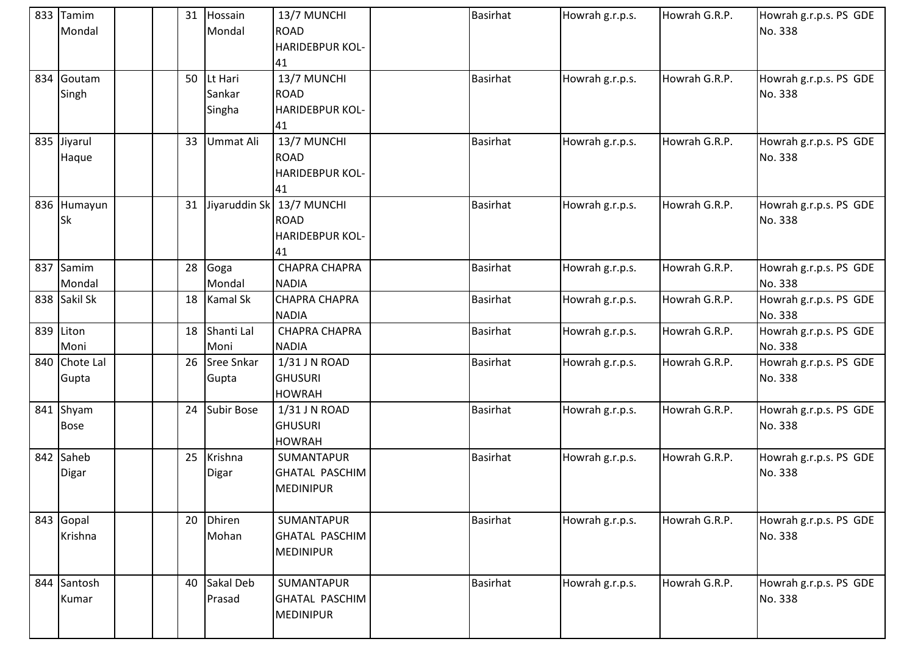| 833 Tamim<br>Mondal      | 31 | Hossain<br>Mondal           | 13/7 MUNCHI<br><b>ROAD</b><br><b>HARIDEBPUR KOL-</b><br>41 | <b>Basirhat</b> | Howrah g.r.p.s. | Howrah G.R.P. | Howrah g.r.p.s. PS GDE<br>No. 338 |
|--------------------------|----|-----------------------------|------------------------------------------------------------|-----------------|-----------------|---------------|-----------------------------------|
| 834 Goutam<br>Singh      | 50 | Lt Hari<br>Sankar<br>Singha | 13/7 MUNCHI<br><b>ROAD</b><br>HARIDEBPUR KOL-<br>41        | <b>Basirhat</b> | Howrah g.r.p.s. | Howrah G.R.P. | Howrah g.r.p.s. PS GDE<br>No. 338 |
| 835 Jiyarul<br>Haque     | 33 | Ummat Ali                   | 13/7 MUNCHI<br><b>ROAD</b><br>HARIDEBPUR KOL-<br>41        | <b>Basirhat</b> | Howrah g.r.p.s. | Howrah G.R.P. | Howrah g.r.p.s. PS GDE<br>No. 338 |
| 836 Humayun<br>Sk        | 31 | Jiyaruddin Sk               | 13/7 MUNCHI<br><b>ROAD</b><br>HARIDEBPUR KOL-<br>41        | <b>Basirhat</b> | Howrah g.r.p.s. | Howrah G.R.P. | Howrah g.r.p.s. PS GDE<br>No. 338 |
| 837 Samim<br>Mondal      | 28 | Goga<br>Mondal              | <b>CHAPRA CHAPRA</b><br><b>NADIA</b>                       | <b>Basirhat</b> | Howrah g.r.p.s. | Howrah G.R.P. | Howrah g.r.p.s. PS GDE<br>No. 338 |
| 838 Sakil Sk             | 18 | <b>Kamal Sk</b>             | <b>CHAPRA CHAPRA</b><br><b>NADIA</b>                       | <b>Basirhat</b> | Howrah g.r.p.s. | Howrah G.R.P. | Howrah g.r.p.s. PS GDE<br>No. 338 |
| 839 Liton<br>Moni        | 18 | Shanti Lal<br>Moni          | <b>CHAPRA CHAPRA</b><br><b>NADIA</b>                       | <b>Basirhat</b> | Howrah g.r.p.s. | Howrah G.R.P. | Howrah g.r.p.s. PS GDE<br>No. 338 |
| 840 Chote Lal<br>Gupta   | 26 | <b>Sree Snkar</b><br>Gupta  | $1/31$ J N ROAD<br><b>GHUSURI</b><br><b>HOWRAH</b>         | <b>Basirhat</b> | Howrah g.r.p.s. | Howrah G.R.P. | Howrah g.r.p.s. PS GDE<br>No. 338 |
| 841 Shyam<br><b>Bose</b> | 24 | <b>Subir Bose</b>           | 1/31 J N ROAD<br><b>GHUSURI</b><br><b>HOWRAH</b>           | <b>Basirhat</b> | Howrah g.r.p.s. | Howrah G.R.P. | Howrah g.r.p.s. PS GDE<br>No. 338 |
| 842 Saheb<br>Digar       | 25 | Krishna<br>Digar            | SUMANTAPUR<br>GHATAL PASCHIM<br><b>MEDINIPUR</b>           | <b>Basirhat</b> | Howrah g.r.p.s. | Howrah G.R.P. | Howrah g.r.p.s. PS GDE<br>No. 338 |
| 843 Gopal<br>Krishna     | 20 | <b>Dhiren</b><br>Mohan      | SUMANTAPUR<br><b>GHATAL PASCHIM</b><br><b>MEDINIPUR</b>    | <b>Basirhat</b> | Howrah g.r.p.s. | Howrah G.R.P. | Howrah g.r.p.s. PS GDE<br>No. 338 |
| 844 Santosh<br>Kumar     | 40 | Sakal Deb<br>Prasad         | SUMANTAPUR<br><b>GHATAL PASCHIM</b><br><b>MEDINIPUR</b>    | <b>Basirhat</b> | Howrah g.r.p.s. | Howrah G.R.P. | Howrah g.r.p.s. PS GDE<br>No. 338 |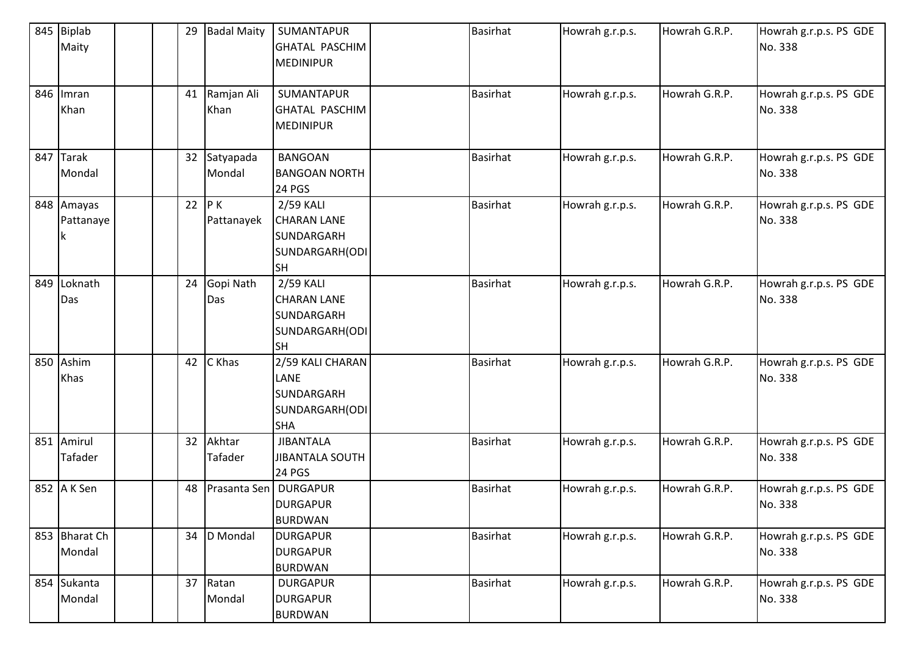| 845 | <b>Biplab</b> | 29 | <b>Badal Maity</b> | SUMANTAPUR             | Basirhat        | Howrah g.r.p.s. | Howrah G.R.P. | Howrah g.r.p.s. PS GDE |
|-----|---------------|----|--------------------|------------------------|-----------------|-----------------|---------------|------------------------|
|     | Maity         |    |                    | <b>GHATAL PASCHIM</b>  |                 |                 |               | No. 338                |
|     |               |    |                    | <b>MEDINIPUR</b>       |                 |                 |               |                        |
|     |               |    |                    |                        |                 |                 |               |                        |
|     | 846 Imran     |    | 41 Ramjan Ali      | SUMANTAPUR             | <b>Basirhat</b> | Howrah g.r.p.s. | Howrah G.R.P. | Howrah g.r.p.s. PS GDE |
|     | Khan          |    | Khan               | <b>GHATAL PASCHIM</b>  |                 |                 |               | No. 338                |
|     |               |    |                    | <b>MEDINIPUR</b>       |                 |                 |               |                        |
|     |               |    |                    |                        |                 |                 |               |                        |
| 847 | <b>Tarak</b>  | 32 | Satyapada          | <b>BANGOAN</b>         | <b>Basirhat</b> | Howrah g.r.p.s. | Howrah G.R.P. | Howrah g.r.p.s. PS GDE |
|     | Mondal        |    | Mondal             | <b>BANGOAN NORTH</b>   |                 |                 |               | No. 338                |
|     |               |    |                    | <b>24 PGS</b>          |                 |                 |               |                        |
|     | 848 Amayas    | 22 | P K                | 2/59 KALI              | Basirhat        | Howrah g.r.p.s. | Howrah G.R.P. | Howrah g.r.p.s. PS GDE |
|     | Pattanaye     |    | Pattanayek         | <b>CHARAN LANE</b>     |                 |                 |               | No. 338                |
|     | Ιk            |    |                    | SUNDARGARH             |                 |                 |               |                        |
|     |               |    |                    | SUNDARGARH(ODI         |                 |                 |               |                        |
|     |               |    |                    | <b>SH</b>              |                 |                 |               |                        |
| 849 | Loknath       | 24 | Gopi Nath          | 2/59 KALI              | <b>Basirhat</b> | Howrah g.r.p.s. | Howrah G.R.P. | Howrah g.r.p.s. PS GDE |
|     | Das           |    | Das                | <b>CHARAN LANE</b>     |                 |                 |               | No. 338                |
|     |               |    |                    | SUNDARGARH             |                 |                 |               |                        |
|     |               |    |                    | SUNDARGARH(ODI         |                 |                 |               |                        |
|     |               |    |                    | <b>SH</b>              |                 |                 |               |                        |
| 850 | Ashim         | 42 | C Khas             | 2/59 KALI CHARAN       | <b>Basirhat</b> | Howrah g.r.p.s. | Howrah G.R.P. | Howrah g.r.p.s. PS GDE |
|     | Khas          |    |                    | LANE                   |                 |                 |               | No. 338                |
|     |               |    |                    | SUNDARGARH             |                 |                 |               |                        |
|     |               |    |                    | SUNDARGARH(ODI         |                 |                 |               |                        |
|     |               |    |                    | <b>SHA</b>             |                 |                 |               |                        |
| 851 | Amirul        | 32 | Akhtar             | <b>JIBANTALA</b>       | Basirhat        | Howrah g.r.p.s. | Howrah G.R.P. | Howrah g.r.p.s. PS GDE |
|     | Tafader       |    | Tafader            | <b>JIBANTALA SOUTH</b> |                 |                 |               | No. 338                |
|     |               |    |                    | <b>24 PGS</b>          |                 |                 |               |                        |
|     | 852 A K Sen   | 48 | Prasanta Sen       | <b>DURGAPUR</b>        | <b>Basirhat</b> | Howrah g.r.p.s. | Howrah G.R.P. | Howrah g.r.p.s. PS GDE |
|     |               |    |                    | <b>DURGAPUR</b>        |                 |                 |               | No. 338                |
|     |               |    |                    | <b>BURDWAN</b>         |                 |                 |               |                        |
|     | 853 Bharat Ch | 34 | D Mondal           | <b>DURGAPUR</b>        | <b>Basirhat</b> | Howrah g.r.p.s. | Howrah G.R.P. | Howrah g.r.p.s. PS GDE |
|     | Mondal        |    |                    | <b>DURGAPUR</b>        |                 |                 |               | No. 338                |
|     |               |    |                    | <b>BURDWAN</b>         |                 |                 |               |                        |
|     | 854 Sukanta   | 37 | Ratan              | <b>DURGAPUR</b>        | <b>Basirhat</b> | Howrah g.r.p.s. | Howrah G.R.P. | Howrah g.r.p.s. PS GDE |
|     | Mondal        |    | Mondal             | <b>DURGAPUR</b>        |                 |                 |               | No. 338                |
|     |               |    |                    | <b>BURDWAN</b>         |                 |                 |               |                        |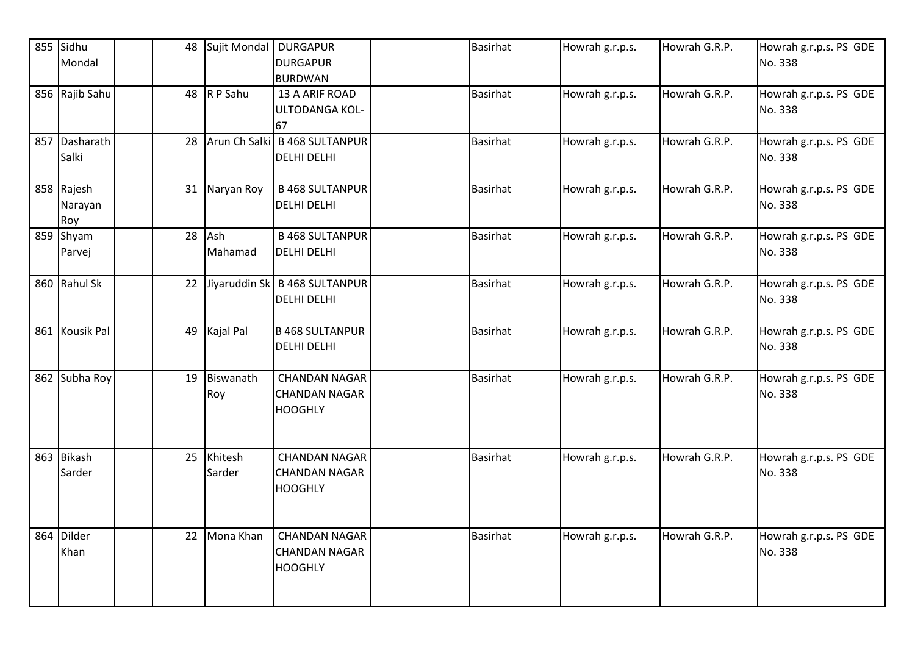| 855 Sidhu<br>Mondal          | 48 | Sujit Mondal        | <b>DURGAPUR</b><br><b>DURGAPUR</b><br><b>BURDWAN</b>           | <b>Basirhat</b> | Howrah g.r.p.s. | Howrah G.R.P. | Howrah g.r.p.s. PS GDE<br>No. 338 |
|------------------------------|----|---------------------|----------------------------------------------------------------|-----------------|-----------------|---------------|-----------------------------------|
| 856 Rajib Sahu               |    | 48 $R$ P Sahu       | 13 A ARIF ROAD<br>ULTODANGA KOL-<br>67                         | <b>Basirhat</b> | Howrah g.r.p.s. | Howrah G.R.P. | Howrah g.r.p.s. PS GDE<br>No. 338 |
| 857 Dasharath<br>Salki       | 28 |                     | Arun Ch Salki B 468 SULTANPUR<br><b>DELHI DELHI</b>            | <b>Basirhat</b> | Howrah g.r.p.s. | Howrah G.R.P. | Howrah g.r.p.s. PS GDE<br>No. 338 |
| 858 Rajesh<br>Narayan<br>Roy |    | 31 Naryan Roy       | <b>B 468 SULTANPUR</b><br>DELHI DELHI                          | Basirhat        | Howrah g.r.p.s. | Howrah G.R.P. | Howrah g.r.p.s. PS GDE<br>No. 338 |
| 859 Shyam<br>Parvej          |    | 28 Ash<br>Mahamad   | <b>B 468 SULTANPUR</b><br>DELHI DELHI                          | <b>Basirhat</b> | Howrah g.r.p.s. | Howrah G.R.P. | Howrah g.r.p.s. PS GDE<br>No. 338 |
| 860 Rahul Sk                 | 22 | Jiyaruddin Sk       | <b>B 468 SULTANPUR</b><br>DELHI DELHI                          | <b>Basirhat</b> | Howrah g.r.p.s. | Howrah G.R.P. | Howrah g.r.p.s. PS GDE<br>No. 338 |
| 861 Kousik Pal               | 49 | Kajal Pal           | <b>B 468 SULTANPUR</b><br><b>DELHI DELHI</b>                   | <b>Basirhat</b> | Howrah g.r.p.s. | Howrah G.R.P. | Howrah g.r.p.s. PS GDE<br>No. 338 |
| 862 Subha Roy                |    | 19 Biswanath<br>Roy | <b>CHANDAN NAGAR</b><br><b>CHANDAN NAGAR</b><br><b>HOOGHLY</b> | <b>Basirhat</b> | Howrah g.r.p.s. | Howrah G.R.P. | Howrah g.r.p.s. PS GDE<br>No. 338 |
| 863 Bikash<br>Sarder         | 25 | Khitesh<br>Sarder   | <b>CHANDAN NAGAR</b><br><b>CHANDAN NAGAR</b><br><b>HOOGHLY</b> | <b>Basirhat</b> | Howrah g.r.p.s. | Howrah G.R.P. | Howrah g.r.p.s. PS GDE<br>No. 338 |
| 864 Dilder<br>Khan           |    | 22 Mona Khan        | <b>CHANDAN NAGAR</b><br><b>CHANDAN NAGAR</b><br><b>HOOGHLY</b> | <b>Basirhat</b> | Howrah g.r.p.s. | Howrah G.R.P. | Howrah g.r.p.s. PS GDE<br>No. 338 |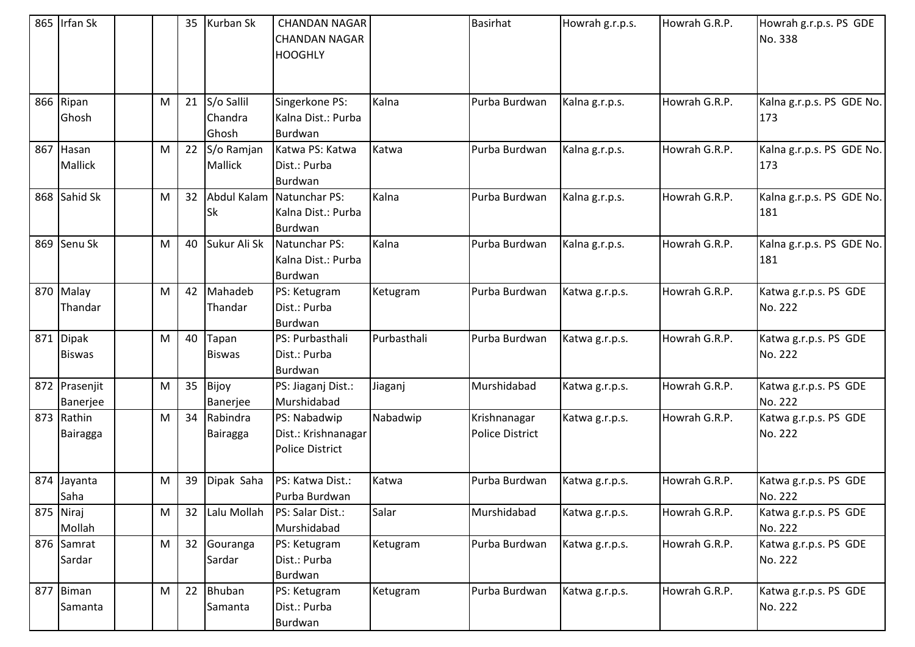|     | 865 Irfan Sk               |   | 35 | Kurban Sk                      | <b>CHANDAN NAGAR</b><br><b>CHANDAN NAGAR</b><br><b>HOOGHLY</b> |             | <b>Basirhat</b>                        | Howrah g.r.p.s. | Howrah G.R.P. | Howrah g.r.p.s. PS GDE<br>No. 338 |
|-----|----------------------------|---|----|--------------------------------|----------------------------------------------------------------|-------------|----------------------------------------|-----------------|---------------|-----------------------------------|
|     | 866 Ripan<br>Ghosh         | M | 21 | S/o Sallil<br>Chandra<br>Ghosh | Singerkone PS:<br>Kalna Dist.: Purba<br>Burdwan                | Kalna       | Purba Burdwan                          | Kalna g.r.p.s.  | Howrah G.R.P. | Kalna g.r.p.s. PS GDE No.<br>173  |
| 867 | Hasan<br>Mallick           | M | 22 | S/o Ramjan<br>Mallick          | Katwa PS: Katwa<br>Dist.: Purba<br>Burdwan                     | Katwa       | Purba Burdwan                          | Kalna g.r.p.s.  | Howrah G.R.P. | Kalna g.r.p.s. PS GDE No.<br>173  |
|     | 868 Sahid Sk               | M | 32 | Sk                             | Abdul Kalam Natunchar PS:<br>Kalna Dist.: Purba<br>Burdwan     | Kalna       | Purba Burdwan                          | Kalna g.r.p.s.  | Howrah G.R.P. | Kalna g.r.p.s. PS GDE No.<br>181  |
|     | 869 Senu Sk                | M | 40 | Sukur Ali Sk                   | Natunchar PS:<br>Kalna Dist.: Purba<br>Burdwan                 | Kalna       | Purba Burdwan                          | Kalna g.r.p.s.  | Howrah G.R.P. | Kalna g.r.p.s. PS GDE No.<br>181  |
|     | 870 Malay<br>Thandar       | M | 42 | Mahadeb<br>Thandar             | PS: Ketugram<br>Dist.: Purba<br>Burdwan                        | Ketugram    | Purba Burdwan                          | Katwa g.r.p.s.  | Howrah G.R.P. | Katwa g.r.p.s. PS GDE<br>No. 222  |
|     | 871 Dipak<br><b>Biswas</b> | M | 40 | Tapan<br><b>Biswas</b>         | PS: Purbasthali<br>Dist.: Purba<br>Burdwan                     | Purbasthali | Purba Burdwan                          | Katwa g.r.p.s.  | Howrah G.R.P. | Katwa g.r.p.s. PS GDE<br>No. 222  |
|     | 872 Prasenjit<br>Banerjee  | M | 35 | Bijoy<br>Banerjee              | PS: Jiaganj Dist.:<br>Murshidabad                              | Jiaganj     | Murshidabad                            | Katwa g.r.p.s.  | Howrah G.R.P. | Katwa g.r.p.s. PS GDE<br>No. 222  |
| 873 | Rathin<br>Bairagga         | M | 34 | Rabindra<br>Bairagga           | PS: Nabadwip<br>Dist.: Krishnanagar<br><b>Police District</b>  | Nabadwip    | Krishnanagar<br><b>Police District</b> | Katwa g.r.p.s.  | Howrah G.R.P. | Katwa g.r.p.s. PS GDE<br>No. 222  |
|     | 874 Jayanta<br>Saha        | M | 39 | Dipak Saha                     | PS: Katwa Dist.:<br>Purba Burdwan                              | Katwa       | Purba Burdwan                          | Katwa g.r.p.s.  | Howrah G.R.P. | Katwa g.r.p.s. PS GDE<br>No. 222  |
|     | 875 Niraj<br>Mollah        | М |    | 32 Lalu Mollah                 | PS: Salar Dist.:<br>Murshidabad                                | Salar       | Murshidabad                            | Katwa g.r.p.s.  | Howrah G.R.P. | Katwa g.r.p.s. PS GDE<br>No. 222  |
|     | 876 Samrat<br>Sardar       | M | 32 | Gouranga<br>Sardar             | PS: Ketugram<br>Dist.: Purba<br>Burdwan                        | Ketugram    | Purba Burdwan                          | Katwa g.r.p.s.  | Howrah G.R.P. | Katwa g.r.p.s. PS GDE<br>No. 222  |
|     | 877 Biman<br>Samanta       | M | 22 | Bhuban<br>Samanta              | PS: Ketugram<br>Dist.: Purba<br>Burdwan                        | Ketugram    | Purba Burdwan                          | Katwa g.r.p.s.  | Howrah G.R.P. | Katwa g.r.p.s. PS GDE<br>No. 222  |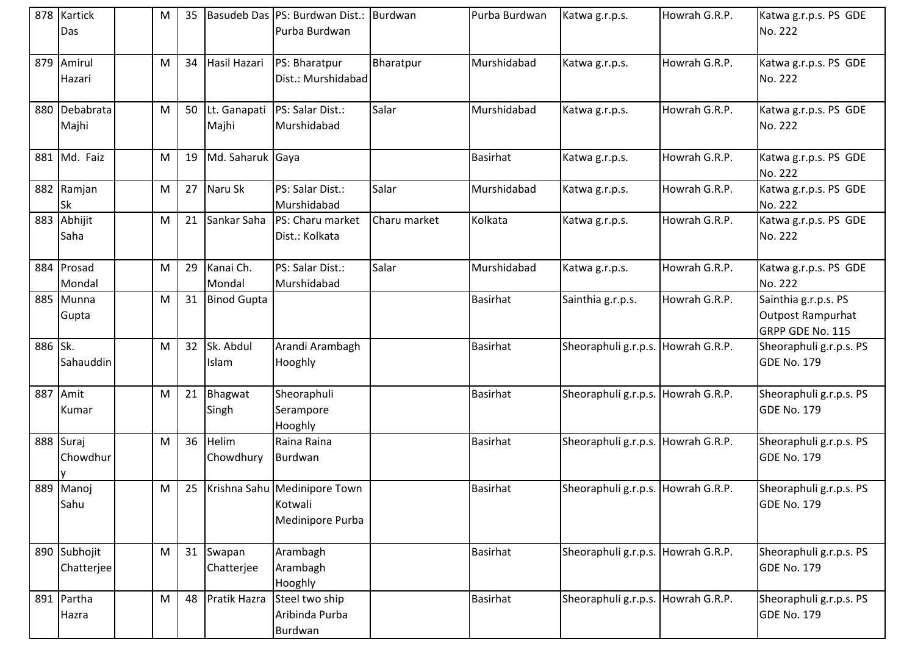|         | 878 Kartick<br>Das         | М | 35 |                       | Basudeb Das PS: Burdwan Dist.: Burdwan<br>Purba Burdwan     |              | Purba Burdwan   | Katwa g.r.p.s.                     | Howrah G.R.P. | Katwa g.r.p.s. PS GDE<br>No. 222                              |
|---------|----------------------------|---|----|-----------------------|-------------------------------------------------------------|--------------|-----------------|------------------------------------|---------------|---------------------------------------------------------------|
|         | 879 Amirul<br>Hazari       | M | 34 | Hasil Hazari          | PS: Bharatpur<br>Dist.: Murshidabad                         | Bharatpur    | Murshidabad     | Katwa g.r.p.s.                     | Howrah G.R.P. | Katwa g.r.p.s. PS GDE<br>No. 222                              |
|         | 880 Debabrata<br>Majhi     | M | 50 | Lt. Ganapati<br>Majhi | PS: Salar Dist.:<br>Murshidabad                             | Salar        | Murshidabad     | Katwa g.r.p.s.                     | Howrah G.R.P. | Katwa g.r.p.s. PS GDE<br>No. 222                              |
|         | 881 Md. Faiz               | M | 19 | Md. Saharuk Gaya      |                                                             |              | <b>Basirhat</b> | Katwa g.r.p.s.                     | Howrah G.R.P. | Katwa g.r.p.s. PS GDE<br>No. 222                              |
|         | 882 Ramjan<br><b>Sk</b>    | M | 27 | Naru Sk               | PS: Salar Dist.:<br>Murshidabad                             | Salar        | Murshidabad     | Katwa g.r.p.s.                     | Howrah G.R.P. | Katwa g.r.p.s. PS GDE<br>No. 222                              |
|         | 883 Abhijit<br>Saha        | M | 21 | Sankar Saha           | PS: Charu market<br>Dist.: Kolkata                          | Charu market | Kolkata         | Katwa g.r.p.s.                     | Howrah G.R.P. | Katwa g.r.p.s. PS GDE<br>No. 222                              |
|         | 884 Prosad<br>Mondal       | M | 29 | Kanai Ch.<br>Mondal   | PS: Salar Dist.:<br>Murshidabad                             | Salar        | Murshidabad     | Katwa g.r.p.s.                     | Howrah G.R.P. | Katwa g.r.p.s. PS GDE<br>No. 222                              |
|         | 885 Munna<br>Gupta         | M | 31 | <b>Binod Gupta</b>    |                                                             |              | <b>Basirhat</b> | Sainthia g.r.p.s.                  | Howrah G.R.P. | Sainthia g.r.p.s. PS<br>Outpost Rampurhat<br>GRPP GDE No. 115 |
| 886 Sk. | Sahauddin                  | M | 32 | Sk. Abdul<br>Islam    | Arandi Arambagh<br>Hooghly                                  |              | <b>Basirhat</b> | Sheoraphuli g.r.p.s. Howrah G.R.P. |               | Sheoraphuli g.r.p.s. PS<br><b>GDE No. 179</b>                 |
|         | 887 Amit<br>Kumar          | M | 21 | Bhagwat<br>Singh      | Sheoraphuli<br>Serampore<br>Hooghly                         |              | <b>Basirhat</b> | Sheoraphuli g.r.p.s. Howrah G.R.P. |               | Sheoraphuli g.r.p.s. PS<br><b>GDE No. 179</b>                 |
|         | 888 Suraj<br>Chowdhur      | M | 36 | Helim<br>Chowdhury    | Raina Raina<br>Burdwan                                      |              | Basirhat        | Sheoraphuli g.r.p.s. Howrah G.R.P. |               | Sheoraphuli g.r.p.s. PS<br><b>GDE No. 179</b>                 |
|         | 889 Manoj<br>Sahu          | M | 25 |                       | Krishna Sahu Medinipore Town<br>Kotwali<br>Medinipore Purba |              | <b>Basirhat</b> | Sheoraphuli g.r.p.s. Howrah G.R.P. |               | Sheoraphuli g.r.p.s. PS<br><b>GDE No. 179</b>                 |
|         | 890 Subhojit<br>Chatterjee | M | 31 | Swapan<br>Chatterjee  | Arambagh<br>Arambagh<br>Hooghly                             |              | <b>Basirhat</b> | Sheoraphuli g.r.p.s. Howrah G.R.P. |               | Sheoraphuli g.r.p.s. PS<br><b>GDE No. 179</b>                 |
|         | 891 Partha<br>Hazra        | M | 48 | Pratik Hazra          | Steel two ship<br>Aribinda Purba<br>Burdwan                 |              | <b>Basirhat</b> | Sheoraphuli g.r.p.s. Howrah G.R.P. |               | Sheoraphuli g.r.p.s. PS<br><b>GDE No. 179</b>                 |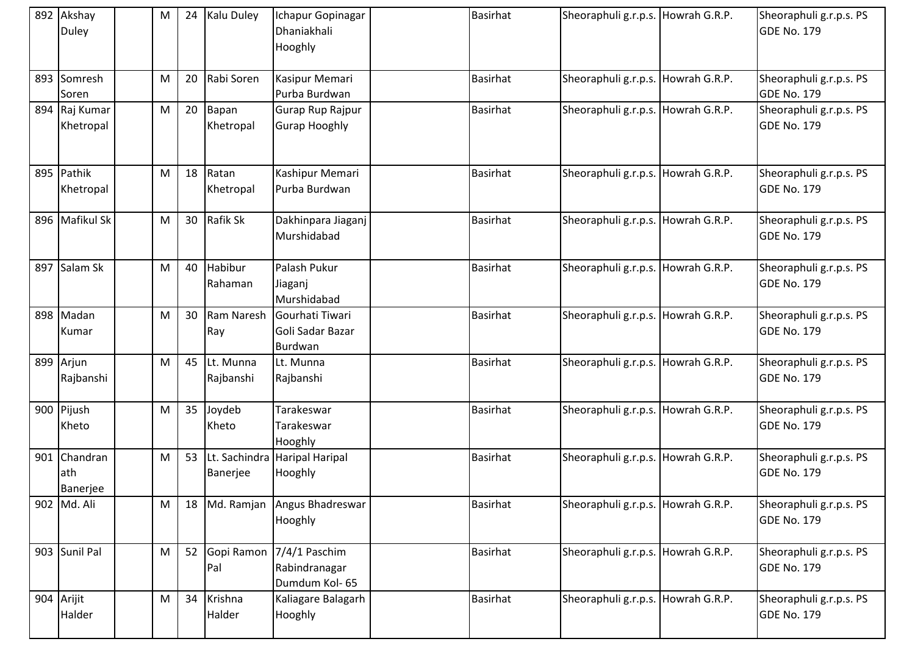| 892 Akshay<br>Duley             | M | 24 | <b>Kalu Duley</b>      | Ichapur Gopinagar<br>Dhaniakhali<br>Hooghly     | <b>Basirhat</b> | Sheoraphuli g.r.p.s. Howrah G.R.P. | Sheoraphuli g.r.p.s. PS<br><b>GDE No. 179</b> |
|---------------------------------|---|----|------------------------|-------------------------------------------------|-----------------|------------------------------------|-----------------------------------------------|
| 893 Somresh<br>Soren            | M | 20 | Rabi Soren             | Kasipur Memari<br>Purba Burdwan                 | <b>Basirhat</b> | Sheoraphuli g.r.p.s. Howrah G.R.P. | Sheoraphuli g.r.p.s. PS<br><b>GDE No. 179</b> |
| 894 Raj Kumar<br>Khetropal      | M | 20 | Bapan<br>Khetropal     | Gurap Rup Rajpur<br><b>Gurap Hooghly</b>        | <b>Basirhat</b> | Sheoraphuli g.r.p.s. Howrah G.R.P. | Sheoraphuli g.r.p.s. PS<br><b>GDE No. 179</b> |
| 895 Pathik<br>Khetropal         | M | 18 | Ratan<br>Khetropal     | Kashipur Memari<br>Purba Burdwan                | <b>Basirhat</b> | Sheoraphuli g.r.p.s. Howrah G.R.P. | Sheoraphuli g.r.p.s. PS<br><b>GDE No. 179</b> |
| 896 Mafikul Sk                  | M | 30 | Rafik Sk               | Dakhinpara Jiaganj<br>Murshidabad               | <b>Basirhat</b> | Sheoraphuli g.r.p.s. Howrah G.R.P. | Sheoraphuli g.r.p.s. PS<br><b>GDE No. 179</b> |
| 897 Salam Sk                    | M | 40 | Habibur<br>Rahaman     | Palash Pukur<br>Jiaganj<br>Murshidabad          | <b>Basirhat</b> | Sheoraphuli g.r.p.s. Howrah G.R.P. | Sheoraphuli g.r.p.s. PS<br><b>GDE No. 179</b> |
| 898 Madan<br>Kumar              | M | 30 | Ram Naresh<br>Ray      | Gourhati Tiwari<br>Goli Sadar Bazar<br>Burdwan  | <b>Basirhat</b> | Sheoraphuli g.r.p.s. Howrah G.R.P. | Sheoraphuli g.r.p.s. PS<br><b>GDE No. 179</b> |
| 899 Arjun<br>Rajbanshi          | M | 45 | Lt. Munna<br>Rajbanshi | Lt. Munna<br>Rajbanshi                          | <b>Basirhat</b> | Sheoraphuli g.r.p.s. Howrah G.R.P. | Sheoraphuli g.r.p.s. PS<br><b>GDE No. 179</b> |
| 900 Pijush<br>Kheto             | M | 35 | Joydeb<br>Kheto        | Tarakeswar<br>Tarakeswar<br>Hooghly             | Basirhat        | Sheoraphuli g.r.p.s. Howrah G.R.P. | Sheoraphuli g.r.p.s. PS<br><b>GDE No. 179</b> |
| 901 Chandran<br>ath<br>Banerjee | M | 53 | Banerjee               | Lt. Sachindra Haripal Haripal<br>Hooghly        | <b>Basirhat</b> | Sheoraphuli g.r.p.s. Howrah G.R.P. | Sheoraphuli g.r.p.s. PS<br><b>GDE No. 179</b> |
| 902 Md. Ali                     | M |    |                        | 18 Md. Ramjan Angus Bhadreswar<br>Hooghly       | <b>Basirhat</b> | Sheoraphuli g.r.p.s. Howrah G.R.P. | Sheoraphuli g.r.p.s. PS<br><b>GDE No. 179</b> |
| 903 Sunil Pal                   | M |    | 52 Gopi Ramon<br>Pal   | 7/4/1 Paschim<br>Rabindranagar<br>Dumdum Kol-65 | <b>Basirhat</b> | Sheoraphuli g.r.p.s. Howrah G.R.P. | Sheoraphuli g.r.p.s. PS<br><b>GDE No. 179</b> |
| 904 Arijit<br>Halder            | M | 34 | Krishna<br>Halder      | Kaliagare Balagarh<br>Hooghly                   | <b>Basirhat</b> | Sheoraphuli g.r.p.s. Howrah G.R.P. | Sheoraphuli g.r.p.s. PS<br><b>GDE No. 179</b> |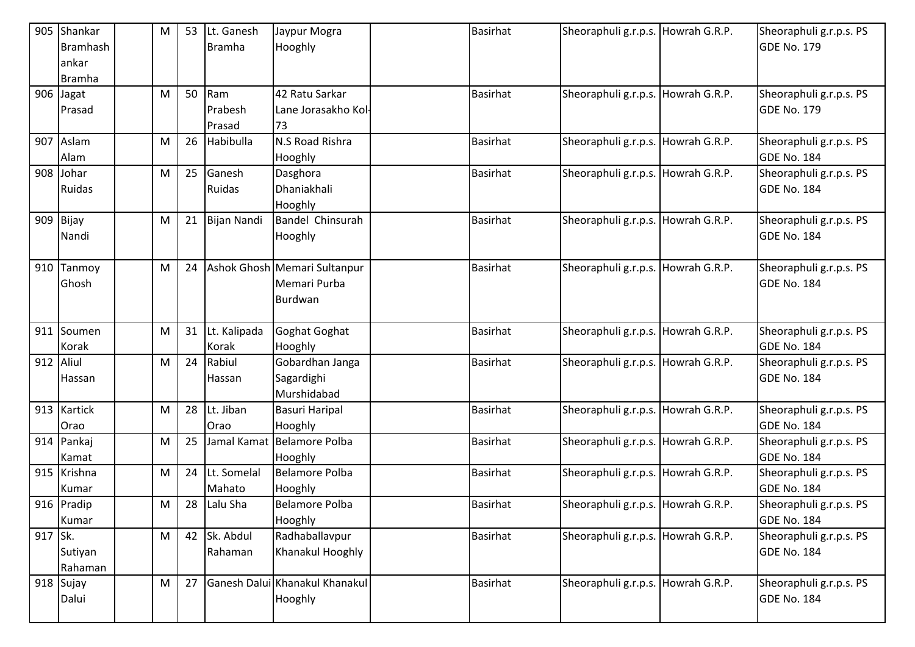| 905       | Shankar         | M | 53 | Lt. Ganesh    | Jaypur Mogra                   | <b>Basirhat</b> | Sheoraphuli g.r.p.s. Howrah G.R.P. | Sheoraphuli g.r.p.s. PS |
|-----------|-----------------|---|----|---------------|--------------------------------|-----------------|------------------------------------|-------------------------|
|           | <b>Bramhash</b> |   |    | <b>Bramha</b> | Hooghly                        |                 |                                    | GDE No. 179             |
|           | ankar           |   |    |               |                                |                 |                                    |                         |
|           | <b>Bramha</b>   |   |    |               |                                |                 |                                    |                         |
|           | 906 Jagat       | M | 50 | Ram           | 42 Ratu Sarkar                 | <b>Basirhat</b> | Sheoraphuli g.r.p.s. Howrah G.R.P. | Sheoraphuli g.r.p.s. PS |
|           | Prasad          |   |    | Prabesh       | Lane Jorasakho Kol-            |                 |                                    | GDE No. 179             |
|           |                 |   |    | Prasad        | 73                             |                 |                                    |                         |
|           | 907 Aslam       | M | 26 | Habibulla     | N.S Road Rishra                | <b>Basirhat</b> | Sheoraphuli g.r.p.s. Howrah G.R.P. | Sheoraphuli g.r.p.s. PS |
|           | Alam            |   |    |               | Hooghly                        |                 |                                    | GDE No. 184             |
| 908       | Johar           | M | 25 | Ganesh        | Dasghora                       | <b>Basirhat</b> | Sheoraphuli g.r.p.s. Howrah G.R.P. | Sheoraphuli g.r.p.s. PS |
|           | Ruidas          |   |    | Ruidas        | Dhaniakhali                    |                 |                                    | GDE No. 184             |
|           |                 |   |    |               | Hooghly                        |                 |                                    |                         |
|           | 909 Bijay       | M | 21 | Bijan Nandi   | Bandel Chinsurah               | <b>Basirhat</b> | Sheoraphuli g.r.p.s. Howrah G.R.P. | Sheoraphuli g.r.p.s. PS |
|           | Nandi           |   |    |               | Hooghly                        |                 |                                    | GDE No. 184             |
|           |                 |   |    |               |                                |                 |                                    |                         |
|           | 910 Tanmoy      | M | 24 |               | Ashok Ghosh Memari Sultanpur   | <b>Basirhat</b> | Sheoraphuli g.r.p.s. Howrah G.R.P. | Sheoraphuli g.r.p.s. PS |
|           | Ghosh           |   |    |               | Memari Purba                   |                 |                                    | GDE No. 184             |
|           |                 |   |    |               | Burdwan                        |                 |                                    |                         |
|           |                 |   |    |               |                                |                 |                                    |                         |
|           | 911 Soumen      | M | 31 | Lt. Kalipada  | Goghat Goghat                  | <b>Basirhat</b> | Sheoraphuli g.r.p.s. Howrah G.R.P. | Sheoraphuli g.r.p.s. PS |
|           |                 |   |    |               |                                |                 |                                    |                         |
|           | Korak           |   |    | Korak         | Hooghly                        |                 |                                    | GDE No. 184             |
| 912 Aliul |                 | м | 24 | Rabiul        | Gobardhan Janga                | <b>Basirhat</b> | Sheoraphuli g.r.p.s. Howrah G.R.P. | Sheoraphuli g.r.p.s. PS |
|           | Hassan          |   |    | Hassan        | Sagardighi                     |                 |                                    | GDE No. 184             |
|           |                 |   |    |               | Murshidabad                    |                 |                                    |                         |
|           | 913 Kartick     | M | 28 | Lt. Jiban     | <b>Basuri Haripal</b>          | <b>Basirhat</b> | Sheoraphuli g.r.p.s. Howrah G.R.P. | Sheoraphuli g.r.p.s. PS |
|           | Orao            |   |    | Orao          | Hooghly                        |                 |                                    | GDE No. 184             |
|           | 914 Pankaj      | M | 25 |               | Jamal Kamat Belamore Polba     | <b>Basirhat</b> | Sheoraphuli g.r.p.s. Howrah G.R.P. | Sheoraphuli g.r.p.s. PS |
|           | Kamat           |   |    |               | Hooghly                        |                 |                                    | GDE No. 184             |
|           | 915 Krishna     | M | 24 | Lt. Somelal   | <b>Belamore Polba</b>          | <b>Basirhat</b> | Sheoraphuli g.r.p.s. Howrah G.R.P. | Sheoraphuli g.r.p.s. PS |
|           | Kumar           |   |    | Mahato        | Hooghly                        |                 |                                    | GDE No. 184             |
|           | 916 Pradip      | м |    | 28 Lalu Sha   | <b>Belamore Polba</b>          | <b>Basirhat</b> | Sheoraphuli g.r.p.s. Howrah G.R.P. | Sheoraphuli g.r.p.s. PS |
|           | Kumar           |   |    |               | Hooghly                        |                 |                                    | GDE No. 184             |
| 917 Sk.   |                 | М | 42 | Sk. Abdul     | Radhaballavpur                 | <b>Basirhat</b> | Sheoraphuli g.r.p.s. Howrah G.R.P. | Sheoraphuli g.r.p.s. PS |
|           | Sutiyan         |   |    | Rahaman       | Khanakul Hooghly               |                 |                                    | <b>GDE No. 184</b>      |
|           | Rahaman         |   |    |               |                                |                 |                                    |                         |
|           | 918 Sujay       | M | 27 |               | Ganesh Dalui Khanakul Khanakul | <b>Basirhat</b> | Sheoraphuli g.r.p.s. Howrah G.R.P. | Sheoraphuli g.r.p.s. PS |
|           | Dalui           |   |    |               | Hooghly                        |                 |                                    | GDE No. 184             |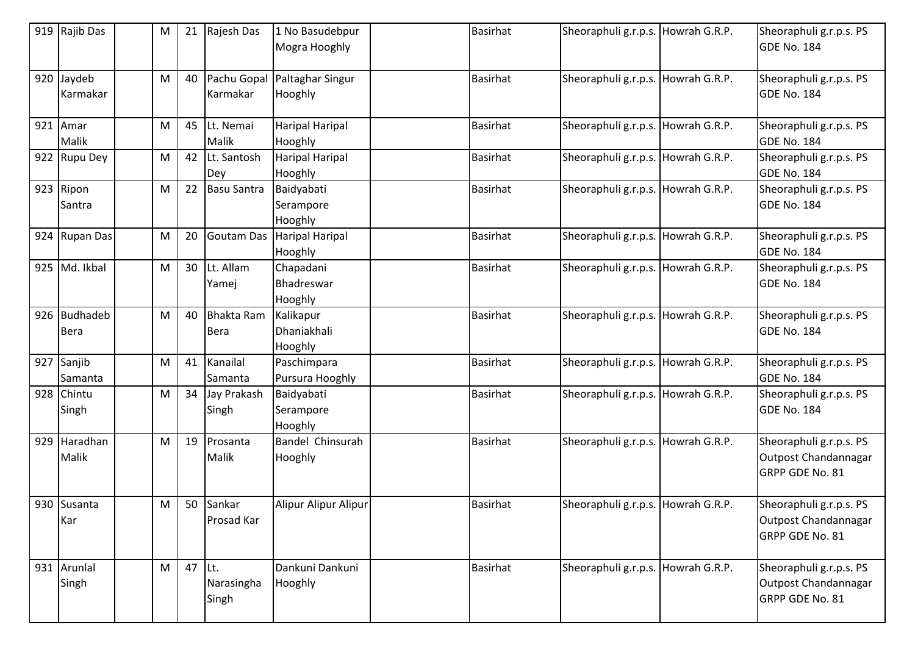|     | 919 Rajib Das               | M | 21 | Rajesh Das                       | 1 No Basudebpur<br>Mogra Hooghly    | <b>Basirhat</b> | Sheoraphuli g.r.p.s. Howrah G.R.P. | Sheoraphuli g.r.p.s. PS<br>GDE No. 184                             |
|-----|-----------------------------|---|----|----------------------------------|-------------------------------------|-----------------|------------------------------------|--------------------------------------------------------------------|
|     | 920 Jaydeb<br>Karmakar      | M | 40 | Pachu Gopal<br>Karmakar          | Paltaghar Singur<br>Hooghly         | Basirhat        | Sheoraphuli g.r.p.s. Howrah G.R.P. | Sheoraphuli g.r.p.s. PS<br>GDE No. 184                             |
|     | $921$ Amar<br>Malik         | M | 45 | Lt. Nemai<br>Malik               | Haripal Haripal<br>Hooghly          | <b>Basirhat</b> | Sheoraphuli g.r.p.s. Howrah G.R.P. | Sheoraphuli g.r.p.s. PS<br>GDE No. 184                             |
|     | 922 Rupu Dey                | M | 42 | Lt. Santosh<br>Dey               | <b>Haripal Haripal</b><br>Hooghly   | <b>Basirhat</b> | Sheoraphuli g.r.p.s. Howrah G.R.P. | Sheoraphuli g.r.p.s. PS<br>GDE No. 184                             |
|     | 923 Ripon<br>Santra         | M | 22 | <b>Basu Santra</b>               | Baidyabati<br>Serampore<br>Hooghly  | <b>Basirhat</b> | Sheoraphuli g.r.p.s. Howrah G.R.P. | Sheoraphuli g.r.p.s. PS<br>GDE No. 184                             |
|     | 924 Rupan Das               | м | 20 | Goutam Das                       | Haripal Haripal<br>Hooghly          | <b>Basirhat</b> | Sheoraphuli g.r.p.s. Howrah G.R.P. | Sheoraphuli g.r.p.s. PS<br>GDE No. 184                             |
|     | 925 Md. Ikbal               | M | 30 | Lt. Allam<br>Yamej               | Chapadani<br>Bhadreswar<br>Hooghly  | Basirhat        | Sheoraphuli g.r.p.s. Howrah G.R.P. | Sheoraphuli g.r.p.s. PS<br>GDE No. 184                             |
|     | 926 Budhadeb<br><b>Bera</b> | M | 40 | <b>Bhakta Ram</b><br><b>Bera</b> | Kalikapur<br>Dhaniakhali<br>Hooghly | <b>Basirhat</b> | Sheoraphuli g.r.p.s. Howrah G.R.P. | Sheoraphuli g.r.p.s. PS<br>GDE No. 184                             |
|     | 927 Sanjib<br>Samanta       | M | 41 | Kanailal<br>Samanta              | Paschimpara<br>Pursura Hooghly      | <b>Basirhat</b> | Sheoraphuli g.r.p.s. Howrah G.R.P. | Sheoraphuli g.r.p.s. PS<br>GDE No. 184                             |
|     | 928 Chintu<br>Singh         | M | 34 | Jay Prakash<br>Singh             | Baidyabati<br>Serampore<br>Hooghly  | <b>Basirhat</b> | Sheoraphuli g.r.p.s. Howrah G.R.P. | Sheoraphuli g.r.p.s. PS<br>GDE No. 184                             |
| 929 | Haradhan<br>Malik           | M | 19 | Prosanta<br>Malik                | Bandel Chinsurah<br>Hooghly         | <b>Basirhat</b> | Sheoraphuli g.r.p.s. Howrah G.R.P. | Sheoraphuli g.r.p.s. PS<br>Outpost Chandannagar<br>GRPP GDE No. 81 |
|     | 930 Susanta<br>Kar          | M | 50 | Sankar<br>Prosad Kar             | Alipur Alipur Alipur                | <b>Basirhat</b> | Sheoraphuli g.r.p.s. Howrah G.R.P. | Sheoraphuli g.r.p.s. PS<br>Outpost Chandannagar<br>GRPP GDE No. 81 |
|     | 931 Arunlal<br>Singh        | M | 47 | Lt.<br>Narasingha<br>Singh       | Dankuni Dankuni<br>Hooghly          | <b>Basirhat</b> | Sheoraphuli g.r.p.s. Howrah G.R.P. | Sheoraphuli g.r.p.s. PS<br>Outpost Chandannagar<br>GRPP GDE No. 81 |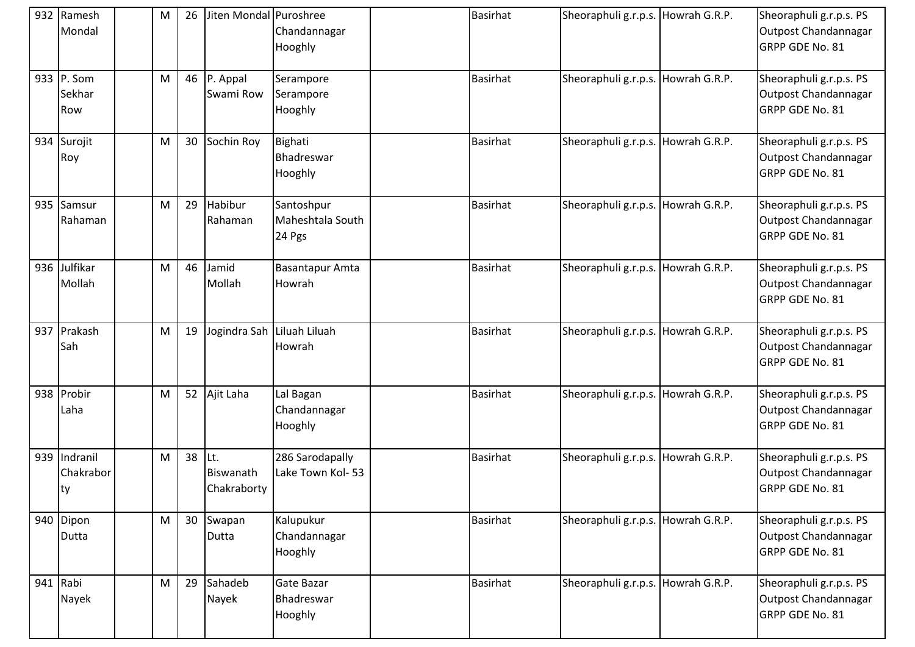| 932 Ramesh<br>Mondal             | M | 26 | Jiten Mondal Puroshree          | Chandannagar<br>Hooghly                  | <b>Basirhat</b> | Sheoraphuli g.r.p.s. Howrah G.R.P. |               | Sheoraphuli g.r.p.s. PS<br>Outpost Chandannagar<br>GRPP GDE No. 81 |
|----------------------------------|---|----|---------------------------------|------------------------------------------|-----------------|------------------------------------|---------------|--------------------------------------------------------------------|
| 933 P. Som<br>Sekhar<br>Row      | M | 46 | P. Appal<br>Swami Row           | Serampore<br>Serampore<br>Hooghly        | <b>Basirhat</b> | Sheoraphuli g.r.p.s. Howrah G.R.P. |               | Sheoraphuli g.r.p.s. PS<br>Outpost Chandannagar<br>GRPP GDE No. 81 |
| 934 Surojit<br>Roy               | M | 30 | Sochin Roy                      | Bighati<br>Bhadreswar<br>Hooghly         | <b>Basirhat</b> | Sheoraphuli g.r.p.s.               | Howrah G.R.P. | Sheoraphuli g.r.p.s. PS<br>Outpost Chandannagar<br>GRPP GDE No. 81 |
| 935 Samsur<br>Rahaman            | M | 29 | Habibur<br>Rahaman              | Santoshpur<br>Maheshtala South<br>24 Pgs | <b>Basirhat</b> | Sheoraphuli g.r.p.s. Howrah G.R.P. |               | Sheoraphuli g.r.p.s. PS<br>Outpost Chandannagar<br>GRPP GDE No. 81 |
| 936 Julfikar<br>Mollah           | M | 46 | Jamid<br>Mollah                 | Basantapur Amta<br>Howrah                | <b>Basirhat</b> | Sheoraphuli g.r.p.s. Howrah G.R.P. |               | Sheoraphuli g.r.p.s. PS<br>Outpost Chandannagar<br>GRPP GDE No. 81 |
| 937 Prakash<br>Sah               | M | 19 | Jogindra Sah                    | Liluah Liluah<br>Howrah                  | <b>Basirhat</b> | Sheoraphuli g.r.p.s. Howrah G.R.P. |               | Sheoraphuli g.r.p.s. PS<br>Outpost Chandannagar<br>GRPP GDE No. 81 |
| 938 Probir<br>Laha               | M | 52 | Ajit Laha                       | Lal Bagan<br>Chandannagar<br>Hooghly     | <b>Basirhat</b> | Sheoraphuli g.r.p.s. Howrah G.R.P. |               | Sheoraphuli g.r.p.s. PS<br>Outpost Chandannagar<br>GRPP GDE No. 81 |
| 939 Indranil<br>Chakrabor<br> ty | M | 38 | Lt.<br>Biswanath<br>Chakraborty | 286 Sarodapally<br>Lake Town Kol-53      | <b>Basirhat</b> | Sheoraphuli g.r.p.s. Howrah G.R.P. |               | Sheoraphuli g.r.p.s. PS<br>Outpost Chandannagar<br>GRPP GDE No. 81 |
| 940 Dipon<br>Dutta               | M | 30 | Swapan<br>Dutta                 | Kalupukur<br>Chandannagar<br>Hooghly     | <b>Basirhat</b> | Sheoraphuli g.r.p.s. Howrah G.R.P. |               | Sheoraphuli g.r.p.s. PS<br>Outpost Chandannagar<br>GRPP GDE No. 81 |
| 941 Rabi<br>Nayek                | M | 29 | Sahadeb<br>Nayek                | Gate Bazar<br>Bhadreswar<br>Hooghly      | <b>Basirhat</b> | Sheoraphuli g.r.p.s. Howrah G.R.P. |               | Sheoraphuli g.r.p.s. PS<br>Outpost Chandannagar<br>GRPP GDE No. 81 |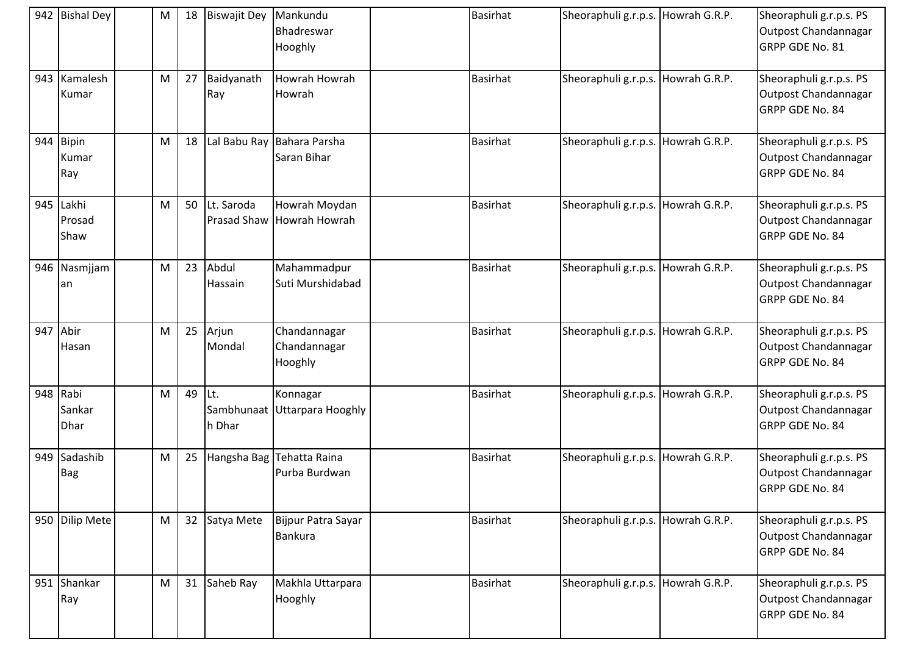|     | 942 Bishal Dey               | ${\sf M}$ | 18 | <b>Biswajit Dey</b>              | Mankundu<br>Bhadreswar<br>Hooghly          | <b>Basirhat</b> | Sheoraphuli g.r.p.s. Howrah G.R.P. | Sheoraphuli g.r.p.s. PS<br>Outpost Chandannagar<br>GRPP GDE No. 81 |
|-----|------------------------------|-----------|----|----------------------------------|--------------------------------------------|-----------------|------------------------------------|--------------------------------------------------------------------|
|     | 943 Kamalesh<br>Kumar        | M         | 27 | Baidyanath<br>Ray                | Howrah Howrah<br>Howrah                    | <b>Basirhat</b> | Sheoraphuli g.r.p.s. Howrah G.R.P. | Sheoraphuli g.r.p.s. PS<br>Outpost Chandannagar<br>GRPP GDE No. 84 |
| 944 | <b>Bipin</b><br>Kumar<br>Ray | M         | 18 | Lal Babu Ray                     | Bahara Parsha<br>Saran Bihar               | <b>Basirhat</b> | Sheoraphuli g.r.p.s. Howrah G.R.P. | Sheoraphuli g.r.p.s. PS<br>Outpost Chandannagar<br>GRPP GDE No. 84 |
|     | 945 Lakhi<br>Prosad<br>Shaw  | M         | 50 | Lt. Saroda<br><b>Prasad Shaw</b> | Howrah Moydan<br>Howrah Howrah             | <b>Basirhat</b> | Sheoraphuli g.r.p.s. Howrah G.R.P. | Sheoraphuli g.r.p.s. PS<br>Outpost Chandannagar<br>GRPP GDE No. 84 |
|     | 946 Nasmjjam<br>an           | M         | 23 | Abdul<br>Hassain                 | Mahammadpur<br>Suti Murshidabad            | <b>Basirhat</b> | Sheoraphuli g.r.p.s. Howrah G.R.P. | Sheoraphuli g.r.p.s. PS<br>Outpost Chandannagar<br>GRPP GDE No. 84 |
| 947 | Abir<br>Hasan                | M         | 25 | Arjun<br>Mondal                  | Chandannagar<br>Chandannagar<br>Hooghly    | <b>Basirhat</b> | Sheoraphuli g.r.p.s. Howrah G.R.P. | Sheoraphuli g.r.p.s. PS<br>Outpost Chandannagar<br>GRPP GDE No. 84 |
|     | 948 Rabi<br>Sankar<br>Dhar   | M         | 49 | ILt.<br>Sambhunaat<br>h Dhar     | Konnagar<br>Uttarpara Hooghly              | <b>Basirhat</b> | Sheoraphuli g.r.p.s. Howrah G.R.P. | Sheoraphuli g.r.p.s. PS<br>Outpost Chandannagar<br>GRPP GDE No. 84 |
|     | 949 Sadashib<br><b>Bag</b>   | M         | 25 |                                  | Hangsha Bag Tehatta Raina<br>Purba Burdwan | <b>Basirhat</b> | Sheoraphuli g.r.p.s. Howrah G.R.P. | Sheoraphuli g.r.p.s. PS<br>Outpost Chandannagar<br>GRPP GDE No. 84 |
|     | 950 Dilip Mete               | M         |    | 32 Satya Mete                    | Bijpur Patra Sayar<br>Bankura              | Basirhat        | Sheoraphuli g.r.p.s. Howrah G.R.P. | Sheoraphuli g.r.p.s. PS<br>Outpost Chandannagar<br>GRPP GDE No. 84 |
|     | 951 Shankar<br>Ray           | M         | 31 | Saheb Ray                        | Makhla Uttarpara<br>Hooghly                | <b>Basirhat</b> | Sheoraphuli g.r.p.s. Howrah G.R.P. | Sheoraphuli g.r.p.s. PS<br>Outpost Chandannagar<br>GRPP GDE No. 84 |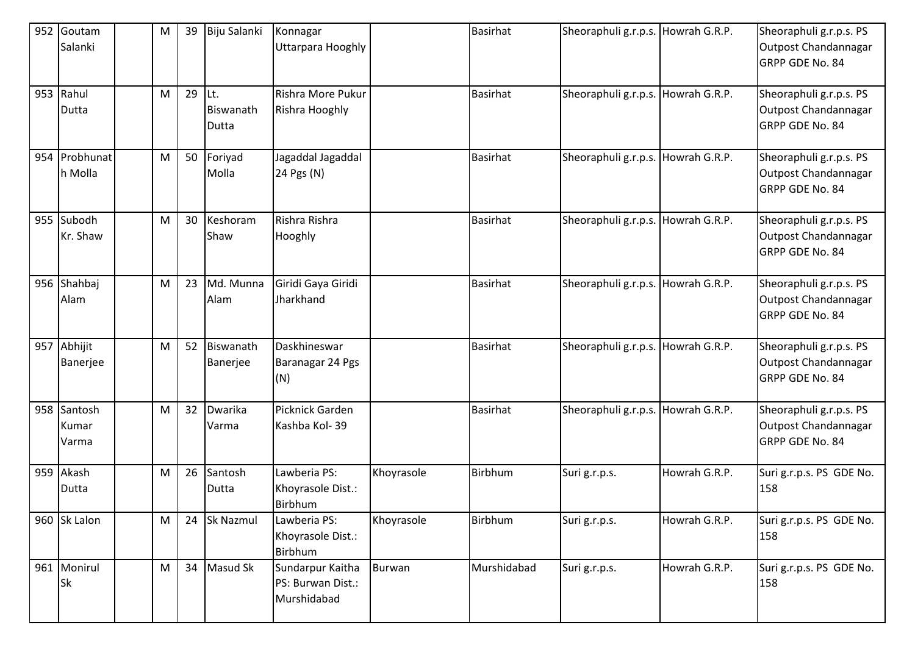| 952 | Goutam<br>Salanki         | м | 39 | Biju Salanki              | Konnagar<br>Uttarpara Hooghly                        |               | <b>Basirhat</b> | Sheoraphuli g.r.p.s. Howrah G.R.P. |               | Sheoraphuli g.r.p.s. PS<br>Outpost Chandannagar<br>GRPP GDE No. 84 |
|-----|---------------------------|---|----|---------------------------|------------------------------------------------------|---------------|-----------------|------------------------------------|---------------|--------------------------------------------------------------------|
|     | 953 Rahul<br>Dutta        | M | 29 | Lt.<br>Biswanath<br>Dutta | Rishra More Pukur<br>Rishra Hooghly                  |               | <b>Basirhat</b> | Sheoraphuli g.r.p.s. Howrah G.R.P. |               | Sheoraphuli g.r.p.s. PS<br>Outpost Chandannagar<br>GRPP GDE No. 84 |
|     | 954 Probhunat<br>h Molla  | м | 50 | Foriyad<br>Molla          | Jagaddal Jagaddal<br>24 Pgs (N)                      |               | <b>Basirhat</b> | Sheoraphuli g.r.p.s. Howrah G.R.P. |               | Sheoraphuli g.r.p.s. PS<br>Outpost Chandannagar<br>GRPP GDE No. 84 |
|     | 955 Subodh<br>Kr. Shaw    | M | 30 | Keshoram<br>Shaw          | Rishra Rishra<br>Hooghly                             |               | <b>Basirhat</b> | Sheoraphuli g.r.p.s. Howrah G.R.P. |               | Sheoraphuli g.r.p.s. PS<br>Outpost Chandannagar<br>GRPP GDE No. 84 |
|     | 956 Shahbaj<br>Alam       | M | 23 | Md. Munna<br>Alam         | Giridi Gaya Giridi<br>Jharkhand                      |               | <b>Basirhat</b> | Sheoraphuli g.r.p.s.               | Howrah G.R.P. | Sheoraphuli g.r.p.s. PS<br>Outpost Chandannagar<br>GRPP GDE No. 84 |
|     | 957 Abhijit<br>Banerjee   | м | 52 | Biswanath<br>Banerjee     | Daskhineswar<br>Baranagar 24 Pgs<br>(N)              |               | <b>Basirhat</b> | Sheoraphuli g.r.p.s. Howrah G.R.P. |               | Sheoraphuli g.r.p.s. PS<br>Outpost Chandannagar<br>GRPP GDE No. 84 |
| 958 | Santosh<br>Kumar<br>Varma | M | 32 | Dwarika<br>Varma          | Picknick Garden<br>Kashba Kol-39                     |               | <b>Basirhat</b> | Sheoraphuli g.r.p.s. Howrah G.R.P. |               | Sheoraphuli g.r.p.s. PS<br>Outpost Chandannagar<br>GRPP GDE No. 84 |
| 959 | Akash<br>Dutta            | M | 26 | Santosh<br>Dutta          | Lawberia PS:<br>Khoyrasole Dist.:<br>Birbhum         | Khoyrasole    | Birbhum         | Suri g.r.p.s.                      | Howrah G.R.P. | Suri g.r.p.s. PS GDE No.<br>158                                    |
|     | 960 Sk Lalon              | M | 24 | Sk Nazmul                 | Lawberia PS:<br>Khoyrasole Dist.:<br>Birbhum         | Khoyrasole    | Birbhum         | Suri g.r.p.s.                      | Howrah G.R.P. | Suri g.r.p.s. PS GDE No.<br>158                                    |
|     | 961 Monirul<br><b>Sk</b>  | M | 34 | Masud Sk                  | Sundarpur Kaitha<br>PS: Burwan Dist.:<br>Murshidabad | <b>Burwan</b> | Murshidabad     | Suri g.r.p.s.                      | Howrah G.R.P. | Suri g.r.p.s. PS GDE No.<br>158                                    |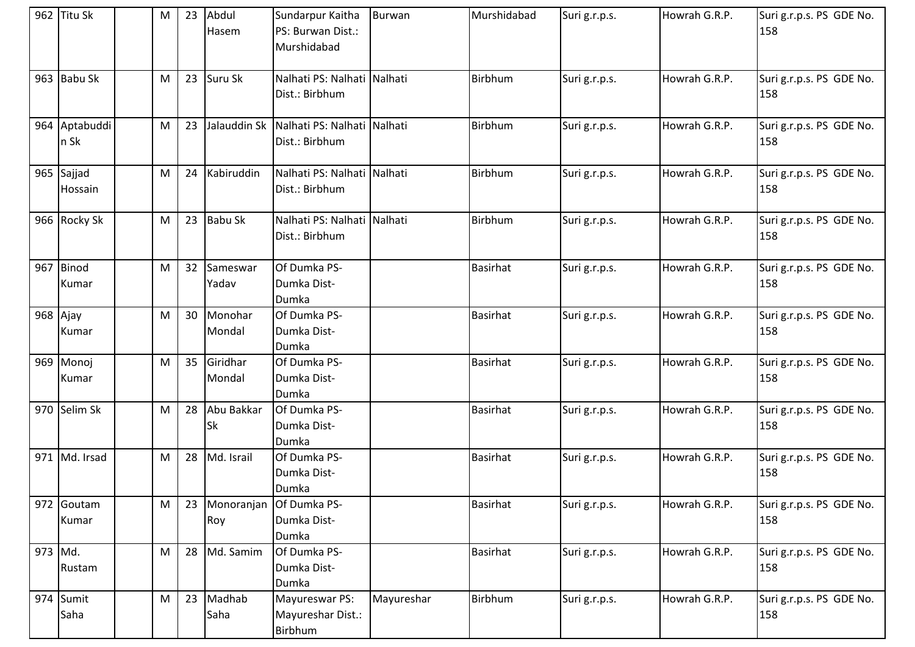|         | 962 Titu Sk           | M | 23 | Abdul<br>Hasem          | Sundarpur Kaitha<br>PS: Burwan Dist.:<br>Murshidabad | Burwan     | Murshidabad     | Suri g.r.p.s. | Howrah G.R.P. | Suri g.r.p.s. PS GDE No.<br>158 |
|---------|-----------------------|---|----|-------------------------|------------------------------------------------------|------------|-----------------|---------------|---------------|---------------------------------|
|         | 963 Babu Sk           | M | 23 | Suru Sk                 | Nalhati PS: Nalhati Nalhati<br>Dist.: Birbhum        |            | Birbhum         | Suri g.r.p.s. | Howrah G.R.P. | Suri g.r.p.s. PS GDE No.<br>158 |
|         | 964 Aptabuddi<br>n Sk | M | 23 | Jalauddin Sk            | Nalhati PS: Nalhati Nalhati<br>Dist.: Birbhum        |            | Birbhum         | Suri g.r.p.s. | Howrah G.R.P. | Suri g.r.p.s. PS GDE No.<br>158 |
|         | 965 Sajjad<br>Hossain | M | 24 | Kabiruddin              | Nalhati PS: Nalhati Nalhati<br>Dist.: Birbhum        |            | Birbhum         | Suri g.r.p.s. | Howrah G.R.P. | Suri g.r.p.s. PS GDE No.<br>158 |
|         | 966 Rocky Sk          | M | 23 | <b>Babu Sk</b>          | Nalhati PS: Nalhati Nalhati<br>Dist.: Birbhum        |            | <b>Birbhum</b>  | Suri g.r.p.s. | Howrah G.R.P. | Suri g.r.p.s. PS GDE No.<br>158 |
|         | 967 Binod             | M | 32 | Sameswar                | Of Dumka PS-                                         |            | <b>Basirhat</b> | Suri g.r.p.s. | Howrah G.R.P. | Suri g.r.p.s. PS GDE No.        |
|         | Kumar                 |   |    | Yadav                   | Dumka Dist-<br>Dumka                                 |            |                 |               |               | 158                             |
|         | 968 Ajay              | M | 30 | Monohar                 | Of Dumka PS-                                         |            | <b>Basirhat</b> | Suri g.r.p.s. | Howrah G.R.P. | Suri g.r.p.s. PS GDE No.        |
|         | Kumar                 |   |    | Mondal                  | Dumka Dist-<br>Dumka                                 |            |                 |               |               | 158                             |
|         | 969 Monoj             | M | 35 | Giridhar                | Of Dumka PS-                                         |            | <b>Basirhat</b> | Suri g.r.p.s. | Howrah G.R.P. | Suri g.r.p.s. PS GDE No.        |
|         | Kumar                 |   |    | Mondal                  | Dumka Dist-<br>Dumka                                 |            |                 |               |               | 158                             |
|         | 970 Selim Sk          | M | 28 | Abu Bakkar<br><b>Sk</b> | Of Dumka PS-<br>Dumka Dist-<br>Dumka                 |            | <b>Basirhat</b> | Suri g.r.p.s. | Howrah G.R.P. | Suri g.r.p.s. PS GDE No.<br>158 |
|         | 971 Md. Irsad         | M | 28 | Md. Israil              | Of Dumka PS-<br>Dumka Dist-<br>Dumka                 |            | <b>Basirhat</b> | Suri g.r.p.s. | Howrah G.R.P. | Suri g.r.p.s. PS GDE No.<br>158 |
|         | 972 Goutam            | M | 23 |                         | Monoranjan Of Dumka PS-                              |            | <b>Basirhat</b> | Suri g.r.p.s. | Howrah G.R.P. | Suri g.r.p.s. PS GDE No.        |
|         | Kumar                 |   |    | Roy                     | Dumka Dist-                                          |            |                 |               |               | 158                             |
|         |                       |   |    |                         | Dumka                                                |            |                 |               |               |                                 |
| 973 Md. |                       | M | 28 | Md. Samim               | Of Dumka PS-                                         |            | <b>Basirhat</b> | Suri g.r.p.s. | Howrah G.R.P. | Suri g.r.p.s. PS GDE No.        |
|         | Rustam                |   |    |                         | Dumka Dist-<br>Dumka                                 |            |                 |               |               | 158                             |
|         | 974 Sumit             | M | 23 | Madhab                  | Mayureswar PS:                                       | Mayureshar | <b>Birbhum</b>  | Suri g.r.p.s. | Howrah G.R.P. | Suri g.r.p.s. PS GDE No.        |
|         | Saha                  |   |    | Saha                    | Mayureshar Dist.:                                    |            |                 |               |               | 158                             |
|         |                       |   |    |                         | Birbhum                                              |            |                 |               |               |                                 |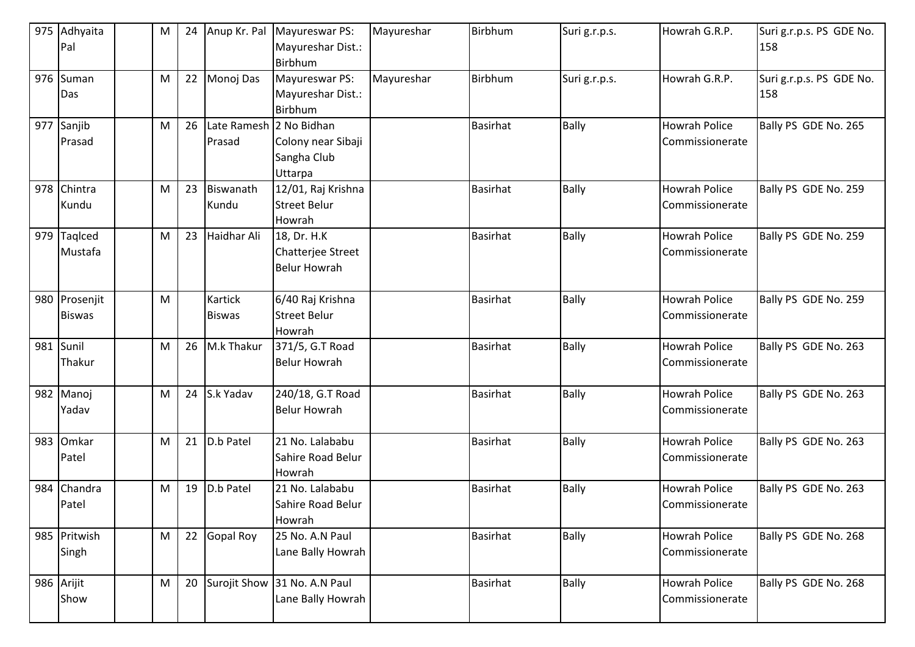|     | 975 Adhyaita<br>Pal  | M | 24 |                         | Anup Kr. Pal Mayureswar PS:<br>Mayureshar Dist.: | Mayureshar | Birbhum         | Suri g.r.p.s. | Howrah G.R.P.                           | Suri g.r.p.s. PS GDE No.<br>158 |
|-----|----------------------|---|----|-------------------------|--------------------------------------------------|------------|-----------------|---------------|-----------------------------------------|---------------------------------|
|     |                      |   |    |                         | Birbhum                                          |            |                 |               |                                         |                                 |
|     | 976 Suman<br>Das     | M | 22 | Monoj Das               | Mayureswar PS:<br>Mayureshar Dist.:              | Mayureshar | Birbhum         | Suri g.r.p.s. | Howrah G.R.P.                           | Suri g.r.p.s. PS GDE No.<br>158 |
|     | 977 Sanjib           |   | 26 | Late Ramesh 2 No Bidhan | Birbhum                                          |            | <b>Basirhat</b> | <b>Bally</b>  | <b>Howrah Police</b>                    | Bally PS GDE No. 265            |
|     | Prasad               | M |    | Prasad                  | Colony near Sibaji                               |            |                 |               | Commissionerate                         |                                 |
|     |                      |   |    |                         | Sangha Club<br>Uttarpa                           |            |                 |               |                                         |                                 |
|     | 978 Chintra          | M | 23 | Biswanath               | 12/01, Raj Krishna                               |            | <b>Basirhat</b> | <b>Bally</b>  | Howrah Police                           | Bally PS GDE No. 259            |
|     | Kundu                |   |    | Kundu                   | <b>Street Belur</b><br>Howrah                    |            |                 |               | Commissionerate                         |                                 |
| 979 | Taqlced              | M | 23 | Haidhar Ali             | 18, Dr. H.K                                      |            | <b>Basirhat</b> | <b>Bally</b>  | Howrah Police                           | Bally PS GDE No. 259            |
|     | Mustafa              |   |    |                         | Chatterjee Street                                |            |                 |               | Commissionerate                         |                                 |
|     |                      |   |    |                         | <b>Belur Howrah</b>                              |            |                 |               |                                         |                                 |
|     | 980 Prosenjit        | M |    | Kartick                 | 6/40 Raj Krishna                                 |            | Basirhat        | <b>Bally</b>  | <b>Howrah Police</b>                    | Bally PS GDE No. 259            |
|     | <b>Biswas</b>        |   |    | <b>Biswas</b>           | <b>Street Belur</b>                              |            |                 |               | Commissionerate                         |                                 |
|     |                      |   |    |                         | Howrah                                           |            |                 |               |                                         |                                 |
|     | 981 Sunil<br>Thakur  | M | 26 | M.k Thakur              | 371/5, G.T Road<br><b>Belur Howrah</b>           |            | <b>Basirhat</b> | <b>Bally</b>  | <b>Howrah Police</b><br>Commissionerate | Bally PS GDE No. 263            |
|     |                      |   |    |                         |                                                  |            |                 |               |                                         |                                 |
|     | 982 Manoj            | M | 24 | S.k Yadav               | 240/18, G.T Road                                 |            | <b>Basirhat</b> | <b>Bally</b>  | Howrah Police                           | Bally PS GDE No. 263            |
|     | Yadav                |   |    |                         | <b>Belur Howrah</b>                              |            |                 |               | Commissionerate                         |                                 |
|     | 983 Omkar            | M | 21 | D.b Patel               | 21 No. Lalababu                                  |            | <b>Basirhat</b> | <b>Bally</b>  | <b>Howrah Police</b>                    | Bally PS GDE No. 263            |
|     | Patel                |   |    |                         | Sahire Road Belur                                |            |                 |               | Commissionerate                         |                                 |
|     |                      |   |    |                         | Howrah                                           |            |                 |               |                                         |                                 |
|     | 984 Chandra<br>Patel | M | 19 | D.b Patel               | 21 No. Lalababu<br>Sahire Road Belur             |            | <b>Basirhat</b> | <b>Bally</b>  | <b>Howrah Police</b><br>Commissionerate | Bally PS GDE No. 263            |
|     |                      |   |    |                         | Howrah                                           |            |                 |               |                                         |                                 |
|     | 985 Pritwish         | M | 22 | Gopal Roy               | 25 No. A.N Paul                                  |            | <b>Basirhat</b> | Bally         | Howrah Police                           | Bally PS GDE No. 268            |
|     | Singh                |   |    |                         | Lane Bally Howrah                                |            |                 |               | Commissionerate                         |                                 |
|     | 986 Arijit           | M | 20 | Surojit Show            | 31 No. A.N Paul                                  |            | <b>Basirhat</b> | <b>Bally</b>  | <b>Howrah Police</b>                    | Bally PS GDE No. 268            |
|     | Show                 |   |    |                         | Lane Bally Howrah                                |            |                 |               | Commissionerate                         |                                 |
|     |                      |   |    |                         |                                                  |            |                 |               |                                         |                                 |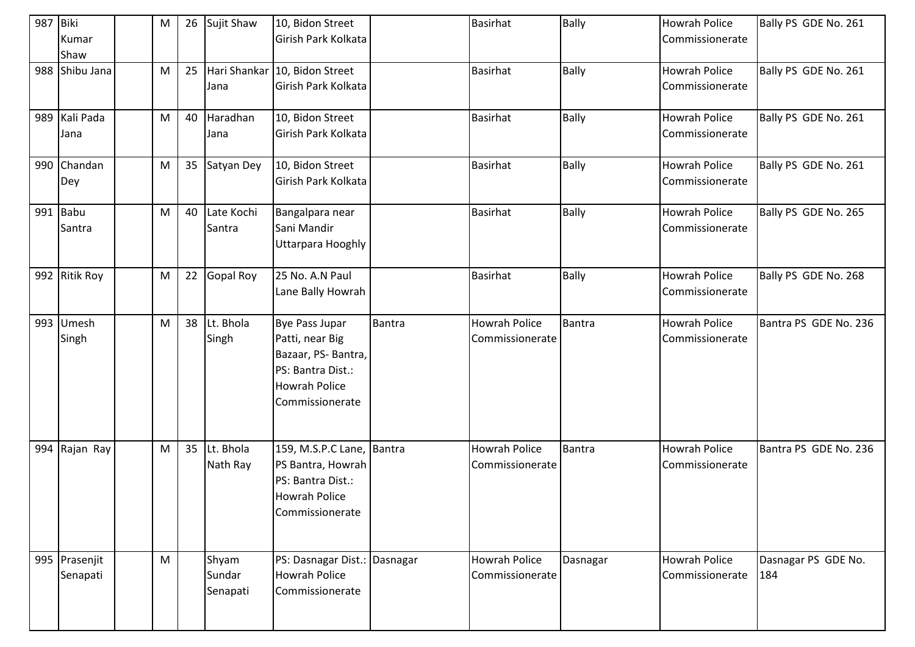| 987 Biki | Kumar<br>Shaw         | М | 26 | Sujit Shaw                  | 10, Bidon Street<br>Girish Park Kolkata                                                                                        |        | <b>Basirhat</b>                         | <b>Bally</b>  | <b>Howrah Police</b><br>Commissionerate | Bally PS GDE No. 261       |
|----------|-----------------------|---|----|-----------------------------|--------------------------------------------------------------------------------------------------------------------------------|--------|-----------------------------------------|---------------|-----------------------------------------|----------------------------|
|          | 988 Shibu Jana        | М | 25 | Jana                        | Hari Shankar 10, Bidon Street<br>Girish Park Kolkata                                                                           |        | <b>Basirhat</b>                         | <b>Bally</b>  | <b>Howrah Police</b><br>Commissionerate | Bally PS GDE No. 261       |
|          | 989 Kali Pada<br>Jana | M | 40 | Haradhan<br>Jana            | 10, Bidon Street<br>Girish Park Kolkata                                                                                        |        | <b>Basirhat</b>                         | <b>Bally</b>  | Howrah Police<br>Commissionerate        | Bally PS GDE No. 261       |
|          | 990 Chandan<br>Dey    | M |    | 35 Satyan Dey               | 10, Bidon Street<br>Girish Park Kolkata                                                                                        |        | <b>Basirhat</b>                         | <b>Bally</b>  | <b>Howrah Police</b><br>Commissionerate | Bally PS GDE No. 261       |
|          | 991 Babu<br>Santra    | M | 40 | Late Kochi<br>Santra        | Bangalpara near<br>Sani Mandir<br>Uttarpara Hooghly                                                                            |        | <b>Basirhat</b>                         | <b>Bally</b>  | <b>Howrah Police</b><br>Commissionerate | Bally PS GDE No. 265       |
|          | 992 Ritik Roy         | M | 22 | <b>Gopal Roy</b>            | 25 No. A.N Paul<br>Lane Bally Howrah                                                                                           |        | <b>Basirhat</b>                         | Bally         | <b>Howrah Police</b><br>Commissionerate | Bally PS GDE No. 268       |
| 993      | Umesh<br>Singh        | M | 38 | Lt. Bhola<br>Singh          | <b>Bye Pass Jupar</b><br>Patti, near Big<br>Bazaar, PS-Bantra,<br>PS: Bantra Dist.:<br><b>Howrah Police</b><br>Commissionerate | Bantra | <b>Howrah Police</b><br>Commissionerate | Bantra        | <b>Howrah Police</b><br>Commissionerate | Bantra PS GDE No. 236      |
| 994      | Rajan Ray             | M | 35 | Lt. Bhola<br>Nath Ray       | 159, M.S.P.C Lane, Bantra<br>PS Bantra, Howrah<br>PS: Bantra Dist.:<br><b>Howrah Police</b><br>Commissionerate                 |        | <b>Howrah Police</b><br>Commissionerate | <b>Bantra</b> | <b>Howrah Police</b><br>Commissionerate | Bantra PS GDE No. 236      |
| 995      | Prasenjit<br>Senapati | M |    | Shyam<br>Sundar<br>Senapati | PS: Dasnagar Dist.: Dasnagar<br><b>Howrah Police</b><br>Commissionerate                                                        |        | <b>Howrah Police</b><br>Commissionerate | Dasnagar      | <b>Howrah Police</b><br>Commissionerate | Dasnagar PS GDE No.<br>184 |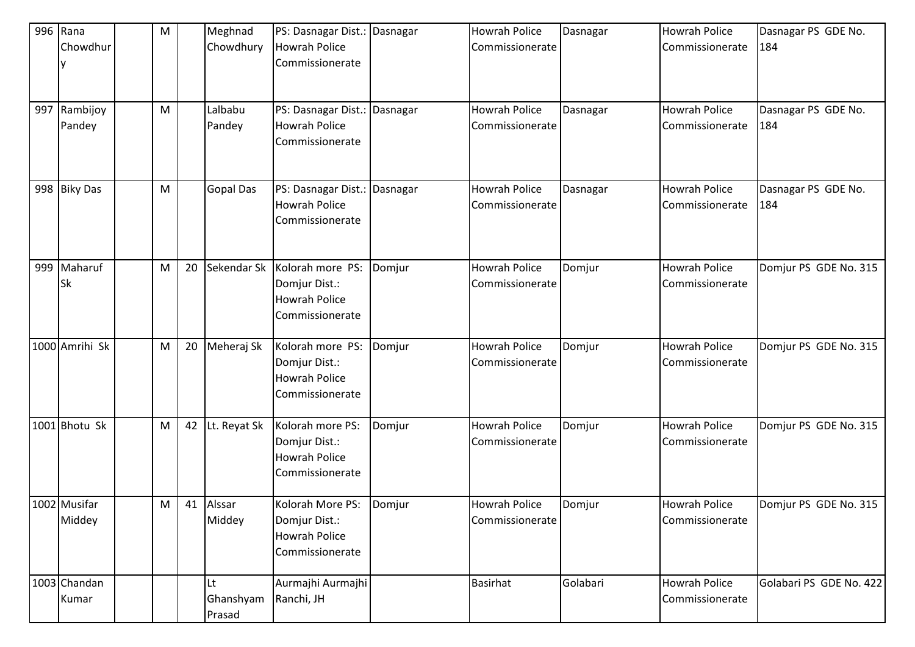|     | 996 Rana       | M |    | Meghnad          | PS: Dasnagar Dist.: Dasnagar |        | <b>Howrah Police</b> | Dasnagar | <b>Howrah Police</b> | Dasnagar PS GDE No.     |
|-----|----------------|---|----|------------------|------------------------------|--------|----------------------|----------|----------------------|-------------------------|
|     | Chowdhur       |   |    | Chowdhury        | <b>Howrah Police</b>         |        | Commissionerate      |          | Commissionerate      | 184                     |
|     |                |   |    |                  | Commissionerate              |        |                      |          |                      |                         |
|     |                |   |    |                  |                              |        |                      |          |                      |                         |
|     |                |   |    |                  |                              |        |                      |          |                      |                         |
| 997 | Rambijoy       | M |    | Lalbabu          | PS: Dasnagar Dist.: Dasnagar |        | <b>Howrah Police</b> | Dasnagar | <b>Howrah Police</b> | Dasnagar PS GDE No.     |
|     | Pandey         |   |    | Pandey           | <b>Howrah Police</b>         |        | Commissionerate      |          | Commissionerate      | 184                     |
|     |                |   |    |                  | Commissionerate              |        |                      |          |                      |                         |
|     |                |   |    |                  |                              |        |                      |          |                      |                         |
|     |                |   |    |                  |                              |        |                      |          |                      |                         |
|     | 998 Biky Das   | M |    | <b>Gopal Das</b> | PS: Dasnagar Dist.: Dasnagar |        | <b>Howrah Police</b> | Dasnagar | <b>Howrah Police</b> | Dasnagar PS GDE No.     |
|     |                |   |    |                  | <b>Howrah Police</b>         |        | Commissionerate      |          | Commissionerate      | 184                     |
|     |                |   |    |                  | Commissionerate              |        |                      |          |                      |                         |
|     |                |   |    |                  |                              |        |                      |          |                      |                         |
|     |                |   |    |                  |                              |        |                      |          |                      |                         |
|     | 999 Maharuf    | M | 20 | Sekendar Sk      | Kolorah more PS:             | Domjur | <b>Howrah Police</b> | Domjur   | <b>Howrah Police</b> | Domjur PS GDE No. 315   |
|     | Sk             |   |    |                  | Domjur Dist.:                |        | Commissionerate      |          | Commissionerate      |                         |
|     |                |   |    |                  | <b>Howrah Police</b>         |        |                      |          |                      |                         |
|     |                |   |    |                  | Commissionerate              |        |                      |          |                      |                         |
|     | 1000 Amrihi Sk | M | 20 | Meheraj Sk       | Kolorah more PS:             | Domjur | <b>Howrah Police</b> | Domjur   | <b>Howrah Police</b> | Domjur PS GDE No. 315   |
|     |                |   |    |                  | Domjur Dist.:                |        | Commissionerate      |          | Commissionerate      |                         |
|     |                |   |    |                  | <b>Howrah Police</b>         |        |                      |          |                      |                         |
|     |                |   |    |                  | Commissionerate              |        |                      |          |                      |                         |
|     |                |   |    |                  |                              |        |                      |          |                      |                         |
|     | 1001 Bhotu Sk  | M | 42 | Lt. Reyat Sk     | Kolorah more PS:             | Domjur | <b>Howrah Police</b> | Domjur   | <b>Howrah Police</b> | Domjur PS GDE No. 315   |
|     |                |   |    |                  | Domjur Dist.:                |        | Commissionerate      |          | Commissionerate      |                         |
|     |                |   |    |                  | <b>Howrah Police</b>         |        |                      |          |                      |                         |
|     |                |   |    |                  | Commissionerate              |        |                      |          |                      |                         |
|     |                |   |    |                  |                              |        |                      |          |                      |                         |
|     | 1002 Musifar   | M | 41 | Alssar           | Kolorah More PS:             | Domjur | <b>Howrah Police</b> | Domjur   | <b>Howrah Police</b> | Domjur PS GDE No. 315   |
|     | Middey         |   |    | Middey           | Domjur Dist.:                |        | Commissionerate      |          | Commissionerate      |                         |
|     |                |   |    |                  | <b>Howrah Police</b>         |        |                      |          |                      |                         |
|     |                |   |    |                  | Commissionerate              |        |                      |          |                      |                         |
|     |                |   |    |                  |                              |        |                      |          |                      |                         |
|     | 1003 Chandan   |   |    | Lt               | Aurmajhi Aurmajhi            |        | <b>Basirhat</b>      | Golabari | <b>Howrah Police</b> | Golabari PS GDE No. 422 |
|     | Kumar          |   |    | Ghanshyam        | Ranchi, JH                   |        |                      |          | Commissionerate      |                         |
|     |                |   |    | Prasad           |                              |        |                      |          |                      |                         |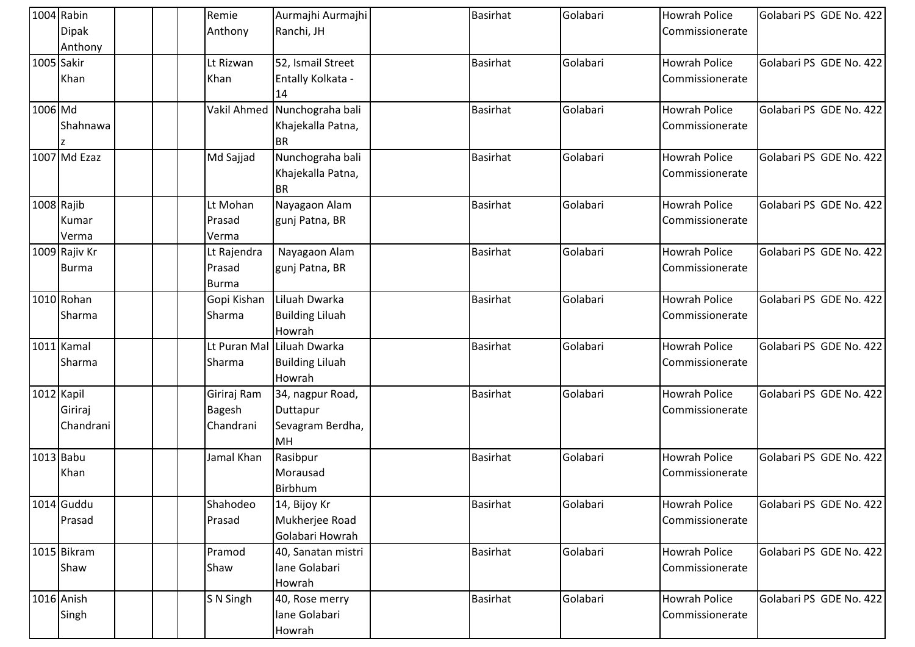|         | 1004 Rabin    | Remie         | Aurmajhi Aurmajhi       | <b>Basirhat</b> | Golabari | <b>Howrah Police</b> | Golabari PS GDE No. 422 |
|---------|---------------|---------------|-------------------------|-----------------|----------|----------------------|-------------------------|
|         | <b>Dipak</b>  | Anthony       | Ranchi, JH              |                 |          | Commissionerate      |                         |
|         | Anthony       |               |                         |                 |          |                      |                         |
|         | 1005 Sakir    | Lt Rizwan     | 52, Ismail Street       | <b>Basirhat</b> | Golabari | <b>Howrah Police</b> | Golabari PS GDE No. 422 |
|         | Khan          | Khan          | Entally Kolkata -<br>14 |                 |          | Commissionerate      |                         |
| 1006 Md |               | Vakil Ahmed   | Nunchograha bali        | <b>Basirhat</b> | Golabari | <b>Howrah Police</b> | Golabari PS GDE No. 422 |
|         | Shahnawa      |               | Khajekalla Patna,       |                 |          | Commissionerate      |                         |
|         |               |               | <b>BR</b>               |                 |          |                      |                         |
|         | 1007 Md Ezaz  | Md Sajjad     | Nunchograha bali        | <b>Basirhat</b> | Golabari | <b>Howrah Police</b> | Golabari PS GDE No. 422 |
|         |               |               | Khajekalla Patna,       |                 |          | Commissionerate      |                         |
|         |               |               | <b>BR</b>               |                 |          |                      |                         |
|         | 1008 Rajib    | Lt Mohan      | Nayagaon Alam           | <b>Basirhat</b> | Golabari | <b>Howrah Police</b> | Golabari PS GDE No. 422 |
|         | Kumar         | Prasad        | gunj Patna, BR          |                 |          | Commissionerate      |                         |
|         | Verma         | Verma         |                         |                 |          |                      |                         |
|         | 1009 Rajiv Kr | Lt Rajendra   | Nayagaon Alam           | <b>Basirhat</b> | Golabari | <b>Howrah Police</b> | Golabari PS GDE No. 422 |
|         | Burma         | Prasad        | gunj Patna, BR          |                 |          | Commissionerate      |                         |
|         |               | <b>Burma</b>  |                         |                 |          |                      |                         |
|         | 1010 Rohan    | Gopi Kishan   | Liluah Dwarka           | <b>Basirhat</b> | Golabari | <b>Howrah Police</b> | Golabari PS GDE No. 422 |
|         | Sharma        | Sharma        | <b>Building Liluah</b>  |                 |          | Commissionerate      |                         |
|         |               |               | Howrah                  |                 |          |                      |                         |
|         | 1011 Kamal    | Lt Puran Mal  | Liluah Dwarka           | <b>Basirhat</b> | Golabari | <b>Howrah Police</b> | Golabari PS GDE No. 422 |
|         | Sharma        | Sharma        | <b>Building Liluah</b>  |                 |          | Commissionerate      |                         |
|         |               |               | Howrah                  |                 |          |                      |                         |
|         | 1012 Kapil    | Giriraj Ram   | 34, nagpur Road,        | <b>Basirhat</b> | Golabari | <b>Howrah Police</b> | Golabari PS GDE No. 422 |
|         | Giriraj       | <b>Bagesh</b> | Duttapur                |                 |          | Commissionerate      |                         |
|         | Chandrani     | Chandrani     | Sevagram Berdha,        |                 |          |                      |                         |
|         |               |               | <b>MH</b>               |                 |          |                      |                         |
|         | 1013 Babu     | Jamal Khan    | Rasibpur                | <b>Basirhat</b> | Golabari | <b>Howrah Police</b> | Golabari PS GDE No. 422 |
|         | Khan          |               | Morausad                |                 |          | Commissionerate      |                         |
|         |               |               | Birbhum                 |                 |          |                      |                         |
|         | 1014 Guddu    | Shahodeo      | 14, Bijoy Kr            | <b>Basirhat</b> | Golabari | <b>Howrah Police</b> | Golabari PS GDE No. 422 |
|         | Prasad        | Prasad        | Mukherjee Road          |                 |          | Commissionerate      |                         |
|         |               |               | Golabari Howrah         |                 |          |                      |                         |
|         | 1015 Bikram   | Pramod        | 40, Sanatan mistri      | <b>Basirhat</b> | Golabari | <b>Howrah Police</b> | Golabari PS GDE No. 422 |
|         | Shaw          | Shaw          | lane Golabari           |                 |          | Commissionerate      |                         |
|         |               |               | Howrah                  |                 |          |                      |                         |
|         | 1016 Anish    | S N Singh     | 40, Rose merry          | <b>Basirhat</b> | Golabari | <b>Howrah Police</b> | Golabari PS GDE No. 422 |
|         | Singh         |               | lane Golabari           |                 |          | Commissionerate      |                         |
|         |               |               | Howrah                  |                 |          |                      |                         |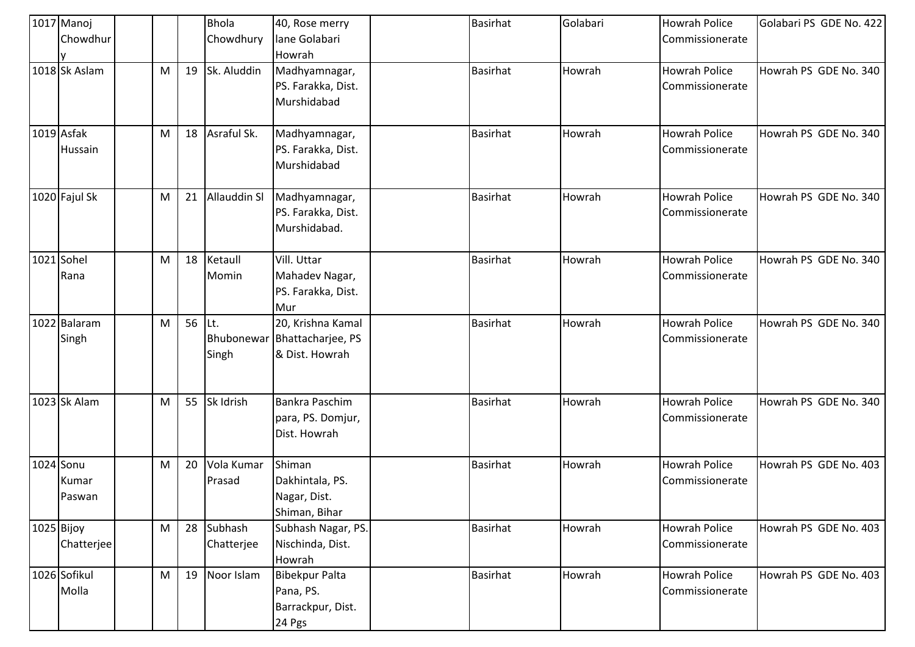| 1017 Manoj<br>Chowdhur       |   |    | <b>Bhola</b><br>Chowdhury | 40, Rose merry<br>lane Golabari<br>Howrah                           | <b>Basirhat</b> | Golabari | <b>Howrah Police</b><br>Commissionerate | Golabari PS GDE No. 422 |
|------------------------------|---|----|---------------------------|---------------------------------------------------------------------|-----------------|----------|-----------------------------------------|-------------------------|
| 1018 Sk Aslam                | M | 19 | Sk. Aluddin               | Madhyamnagar,<br>PS. Farakka, Dist.<br>Murshidabad                  | <b>Basirhat</b> | Howrah   | <b>Howrah Police</b><br>Commissionerate | Howrah PS GDE No. 340   |
| 1019 Asfak<br>Hussain        | M | 18 | Asraful Sk.               | Madhyamnagar,<br>PS. Farakka, Dist.<br>Murshidabad                  | <b>Basirhat</b> | Howrah   | <b>Howrah Police</b><br>Commissionerate | Howrah PS GDE No. 340   |
| 1020 Fajul Sk                | M | 21 | Allauddin SI              | Madhyamnagar,<br>PS. Farakka, Dist.<br>Murshidabad.                 | <b>Basirhat</b> | Howrah   | <b>Howrah Police</b><br>Commissionerate | Howrah PS GDE No. 340   |
| 1021 Sohel<br>Rana           | M | 18 | Ketaull<br>Momin          | Vill. Uttar<br>Mahadev Nagar,<br>PS. Farakka, Dist.<br>Mur          | <b>Basirhat</b> | Howrah   | <b>Howrah Police</b><br>Commissionerate | Howrah PS GDE No. 340   |
| 1022 Balaram<br>Singh        | M | 56 | ILt.<br>Singh             | 20, Krishna Kamal<br>Bhubonewar Bhattacharjee, PS<br>& Dist. Howrah | <b>Basirhat</b> | Howrah   | <b>Howrah Police</b><br>Commissionerate | Howrah PS GDE No. 340   |
| 1023 Sk Alam                 | M | 55 | Sk Idrish                 | <b>Bankra Paschim</b><br>para, PS. Domjur,<br>Dist. Howrah          | <b>Basirhat</b> | Howrah   | <b>Howrah Police</b><br>Commissionerate | Howrah PS GDE No. 340   |
| 1024 Sonu<br>Kumar<br>Paswan | M | 20 | Vola Kumar<br>Prasad      | Shiman<br>Dakhintala, PS.<br>Nagar, Dist.<br>Shiman, Bihar          | <b>Basirhat</b> | Howrah   | <b>Howrah Police</b><br>Commissionerate | Howrah PS GDE No. 403   |
| 1025 Bijoy<br>Chatterjee     | M | 28 | Subhash<br>Chatterjee     | Subhash Nagar, PS.<br>Nischinda, Dist.<br>Howrah                    | <b>Basirhat</b> | Howrah   | <b>Howrah Police</b><br>Commissionerate | Howrah PS GDE No. 403   |
| 1026 Sofikul<br>Molla        | M | 19 | Noor Islam                | <b>Bibekpur Palta</b><br>Pana, PS.<br>Barrackpur, Dist.<br>24 Pgs   | <b>Basirhat</b> | Howrah   | <b>Howrah Police</b><br>Commissionerate | Howrah PS GDE No. 403   |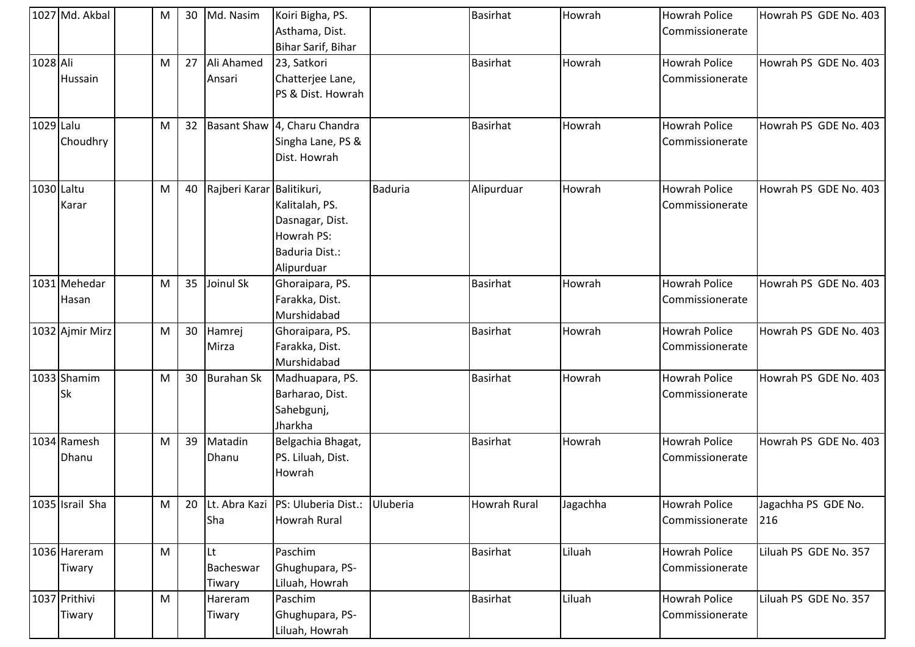|            | 1027 Md. Akbal          | м | 30 | Md. Nasim                 | Koiri Bigha, PS.<br>Asthama, Dist.<br>Bihar Sarif, Bihar                        |                | <b>Basirhat</b>     | Howrah   | <b>Howrah Police</b><br>Commissionerate | Howrah PS GDE No. 403      |
|------------|-------------------------|---|----|---------------------------|---------------------------------------------------------------------------------|----------------|---------------------|----------|-----------------------------------------|----------------------------|
| 1028 Ali   | Hussain                 | M | 27 | Ali Ahamed<br>Ansari      | 23, Satkori<br>Chatterjee Lane,<br>PS & Dist. Howrah                            |                | <b>Basirhat</b>     | Howrah   | <b>Howrah Police</b><br>Commissionerate | Howrah PS GDE No. 403      |
| 1029 Lalu  | Choudhry                | M | 32 |                           | Basant Shaw 4, Charu Chandra<br>Singha Lane, PS &<br>Dist. Howrah               |                | <b>Basirhat</b>     | Howrah   | <b>Howrah Police</b><br>Commissionerate | Howrah PS GDE No. 403      |
| 1030 Laltu | Karar                   | M | 40 | Rajberi Karar Balitikuri, | Kalitalah, PS.<br>Dasnagar, Dist.<br>Howrah PS:<br>Baduria Dist.:<br>Alipurduar | <b>Baduria</b> | Alipurduar          | Howrah   | <b>Howrah Police</b><br>Commissionerate | Howrah PS GDE No. 403      |
|            | 1031 Mehedar<br>Hasan   | M | 35 | Joinul Sk                 | Ghoraipara, PS.<br>Farakka, Dist.<br>Murshidabad                                |                | <b>Basirhat</b>     | Howrah   | <b>Howrah Police</b><br>Commissionerate | Howrah PS GDE No. 403      |
|            | 1032 Ajmir Mirz         | M | 30 | Hamrej<br>Mirza           | Ghoraipara, PS.<br>Farakka, Dist.<br>Murshidabad                                |                | <b>Basirhat</b>     | Howrah   | <b>Howrah Police</b><br>Commissionerate | Howrah PS GDE No. 403      |
|            | 1033 Shamim<br>Sk       | M | 30 | <b>Burahan Sk</b>         | Madhuapara, PS.<br>Barharao, Dist.<br>Sahebgunj,<br>Jharkha                     |                | <b>Basirhat</b>     | Howrah   | <b>Howrah Police</b><br>Commissionerate | Howrah PS GDE No. 403      |
|            | 1034 Ramesh<br>Dhanu    | M | 39 | Matadin<br>Dhanu          | Belgachia Bhagat,<br>PS. Liluah, Dist.<br>Howrah                                |                | <b>Basirhat</b>     | Howrah   | <b>Howrah Police</b><br>Commissionerate | Howrah PS GDE No. 403      |
|            | 1035 Israil Sha         | M | 20 | Sha                       | Lt. Abra Kazi PS: Uluberia Dist.: Uluberia<br><b>Howrah Rural</b>               |                | <b>Howrah Rural</b> | Jagachha | <b>Howrah Police</b><br>Commissionerate | Jagachha PS GDE No.<br>216 |
|            | 1036 Hareram<br>Tiwary  | M |    | Lt<br>Bacheswar<br>Tiwary | Paschim<br>Ghughupara, PS-<br>Liluah, Howrah                                    |                | <b>Basirhat</b>     | Liluah   | <b>Howrah Police</b><br>Commissionerate | Liluah PS GDE No. 357      |
|            | 1037 Prithivi<br>Tiwary | M |    | Hareram<br>Tiwary         | Paschim<br>Ghughupara, PS-<br>Liluah, Howrah                                    |                | <b>Basirhat</b>     | Liluah   | <b>Howrah Police</b><br>Commissionerate | Liluah PS GDE No. 357      |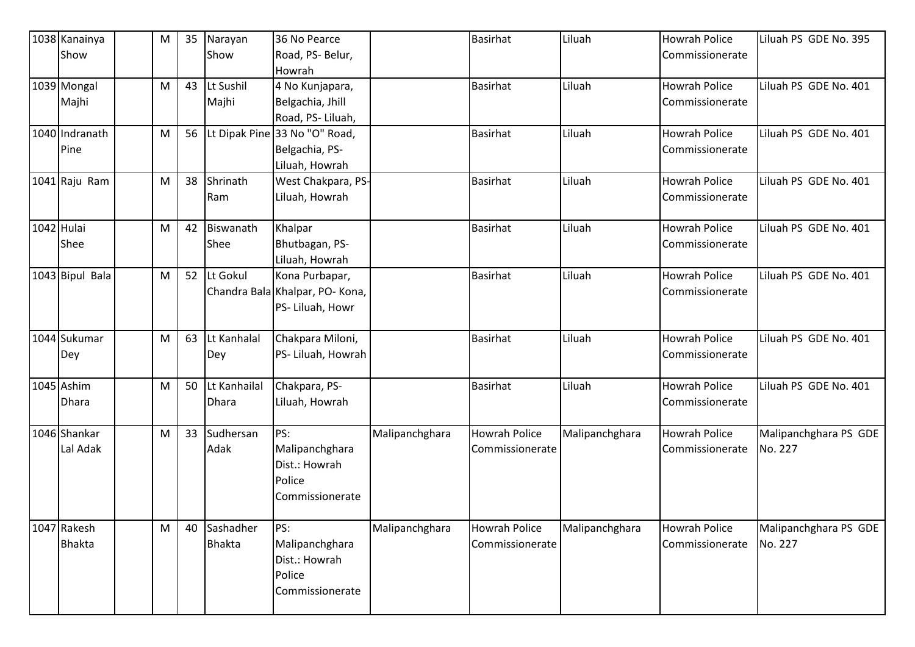| 1038 Kanainya   | M         | 35 | Narayan                    | 36 No Pearce                    |                | Basirhat             | Liluah         | <b>Howrah Police</b> | Liluah PS GDE No. 395            |
|-----------------|-----------|----|----------------------------|---------------------------------|----------------|----------------------|----------------|----------------------|----------------------------------|
| Show            |           |    | Show                       | Road, PS- Belur,                |                |                      |                | Commissionerate      |                                  |
|                 |           |    |                            | Howrah                          |                |                      |                |                      |                                  |
| 1039 Mongal     | M         | 43 | Lt Sushil                  | 4 No Kunjapara,                 |                | <b>Basirhat</b>      | Liluah         | <b>Howrah Police</b> | Liluah PS GDE No. 401            |
| Majhi           |           |    | Majhi                      | Belgachia, Jhill                |                |                      |                | Commissionerate      |                                  |
|                 |           |    |                            | Road, PS-Liluah,                |                |                      |                |                      |                                  |
| 1040 Indranath  | M         | 56 |                            | Lt Dipak Pine 33 No "O" Road,   |                | <b>Basirhat</b>      | Liluah         | <b>Howrah Police</b> | Liluah PS GDE No. 401            |
| Pine            |           |    |                            | Belgachia, PS-                  |                |                      |                | Commissionerate      |                                  |
|                 |           |    |                            | Liluah, Howrah                  |                |                      |                |                      |                                  |
| 1041 Raju Ram   | M         | 38 | Shrinath                   | West Chakpara, PS-              |                | <b>Basirhat</b>      | Liluah         | <b>Howrah Police</b> | Liluah PS GDE No. 401            |
|                 |           |    | Ram                        | Liluah, Howrah                  |                |                      |                | Commissionerate      |                                  |
|                 |           |    |                            |                                 |                |                      |                |                      |                                  |
| 1042 Hulai      | M         | 42 | Biswanath                  | Khalpar                         |                | <b>Basirhat</b>      | Liluah         | <b>Howrah Police</b> | Liluah PS GDE No. 401            |
| Shee            |           |    | Shee                       | Bhutbagan, PS-                  |                |                      |                | Commissionerate      |                                  |
|                 |           |    |                            | Liluah, Howrah                  |                |                      |                |                      |                                  |
| 1043 Bipul Bala | M         | 52 | Lt Gokul                   | Kona Purbapar,                  |                | <b>Basirhat</b>      | Liluah         | <b>Howrah Police</b> | Liluah PS GDE No. 401            |
|                 |           |    |                            | Chandra Bala Khalpar, PO- Kona, |                |                      |                | Commissionerate      |                                  |
|                 |           |    |                            | PS- Liluah, Howr                |                |                      |                |                      |                                  |
|                 |           |    |                            |                                 |                |                      |                |                      |                                  |
| 1044 Sukumar    | M         | 63 | Lt Kanhalal                | Chakpara Miloni,                |                | <b>Basirhat</b>      | Liluah         | <b>Howrah Police</b> | Liluah PS GDE No. 401            |
| Dey             |           |    | Dey                        | PS- Liluah, Howrah              |                |                      |                | Commissionerate      |                                  |
|                 |           |    |                            |                                 |                |                      |                |                      |                                  |
| 1045 Ashim      | M         | 50 | Lt Kanhailal               | Chakpara, PS-                   |                | <b>Basirhat</b>      | Liluah         | <b>Howrah Police</b> | Liluah PS GDE No. 401            |
| Dhara           |           |    | <b>Dhara</b>               | Liluah, Howrah                  |                |                      |                | Commissionerate      |                                  |
|                 |           |    |                            |                                 |                |                      |                |                      |                                  |
| 1046 Shankar    | M         | 33 | Sudhersan                  | PS:                             | Malipanchghara | <b>Howrah Police</b> | Malipanchghara | <b>Howrah Police</b> | Malipanchghara PS GDE            |
| Lal Adak        |           |    | Adak                       | Malipanchghara                  |                | Commissionerate      |                | Commissionerate      | No. 227                          |
|                 |           |    |                            | Dist.: Howrah                   |                |                      |                |                      |                                  |
|                 |           |    |                            | Police                          |                |                      |                |                      |                                  |
|                 |           |    |                            | Commissionerate                 |                |                      |                |                      |                                  |
| 1047 Rakesh     | ${\sf M}$ | 40 |                            | PS:                             | Malipanchghara | Howrah Police        |                | <b>Howrah Police</b> |                                  |
| <b>Bhakta</b>   |           |    | Sashadher<br><b>Bhakta</b> |                                 |                |                      | Malipanchghara | Commissionerate      | Malipanchghara PS GDE<br>No. 227 |
|                 |           |    |                            | Malipanchghara                  |                | Commissionerate      |                |                      |                                  |
|                 |           |    |                            | Dist.: Howrah                   |                |                      |                |                      |                                  |
|                 |           |    |                            | Police                          |                |                      |                |                      |                                  |
|                 |           |    |                            | Commissionerate                 |                |                      |                |                      |                                  |
|                 |           |    |                            |                                 |                |                      |                |                      |                                  |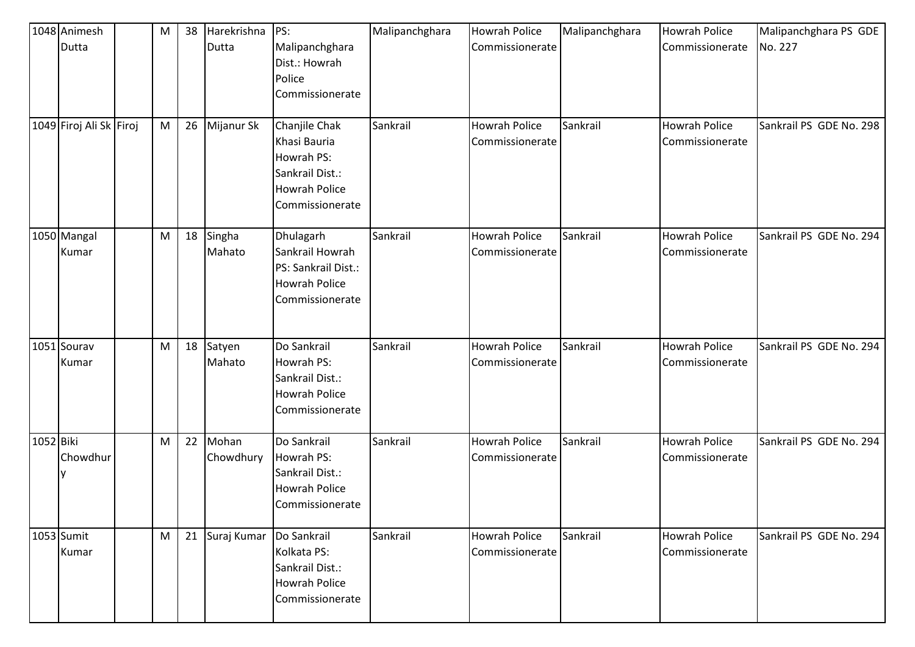|           | 1048 Animesh            | M | 38 | Harekrishna        | PS:                                                                                                       | Malipanchghara | <b>Howrah Police</b>                    | Malipanchghara | <b>Howrah Police</b>                    | Malipanchghara PS GDE   |
|-----------|-------------------------|---|----|--------------------|-----------------------------------------------------------------------------------------------------------|----------------|-----------------------------------------|----------------|-----------------------------------------|-------------------------|
|           | Dutta                   |   |    | Dutta              | Malipanchghara<br>Dist.: Howrah<br>Police<br>Commissionerate                                              |                | Commissionerate                         |                | Commissionerate                         | No. 227                 |
|           | 1049 Firoj Ali Sk Firoj | M | 26 | Mijanur Sk         | Chanjile Chak<br>Khasi Bauria<br>Howrah PS:<br>Sankrail Dist.:<br><b>Howrah Police</b><br>Commissionerate | Sankrail       | <b>Howrah Police</b><br>Commissionerate | Sankrail       | <b>Howrah Police</b><br>Commissionerate | Sankrail PS GDE No. 298 |
|           | 1050 Mangal<br>Kumar    | M | 18 | Singha<br>Mahato   | Dhulagarh<br>Sankrail Howrah<br>PS: Sankrail Dist.:<br><b>Howrah Police</b><br>Commissionerate            | Sankrail       | <b>Howrah Police</b><br>Commissionerate | Sankrail       | <b>Howrah Police</b><br>Commissionerate | Sankrail PS GDE No. 294 |
|           | 1051 Sourav<br>Kumar    | M | 18 | Satyen<br>Mahato   | Do Sankrail<br>Howrah PS:<br>Sankrail Dist.:<br><b>Howrah Police</b><br>Commissionerate                   | Sankrail       | <b>Howrah Police</b><br>Commissionerate | Sankrail       | <b>Howrah Police</b><br>Commissionerate | Sankrail PS GDE No. 294 |
| 1052 Biki | Chowdhur                | M | 22 | Mohan<br>Chowdhury | Do Sankrail<br>Howrah PS:<br>Sankrail Dist.:<br><b>Howrah Police</b><br>Commissionerate                   | Sankrail       | <b>Howrah Police</b><br>Commissionerate | Sankrail       | <b>Howrah Police</b><br>Commissionerate | Sankrail PS GDE No. 294 |
|           | 1053 Sumit<br>Kumar     | M | 21 | Suraj Kumar        | Do Sankrail<br>Kolkata PS:<br>Sankrail Dist.:<br><b>Howrah Police</b><br>Commissionerate                  | Sankrail       | <b>Howrah Police</b><br>Commissionerate | Sankrail       | <b>Howrah Police</b><br>Commissionerate | Sankrail PS GDE No. 294 |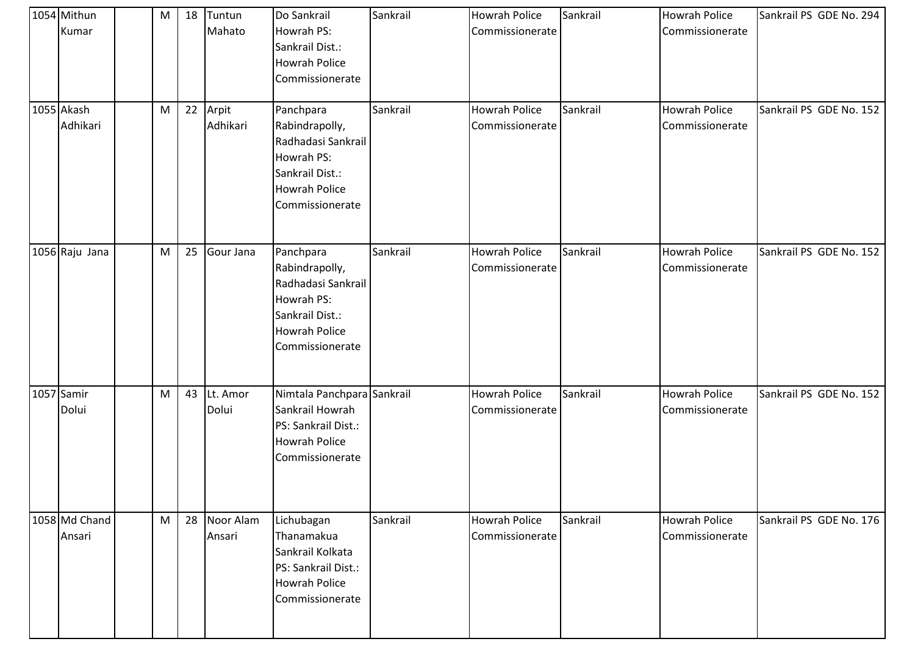| 1054 Mithun<br>Kumar<br>1055 Akash<br>Adhikari | M<br>M | 18<br>22 | Tuntun<br>Mahato<br>Arpit<br>Adhikari | Do Sankrail<br>Howrah PS:<br>Sankrail Dist.:<br><b>Howrah Police</b><br>Commissionerate<br>Panchpara<br>Rabindrapolly,<br>Radhadasi Sankrail<br>Howrah PS:<br>Sankrail Dist.:<br><b>Howrah Police</b><br>Commissionerate | Sankrail<br>Sankrail | <b>Howrah Police</b><br>Commissionerate<br><b>Howrah Police</b><br>Commissionerate | Sankrail<br>Sankrail | <b>Howrah Police</b><br>Commissionerate<br><b>Howrah Police</b><br>Commissionerate | Sankrail PS GDE No. 294<br>Sankrail PS GDE No. 152 |
|------------------------------------------------|--------|----------|---------------------------------------|--------------------------------------------------------------------------------------------------------------------------------------------------------------------------------------------------------------------------|----------------------|------------------------------------------------------------------------------------|----------------------|------------------------------------------------------------------------------------|----------------------------------------------------|
| 1056 Raju Jana                                 | M      | 25       | Gour Jana                             | Panchpara<br>Rabindrapolly,<br>Radhadasi Sankrail<br>Howrah PS:<br>Sankrail Dist.:<br><b>Howrah Police</b><br>Commissionerate                                                                                            | Sankrail             | <b>Howrah Police</b><br>Commissionerate                                            | Sankrail             | <b>Howrah Police</b><br>Commissionerate                                            | Sankrail PS GDE No. 152                            |
| 1057 Samir<br>Dolui                            | M      | 43       | Lt. Amor<br>Dolui                     | Nimtala Panchpara Sankrail<br>Sankrail Howrah<br>PS: Sankrail Dist.:<br><b>Howrah Police</b><br>Commissionerate                                                                                                          |                      | <b>Howrah Police</b><br>Commissionerate                                            | Sankrail             | <b>Howrah Police</b><br>Commissionerate                                            | Sankrail PS GDE No. 152                            |
| 1058 Md Chand<br>Ansari                        | M      | 28       | Noor Alam<br>Ansari                   | Lichubagan<br>Thanamakua<br>Sankrail Kolkata<br>PS: Sankrail Dist.:<br><b>Howrah Police</b><br>Commissionerate                                                                                                           | Sankrail             | Howrah Police<br>Commissionerate                                                   | Sankrail             | Howrah Police<br>Commissionerate                                                   | Sankrail PS GDE No. 176                            |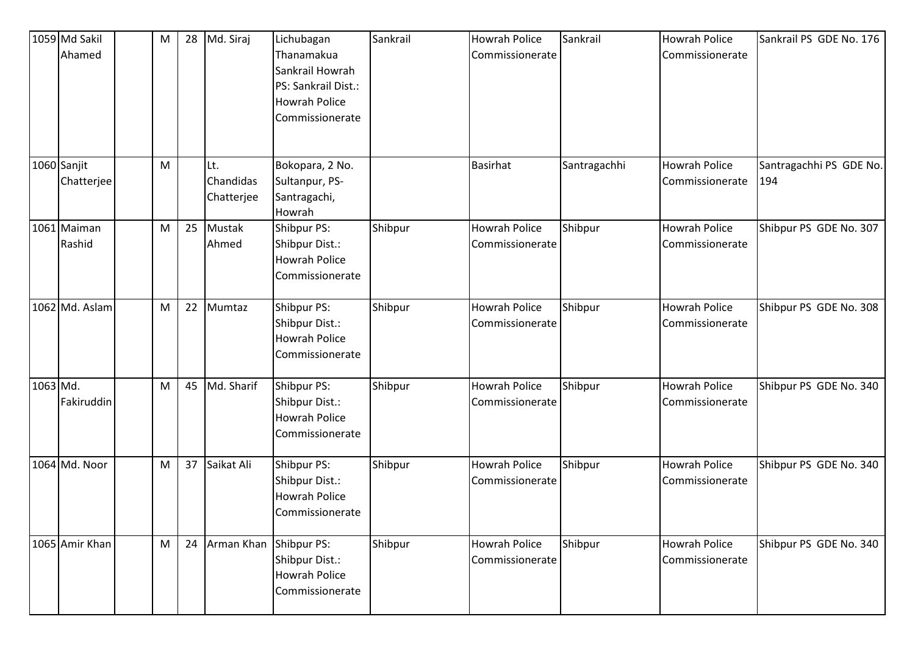|          | 1059 Md Sakil<br>Ahamed   | M | 28 | Md. Siraj                      | Lichubagan<br>Thanamakua<br>Sankrail Howrah<br>PS: Sankrail Dist.:<br><b>Howrah Police</b><br>Commissionerate | Sankrail | <b>Howrah Police</b><br>Commissionerate | Sankrail     | Howrah Police<br>Commissionerate        | Sankrail PS GDE No. 176        |
|----------|---------------------------|---|----|--------------------------------|---------------------------------------------------------------------------------------------------------------|----------|-----------------------------------------|--------------|-----------------------------------------|--------------------------------|
|          | 1060 Sanjit<br>Chatterjee | M |    | Lt.<br>Chandidas<br>Chatterjee | Bokopara, 2 No.<br>Sultanpur, PS-<br>Santragachi,<br>Howrah                                                   |          | <b>Basirhat</b>                         | Santragachhi | <b>Howrah Police</b><br>Commissionerate | Santragachhi PS GDE No.<br>194 |
|          | 1061 Maiman<br>Rashid     | M | 25 | Mustak<br>Ahmed                | Shibpur PS:<br>Shibpur Dist.:<br><b>Howrah Police</b><br>Commissionerate                                      | Shibpur  | <b>Howrah Police</b><br>Commissionerate | Shibpur      | <b>Howrah Police</b><br>Commissionerate | Shibpur PS GDE No. 307         |
|          | 1062 Md. Aslam            | M | 22 | Mumtaz                         | Shibpur PS:<br>Shibpur Dist.:<br><b>Howrah Police</b><br>Commissionerate                                      | Shibpur  | <b>Howrah Police</b><br>Commissionerate | Shibpur      | <b>Howrah Police</b><br>Commissionerate | Shibpur PS GDE No. 308         |
| 1063 Md. | Fakiruddin                | M | 45 | Md. Sharif                     | Shibpur PS:<br>Shibpur Dist.:<br><b>Howrah Police</b><br>Commissionerate                                      | Shibpur  | <b>Howrah Police</b><br>Commissionerate | Shibpur      | <b>Howrah Police</b><br>Commissionerate | Shibpur PS GDE No. 340         |
|          | 1064 Md. Noor             | M | 37 | Saikat Ali                     | Shibpur PS:<br>Shibpur Dist.:<br><b>Howrah Police</b><br>Commissionerate                                      | Shibpur  | <b>Howrah Police</b><br>Commissionerate | Shibpur      | <b>Howrah Police</b><br>Commissionerate | Shibpur PS GDE No. 340         |
|          | 1065 Amir Khan            | M | 24 | Arman Khan Shibpur PS:         | Shibpur Dist.:<br><b>Howrah Police</b><br>Commissionerate                                                     | Shibpur  | <b>Howrah Police</b><br>Commissionerate | Shibpur      | Howrah Police<br>Commissionerate        | Shibpur PS GDE No. 340         |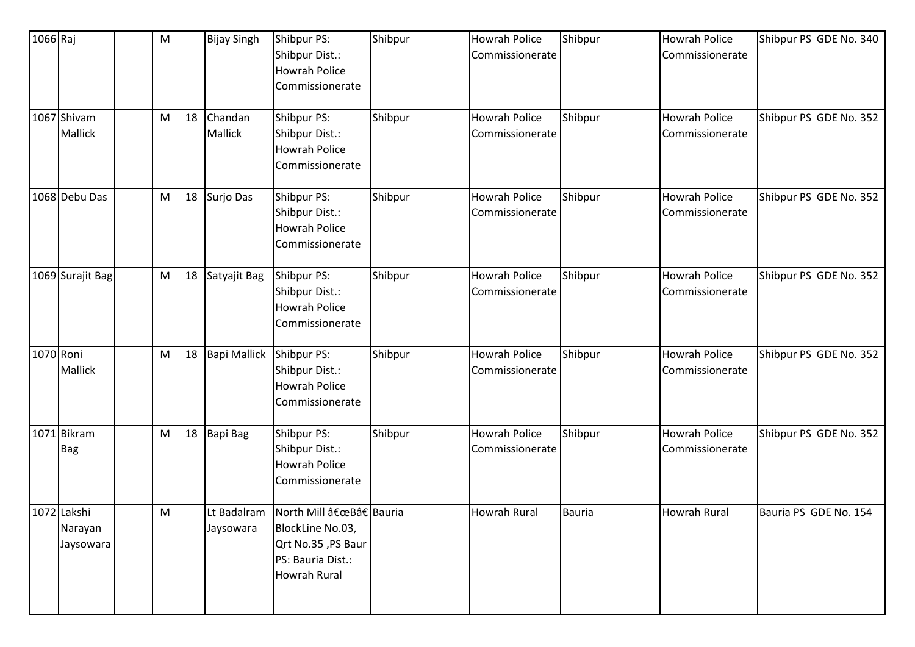| 1066 Raj  |                                     | ${\sf M}$ |    | <b>Bijay Singh</b>       | Shibpur PS:<br>Shibpur Dist.:<br><b>Howrah Police</b><br>Commissionerate                                   | Shibpur | <b>Howrah Police</b><br>Commissionerate | Shibpur       | <b>Howrah Police</b><br>Commissionerate | Shibpur PS GDE No. 340 |
|-----------|-------------------------------------|-----------|----|--------------------------|------------------------------------------------------------------------------------------------------------|---------|-----------------------------------------|---------------|-----------------------------------------|------------------------|
|           | 1067 Shivam<br>Mallick              | M         | 18 | Chandan<br>Mallick       | Shibpur PS:<br>Shibpur Dist.:<br><b>Howrah Police</b><br>Commissionerate                                   | Shibpur | <b>Howrah Police</b><br>Commissionerate | Shibpur       | <b>Howrah Police</b><br>Commissionerate | Shibpur PS GDE No. 352 |
|           | 1068 Debu Das                       | M         | 18 | Surjo Das                | Shibpur PS:<br>Shibpur Dist.:<br><b>Howrah Police</b><br>Commissionerate                                   | Shibpur | Howrah Police<br>Commissionerate        | Shibpur       | <b>Howrah Police</b><br>Commissionerate | Shibpur PS GDE No. 352 |
|           | 1069 Surajit Bag                    | M         | 18 | Satyajit Bag             | Shibpur PS:<br>Shibpur Dist.:<br><b>Howrah Police</b><br>Commissionerate                                   | Shibpur | <b>Howrah Police</b><br>Commissionerate | Shibpur       | <b>Howrah Police</b><br>Commissionerate | Shibpur PS GDE No. 352 |
| 1070 Roni | Mallick                             | M         | 18 | <b>Bapi Mallick</b>      | Shibpur PS:<br>Shibpur Dist.:<br><b>Howrah Police</b><br>Commissionerate                                   | Shibpur | <b>Howrah Police</b><br>Commissionerate | Shibpur       | <b>Howrah Police</b><br>Commissionerate | Shibpur PS GDE No. 352 |
|           | 1071 Bikram<br>Bag                  | M         | 18 | Bapi Bag                 | Shibpur PS:<br>Shibpur Dist.:<br><b>Howrah Police</b><br>Commissionerate                                   | Shibpur | Howrah Police<br>Commissionerate        | Shibpur       | <b>Howrah Police</b><br>Commissionerate | Shibpur PS GDE No. 352 |
|           | 1072 Lakshi<br>Narayan<br>Jaysowara | M         |    | Lt Badalram<br>Jaysowara | North Mill "B†Bauria<br>BlockLine No.03,<br>Qrt No.35, PS Baur<br>PS: Bauria Dist.:<br><b>Howrah Rural</b> |         | <b>Howrah Rural</b>                     | <b>Bauria</b> | <b>Howrah Rural</b>                     | Bauria PS GDE No. 154  |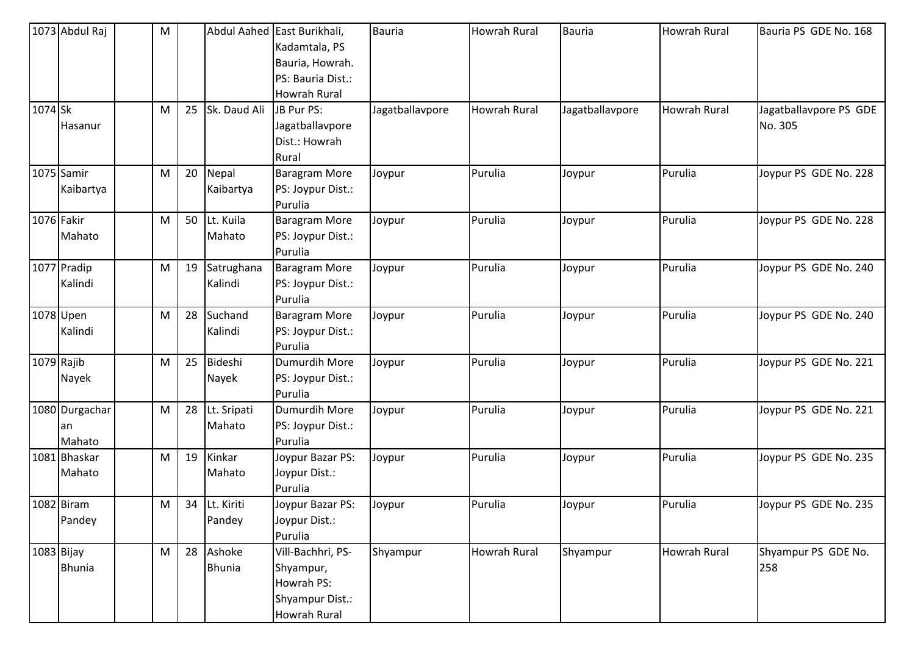|         | 1073 Abdul Raj | M |    |               | Abdul Aahed East Burikhali, | <b>Bauria</b>   | <b>Howrah Rural</b> | <b>Bauria</b>   | Howrah Rural | Bauria PS GDE No. 168  |
|---------|----------------|---|----|---------------|-----------------------------|-----------------|---------------------|-----------------|--------------|------------------------|
|         |                |   |    |               | Kadamtala, PS               |                 |                     |                 |              |                        |
|         |                |   |    |               | Bauria, Howrah.             |                 |                     |                 |              |                        |
|         |                |   |    |               | PS: Bauria Dist.:           |                 |                     |                 |              |                        |
|         |                |   |    |               | <b>Howrah Rural</b>         |                 |                     |                 |              |                        |
| 1074 Sk |                | M | 25 | Sk. Daud Ali  | JB Pur PS:                  | Jagatballavpore | <b>Howrah Rural</b> | Jagatballavpore | Howrah Rural | Jagatballavpore PS GDE |
|         | Hasanur        |   |    |               | Jagatballavpore             |                 |                     |                 |              | No. 305                |
|         |                |   |    |               | Dist.: Howrah               |                 |                     |                 |              |                        |
|         |                |   |    |               | Rural                       |                 |                     |                 |              |                        |
|         | 1075 Samir     | M | 20 | Nepal         | <b>Baragram More</b>        | Joypur          | Purulia             | Joypur          | Purulia      | Joypur PS GDE No. 228  |
|         | Kaibartya      |   |    | Kaibartya     | PS: Joypur Dist.:           |                 |                     |                 |              |                        |
|         |                |   |    |               | Purulia                     |                 |                     |                 |              |                        |
|         | 1076 Fakir     | M | 50 | Lt. Kuila     | <b>Baragram More</b>        | Joypur          | Purulia             | Joypur          | Purulia      | Joypur PS GDE No. 228  |
|         | Mahato         |   |    | Mahato        | PS: Joypur Dist.:           |                 |                     |                 |              |                        |
|         |                |   |    |               | Purulia                     |                 |                     |                 |              |                        |
|         | 1077 Pradip    | M | 19 | Satrughana    | <b>Baragram More</b>        | Joypur          | Purulia             | Joypur          | Purulia      | Joypur PS GDE No. 240  |
|         | Kalindi        |   |    | Kalindi       | PS: Joypur Dist.:           |                 |                     |                 |              |                        |
|         |                |   |    |               | Purulia                     |                 |                     |                 |              |                        |
|         | 1078 Upen      | M | 28 | Suchand       | <b>Baragram More</b>        | Joypur          | Purulia             | Joypur          | Purulia      | Joypur PS GDE No. 240  |
|         | Kalindi        |   |    | Kalindi       | PS: Joypur Dist.:           |                 |                     |                 |              |                        |
|         |                |   |    |               | Purulia                     |                 |                     |                 |              |                        |
|         | 1079 Rajib     | M | 25 | Bideshi       | Dumurdih More               | Joypur          | Purulia             | Joypur          | Purulia      | Joypur PS GDE No. 221  |
|         | Nayek          |   |    | Nayek         | PS: Joypur Dist.:           |                 |                     |                 |              |                        |
|         |                |   |    |               | Purulia                     |                 |                     |                 |              |                        |
|         | 1080 Durgachar | M | 28 | Lt. Sripati   | Dumurdih More               | Joypur          | Purulia             | Joypur          | Purulia      | Joypur PS GDE No. 221  |
|         | lan            |   |    | Mahato        | PS: Joypur Dist.:           |                 |                     |                 |              |                        |
|         | Mahato         |   |    |               | Purulia                     |                 |                     |                 |              |                        |
|         | 1081 Bhaskar   | M | 19 | Kinkar        | Joypur Bazar PS:            | Joypur          | Purulia             | Joypur          | Purulia      | Joypur PS GDE No. 235  |
|         | Mahato         |   |    | Mahato        | Joypur Dist.:               |                 |                     |                 |              |                        |
|         |                |   |    |               | Purulia                     |                 |                     |                 |              |                        |
|         | 1082 Biram     | M | 34 | Lt. Kiriti    | Joypur Bazar PS:            | Joypur          | Purulia             | Joypur          | Purulia      | Joypur PS GDE No. 235  |
|         | Pandey         |   |    | Pandey        | Joypur Dist.:               |                 |                     |                 |              |                        |
|         |                |   |    |               | Purulia                     |                 |                     |                 |              |                        |
|         | 1083 Bijay     | M | 28 | Ashoke        | Vill-Bachhri, PS-           | Shyampur        | Howrah Rural        | Shyampur        | Howrah Rural | Shyampur PS GDE No.    |
|         | <b>Bhunia</b>  |   |    | <b>Bhunia</b> | Shyampur,                   |                 |                     |                 |              | 258                    |
|         |                |   |    |               | Howrah PS:                  |                 |                     |                 |              |                        |
|         |                |   |    |               | Shyampur Dist.:             |                 |                     |                 |              |                        |
|         |                |   |    |               | <b>Howrah Rural</b>         |                 |                     |                 |              |                        |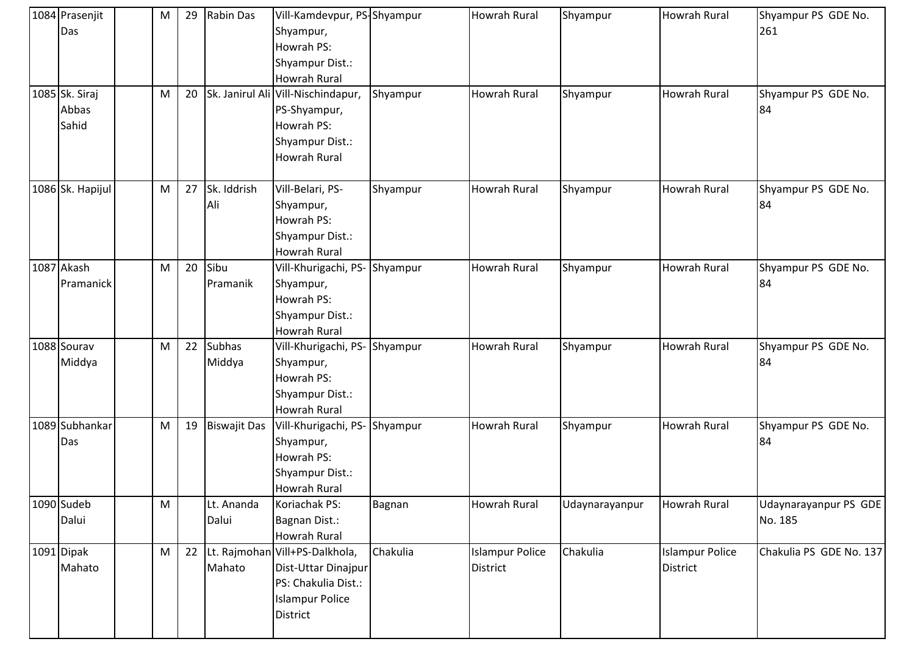| 1084 Prasenjit<br>Das            | M         | 29 | Rabin Das               | Vill-Kamdevpur, PS-Shyampur<br>Shyampur,<br>Howrah PS:<br>Shyampur Dist.:<br><b>Howrah Rural</b>      |          | Howrah Rural                              | Shyampur       | <b>Howrah Rural</b>                | Shyampur PS GDE No.<br>261       |
|----------------------------------|-----------|----|-------------------------|-------------------------------------------------------------------------------------------------------|----------|-------------------------------------------|----------------|------------------------------------|----------------------------------|
| 1085 Sk. Siraj<br>Abbas<br>Sahid | M         | 20 |                         | Sk. Janirul Ali Vill-Nischindapur,<br>PS-Shyampur,<br>Howrah PS:<br>Shyampur Dist.:<br>Howrah Rural   | Shyampur | <b>Howrah Rural</b>                       | Shyampur       | <b>Howrah Rural</b>                | Shyampur PS GDE No.<br>84        |
| 1086 Sk. Hapijul                 | M         | 27 | Sk. Iddrish<br>Ali      | Vill-Belari, PS-<br>Shyampur,<br>Howrah PS:<br>Shyampur Dist.:<br><b>Howrah Rural</b>                 | Shyampur | Howrah Rural                              | Shyampur       | <b>Howrah Rural</b>                | Shyampur PS GDE No.<br>84        |
| 1087 Akash<br>Pramanick          | M         | 20 | Sibu<br>Pramanik        | Vill-Khurigachi, PS-Shyampur<br>Shyampur,<br>Howrah PS:<br>Shyampur Dist.:<br><b>Howrah Rural</b>     |          | <b>Howrah Rural</b>                       | Shyampur       | <b>Howrah Rural</b>                | Shyampur PS GDE No.<br>84        |
| 1088 Sourav<br>Middya            | M         | 22 | <b>Subhas</b><br>Middya | Vill-Khurigachi, PS- Shyampur<br>Shyampur,<br>Howrah PS:<br>Shyampur Dist.:<br><b>Howrah Rural</b>    |          | <b>Howrah Rural</b>                       | Shyampur       | Howrah Rural                       | Shyampur PS GDE No.<br>84        |
| 1089 Subhankar<br>Das            | M         | 19 | <b>Biswajit Das</b>     | Vill-Khurigachi, PS- Shyampur<br>Shyampur,<br>Howrah PS:<br>Shyampur Dist.:<br>Howrah Rural           |          | <b>Howrah Rural</b>                       | Shyampur       | Howrah Rural                       | Shyampur PS GDE No.<br>84        |
| 1090 Sudeb<br>Dalui              | ${\sf M}$ |    | Lt. Ananda<br>Dalui     | Koriachak PS:<br><b>Bagnan Dist.:</b><br><b>Howrah Rural</b>                                          | Bagnan   | Howrah Rural                              | Udaynarayanpur | <b>Howrah Rural</b>                | Udaynarayanpur PS GDE<br>No. 185 |
| 1091 Dipak<br>Mahato             | M         | 22 | Lt. Rajmohan<br>Mahato  | Vill+PS-Dalkhola,<br>Dist-Uttar Dinajpur<br>PS: Chakulia Dist.:<br><b>Islampur Police</b><br>District | Chakulia | <b>Islampur Police</b><br><b>District</b> | Chakulia       | <b>Islampur Police</b><br>District | Chakulia PS GDE No. 137          |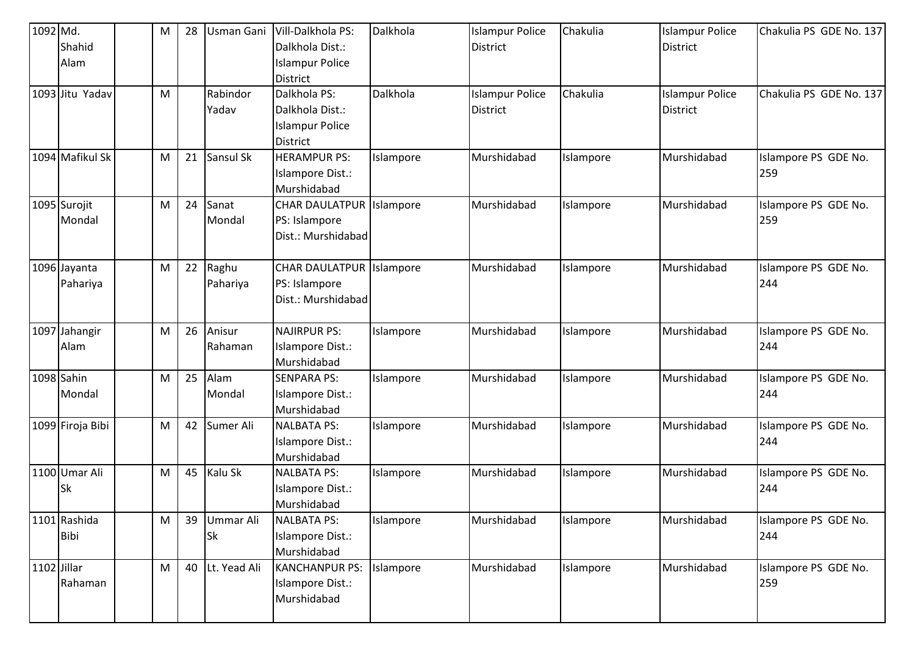| 1092 Md. |                  | M | 28 | Usman Gani   | Vill-Dalkhola PS:               | Dalkhola  | <b>Islampur Police</b> | Chakulia  | <b>Islampur Police</b> | Chakulia PS GDE No. 137 |
|----------|------------------|---|----|--------------|---------------------------------|-----------|------------------------|-----------|------------------------|-------------------------|
|          | Shahid           |   |    |              | Dalkhola Dist.:                 |           | <b>District</b>        |           | <b>District</b>        |                         |
|          | Alam             |   |    |              | <b>Islampur Police</b>          |           |                        |           |                        |                         |
|          |                  |   |    |              | District                        |           |                        |           |                        |                         |
|          | 1093 Jitu Yadav  | M |    | Rabindor     | Dalkhola PS:                    | Dalkhola  | <b>Islampur Police</b> | Chakulia  | <b>Islampur Police</b> | Chakulia PS GDE No. 137 |
|          |                  |   |    | Yadav        | Dalkhola Dist.:                 |           | <b>District</b>        |           | <b>District</b>        |                         |
|          |                  |   |    |              | <b>Islampur Police</b>          |           |                        |           |                        |                         |
|          |                  |   |    |              | District                        |           |                        |           |                        |                         |
|          | 1094 Mafikul Sk  | M | 21 | Sansul Sk    | <b>HERAMPUR PS:</b>             | Islampore | Murshidabad            | Islampore | Murshidabad            | Islampore PS GDE No.    |
|          |                  |   |    |              | <b>Islampore Dist.:</b>         |           |                        |           |                        | 259                     |
|          |                  |   |    |              | Murshidabad                     |           |                        |           |                        |                         |
|          | 1095 Surojit     | M | 24 | Sanat        | <b>CHAR DAULATPUR Islampore</b> |           | Murshidabad            | Islampore | Murshidabad            | Islampore PS GDE No.    |
|          | Mondal           |   |    | Mondal       | PS: Islampore                   |           |                        |           |                        | 259                     |
|          |                  |   |    |              | Dist.: Murshidabad              |           |                        |           |                        |                         |
|          |                  |   |    |              |                                 |           |                        |           |                        |                         |
|          | 1096 Jayanta     | M | 22 | Raghu        | <b>CHAR DAULATPUR Islampore</b> |           | Murshidabad            | Islampore | Murshidabad            | Islampore PS GDE No.    |
|          | Pahariya         |   |    | Pahariya     | PS: Islampore                   |           |                        |           |                        | 244                     |
|          |                  |   |    |              | Dist.: Murshidabad              |           |                        |           |                        |                         |
|          |                  |   |    |              |                                 |           |                        |           |                        |                         |
|          | 1097 Jahangir    | M | 26 | Anisur       | <b>NAJIRPUR PS:</b>             | Islampore | Murshidabad            | Islampore | Murshidabad            | Islampore PS GDE No.    |
|          | Alam             |   |    | Rahaman      | Islampore Dist.:                |           |                        |           |                        | 244                     |
|          |                  |   |    |              | Murshidabad                     |           |                        |           |                        |                         |
|          | 1098 Sahin       | M | 25 | Alam         | <b>SENPARA PS:</b>              | Islampore | Murshidabad            | Islampore | Murshidabad            | Islampore PS GDE No.    |
|          | Mondal           |   |    | Mondal       | Islampore Dist.:                |           |                        |           |                        | 244                     |
|          |                  |   |    |              | Murshidabad                     |           |                        |           |                        |                         |
|          | 1099 Firoja Bibi | M | 42 | Sumer Ali    | <b>NALBATA PS:</b>              | Islampore | Murshidabad            | Islampore | Murshidabad            | Islampore PS GDE No.    |
|          |                  |   |    |              | Islampore Dist.:                |           |                        |           |                        | 244                     |
|          |                  |   |    |              | Murshidabad                     |           |                        |           |                        |                         |
|          | 1100 Umar Ali    | M | 45 | Kalu Sk      | <b>NALBATA PS:</b>              | Islampore | Murshidabad            | Islampore | Murshidabad            | Islampore PS GDE No.    |
|          | Sk               |   |    |              | <b>Islampore Dist.:</b>         |           |                        |           |                        | 244                     |
|          |                  |   |    |              | Murshidabad                     |           |                        |           |                        |                         |
|          | 1101 Rashida     | M | 39 | Ummar Ali    | <b>NALBATA PS:</b>              | Islampore | Murshidabad            | Islampore | Murshidabad            | Islampore PS GDE No.    |
|          | Bibi             |   |    | <b>Sk</b>    | Islampore Dist.:                |           |                        |           |                        | 244                     |
|          |                  |   |    |              | Murshidabad                     |           |                        |           |                        |                         |
|          | 1102 Jillar      | M | 40 | Lt. Yead Ali | <b>KANCHANPUR PS:</b>           | Islampore | Murshidabad            | Islampore | Murshidabad            | Islampore PS GDE No.    |
|          | Rahaman          |   |    |              | <b>Islampore Dist.:</b>         |           |                        |           |                        | 259                     |
|          |                  |   |    |              | Murshidabad                     |           |                        |           |                        |                         |
|          |                  |   |    |              |                                 |           |                        |           |                        |                         |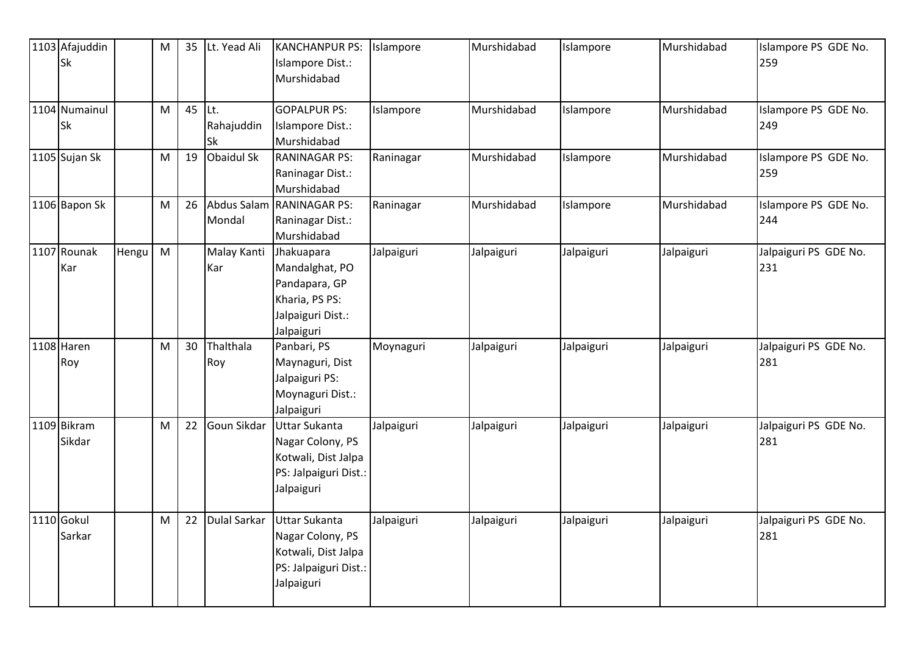| 1103 Afajuddin<br>Sk  |       | M | 35 | Lt. Yead Ali                    | <b>KANCHANPUR PS:</b><br><b>Islampore Dist.:</b><br>Murshidabad                                        | Islampore  | Murshidabad | Islampore  | Murshidabad | Islampore PS GDE No.<br>259  |
|-----------------------|-------|---|----|---------------------------------|--------------------------------------------------------------------------------------------------------|------------|-------------|------------|-------------|------------------------------|
| 1104 Numainul<br>Sk   |       | M | 45 | lĿt.<br>Rahajuddin<br><b>Sk</b> | <b>GOPALPUR PS:</b><br>Islampore Dist.:<br>Murshidabad                                                 | Islampore  | Murshidabad | Islampore  | Murshidabad | Islampore PS GDE No.<br>249  |
| 1105 Sujan Sk         |       | M | 19 | Obaidul Sk                      | <b>RANINAGAR PS:</b><br>Raninagar Dist.:<br>Murshidabad                                                | Raninagar  | Murshidabad | Islampore  | Murshidabad | Islampore PS GDE No.<br>259  |
| 1106 Bapon Sk         |       | M | 26 | Mondal                          | Abdus Salam RANINAGAR PS:<br>Raninagar Dist.:<br>Murshidabad                                           | Raninagar  | Murshidabad | Islampore  | Murshidabad | Islampore PS GDE No.<br>244  |
| 1107 Rounak<br>Kar    | Hengu | M |    | Malay Kanti<br>Kar              | Jhakuapara<br>Mandalghat, PO<br>Pandapara, GP<br>Kharia, PS PS:<br>Jalpaiguri Dist.:<br>Jalpaiguri     | Jalpaiguri | Jalpaiguri  | Jalpaiguri | Jalpaiguri  | Jalpaiguri PS GDE No.<br>231 |
| 1108 Haren<br>Roy     |       | M | 30 | Thalthala<br>Roy                | Panbari, PS<br>Maynaguri, Dist<br>Jalpaiguri PS:<br>Moynaguri Dist.:<br>Jalpaiguri                     | Moynaguri  | Jalpaiguri  | Jalpaiguri | Jalpaiguri  | Jalpaiguri PS GDE No.<br>281 |
| 1109 Bikram<br>Sikdar |       | M | 22 | Goun Sikdar                     | Uttar Sukanta<br>Nagar Colony, PS<br>Kotwali, Dist Jalpa<br>PS: Jalpaiguri Dist.:<br>Jalpaiguri        | Jalpaiguri | Jalpaiguri  | Jalpaiguri | Jalpaiguri  | Jalpaiguri PS GDE No.<br>281 |
| 1110 Gokul<br>Sarkar  |       | M | 22 | <b>Dulal Sarkar</b>             | <b>Uttar Sukanta</b><br>Nagar Colony, PS<br>Kotwali, Dist Jalpa<br>PS: Jalpaiguri Dist.:<br>Jalpaiguri | Jalpaiguri | Jalpaiguri  | Jalpaiguri | Jalpaiguri  | Jalpaiguri PS GDE No.<br>281 |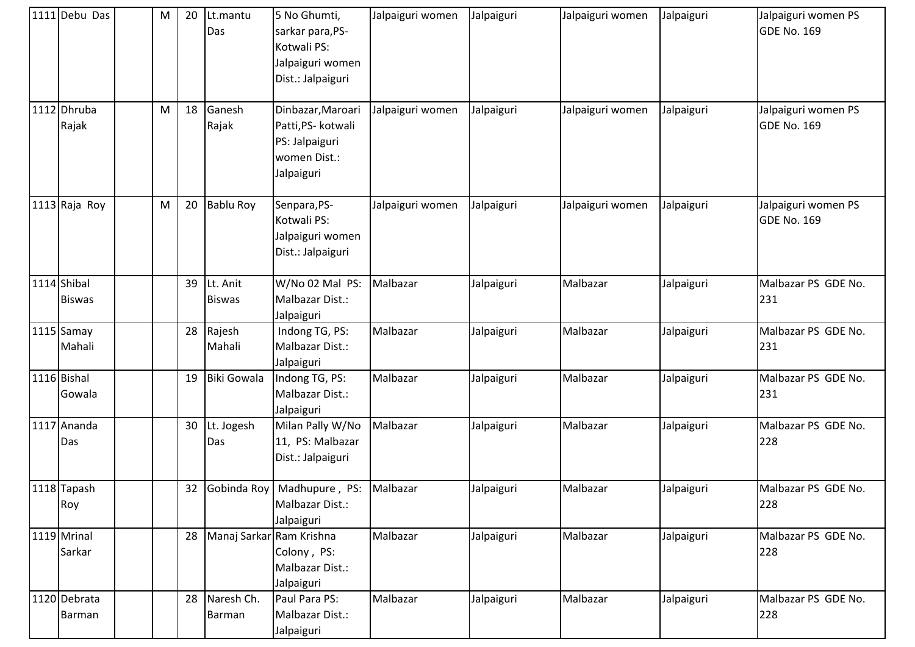| 1111 Debu Das                | M | 20 | Lt.mantu<br>Das           | 5 No Ghumti,<br>sarkar para, PS-<br>Kotwali PS:<br>Jalpaiguri women<br>Dist.: Jalpaiguri | Jalpaiguri women | Jalpaiguri | Jalpaiguri women | Jalpaiguri | Jalpaiguri women PS<br><b>GDE No. 169</b> |
|------------------------------|---|----|---------------------------|------------------------------------------------------------------------------------------|------------------|------------|------------------|------------|-------------------------------------------|
| 1112 Dhruba<br>Rajak         | M | 18 | Ganesh<br>Rajak           | Dinbazar, Maroari<br>Patti, PS- kotwali<br>PS: Jalpaiguri<br>women Dist.:<br>Jalpaiguri  | Jalpaiguri women | Jalpaiguri | Jalpaiguri women | Jalpaiguri | Jalpaiguri women PS<br><b>GDE No. 169</b> |
| 1113 Raja Roy                | M | 20 | <b>Bablu Roy</b>          | Senpara, PS-<br>Kotwali PS:<br>Jalpaiguri women<br>Dist.: Jalpaiguri                     | Jalpaiguri women | Jalpaiguri | Jalpaiguri women | Jalpaiguri | Jalpaiguri women PS<br><b>GDE No. 169</b> |
| 1114 Shibal<br><b>Biswas</b> |   | 39 | Lt. Anit<br><b>Biswas</b> | W/No 02 Mal PS:<br>Malbazar Dist.:<br>Jalpaiguri                                         | Malbazar         | Jalpaiguri | Malbazar         | Jalpaiguri | Malbazar PS GDE No.<br>231                |
| 1115 Samay<br>Mahali         |   | 28 | Rajesh<br>Mahali          | Indong TG, PS:<br>Malbazar Dist.:<br>Jalpaiguri                                          | Malbazar         | Jalpaiguri | Malbazar         | Jalpaiguri | Malbazar PS GDE No.<br>231                |
| 1116 Bishal<br>Gowala        |   | 19 | <b>Biki Gowala</b>        | Indong TG, PS:<br>Malbazar Dist.:<br>Jalpaiguri                                          | Malbazar         | Jalpaiguri | Malbazar         | Jalpaiguri | Malbazar PS GDE No.<br>231                |
| 1117 Ananda<br>Das           |   | 30 | Lt. Jogesh<br>Das         | Milan Pally W/No<br>11, PS: Malbazar<br>Dist.: Jalpaiguri                                | Malbazar         | Jalpaiguri | Malbazar         | Jalpaiguri | Malbazar PS GDE No.<br>228                |
| 1118 Tapash<br>Roy           |   | 32 |                           | Gobinda Roy   Madhupure, PS:<br>Malbazar Dist.:<br>Jalpaiguri                            | Malbazar         | Jalpaiguri | Malbazar         | Jalpaiguri | Malbazar PS GDE No.<br>228                |
| 1119 Mrinal<br>Sarkar        |   | 28 | Manaj Sarkar Ram Krishna  | Colony, PS:<br>Malbazar Dist.:<br>Jalpaiguri                                             | Malbazar         | Jalpaiguri | Malbazar         | Jalpaiguri | Malbazar PS GDE No.<br>228                |
| 1120 Debrata<br>Barman       |   | 28 | Naresh Ch.<br>Barman      | Paul Para PS:<br>Malbazar Dist.:<br>Jalpaiguri                                           | Malbazar         | Jalpaiguri | Malbazar         | Jalpaiguri | Malbazar PS GDE No.<br>228                |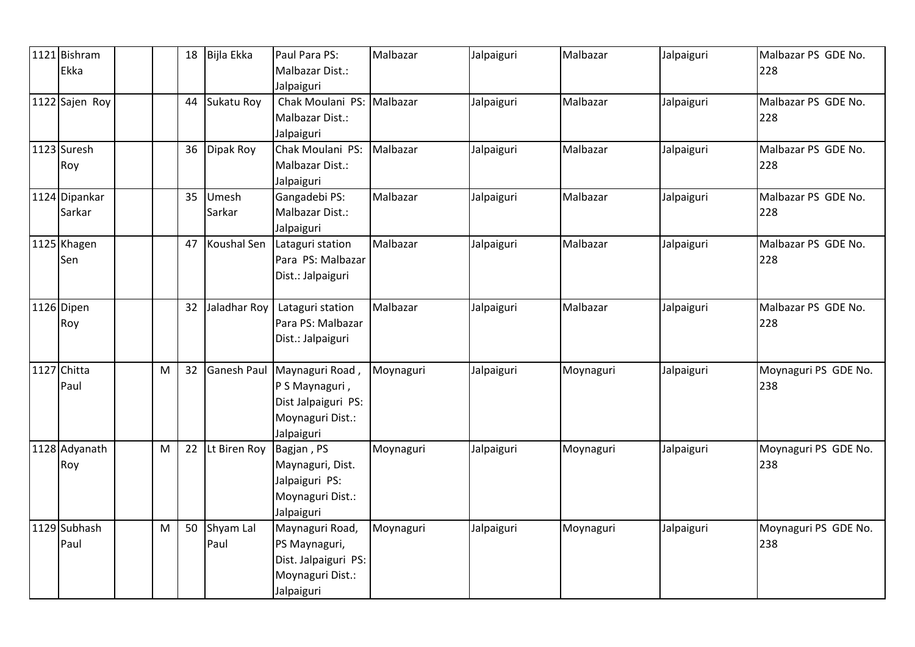| 1121 Bishram   |   | 18 | Bijla Ekka   | Paul Para PS:        | Malbazar  | Jalpaiguri | Malbazar  | Jalpaiguri | Malbazar PS GDE No.  |
|----------------|---|----|--------------|----------------------|-----------|------------|-----------|------------|----------------------|
| Ekka           |   |    |              | Malbazar Dist.:      |           |            |           |            | 228                  |
|                |   |    |              | Jalpaiguri           |           |            |           |            |                      |
| 1122 Sajen Roy |   | 44 | Sukatu Roy   | Chak Moulani PS:     | Malbazar  | Jalpaiguri | Malbazar  | Jalpaiguri | Malbazar PS GDE No.  |
|                |   |    |              | Malbazar Dist.:      |           |            |           |            | 228                  |
|                |   |    |              | Jalpaiguri           |           |            |           |            |                      |
| 1123 Suresh    |   | 36 | Dipak Roy    | Chak Moulani PS:     | Malbazar  | Jalpaiguri | Malbazar  | Jalpaiguri | Malbazar PS GDE No.  |
| Roy            |   |    |              | Malbazar Dist.:      |           |            |           |            | 228                  |
|                |   |    |              | Jalpaiguri           |           |            |           |            |                      |
| 1124 Dipankar  |   | 35 | Umesh        | Gangadebi PS:        | Malbazar  | Jalpaiguri | Malbazar  | Jalpaiguri | Malbazar PS GDE No.  |
| Sarkar         |   |    | Sarkar       | Malbazar Dist.:      |           |            |           |            | 228                  |
|                |   |    |              | Jalpaiguri           |           |            |           |            |                      |
| 1125 Khagen    |   | 47 | Koushal Sen  | Lataguri station     | Malbazar  | Jalpaiguri | Malbazar  | Jalpaiguri | Malbazar PS GDE No.  |
| Sen            |   |    |              | Para PS: Malbazar    |           |            |           |            | 228                  |
|                |   |    |              | Dist.: Jalpaiguri    |           |            |           |            |                      |
|                |   |    |              |                      |           |            |           |            |                      |
| 1126 Dipen     |   | 32 | Jaladhar Roy | Lataguri station     | Malbazar  | Jalpaiguri | Malbazar  | Jalpaiguri | Malbazar PS GDE No.  |
| Roy            |   |    |              | Para PS: Malbazar    |           |            |           |            | 228                  |
|                |   |    |              | Dist.: Jalpaiguri    |           |            |           |            |                      |
|                |   |    |              |                      |           |            |           |            |                      |
| 1127 Chitta    | M | 32 | Ganesh Paul  | Maynaguri Road,      | Moynaguri | Jalpaiguri | Moynaguri | Jalpaiguri | Moynaguri PS GDE No. |
| Paul           |   |    |              | P S Maynaguri,       |           |            |           |            | 238                  |
|                |   |    |              | Dist Jalpaiguri PS:  |           |            |           |            |                      |
|                |   |    |              | Moynaguri Dist.:     |           |            |           |            |                      |
|                |   |    |              | Jalpaiguri           |           |            |           |            |                      |
| 1128 Adyanath  | M | 22 | Lt Biren Roy | Bagjan, PS           | Moynaguri | Jalpaiguri | Moynaguri | Jalpaiguri | Moynaguri PS GDE No. |
| Roy            |   |    |              | Maynaguri, Dist.     |           |            |           |            | 238                  |
|                |   |    |              | Jalpaiguri PS:       |           |            |           |            |                      |
|                |   |    |              | Moynaguri Dist.:     |           |            |           |            |                      |
|                |   |    |              | Jalpaiguri           |           |            |           |            |                      |
| 1129 Subhash   | M | 50 | Shyam Lal    | Maynaguri Road,      | Moynaguri | Jalpaiguri | Moynaguri | Jalpaiguri | Moynaguri PS GDE No. |
| Paul           |   |    | Paul         | PS Maynaguri,        |           |            |           |            | 238                  |
|                |   |    |              | Dist. Jalpaiguri PS: |           |            |           |            |                      |
|                |   |    |              | Moynaguri Dist.:     |           |            |           |            |                      |
|                |   |    |              | Jalpaiguri           |           |            |           |            |                      |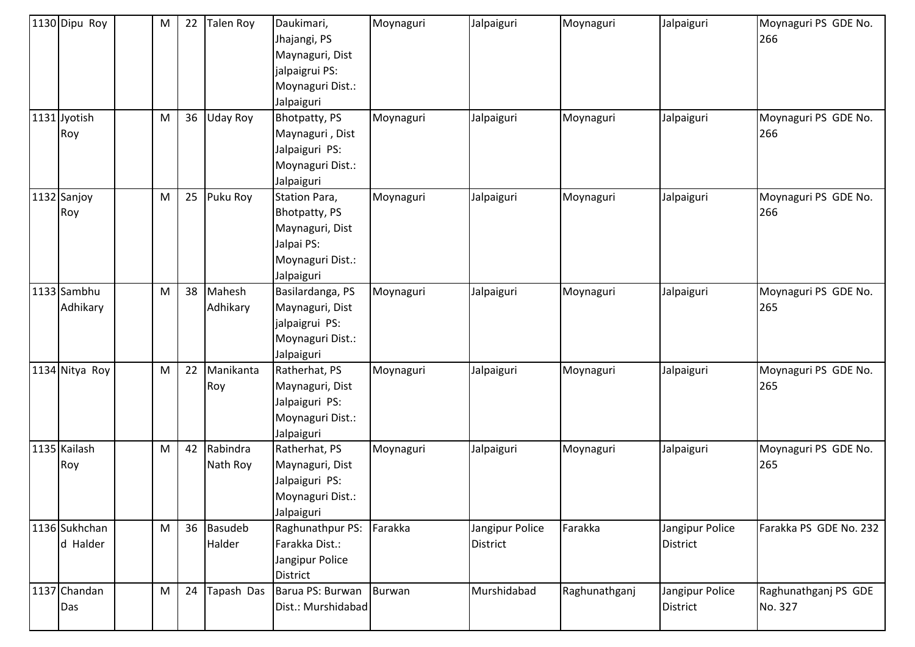| 1130 Dipu Roy             | M | 22 | Talen Roy                | Daukimari,<br>Jhajangi, PS<br>Maynaguri, Dist<br>jalpaigrui PS:<br>Moynaguri Dist.:<br>Jalpaiguri        | Moynaguri | Jalpaiguri                         | Moynaguri     | Jalpaiguri                         | Moynaguri PS GDE No.<br>266     |
|---------------------------|---|----|--------------------------|----------------------------------------------------------------------------------------------------------|-----------|------------------------------------|---------------|------------------------------------|---------------------------------|
| 1131 Jyotish<br>Roy       | M | 36 | Uday Roy                 | Bhotpatty, PS<br>Maynaguri, Dist<br>Jalpaiguri PS:<br>Moynaguri Dist.:<br>Jalpaiguri                     | Moynaguri | Jalpaiguri                         | Moynaguri     | Jalpaiguri                         | Moynaguri PS GDE No.<br>266     |
| 1132 Sanjoy<br>Roy        | M | 25 | Puku Roy                 | Station Para,<br><b>Bhotpatty, PS</b><br>Maynaguri, Dist<br>Jalpai PS:<br>Moynaguri Dist.:<br>Jalpaiguri | Moynaguri | Jalpaiguri                         | Moynaguri     | Jalpaiguri                         | Moynaguri PS GDE No.<br>266     |
| 1133 Sambhu<br>Adhikary   | M | 38 | Mahesh<br>Adhikary       | Basilardanga, PS<br>Maynaguri, Dist<br>jalpaigrui PS:<br>Moynaguri Dist.:<br>Jalpaiguri                  | Moynaguri | Jalpaiguri                         | Moynaguri     | Jalpaiguri                         | Moynaguri PS GDE No.<br>265     |
| 1134 Nitya Roy            | M | 22 | Manikanta<br>Roy         | Ratherhat, PS<br>Maynaguri, Dist<br>Jalpaiguri PS:<br>Moynaguri Dist.:<br>Jalpaiguri                     | Moynaguri | Jalpaiguri                         | Moynaguri     | Jalpaiguri                         | Moynaguri PS GDE No.<br>265     |
| 1135 Kailash<br>Roy       | M | 42 | Rabindra<br>Nath Roy     | Ratherhat, PS<br>Maynaguri, Dist<br>Jalpaiguri PS:<br>Moynaguri Dist.:<br>Jalpaiguri                     | Moynaguri | Jalpaiguri                         | Moynaguri     | Jalpaiguri                         | Moynaguri PS GDE No.<br>265     |
| 1136 Sukhchan<br>d Halder | M | 36 | <b>Basudeb</b><br>Halder | Raghunathpur PS:<br>Farakka Dist.:<br>Jangipur Police<br><b>District</b>                                 | Farakka   | Jangipur Police<br><b>District</b> | Farakka       | Jangipur Police<br><b>District</b> | Farakka PS GDE No. 232          |
| 1137 Chandan<br>Das       | M | 24 | Tapash Das               | Barua PS: Burwan<br>Dist.: Murshidabad                                                                   | Burwan    | Murshidabad                        | Raghunathganj | Jangipur Police<br><b>District</b> | Raghunathganj PS GDE<br>No. 327 |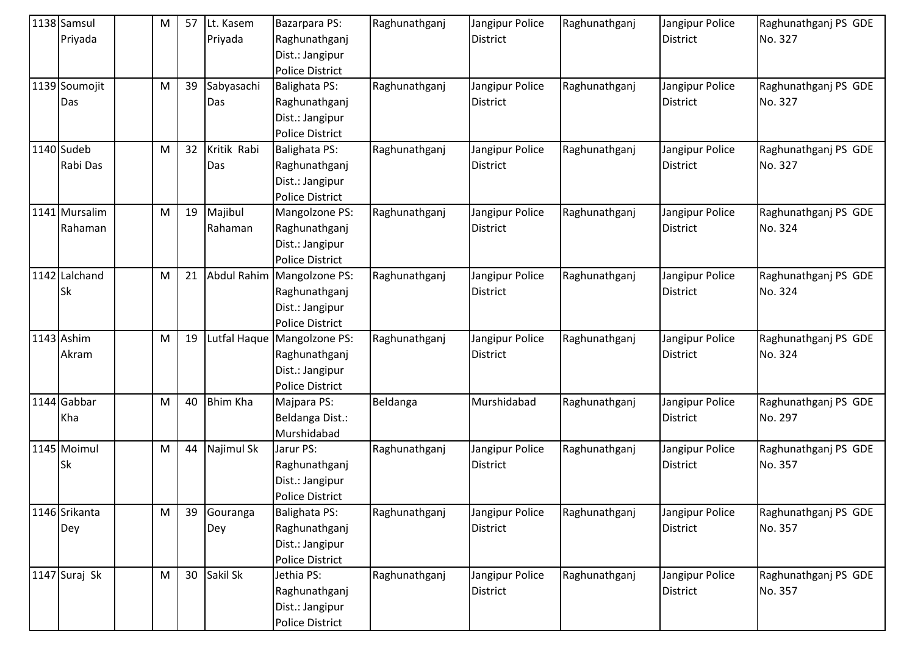| 1138 Samsul   | м | 57 | Lt. Kasem       | <b>Bazarpara PS:</b>         | Raghunathganj | Jangipur Police | Raghunathganj | Jangipur Police | Raghunathganj PS GDE |
|---------------|---|----|-----------------|------------------------------|---------------|-----------------|---------------|-----------------|----------------------|
| Priyada       |   |    | Priyada         | Raghunathganj                |               | <b>District</b> |               | <b>District</b> | No. 327              |
|               |   |    |                 | Dist.: Jangipur              |               |                 |               |                 |                      |
|               |   |    |                 | <b>Police District</b>       |               |                 |               |                 |                      |
| 1139 Soumojit | M | 39 | Sabyasachi      | <b>Balighata PS:</b>         | Raghunathganj | Jangipur Police | Raghunathganj | Jangipur Police | Raghunathganj PS GDE |
| Das           |   |    | Das             | Raghunathganj                |               | <b>District</b> |               | <b>District</b> | No. 327              |
|               |   |    |                 | Dist.: Jangipur              |               |                 |               |                 |                      |
|               |   |    |                 | <b>Police District</b>       |               |                 |               |                 |                      |
| 1140 Sudeb    | M | 32 | Kritik Rabi     | <b>Balighata PS:</b>         | Raghunathganj | Jangipur Police | Raghunathganj | Jangipur Police | Raghunathganj PS GDE |
| Rabi Das      |   |    | Das             | Raghunathganj                |               | <b>District</b> |               | <b>District</b> | No. 327              |
|               |   |    |                 | Dist.: Jangipur              |               |                 |               |                 |                      |
|               |   |    |                 | <b>Police District</b>       |               |                 |               |                 |                      |
| 1141 Mursalim | M | 19 | Majibul         | Mangolzone PS:               | Raghunathganj | Jangipur Police | Raghunathganj | Jangipur Police | Raghunathganj PS GDE |
| Rahaman       |   |    | Rahaman         | Raghunathganj                |               | <b>District</b> |               | <b>District</b> | No. 324              |
|               |   |    |                 | Dist.: Jangipur              |               |                 |               |                 |                      |
|               |   |    |                 | <b>Police District</b>       |               |                 |               |                 |                      |
| 1142 Lalchand | M | 21 |                 | Abdul Rahim   Mangolzone PS: | Raghunathganj | Jangipur Police | Raghunathganj | Jangipur Police | Raghunathganj PS GDE |
| <b>Sk</b>     |   |    |                 | Raghunathganj                |               | <b>District</b> |               | <b>District</b> | No. 324              |
|               |   |    |                 | Dist.: Jangipur              |               |                 |               |                 |                      |
|               |   |    |                 | <b>Police District</b>       |               |                 |               |                 |                      |
| 1143 Ashim    | M | 19 |                 | Lutfal Haque Mangolzone PS:  | Raghunathganj | Jangipur Police | Raghunathganj | Jangipur Police | Raghunathganj PS GDE |
| Akram         |   |    |                 | Raghunathganj                |               | <b>District</b> |               | <b>District</b> | No. 324              |
|               |   |    |                 | Dist.: Jangipur              |               |                 |               |                 |                      |
|               |   |    |                 | <b>Police District</b>       |               |                 |               |                 |                      |
| 1144 Gabbar   | M | 40 | <b>Bhim Kha</b> | Majpara PS:                  | Beldanga      | Murshidabad     | Raghunathganj | Jangipur Police | Raghunathganj PS GDE |
| Kha           |   |    |                 | Beldanga Dist.:              |               |                 |               | <b>District</b> | No. 297              |
|               |   |    |                 | Murshidabad                  |               |                 |               |                 |                      |
| 1145 Moimul   | M | 44 | Najimul Sk      | Jarur PS:                    | Raghunathganj | Jangipur Police | Raghunathganj | Jangipur Police | Raghunathganj PS GDE |
| Sk            |   |    |                 | Raghunathganj                |               | <b>District</b> |               | <b>District</b> | No. 357              |
|               |   |    |                 | Dist.: Jangipur              |               |                 |               |                 |                      |
|               |   |    |                 | <b>Police District</b>       |               |                 |               |                 |                      |
| 1146 Srikanta | M | 39 | Gouranga        | <b>Balighata PS:</b>         | Raghunathganj | Jangipur Police | Raghunathganj | Jangipur Police | Raghunathganj PS GDE |
| Dey           |   |    | Dey             | Raghunathganj                |               | <b>District</b> |               | <b>District</b> | No. 357              |
|               |   |    |                 | Dist.: Jangipur              |               |                 |               |                 |                      |
|               |   |    |                 | <b>Police District</b>       |               |                 |               |                 |                      |
| 1147 Suraj Sk | M | 30 | Sakil Sk        | Jethia PS:                   | Raghunathganj | Jangipur Police | Raghunathganj | Jangipur Police | Raghunathganj PS GDE |
|               |   |    |                 | Raghunathganj                |               | <b>District</b> |               | <b>District</b> | No. 357              |
|               |   |    |                 | Dist.: Jangipur              |               |                 |               |                 |                      |
|               |   |    |                 | <b>Police District</b>       |               |                 |               |                 |                      |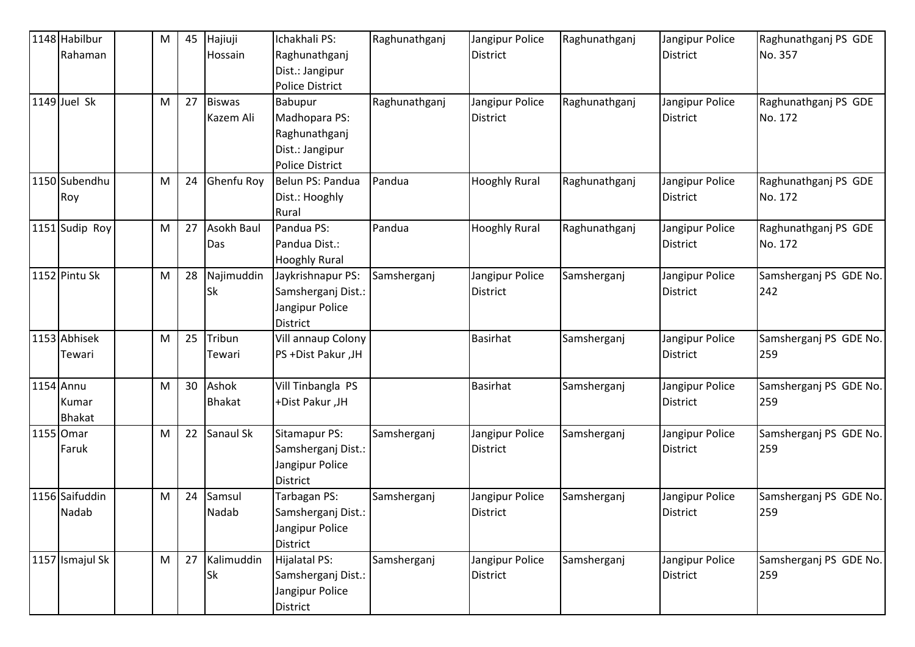| 1148 Habilbur   | M | 45 | Hajiuji       | Ichakhali PS:          | Raghunathganj | Jangipur Police      | Raghunathganj | Jangipur Police | Raghunathganj PS GDE   |
|-----------------|---|----|---------------|------------------------|---------------|----------------------|---------------|-----------------|------------------------|
| Rahaman         |   |    | Hossain       | Raghunathganj          |               | <b>District</b>      |               | <b>District</b> | No. 357                |
|                 |   |    |               | Dist.: Jangipur        |               |                      |               |                 |                        |
|                 |   |    |               | Police District        |               |                      |               |                 |                        |
| $1149$ Juel Sk  | M | 27 | <b>Biswas</b> | Babupur                | Raghunathganj | Jangipur Police      | Raghunathganj | Jangipur Police | Raghunathganj PS GDE   |
|                 |   |    | Kazem Ali     | Madhopara PS:          |               | <b>District</b>      |               | <b>District</b> | No. 172                |
|                 |   |    |               | Raghunathganj          |               |                      |               |                 |                        |
|                 |   |    |               | Dist.: Jangipur        |               |                      |               |                 |                        |
|                 |   |    |               | <b>Police District</b> |               |                      |               |                 |                        |
| 1150 Subendhu   | M | 24 | Ghenfu Roy    | Belun PS: Pandua       | Pandua        | <b>Hooghly Rural</b> | Raghunathganj | Jangipur Police | Raghunathganj PS GDE   |
| Roy             |   |    |               | Dist.: Hooghly         |               |                      |               | <b>District</b> | No. 172                |
|                 |   |    |               | Rural                  |               |                      |               |                 |                        |
| 1151 Sudip Roy  | M | 27 | Asokh Baul    | Pandua PS:             | Pandua        | <b>Hooghly Rural</b> | Raghunathganj | Jangipur Police | Raghunathganj PS GDE   |
|                 |   |    | Das           | Pandua Dist.:          |               |                      |               | <b>District</b> | No. 172                |
|                 |   |    |               | <b>Hooghly Rural</b>   |               |                      |               |                 |                        |
| 1152 Pintu Sk   | M | 28 | Najimuddin    | Jaykrishnapur PS:      | Samsherganj   | Jangipur Police      | Samsherganj   | Jangipur Police | Samsherganj PS GDE No. |
|                 |   |    | Sk            | Samsherganj Dist.:     |               | <b>District</b>      |               | <b>District</b> | 242                    |
|                 |   |    |               | Jangipur Police        |               |                      |               |                 |                        |
|                 |   |    |               | <b>District</b>        |               |                      |               |                 |                        |
| 1153 Abhisek    | M | 25 | Tribun        | Vill annaup Colony     |               | <b>Basirhat</b>      | Samsherganj   | Jangipur Police | Samsherganj PS GDE No. |
| Tewari          |   |    | Tewari        | PS +Dist Pakur ,JH     |               |                      |               | <b>District</b> | 259                    |
| 1154 Annu       | M | 30 | Ashok         | Vill Tinbangla PS      |               | <b>Basirhat</b>      | Samsherganj   | Jangipur Police | Samsherganj PS GDE No. |
| Kumar           |   |    | <b>Bhakat</b> | +Dist Pakur ,JH        |               |                      |               | <b>District</b> | 259                    |
| <b>Bhakat</b>   |   |    |               |                        |               |                      |               |                 |                        |
| 1155 Omar       | M | 22 | Sanaul Sk     | Sitamapur PS:          | Samsherganj   | Jangipur Police      | Samsherganj   | Jangipur Police | Samsherganj PS GDE No. |
| Faruk           |   |    |               | Samsherganj Dist.:     |               | <b>District</b>      |               | <b>District</b> | 259                    |
|                 |   |    |               | Jangipur Police        |               |                      |               |                 |                        |
|                 |   |    |               | <b>District</b>        |               |                      |               |                 |                        |
| 1156 Saifuddin  | M | 24 | Samsul        | Tarbagan PS:           | Samsherganj   | Jangipur Police      | Samsherganj   | Jangipur Police | Samsherganj PS GDE No. |
| Nadab           |   |    | Nadab         | Samsherganj Dist.:     |               | <b>District</b>      |               | <b>District</b> | 259                    |
|                 |   |    |               | Jangipur Police        |               |                      |               |                 |                        |
|                 |   |    |               | District               |               |                      |               |                 |                        |
| 1157 Ismajul Sk | M | 27 | Kalimuddin    | Hijalatal PS:          | Samsherganj   | Jangipur Police      | Samsherganj   | Jangipur Police | Samsherganj PS GDE No. |
|                 |   |    | Sk            | Samsherganj Dist.:     |               | <b>District</b>      |               | <b>District</b> | 259                    |
|                 |   |    |               | Jangipur Police        |               |                      |               |                 |                        |
|                 |   |    |               | <b>District</b>        |               |                      |               |                 |                        |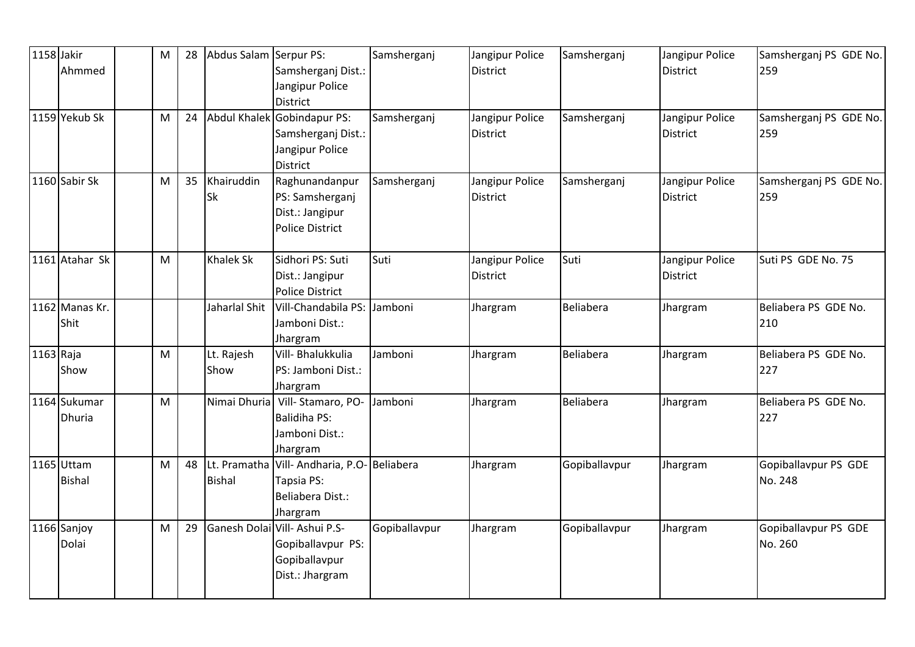| 1158 Jakir  |                | M | 28 | Abdus Salam Serpur PS: |                                           | Samsherganj   | Jangipur Police | Samsherganj   | Jangipur Police | Samsherganj PS GDE No. |
|-------------|----------------|---|----|------------------------|-------------------------------------------|---------------|-----------------|---------------|-----------------|------------------------|
|             | Ahmmed         |   |    |                        | Samsherganj Dist.:                        |               | <b>District</b> |               | <b>District</b> | 259                    |
|             |                |   |    |                        | Jangipur Police                           |               |                 |               |                 |                        |
|             |                |   |    |                        | <b>District</b>                           |               |                 |               |                 |                        |
|             | 1159 Yekub Sk  | M | 24 |                        | Abdul Khalek Gobindapur PS:               | Samsherganj   | Jangipur Police | Samsherganj   | Jangipur Police | Samsherganj PS GDE No. |
|             |                |   |    |                        | Samsherganj Dist.:                        |               | <b>District</b> |               | <b>District</b> | 259                    |
|             |                |   |    |                        | Jangipur Police                           |               |                 |               |                 |                        |
|             |                |   |    |                        | District                                  |               |                 |               |                 |                        |
|             | 1160 Sabir Sk  | M | 35 | Khairuddin             | Raghunandanpur                            | Samsherganj   | Jangipur Police | Samsherganj   | Jangipur Police | Samsherganj PS GDE No. |
|             |                |   |    | <b>Sk</b>              | PS: Samsherganj                           |               | <b>District</b> |               | <b>District</b> | 259                    |
|             |                |   |    |                        | Dist.: Jangipur                           |               |                 |               |                 |                        |
|             |                |   |    |                        | <b>Police District</b>                    |               |                 |               |                 |                        |
|             | 1161 Atahar Sk | M |    | <b>Khalek Sk</b>       | Sidhori PS: Suti                          | Suti          | Jangipur Police | Suti          | Jangipur Police | Suti PS GDE No. 75     |
|             |                |   |    |                        | Dist.: Jangipur                           |               | <b>District</b> |               | <b>District</b> |                        |
|             |                |   |    |                        | <b>Police District</b>                    |               |                 |               |                 |                        |
|             | 1162 Manas Kr. |   |    | Jaharlal Shit          | Vill-Chandabila PS:                       | Jamboni       | Jhargram        | Beliabera     | Jhargram        | Beliabera PS GDE No.   |
|             | Shit           |   |    |                        | Jamboni Dist.:                            |               |                 |               |                 | 210                    |
|             |                |   |    |                        | Jhargram                                  |               |                 |               |                 |                        |
| $1163$ Raja |                | M |    | Lt. Rajesh             | Vill- Bhalukkulia                         | Jamboni       | Jhargram        | Beliabera     | Jhargram        | Beliabera PS GDE No.   |
|             | Show           |   |    | Show                   | PS: Jamboni Dist.:                        |               |                 |               |                 | 227                    |
|             |                |   |    |                        | Jhargram                                  |               |                 |               |                 |                        |
|             | 1164 Sukumar   | M |    | Nimai Dhuria           | Vill-Stamaro, PO-                         | Jamboni       | Jhargram        | Beliabera     | Jhargram        | Beliabera PS GDE No.   |
|             | <b>Dhuria</b>  |   |    |                        | <b>Balidiha PS:</b>                       |               |                 |               |                 | 227                    |
|             |                |   |    |                        | Jamboni Dist.:                            |               |                 |               |                 |                        |
|             |                |   |    |                        | Jhargram                                  |               |                 |               |                 |                        |
|             | 1165 Uttam     | M | 48 |                        | Lt. Pramatha Vill-Andharia, P.O-Beliabera |               | Jhargram        | Gopiballavpur | Jhargram        | Gopiballavpur PS GDE   |
|             | <b>Bishal</b>  |   |    | <b>Bishal</b>          | Tapsia PS:                                |               |                 |               |                 | No. 248                |
|             |                |   |    |                        | Beliabera Dist.:                          |               |                 |               |                 |                        |
|             |                |   |    |                        | Jhargram                                  |               |                 |               |                 |                        |
|             | 1166 Sanjoy    | M | 29 |                        | Ganesh Dolai Vill- Ashui P.S-             | Gopiballavpur | Jhargram        | Gopiballavpur | Jhargram        | Gopiballavpur PS GDE   |
|             | Dolai          |   |    |                        | Gopiballavpur PS:                         |               |                 |               |                 | No. 260                |
|             |                |   |    |                        | Gopiballavpur                             |               |                 |               |                 |                        |
|             |                |   |    |                        | Dist.: Jhargram                           |               |                 |               |                 |                        |
|             |                |   |    |                        |                                           |               |                 |               |                 |                        |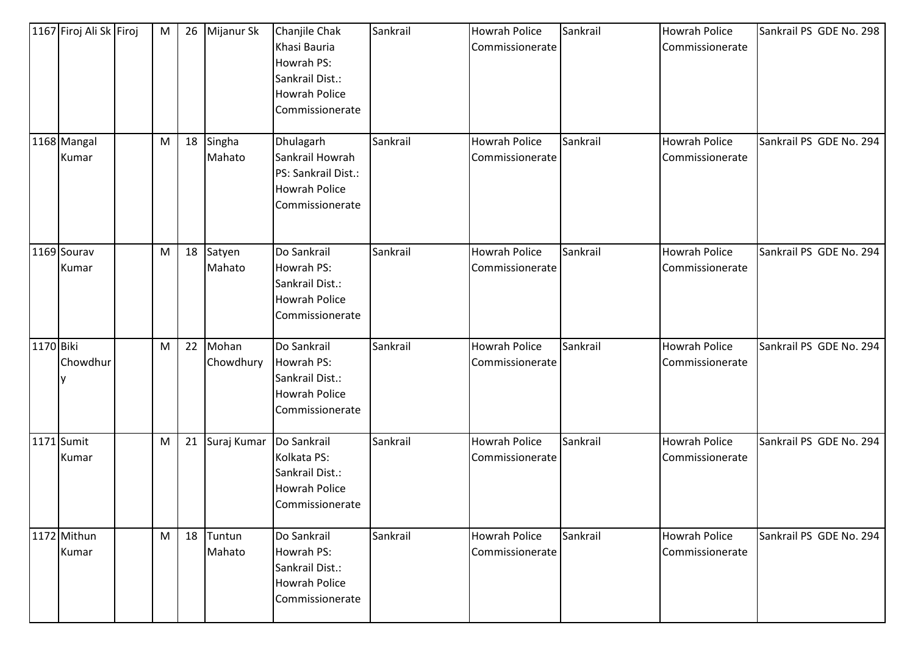|           | 1167 Firoj Ali Sk Firoj | M         | 26 | Mijanur Sk         | Chanjile Chak<br>Khasi Bauria<br>Howrah PS:<br>Sankrail Dist.:<br><b>Howrah Police</b><br>Commissionerate | Sankrail | Howrah Police<br>Commissionerate        | Sankrail | <b>Howrah Police</b><br>Commissionerate | Sankrail PS GDE No. 298 |
|-----------|-------------------------|-----------|----|--------------------|-----------------------------------------------------------------------------------------------------------|----------|-----------------------------------------|----------|-----------------------------------------|-------------------------|
|           | 1168 Mangal<br>Kumar    | M         | 18 | Singha<br>Mahato   | Dhulagarh<br>Sankrail Howrah<br>PS: Sankrail Dist.:<br><b>Howrah Police</b><br>Commissionerate            | Sankrail | <b>Howrah Police</b><br>Commissionerate | Sankrail | <b>Howrah Police</b><br>Commissionerate | Sankrail PS GDE No. 294 |
|           | 1169 Sourav<br>Kumar    | ${\sf M}$ | 18 | Satyen<br>Mahato   | Do Sankrail<br>Howrah PS:<br>Sankrail Dist.:<br><b>Howrah Police</b><br>Commissionerate                   | Sankrail | <b>Howrah Police</b><br>Commissionerate | Sankrail | <b>Howrah Police</b><br>Commissionerate | Sankrail PS GDE No. 294 |
| 1170 Biki | Chowdhur                | M         | 22 | Mohan<br>Chowdhury | Do Sankrail<br>Howrah PS:<br>Sankrail Dist.:<br><b>Howrah Police</b><br>Commissionerate                   | Sankrail | Howrah Police<br>Commissionerate        | Sankrail | <b>Howrah Police</b><br>Commissionerate | Sankrail PS GDE No. 294 |
|           | 1171 Sumit<br>Kumar     | ${\sf M}$ | 21 | Suraj Kumar        | Do Sankrail<br>Kolkata PS:<br>Sankrail Dist.:<br><b>Howrah Police</b><br>Commissionerate                  | Sankrail | <b>Howrah Police</b><br>Commissionerate | Sankrail | <b>Howrah Police</b><br>Commissionerate | Sankrail PS GDE No. 294 |
|           | 1172 Mithun<br>Kumar    | M         | 18 | Tuntun<br>Mahato   | Do Sankrail<br>Howrah PS:<br>Sankrail Dist.:<br><b>Howrah Police</b><br>Commissionerate                   | Sankrail | <b>Howrah Police</b><br>Commissionerate | Sankrail | <b>Howrah Police</b><br>Commissionerate | Sankrail PS GDE No. 294 |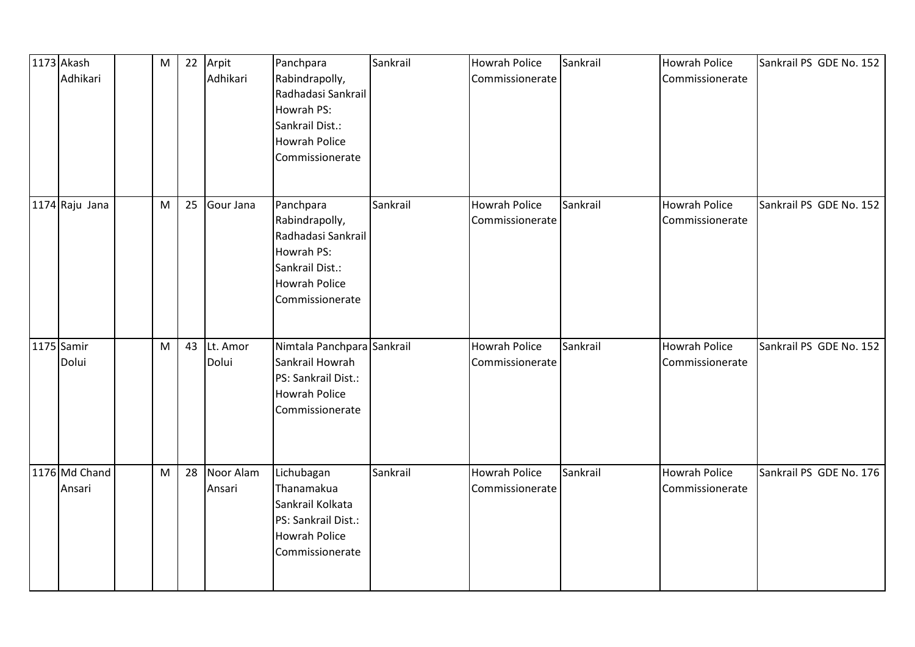| 1173 Akash<br>Adhikari  | M | 22 | Arpit<br>Adhikari   | Panchpara<br>Rabindrapolly,<br>Radhadasi Sankrail<br>Howrah PS:<br>Sankrail Dist.:<br><b>Howrah Police</b><br>Commissionerate | Sankrail | <b>Howrah Police</b><br>Commissionerate | Sankrail | <b>Howrah Police</b><br>Commissionerate | Sankrail PS GDE No. 152 |
|-------------------------|---|----|---------------------|-------------------------------------------------------------------------------------------------------------------------------|----------|-----------------------------------------|----------|-----------------------------------------|-------------------------|
| 1174 Raju Jana          | M | 25 | Gour Jana           | Panchpara<br>Rabindrapolly,<br>Radhadasi Sankrail<br>Howrah PS:<br>Sankrail Dist.:<br><b>Howrah Police</b><br>Commissionerate | Sankrail | <b>Howrah Police</b><br>Commissionerate | Sankrail | <b>Howrah Police</b><br>Commissionerate | Sankrail PS GDE No. 152 |
| 1175 Samir<br>Dolui     | M | 43 | Lt. Amor<br>Dolui   | Nimtala Panchpara Sankrail<br>Sankrail Howrah<br>PS: Sankrail Dist.:<br><b>Howrah Police</b><br>Commissionerate               |          | <b>Howrah Police</b><br>Commissionerate | Sankrail | <b>Howrah Police</b><br>Commissionerate | Sankrail PS GDE No. 152 |
| 1176 Md Chand<br>Ansari | M | 28 | Noor Alam<br>Ansari | Lichubagan<br>Thanamakua<br>Sankrail Kolkata<br>PS: Sankrail Dist.:<br><b>Howrah Police</b><br>Commissionerate                | Sankrail | <b>Howrah Police</b><br>Commissionerate | Sankrail | <b>Howrah Police</b><br>Commissionerate | Sankrail PS GDE No. 176 |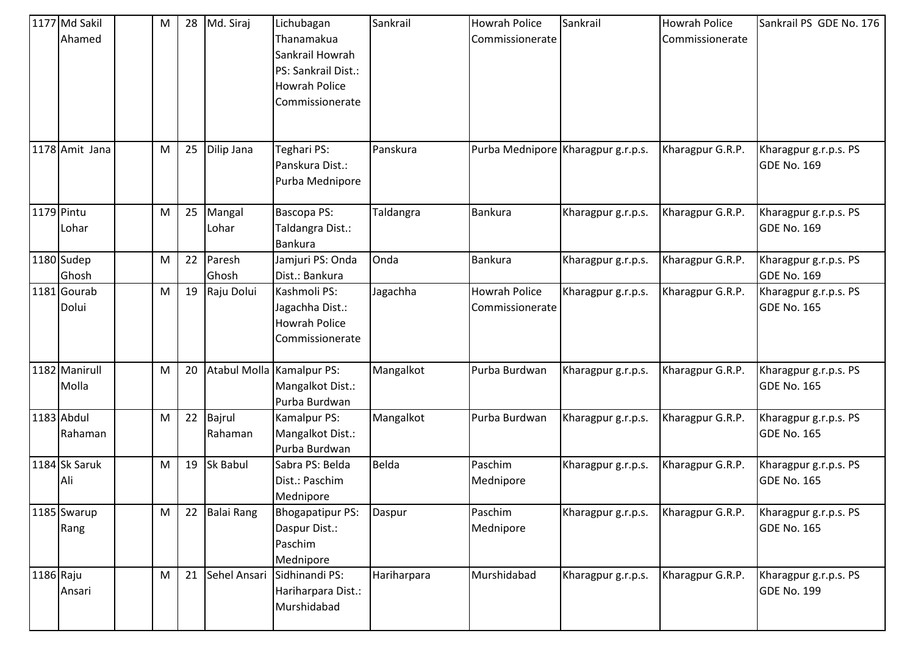|           | 1177 Md Sakil<br>Ahamed | М | 28 | Md. Siraj         | Lichubagan<br>Thanamakua<br>Sankrail Howrah<br>PS: Sankrail Dist.:<br><b>Howrah Police</b><br>Commissionerate | Sankrail     | <b>Howrah Police</b><br>Commissionerate | Sankrail           | <b>Howrah Police</b><br>Commissionerate | Sankrail PS GDE No. 176                     |
|-----------|-------------------------|---|----|-------------------|---------------------------------------------------------------------------------------------------------------|--------------|-----------------------------------------|--------------------|-----------------------------------------|---------------------------------------------|
|           | 1178 Amit Jana          | M | 25 | Dilip Jana        | Teghari PS:<br>Panskura Dist.:<br>Purba Mednipore                                                             | Panskura     | Purba Mednipore Kharagpur g.r.p.s.      |                    | Kharagpur G.R.P.                        | Kharagpur g.r.p.s. PS<br><b>GDE No. 169</b> |
|           | 1179 Pintu<br>Lohar     | M | 25 | Mangal<br>Lohar   | Bascopa PS:<br>Taldangra Dist.:<br><b>Bankura</b>                                                             | Taldangra    | <b>Bankura</b>                          | Kharagpur g.r.p.s. | Kharagpur G.R.P.                        | Kharagpur g.r.p.s. PS<br><b>GDE No. 169</b> |
|           | 1180 Sudep<br>Ghosh     | M | 22 | Paresh<br>Ghosh   | Jamjuri PS: Onda<br>Dist.: Bankura                                                                            | Onda         | <b>Bankura</b>                          | Kharagpur g.r.p.s. | Kharagpur G.R.P.                        | Kharagpur g.r.p.s. PS<br>GDE No. 169        |
|           | 1181 Gourab<br>Dolui    | M | 19 | Raju Dolui        | Kashmoli PS:<br>Jagachha Dist.:<br><b>Howrah Police</b><br>Commissionerate                                    | Jagachha     | <b>Howrah Police</b><br>Commissionerate | Kharagpur g.r.p.s. | Kharagpur G.R.P.                        | Kharagpur g.r.p.s. PS<br>GDE No. 165        |
|           | 1182 Manirull<br>Molla  | M | 20 |                   | Atabul Molla Kamalpur PS:<br>Mangalkot Dist.:<br>Purba Burdwan                                                | Mangalkot    | Purba Burdwan                           | Kharagpur g.r.p.s. | Kharagpur G.R.P.                        | Kharagpur g.r.p.s. PS<br><b>GDE No. 165</b> |
|           | 1183 Abdul<br>Rahaman   | M | 22 | Bajrul<br>Rahaman | Kamalpur PS:<br>Mangalkot Dist.:<br>Purba Burdwan                                                             | Mangalkot    | Purba Burdwan                           | Kharagpur g.r.p.s. | Kharagpur G.R.P.                        | Kharagpur g.r.p.s. PS<br><b>GDE No. 165</b> |
|           | 1184 Sk Saruk<br>Ali    | M | 19 | <b>Sk Babul</b>   | Sabra PS: Belda<br>Dist.: Paschim<br>Mednipore                                                                | <b>Belda</b> | Paschim<br>Mednipore                    | Kharagpur g.r.p.s. | Kharagpur G.R.P.                        | Kharagpur g.r.p.s. PS<br><b>GDE No. 165</b> |
|           | 1185 Swarup<br>Rang     | М | 22 | <b>Balai Rang</b> | <b>Bhogapatipur PS:</b><br>Daspur Dist.:<br>Paschim<br>Mednipore                                              | Daspur       | Paschim<br>Mednipore                    | Kharagpur g.r.p.s. | Kharagpur G.R.P.                        | Kharagpur g.r.p.s. PS<br>GDE No. 165        |
| 1186 Raju | Ansari                  | M | 21 |                   | Sehel Ansari Sidhinandi PS:<br>Hariharpara Dist.:<br>Murshidabad                                              | Hariharpara  | Murshidabad                             | Kharagpur g.r.p.s. | Kharagpur G.R.P.                        | Kharagpur g.r.p.s. PS<br><b>GDE No. 199</b> |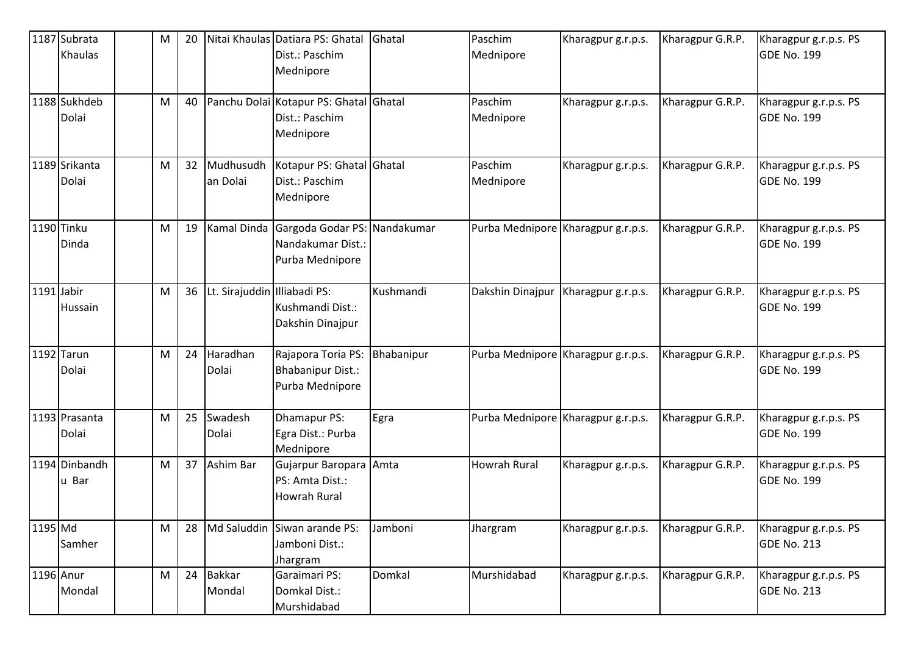|            | 1187 Subrata<br>Khaulas | M | 20 |                              | Nitai Khaulas Datiara PS: Ghatal<br>Dist.: Paschim<br>Mednipore       | Ghatal     | Paschim<br>Mednipore               | Kharagpur g.r.p.s. | Kharagpur G.R.P. | Kharagpur g.r.p.s. PS<br>GDE No. 199        |
|------------|-------------------------|---|----|------------------------------|-----------------------------------------------------------------------|------------|------------------------------------|--------------------|------------------|---------------------------------------------|
|            | 1188 Sukhdeb<br>Dolai   | M | 40 |                              | Panchu Dolai Kotapur PS: Ghatal Ghatal<br>Dist.: Paschim<br>Mednipore |            | Paschim<br>Mednipore               | Kharagpur g.r.p.s. | Kharagpur G.R.P. | Kharagpur g.r.p.s. PS<br>GDE No. 199        |
|            | 1189 Srikanta<br>Dolai  | M | 32 | Mudhusudh<br>an Dolai        | Kotapur PS: Ghatal Ghatal<br>Dist.: Paschim<br>Mednipore              |            | Paschim<br>Mednipore               | Kharagpur g.r.p.s. | Kharagpur G.R.P. | Kharagpur g.r.p.s. PS<br><b>GDE No. 199</b> |
|            | 1190 Tinku<br>Dinda     | M | 19 | Kamal Dinda                  | Gargoda Godar PS: Nandakumar<br>Nandakumar Dist.:<br>Purba Mednipore  |            | Purba Mednipore Kharagpur g.r.p.s. |                    | Kharagpur G.R.P. | Kharagpur g.r.p.s. PS<br>GDE No. 199        |
| 1191 Jabir | Hussain                 | M | 36 | Lt. Sirajuddin Illiabadi PS: | Kushmandi Dist.:<br>Dakshin Dinajpur                                  | Kushmandi  | Dakshin Dinajpur                   | Kharagpur g.r.p.s. | Kharagpur G.R.P. | Kharagpur g.r.p.s. PS<br>GDE No. 199        |
|            | 1192 Tarun<br>Dolai     | M | 24 | Haradhan<br>Dolai            | Rajapora Toria PS:<br><b>Bhabanipur Dist.:</b><br>Purba Mednipore     | Bhabanipur | Purba Mednipore Kharagpur g.r.p.s. |                    | Kharagpur G.R.P. | Kharagpur g.r.p.s. PS<br><b>GDE No. 199</b> |
|            | 1193 Prasanta<br>Dolai  | M | 25 | Swadesh<br>Dolai             | Dhamapur PS:<br>Egra Dist.: Purba<br>Mednipore                        | Egra       | Purba Mednipore Kharagpur g.r.p.s. |                    | Kharagpur G.R.P. | Kharagpur g.r.p.s. PS<br><b>GDE No. 199</b> |
|            | 1194 Dinbandh<br>u Bar  | M | 37 | Ashim Bar                    | Gujarpur Baropara Amta<br>PS: Amta Dist.:<br><b>Howrah Rural</b>      |            | <b>Howrah Rural</b>                | Kharagpur g.r.p.s. | Kharagpur G.R.P. | Kharagpur g.r.p.s. PS<br><b>GDE No. 199</b> |
| 1195 Md    | Samher                  | M | 28 | Md Saluddin                  | Siwan arande PS:<br>Jamboni Dist.:<br>Jhargram                        | Jamboni    | Jhargram                           | Kharagpur g.r.p.s. | Kharagpur G.R.P. | Kharagpur g.r.p.s. PS<br>GDE No. 213        |
| 1196 Anur  | Mondal                  | M | 24 | <b>Bakkar</b><br>Mondal      | Garaimari PS:<br>Domkal Dist.:<br>Murshidabad                         | Domkal     | Murshidabad                        | Kharagpur g.r.p.s. | Kharagpur G.R.P. | Kharagpur g.r.p.s. PS<br><b>GDE No. 213</b> |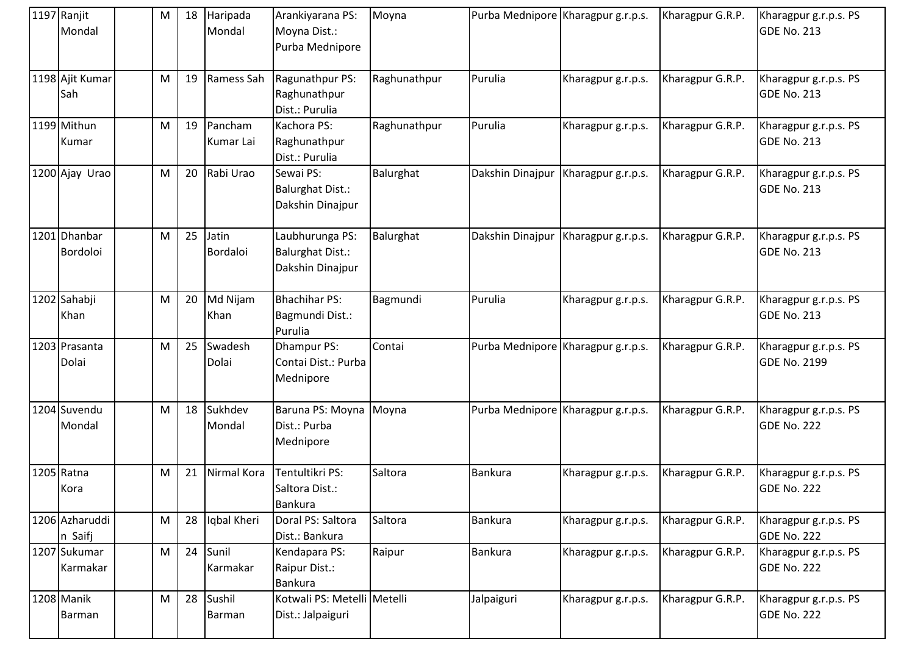| 1197 Ranjit<br>Mondal     | м                                                                                                          | 18 | Haripada<br>Mondal   | Arankiyarana PS:<br>Moyna Dist.:<br>Purba Mednipore            | Moyna        | Purba Mednipore Kharagpur g.r.p.s. |                    | Kharagpur G.R.P. | Kharagpur g.r.p.s. PS<br><b>GDE No. 213</b>  |
|---------------------------|------------------------------------------------------------------------------------------------------------|----|----------------------|----------------------------------------------------------------|--------------|------------------------------------|--------------------|------------------|----------------------------------------------|
| 1198 Ajit Kumar<br>Sah    | M                                                                                                          | 19 | Ramess Sah           | Ragunathpur PS:<br>Raghunathpur<br>Dist.: Purulia              | Raghunathpur | Purulia                            | Kharagpur g.r.p.s. | Kharagpur G.R.P. | Kharagpur g.r.p.s. PS<br><b>GDE No. 213</b>  |
| 1199 Mithun<br>Kumar      | M                                                                                                          | 19 | Pancham<br>Kumar Lai | Kachora PS:<br>Raghunathpur<br>Dist.: Purulia                  | Raghunathpur | Purulia                            | Kharagpur g.r.p.s. | Kharagpur G.R.P. | Kharagpur g.r.p.s. PS<br><b>GDE No. 213</b>  |
| 1200 Ajay Urao            | M                                                                                                          | 20 | Rabi Urao            | Sewai PS:<br><b>Balurghat Dist.:</b><br>Dakshin Dinajpur       | Balurghat    | Dakshin Dinajpur                   | Kharagpur g.r.p.s. | Kharagpur G.R.P. | Kharagpur g.r.p.s. PS<br><b>GDE No. 213</b>  |
| 1201 Dhanbar<br>Bordoloi  | M                                                                                                          | 25 | Jatin<br>Bordaloi    | Laubhurunga PS:<br><b>Balurghat Dist.:</b><br>Dakshin Dinajpur | Balurghat    | Dakshin Dinajpur                   | Kharagpur g.r.p.s. | Kharagpur G.R.P. | Kharagpur g.r.p.s. PS<br><b>GDE No. 213</b>  |
| 1202 Sahabji<br>Khan      | M                                                                                                          | 20 | Md Nijam<br>Khan     | <b>Bhachihar PS:</b><br>Bagmundi Dist.:<br>Purulia             | Bagmundi     | Purulia                            | Kharagpur g.r.p.s. | Kharagpur G.R.P. | Kharagpur g.r.p.s. PS<br><b>GDE No. 213</b>  |
| 1203 Prasanta<br>Dolai    | M                                                                                                          | 25 | Swadesh<br>Dolai     | Dhampur PS:<br>Contai Dist.: Purba<br>Mednipore                | Contai       | Purba Mednipore Kharagpur g.r.p.s. |                    | Kharagpur G.R.P. | Kharagpur g.r.p.s. PS<br><b>GDE No. 2199</b> |
| 1204 Suvendu<br>Mondal    | M                                                                                                          | 18 | Sukhdev<br>Mondal    | Baruna PS: Moyna<br>Dist.: Purba<br>Mednipore                  | Moyna        | Purba Mednipore Kharagpur g.r.p.s. |                    | Kharagpur G.R.P. | Kharagpur g.r.p.s. PS<br><b>GDE No. 222</b>  |
| 1205 Ratna<br>Kora        | M                                                                                                          | 21 | Nirmal Kora          | Tentultikri PS:<br>Saltora Dist.:<br><b>Bankura</b>            | Saltora      | <b>Bankura</b>                     | Kharagpur g.r.p.s. | Kharagpur G.R.P. | Kharagpur g.r.p.s. PS<br><b>GDE No. 222</b>  |
| 1206 Azharuddi<br>n Saifj | $\mathsf{M}% _{T}=\mathsf{M}_{T}\!\left( a,b\right) ,\ \mathsf{M}_{T}=\mathsf{M}_{T}\!\left( a,b\right) ,$ | 28 | Iqbal Kheri          | Doral PS: Saltora<br>Dist.: Bankura                            | Saltora      | <b>Bankura</b>                     | Kharagpur g.r.p.s. | Kharagpur G.R.P. | Kharagpur g.r.p.s. PS<br><b>GDE No. 222</b>  |
| 1207 Sukumar<br>Karmakar  | M                                                                                                          | 24 | Sunil<br>Karmakar    | Kendapara PS:<br>Raipur Dist.:<br><b>Bankura</b>               | Raipur       | <b>Bankura</b>                     | Kharagpur g.r.p.s. | Kharagpur G.R.P. | Kharagpur g.r.p.s. PS<br><b>GDE No. 222</b>  |
| 1208 Manik<br>Barman      | M                                                                                                          | 28 | Sushil<br>Barman     | Kotwali PS: Metelli Metelli<br>Dist.: Jalpaiguri               |              | Jalpaiguri                         | Kharagpur g.r.p.s. | Kharagpur G.R.P. | Kharagpur g.r.p.s. PS<br><b>GDE No. 222</b>  |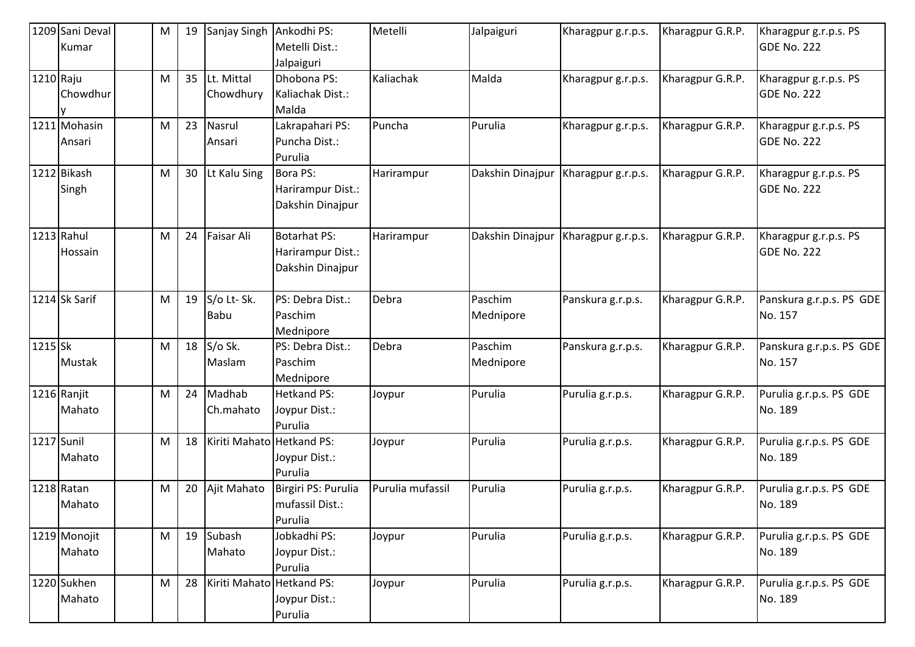|            | 1209 Sani Deval<br>Kumar | M | 19 | Sanjay Singh              | Ankodhi PS:<br>Metelli Dist.:                                | Metelli          | Jalpaiguri           | Kharagpur g.r.p.s. | Kharagpur G.R.P. | Kharagpur g.r.p.s. PS<br>GDE No. 222        |
|------------|--------------------------|---|----|---------------------------|--------------------------------------------------------------|------------------|----------------------|--------------------|------------------|---------------------------------------------|
|            |                          |   |    |                           | Jalpaiguri                                                   |                  |                      |                    |                  |                                             |
| 1210 Raju  | Chowdhur                 | M | 35 | Lt. Mittal<br>Chowdhury   | Dhobona PS:<br>Kaliachak Dist.:<br>Malda                     | Kaliachak        | Malda                | Kharagpur g.r.p.s. | Kharagpur G.R.P. | Kharagpur g.r.p.s. PS<br><b>GDE No. 222</b> |
|            | 1211 Mohasin<br>Ansari   | M | 23 | Nasrul<br>Ansari          | Lakrapahari PS:<br>Puncha Dist.:<br>Purulia                  | Puncha           | Purulia              | Kharagpur g.r.p.s. | Kharagpur G.R.P. | Kharagpur g.r.p.s. PS<br>GDE No. 222        |
|            | 1212 Bikash<br>Singh     | M | 30 | Lt Kalu Sing              | Bora PS:<br>Harirampur Dist.:<br>Dakshin Dinajpur            | Harirampur       | Dakshin Dinajpur     | Kharagpur g.r.p.s. | Kharagpur G.R.P. | Kharagpur g.r.p.s. PS<br>GDE No. 222        |
|            | 1213 Rahul<br>Hossain    | M | 24 | Faisar Ali                | <b>Botarhat PS:</b><br>Harirampur Dist.:<br>Dakshin Dinajpur | Harirampur       | Dakshin Dinajpur     | Kharagpur g.r.p.s. | Kharagpur G.R.P. | Kharagpur g.r.p.s. PS<br><b>GDE No. 222</b> |
|            | 1214 Sk Sarif            | M | 19 | S/o Lt-Sk.<br>Babu        | PS: Debra Dist.:<br>Paschim<br>Mednipore                     | Debra            | Paschim<br>Mednipore | Panskura g.r.p.s.  | Kharagpur G.R.P. | Panskura g.r.p.s. PS GDE<br>No. 157         |
| $1215$ Sk  | Mustak                   | M | 18 | S/o Sk.<br>Maslam         | PS: Debra Dist.:<br>Paschim<br>Mednipore                     | Debra            | Paschim<br>Mednipore | Panskura g.r.p.s.  | Kharagpur G.R.P. | Panskura g.r.p.s. PS GDE<br>No. 157         |
|            | 1216 Ranjit<br>Mahato    | M | 24 | Madhab<br>Ch.mahato       | <b>Hetkand PS:</b><br>Joypur Dist.:<br>Purulia               | Joypur           | Purulia              | Purulia g.r.p.s.   | Kharagpur G.R.P. | Purulia g.r.p.s. PS GDE<br>No. 189          |
| 1217 Sunil | Mahato                   | M | 18 | Kiriti Mahato Hetkand PS: | Joypur Dist.:<br>Purulia                                     | Joypur           | Purulia              | Purulia g.r.p.s.   | Kharagpur G.R.P. | Purulia g.r.p.s. PS GDE<br>No. 189          |
|            | 1218 Ratan<br>Mahato     | M | 20 | Ajit Mahato               | Birgiri PS: Purulia<br>mufassil Dist.:<br>Purulia            | Purulia mufassil | Purulia              | Purulia g.r.p.s.   | Kharagpur G.R.P. | Purulia g.r.p.s. PS GDE<br>No. 189          |
|            | 1219 Monojit<br>Mahato   | M | 19 | Subash<br>Mahato          | Jobkadhi PS:<br>Joypur Dist.:<br>Purulia                     | Joypur           | Purulia              | Purulia g.r.p.s.   | Kharagpur G.R.P. | Purulia g.r.p.s. PS GDE<br>No. 189          |
|            | 1220 Sukhen<br>Mahato    | M | 28 | Kiriti Mahato Hetkand PS: | Joypur Dist.:<br>Purulia                                     | Joypur           | Purulia              | Purulia g.r.p.s.   | Kharagpur G.R.P. | Purulia g.r.p.s. PS GDE<br>No. 189          |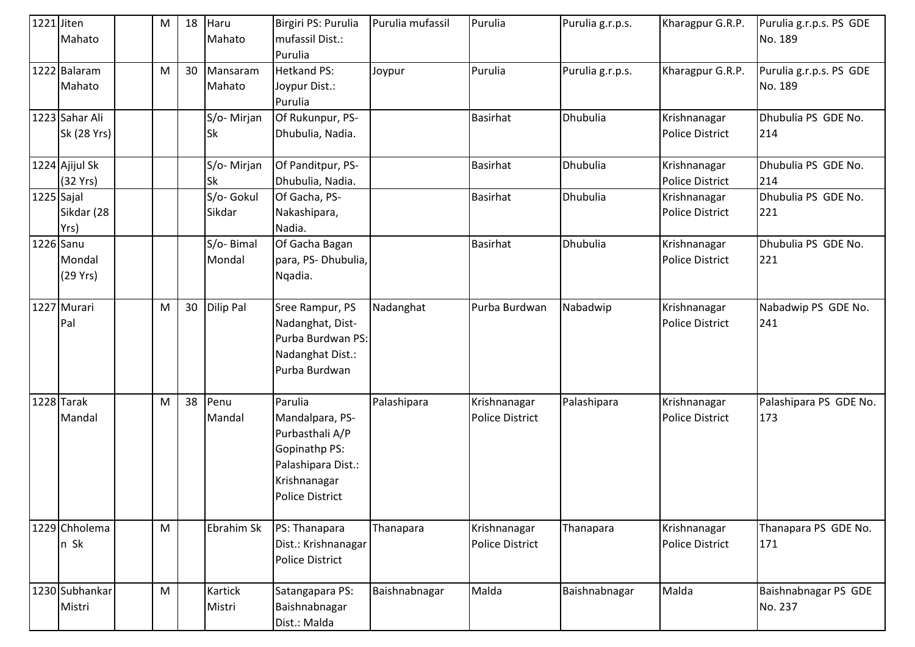| 1221 Jiten | Mahato                        | M | 18 | Haru<br>Mahato       | Birgiri PS: Purulia<br>mufassil Dist.:<br>Purulia                                                                              | Purulia mufassil | Purulia                                | Purulia g.r.p.s. | Kharagpur G.R.P.                       | Purulia g.r.p.s. PS GDE<br>No. 189 |
|------------|-------------------------------|---|----|----------------------|--------------------------------------------------------------------------------------------------------------------------------|------------------|----------------------------------------|------------------|----------------------------------------|------------------------------------|
|            | 1222 Balaram<br>Mahato        | M | 30 | Mansaram<br>Mahato   | <b>Hetkand PS:</b><br>Joypur Dist.:<br>Purulia                                                                                 | Joypur           | Purulia                                | Purulia g.r.p.s. | Kharagpur G.R.P.                       | Purulia g.r.p.s. PS GDE<br>No. 189 |
|            | 1223 Sahar Ali<br>Sk (28 Yrs) |   |    | S/o-Mirjan<br>Sk     | Of Rukunpur, PS-<br>Dhubulia, Nadia.                                                                                           |                  | <b>Basirhat</b>                        | Dhubulia         | Krishnanagar<br><b>Police District</b> | Dhubulia PS GDE No.<br>214         |
|            | 1224 Ajijul Sk<br>(32 Yrs)    |   |    | S/o-Mirjan<br>Sk     | Of Panditpur, PS-<br>Dhubulia, Nadia.                                                                                          |                  | <b>Basirhat</b>                        | Dhubulia         | Krishnanagar<br>Police District        | Dhubulia PS GDE No.<br>214         |
| 1225 Sajal | Sikdar (28<br>Yrs)            |   |    | S/o- Gokul<br>Sikdar | Of Gacha, PS-<br>Nakashipara,<br>Nadia.                                                                                        |                  | <b>Basirhat</b>                        | Dhubulia         | Krishnanagar<br><b>Police District</b> | Dhubulia PS GDE No.<br>221         |
| 1226 Sanu  | Mondal<br>(29 Yrs)            |   |    | S/o-Bimal<br>Mondal  | Of Gacha Bagan<br>para, PS-Dhubulia,<br>Nqadia.                                                                                |                  | <b>Basirhat</b>                        | Dhubulia         | Krishnanagar<br><b>Police District</b> | Dhubulia PS GDE No.<br>221         |
|            | 1227 Murari<br>Pal            | M | 30 | <b>Dilip Pal</b>     | Sree Rampur, PS<br>Nadanghat, Dist-<br>Purba Burdwan PS:<br>Nadanghat Dist.:<br>Purba Burdwan                                  | Nadanghat        | Purba Burdwan                          | Nabadwip         | Krishnanagar<br><b>Police District</b> | Nabadwip PS GDE No.<br>241         |
|            | 1228 Tarak<br>Mandal          | M | 38 | Penu<br>Mandal       | Parulia<br>Mandalpara, PS-<br>Purbasthali A/P<br>Gopinathp PS:<br>Palashipara Dist.:<br>Krishnanagar<br><b>Police District</b> | Palashipara      | Krishnanagar<br><b>Police District</b> | Palashipara      | Krishnanagar<br><b>Police District</b> | Palashipara PS GDE No.<br>173      |
|            | 1229 Chholema<br>n Sk         | M |    | Ebrahim Sk           | PS: Thanapara<br>Dist.: Krishnanagar<br><b>Police District</b>                                                                 | Thanapara        | Krishnanagar<br><b>Police District</b> | Thanapara        | Krishnanagar<br><b>Police District</b> | Thanapara PS GDE No.<br>171        |
|            | 1230 Subhankar<br>Mistri      | M |    | Kartick<br>Mistri    | Satangapara PS:<br>Baishnabnagar<br>Dist.: Malda                                                                               | Baishnabnagar    | Malda                                  | Baishnabnagar    | Malda                                  | Baishnabnagar PS GDE<br>No. 237    |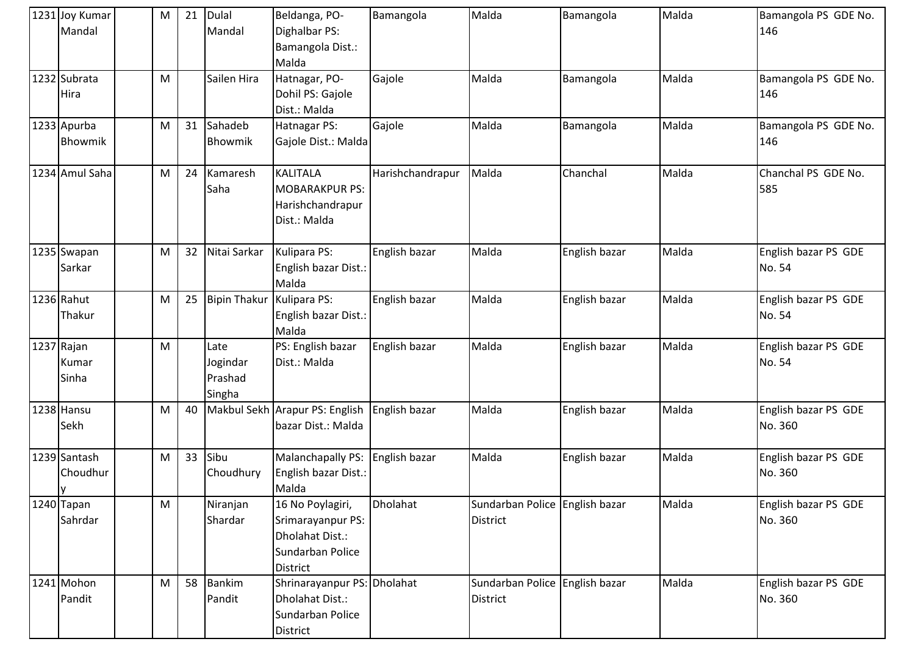| 1231 Joy Kumar<br>Mandal     | M | 21 | <b>Dulal</b><br>Mandal                | Beldanga, PO-<br>Dighalbar PS:<br>Bamangola Dist.:<br>Malda                              | Bamangola        | Malda                                             | Bamangola     | Malda | Bamangola PS GDE No.<br>146     |
|------------------------------|---|----|---------------------------------------|------------------------------------------------------------------------------------------|------------------|---------------------------------------------------|---------------|-------|---------------------------------|
| 1232 Subrata<br>Hira         | M |    | Sailen Hira                           | Hatnagar, PO-<br>Dohil PS: Gajole<br>Dist.: Malda                                        | Gajole           | Malda                                             | Bamangola     | Malda | Bamangola PS GDE No.<br>146     |
| 1233 Apurba<br>Bhowmik       | M | 31 | Sahadeb<br>Bhowmik                    | Hatnagar PS:<br>Gajole Dist.: Malda                                                      | Gajole           | Malda                                             | Bamangola     | Malda | Bamangola PS GDE No.<br>146     |
| 1234 Amul Saha               | M | 24 | Kamaresh<br>Saha                      | <b>KALITALA</b><br><b>MOBARAKPUR PS:</b><br>Harishchandrapur<br>Dist.: Malda             | Harishchandrapur | Malda                                             | Chanchal      | Malda | Chanchal PS GDE No.<br>585      |
| 1235 Swapan<br>Sarkar        | M | 32 | Nitai Sarkar                          | Kulipara PS:<br>English bazar Dist.:<br>Malda                                            | English bazar    | Malda                                             | English bazar | Malda | English bazar PS GDE<br>No. 54  |
| 1236 Rahut<br>Thakur         | M | 25 | <b>Bipin Thakur</b>                   | Kulipara PS:<br>English bazar Dist.:<br>Malda                                            | English bazar    | Malda                                             | English bazar | Malda | English bazar PS GDE<br>No. 54  |
| 1237 Rajan<br>Kumar<br>Sinha | M |    | Late<br>Jogindar<br>Prashad<br>Singha | PS: English bazar<br>Dist.: Malda                                                        | English bazar    | Malda                                             | English bazar | Malda | English bazar PS GDE<br>No. 54  |
| 1238 Hansu<br>Sekh           | M | 40 | Makbul Sekh                           | Arapur PS: English<br>bazar Dist.: Malda                                                 | English bazar    | Malda                                             | English bazar | Malda | English bazar PS GDE<br>No. 360 |
| 1239 Santash<br>Choudhur     | M | 33 | Sibu<br>Choudhury                     | Malanchapally PS:<br>English bazar Dist.:<br>Malda                                       | English bazar    | Malda                                             | English bazar | Malda | English bazar PS GDE<br>No. 360 |
| 1240 Tapan<br>Sahrdar        | M |    | Niranjan<br>Shardar                   | 16 No Poylagiri,<br>Srimarayanpur PS:<br>Dholahat Dist.:<br>Sundarban Police<br>District | Dholahat         | Sundarban Police English bazar<br><b>District</b> |               | Malda | English bazar PS GDE<br>No. 360 |
| 1241 Mohon<br>Pandit         | M | 58 | <b>Bankim</b><br>Pandit               | Shrinarayanpur PS: Dholahat<br>Dholahat Dist.:<br>Sundarban Police<br>District           |                  | Sundarban Police English bazar<br><b>District</b> |               | Malda | English bazar PS GDE<br>No. 360 |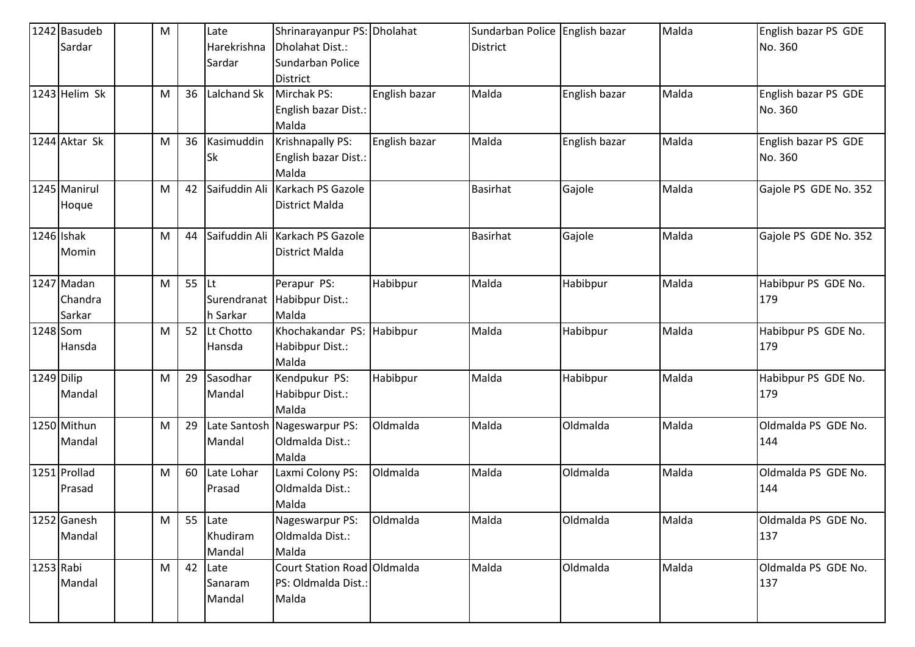|            | 1242 Basudeb    | M |         | Late          | Shrinarayanpur PS: Dholahat  |               | Sundarban Police English bazar |               | Malda | English bazar PS GDE  |
|------------|-----------------|---|---------|---------------|------------------------------|---------------|--------------------------------|---------------|-------|-----------------------|
|            | Sardar          |   |         | Harekrishna   | Dholahat Dist.:              |               | <b>District</b>                |               |       | No. 360               |
|            |                 |   |         | Sardar        | Sundarban Police             |               |                                |               |       |                       |
|            |                 |   |         |               | <b>District</b>              |               |                                |               |       |                       |
|            | $1243$ Helim Sk | M | 36      | Lalchand Sk   | Mirchak PS:                  | English bazar | Malda                          | English bazar | Malda | English bazar PS GDE  |
|            |                 |   |         |               | English bazar Dist.:         |               |                                |               |       | No. 360               |
|            |                 |   |         |               | Malda                        |               |                                |               |       |                       |
|            | 1244 Aktar Sk   | M | 36      | Kasimuddin    | Krishnapally PS:             | English bazar | Malda                          | English bazar | Malda | English bazar PS GDE  |
|            |                 |   |         | <b>Sk</b>     | English bazar Dist.:         |               |                                |               |       | No. 360               |
|            |                 |   |         |               | Malda                        |               |                                |               |       |                       |
|            | 1245 Manirul    | M | 42      | Saifuddin Ali | Karkach PS Gazole            |               | <b>Basirhat</b>                | Gajole        | Malda | Gajole PS GDE No. 352 |
|            | Hoque           |   |         |               | District Malda               |               |                                |               |       |                       |
|            |                 |   |         |               |                              |               |                                |               |       |                       |
| 1246 Ishak |                 | M | 44      | Saifuddin Ali | Karkach PS Gazole            |               | <b>Basirhat</b>                | Gajole        | Malda | Gajole PS GDE No. 352 |
|            | Momin           |   |         |               | District Malda               |               |                                |               |       |                       |
|            |                 |   |         |               |                              |               |                                |               |       |                       |
|            | 1247 Madan      | M | $55$ Lt |               | Perapur PS:                  | Habibpur      | Malda                          | Habibpur      | Malda | Habibpur PS GDE No.   |
|            | Chandra         |   |         | Surendranat   | Habibpur Dist.:              |               |                                |               |       | 179                   |
|            | Sarkar          |   |         | h Sarkar      | Malda                        |               |                                |               |       |                       |
| 1248 Som   |                 | M | 52      | Lt Chotto     | Khochakandar PS:             | Habibpur      | Malda                          | Habibpur      | Malda | Habibpur PS GDE No.   |
|            | Hansda          |   |         | Hansda        | Habibpur Dist.:              |               |                                |               |       | 179                   |
|            |                 |   |         |               | Malda                        |               |                                |               |       |                       |
| 1249 Dilip |                 | M | 29      | Sasodhar      | Kendpukur PS:                | Habibpur      | Malda                          | Habibpur      | Malda | Habibpur PS GDE No.   |
|            | Mandal          |   |         | Mandal        | Habibpur Dist.:              |               |                                |               |       | 179                   |
|            |                 |   |         |               | Malda                        |               |                                |               |       |                       |
|            | 1250 Mithun     | M | 29      |               | Late Santosh Nageswarpur PS: | Oldmalda      | Malda                          | Oldmalda      | Malda | Oldmalda PS GDE No.   |
|            | Mandal          |   |         | Mandal        | Oldmalda Dist.:              |               |                                |               |       | 144                   |
|            |                 |   |         |               | Malda                        |               |                                |               |       |                       |
|            | 1251 Prollad    | M | 60      | Late Lohar    | Laxmi Colony PS:             | Oldmalda      | Malda                          | Oldmalda      | Malda | Oldmalda PS GDE No.   |
|            | Prasad          |   |         | Prasad        | Oldmalda Dist.:              |               |                                |               |       | 144                   |
|            |                 |   |         |               | Malda                        |               |                                |               |       |                       |
|            | 1252 Ganesh     | M | 55      | Late          | Nageswarpur PS:              | Oldmalda      | Malda                          | Oldmalda      | Malda | Oldmalda PS GDE No.   |
|            | Mandal          |   |         | Khudiram      | Oldmalda Dist.:              |               |                                |               |       | 137                   |
|            |                 |   |         | Mandal        | Malda                        |               |                                |               |       |                       |
| 1253 Rabi  |                 | M | 42      | Late          | Court Station Road Oldmalda  |               | Malda                          | Oldmalda      | Malda | Oldmalda PS GDE No.   |
|            | Mandal          |   |         | Sanaram       | PS: Oldmalda Dist.:          |               |                                |               |       | 137                   |
|            |                 |   |         | Mandal        | Malda                        |               |                                |               |       |                       |
|            |                 |   |         |               |                              |               |                                |               |       |                       |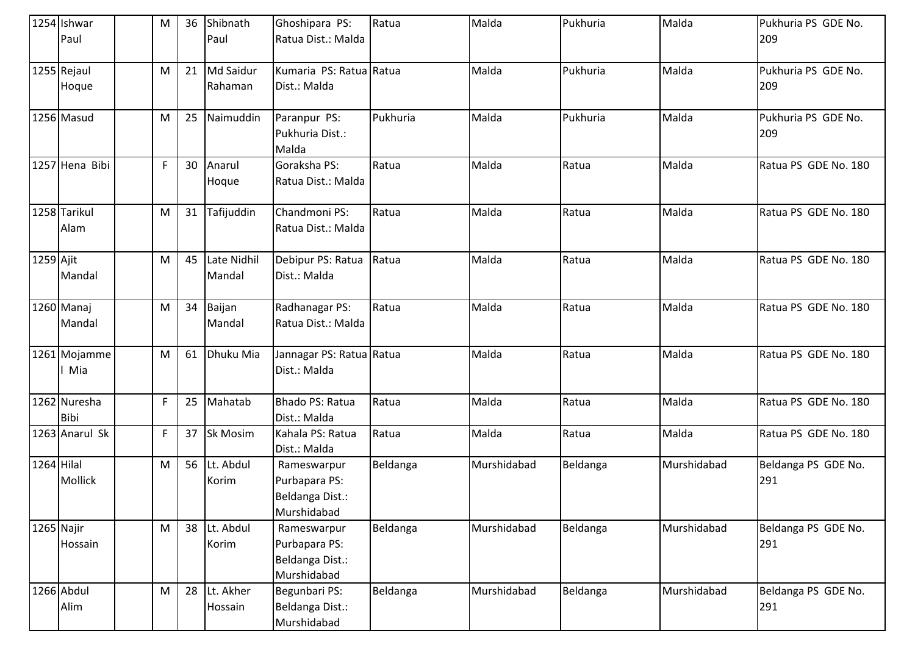|              | 1254 Ishwar<br>Paul         | M  | 36 | Shibnath<br>Paul      | Ghoshipara PS:<br>Ratua Dist.: Malda                           | Ratua    | Malda       | Pukhuria | Malda       | Pukhuria PS GDE No.<br>209 |
|--------------|-----------------------------|----|----|-----------------------|----------------------------------------------------------------|----------|-------------|----------|-------------|----------------------------|
|              | 1255 Rejaul<br>Hoque        | M  | 21 | Md Saidur<br>Rahaman  | Kumaria PS: Ratua Ratua<br>Dist.: Malda                        |          | Malda       | Pukhuria | Malda       | Pukhuria PS GDE No.<br>209 |
|              | 1256 Masud                  | M  | 25 | Naimuddin             | Paranpur PS:<br>Pukhuria Dist.:<br>Malda                       | Pukhuria | Malda       | Pukhuria | Malda       | Pukhuria PS GDE No.<br>209 |
|              | 1257 Hena Bibi              | F. | 30 | Anarul<br>Hoque       | Goraksha PS:<br>Ratua Dist.: Malda                             | Ratua    | Malda       | Ratua    | Malda       | Ratua PS GDE No. 180       |
|              | 1258 Tarikul<br>Alam        | M  | 31 | Tafijuddin            | Chandmoni PS:<br>Ratua Dist.: Malda                            | Ratua    | Malda       | Ratua    | Malda       | Ratua PS GDE No. 180       |
| 1259 Ajit    | Mandal                      | M  | 45 | Late Nidhil<br>Mandal | Debipur PS: Ratua<br>Dist.: Malda                              | Ratua    | Malda       | Ratua    | Malda       | Ratua PS GDE No. 180       |
|              | 1260 Manaj<br>Mandal        | M  | 34 | Baijan<br>Mandal      | Radhanagar PS:<br>Ratua Dist.: Malda                           | Ratua    | Malda       | Ratua    | Malda       | Ratua PS GDE No. 180       |
|              | 1261 Mojamme<br>Mia         | M  | 61 | Dhuku Mia             | Jannagar PS: Ratua Ratua<br>Dist.: Malda                       |          | Malda       | Ratua    | Malda       | Ratua PS GDE No. 180       |
|              | 1262 Nuresha<br><b>Bibi</b> | F  | 25 | Mahatab               | <b>Bhado PS: Ratua</b><br>Dist.: Malda                         | Ratua    | Malda       | Ratua    | Malda       | Ratua PS GDE No. 180       |
|              | 1263 Anarul Sk              | F  | 37 | Sk Mosim              | Kahala PS: Ratua<br>Dist.: Malda                               | Ratua    | Malda       | Ratua    | Malda       | Ratua PS GDE No. 180       |
| $1264$ Hilal | Mollick                     | M  | 56 | Lt. Abdul<br>Korim    | Rameswarpur<br>Purbapara PS:<br>Beldanga Dist.:<br>Murshidabad | Beldanga | Murshidabad | Beldanga | Murshidabad | Beldanga PS GDE No.<br>291 |
| 1265 Najir   | Hossain                     | M  |    | 38 Lt. Abdul<br>Korim | Rameswarpur<br>Purbapara PS:<br>Beldanga Dist.:<br>Murshidabad | Beldanga | Murshidabad | Beldanga | Murshidabad | Beldanga PS GDE No.<br>291 |
|              | 1266 Abdul<br>Alim          | M  | 28 | Lt. Akher<br>Hossain  | Begunbari PS:<br>Beldanga Dist.:<br>Murshidabad                | Beldanga | Murshidabad | Beldanga | Murshidabad | Beldanga PS GDE No.<br>291 |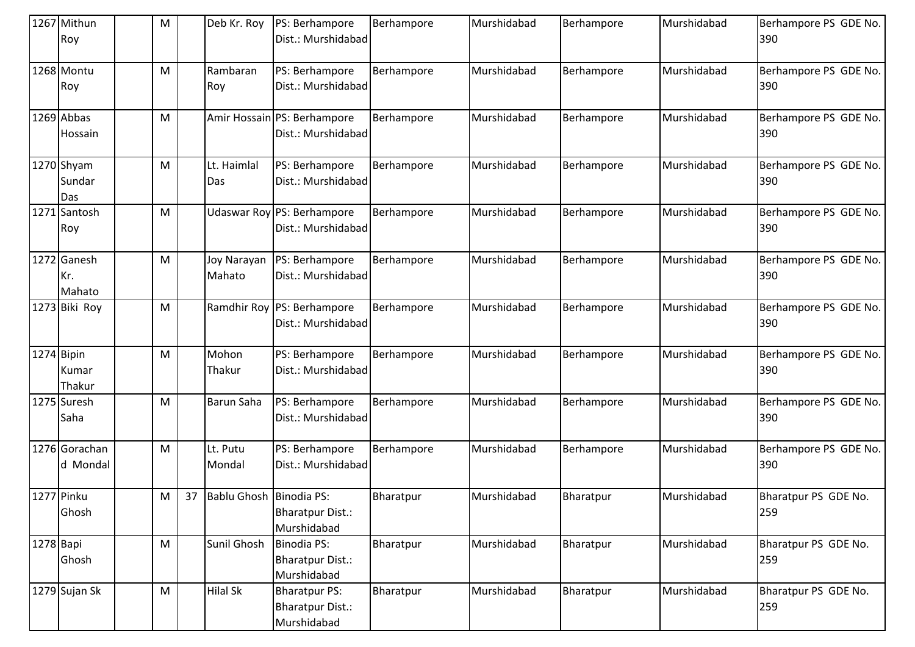|           | 1267 Mithun<br>Roy            | M         |    | Deb Kr. Roy             | PS: Berhampore<br>Dist.: Murshidabad                           | Berhampore | Murshidabad | Berhampore | Murshidabad | Berhampore PS GDE No.<br>390 |
|-----------|-------------------------------|-----------|----|-------------------------|----------------------------------------------------------------|------------|-------------|------------|-------------|------------------------------|
|           | 1268 Montu<br>Roy             | M         |    | Rambaran<br>Roy         | PS: Berhampore<br>Dist.: Murshidabad                           | Berhampore | Murshidabad | Berhampore | Murshidabad | Berhampore PS GDE No.<br>390 |
|           | 1269 Abbas<br>Hossain         | M         |    |                         | Amir Hossain PS: Berhampore<br>Dist.: Murshidabad              | Berhampore | Murshidabad | Berhampore | Murshidabad | Berhampore PS GDE No.<br>390 |
|           | 1270 Shyam<br>Sundar<br>Das   | M         |    | Lt. Haimlal<br>Das      | PS: Berhampore<br>Dist.: Murshidabad                           | Berhampore | Murshidabad | Berhampore | Murshidabad | Berhampore PS GDE No.<br>390 |
|           | 1271 Santosh<br>Roy           | M         |    | Udaswar Roy             | PS: Berhampore<br>Dist.: Murshidabad                           | Berhampore | Murshidabad | Berhampore | Murshidabad | Berhampore PS GDE No.<br>390 |
|           | 1272 Ganesh<br>Kr.<br>Mahato  | M         |    | Joy Narayan<br>Mahato   | PS: Berhampore<br>Dist.: Murshidabad                           | Berhampore | Murshidabad | Berhampore | Murshidabad | Berhampore PS GDE No.<br>390 |
|           | 1273 Biki Roy                 | M         |    | Ramdhir Roy             | PS: Berhampore<br>Dist.: Murshidabad                           | Berhampore | Murshidabad | Berhampore | Murshidabad | Berhampore PS GDE No.<br>390 |
|           | 1274 Bipin<br>Kumar<br>Thakur | M         |    | Mohon<br>Thakur         | PS: Berhampore<br>Dist.: Murshidabad                           | Berhampore | Murshidabad | Berhampore | Murshidabad | Berhampore PS GDE No.<br>390 |
|           | 1275 Suresh<br>Saha           | M         |    | Barun Saha              | PS: Berhampore<br>Dist.: Murshidabad                           | Berhampore | Murshidabad | Berhampore | Murshidabad | Berhampore PS GDE No.<br>390 |
|           | 1276 Gorachan<br>d Mondal     | M         |    | Lt. Putu<br>Mondal      | PS: Berhampore<br>Dist.: Murshidabad                           | Berhampore | Murshidabad | Berhampore | Murshidabad | Berhampore PS GDE No.<br>390 |
|           | 1277 Pinku<br>Ghosh           | M         | 37 | Bablu Ghosh Binodia PS: | <b>Bharatpur Dist.:</b><br>Murshidabad                         | Bharatpur  | Murshidabad | Bharatpur  | Murshidabad | Bharatpur PS GDE No.<br>259  |
| 1278 Bapi | Ghosh                         | M         |    | Sunil Ghosh             | <b>Binodia PS:</b><br><b>Bharatpur Dist.:</b><br>Murshidabad   | Bharatpur  | Murshidabad | Bharatpur  | Murshidabad | Bharatpur PS GDE No.<br>259  |
|           | 1279 Sujan Sk                 | ${\sf M}$ |    | <b>Hilal Sk</b>         | <b>Bharatpur PS:</b><br><b>Bharatpur Dist.:</b><br>Murshidabad | Bharatpur  | Murshidabad | Bharatpur  | Murshidabad | Bharatpur PS GDE No.<br>259  |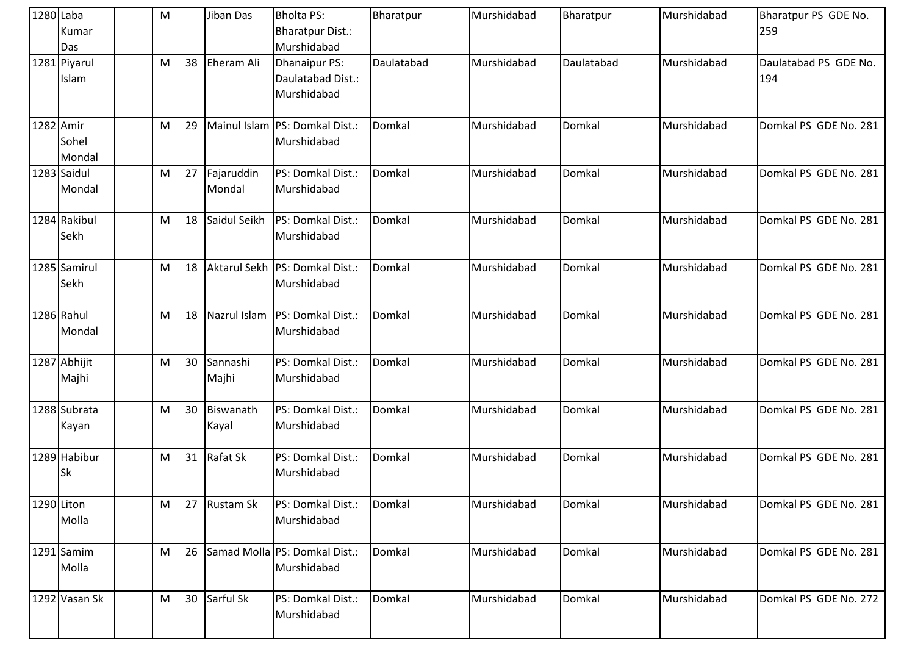| 1280 Laba | Kumar<br>Das          | M |    | Jiban Das            | <b>Bholta PS:</b><br><b>Bharatpur Dist.:</b><br>Murshidabad | Bharatpur  | Murshidabad | Bharatpur  | Murshidabad | Bharatpur PS GDE No.<br>259  |
|-----------|-----------------------|---|----|----------------------|-------------------------------------------------------------|------------|-------------|------------|-------------|------------------------------|
|           | 1281 Piyarul<br>Islam | M | 38 | <b>Eheram Ali</b>    | <b>Dhanaipur PS:</b><br>Daulatabad Dist.:<br>Murshidabad    | Daulatabad | Murshidabad | Daulatabad | Murshidabad | Daulatabad PS GDE No.<br>194 |
| 1282 Amir | Sohel<br>Mondal       | M | 29 |                      | Mainul Islam PS: Domkal Dist.:<br>Murshidabad               | Domkal     | Murshidabad | Domkal     | Murshidabad | Domkal PS GDE No. 281        |
|           | 1283 Saidul<br>Mondal | M | 27 | Fajaruddin<br>Mondal | PS: Domkal Dist.:<br>Murshidabad                            | Domkal     | Murshidabad | Domkal     | Murshidabad | Domkal PS GDE No. 281        |
|           | 1284 Rakibul<br>Sekh  | M | 18 | Saidul Seikh         | PS: Domkal Dist.:<br>Murshidabad                            | Domkal     | Murshidabad | Domkal     | Murshidabad | Domkal PS GDE No. 281        |
|           | 1285 Samirul<br>Sekh  | M | 18 |                      | Aktarul Sekh   PS: Domkal Dist.:<br>Murshidabad             | Domkal     | Murshidabad | Domkal     | Murshidabad | Domkal PS GDE No. 281        |
|           | 1286 Rahul<br>Mondal  | M | 18 | Nazrul Islam         | PS: Domkal Dist.:<br>Murshidabad                            | Domkal     | Murshidabad | Domkal     | Murshidabad | Domkal PS GDE No. 281        |
|           | 1287 Abhijit<br>Majhi | M | 30 | Sannashi<br>Majhi    | PS: Domkal Dist.:<br>Murshidabad                            | Domkal     | Murshidabad | Domkal     | Murshidabad | Domkal PS GDE No. 281        |
|           | 1288 Subrata<br>Kayan | M | 30 | Biswanath<br>Kayal   | PS: Domkal Dist.:<br>Murshidabad                            | Domkal     | Murshidabad | Domkal     | Murshidabad | Domkal PS GDE No. 281        |
|           | 1289 Habibur<br>Sk    | M | 31 | <b>Rafat Sk</b>      | PS: Domkal Dist.:<br>Murshidabad                            | Domkal     | Murshidabad | Domkal     | Murshidabad | Domkal PS GDE No. 281        |
|           | 1290 Liton<br>Molla   | M | 27 | <b>Rustam Sk</b>     | PS: Domkal Dist.:<br>Murshidabad                            | Domkal     | Murshidabad | Domkal     | Murshidabad | Domkal PS GDE No. 281        |
|           | 1291 Samim<br>Molla   | M | 26 |                      | Samad Molla PS: Domkal Dist.:<br>Murshidabad                | Domkal     | Murshidabad | Domkal     | Murshidabad | Domkal PS GDE No. 281        |
|           | 1292 Vasan Sk         | M | 30 | Sarful Sk            | PS: Domkal Dist.:<br>Murshidabad                            | Domkal     | Murshidabad | Domkal     | Murshidabad | Domkal PS GDE No. 272        |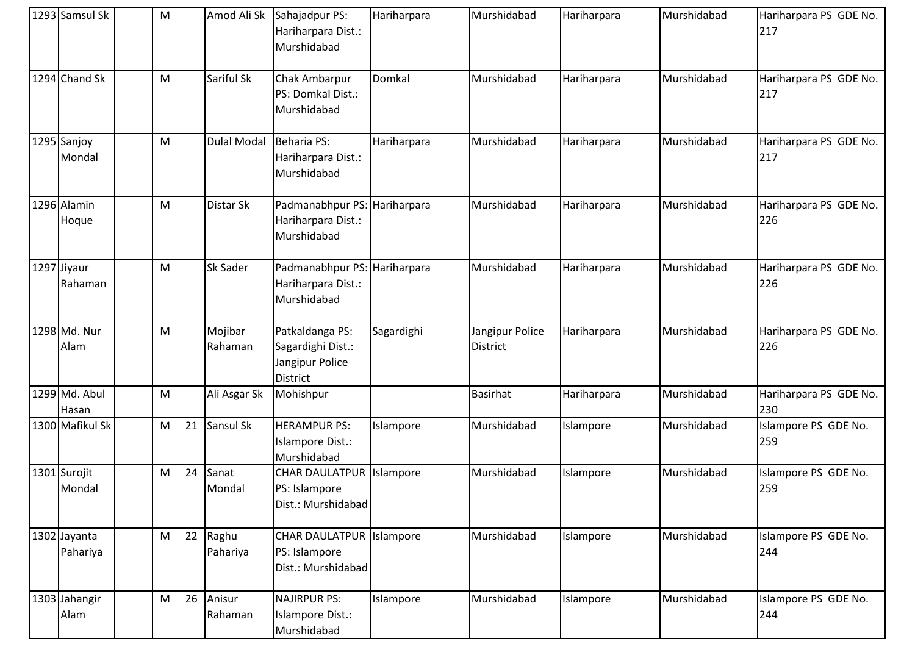| 1293 Samsul Sk           | M |    | Amod Ali Sk        | Sahajadpur PS:<br>Hariharpara Dist.:<br>Murshidabad                        | Hariharpara | Murshidabad                 | Hariharpara | Murshidabad | Hariharpara PS GDE No.<br>217 |
|--------------------------|---|----|--------------------|----------------------------------------------------------------------------|-------------|-----------------------------|-------------|-------------|-------------------------------|
| 1294 Chand Sk            | M |    | Sariful Sk         | Chak Ambarpur<br>PS: Domkal Dist.:<br>Murshidabad                          | Domkal      | Murshidabad                 | Hariharpara | Murshidabad | Hariharpara PS GDE No.<br>217 |
| 1295 Sanjoy<br>Mondal    | M |    | <b>Dulal Modal</b> | <b>Beharia PS:</b><br>Hariharpara Dist.:<br>Murshidabad                    | Hariharpara | Murshidabad                 | Hariharpara | Murshidabad | Hariharpara PS GDE No.<br>217 |
| 1296 Alamin<br>Hoque     | M |    | Distar Sk          | Padmanabhpur PS: Hariharpara<br>Hariharpara Dist.:<br>Murshidabad          |             | Murshidabad                 | Hariharpara | Murshidabad | Hariharpara PS GDE No.<br>226 |
| 1297 Jiyaur<br>Rahaman   | M |    | Sk Sader           | Padmanabhpur PS: Hariharpara<br>Hariharpara Dist.:<br>Murshidabad          |             | Murshidabad                 | Hariharpara | Murshidabad | Hariharpara PS GDE No.<br>226 |
| 1298 Md. Nur<br>Alam     | M |    | Mojibar<br>Rahaman | Patkaldanga PS:<br>Sagardighi Dist.:<br>Jangipur Police<br><b>District</b> | Sagardighi  | Jangipur Police<br>District | Hariharpara | Murshidabad | Hariharpara PS GDE No.<br>226 |
| 1299 Md. Abul<br>Hasan   | M |    | Ali Asgar Sk       | Mohishpur                                                                  |             | <b>Basirhat</b>             | Hariharpara | Murshidabad | Hariharpara PS GDE No.<br>230 |
| 1300 Mafikul Sk          | M | 21 | Sansul Sk          | <b>HERAMPUR PS:</b><br>Islampore Dist.:<br>Murshidabad                     | Islampore   | Murshidabad                 | Islampore   | Murshidabad | Islampore PS GDE No.<br>259   |
| 1301 Surojit<br>Mondal   | M | 24 | Sanat<br>Mondal    | <b>CHAR DAULATPUR</b><br>PS: Islampore<br>Dist.: Murshidabad               | Islampore   | Murshidabad                 | Islampore   | Murshidabad | Islampore PS GDE No.<br>259   |
| 1302 Jayanta<br>Pahariya | M | 22 | Raghu<br>Pahariya  | CHAR DAULATPUR   Islampore<br>PS: Islampore<br>Dist.: Murshidabad          |             | Murshidabad                 | Islampore   | Murshidabad | Islampore PS GDE No.<br>244   |
| 1303 Jahangir<br>Alam    | M | 26 | Anisur<br>Rahaman  | <b>NAJIRPUR PS:</b><br>Islampore Dist.:<br>Murshidabad                     | Islampore   | Murshidabad                 | Islampore   | Murshidabad | Islampore PS GDE No.<br>244   |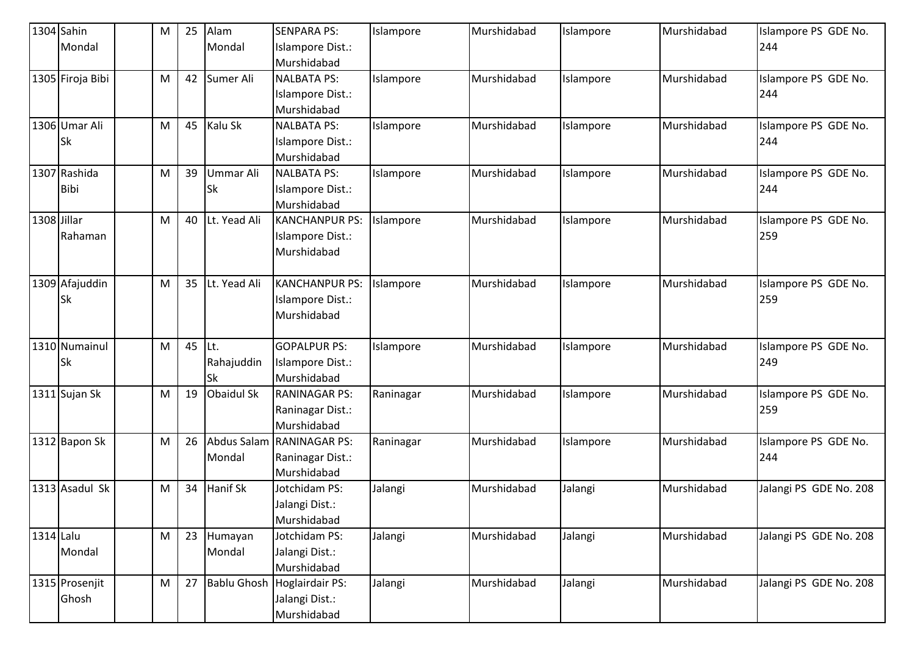| 1304 Sahin  |                  | M | 25 | Alam                    | <b>SENPARA PS:</b>              | Islampore | Murshidabad | Islampore | Murshidabad | Islampore PS GDE No.        |
|-------------|------------------|---|----|-------------------------|---------------------------------|-----------|-------------|-----------|-------------|-----------------------------|
|             | Mondal           |   |    | Mondal                  | Islampore Dist.:                |           |             |           |             | 244                         |
|             |                  |   |    |                         | Murshidabad                     |           |             |           |             |                             |
|             | 1305 Firoja Bibi | M | 42 | Sumer Ali               | <b>NALBATA PS:</b>              | Islampore | Murshidabad | Islampore | Murshidabad | Islampore PS GDE No.        |
|             |                  |   |    |                         | Islampore Dist.:                |           |             |           |             | 244                         |
|             |                  |   |    |                         | Murshidabad                     |           |             |           |             |                             |
|             | 1306 Umar Ali    | M | 45 | Kalu Sk                 | <b>NALBATA PS:</b>              | Islampore | Murshidabad | Islampore | Murshidabad | Islampore PS GDE No.        |
|             | <b>Sk</b>        |   |    |                         | Islampore Dist.:                |           |             |           |             | 244                         |
|             |                  |   |    |                         | Murshidabad                     |           |             |           |             |                             |
|             | 1307 Rashida     | M | 39 | Ummar Ali               | <b>NALBATA PS:</b>              | Islampore | Murshidabad | Islampore | Murshidabad | Islampore PS GDE No.        |
|             | <b>Bibi</b>      |   |    | <b>Sk</b>               | Islampore Dist.:                |           |             |           |             | 244                         |
|             |                  |   |    |                         | Murshidabad                     |           |             |           |             |                             |
| 1308 Jillar |                  | M | 40 | Lt. Yead Ali            | <b>KANCHANPUR PS:</b>           | Islampore | Murshidabad | Islampore | Murshidabad | Islampore PS GDE No.        |
|             | Rahaman          |   |    |                         | Islampore Dist.:                |           |             |           |             | 259                         |
|             |                  |   |    |                         | Murshidabad                     |           |             |           |             |                             |
|             |                  |   |    |                         |                                 |           |             |           |             |                             |
|             | 1309 Afajuddin   | M | 35 | Lt. Yead Ali            | <b>KANCHANPUR PS:</b>           | Islampore | Murshidabad | Islampore | Murshidabad | Islampore PS GDE No.        |
|             | <b>Sk</b>        |   |    |                         | Islampore Dist.:                |           |             |           |             | 259                         |
|             |                  |   |    |                         | Murshidabad                     |           |             |           |             |                             |
|             | 1310 Numainul    |   | 45 | Lt.                     | <b>GOPALPUR PS:</b>             |           | Murshidabad |           | Murshidabad |                             |
|             | <b>Sk</b>        | M |    |                         |                                 | Islampore |             | Islampore |             | Islampore PS GDE No.<br>249 |
|             |                  |   |    | Rahajuddin<br><b>Sk</b> | Islampore Dist.:<br>Murshidabad |           |             |           |             |                             |
|             | 1311 Sujan Sk    | M | 19 | Obaidul Sk              | <b>RANINAGAR PS:</b>            | Raninagar | Murshidabad | Islampore | Murshidabad | Islampore PS GDE No.        |
|             |                  |   |    |                         | Raninagar Dist.:                |           |             |           |             | 259                         |
|             |                  |   |    |                         | Murshidabad                     |           |             |           |             |                             |
|             | 1312 Bapon Sk    | M | 26 | Abdus Salam             | <b>RANINAGAR PS:</b>            | Raninagar | Murshidabad | Islampore | Murshidabad | Islampore PS GDE No.        |
|             |                  |   |    | Mondal                  | Raninagar Dist.:                |           |             |           |             | 244                         |
|             |                  |   |    |                         | Murshidabad                     |           |             |           |             |                             |
|             | 1313 Asadul Sk   | M | 34 | <b>Hanif Sk</b>         | Jotchidam PS:                   | Jalangi   | Murshidabad | Jalangi   | Murshidabad | Jalangi PS GDE No. 208      |
|             |                  |   |    |                         | Jalangi Dist.:                  |           |             |           |             |                             |
|             |                  |   |    |                         | Murshidabad                     |           |             |           |             |                             |
| 1314 Lalu   |                  | M | 23 | Humayan                 | Jotchidam PS:                   | Jalangi   | Murshidabad | Jalangi   | Murshidabad | Jalangi PS GDE No. 208      |
|             | Mondal           |   |    | Mondal                  | Jalangi Dist.:                  |           |             |           |             |                             |
|             |                  |   |    |                         | Murshidabad                     |           |             |           |             |                             |
|             | 1315 Prosenjit   | M | 27 |                         | Bablu Ghosh Hoglairdair PS:     | Jalangi   | Murshidabad | Jalangi   | Murshidabad | Jalangi PS GDE No. 208      |
|             | Ghosh            |   |    |                         | Jalangi Dist.:                  |           |             |           |             |                             |
|             |                  |   |    |                         | Murshidabad                     |           |             |           |             |                             |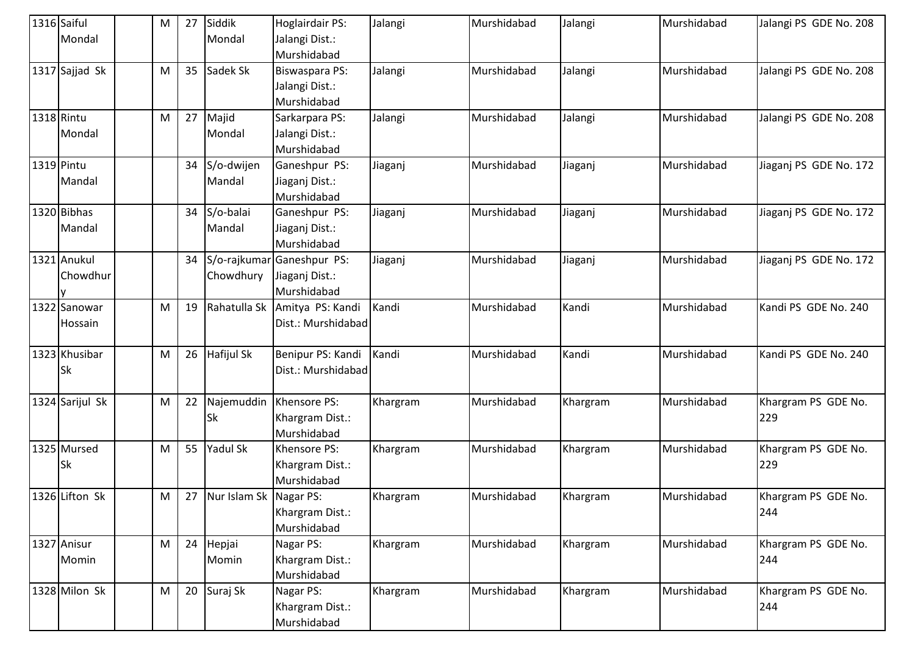|            | 1316 Saiful     | M | 27 | Siddik                 | Hoglairdair PS:            | Jalangi  | Murshidabad | Jalangi  | Murshidabad | Jalangi PS GDE No. 208 |
|------------|-----------------|---|----|------------------------|----------------------------|----------|-------------|----------|-------------|------------------------|
|            | Mondal          |   |    | Mondal                 | Jalangi Dist.:             |          |             |          |             |                        |
|            |                 |   |    |                        | Murshidabad                |          |             |          |             |                        |
|            | 1317 Sajjad Sk  | M | 35 | Sadek Sk               | Biswaspara PS:             | Jalangi  | Murshidabad | Jalangi  | Murshidabad | Jalangi PS GDE No. 208 |
|            |                 |   |    |                        | Jalangi Dist.:             |          |             |          |             |                        |
|            |                 |   |    |                        | Murshidabad                |          |             |          |             |                        |
|            | 1318 Rintu      | M | 27 | Majid                  | Sarkarpara PS:             | Jalangi  | Murshidabad | Jalangi  | Murshidabad | Jalangi PS GDE No. 208 |
|            | Mondal          |   |    | Mondal                 | Jalangi Dist.:             |          |             |          |             |                        |
|            |                 |   |    |                        | Murshidabad                |          |             |          |             |                        |
| 1319 Pintu |                 |   | 34 | S/o-dwijen             | Ganeshpur PS:              | Jiaganj  | Murshidabad | Jiaganj  | Murshidabad | Jiaganj PS GDE No. 172 |
|            | Mandal          |   |    | Mandal                 | Jiaganj Dist.:             |          |             |          |             |                        |
|            |                 |   |    |                        | Murshidabad                |          |             |          |             |                        |
|            | 1320 Bibhas     |   | 34 | S/o-balai              | Ganeshpur PS:              | Jiaganj  | Murshidabad | Jiaganj  | Murshidabad | Jiaganj PS GDE No. 172 |
|            | Mandal          |   |    | Mandal                 | Jiaganj Dist.:             |          |             |          |             |                        |
|            |                 |   |    |                        | Murshidabad                |          |             |          |             |                        |
|            | 1321 Anukul     |   | 34 |                        | S/o-rajkumar Ganeshpur PS: | Jiaganj  | Murshidabad | Jiaganj  | Murshidabad | Jiaganj PS GDE No. 172 |
|            | Chowdhur        |   |    | Chowdhury              | Jiaganj Dist.:             |          |             |          |             |                        |
|            |                 |   |    |                        | Murshidabad                |          |             |          |             |                        |
|            | 1322 Sanowar    | м | 19 | Rahatulla Sk           | Amitya PS: Kandi           | Kandi    | Murshidabad | Kandi    | Murshidabad | Kandi PS GDE No. 240   |
|            | Hossain         |   |    |                        | Dist.: Murshidabad         |          |             |          |             |                        |
|            |                 |   |    |                        |                            |          |             |          |             |                        |
|            | 1323 Khusibar   | M | 26 | Hafijul Sk             | Benipur PS: Kandi          | Kandi    | Murshidabad | Kandi    | Murshidabad | Kandi PS GDE No. 240   |
|            | <b>Sk</b>       |   |    |                        | Dist.: Murshidabad         |          |             |          |             |                        |
|            |                 |   |    |                        |                            |          |             |          |             |                        |
|            | 1324 Sarijul Sk | м | 22 | Najemuddin             | Khensore PS:               | Khargram | Murshidabad | Khargram | Murshidabad | Khargram PS GDE No.    |
|            |                 |   |    | Sk                     | Khargram Dist.:            |          |             |          |             | 229                    |
|            |                 |   |    |                        | Murshidabad                |          |             |          |             |                        |
|            | 1325 Mursed     | M | 55 | Yadul Sk               | Khensore PS:               | Khargram | Murshidabad | Khargram | Murshidabad | Khargram PS GDE No.    |
|            | Sk              |   |    |                        | Khargram Dist.:            |          |             |          |             | 229                    |
|            |                 |   |    |                        | Murshidabad                |          |             |          |             |                        |
|            | 1326 Lifton Sk  | M | 27 | Nur Islam Sk Nagar PS: |                            | Khargram | Murshidabad | Khargram | Murshidabad | Khargram PS GDE No.    |
|            |                 |   |    |                        | Khargram Dist.:            |          |             |          |             | 244                    |
|            |                 |   |    |                        | Murshidabad                |          |             |          |             |                        |
|            | 1327 Anisur     | M | 24 | Hepjai                 | Nagar PS:                  | Khargram | Murshidabad | Khargram | Murshidabad | Khargram PS GDE No.    |
|            | Momin           |   |    | Momin                  | Khargram Dist.:            |          |             |          |             | 244                    |
|            |                 |   |    |                        | Murshidabad                |          |             |          |             |                        |
|            | 1328 Milon Sk   | M | 20 | Suraj Sk               | Nagar PS:                  | Khargram | Murshidabad | Khargram | Murshidabad | Khargram PS GDE No.    |
|            |                 |   |    |                        | Khargram Dist.:            |          |             |          |             | 244                    |
|            |                 |   |    |                        | Murshidabad                |          |             |          |             |                        |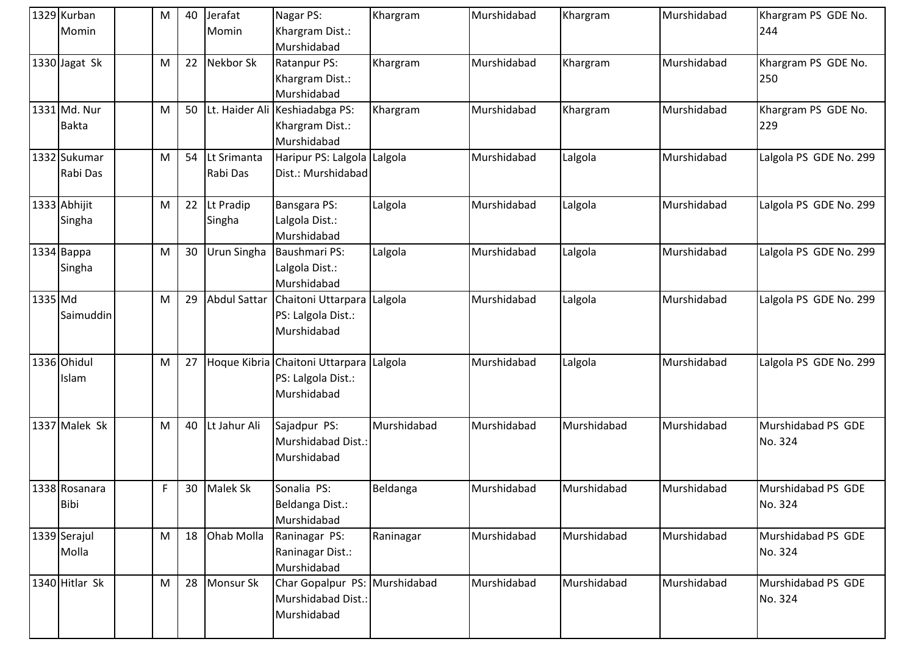|         | 1329 Kurban<br>Momin     | M | 40 | Jerafat<br>Momin        | Nagar PS:<br>Khargram Dist.:                                                 | Khargram    | Murshidabad | Khargram    | Murshidabad | Khargram PS GDE No.<br>244    |
|---------|--------------------------|---|----|-------------------------|------------------------------------------------------------------------------|-------------|-------------|-------------|-------------|-------------------------------|
|         |                          |   |    |                         | Murshidabad                                                                  |             |             |             |             |                               |
|         | 1330 Jagat Sk            | M | 22 | Nekbor Sk               | Ratanpur PS:<br>Khargram Dist.:<br>Murshidabad                               | Khargram    | Murshidabad | Khargram    | Murshidabad | Khargram PS GDE No.<br>250    |
|         | 1331 Md. Nur<br>Bakta    | M | 50 |                         | Lt. Haider Ali Keshiadabga PS:<br>Khargram Dist.:<br>Murshidabad             | Khargram    | Murshidabad | Khargram    | Murshidabad | Khargram PS GDE No.<br>229    |
|         | 1332 Sukumar<br>Rabi Das | M | 54 | Lt Srimanta<br>Rabi Das | Haripur PS: Lalgola Lalgola<br>Dist.: Murshidabad                            |             | Murshidabad | Lalgola     | Murshidabad | Lalgola PS GDE No. 299        |
|         | 1333 Abhijit<br>Singha   | M | 22 | Lt Pradip<br>Singha     | Bansgara PS:<br>Lalgola Dist.:<br>Murshidabad                                | Lalgola     | Murshidabad | Lalgola     | Murshidabad | Lalgola PS GDE No. 299        |
|         | 1334 Bappa<br>Singha     | M | 30 | Urun Singha             | <b>Baushmari PS:</b><br>Lalgola Dist.:<br>Murshidabad                        | Lalgola     | Murshidabad | Lalgola     | Murshidabad | Lalgola PS GDE No. 299        |
| 1335 Md | Saimuddin                | M | 29 | Abdul Sattar            | Chaitoni Uttarpara Lalgola<br>PS: Lalgola Dist.:<br>Murshidabad              |             | Murshidabad | Lalgola     | Murshidabad | Lalgola PS GDE No. 299        |
|         | 1336 Ohidul<br>Islam     | M | 27 |                         | Hoque Kibria Chaitoni Uttarpara Lalgola<br>PS: Lalgola Dist.:<br>Murshidabad |             | Murshidabad | Lalgola     | Murshidabad | Lalgola PS GDE No. 299        |
|         | 1337 Malek Sk            | M | 40 | Lt Jahur Ali            | Sajadpur PS:<br>Murshidabad Dist.:<br>Murshidabad                            | Murshidabad | Murshidabad | Murshidabad | Murshidabad | Murshidabad PS GDE<br>No. 324 |
|         | 1338 Rosanara<br>Bibi    | F | 30 | <b>Malek Sk</b>         | Sonalia PS:<br>Beldanga Dist.:<br>Murshidabad                                | Beldanga    | Murshidabad | Murshidabad | Murshidabad | Murshidabad PS GDE<br>No. 324 |
|         | 1339 Serajul<br>Molla    | M | 18 | Ohab Molla              | Raninagar PS:<br>Raninagar Dist.:<br>Murshidabad                             | Raninagar   | Murshidabad | Murshidabad | Murshidabad | Murshidabad PS GDE<br>No. 324 |
|         | 1340 Hitlar Sk           | M | 28 | Monsur Sk               | Char Gopalpur PS: Murshidabad<br>Murshidabad Dist.:<br>Murshidabad           |             | Murshidabad | Murshidabad | Murshidabad | Murshidabad PS GDE<br>No. 324 |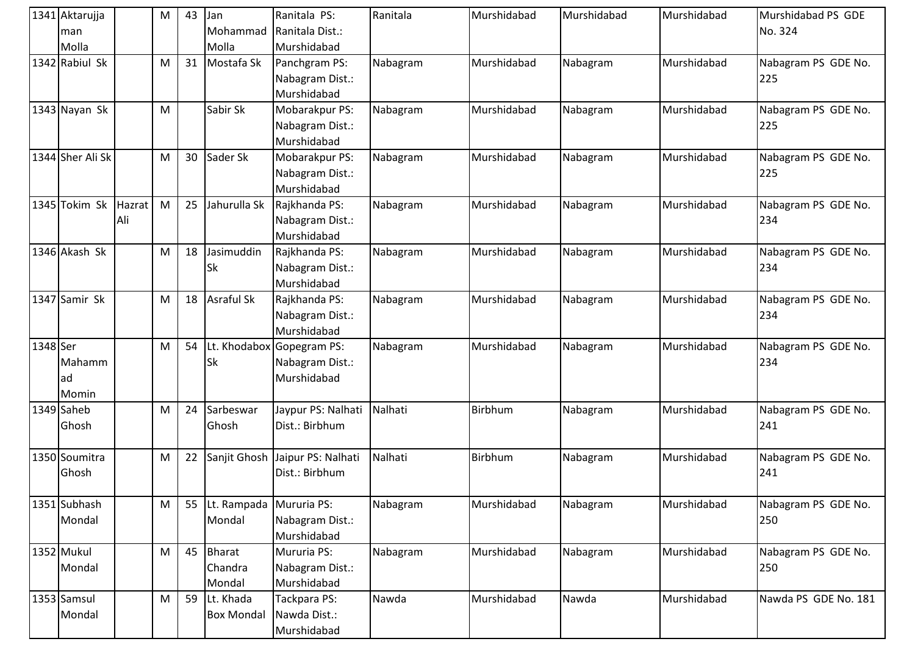|          | 1341 Aktarujja         |               | M | 43 | Jan                                 | Ranitala PS:                                                | Ranitala | Murshidabad | Murshidabad | Murshidabad | Murshidabad PS GDE         |
|----------|------------------------|---------------|---|----|-------------------------------------|-------------------------------------------------------------|----------|-------------|-------------|-------------|----------------------------|
|          | man                    |               |   |    | Mohammad                            | Ranitala Dist.:                                             |          |             |             |             | No. 324                    |
|          | Molla                  |               |   |    | Molla                               | Murshidabad                                                 |          |             |             |             |                            |
|          | 1342 Rabiul Sk         |               | M | 31 | Mostafa Sk                          | Panchgram PS:<br>Nabagram Dist.:<br>Murshidabad             | Nabagram | Murshidabad | Nabagram    | Murshidabad | Nabagram PS GDE No.<br>225 |
|          | 1343 Nayan Sk          |               | M |    | Sabir Sk                            | Mobarakpur PS:<br>Nabagram Dist.:<br>Murshidabad            | Nabagram | Murshidabad | Nabagram    | Murshidabad | Nabagram PS GDE No.<br>225 |
|          | 1344 Sher Ali Sk       |               | M | 30 | Sader Sk                            | Mobarakpur PS:<br>Nabagram Dist.:<br>Murshidabad            | Nabagram | Murshidabad | Nabagram    | Murshidabad | Nabagram PS GDE No.<br>225 |
|          | 1345 Tokim Sk          | Hazrat<br>Ali | M | 25 | Jahurulla Sk                        | Rajkhanda PS:<br>Nabagram Dist.:<br>Murshidabad             | Nabagram | Murshidabad | Nabagram    | Murshidabad | Nabagram PS GDE No.<br>234 |
|          | 1346 Akash Sk          |               | M | 18 | Jasimuddin<br>Sk                    | Rajkhanda PS:<br>Nabagram Dist.:<br>Murshidabad             | Nabagram | Murshidabad | Nabagram    | Murshidabad | Nabagram PS GDE No.<br>234 |
|          | 1347 Samir Sk          |               | M | 18 | Asraful Sk                          | Rajkhanda PS:<br>Nabagram Dist.:<br>Murshidabad             | Nabagram | Murshidabad | Nabagram    | Murshidabad | Nabagram PS GDE No.<br>234 |
| 1348 Ser | Mahamm<br>ad<br>Momin  |               | M | 54 | <b>Sk</b>                           | Lt. Khodabox Gopegram PS:<br>Nabagram Dist.:<br>Murshidabad | Nabagram | Murshidabad | Nabagram    | Murshidabad | Nabagram PS GDE No.<br>234 |
|          | 1349 Saheb<br>Ghosh    |               | M | 24 | Sarbeswar<br>Ghosh                  | Jaypur PS: Nalhati<br>Dist.: Birbhum                        | Nalhati  | Birbhum     | Nabagram    | Murshidabad | Nabagram PS GDE No.<br>241 |
|          | 1350 Soumitra<br>Ghosh |               | M | 22 | Sanjit Ghosh                        | Jaipur PS: Nalhati<br>Dist.: Birbhum                        | Nalhati  | Birbhum     | Nabagram    | Murshidabad | Nabagram PS GDE No.<br>241 |
|          | 1351 Subhash<br>Mondal |               | M | 55 | Lt. Rampada   Mururia PS:<br>Mondal | Nabagram Dist.:<br>Murshidabad                              | Nabagram | Murshidabad | Nabagram    | Murshidabad | Nabagram PS GDE No.<br>250 |
|          | 1352 Mukul<br>Mondal   |               | M | 45 | Bharat<br>Chandra<br>Mondal         | Mururia PS:<br>Nabagram Dist.:<br>Murshidabad               | Nabagram | Murshidabad | Nabagram    | Murshidabad | Nabagram PS GDE No.<br>250 |
|          | 1353 Samsul<br>Mondal  |               | M | 59 | Lt. Khada<br><b>Box Mondal</b>      | Tackpara PS:<br>Nawda Dist.:<br>Murshidabad                 | Nawda    | Murshidabad | Nawda       | Murshidabad | Nawda PS GDE No. 181       |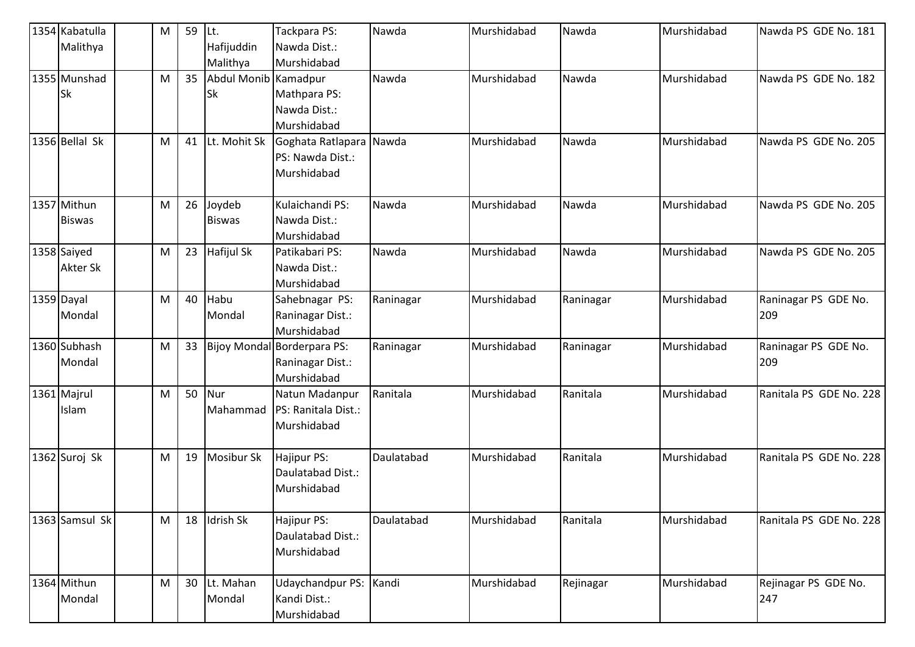| 1354 Kabatulla<br>Malithya | M | 59 | ILt.<br>Hafijuddin   | Tackpara PS:<br>Nawda Dist.:          | Nawda      | Murshidabad | Nawda     | Murshidabad | Nawda PS GDE No. 181    |
|----------------------------|---|----|----------------------|---------------------------------------|------------|-------------|-----------|-------------|-------------------------|
|                            |   |    | Malithya             | Murshidabad                           |            |             |           |             |                         |
| 1355 Munshad               | M | 35 | Abdul Monib Kamadpur |                                       | Nawda      | Murshidabad | Nawda     | Murshidabad | Nawda PS GDE No. 182    |
| <b>Sk</b>                  |   |    | <b>Sk</b>            | Mathpara PS:                          |            |             |           |             |                         |
|                            |   |    |                      | Nawda Dist.:                          |            |             |           |             |                         |
|                            |   |    |                      | Murshidabad                           |            |             |           |             |                         |
| 1356 Bellal Sk             | M | 41 | Lt. Mohit Sk         | Goghata Ratlapara Nawda               |            | Murshidabad | Nawda     | Murshidabad | Nawda PS GDE No. 205    |
|                            |   |    |                      | PS: Nawda Dist.:                      |            |             |           |             |                         |
|                            |   |    |                      | Murshidabad                           |            |             |           |             |                         |
| 1357 Mithun                | M | 26 | Joydeb               | Kulaichandi PS:                       | Nawda      | Murshidabad | Nawda     | Murshidabad | Nawda PS GDE No. 205    |
| <b>Biswas</b>              |   |    | <b>Biswas</b>        | Nawda Dist.:                          |            |             |           |             |                         |
|                            |   |    |                      | Murshidabad                           |            |             |           |             |                         |
| 1358 Saiyed                | M | 23 | <b>Hafijul Sk</b>    | Patikabari PS:                        | Nawda      | Murshidabad | Nawda     | Murshidabad | Nawda PS GDE No. 205    |
| <b>Akter Sk</b>            |   |    |                      | Nawda Dist.:                          |            |             |           |             |                         |
|                            |   |    |                      | Murshidabad                           |            |             |           |             |                         |
| 1359 Dayal                 | M | 40 | Habu                 | Sahebnagar PS:                        | Raninagar  | Murshidabad | Raninagar | Murshidabad | Raninagar PS GDE No.    |
| Mondal                     |   |    | Mondal               | Raninagar Dist.:                      |            |             |           |             | 209                     |
|                            |   |    |                      | Murshidabad                           |            |             |           |             |                         |
| 1360 Subhash               | M | 33 |                      | Bijoy Mondal Borderpara PS:           | Raninagar  | Murshidabad | Raninagar | Murshidabad | Raninagar PS GDE No.    |
| Mondal                     |   |    |                      | Raninagar Dist.:<br>Murshidabad       |            |             |           |             | 209                     |
| 1361 Majrul                |   | 50 | Nur                  |                                       | Ranitala   | Murshidabad | Ranitala  | Murshidabad | Ranitala PS GDE No. 228 |
|                            | M |    |                      | Natun Madanpur<br>PS: Ranitala Dist.: |            |             |           |             |                         |
| Islam                      |   |    | Mahammad             | Murshidabad                           |            |             |           |             |                         |
|                            |   |    |                      |                                       |            |             |           |             |                         |
| 1362 Suroj Sk              | M | 19 | <b>Mosibur Sk</b>    | Hajipur PS:                           | Daulatabad | Murshidabad | Ranitala  | Murshidabad | Ranitala PS GDE No. 228 |
|                            |   |    |                      | Daulatabad Dist.:                     |            |             |           |             |                         |
|                            |   |    |                      | Murshidabad                           |            |             |           |             |                         |
| 1363 Samsul Sk             | M | 18 | Idrish Sk            | Hajipur PS:                           | Daulatabad | Murshidabad | Ranitala  | Murshidabad | Ranitala PS GDE No. 228 |
|                            |   |    |                      | Daulatabad Dist.:                     |            |             |           |             |                         |
|                            |   |    |                      | Murshidabad                           |            |             |           |             |                         |
| 1364 Mithun                | M | 30 | Lt. Mahan            | <b>Udaychandpur PS:</b>               | Kandi      | Murshidabad | Rejinagar | Murshidabad | Rejinagar PS GDE No.    |
| Mondal                     |   |    | Mondal               | Kandi Dist.:                          |            |             |           |             | 247                     |
|                            |   |    |                      | Murshidabad                           |            |             |           |             |                         |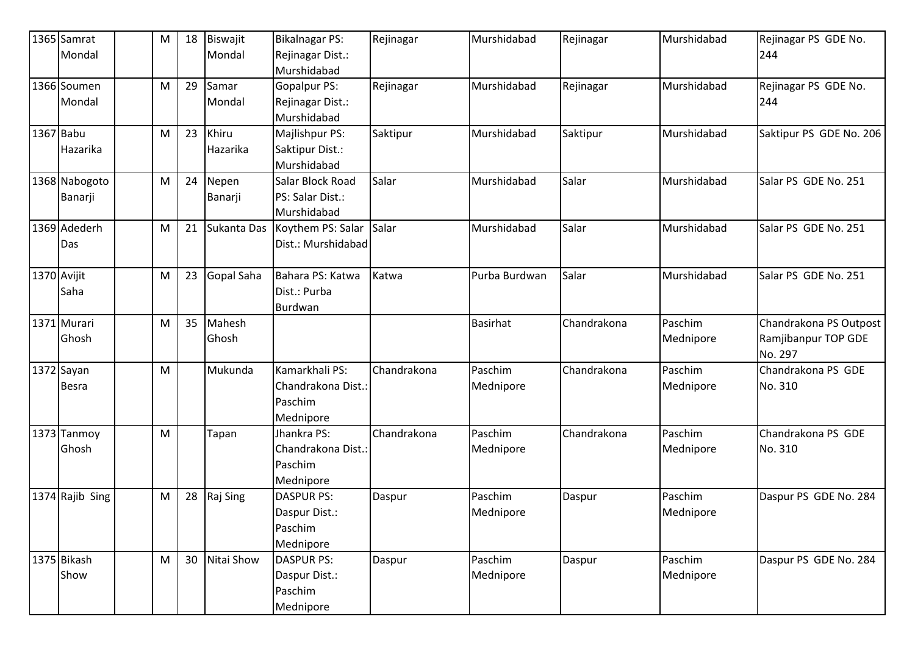|             | 1365 Samrat     | M | 18 | Biswajit    | <b>Bikalnagar PS:</b> | Rejinagar   | Murshidabad     | Rejinagar   | Murshidabad | Rejinagar PS GDE No.    |
|-------------|-----------------|---|----|-------------|-----------------------|-------------|-----------------|-------------|-------------|-------------------------|
|             | Mondal          |   |    | Mondal      | Rejinagar Dist.:      |             |                 |             |             | 244                     |
|             |                 |   |    |             | Murshidabad           |             |                 |             |             |                         |
|             | 1366 Soumen     | M | 29 | Samar       | <b>Gopalpur PS:</b>   | Rejinagar   | Murshidabad     | Rejinagar   | Murshidabad | Rejinagar PS GDE No.    |
|             | Mondal          |   |    | Mondal      | Rejinagar Dist.:      |             |                 |             |             | 244                     |
|             |                 |   |    |             | Murshidabad           |             |                 |             |             |                         |
| 1367 Babu   |                 | M | 23 | Khiru       | Majlishpur PS:        | Saktipur    | Murshidabad     | Saktipur    | Murshidabad | Saktipur PS GDE No. 206 |
|             | Hazarika        |   |    | Hazarika    | Saktipur Dist.:       |             |                 |             |             |                         |
|             |                 |   |    |             | Murshidabad           |             |                 |             |             |                         |
|             | 1368 Nabogoto   | M | 24 | Nepen       | Salar Block Road      | Salar       | Murshidabad     | Salar       | Murshidabad | Salar PS GDE No. 251    |
|             | Banarji         |   |    | Banarji     | PS: Salar Dist.:      |             |                 |             |             |                         |
|             |                 |   |    |             | Murshidabad           |             |                 |             |             |                         |
|             | 1369 Adederh    | M | 21 | Sukanta Das | Koythem PS: Salar     | Salar       | Murshidabad     | Salar       | Murshidabad | Salar PS GDE No. 251    |
|             | Das             |   |    |             | Dist.: Murshidabad    |             |                 |             |             |                         |
|             |                 |   |    |             |                       |             |                 |             |             |                         |
| 1370 Avijit |                 | M | 23 | Gopal Saha  | Bahara PS: Katwa      | Katwa       | Purba Burdwan   | Salar       | Murshidabad | Salar PS GDE No. 251    |
|             | Saha            |   |    |             | Dist.: Purba          |             |                 |             |             |                         |
|             |                 |   |    |             | Burdwan               |             |                 |             |             |                         |
|             | 1371 Murari     | M | 35 | Mahesh      |                       |             | <b>Basirhat</b> | Chandrakona | Paschim     | Chandrakona PS Outpost  |
|             | Ghosh           |   |    | Ghosh       |                       |             |                 |             | Mednipore   | Ramjibanpur TOP GDE     |
|             |                 |   |    |             |                       |             |                 |             |             | No. 297                 |
|             | 1372 Sayan      | M |    | Mukunda     | Kamarkhali PS:        | Chandrakona | Paschim         | Chandrakona | Paschim     | Chandrakona PS GDE      |
|             | <b>Besra</b>    |   |    |             | Chandrakona Dist.:    |             | Mednipore       |             | Mednipore   | No. 310                 |
|             |                 |   |    |             | Paschim               |             |                 |             |             |                         |
|             |                 |   |    |             | Mednipore             |             |                 |             |             |                         |
|             | 1373 Tanmoy     | M |    | Tapan       | Jhankra PS:           | Chandrakona | Paschim         | Chandrakona | Paschim     | Chandrakona PS GDE      |
|             | Ghosh           |   |    |             | Chandrakona Dist.:    |             | Mednipore       |             | Mednipore   | No. 310                 |
|             |                 |   |    |             | Paschim               |             |                 |             |             |                         |
|             |                 |   |    |             | Mednipore             |             |                 |             |             |                         |
|             | 1374 Rajib Sing | M | 28 | Raj Sing    | <b>DASPUR PS:</b>     | Daspur      | Paschim         | Daspur      | Paschim     | Daspur PS GDE No. 284   |
|             |                 |   |    |             | Daspur Dist.:         |             | Mednipore       |             | Mednipore   |                         |
|             |                 |   |    |             | Paschim               |             |                 |             |             |                         |
|             |                 |   |    |             | Mednipore             |             |                 |             |             |                         |
|             | 1375 Bikash     | M | 30 | Nitai Show  | <b>DASPUR PS:</b>     | Daspur      | Paschim         | Daspur      | Paschim     | Daspur PS GDE No. 284   |
|             | Show            |   |    |             | Daspur Dist.:         |             | Mednipore       |             | Mednipore   |                         |
|             |                 |   |    |             | Paschim               |             |                 |             |             |                         |
|             |                 |   |    |             | Mednipore             |             |                 |             |             |                         |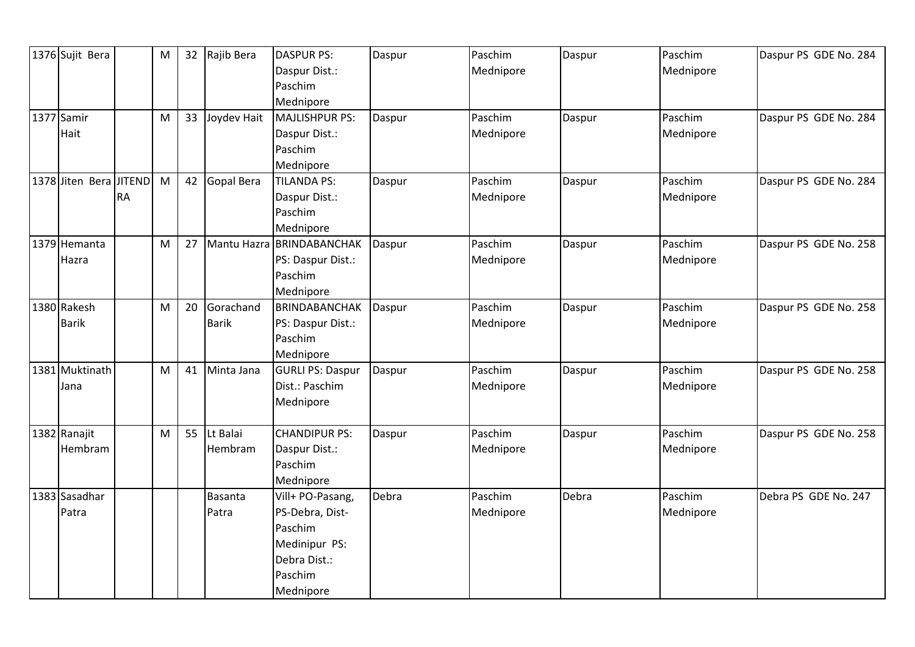| 1376 Sujit Bera |               | M | 32 | Rajib Bera     | <b>DASPUR PS:</b>         | Daspur | Paschim   | Daspur | Paschim   | Daspur PS GDE No. 284 |
|-----------------|---------------|---|----|----------------|---------------------------|--------|-----------|--------|-----------|-----------------------|
|                 |               |   |    |                | Daspur Dist.:             |        | Mednipore |        | Mednipore |                       |
|                 |               |   |    |                | Paschim                   |        |           |        |           |                       |
|                 |               |   |    |                | Mednipore                 |        |           |        |           |                       |
| 1377 Samir      |               | M | 33 | Joydev Hait    | MAJLISHPUR PS:            | Daspur | Paschim   | Daspur | Paschim   | Daspur PS GDE No. 284 |
| Hait            |               |   |    |                | Daspur Dist.:             |        | Mednipore |        | Mednipore |                       |
|                 |               |   |    |                | Paschim                   |        |           |        |           |                       |
|                 |               |   |    |                | Mednipore                 |        |           |        |           |                       |
| 1378 Jiten Bera | <b>JITEND</b> | M | 42 | Gopal Bera     | <b>TILANDA PS:</b>        | Daspur | Paschim   | Daspur | Paschim   | Daspur PS GDE No. 284 |
|                 | <b>RA</b>     |   |    |                | Daspur Dist.:             |        | Mednipore |        | Mednipore |                       |
|                 |               |   |    |                | Paschim                   |        |           |        |           |                       |
|                 |               |   |    |                | Mednipore                 |        |           |        |           |                       |
| 1379 Hemanta    |               | M | 27 |                | Mantu Hazra BRINDABANCHAK | Daspur | Paschim   | Daspur | Paschim   | Daspur PS GDE No. 258 |
| Hazra           |               |   |    |                | PS: Daspur Dist.:         |        | Mednipore |        | Mednipore |                       |
|                 |               |   |    |                | Paschim                   |        |           |        |           |                       |
|                 |               |   |    |                | Mednipore                 |        |           |        |           |                       |
| 1380 Rakesh     |               | M | 20 | Gorachand      | <b>BRINDABANCHAK</b>      | Daspur | Paschim   | Daspur | Paschim   | Daspur PS GDE No. 258 |
| <b>Barik</b>    |               |   |    | <b>Barik</b>   | PS: Daspur Dist.:         |        | Mednipore |        | Mednipore |                       |
|                 |               |   |    |                | Paschim                   |        |           |        |           |                       |
|                 |               |   |    |                | Mednipore                 |        |           |        |           |                       |
| 1381 Muktinath  |               | M | 41 | Minta Jana     | <b>GURLI PS: Daspur</b>   | Daspur | Paschim   | Daspur | Paschim   | Daspur PS GDE No. 258 |
| Jana            |               |   |    |                | Dist.: Paschim            |        | Mednipore |        | Mednipore |                       |
|                 |               |   |    |                | Mednipore                 |        |           |        |           |                       |
|                 |               |   |    |                |                           |        |           |        |           |                       |
| 1382 Ranajit    |               | M | 55 | Lt Balai       | <b>CHANDIPUR PS:</b>      | Daspur | Paschim   | Daspur | Paschim   | Daspur PS GDE No. 258 |
| Hembram         |               |   |    | Hembram        | Daspur Dist.:             |        | Mednipore |        | Mednipore |                       |
|                 |               |   |    |                | Paschim                   |        |           |        |           |                       |
|                 |               |   |    |                | Mednipore                 |        |           |        |           |                       |
| 1383 Sasadhar   |               |   |    | <b>Basanta</b> | Vill+ PO-Pasang,          | Debra  | Paschim   | Debra  | Paschim   | Debra PS GDE No. 247  |
| Patra           |               |   |    | Patra          | PS-Debra, Dist-           |        | Mednipore |        | Mednipore |                       |
|                 |               |   |    |                | Paschim                   |        |           |        |           |                       |
|                 |               |   |    |                | Medinipur PS:             |        |           |        |           |                       |
|                 |               |   |    |                | Debra Dist.:              |        |           |        |           |                       |
|                 |               |   |    |                | Paschim                   |        |           |        |           |                       |
|                 |               |   |    |                | Mednipore                 |        |           |        |           |                       |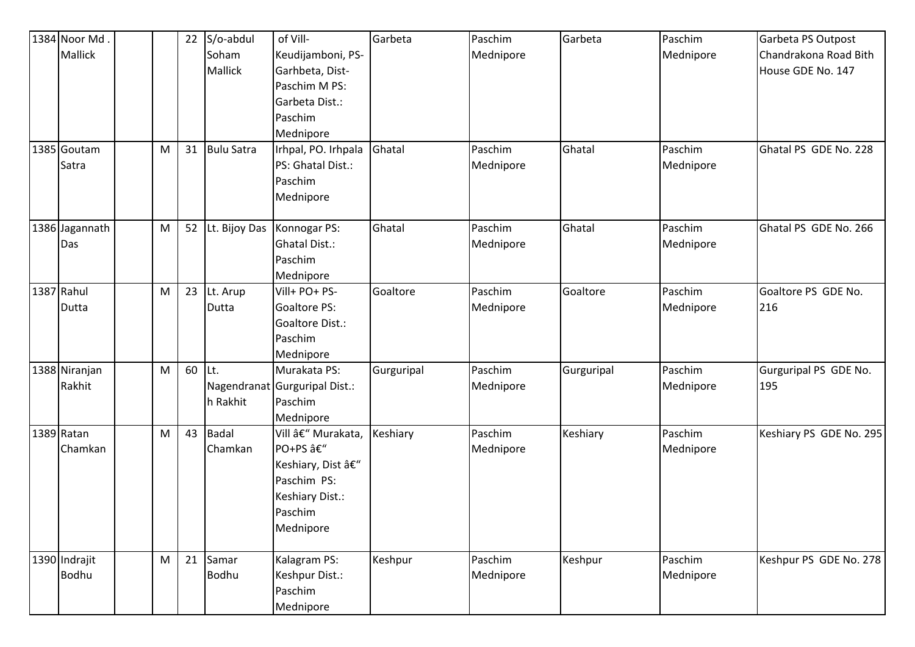| 1384 Noor Md.  |           | 22 | S/o-abdul         | of Vill-                      | Garbeta    | Paschim   | Garbeta    | Paschim   | Garbeta PS Outpost      |
|----------------|-----------|----|-------------------|-------------------------------|------------|-----------|------------|-----------|-------------------------|
| Mallick        |           |    | Soham             | Keudijamboni, PS-             |            | Mednipore |            | Mednipore | Chandrakona Road Bith   |
|                |           |    | Mallick           | Garhbeta, Dist-               |            |           |            |           | House GDE No. 147       |
|                |           |    |                   | Paschim M PS:                 |            |           |            |           |                         |
|                |           |    |                   | Garbeta Dist.:                |            |           |            |           |                         |
|                |           |    |                   | Paschim                       |            |           |            |           |                         |
|                |           |    |                   | Mednipore                     |            |           |            |           |                         |
| 1385 Goutam    | M         | 31 | <b>Bulu Satra</b> | Irhpal, PO. Irhpala           | Ghatal     | Paschim   | Ghatal     | Paschim   | Ghatal PS GDE No. 228   |
| Satra          |           |    |                   | PS: Ghatal Dist.:             |            | Mednipore |            | Mednipore |                         |
|                |           |    |                   | Paschim                       |            |           |            |           |                         |
|                |           |    |                   | Mednipore                     |            |           |            |           |                         |
|                |           |    |                   |                               |            |           |            |           |                         |
| 1386 Jagannath | M         | 52 | Lt. Bijoy Das     | Konnogar PS:                  | Ghatal     | Paschim   | Ghatal     | Paschim   | Ghatal PS GDE No. 266   |
| Das            |           |    |                   | <b>Ghatal Dist.:</b>          |            | Mednipore |            | Mednipore |                         |
|                |           |    |                   | Paschim                       |            |           |            |           |                         |
|                |           |    |                   | Mednipore                     |            |           |            |           |                         |
| 1387 Rahul     | ${\sf M}$ | 23 | Lt. Arup          | Vill+ PO+ PS-                 | Goaltore   | Paschim   | Goaltore   | Paschim   | Goaltore PS GDE No.     |
| Dutta          |           |    | Dutta             | <b>Goaltore PS:</b>           |            | Mednipore |            | Mednipore | 216                     |
|                |           |    |                   | Goaltore Dist.:               |            |           |            |           |                         |
|                |           |    |                   | Paschim                       |            |           |            |           |                         |
|                |           |    |                   | Mednipore                     |            |           |            |           |                         |
| 1388 Niranjan  | M         | 60 | Lt.               | Murakata PS:                  | Gurguripal | Paschim   | Gurguripal | Paschim   | Gurguripal PS GDE No.   |
| Rakhit         |           |    |                   | Nagendranat Gurguripal Dist.: |            | Mednipore |            | Mednipore | 195                     |
|                |           |    | h Rakhit          | Paschim                       |            |           |            |           |                         |
|                |           |    |                   | Mednipore                     |            |           |            |           |                         |
| 1389 Ratan     | M         | 43 | <b>Badal</b>      | Vill – Murakata,              | Keshiary   | Paschim   | Keshiary   | Paschim   | Keshiary PS GDE No. 295 |
| Chamkan        |           |    | Chamkan           | PO+PS â€"                     |            | Mednipore |            | Mednipore |                         |
|                |           |    |                   | Keshiary, Dist –              |            |           |            |           |                         |
|                |           |    |                   | Paschim PS:                   |            |           |            |           |                         |
|                |           |    |                   | Keshiary Dist.:               |            |           |            |           |                         |
|                |           |    |                   | Paschim                       |            |           |            |           |                         |
|                |           |    |                   | Mednipore                     |            |           |            |           |                         |
|                |           |    |                   |                               |            |           |            |           |                         |
| 1390 Indrajit  | M         | 21 | Samar             | Kalagram PS:                  | Keshpur    | Paschim   | Keshpur    | Paschim   | Keshpur PS GDE No. 278  |
| Bodhu          |           |    | Bodhu             | Keshpur Dist.:                |            | Mednipore |            | Mednipore |                         |
|                |           |    |                   | Paschim                       |            |           |            |           |                         |
|                |           |    |                   | Mednipore                     |            |           |            |           |                         |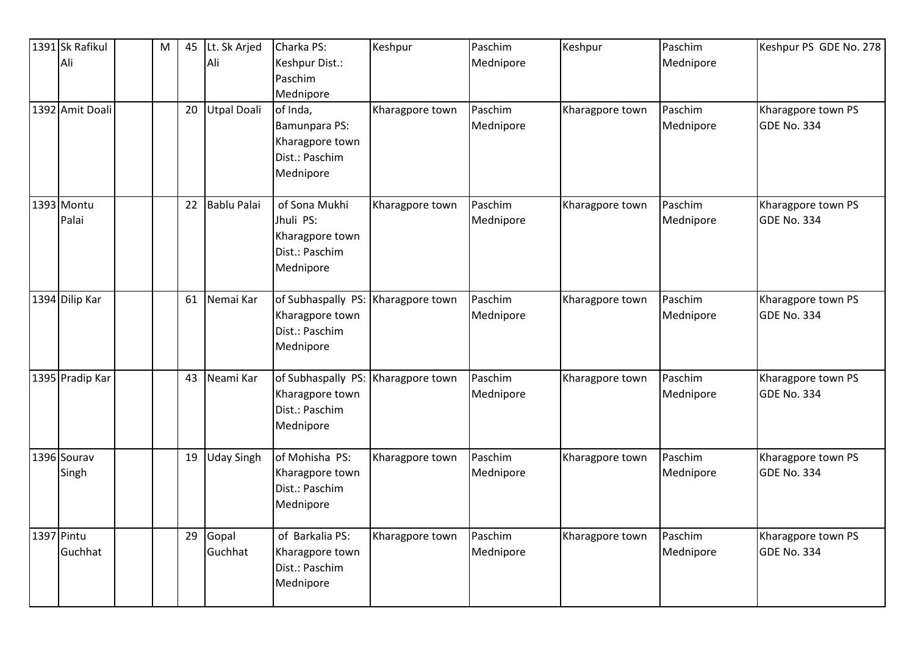| 1391 Sk Rafikul | M | 45 | Lt. Sk Arjed       | Charka PS:                         | Keshpur         | Paschim   | Keshpur         | Paschim   | Keshpur PS GDE No. 278 |
|-----------------|---|----|--------------------|------------------------------------|-----------------|-----------|-----------------|-----------|------------------------|
| Ali             |   |    | Ali                | Keshpur Dist.:                     |                 | Mednipore |                 | Mednipore |                        |
|                 |   |    |                    | Paschim                            |                 |           |                 |           |                        |
|                 |   |    |                    | Mednipore                          |                 |           |                 |           |                        |
| 1392 Amit Doali |   | 20 | <b>Utpal Doali</b> | of Inda,                           | Kharagpore town | Paschim   | Kharagpore town | Paschim   | Kharagpore town PS     |
|                 |   |    |                    | Bamunpara PS:                      |                 | Mednipore |                 | Mednipore | <b>GDE No. 334</b>     |
|                 |   |    |                    | Kharagpore town                    |                 |           |                 |           |                        |
|                 |   |    |                    | Dist.: Paschim                     |                 |           |                 |           |                        |
|                 |   |    |                    | Mednipore                          |                 |           |                 |           |                        |
| 1393 Montu      |   | 22 | <b>Bablu Palai</b> | of Sona Mukhi                      | Kharagpore town | Paschim   | Kharagpore town | Paschim   | Kharagpore town PS     |
| Palai           |   |    |                    | Jhuli PS:                          |                 | Mednipore |                 | Mednipore | <b>GDE No. 334</b>     |
|                 |   |    |                    | Kharagpore town                    |                 |           |                 |           |                        |
|                 |   |    |                    | Dist.: Paschim                     |                 |           |                 |           |                        |
|                 |   |    |                    | Mednipore                          |                 |           |                 |           |                        |
| 1394 Dilip Kar  |   | 61 | Nemai Kar          | of Subhaspally PS: Kharagpore town |                 | Paschim   | Kharagpore town | Paschim   | Kharagpore town PS     |
|                 |   |    |                    | Kharagpore town                    |                 | Mednipore |                 | Mednipore | GDE No. 334            |
|                 |   |    |                    | Dist.: Paschim                     |                 |           |                 |           |                        |
|                 |   |    |                    | Mednipore                          |                 |           |                 |           |                        |
| 1395 Pradip Kar |   | 43 | Neami Kar          | of Subhaspally PS: Kharagpore town |                 | Paschim   | Kharagpore town | Paschim   | Kharagpore town PS     |
|                 |   |    |                    | Kharagpore town                    |                 | Mednipore |                 | Mednipore | <b>GDE No. 334</b>     |
|                 |   |    |                    | Dist.: Paschim                     |                 |           |                 |           |                        |
|                 |   |    |                    | Mednipore                          |                 |           |                 |           |                        |
| 1396 Sourav     |   | 19 | <b>Uday Singh</b>  | of Mohisha PS:                     | Kharagpore town | Paschim   | Kharagpore town | Paschim   | Kharagpore town PS     |
| Singh           |   |    |                    | Kharagpore town                    |                 | Mednipore |                 | Mednipore | <b>GDE No. 334</b>     |
|                 |   |    |                    | Dist.: Paschim                     |                 |           |                 |           |                        |
|                 |   |    |                    | Mednipore                          |                 |           |                 |           |                        |
| 1397 Pintu      |   | 29 | Gopal              | of Barkalia PS:                    | Kharagpore town | Paschim   | Kharagpore town | Paschim   | Kharagpore town PS     |
| Guchhat         |   |    | Guchhat            | Kharagpore town                    |                 | Mednipore |                 | Mednipore | GDE No. 334            |
|                 |   |    |                    | Dist.: Paschim                     |                 |           |                 |           |                        |
|                 |   |    |                    | Mednipore                          |                 |           |                 |           |                        |
|                 |   |    |                    |                                    |                 |           |                 |           |                        |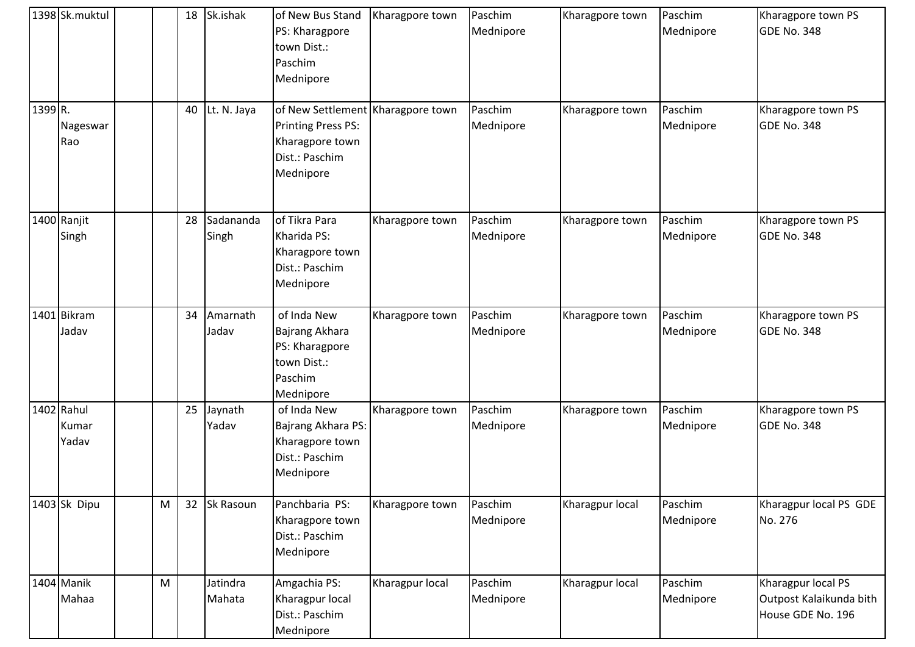|         | 1398 Sk.muktul               |   | 18 | Sk.ishak           | of New Bus Stand<br>PS: Kharagpore<br>town Dist.:<br>Paschim<br>Mednipore                                        | Kharagpore town | Paschim<br>Mednipore | Kharagpore town | Paschim<br>Mednipore | Kharagpore town PS<br>GDE No. 348                                  |
|---------|------------------------------|---|----|--------------------|------------------------------------------------------------------------------------------------------------------|-----------------|----------------------|-----------------|----------------------|--------------------------------------------------------------------|
| 1399 R. | Nageswar<br>Rao              |   | 40 | Lt. N. Jaya        | of New Settlement Kharagpore town<br><b>Printing Press PS:</b><br>Kharagpore town<br>Dist.: Paschim<br>Mednipore |                 | Paschim<br>Mednipore | Kharagpore town | Paschim<br>Mednipore | Kharagpore town PS<br>GDE No. 348                                  |
|         | 1400 Ranjit<br>Singh         |   | 28 | Sadananda<br>Singh | of Tikra Para<br>Kharida PS:<br>Kharagpore town<br>Dist.: Paschim<br>Mednipore                                   | Kharagpore town | Paschim<br>Mednipore | Kharagpore town | Paschim<br>Mednipore | Kharagpore town PS<br><b>GDE No. 348</b>                           |
|         | 1401 Bikram<br>Jadav         |   | 34 | Amarnath<br>Jadav  | of Inda New<br>Bajrang Akhara<br>PS: Kharagpore<br>town Dist.:<br>Paschim<br>Mednipore                           | Kharagpore town | Paschim<br>Mednipore | Kharagpore town | Paschim<br>Mednipore | Kharagpore town PS<br><b>GDE No. 348</b>                           |
|         | 1402 Rahul<br>Kumar<br>Yadav |   | 25 | Jaynath<br>Yadav   | of Inda New<br>Bajrang Akhara PS:<br>Kharagpore town<br>Dist.: Paschim<br>Mednipore                              | Kharagpore town | Paschim<br>Mednipore | Kharagpore town | Paschim<br>Mednipore | Kharagpore town PS<br><b>GDE No. 348</b>                           |
|         | 1403 Sk Dipu                 | M | 32 | Sk Rasoun          | Panchbaria PS:<br>Kharagpore town<br>Dist.: Paschim<br>Mednipore                                                 | Kharagpore town | Paschim<br>Mednipore | Kharagpur local | Paschim<br>Mednipore | Kharagpur local PS GDE<br>No. 276                                  |
|         | 1404 Manik<br>Mahaa          | M |    | Jatindra<br>Mahata | Amgachia PS:<br>Kharagpur local<br>Dist.: Paschim<br>Mednipore                                                   | Kharagpur local | Paschim<br>Mednipore | Kharagpur local | Paschim<br>Mednipore | Kharagpur local PS<br>Outpost Kalaikunda bith<br>House GDE No. 196 |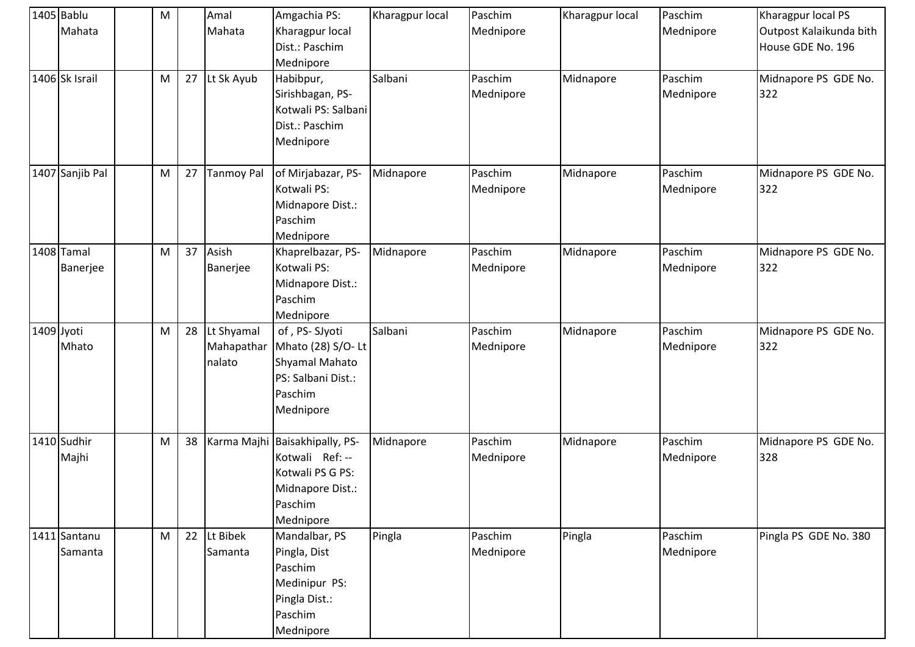| 1405 Bablu<br>Mahata    | ${\sf M}$ |    | Amal<br>Mahata                     | Amgachia PS:<br>Kharagpur local<br>Dist.: Paschim<br>Mednipore                                        | Kharagpur local | Paschim<br>Mednipore | Kharagpur local | Paschim<br>Mednipore | Kharagpur local PS<br>Outpost Kalaikunda bith<br>House GDE No. 196 |
|-------------------------|-----------|----|------------------------------------|-------------------------------------------------------------------------------------------------------|-----------------|----------------------|-----------------|----------------------|--------------------------------------------------------------------|
| 1406 Sk Israil          | M         |    | 27 Lt Sk Ayub                      | Habibpur,<br>Sirishbagan, PS-<br>Kotwali PS: Salbani<br>Dist.: Paschim<br>Mednipore                   | Salbani         | Paschim<br>Mednipore | Midnapore       | Paschim<br>Mednipore | Midnapore PS GDE No.<br>322                                        |
| 1407 Sanjib Pal         | ${\sf M}$ | 27 | <b>Tanmoy Pal</b>                  | of Mirjabazar, PS-<br>Kotwali PS:<br>Midnapore Dist.:<br>Paschim<br>Mednipore                         | Midnapore       | Paschim<br>Mednipore | Midnapore       | Paschim<br>Mednipore | Midnapore PS GDE No.<br>322                                        |
| 1408 Tamal<br>Banerjee  | ${\sf M}$ | 37 | Asish<br>Banerjee                  | Khaprelbazar, PS-<br>Kotwali PS:<br>Midnapore Dist.:<br>Paschim<br>Mednipore                          | Midnapore       | Paschim<br>Mednipore | Midnapore       | Paschim<br>Mednipore | Midnapore PS GDE No.<br>322                                        |
| 1409 Jyoti<br>Mhato     | M         | 28 | Lt Shyamal<br>Mahapathar<br>nalato | of, PS-SJyoti<br>Mhato (28) S/O-Lt<br>Shyamal Mahato<br>PS: Salbani Dist.:<br>Paschim<br>Mednipore    | Salbani         | Paschim<br>Mednipore | Midnapore       | Paschim<br>Mednipore | Midnapore PS GDE No.<br>322                                        |
| 1410 Sudhir<br>Majhi    | ${\sf M}$ | 38 | Karma Majhi                        | Baisakhipally, PS-<br>Kotwali Ref: --<br>Kotwali PS G PS:<br>Midnapore Dist.:<br>Paschim<br>Mednipore | Midnapore       | Paschim<br>Mednipore | Midnapore       | Paschim<br>Mednipore | Midnapore PS GDE No.<br>328                                        |
| 1411 Santanu<br>Samanta | M         | 22 | Lt Bibek<br>Samanta                | Mandalbar, PS<br>Pingla, Dist<br>Paschim<br>Medinipur PS:<br>Pingla Dist.:<br>Paschim<br>Mednipore    | Pingla          | Paschim<br>Mednipore | Pingla          | Paschim<br>Mednipore | Pingla PS GDE No. 380                                              |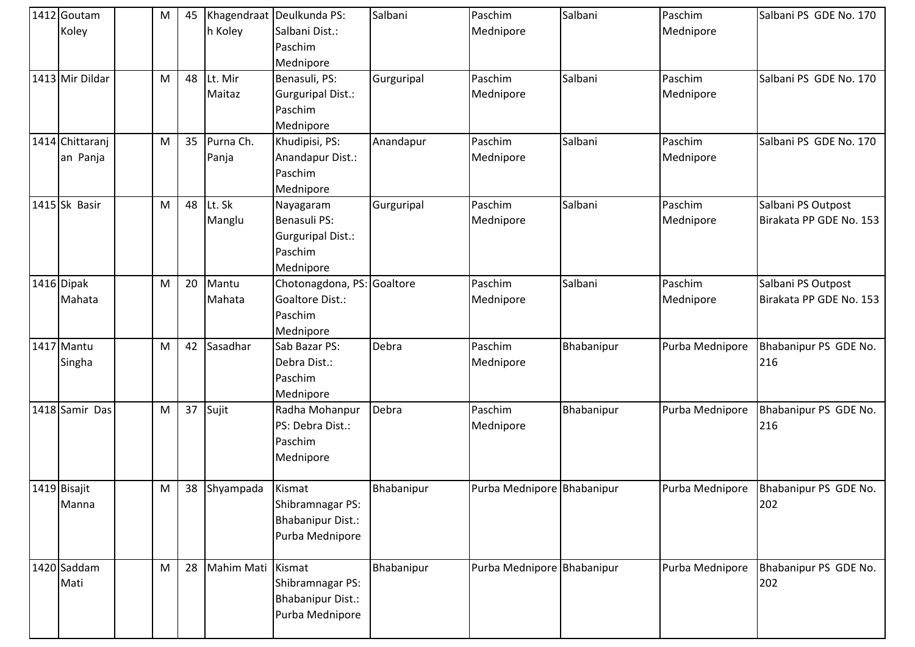| 1412 Goutam<br>Koley        | M | 45 | h Koley            | Khagendraat Deulkunda PS:<br>Salbani Dist.:<br>Paschim<br>Mednipore           | Salbani    | Paschim<br>Mednipore       | Salbani    | Paschim<br>Mednipore | Salbani PS GDE No. 170                        |
|-----------------------------|---|----|--------------------|-------------------------------------------------------------------------------|------------|----------------------------|------------|----------------------|-----------------------------------------------|
| 1413 Mir Dildar             | M | 48 | Lt. Mir<br>Maitaz  | Benasuli, PS:<br>Gurguripal Dist.:<br>Paschim<br>Mednipore                    | Gurguripal | Paschim<br>Mednipore       | Salbani    | Paschim<br>Mednipore | Salbani PS GDE No. 170                        |
| 1414 Chittaranj<br>an Panja | M | 35 | Purna Ch.<br>Panja | Khudipisi, PS:<br>Anandapur Dist.:<br>Paschim<br>Mednipore                    | Anandapur  | Paschim<br>Mednipore       | Salbani    | Paschim<br>Mednipore | Salbani PS GDE No. 170                        |
| 1415 Sk Basir               | M | 48 | Lt. Sk<br>Manglu   | Nayagaram<br>Benasuli PS:<br><b>Gurguripal Dist.:</b><br>Paschim<br>Mednipore | Gurguripal | Paschim<br>Mednipore       | Salbani    | Paschim<br>Mednipore | Salbani PS Outpost<br>Birakata PP GDE No. 153 |
| 1416 Dipak<br>Mahata        | M | 20 | Mantu<br>Mahata    | Chotonagdona, PS: Goaltore<br>Goaltore Dist.:<br>Paschim<br>Mednipore         |            | Paschim<br>Mednipore       | Salbani    | Paschim<br>Mednipore | Salbani PS Outpost<br>Birakata PP GDE No. 153 |
| 1417 Mantu<br>Singha        | M | 42 | Sasadhar           | Sab Bazar PS:<br>Debra Dist.:<br>Paschim<br>Mednipore                         | Debra      | Paschim<br>Mednipore       | Bhabanipur | Purba Mednipore      | Bhabanipur PS GDE No.<br>216                  |
| 1418 Samir Das              | M | 37 | Sujit              | Radha Mohanpur<br>PS: Debra Dist.:<br>Paschim<br>Mednipore                    | Debra      | Paschim<br>Mednipore       | Bhabanipur | Purba Mednipore      | Bhabanipur PS GDE No.<br>216                  |
| 1419 Bisajit<br>Manna       | M | 38 | Shyampada          | Kismat<br>Shibramnagar PS:<br><b>Bhabanipur Dist.:</b><br>Purba Mednipore     | Bhabanipur | Purba Mednipore Bhabanipur |            | Purba Mednipore      | Bhabanipur PS GDE No.<br>202                  |
| 1420 Saddam<br>Mati         | M | 28 | Mahim Mati Kismat  | Shibramnagar PS:<br><b>Bhabanipur Dist.:</b><br>Purba Mednipore               | Bhabanipur | Purba Mednipore Bhabanipur |            | Purba Mednipore      | Bhabanipur PS GDE No.<br>202                  |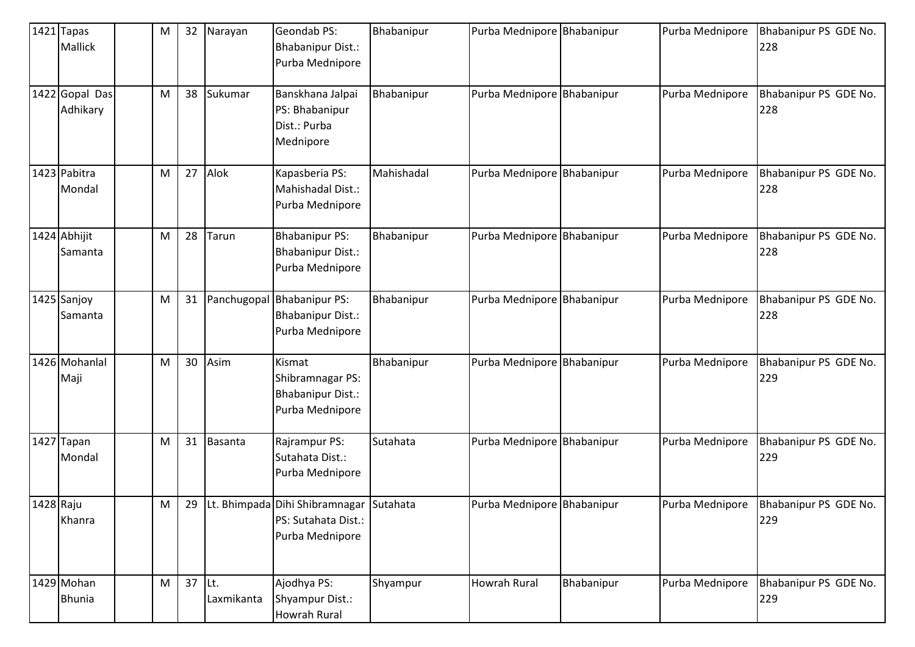|           | $1421$ Tapas<br>Mallick     | M | 32     | Narayan        | Geondab PS:<br>Bhabanipur Dist.:<br>Purba Mednipore                               | Bhabanipur | Purba Mednipore Bhabanipur |            | Purba Mednipore | Bhabanipur PS GDE No.<br>228 |
|-----------|-----------------------------|---|--------|----------------|-----------------------------------------------------------------------------------|------------|----------------------------|------------|-----------------|------------------------------|
|           | 1422 Gopal Das<br>Adhikary  | M | 38     | Sukumar        | Banskhana Jalpai<br>PS: Bhabanipur<br>Dist.: Purba<br>Mednipore                   | Bhabanipur | Purba Mednipore Bhabanipur |            | Purba Mednipore | Bhabanipur PS GDE No.<br>228 |
|           | 1423 Pabitra<br>Mondal      | M | 27     | Alok           | Kapasberia PS:<br>Mahishadal Dist.:<br>Purba Mednipore                            | Mahishadal | Purba Mednipore Bhabanipur |            | Purba Mednipore | Bhabanipur PS GDE No.<br>228 |
|           | 1424 Abhijit<br>Samanta     | M | 28     | Tarun          | <b>Bhabanipur PS:</b><br><b>Bhabanipur Dist.:</b><br>Purba Mednipore              | Bhabanipur | Purba Mednipore Bhabanipur |            | Purba Mednipore | Bhabanipur PS GDE No.<br>228 |
|           | 1425 Sanjoy<br>Samanta      | M | 31     | Panchugopal    | <b>Bhabanipur PS:</b><br><b>Bhabanipur Dist.:</b><br>Purba Mednipore              | Bhabanipur | Purba Mednipore Bhabanipur |            | Purba Mednipore | Bhabanipur PS GDE No.<br>228 |
|           | 1426 Mohanlal<br>Maji       | M | 30     | Asim           | Kismat<br>Shibramnagar PS:<br>Bhabanipur Dist.:<br>Purba Mednipore                | Bhabanipur | Purba Mednipore Bhabanipur |            | Purba Mednipore | Bhabanipur PS GDE No.<br>229 |
|           | 1427 Tapan<br>Mondal        | М | 31     | <b>Basanta</b> | Rajrampur PS:<br>Sutahata Dist.:<br>Purba Mednipore                               | Sutahata   | Purba Mednipore Bhabanipur |            | Purba Mednipore | Bhabanipur PS GDE No.<br>229 |
| 1428 Raju | Khanra                      | M | 29     |                | Lt. Bhimpada Dihi Shibramnagar Sutahata<br>PS: Sutahata Dist.:<br>Purba Mednipore |            | Purba Mednipore Bhabanipur |            | Purba Mednipore | Bhabanipur PS GDE No.<br>229 |
|           | 1429 Mohan<br><b>Bhunia</b> | M | 37 Lt. | Laxmikanta     | Ajodhya PS:<br>Shyampur Dist.:<br><b>Howrah Rural</b>                             | Shyampur   | <b>Howrah Rural</b>        | Bhabanipur | Purba Mednipore | Bhabanipur PS GDE No.<br>229 |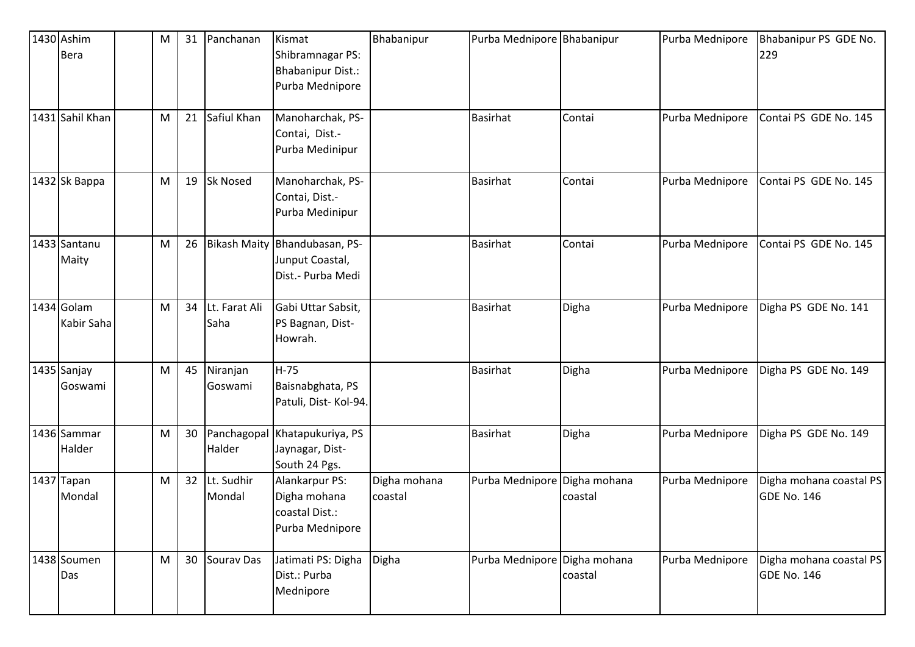| 1430 Ashim<br>Bera       | M | 31              | Panchanan             | Kismat<br>Shibramnagar PS:                                          | Bhabanipur              | Purba Mednipore Bhabanipur |                         | Purba Mednipore | Bhabanipur PS GDE No.<br>229                  |
|--------------------------|---|-----------------|-----------------------|---------------------------------------------------------------------|-------------------------|----------------------------|-------------------------|-----------------|-----------------------------------------------|
|                          |   |                 |                       | <b>Bhabanipur Dist.:</b><br>Purba Mednipore                         |                         |                            |                         |                 |                                               |
| 1431 Sahil Khan          | M | 21              | Safiul Khan           | Manoharchak, PS-<br>Contai, Dist.-<br>Purba Medinipur               |                         | <b>Basirhat</b>            | Contai                  | Purba Mednipore | Contai PS GDE No. 145                         |
| 1432 Sk Bappa            | M | 19              | <b>Sk Nosed</b>       | Manoharchak, PS-<br>Contai, Dist.-<br>Purba Medinipur               |                         | <b>Basirhat</b>            | Contai                  | Purba Mednipore | Contai PS GDE No. 145                         |
| 1433 Santanu<br>Maity    | M | 26              | <b>Bikash Maity</b>   | Bhandubasan, PS-<br>Junput Coastal,<br>Dist.- Purba Medi            |                         | <b>Basirhat</b>            | Contai                  | Purba Mednipore | Contai PS GDE No. 145                         |
| 1434 Golam<br>Kabir Saha | M | 34              | Lt. Farat Ali<br>Saha | Gabi Uttar Sabsit,<br>PS Bagnan, Dist-<br>Howrah.                   |                         | <b>Basirhat</b>            | Digha                   | Purba Mednipore | Digha PS GDE No. 141                          |
| 1435 Sanjay<br>Goswami   | M | 45              | Niranjan<br>Goswami   | $H-75$<br>Baisnabghata, PS<br>Patuli, Dist-Kol-94.                  |                         | <b>Basirhat</b>            | Digha                   | Purba Mednipore | Digha PS GDE No. 149                          |
| 1436 Sammar<br>Halder    | M | 30              | Panchagopal<br>Halder | Khatapukuriya, PS<br>Jaynagar, Dist-<br>South 24 Pgs.               |                         | <b>Basirhat</b>            | Digha                   | Purba Mednipore | Digha PS GDE No. 149                          |
| 1437 Tapan<br>Mondal     | M | 32 <sup>2</sup> | Lt. Sudhir<br>Mondal  | Alankarpur PS:<br>Digha mohana<br>coastal Dist.:<br>Purba Mednipore | Digha mohana<br>coastal | Purba Mednipore            | Digha mohana<br>coastal | Purba Mednipore | Digha mohana coastal PS<br><b>GDE No. 146</b> |
| 1438 Soumen<br>Das       | M | 30              | <b>Sourav Das</b>     | Jatimati PS: Digha<br>Dist.: Purba<br>Mednipore                     | Digha                   | Purba Mednipore            | Digha mohana<br>coastal | Purba Mednipore | Digha mohana coastal PS<br>GDE No. 146        |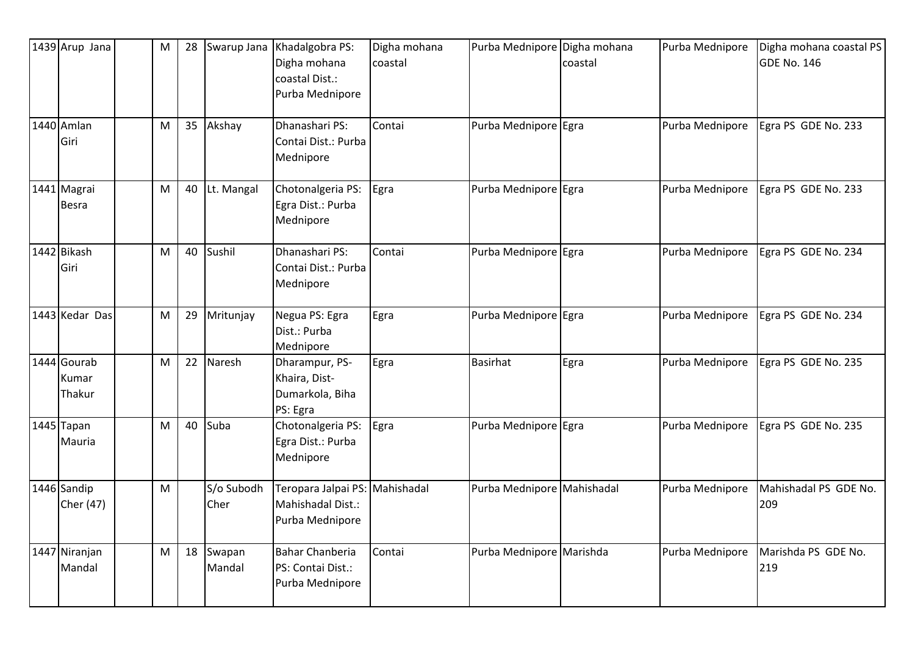| 1439 Arup Jana                 | M | 28 | Swarup Jana        | Khadalgobra PS:<br>Digha mohana<br>coastal Dist.:<br>Purba Mednipore   | Digha mohana<br>coastal | Purba Mednipore            | Digha mohana<br>coastal | Purba Mednipore | Digha mohana coastal PS<br><b>GDE No. 146</b> |
|--------------------------------|---|----|--------------------|------------------------------------------------------------------------|-------------------------|----------------------------|-------------------------|-----------------|-----------------------------------------------|
| 1440 Amlan<br>Giri             | M | 35 | Akshay             | Dhanashari PS:<br>Contai Dist.: Purba<br>Mednipore                     | Contai                  | Purba Mednipore Egra       |                         | Purba Mednipore | Egra PS GDE No. 233                           |
| 1441 Magrai<br><b>Besra</b>    | M | 40 | Lt. Mangal         | Chotonalgeria PS:<br>Egra Dist.: Purba<br>Mednipore                    | Egra                    | Purba Mednipore Egra       |                         | Purba Mednipore | Egra PS GDE No. 233                           |
| 1442 Bikash<br>Giri            | M | 40 | Sushil             | Dhanashari PS:<br>Contai Dist.: Purba<br>Mednipore                     | Contai                  | Purba Mednipore Egra       |                         | Purba Mednipore | Egra PS GDE No. 234                           |
| 1443 Kedar Das                 | M | 29 | Mritunjay          | Negua PS: Egra<br>Dist.: Purba<br>Mednipore                            | Egra                    | Purba Mednipore Egra       |                         | Purba Mednipore | Egra PS GDE No. 234                           |
| 1444 Gourab<br>Kumar<br>Thakur | M | 22 | Naresh             | Dharampur, PS-<br>Khaira, Dist-<br>Dumarkola, Biha<br>PS: Egra         | Egra                    | Basirhat                   | Egra                    | Purba Mednipore | Egra PS GDE No. 235                           |
| 1445 Tapan<br>Mauria           | M | 40 | Suba               | Chotonalgeria PS:<br>Egra Dist.: Purba<br>Mednipore                    | Egra                    | Purba Mednipore Egra       |                         | Purba Mednipore | Egra PS GDE No. 235                           |
| 1446 Sandip<br>Cher (47)       | M |    | S/o Subodh<br>Cher | Teropara Jalpai PS: Mahishadal<br>Mahishadal Dist.:<br>Purba Mednipore |                         | Purba Mednipore Mahishadal |                         | Purba Mednipore | Mahishadal PS GDE No.<br>209                  |
| 1447 Niranjan<br>Mandal        | M | 18 | Swapan<br>Mandal   | <b>Bahar Chanberia</b><br>PS: Contai Dist.:<br>Purba Mednipore         | Contai                  | Purba Mednipore Marishda   |                         | Purba Mednipore | Marishda PS GDE No.<br>219                    |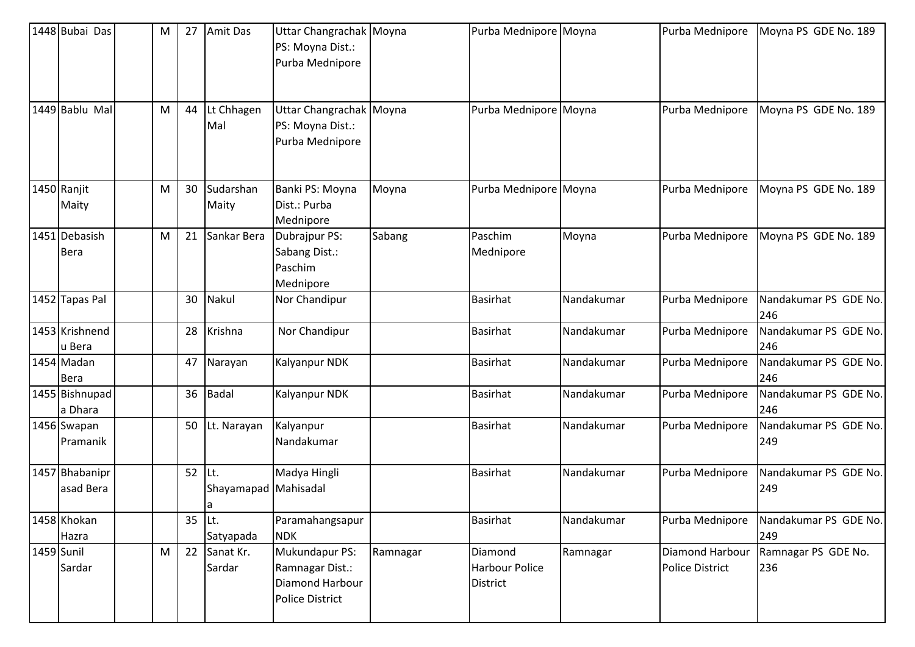| 1448 Bubai Das               | M | 27     | Amit Das                           | Uttar Changrachak Moyna<br>PS: Moyna Dist.:<br>Purba Mednipore                 |          | Purba Mednipore Moyna                        |            | Purba Mednipore                           | Moyna PS GDE No. 189         |
|------------------------------|---|--------|------------------------------------|--------------------------------------------------------------------------------|----------|----------------------------------------------|------------|-------------------------------------------|------------------------------|
| 1449 Bablu Mal               | M | 44     | Lt Chhagen<br>Mal                  | Uttar Changrachak Moyna<br>PS: Moyna Dist.:<br>Purba Mednipore                 |          | Purba Mednipore Moyna                        |            | Purba Mednipore                           | Moyna PS GDE No. 189         |
| 1450 Ranjit<br>Maity         | M | 30     | Sudarshan<br>Maity                 | Banki PS: Moyna<br>Dist.: Purba<br>Mednipore                                   | Moyna    | Purba Mednipore Moyna                        |            | Purba Mednipore                           | Moyna PS GDE No. 189         |
| 1451 Debasish<br><b>Bera</b> | M | 21     | Sankar Bera                        | Dubrajpur PS:<br>Sabang Dist.:<br>Paschim<br>Mednipore                         | Sabang   | Paschim<br>Mednipore                         | Moyna      | Purba Mednipore                           | Moyna PS GDE No. 189         |
| 1452 Tapas Pal               |   | 30     | Nakul                              | Nor Chandipur                                                                  |          | <b>Basirhat</b>                              | Nandakumar | Purba Mednipore                           | Nandakumar PS GDE No.<br>246 |
| 1453 Krishnend<br>u Bera     |   | 28     | Krishna                            | Nor Chandipur                                                                  |          | <b>Basirhat</b>                              | Nandakumar | Purba Mednipore                           | Nandakumar PS GDE No.<br>246 |
| 1454 Madan<br>Bera           |   | 47     | Narayan                            | Kalyanpur NDK                                                                  |          | <b>Basirhat</b>                              | Nandakumar | Purba Mednipore                           | Nandakumar PS GDE No.<br>246 |
| 1455 Bishnupad<br>a Dhara    |   | 36     | Badal                              | <b>Kalyanpur NDK</b>                                                           |          | <b>Basirhat</b>                              | Nandakumar | Purba Mednipore                           | Nandakumar PS GDE No.<br>246 |
| 1456 Swapan<br>Pramanik      |   | 50     | Lt. Narayan                        | Kalyanpur<br>Nandakumar                                                        |          | <b>Basirhat</b>                              | Nandakumar | Purba Mednipore                           | Nandakumar PS GDE No.<br>249 |
| 1457 Bhabanipr<br>asad Bera  |   | 52     | Lt.<br>Shayamapad Mahisadal<br>l a | Madya Hingli                                                                   |          | <b>Basirhat</b>                              | Nandakumar | Purba Mednipore                           | Nandakumar PS GDE No.<br>249 |
| 1458 Khokan<br>Hazra         |   | 35 Lt. | Satyapada                          | Paramahangsapur<br><b>NDK</b>                                                  |          | <b>Basirhat</b>                              | Nandakumar | Purba Mednipore                           | Nandakumar PS GDE No.<br>249 |
| 1459 Sunil<br>Sardar         | M | 22     | Sanat Kr.<br>Sardar                | Mukundapur PS:<br>Ramnagar Dist.:<br>Diamond Harbour<br><b>Police District</b> | Ramnagar | Diamond<br><b>Harbour Police</b><br>District | Ramnagar   | Diamond Harbour<br><b>Police District</b> | Ramnagar PS GDE No.<br>236   |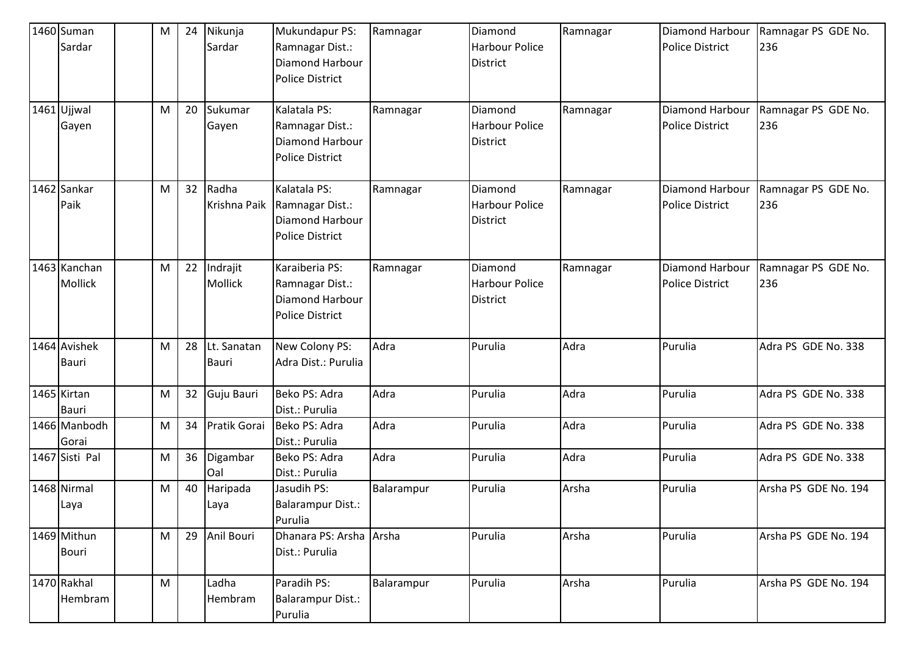| 1460 Suman     | м         | 24 | Nikunja      | Mukundapur PS:           | Ramnagar   | Diamond               | Ramnagar | Diamond Harbour        | Ramnagar PS GDE No.  |
|----------------|-----------|----|--------------|--------------------------|------------|-----------------------|----------|------------------------|----------------------|
| Sardar         |           |    | Sardar       | Ramnagar Dist.:          |            | <b>Harbour Police</b> |          | <b>Police District</b> | 236                  |
|                |           |    |              | Diamond Harbour          |            | <b>District</b>       |          |                        |                      |
|                |           |    |              | <b>Police District</b>   |            |                       |          |                        |                      |
|                |           |    |              |                          |            |                       |          |                        |                      |
| 1461 Ujjwal    | M         | 20 | Sukumar      | Kalatala PS:             | Ramnagar   | Diamond               | Ramnagar | <b>Diamond Harbour</b> | Ramnagar PS GDE No.  |
| Gayen          |           |    | Gayen        | Ramnagar Dist.:          |            | <b>Harbour Police</b> |          | <b>Police District</b> | 236                  |
|                |           |    |              | <b>Diamond Harbour</b>   |            | <b>District</b>       |          |                        |                      |
|                |           |    |              | <b>Police District</b>   |            |                       |          |                        |                      |
|                |           |    |              |                          |            |                       |          |                        |                      |
| 1462 Sankar    | M         | 32 | Radha        | Kalatala PS:             | Ramnagar   | Diamond               | Ramnagar | <b>Diamond Harbour</b> | Ramnagar PS GDE No.  |
| Paik           |           |    | Krishna Paik | Ramnagar Dist.:          |            | <b>Harbour Police</b> |          | <b>Police District</b> | 236                  |
|                |           |    |              | <b>Diamond Harbour</b>   |            | <b>District</b>       |          |                        |                      |
|                |           |    |              | <b>Police District</b>   |            |                       |          |                        |                      |
|                |           |    |              |                          |            |                       |          |                        |                      |
| 1463 Kanchan   | M         | 22 | Indrajit     | Karaiberia PS:           | Ramnagar   | Diamond               | Ramnagar | <b>Diamond Harbour</b> | Ramnagar PS GDE No.  |
| Mollick        |           |    | Mollick      | Ramnagar Dist.:          |            | <b>Harbour Police</b> |          | <b>Police District</b> | 236                  |
|                |           |    |              | Diamond Harbour          |            | District              |          |                        |                      |
|                |           |    |              | <b>Police District</b>   |            |                       |          |                        |                      |
|                |           |    |              |                          |            |                       |          |                        |                      |
| 1464 Avishek   | M         | 28 | Lt. Sanatan  | New Colony PS:           | Adra       | Purulia               | Adra     | Purulia                | Adra PS GDE No. 338  |
| <b>Bauri</b>   |           |    | Bauri        | Adra Dist.: Purulia      |            |                       |          |                        |                      |
|                |           |    |              |                          |            |                       |          |                        |                      |
| 1465 Kirtan    | M         | 32 | Guju Bauri   | Beko PS: Adra            | Adra       | Purulia               | Adra     | Purulia                | Adra PS GDE No. 338  |
| <b>Bauri</b>   |           |    |              | Dist.: Purulia           |            |                       |          |                        |                      |
| 1466 Manbodh   | M         | 34 | Pratik Gorai | Beko PS: Adra            | Adra       | Purulia               | Adra     | Purulia                | Adra PS GDE No. 338  |
| Gorai          |           |    |              | Dist.: Purulia           |            |                       |          |                        |                      |
| 1467 Sisti Pal | ${\sf M}$ | 36 | Digambar     | Beko PS: Adra            | Adra       | Purulia               | Adra     | Purulia                | Adra PS GDE No. 338  |
|                |           |    | Oal          | Dist.: Purulia           |            |                       |          |                        |                      |
| 1468 Nirmal    | M         | 40 | Haripada     | Jasudih PS:              | Balarampur | Purulia               | Arsha    | Purulia                | Arsha PS GDE No. 194 |
| Laya           |           |    | Laya         | <b>Balarampur Dist.:</b> |            |                       |          |                        |                      |
|                |           |    |              | Purulia                  |            |                       |          |                        |                      |
| 1469 Mithun    | M         | 29 | Anil Bouri   | Dhanara PS: Arsha Arsha  |            | Purulia               | Arsha    | Purulia                | Arsha PS GDE No. 194 |
| <b>Bouri</b>   |           |    |              | Dist.: Purulia           |            |                       |          |                        |                      |
|                |           |    |              |                          |            |                       |          |                        |                      |
| 1470 Rakhal    | ${\sf M}$ |    | Ladha        | Paradih PS:              | Balarampur | Purulia               | Arsha    | Purulia                | Arsha PS GDE No. 194 |
| Hembram        |           |    | Hembram      | <b>Balarampur Dist.:</b> |            |                       |          |                        |                      |
|                |           |    |              | Purulia                  |            |                       |          |                        |                      |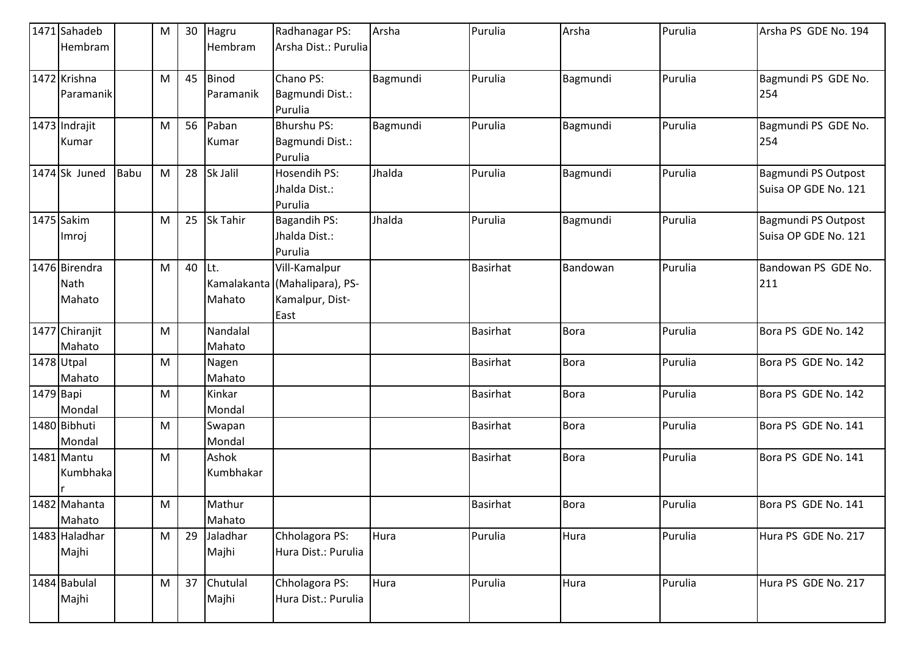|           | 1471 Sahadeb                    |             | M | 30 | Hagru                     | Radhanagar PS:                                                            | Arsha    | Purulia         | Arsha       | Purulia | Arsha PS GDE No. 194                        |
|-----------|---------------------------------|-------------|---|----|---------------------------|---------------------------------------------------------------------------|----------|-----------------|-------------|---------|---------------------------------------------|
|           | Hembram                         |             |   |    | Hembram                   | Arsha Dist.: Purulia                                                      |          |                 |             |         |                                             |
|           | 1472 Krishna<br>Paramanik       |             | M | 45 | <b>Binod</b><br>Paramanik | Chano PS:<br>Bagmundi Dist.:<br>Purulia                                   | Bagmundi | Purulia         | Bagmundi    | Purulia | Bagmundi PS GDE No.<br>254                  |
|           | 1473 Indrajit<br>Kumar          |             | M | 56 | Paban<br>Kumar            | <b>Bhurshu PS:</b><br>Bagmundi Dist.:<br>Purulia                          | Bagmundi | Purulia         | Bagmundi    | Purulia | Bagmundi PS GDE No.<br>254                  |
|           | 1474 Sk Juned                   | <b>Babu</b> | M | 28 | Sk Jalil                  | <b>Hosendih PS:</b><br>Jhalda Dist.:<br>Purulia                           | Jhalda   | Purulia         | Bagmundi    | Purulia | Bagmundi PS Outpost<br>Suisa OP GDE No. 121 |
|           | 1475 Sakim<br>Imroj             |             | M | 25 | Sk Tahir                  | <b>Bagandih PS:</b><br>Jhalda Dist.:<br>Purulia                           | Jhalda   | Purulia         | Bagmundi    | Purulia | Bagmundi PS Outpost<br>Suisa OP GDE No. 121 |
|           | 1476 Birendra<br>Nath<br>Mahato |             | M | 40 | Lt.<br>Mahato             | Vill-Kamalpur<br>Kamalakanta (Mahalipara), PS-<br>Kamalpur, Dist-<br>East |          | <b>Basirhat</b> | Bandowan    | Purulia | Bandowan PS GDE No.<br>211                  |
|           | 1477 Chiranjit<br>Mahato        |             | M |    | Nandalal<br>Mahato        |                                                                           |          | <b>Basirhat</b> | <b>Bora</b> | Purulia | Bora PS GDE No. 142                         |
|           | 1478 Utpal<br>Mahato            |             | M |    | Nagen<br>Mahato           |                                                                           |          | <b>Basirhat</b> | <b>Bora</b> | Purulia | Bora PS GDE No. 142                         |
| 1479 Bapi | Mondal                          |             | M |    | Kinkar<br>Mondal          |                                                                           |          | <b>Basirhat</b> | Bora        | Purulia | Bora PS GDE No. 142                         |
|           | 1480 Bibhuti<br>Mondal          |             | M |    | Swapan<br>Mondal          |                                                                           |          | <b>Basirhat</b> | <b>Bora</b> | Purulia | Bora PS GDE No. 141                         |
|           | 1481 Mantu<br>Kumbhaka          |             | M |    | Ashok<br>Kumbhakar        |                                                                           |          | <b>Basirhat</b> | <b>Bora</b> | Purulia | Bora PS GDE No. 141                         |
|           | 1482 Mahanta<br>Mahato          |             | M |    | Mathur<br>Mahato          |                                                                           |          | <b>Basirhat</b> | <b>Bora</b> | Purulia | Bora PS GDE No. 141                         |
|           | 1483 Haladhar<br>Majhi          |             | M | 29 | Jaladhar<br>Majhi         | Chholagora PS:<br>Hura Dist.: Purulia                                     | Hura     | Purulia         | Hura        | Purulia | Hura PS GDE No. 217                         |
|           | 1484 Babulal<br>Majhi           |             | M | 37 | Chutulal<br>Majhi         | Chholagora PS:<br>Hura Dist.: Purulia                                     | Hura     | Purulia         | Hura        | Purulia | Hura PS GDE No. 217                         |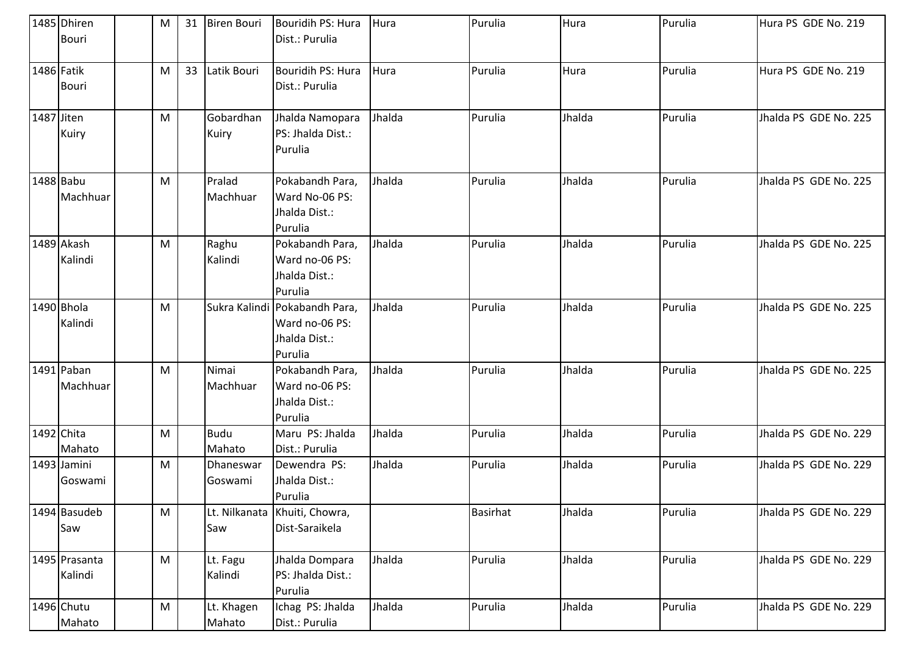|            | 1485 Dhiren<br><b>Bouri</b> | M | 31 | <b>Biren Bouri</b>    | Bouridih PS: Hura<br>Dist.: Purulia                                         | Hura   | Purulia         | Hura   | Purulia | Hura PS GDE No. 219   |
|------------|-----------------------------|---|----|-----------------------|-----------------------------------------------------------------------------|--------|-----------------|--------|---------|-----------------------|
|            | 1486 Fatik<br><b>Bouri</b>  | M | 33 | Latik Bouri           | Bouridih PS: Hura<br>Dist.: Purulia                                         | Hura   | Purulia         | Hura   | Purulia | Hura PS GDE No. 219   |
| 1487 Jiten | Kuiry                       | M |    | Gobardhan<br>Kuiry    | Jhalda Namopara<br>PS: Jhalda Dist.:<br>Purulia                             | Jhalda | Purulia         | Jhalda | Purulia | Jhalda PS GDE No. 225 |
|            | 1488 Babu<br>Machhuar       | M |    | Pralad<br>Machhuar    | Pokabandh Para,<br>Ward No-06 PS:<br>Jhalda Dist.:<br>Purulia               | Jhalda | Purulia         | Jhalda | Purulia | Jhalda PS GDE No. 225 |
|            | 1489 Akash<br>Kalindi       | M |    | Raghu<br>Kalindi      | Pokabandh Para,<br>Ward no-06 PS:<br>Jhalda Dist.:<br>Purulia               | Jhalda | Purulia         | Jhalda | Purulia | Jhalda PS GDE No. 225 |
|            | 1490 Bhola<br>Kalindi       | M |    |                       | Sukra Kalindi Pokabandh Para,<br>Ward no-06 PS:<br>Jhalda Dist.:<br>Purulia | Jhalda | Purulia         | Jhalda | Purulia | Jhalda PS GDE No. 225 |
|            | 1491 Paban<br>Machhuar      | M |    | Nimai<br>Machhuar     | Pokabandh Para,<br>Ward no-06 PS:<br>Jhalda Dist.:<br>Purulia               | Jhalda | Purulia         | Jhalda | Purulia | Jhalda PS GDE No. 225 |
|            | 1492 Chita<br>Mahato        | M |    | <b>Budu</b><br>Mahato | Maru PS: Jhalda<br>Dist.: Purulia                                           | Jhalda | Purulia         | Jhalda | Purulia | Jhalda PS GDE No. 229 |
|            | 1493 Jamini<br>Goswami      | M |    | Dhaneswar<br>Goswami  | Dewendra PS:<br>Jhalda Dist.:<br>Purulia                                    | Jhalda | Purulia         | Jhalda | Purulia | Jhalda PS GDE No. 229 |
|            | 1494 Basudeb<br>Saw         | M |    | Saw                   | Lt. Nilkanata Khuiti, Chowra,<br>Dist-Saraikela                             |        | <b>Basirhat</b> | Jhalda | Purulia | Jhalda PS GDE No. 229 |
|            | 1495 Prasanta<br>Kalindi    | M |    | Lt. Fagu<br>Kalindi   | Jhalda Dompara<br>PS: Jhalda Dist.:<br>Purulia                              | Jhalda | Purulia         | Jhalda | Purulia | Jhalda PS GDE No. 229 |
|            | 1496 Chutu<br>Mahato        | M |    | Lt. Khagen<br>Mahato  | Ichag PS: Jhalda<br>Dist.: Purulia                                          | Jhalda | Purulia         | Jhalda | Purulia | Jhalda PS GDE No. 229 |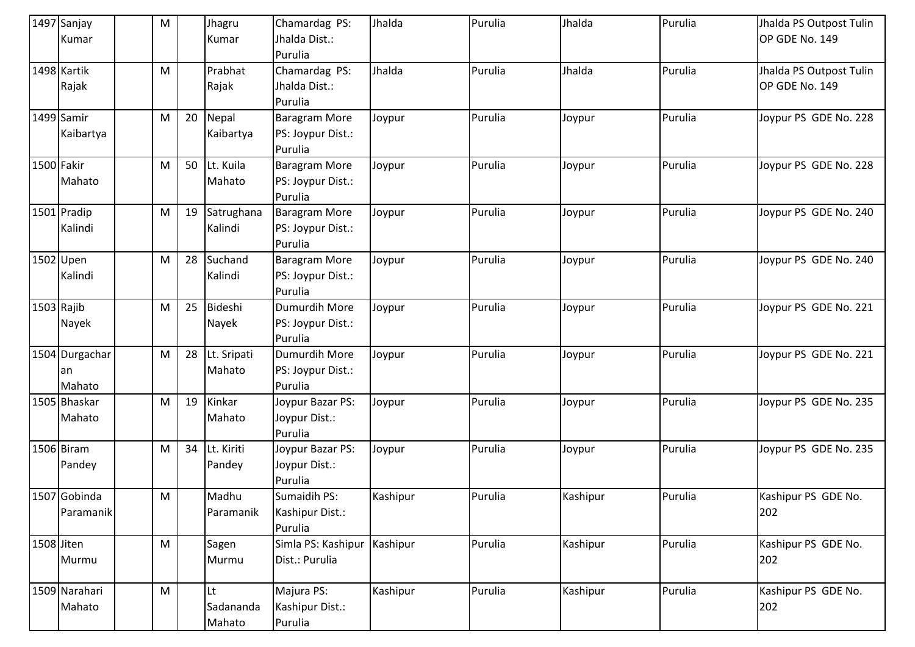|            | 1497 Sanjay    | M                                                                                                          |    | Jhagru      | Chamardag PS:        | Jhalda   | Purulia | Jhalda   | Purulia | Jhalda PS Outpost Tulin |
|------------|----------------|------------------------------------------------------------------------------------------------------------|----|-------------|----------------------|----------|---------|----------|---------|-------------------------|
|            | Kumar          |                                                                                                            |    | Kumar       | Jhalda Dist.:        |          |         |          |         | OP GDE No. 149          |
|            |                |                                                                                                            |    |             | Purulia              |          |         |          |         |                         |
|            | 1498 Kartik    | M                                                                                                          |    | Prabhat     | Chamardag PS:        | Jhalda   | Purulia | Jhalda   | Purulia | Jhalda PS Outpost Tulin |
|            | Rajak          |                                                                                                            |    | Rajak       | Jhalda Dist.:        |          |         |          |         | OP GDE No. 149          |
|            |                |                                                                                                            |    |             | Purulia              |          |         |          |         |                         |
|            | 1499 Samir     | M                                                                                                          | 20 | Nepal       | <b>Baragram More</b> | Joypur   | Purulia | Joypur   | Purulia | Joypur PS GDE No. 228   |
|            | Kaibartya      |                                                                                                            |    | Kaibartya   | PS: Joypur Dist.:    |          |         |          |         |                         |
|            |                |                                                                                                            |    |             | Purulia              |          |         |          |         |                         |
| 1500 Fakir |                | M                                                                                                          | 50 | Lt. Kuila   | <b>Baragram More</b> | Joypur   | Purulia | Joypur   | Purulia | Joypur PS GDE No. 228   |
|            | Mahato         |                                                                                                            |    | Mahato      | PS: Joypur Dist.:    |          |         |          |         |                         |
|            |                |                                                                                                            |    |             | Purulia              |          |         |          |         |                         |
|            | 1501 Pradip    | M                                                                                                          | 19 | Satrughana  | <b>Baragram More</b> | Joypur   | Purulia | Joypur   | Purulia | Joypur PS GDE No. 240   |
|            | Kalindi        |                                                                                                            |    | Kalindi     | PS: Joypur Dist.:    |          |         |          |         |                         |
|            |                |                                                                                                            |    |             | Purulia              |          |         |          |         |                         |
|            | 1502 Upen      | M                                                                                                          | 28 | Suchand     | <b>Baragram More</b> | Joypur   | Purulia | Joypur   | Purulia | Joypur PS GDE No. 240   |
|            | Kalindi        |                                                                                                            |    | Kalindi     | PS: Joypur Dist.:    |          |         |          |         |                         |
|            |                |                                                                                                            |    |             | Purulia              |          |         |          |         |                         |
| 1503 Rajib |                | M                                                                                                          | 25 | Bideshi     | Dumurdih More        | Joypur   | Purulia | Joypur   | Purulia | Joypur PS GDE No. 221   |
|            | Nayek          |                                                                                                            |    | Nayek       | PS: Joypur Dist.:    |          |         |          |         |                         |
|            |                |                                                                                                            |    |             | Purulia              |          |         |          |         |                         |
|            | 1504 Durgachar | M                                                                                                          | 28 | Lt. Sripati | Dumurdih More        | Joypur   | Purulia | Joypur   | Purulia | Joypur PS GDE No. 221   |
|            | an             |                                                                                                            |    | Mahato      | PS: Joypur Dist.:    |          |         |          |         |                         |
|            | Mahato         |                                                                                                            |    |             | Purulia              |          |         |          |         |                         |
|            | 1505 Bhaskar   | M                                                                                                          | 19 | Kinkar      | Joypur Bazar PS:     | Joypur   | Purulia | Joypur   | Purulia | Joypur PS GDE No. 235   |
|            | Mahato         |                                                                                                            |    | Mahato      | Joypur Dist.:        |          |         |          |         |                         |
|            |                |                                                                                                            |    |             | Purulia              |          |         |          |         |                         |
|            | 1506 Biram     | M                                                                                                          | 34 | Lt. Kiriti  | Joypur Bazar PS:     | Joypur   | Purulia | Joypur   | Purulia | Joypur PS GDE No. 235   |
|            | Pandey         |                                                                                                            |    | Pandey      | Joypur Dist.:        |          |         |          |         |                         |
|            |                |                                                                                                            |    |             | Purulia              |          |         |          |         |                         |
|            | 1507 Gobinda   | M                                                                                                          |    | Madhu       | Sumaidih PS:         | Kashipur | Purulia | Kashipur | Purulia | Kashipur PS GDE No.     |
|            | Paramanik      |                                                                                                            |    | Paramanik   | Kashipur Dist.:      |          |         |          |         | 202                     |
|            |                |                                                                                                            |    |             | Purulia              |          |         |          |         |                         |
| 1508 Jiten |                | $\mathsf{M}% _{T}=\mathsf{M}_{T}\!\left( a,b\right) ,\ \mathsf{M}_{T}=\mathsf{M}_{T}\!\left( a,b\right) ,$ |    | Sagen       | Simla PS: Kashipur   | Kashipur | Purulia | Kashipur | Purulia | Kashipur PS GDE No.     |
|            | Murmu          |                                                                                                            |    | Murmu       | Dist.: Purulia       |          |         |          |         | 202                     |
|            |                |                                                                                                            |    |             |                      |          |         |          |         |                         |
|            | 1509 Narahari  | ${\sf M}$                                                                                                  |    | Lt          | Majura PS:           | Kashipur | Purulia | Kashipur | Purulia | Kashipur PS GDE No.     |
|            | Mahato         |                                                                                                            |    | Sadananda   | Kashipur Dist.:      |          |         |          |         | 202                     |
|            |                |                                                                                                            |    | Mahato      | Purulia              |          |         |          |         |                         |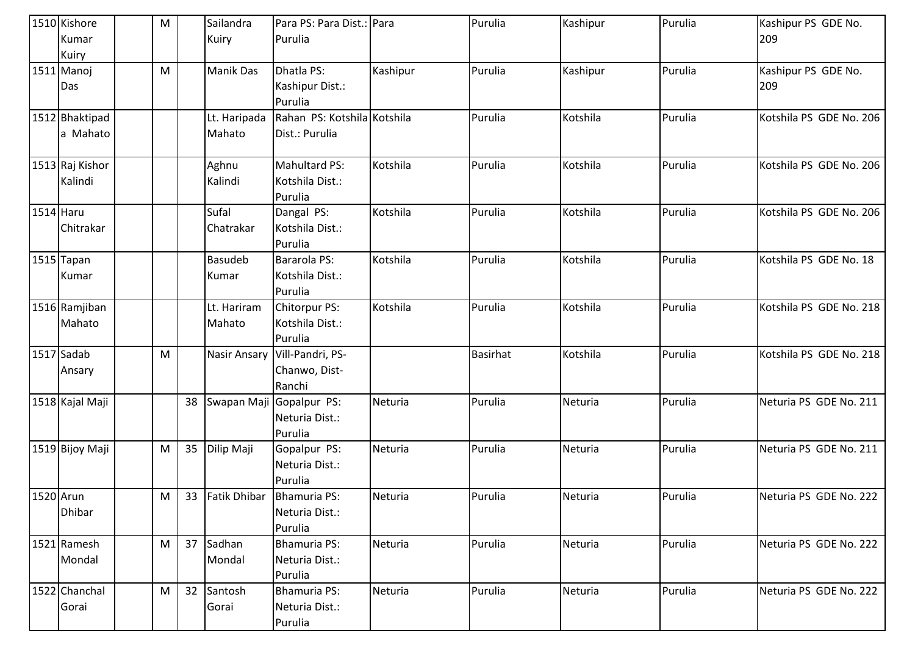| 1510 Kishore    | M |    | Sailandra           | Para PS: Para Dist.: Para      |          | Purulia         | Kashipur | Purulia | Kashipur PS GDE No.     |
|-----------------|---|----|---------------------|--------------------------------|----------|-----------------|----------|---------|-------------------------|
| Kumar           |   |    | Kuiry               | Purulia                        |          |                 |          |         | 209                     |
| Kuiry           |   |    |                     |                                |          |                 |          |         |                         |
| 1511 Manoj      | M |    | <b>Manik Das</b>    | Dhatla PS:                     | Kashipur | Purulia         | Kashipur | Purulia | Kashipur PS GDE No.     |
| Das             |   |    |                     | Kashipur Dist.:                |          |                 |          |         | 209                     |
|                 |   |    |                     | Purulia                        |          |                 |          |         |                         |
| 1512 Bhaktipad  |   |    | Lt. Haripada        | Rahan PS: Kotshila Kotshila    |          | Purulia         | Kotshila | Purulia | Kotshila PS GDE No. 206 |
| a Mahato        |   |    | Mahato              | Dist.: Purulia                 |          |                 |          |         |                         |
| 1513 Raj Kishor |   |    | Aghnu               | Mahultard PS:                  | Kotshila | Purulia         | Kotshila | Purulia | Kotshila PS GDE No. 206 |
| Kalindi         |   |    | Kalindi             | Kotshila Dist.:                |          |                 |          |         |                         |
|                 |   |    |                     | Purulia                        |          |                 |          |         |                         |
| 1514 Haru       |   |    | Sufal               | Dangal PS:                     | Kotshila | Purulia         | Kotshila | Purulia | Kotshila PS GDE No. 206 |
| Chitrakar       |   |    | Chatrakar           | Kotshila Dist.:                |          |                 |          |         |                         |
|                 |   |    |                     | Purulia                        |          |                 |          |         |                         |
| 1515 Tapan      |   |    | <b>Basudeb</b>      | Bararola PS:                   | Kotshila | Purulia         | Kotshila | Purulia | Kotshila PS GDE No. 18  |
| Kumar           |   |    | Kumar               | Kotshila Dist.:                |          |                 |          |         |                         |
|                 |   |    |                     | Purulia                        |          |                 |          |         |                         |
| 1516 Ramjiban   |   |    | Lt. Hariram         | Chitorpur PS:                  | Kotshila | Purulia         | Kotshila | Purulia | Kotshila PS GDE No. 218 |
| Mahato          |   |    | Mahato              | Kotshila Dist.:                |          |                 |          |         |                         |
|                 |   |    |                     | Purulia                        |          |                 |          |         |                         |
| 1517 Sadab      | M |    | <b>Nasir Ansary</b> | Vill-Pandri, PS-               |          | <b>Basirhat</b> | Kotshila | Purulia | Kotshila PS GDE No. 218 |
| Ansary          |   |    |                     | Chanwo, Dist-                  |          |                 |          |         |                         |
|                 |   |    |                     | Ranchi                         |          |                 |          |         |                         |
| 1518 Kajal Maji |   | 38 | Swapan Maji         | Gopalpur PS:                   | Neturia  | Purulia         | Neturia  | Purulia | Neturia PS GDE No. 211  |
|                 |   |    |                     | Neturia Dist.:                 |          |                 |          |         |                         |
|                 |   |    |                     | Purulia                        |          |                 |          |         |                         |
| 1519 Bijoy Maji | M | 35 | Dilip Maji          | Gopalpur PS:                   | Neturia  | Purulia         | Neturia  | Purulia | Neturia PS GDE No. 211  |
|                 |   |    |                     | Neturia Dist.:                 |          |                 |          |         |                         |
|                 |   |    |                     | Purulia                        |          |                 |          |         |                         |
| 1520 Arun       | M | 33 | <b>Fatik Dhibar</b> | Bhamuria PS:                   | Neturia  | Purulia         | Neturia  | Purulia | Neturia PS GDE No. 222  |
| <b>Dhibar</b>   |   |    |                     | Neturia Dist.:                 |          |                 |          |         |                         |
|                 |   |    |                     | Purulia                        |          |                 |          |         |                         |
| 1521 Ramesh     | M | 37 | Sadhan              | <b>Bhamuria PS:</b>            | Neturia  | Purulia         | Neturia  | Purulia | Neturia PS GDE No. 222  |
| Mondal          |   |    | Mondal              | Neturia Dist.:                 |          |                 |          |         |                         |
| 1522 Chanchal   | M | 32 | Santosh             | Purulia<br><b>Bhamuria PS:</b> | Neturia  | Purulia         | Neturia  | Purulia | Neturia PS GDE No. 222  |
|                 |   |    | Gorai               | Neturia Dist.:                 |          |                 |          |         |                         |
| Gorai           |   |    |                     |                                |          |                 |          |         |                         |
|                 |   |    |                     | Purulia                        |          |                 |          |         |                         |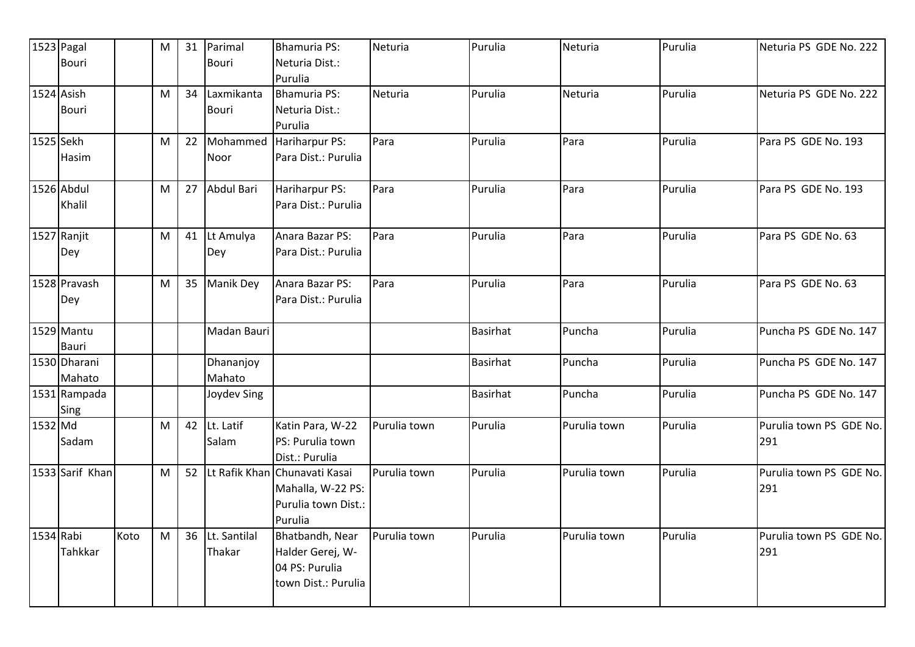|            | 1523 Pagal      |      | M | 31 | Parimal          | <b>Bhamuria PS:</b>                  | Neturia      | Purulia         | Neturia      | Purulia | Neturia PS GDE No. 222         |
|------------|-----------------|------|---|----|------------------|--------------------------------------|--------------|-----------------|--------------|---------|--------------------------------|
|            | <b>Bouri</b>    |      |   |    | Bouri            | Neturia Dist.:                       |              |                 |              |         |                                |
|            |                 |      |   |    |                  | Purulia                              |              |                 |              |         |                                |
| 1524 Asish |                 |      | M | 34 | Laxmikanta       | Bhamuria PS:                         | Neturia      | Purulia         | Neturia      | Purulia | Neturia PS GDE No. 222         |
|            | <b>Bouri</b>    |      |   |    | <b>Bouri</b>     | Neturia Dist.:                       |              |                 |              |         |                                |
|            |                 |      |   |    |                  | Purulia                              |              |                 |              |         |                                |
| 1525 Sekh  |                 |      | M | 22 | Mohammed         | Hariharpur PS:                       | Para         | Purulia         | Para         | Purulia | Para PS GDE No. 193            |
|            | <b>Hasim</b>    |      |   |    | Noor             | Para Dist.: Purulia                  |              |                 |              |         |                                |
|            | 1526 Abdul      |      | M | 27 | Abdul Bari       | Hariharpur PS:                       | Para         | Purulia         | Para         | Purulia | Para PS GDE No. 193            |
|            | Khalil          |      |   |    |                  | Para Dist.: Purulia                  |              |                 |              |         |                                |
|            | 1527 Ranjit     |      | M |    | 41 Lt Amulya     | Anara Bazar PS:                      | Para         | Purulia         | Para         | Purulia | Para PS GDE No. 63             |
|            | Dey             |      |   |    | Dey              | Para Dist.: Purulia                  |              |                 |              |         |                                |
|            | 1528 Pravash    |      | M | 35 | <b>Manik Dey</b> | Anara Bazar PS:                      | Para         | Purulia         | Para         | Purulia | Para PS GDE No. 63             |
|            | Dey             |      |   |    |                  | Para Dist.: Purulia                  |              |                 |              |         |                                |
|            | 1529 Mantu      |      |   |    | Madan Bauri      |                                      |              | <b>Basirhat</b> | Puncha       | Purulia | Puncha PS GDE No. 147          |
|            | Bauri           |      |   |    |                  |                                      |              |                 |              |         |                                |
|            | 1530 Dharani    |      |   |    | Dhananjoy        |                                      |              | <b>Basirhat</b> | Puncha       | Purulia | Puncha PS GDE No. 147          |
|            | Mahato          |      |   |    | Mahato           |                                      |              |                 |              |         |                                |
|            | 1531 Rampada    |      |   |    | Joydev Sing      |                                      |              | <b>Basirhat</b> | Puncha       | Purulia | Puncha PS GDE No. 147          |
|            | Sing            |      |   |    |                  |                                      |              |                 |              |         |                                |
| 1532 Md    |                 |      | M |    | 42 Lt. Latif     | Katin Para, W-22                     | Purulia town | Purulia         | Purulia town | Purulia | Purulia town PS GDE No.        |
|            | Sadam           |      |   |    | Salam            | PS: Purulia town                     |              |                 |              |         | 291                            |
|            | 1533 Sarif Khan |      |   |    |                  | Dist.: Purulia                       | Purulia town | Purulia         | Purulia town | Purulia |                                |
|            |                 |      | M | 52 | Lt Rafik Khan    | Chunavati Kasai<br>Mahalla, W-22 PS: |              |                 |              |         | Purulia town PS GDE No.<br>291 |
|            |                 |      |   |    |                  | Purulia town Dist.:                  |              |                 |              |         |                                |
|            |                 |      |   |    |                  | Purulia                              |              |                 |              |         |                                |
| 1534 Rabi  |                 | Koto | M | 36 | Lt. Santilal     | Bhatbandh, Near                      | Purulia town | Purulia         | Purulia town | Purulia | Purulia town PS GDE No.        |
|            | Tahkkar         |      |   |    | Thakar           | Halder Gerej, W-                     |              |                 |              |         | 291                            |
|            |                 |      |   |    |                  | 04 PS: Purulia                       |              |                 |              |         |                                |
|            |                 |      |   |    |                  | town Dist.: Purulia                  |              |                 |              |         |                                |
|            |                 |      |   |    |                  |                                      |              |                 |              |         |                                |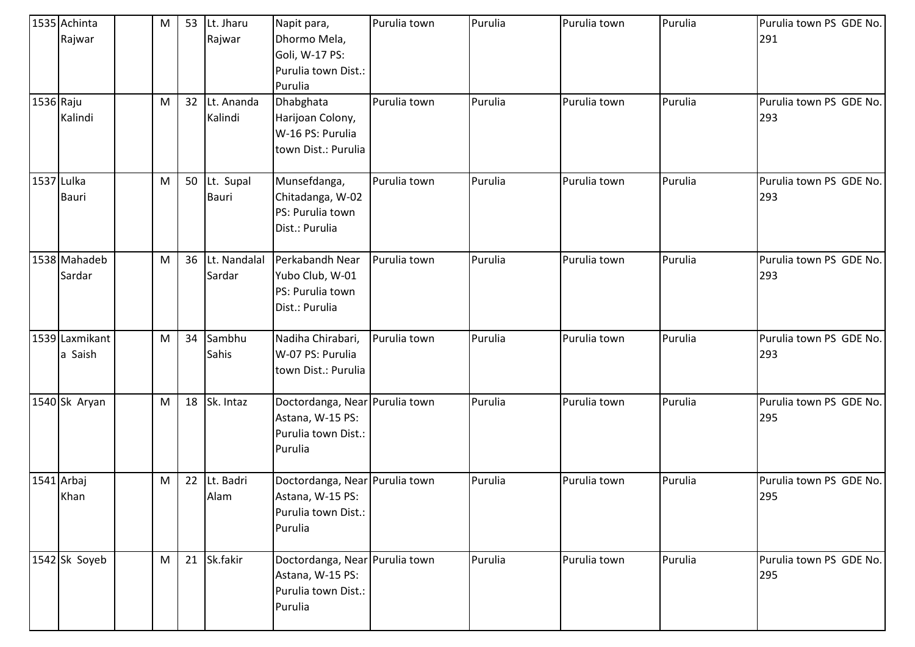|            | 1535 Achinta<br>Rajwar    | M | 53 | Lt. Jharu<br>Rajwar    | Napit para,<br>Dhormo Mela,                                                          | Purulia town | Purulia | Purulia town | Purulia | Purulia town PS GDE No.<br>291 |
|------------|---------------------------|---|----|------------------------|--------------------------------------------------------------------------------------|--------------|---------|--------------|---------|--------------------------------|
|            |                           |   |    |                        | Goli, W-17 PS:<br>Purulia town Dist.:<br>Purulia                                     |              |         |              |         |                                |
| 1536 Raju  | Kalindi                   | M | 32 | Lt. Ananda<br>Kalindi  | Dhabghata<br>Harijoan Colony,<br>W-16 PS: Purulia<br>town Dist.: Purulia             | Purulia town | Purulia | Purulia town | Purulia | Purulia town PS GDE No.<br>293 |
| 1537 Lulka | <b>Bauri</b>              | M | 50 | Lt. Supal<br>Bauri     | Munsefdanga,<br>Chitadanga, W-02<br>PS: Purulia town<br>Dist.: Purulia               | Purulia town | Purulia | Purulia town | Purulia | Purulia town PS GDE No.<br>293 |
|            | 1538 Mahadeb<br>Sardar    | M | 36 | Lt. Nandalal<br>Sardar | Perkabandh Near<br>Yubo Club, W-01<br>PS: Purulia town<br>Dist.: Purulia             | Purulia town | Purulia | Purulia town | Purulia | Purulia town PS GDE No.<br>293 |
|            | 1539 Laxmikant<br>a Saish | M | 34 | Sambhu<br>Sahis        | Nadiha Chirabari,<br>W-07 PS: Purulia<br>town Dist.: Purulia                         | Purulia town | Purulia | Purulia town | Purulia | Purulia town PS GDE No.<br>293 |
|            | 1540 Sk Aryan             | M | 18 | Sk. Intaz              | Doctordanga, Near Purulia town<br>Astana, W-15 PS:<br>Purulia town Dist.:<br>Purulia |              | Purulia | Purulia town | Purulia | Purulia town PS GDE No.<br>295 |
| 1541 Arbaj | Khan                      | M | 22 | Lt. Badri<br>Alam      | Doctordanga, Near Purulia town<br>Astana, W-15 PS:<br>Purulia town Dist.:<br>Purulia |              | Purulia | Purulia town | Purulia | Purulia town PS GDE No.<br>295 |
|            | 1542 Sk Soyeb             | M |    | 21 Sk.fakir            | Doctordanga, Near Purulia town<br>Astana, W-15 PS:<br>Purulia town Dist.:<br>Purulia |              | Purulia | Purulia town | Purulia | Purulia town PS GDE No.<br>295 |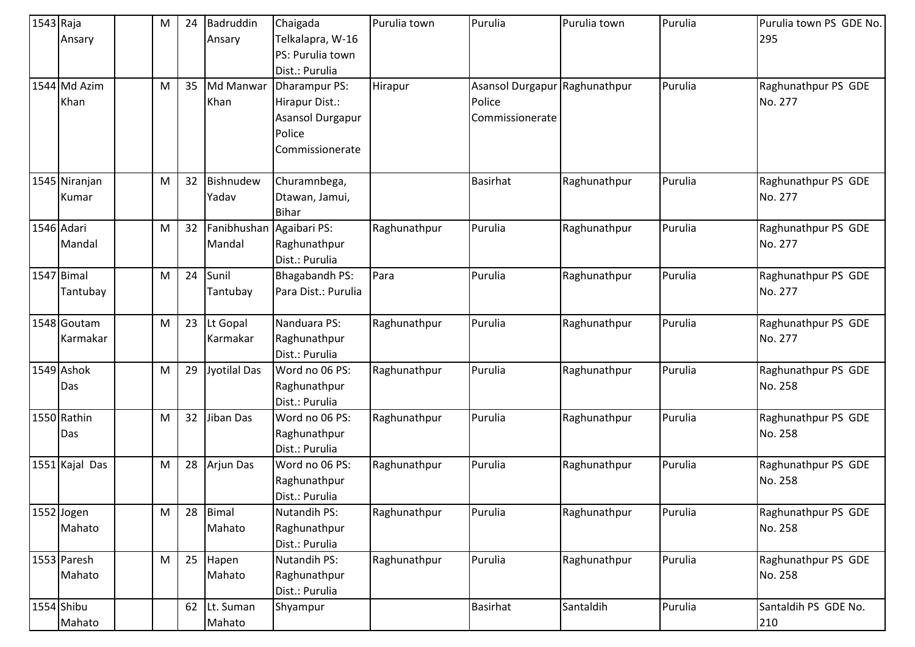| 1543 Raja |                | M         | 24 | Badruddin    | Chaigada                 | Purulia town | Purulia                 | Purulia town | Purulia | Purulia town PS GDE No. |
|-----------|----------------|-----------|----|--------------|--------------------------|--------------|-------------------------|--------------|---------|-------------------------|
|           | Ansary         |           |    | Ansary       | Telkalapra, W-16         |              |                         |              |         | 295                     |
|           |                |           |    |              | PS: Purulia town         |              |                         |              |         |                         |
|           |                |           |    |              | Dist.: Purulia           |              |                         |              |         |                         |
|           | 1544 Md Azim   | M         | 35 | Md Manwar    | Dharampur PS:            | Hirapur      | <b>Asansol Durgapur</b> | Raghunathpur | Purulia | Raghunathpur PS GDE     |
|           | Khan           |           |    | Khan         | Hirapur Dist.:           |              | Police                  |              |         | No. 277                 |
|           |                |           |    |              | Asansol Durgapur         |              | Commissionerate         |              |         |                         |
|           |                |           |    |              | Police                   |              |                         |              |         |                         |
|           |                |           |    |              | Commissionerate          |              |                         |              |         |                         |
|           |                |           |    |              |                          |              |                         |              |         |                         |
|           | 1545 Niranjan  | M         | 32 | Bishnudew    | Churamnbega,             |              | <b>Basirhat</b>         | Raghunathpur | Purulia | Raghunathpur PS GDE     |
|           | Kumar          |           |    | Yadav        | Dtawan, Jamui,           |              |                         |              |         | No. 277                 |
|           |                |           |    |              | <b>Bihar</b>             |              |                         |              |         |                         |
|           | 1546 Adari     | M         | 32 |              | Fanibhushan Agaibari PS: | Raghunathpur | Purulia                 | Raghunathpur | Purulia | Raghunathpur PS GDE     |
|           | Mandal         |           |    | Mandal       | Raghunathpur             |              |                         |              |         | No. 277                 |
|           |                |           |    |              | Dist.: Purulia           |              |                         |              |         |                         |
|           | 1547 Bimal     | M         | 24 | Sunil        | <b>Bhagabandh PS:</b>    | Para         | Purulia                 | Raghunathpur | Purulia | Raghunathpur PS GDE     |
|           | Tantubay       |           |    | Tantubay     | Para Dist.: Purulia      |              |                         |              |         | No. 277                 |
|           |                |           |    |              |                          |              |                         |              |         |                         |
|           | 1548 Goutam    | M         | 23 | Lt Gopal     | Nanduara PS:             | Raghunathpur | Purulia                 | Raghunathpur | Purulia | Raghunathpur PS GDE     |
|           | Karmakar       |           |    | Karmakar     | Raghunathpur             |              |                         |              |         | No. 277                 |
|           |                |           |    |              | Dist.: Purulia           |              |                         |              |         |                         |
|           | 1549 Ashok     | ${\sf M}$ | 29 | Jyotilal Das | Word no 06 PS:           | Raghunathpur | Purulia                 | Raghunathpur | Purulia | Raghunathpur PS GDE     |
|           | Das            |           |    |              | Raghunathpur             |              |                         |              |         | No. 258                 |
|           |                |           |    |              | Dist.: Purulia           |              |                         |              |         |                         |
|           | 1550 Rathin    | M         | 32 | Jiban Das    | Word no 06 PS:           | Raghunathpur | Purulia                 | Raghunathpur | Purulia | Raghunathpur PS GDE     |
|           | Das            |           |    |              | Raghunathpur             |              |                         |              |         | No. 258                 |
|           |                |           |    |              | Dist.: Purulia           |              |                         |              |         |                         |
|           | 1551 Kajal Das | M         | 28 | Arjun Das    | Word no 06 PS:           | Raghunathpur | Purulia                 | Raghunathpur | Purulia | Raghunathpur PS GDE     |
|           |                |           |    |              | Raghunathpur             |              |                         |              |         | No. 258                 |
|           |                |           |    |              | Dist.: Purulia           |              |                         |              |         |                         |
|           | 1552 Jogen     | M         | 28 | <b>Bimal</b> | Nutandih PS:             | Raghunathpur | Purulia                 | Raghunathpur | Purulia | Raghunathpur PS GDE     |
|           | Mahato         |           |    | Mahato       | Raghunathpur             |              |                         |              |         | No. 258                 |
|           |                |           |    |              | Dist.: Purulia           |              |                         |              |         |                         |
|           | 1553 Paresh    | M         | 25 | Hapen        | <b>Nutandih PS:</b>      | Raghunathpur | Purulia                 | Raghunathpur | Purulia | Raghunathpur PS GDE     |
|           | Mahato         |           |    | Mahato       | Raghunathpur             |              |                         |              |         | No. 258                 |
|           |                |           |    |              | Dist.: Purulia           |              |                         |              |         |                         |
|           | 1554 Shibu     |           | 62 | Lt. Suman    | Shyampur                 |              | <b>Basirhat</b>         | Santaldih    | Purulia | Santaldih PS GDE No.    |
|           | Mahato         |           |    | Mahato       |                          |              |                         |              |         | 210                     |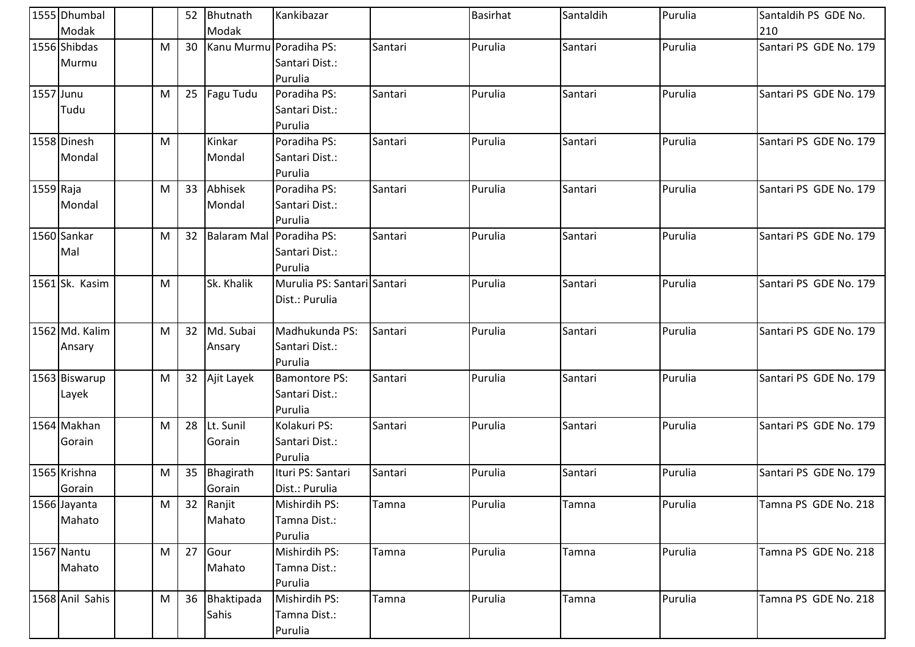|           | 1555 Dhumbal<br>Modak    |   |    | 52 Bhutnath<br>Modak     | Kankibazar                                        |         | <b>Basirhat</b> | Santaldih | Purulia | Santaldih PS GDE No.<br>210 |
|-----------|--------------------------|---|----|--------------------------|---------------------------------------------------|---------|-----------------|-----------|---------|-----------------------------|
|           | 1556 Shibdas<br>Murmu    | M | 30 | Kanu Murmu Poradiha PS:  | Santari Dist.:<br>Purulia                         | Santari | Purulia         | Santari   | Purulia | Santari PS GDE No. 179      |
| 1557 Junu | Tudu                     | M | 25 | Fagu Tudu                | Poradiha PS:<br>Santari Dist.:<br>Purulia         | Santari | Purulia         | Santari   | Purulia | Santari PS GDE No. 179      |
|           | 1558 Dinesh<br>Mondal    | M |    | Kinkar<br>Mondal         | Poradiha PS:<br>Santari Dist.:<br>Purulia         | Santari | Purulia         | Santari   | Purulia | Santari PS GDE No. 179      |
| 1559 Raja | Mondal                   | M | 33 | Abhisek<br>Mondal        | Poradiha PS:<br>Santari Dist.:<br>Purulia         | Santari | Purulia         | Santari   | Purulia | Santari PS GDE No. 179      |
|           | 1560 Sankar<br>Mal       | M | 32 | Balaram Mal Poradiha PS: | Santari Dist.:<br>Purulia                         | Santari | Purulia         | Santari   | Purulia | Santari PS GDE No. 179      |
|           | 1561 Sk. Kasim           | M |    | Sk. Khalik               | Murulia PS: Santari Santari<br>Dist.: Purulia     |         | Purulia         | Santari   | Purulia | Santari PS GDE No. 179      |
|           | 1562 Md. Kalim<br>Ansary | M | 32 | Md. Subai<br>Ansary      | Madhukunda PS:<br>Santari Dist.:<br>Purulia       | Santari | Purulia         | Santari   | Purulia | Santari PS GDE No. 179      |
|           | 1563 Biswarup<br>Layek   | M |    | 32 Ajit Layek            | <b>Bamontore PS:</b><br>Santari Dist.:<br>Purulia | Santari | Purulia         | Santari   | Purulia | Santari PS GDE No. 179      |
|           | 1564 Makhan<br>Gorain    | M | 28 | Lt. Sunil<br>Gorain      | Kolakuri PS:<br>Santari Dist.:<br>Purulia         | Santari | Purulia         | Santari   | Purulia | Santari PS GDE No. 179      |
|           | 1565 Krishna<br>Gorain   | M | 35 | Bhagirath<br>Gorain      | Ituri PS: Santari<br>Dist.: Purulia               | Santari | Purulia         | Santari   | Purulia | Santari PS GDE No. 179      |
|           | 1566 Jayanta<br>Mahato   | M | 32 | Ranjit<br>Mahato         | Mishirdih PS:<br>Tamna Dist.:<br>Purulia          | Tamna   | Purulia         | Tamna     | Purulia | Tamna PS GDE No. 218        |
|           | 1567 Nantu<br>Mahato     | M | 27 | Gour<br>Mahato           | Mishirdih PS:<br>Tamna Dist.:<br>Purulia          | Tamna   | Purulia         | Tamna     | Purulia | Tamna PS GDE No. 218        |
|           | 1568 Anil Sahis          | M | 36 | Bhaktipada<br>Sahis      | Mishirdih PS:<br>Tamna Dist.:<br>Purulia          | Tamna   | Purulia         | Tamna     | Purulia | Tamna PS GDE No. 218        |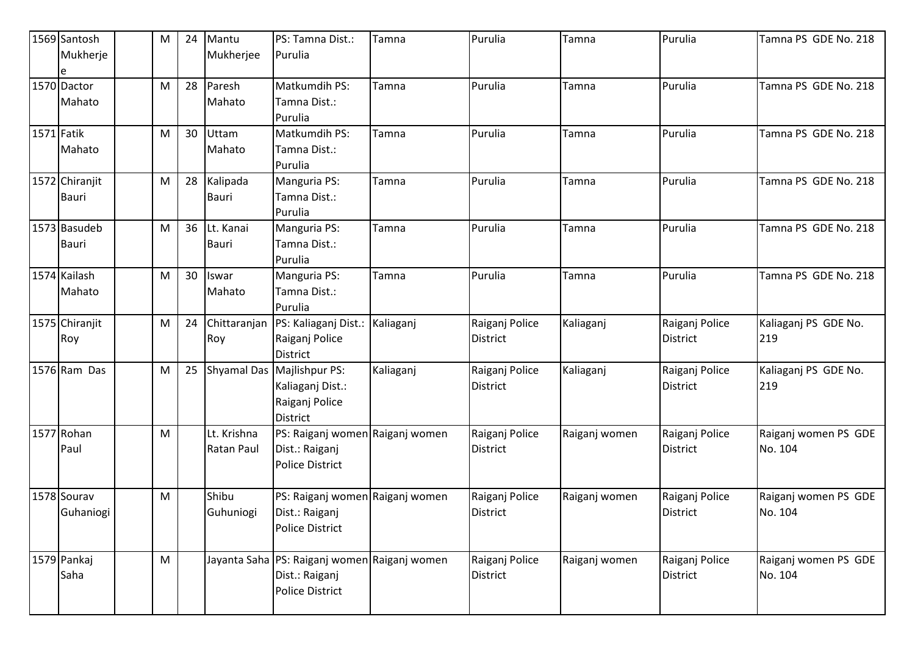| 1569 Santosh   | M | 24 | Mantu        | PS: Tamna Dist.:                                 | Tamna        | Purulia         | Tamna         | Purulia         | Tamna PS GDE No. 218 |
|----------------|---|----|--------------|--------------------------------------------------|--------------|-----------------|---------------|-----------------|----------------------|
| Mukherje       |   |    | Mukherjee    | Purulia                                          |              |                 |               |                 |                      |
|                |   |    |              |                                                  |              |                 |               |                 |                      |
| 1570 Dactor    | M | 28 | Paresh       | Matkumdih PS:                                    | Tamna        | Purulia         | Tamna         | Purulia         | Tamna PS GDE No. 218 |
| Mahato         |   |    | Mahato       | Tamna Dist.:                                     |              |                 |               |                 |                      |
|                |   |    |              | Purulia                                          |              |                 |               |                 |                      |
| 1571 Fatik     | M | 30 | Uttam        | Matkumdih PS:                                    | Tamna        | Purulia         | Tamna         | Purulia         | Tamna PS GDE No. 218 |
| Mahato         |   |    | Mahato       | Tamna Dist.:                                     |              |                 |               |                 |                      |
|                |   |    |              | Purulia                                          |              |                 |               |                 |                      |
| 1572 Chiranjit | M | 28 | Kalipada     | Manguria PS:                                     | Tamna        | Purulia         | Tamna         | Purulia         | Tamna PS GDE No. 218 |
| Bauri          |   |    | <b>Bauri</b> | Tamna Dist.:                                     |              |                 |               |                 |                      |
|                |   |    |              | Purulia                                          |              |                 |               |                 |                      |
| 1573 Basudeb   | M | 36 | Lt. Kanai    | Manguria PS:                                     | <b>Tamna</b> | Purulia         | Tamna         | Purulia         | Tamna PS GDE No. 218 |
| Bauri          |   |    | <b>Bauri</b> | Tamna Dist.:                                     |              |                 |               |                 |                      |
|                |   |    |              | Purulia                                          |              |                 |               |                 |                      |
| 1574 Kailash   | M | 30 | Iswar        | Manguria PS:                                     | Tamna        | Purulia         | Tamna         | Purulia         | Tamna PS GDE No. 218 |
| Mahato         |   |    | Mahato       | Tamna Dist.:                                     |              |                 |               |                 |                      |
|                |   |    |              | Purulia                                          |              |                 |               |                 |                      |
| 1575 Chiranjit | M | 24 | Chittaranjan | PS: Kaliaganj Dist.:                             | Kaliaganj    | Raiganj Police  | Kaliaganj     | Raiganj Police  | Kaliaganj PS GDE No. |
| Roy            |   |    | Roy          | Raiganj Police                                   |              | <b>District</b> |               | <b>District</b> | 219                  |
|                |   |    |              | <b>District</b>                                  |              |                 |               |                 |                      |
| 1576 Ram Das   | M | 25 | Shyamal Das  | Majlishpur PS:                                   | Kaliaganj    | Raiganj Police  | Kaliaganj     | Raiganj Police  | Kaliaganj PS GDE No. |
|                |   |    |              | Kaliaganj Dist.:                                 |              | <b>District</b> |               | <b>District</b> | 219                  |
|                |   |    |              | Raiganj Police                                   |              |                 |               |                 |                      |
|                |   |    |              | <b>District</b>                                  |              |                 |               |                 |                      |
| 1577 Rohan     | M |    | Lt. Krishna  | PS: Raiganj women Raiganj women                  |              | Raiganj Police  | Raiganj women | Raiganj Police  | Raiganj women PS GDE |
| Paul           |   |    | Ratan Paul   | Dist.: Raiganj                                   |              | <b>District</b> |               | <b>District</b> | No. 104              |
|                |   |    |              | <b>Police District</b>                           |              |                 |               |                 |                      |
|                |   |    |              |                                                  |              |                 |               |                 |                      |
| 1578 Sourav    | M |    | Shibu        | PS: Raiganj women Raiganj women                  |              | Raiganj Police  | Raiganj women | Raiganj Police  | Raiganj women PS GDE |
| Guhaniogi      |   |    | Guhuniogi    | Dist.: Raiganj                                   |              | District        |               | <b>District</b> | No. 104              |
|                |   |    |              | <b>Police District</b>                           |              |                 |               |                 |                      |
|                |   |    |              |                                                  |              |                 |               |                 |                      |
| 1579 Pankaj    | M |    |              | Jayanta Saha   PS: Raiganj women   Raiganj women |              | Raiganj Police  | Raiganj women | Raiganj Police  | Raiganj women PS GDE |
| Saha           |   |    |              | Dist.: Raiganj                                   |              | <b>District</b> |               | <b>District</b> | No. 104              |
|                |   |    |              | <b>Police District</b>                           |              |                 |               |                 |                      |
|                |   |    |              |                                                  |              |                 |               |                 |                      |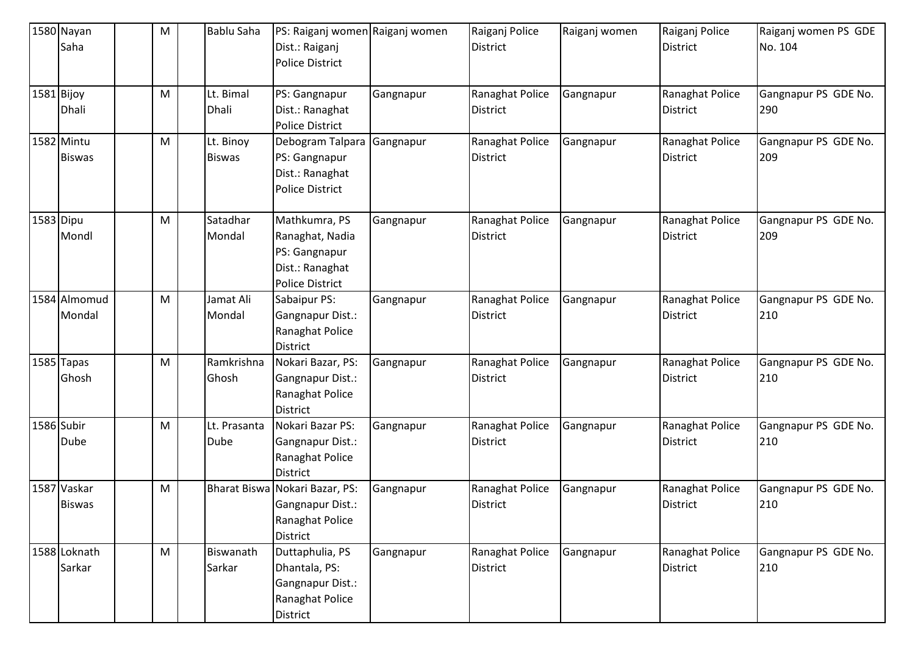| 1580 Nayan<br>Saha           | м | Bablu Saha                  | PS: Raiganj women Raiganj women<br>Dist.: Raiganj<br><b>Police District</b>                    |           | Raiganj Police<br><b>District</b>  | Raiganj women | Raiganj Police<br><b>District</b>  | Raiganj women PS GDE<br>No. 104 |
|------------------------------|---|-----------------------------|------------------------------------------------------------------------------------------------|-----------|------------------------------------|---------------|------------------------------------|---------------------------------|
| 1581 Bijoy<br>Dhali          | M | Lt. Bimal<br>Dhali          | PS: Gangnapur<br>Dist.: Ranaghat<br><b>Police District</b>                                     | Gangnapur | Ranaghat Police<br><b>District</b> | Gangnapur     | Ranaghat Police<br><b>District</b> | Gangnapur PS GDE No.<br>290     |
| 1582 Mintu<br><b>Biswas</b>  | M | Lt. Binoy<br><b>Biswas</b>  | Debogram Talpara<br>PS: Gangnapur<br>Dist.: Ranaghat<br><b>Police District</b>                 | Gangnapur | Ranaghat Police<br><b>District</b> | Gangnapur     | Ranaghat Police<br><b>District</b> | Gangnapur PS GDE No.<br>209     |
| 1583 Dipu<br>Mondl           | M | Satadhar<br>Mondal          | Mathkumra, PS<br>Ranaghat, Nadia<br>PS: Gangnapur<br>Dist.: Ranaghat<br><b>Police District</b> | Gangnapur | Ranaghat Police<br><b>District</b> | Gangnapur     | Ranaghat Police<br><b>District</b> | Gangnapur PS GDE No.<br>209     |
| 1584 Almomud<br>Mondal       | M | Jamat Ali<br>Mondal         | Sabaipur PS:<br>Gangnapur Dist.:<br>Ranaghat Police<br><b>District</b>                         | Gangnapur | Ranaghat Police<br><b>District</b> | Gangnapur     | Ranaghat Police<br><b>District</b> | Gangnapur PS GDE No.<br>210     |
| 1585 Tapas<br>Ghosh          | M | Ramkrishna<br>Ghosh         | Nokari Bazar, PS:<br>Gangnapur Dist.:<br>Ranaghat Police<br><b>District</b>                    | Gangnapur | Ranaghat Police<br><b>District</b> | Gangnapur     | Ranaghat Police<br><b>District</b> | Gangnapur PS GDE No.<br>210     |
| 1586 Subir<br>Dube           | M | Lt. Prasanta<br><b>Dube</b> | Nokari Bazar PS:<br>Gangnapur Dist.:<br>Ranaghat Police<br>District                            | Gangnapur | Ranaghat Police<br>District        | Gangnapur     | Ranaghat Police<br><b>District</b> | Gangnapur PS GDE No.<br>210     |
| 1587 Vaskar<br><b>Biswas</b> | M | <b>Bharat Biswa</b>         | Nokari Bazar, PS:<br><b>Gangnapur Dist.:</b><br>Ranaghat Police<br>District                    | Gangnapur | Ranaghat Police<br><b>District</b> | Gangnapur     | Ranaghat Police<br><b>District</b> | Gangnapur PS GDE No.<br>210     |
| 1588 Loknath<br>Sarkar       | M | Biswanath<br>Sarkar         | Duttaphulia, PS<br>Dhantala, PS:<br>Gangnapur Dist.:<br>Ranaghat Police<br>District            | Gangnapur | Ranaghat Police<br>District        | Gangnapur     | Ranaghat Police<br><b>District</b> | Gangnapur PS GDE No.<br>210     |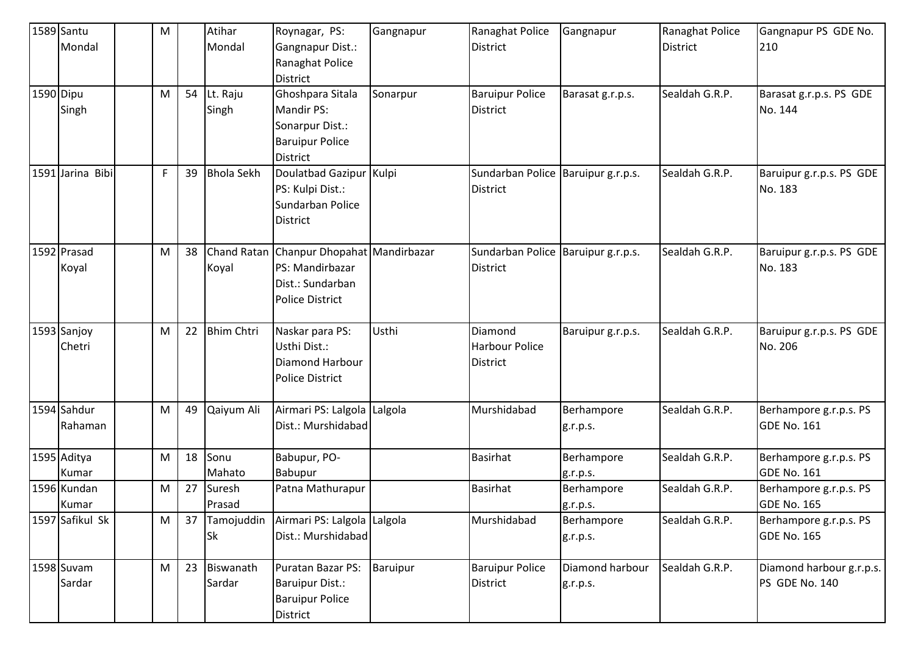|           | 1589 Santu       | M |    | Atihar            | Roynagar, PS:                | Gangnapur | Ranaghat Police                      | Gangnapur         | Ranaghat Police | Gangnapur PS GDE No.     |
|-----------|------------------|---|----|-------------------|------------------------------|-----------|--------------------------------------|-------------------|-----------------|--------------------------|
|           | Mondal           |   |    | Mondal            | Gangnapur Dist.:             |           | <b>District</b>                      |                   | <b>District</b> | 210                      |
|           |                  |   |    |                   | Ranaghat Police              |           |                                      |                   |                 |                          |
|           |                  |   |    |                   | <b>District</b>              |           |                                      |                   |                 |                          |
| 1590 Dipu |                  | M | 54 | Lt. Raju          | Ghoshpara Sitala             | Sonarpur  | <b>Baruipur Police</b>               | Barasat g.r.p.s.  | Sealdah G.R.P.  | Barasat g.r.p.s. PS GDE  |
|           | Singh            |   |    | Singh             | <b>Mandir PS:</b>            |           | <b>District</b>                      |                   |                 | No. 144                  |
|           |                  |   |    |                   | Sonarpur Dist.:              |           |                                      |                   |                 |                          |
|           |                  |   |    |                   | <b>Baruipur Police</b>       |           |                                      |                   |                 |                          |
|           |                  |   |    |                   | <b>District</b>              |           |                                      |                   |                 |                          |
|           | 1591 Jarina Bibi | F | 39 | <b>Bhola Sekh</b> | Doulatbad Gazipur Kulpi      |           | Sundarban Police   Baruipur g.r.p.s. |                   | Sealdah G.R.P.  | Baruipur g.r.p.s. PS GDE |
|           |                  |   |    |                   | PS: Kulpi Dist.:             |           | <b>District</b>                      |                   |                 | No. 183                  |
|           |                  |   |    |                   | Sundarban Police             |           |                                      |                   |                 |                          |
|           |                  |   |    |                   | <b>District</b>              |           |                                      |                   |                 |                          |
|           | 1592 Prasad      | M | 38 | Chand Ratan       | Chanpur Dhopahat Mandirbazar |           | Sundarban Police Baruipur g.r.p.s.   |                   | Sealdah G.R.P.  | Baruipur g.r.p.s. PS GDE |
|           | Koyal            |   |    | Koyal             | PS: Mandirbazar              |           | <b>District</b>                      |                   |                 | No. 183                  |
|           |                  |   |    |                   | Dist.: Sundarban             |           |                                      |                   |                 |                          |
|           |                  |   |    |                   | <b>Police District</b>       |           |                                      |                   |                 |                          |
|           |                  |   |    |                   |                              |           |                                      |                   |                 |                          |
|           | 1593 Sanjoy      | M | 22 | <b>Bhim Chtri</b> | Naskar para PS:              | Usthi     | Diamond                              | Baruipur g.r.p.s. | Sealdah G.R.P.  | Baruipur g.r.p.s. PS GDE |
|           | Chetri           |   |    |                   | Usthi Dist.:                 |           | <b>Harbour Police</b>                |                   |                 | No. 206                  |
|           |                  |   |    |                   | Diamond Harbour              |           | <b>District</b>                      |                   |                 |                          |
|           |                  |   |    |                   | <b>Police District</b>       |           |                                      |                   |                 |                          |
|           |                  |   |    |                   |                              |           |                                      |                   |                 |                          |
|           | 1594 Sahdur      | M | 49 | Qaiyum Ali        | Airmari PS: Lalgola Lalgola  |           | Murshidabad                          | Berhampore        | Sealdah G.R.P.  | Berhampore g.r.p.s. PS   |
|           | Rahaman          |   |    |                   | Dist.: Murshidabad           |           |                                      | g.r.p.s.          |                 | GDE No. 161              |
|           | 1595 Aditya      | M | 18 | Sonu              | Babupur, PO-                 |           | <b>Basirhat</b>                      | Berhampore        | Sealdah G.R.P.  | Berhampore g.r.p.s. PS   |
|           | Kumar            |   |    | Mahato            | Babupur                      |           |                                      | g.r.p.s.          |                 | <b>GDE No. 161</b>       |
|           | 1596 Kundan      | M | 27 | Suresh            | Patna Mathurapur             |           | <b>Basirhat</b>                      | Berhampore        | Sealdah G.R.P.  | Berhampore g.r.p.s. PS   |
|           | Kumar            |   |    | Prasad            |                              |           |                                      | g.r.p.s.          |                 | <b>GDE No. 165</b>       |
|           | 1597 Safikul Sk  | M | 37 | Tamojuddin        | Airmari PS: Lalgola Lalgola  |           | Murshidabad                          | Berhampore        | Sealdah G.R.P.  | Berhampore g.r.p.s. PS   |
|           |                  |   |    | <b>Sk</b>         | Dist.: Murshidabad           |           |                                      | g.r.p.s.          |                 | <b>GDE No. 165</b>       |
|           | 1598 Suvam       | M | 23 | Biswanath         | Puratan Bazar PS:            | Baruipur  | <b>Baruipur Police</b>               | Diamond harbour   | Sealdah G.R.P.  | Diamond harbour g.r.p.s. |
|           | Sardar           |   |    | Sardar            | <b>Baruipur Dist.:</b>       |           | <b>District</b>                      | g.r.p.s.          |                 | PS GDE No. 140           |
|           |                  |   |    |                   | <b>Baruipur Police</b>       |           |                                      |                   |                 |                          |
|           |                  |   |    |                   | District                     |           |                                      |                   |                 |                          |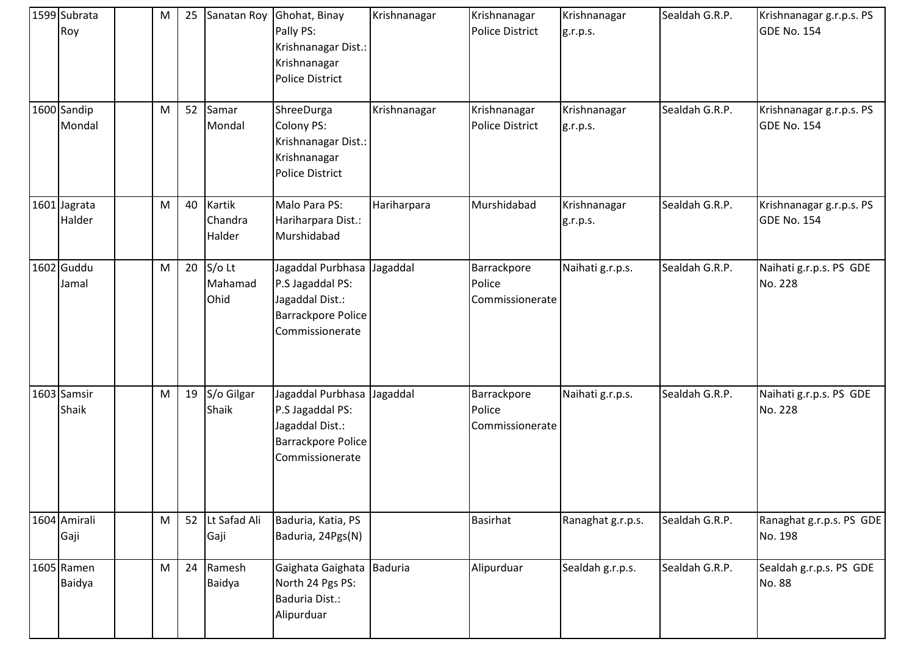| 1599 Subrata<br>Roy    | M | 25 |                             | Sanatan Roy Ghohat, Binay<br>Pally PS:<br>Krishnanagar Dist.:<br>Krishnanagar<br>Police District           | Krishnanagar | Krishnanagar<br>Police District          | Krishnanagar<br>g.r.p.s. | Sealdah G.R.P. | Krishnanagar g.r.p.s. PS<br><b>GDE No. 154</b> |
|------------------------|---|----|-----------------------------|------------------------------------------------------------------------------------------------------------|--------------|------------------------------------------|--------------------------|----------------|------------------------------------------------|
| 1600 Sandip<br>Mondal  | M | 52 | Samar<br>Mondal             | ShreeDurga<br>Colony PS:<br>Krishnanagar Dist.:<br>Krishnanagar<br><b>Police District</b>                  | Krishnanagar | Krishnanagar<br>Police District          | Krishnanagar<br>g.r.p.s. | Sealdah G.R.P. | Krishnanagar g.r.p.s. PS<br><b>GDE No. 154</b> |
| 1601 Jagrata<br>Halder | M | 40 | Kartik<br>Chandra<br>Halder | Malo Para PS:<br>Hariharpara Dist.:<br>Murshidabad                                                         | Hariharpara  | Murshidabad                              | Krishnanagar<br>g.r.p.s. | Sealdah G.R.P. | Krishnanagar g.r.p.s. PS<br><b>GDE No. 154</b> |
| 1602 Guddu<br>Jamal    | M | 20 | $S/O$ Lt<br>Mahamad<br>Ohid | Jagaddal Purbhasa Jagaddal<br>P.S Jagaddal PS:<br>Jagaddal Dist.:<br>Barrackpore Police<br>Commissionerate |              | Barrackpore<br>Police<br>Commissionerate | Naihati g.r.p.s.         | Sealdah G.R.P. | Naihati g.r.p.s. PS GDE<br>No. 228             |
| 1603 Samsir<br>Shaik   | M | 19 | S/o Gilgar<br>Shaik         | Jagaddal Purbhasa Jagaddal<br>P.S Jagaddal PS:<br>Jagaddal Dist.:<br>Barrackpore Police<br>Commissionerate |              | Barrackpore<br>Police<br>Commissionerate | Naihati g.r.p.s.         | Sealdah G.R.P. | Naihati g.r.p.s. PS GDE<br>No. 228             |
| 1604 Amirali<br>Gaji   | M | 52 | Lt Safad Ali<br>Gaji        | Baduria, Katia, PS<br>Baduria, 24Pgs(N)                                                                    |              | <b>Basirhat</b>                          | Ranaghat g.r.p.s.        | Sealdah G.R.P. | Ranaghat g.r.p.s. PS GDE<br>No. 198            |
| 1605 Ramen<br>Baidya   | M | 24 | Ramesh<br>Baidya            | Gaighata Gaighata Baduria<br>North 24 Pgs PS:<br>Baduria Dist.:<br>Alipurduar                              |              | Alipurduar                               | Sealdah g.r.p.s.         | Sealdah G.R.P. | Sealdah g.r.p.s. PS GDE<br>No. 88              |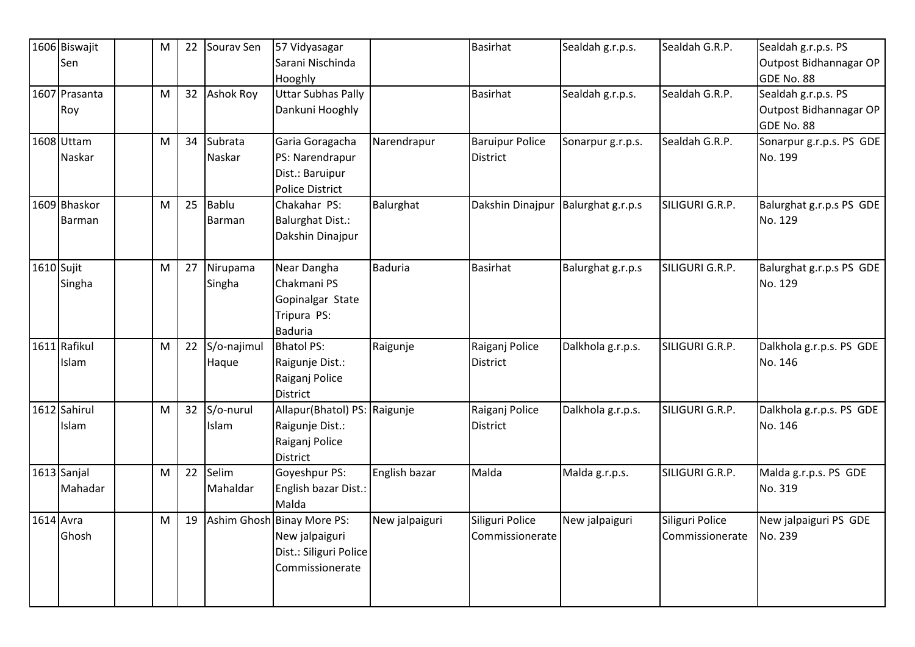|            | 1606 Biswajit<br>Sen   | M | 22 | Sourav Sen           | 57 Vidyasagar<br>Sarani Nischinda<br>Hooghly                                              |                | <b>Basirhat</b>                    | Sealdah g.r.p.s.  | Sealdah G.R.P.                     | Sealdah g.r.p.s. PS<br>Outpost Bidhannagar OP<br>GDE No. 88 |
|------------|------------------------|---|----|----------------------|-------------------------------------------------------------------------------------------|----------------|------------------------------------|-------------------|------------------------------------|-------------------------------------------------------------|
|            | 1607 Prasanta<br>Roy   | M | 32 | <b>Ashok Roy</b>     | <b>Uttar Subhas Pally</b><br>Dankuni Hooghly                                              |                | <b>Basirhat</b>                    | Sealdah g.r.p.s.  | Sealdah G.R.P.                     | Sealdah g.r.p.s. PS<br>Outpost Bidhannagar OP<br>GDE No. 88 |
|            | 1608 Uttam<br>Naskar   | M | 34 | Subrata<br>Naskar    | Garia Goragacha<br>PS: Narendrapur<br>Dist.: Baruipur<br><b>Police District</b>           | Narendrapur    | <b>Baruipur Police</b><br>District | Sonarpur g.r.p.s. | Sealdah G.R.P.                     | Sonarpur g.r.p.s. PS GDE<br>No. 199                         |
|            | 1609 Bhaskor<br>Barman | M | 25 | Bablu<br>Barman      | Chakahar PS:<br><b>Balurghat Dist.:</b><br>Dakshin Dinajpur                               | Balurghat      | Dakshin Dinajpur                   | Balurghat g.r.p.s | SILIGURI G.R.P.                    | Balurghat g.r.p.s PS GDE<br>No. 129                         |
| 1610 Sujit | Singha                 | M | 27 | Nirupama<br>Singha   | Near Dangha<br>Chakmani PS<br>Gopinalgar State<br>Tripura PS:<br><b>Baduria</b>           | <b>Baduria</b> | <b>Basirhat</b>                    | Balurghat g.r.p.s | SILIGURI G.R.P.                    | Balurghat g.r.p.s PS GDE<br>No. 129                         |
|            | 1611 Rafikul<br>Islam  | M | 22 | S/o-najimul<br>Haque | <b>Bhatol PS:</b><br>Raigunje Dist.:<br>Raiganj Police<br><b>District</b>                 | Raigunje       | Raiganj Police<br><b>District</b>  | Dalkhola g.r.p.s. | SILIGURI G.R.P.                    | Dalkhola g.r.p.s. PS GDE<br>No. 146                         |
|            | 1612 Sahirul<br>Islam  | M | 32 | S/o-nurul<br>Islam   | Allapur(Bhatol) PS: Raigunje<br>Raigunje Dist.:<br>Raiganj Police<br>District             |                | Raiganj Police<br>District         | Dalkhola g.r.p.s. | SILIGURI G.R.P.                    | Dalkhola g.r.p.s. PS GDE<br>No. 146                         |
|            | 1613 Sanjal<br>Mahadar | M | 22 | Selim<br>Mahaldar    | Goyeshpur PS:<br>English bazar Dist.:<br>Malda                                            | English bazar  | Malda                              | Malda g.r.p.s.    | SILIGURI G.R.P.                    | Malda g.r.p.s. PS GDE<br>No. 319                            |
| 1614 Avra  | Ghosh                  | M | 19 |                      | Ashim Ghosh Binay More PS:<br>New jalpaiguri<br>Dist.: Siliguri Police<br>Commissionerate | New jalpaiguri | Siliguri Police<br>Commissionerate | New jalpaiguri    | Siliguri Police<br>Commissionerate | New jalpaiguri PS GDE<br>No. 239                            |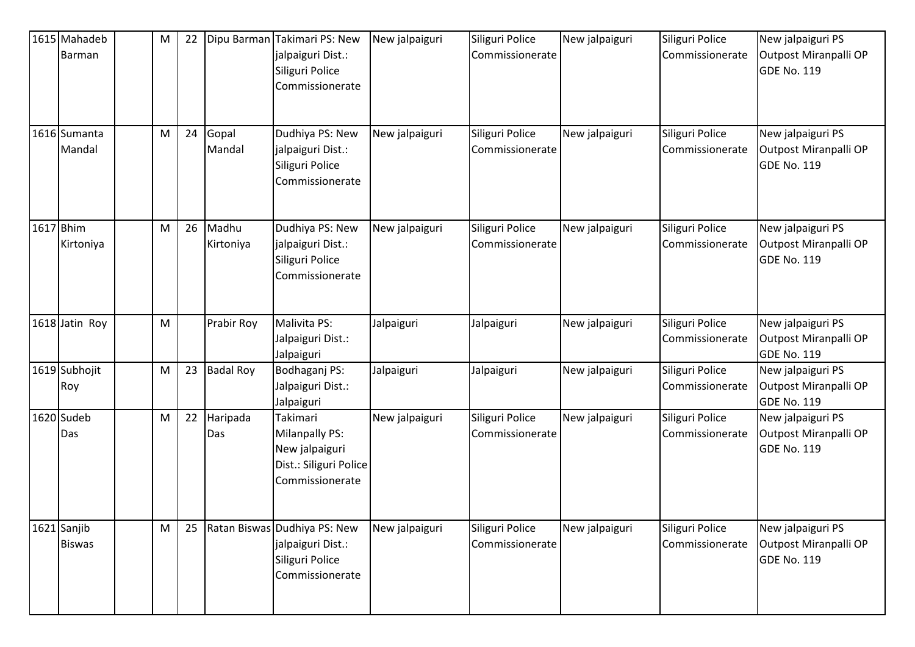|           | 1615 Mahadeb<br>Barman       | M         | 22 | Dipu Barman        | Takimari PS: New<br>jalpaiguri Dist.:<br>Siliguri Police<br>Commissionerate               | New jalpaiguri | Siliguri Police<br>Commissionerate | New jalpaiguri | Siliguri Police<br>Commissionerate | New jalpaiguri PS<br>Outpost Miranpalli OP<br><b>GDE No. 119</b> |
|-----------|------------------------------|-----------|----|--------------------|-------------------------------------------------------------------------------------------|----------------|------------------------------------|----------------|------------------------------------|------------------------------------------------------------------|
|           | 1616 Sumanta<br>Mandal       | M         | 24 | Gopal<br>Mandal    | Dudhiya PS: New<br>jalpaiguri Dist.:<br>Siliguri Police<br>Commissionerate                | New jalpaiguri | Siliguri Police<br>Commissionerate | New jalpaiguri | Siliguri Police<br>Commissionerate | New jalpaiguri PS<br>Outpost Miranpalli OP<br><b>GDE No. 119</b> |
| 1617 Bhim | Kirtoniya                    | M         | 26 | Madhu<br>Kirtoniya | Dudhiya PS: New<br>jalpaiguri Dist.:<br>Siliguri Police<br>Commissionerate                | New jalpaiguri | Siliguri Police<br>Commissionerate | New jalpaiguri | Siliguri Police<br>Commissionerate | New jalpaiguri PS<br>Outpost Miranpalli OP<br><b>GDE No. 119</b> |
|           | 1618 Jatin Roy               | M         |    | Prabir Roy         | Malivita PS:<br>Jalpaiguri Dist.:<br>Jalpaiguri                                           | Jalpaiguri     | Jalpaiguri                         | New jalpaiguri | Siliguri Police<br>Commissionerate | New jalpaiguri PS<br>Outpost Miranpalli OP<br><b>GDE No. 119</b> |
|           | 1619 Subhojit<br>Roy         | ${\sf M}$ | 23 | <b>Badal Roy</b>   | Bodhaganj PS:<br>Jalpaiguri Dist.:<br>Jalpaiguri                                          | Jalpaiguri     | Jalpaiguri                         | New jalpaiguri | Siliguri Police<br>Commissionerate | New jalpaiguri PS<br>Outpost Miranpalli OP<br><b>GDE No. 119</b> |
|           | 1620 Sudeb<br>Das            | M         | 22 | Haripada<br>Das    | Takimari<br>Milanpally PS:<br>New jalpaiguri<br>Dist.: Siliguri Police<br>Commissionerate | New jalpaiguri | Siliguri Police<br>Commissionerate | New jalpaiguri | Siliguri Police<br>Commissionerate | New jalpaiguri PS<br>Outpost Miranpalli OP<br><b>GDE No. 119</b> |
|           | 1621 Sanjib<br><b>Biswas</b> | M         | 25 |                    | Ratan Biswas Dudhiya PS: New<br>jalpaiguri Dist.:<br>Siliguri Police<br>Commissionerate   | New jalpaiguri | Siliguri Police<br>Commissionerate | New jalpaiguri | Siliguri Police<br>Commissionerate | New jalpaiguri PS<br>Outpost Miranpalli OP<br><b>GDE No. 119</b> |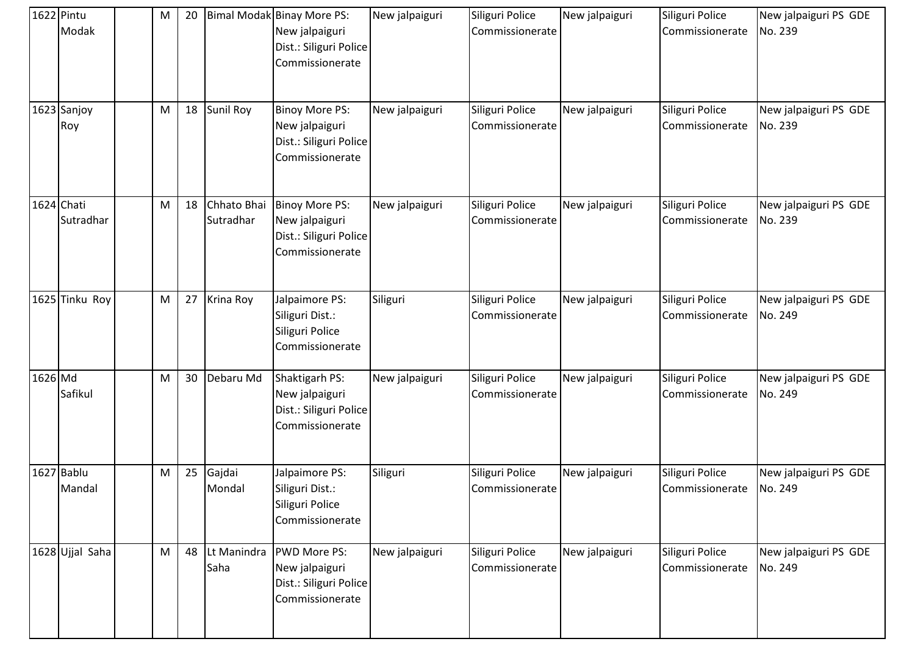| 1622 Pintu | Modak                   | M | 20 |                          | Bimal Modak Binay More PS:<br>New jalpaiguri<br>Dist.: Siliguri Police<br>Commissionerate | New jalpaiguri | Siliguri Police<br>Commissionerate | New jalpaiguri | Siliguri Police<br>Commissionerate | New jalpaiguri PS GDE<br>No. 239 |
|------------|-------------------------|---|----|--------------------------|-------------------------------------------------------------------------------------------|----------------|------------------------------------|----------------|------------------------------------|----------------------------------|
|            | 1623 Sanjoy<br>Roy      | M | 18 | Sunil Roy                | <b>Binoy More PS:</b><br>New jalpaiguri<br>Dist.: Siliguri Police<br>Commissionerate      | New jalpaiguri | Siliguri Police<br>Commissionerate | New jalpaiguri | Siliguri Police<br>Commissionerate | New jalpaiguri PS GDE<br>No. 239 |
|            | 1624 Chati<br>Sutradhar | M | 18 | Chhato Bhai<br>Sutradhar | <b>Binoy More PS:</b><br>New jalpaiguri<br>Dist.: Siliguri Police<br>Commissionerate      | New jalpaiguri | Siliguri Police<br>Commissionerate | New jalpaiguri | Siliguri Police<br>Commissionerate | New jalpaiguri PS GDE<br>No. 239 |
|            | 1625 Tinku Roy          | M | 27 | Krina Roy                | Jalpaimore PS:<br>Siliguri Dist.:<br>Siliguri Police<br>Commissionerate                   | Siliguri       | Siliguri Police<br>Commissionerate | New jalpaiguri | Siliguri Police<br>Commissionerate | New jalpaiguri PS GDE<br>No. 249 |
| 1626 Md    | Safikul                 | M | 30 | Debaru Md                | Shaktigarh PS:<br>New jalpaiguri<br>Dist.: Siliguri Police<br>Commissionerate             | New jalpaiguri | Siliguri Police<br>Commissionerate | New jalpaiguri | Siliguri Police<br>Commissionerate | New jalpaiguri PS GDE<br>No. 249 |
|            | 1627 Bablu<br>Mandal    | M | 25 | Gajdai<br>Mondal         | Jalpaimore PS:<br>Siliguri Dist.:<br>Siliguri Police<br>Commissionerate                   | Siliguri       | Siliguri Police<br>Commissionerate | New jalpaiguri | Siliguri Police<br>Commissionerate | New jalpaiguri PS GDE<br>No. 249 |
|            | 1628 Ujjal Saha         | M | 48 | Lt Manindra<br>Saha      | <b>PWD More PS:</b><br>New jalpaiguri<br>Dist.: Siliguri Police<br>Commissionerate        | New jalpaiguri | Siliguri Police<br>Commissionerate | New jalpaiguri | Siliguri Police<br>Commissionerate | New jalpaiguri PS GDE<br>No. 249 |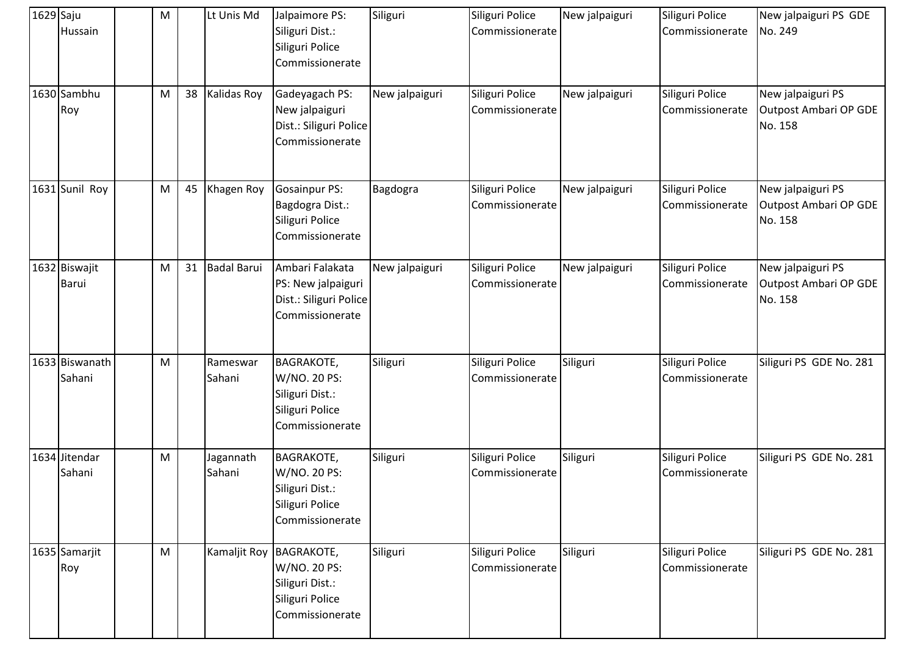| $1629$ Saju | Hussain                  | M |    | Lt Unis Md          | Jalpaimore PS:<br>Siliguri Dist.:<br>Siliguri Police<br>Commissionerate                    | Siliguri       | Siliguri Police<br>Commissionerate | New jalpaiguri | Siliguri Police<br>Commissionerate | New jalpaiguri PS GDE<br>No. 249                             |
|-------------|--------------------------|---|----|---------------------|--------------------------------------------------------------------------------------------|----------------|------------------------------------|----------------|------------------------------------|--------------------------------------------------------------|
|             | 1630 Sambhu<br>Roy       | M | 38 | Kalidas Roy         | Gadeyagach PS:<br>New jalpaiguri<br>Dist.: Siliguri Police<br>Commissionerate              | New jalpaiguri | Siliguri Police<br>Commissionerate | New jalpaiguri | Siliguri Police<br>Commissionerate | New jalpaiguri PS<br><b>Outpost Ambari OP GDE</b><br>No. 158 |
|             | 1631 Sunil Roy           | M | 45 | Khagen Roy          | <b>Gosainpur PS:</b><br>Bagdogra Dist.:<br>Siliguri Police<br>Commissionerate              | Bagdogra       | Siliguri Police<br>Commissionerate | New jalpaiguri | Siliguri Police<br>Commissionerate | New jalpaiguri PS<br>Outpost Ambari OP GDE<br>No. 158        |
|             | 1632 Biswajit<br>Barui   | M | 31 | <b>Badal Barui</b>  | Ambari Falakata<br>PS: New jalpaiguri<br>Dist.: Siliguri Police<br>Commissionerate         | New jalpaiguri | Siliguri Police<br>Commissionerate | New jalpaiguri | Siliguri Police<br>Commissionerate | New jalpaiguri PS<br><b>Outpost Ambari OP GDE</b><br>No. 158 |
|             | 1633 Biswanath<br>Sahani | M |    | Rameswar<br>Sahani  | <b>BAGRAKOTE,</b><br>W/NO. 20 PS:<br>Siliguri Dist.:<br>Siliguri Police<br>Commissionerate | Siliguri       | Siliguri Police<br>Commissionerate | Siliguri       | Siliguri Police<br>Commissionerate | Siliguri PS GDE No. 281                                      |
|             | 1634 Jitendar<br>Sahani  | M |    | Jagannath<br>Sahani | <b>BAGRAKOTE,</b><br>W/NO. 20 PS:<br>Siliguri Dist.:<br>Siliguri Police<br>Commissionerate | Siliguri       | Siliguri Police<br>Commissionerate | Siliguri       | Siliguri Police<br>Commissionerate | Siliguri PS GDE No. 281                                      |
|             | 1635 Samarjit<br>Roy     | M |    | Kamaljit Roy        | <b>BAGRAKOTE,</b><br>W/NO. 20 PS:<br>Siliguri Dist.:<br>Siliguri Police<br>Commissionerate | Siliguri       | Siliguri Police<br>Commissionerate | Siliguri       | Siliguri Police<br>Commissionerate | Siliguri PS GDE No. 281                                      |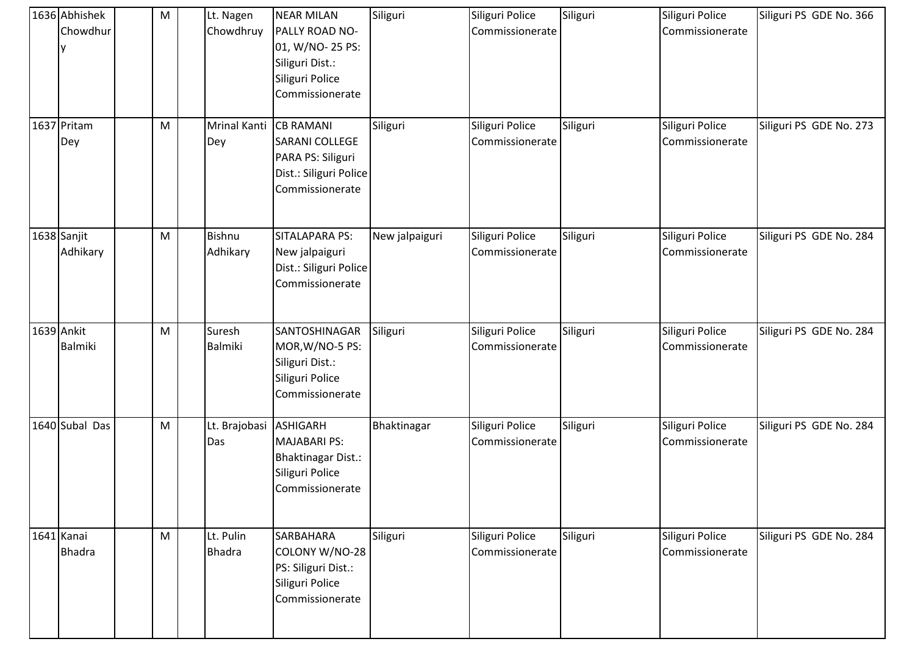| 1636 Abhishek<br>Chowdhur    | M | Lt. Nagen<br>Chowdhruy     | <b>NEAR MILAN</b><br>PALLY ROAD NO-<br>01, W/NO- 25 PS:<br>Siliguri Dist.:<br>Siliguri Police<br>Commissionerate | Siliguri       | Siliguri Police<br>Commissionerate | Siliguri | Siliguri Police<br>Commissionerate | Siliguri PS GDE No. 366 |
|------------------------------|---|----------------------------|------------------------------------------------------------------------------------------------------------------|----------------|------------------------------------|----------|------------------------------------|-------------------------|
| 1637 Pritam<br>Dey           | M | <b>Mrinal Kanti</b><br>Dey | <b>CB RAMANI</b><br>SARANI COLLEGE<br>PARA PS: Siliguri<br>Dist.: Siliguri Police<br>Commissionerate             | Siliguri       | Siliguri Police<br>Commissionerate | Siliguri | Siliguri Police<br>Commissionerate | Siliguri PS GDE No. 273 |
| 1638 Sanjit<br>Adhikary      | M | <b>Bishnu</b><br>Adhikary  | SITALAPARA PS:<br>New jalpaiguri<br>Dist.: Siliguri Police<br>Commissionerate                                    | New jalpaiguri | Siliguri Police<br>Commissionerate | Siliguri | Siliguri Police<br>Commissionerate | Siliguri PS GDE No. 284 |
| 1639 Ankit<br><b>Balmiki</b> | M | Suresh<br><b>Balmiki</b>   | SANTOSHINAGAR<br>MOR, W/NO-5 PS:<br>Siliguri Dist.:<br>Siliguri Police<br>Commissionerate                        | Siliguri       | Siliguri Police<br>Commissionerate | Siliguri | Siliguri Police<br>Commissionerate | Siliguri PS GDE No. 284 |
| 1640 Subal Das               | M | Lt. Brajobasi<br>Das       | ASHIGARH<br><b>MAJABARI PS:</b><br><b>Bhaktinagar Dist.:</b><br>Siliguri Police<br>Commissionerate               | Bhaktinagar    | Siliguri Police<br>Commissionerate | Siliguri | Siliguri Police<br>Commissionerate | Siliguri PS GDE No. 284 |
| 1641 Kanai<br><b>Bhadra</b>  | M | Lt. Pulin<br><b>Bhadra</b> | <b>SARBAHARA</b><br>COLONY W/NO-28<br>PS: Siliguri Dist.:<br>Siliguri Police<br>Commissionerate                  | Siliguri       | Siliguri Police<br>Commissionerate | Siliguri | Siliguri Police<br>Commissionerate | Siliguri PS GDE No. 284 |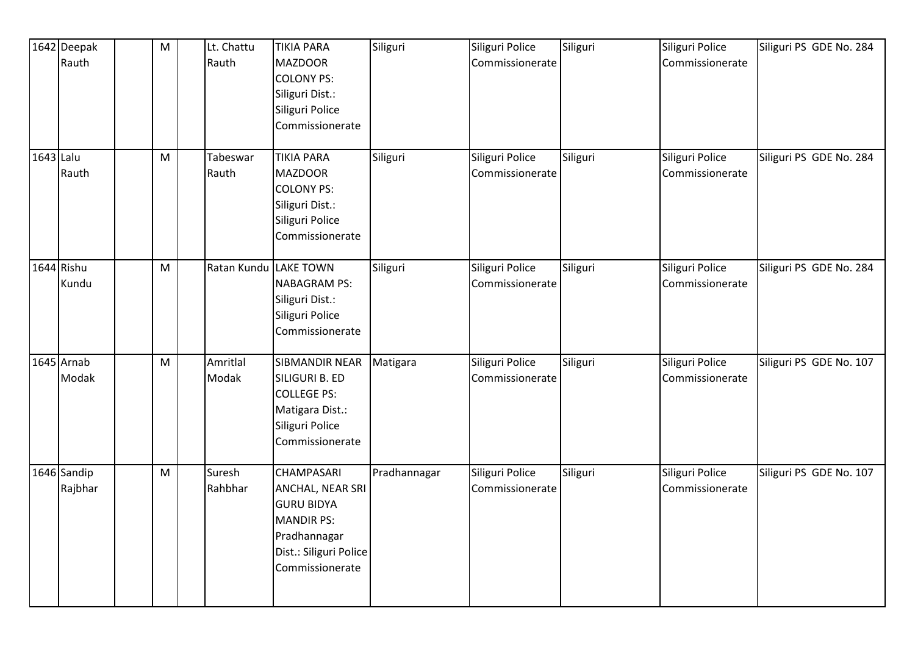|           | 1642 Deepak            | $\mathsf{M}% _{T}=\mathsf{M}_{T}\!\left( a,b\right) ,\ \mathsf{M}_{T}=\mathsf{M}_{T}\!\left( a,b\right) ,$ | Lt. Chattu        | <b>TIKIA PARA</b>                                                                                                                     | Siliguri     | Siliguri Police                    | Siliguri | Siliguri Police                    | Siliguri PS GDE No. 284 |
|-----------|------------------------|------------------------------------------------------------------------------------------------------------|-------------------|---------------------------------------------------------------------------------------------------------------------------------------|--------------|------------------------------------|----------|------------------------------------|-------------------------|
|           | Rauth                  |                                                                                                            | Rauth             | <b>MAZDOOR</b><br><b>COLONY PS:</b><br>Siliguri Dist.:<br>Siliguri Police<br>Commissionerate                                          |              | Commissionerate                    |          | Commissionerate                    |                         |
| 1643 Lalu | Rauth                  | ${\sf M}$                                                                                                  | Tabeswar<br>Rauth | <b>TIKIA PARA</b><br><b>MAZDOOR</b><br><b>COLONY PS:</b><br>Siliguri Dist.:<br>Siliguri Police<br>Commissionerate                     | Siliguri     | Siliguri Police<br>Commissionerate | Siliguri | Siliguri Police<br>Commissionerate | Siliguri PS GDE No. 284 |
|           | 1644 Rishu<br>Kundu    | M                                                                                                          | Ratan Kundu       | <b>LAKE TOWN</b><br><b>NABAGRAM PS:</b><br>Siliguri Dist.:<br>Siliguri Police<br>Commissionerate                                      | Siliguri     | Siliguri Police<br>Commissionerate | Siliguri | Siliguri Police<br>Commissionerate | Siliguri PS GDE No. 284 |
|           | $1645$ Arnab<br>Modak  | ${\sf M}$                                                                                                  | Amritlal<br>Modak | <b>SIBMANDIR NEAR</b><br>SILIGURI B. ED<br><b>COLLEGE PS:</b><br>Matigara Dist.:<br>Siliguri Police<br>Commissionerate                | Matigara     | Siliguri Police<br>Commissionerate | Siliguri | Siliguri Police<br>Commissionerate | Siliguri PS GDE No. 107 |
|           | 1646 Sandip<br>Rajbhar | M                                                                                                          | Suresh<br>Rahbhar | CHAMPASARI<br>ANCHAL, NEAR SRI<br><b>GURU BIDYA</b><br><b>MANDIR PS:</b><br>Pradhannagar<br>Dist.: Siliguri Police<br>Commissionerate | Pradhannagar | Siliguri Police<br>Commissionerate | Siliguri | Siliguri Police<br>Commissionerate | Siliguri PS GDE No. 107 |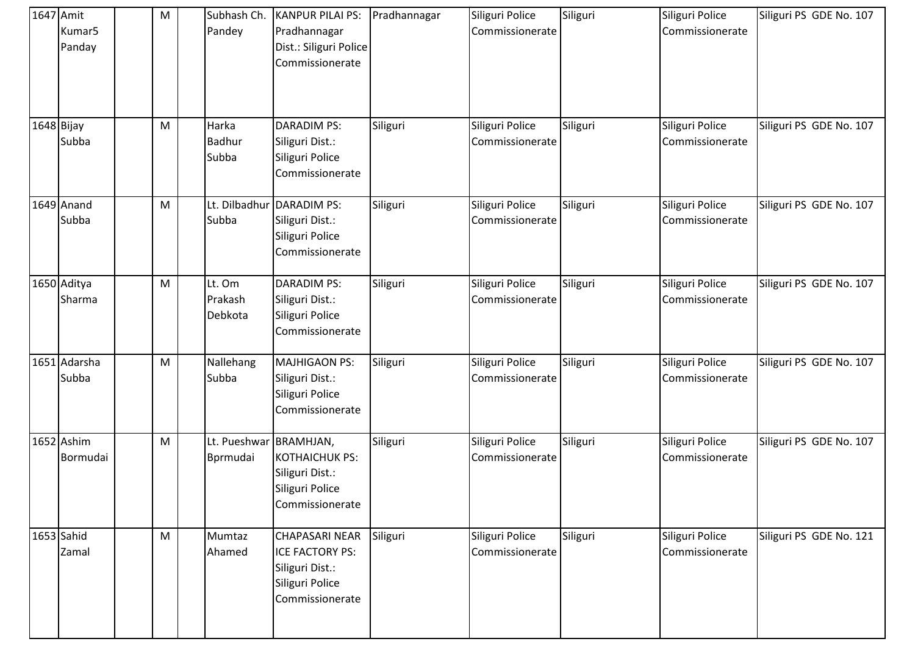| 1647 Amit  | Kumar <sub>5</sub><br>Panday | M | Subhash Ch.<br>Pandey              | <b>KANPUR PILAI PS:</b><br>Pradhannagar<br>Dist.: Siliguri Police<br>Commissionerate              | Pradhannagar | Siliguri Police<br>Commissionerate | Siliguri | Siliguri Police<br>Commissionerate | Siliguri PS GDE No. 107 |
|------------|------------------------------|---|------------------------------------|---------------------------------------------------------------------------------------------------|--------------|------------------------------------|----------|------------------------------------|-------------------------|
| 1648 Bijay | Subba                        | M | Harka<br><b>Badhur</b><br>Subba    | <b>DARADIM PS:</b><br>Siliguri Dist.:<br>Siliguri Police<br>Commissionerate                       | Siliguri     | Siliguri Police<br>Commissionerate | Siliguri | Siliguri Police<br>Commissionerate | Siliguri PS GDE No. 107 |
|            | 1649 Anand<br>Subba          | M | Lt. Dilbadhur<br>Subba             | <b>DARADIM PS:</b><br>Siliguri Dist.:<br>Siliguri Police<br>Commissionerate                       | Siliguri     | Siliguri Police<br>Commissionerate | Siliguri | Siliguri Police<br>Commissionerate | Siliguri PS GDE No. 107 |
|            | 1650 Aditya<br>Sharma        | M | Lt. Om<br>Prakash<br>Debkota       | <b>DARADIM PS:</b><br>Siliguri Dist.:<br>Siliguri Police<br>Commissionerate                       | Siliguri     | Siliguri Police<br>Commissionerate | Siliguri | Siliguri Police<br>Commissionerate | Siliguri PS GDE No. 107 |
|            | 1651 Adarsha<br>Subba        | M | Nallehang<br>Subba                 | <b>MAJHIGAON PS:</b><br>Siliguri Dist.:<br>Siliguri Police<br>Commissionerate                     | Siliguri     | Siliguri Police<br>Commissionerate | Siliguri | Siliguri Police<br>Commissionerate | Siliguri PS GDE No. 107 |
|            | 1652 Ashim<br>Bormudai       | M | Lt. Pueshwar BRAMHJAN,<br>Bprmudai | <b>KOTHAICHUK PS:</b><br>Siliguri Dist.:<br>Siliguri Police<br>Commissionerate                    | Siliguri     | Siliguri Police<br>Commissionerate | Siliguri | Siliguri Police<br>Commissionerate | Siliguri PS GDE No. 107 |
|            | 1653 Sahid<br>Zamal          | M | Mumtaz<br>Ahamed                   | <b>CHAPASARI NEAR</b><br>ICE FACTORY PS:<br>Siliguri Dist.:<br>Siliguri Police<br>Commissionerate | Siliguri     | Siliguri Police<br>Commissionerate | Siliguri | Siliguri Police<br>Commissionerate | Siliguri PS GDE No. 121 |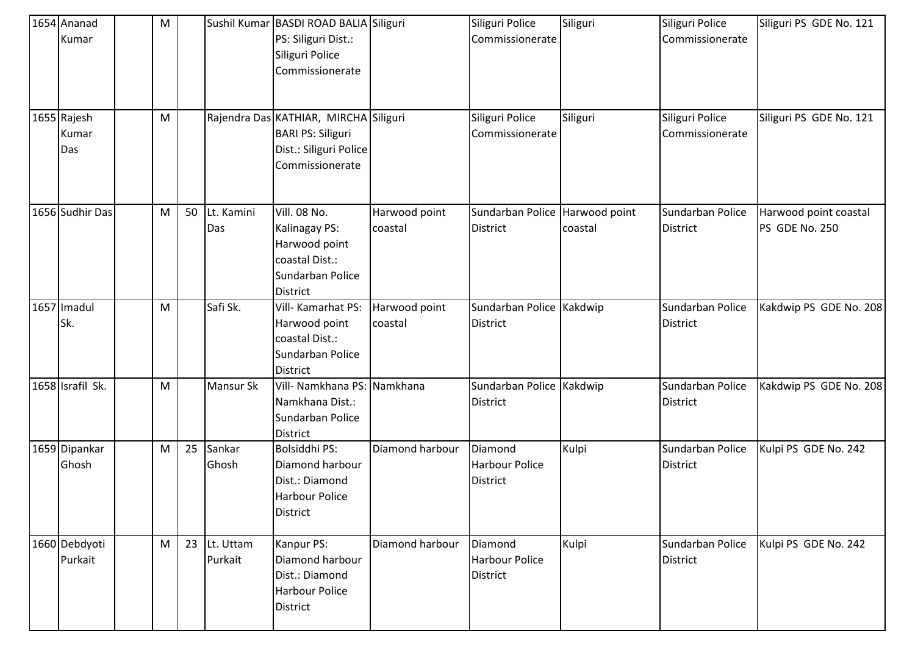| 1654 Ananad<br>Kumar        | M |    |                      | Sushil Kumar BASDI ROAD BALIA Siliguri<br>PS: Siliguri Dist.:<br>Siliguri Police<br>Commissionerate            |                          | Siliguri Police<br>Commissionerate                  | Siliguri                 | Siliguri Police<br>Commissionerate  | Siliguri PS GDE No. 121                 |
|-----------------------------|---|----|----------------------|----------------------------------------------------------------------------------------------------------------|--------------------------|-----------------------------------------------------|--------------------------|-------------------------------------|-----------------------------------------|
| 1655 Rajesh<br>Kumar<br>Das | M |    |                      | Rajendra Das KATHIAR, MIRCHA Siliguri<br><b>BARI PS: Siliguri</b><br>Dist.: Siliguri Police<br>Commissionerate |                          | Siliguri Police<br>Commissionerate                  | Siliguri                 | Siliguri Police<br>Commissionerate  | Siliguri PS GDE No. 121                 |
| 1656 Sudhir Das             | M | 50 | Lt. Kamini<br>Das    | <b>Vill. 08 No.</b><br>Kalinagay PS:<br>Harwood point<br>coastal Dist.:<br>Sundarban Police<br><b>District</b> | Harwood point<br>coastal | Sundarban Police<br><b>District</b>                 | Harwood point<br>coastal | Sundarban Police<br><b>District</b> | Harwood point coastal<br>PS GDE No. 250 |
| 1657 Imadul<br>Sk.          | M |    | Safi Sk.             | Vill- Kamarhat PS:<br>Harwood point<br>coastal Dist.:<br>Sundarban Police<br><b>District</b>                   | Harwood point<br>coastal | Sundarban Police Kakdwip<br><b>District</b>         |                          | Sundarban Police<br><b>District</b> | Kakdwip PS GDE No. 208                  |
| 1658 Israfil Sk.            | M |    | Mansur Sk            | Vill- Namkhana PS: Namkhana<br>Namkhana Dist.:<br>Sundarban Police<br><b>District</b>                          |                          | Sundarban Police Kakdwip<br><b>District</b>         |                          | Sundarban Police<br><b>District</b> | Kakdwip PS GDE No. 208                  |
| 1659 Dipankar<br>Ghosh      | M | 25 | Sankar<br>Ghosh      | Bolsiddhi PS:<br>Diamond harbour<br>Dist.: Diamond<br><b>Harbour Police</b><br><b>District</b>                 | Diamond harbour          | Diamond<br><b>Harbour Police</b><br><b>District</b> | Kulpi                    | Sundarban Police<br><b>District</b> | Kulpi PS GDE No. 242                    |
| 1660 Debdyoti<br>Purkait    | M | 23 | Lt. Uttam<br>Purkait | Kanpur PS:<br>Diamond harbour<br>Dist.: Diamond<br><b>Harbour Police</b><br>District                           | Diamond harbour          | Diamond<br><b>Harbour Police</b><br><b>District</b> | Kulpi                    | Sundarban Police<br><b>District</b> | Kulpi PS GDE No. 242                    |